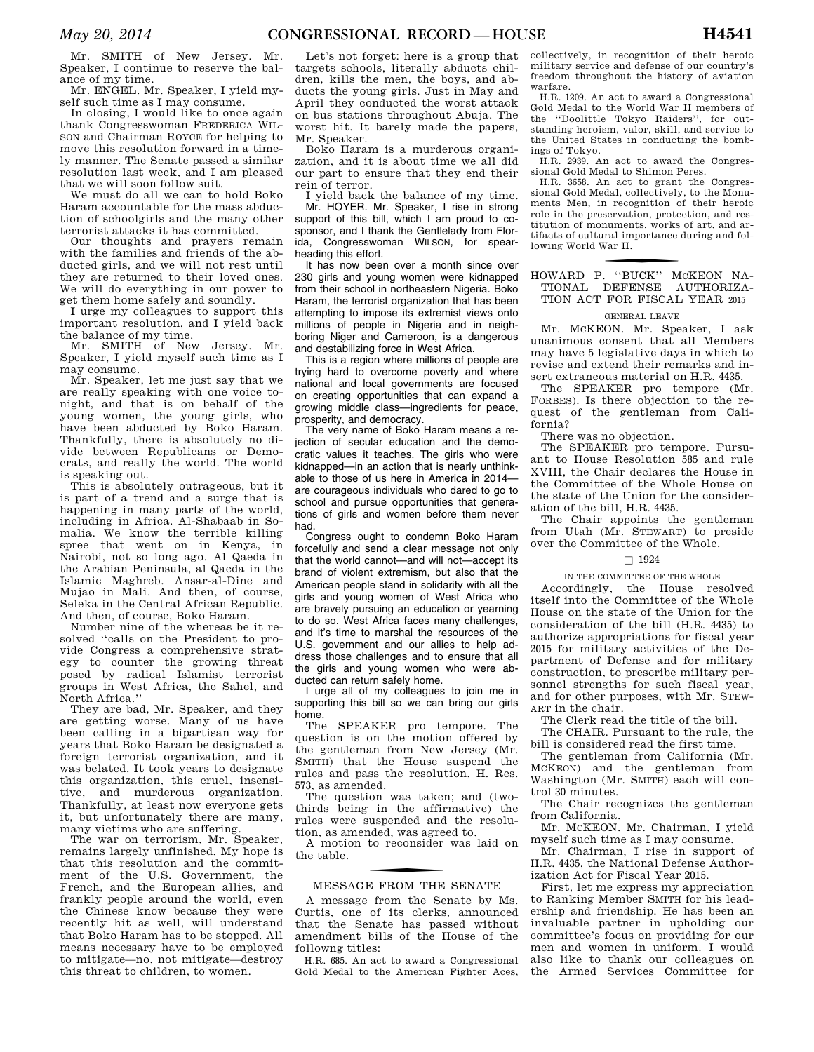Mr. SMITH of New Jersey. Mr. Speaker, I continue to reserve the balance of my time.

Mr. ENGEL. Mr. Speaker, I yield myself such time as I may consume.

In closing, I would like to once again thank Congresswoman FREDERICA WIL-SON and Chairman ROYCE for helping to move this resolution forward in a timely manner. The Senate passed a similar resolution last week, and I am pleased that we will soon follow suit.

We must do all we can to hold Boko Haram accountable for the mass abduction of schoolgirls and the many other terrorist attacks it has committed.

Our thoughts and prayers remain with the families and friends of the abducted girls, and we will not rest until they are returned to their loved ones. We will do everything in our power to get them home safely and soundly.

I urge my colleagues to support this important resolution, and I yield back the balance of my time.

Mr. SMITH of New Jersey. Mr. Speaker, I yield myself such time as I may consume.

Mr. Speaker, let me just say that we are really speaking with one voice tonight, and that is on behalf of the young women, the young girls, who have been abducted by Boko Haram. Thankfully, there is absolutely no divide between Republicans or Democrats, and really the world. The world is speaking out.

This is absolutely outrageous, but it is part of a trend and a surge that is happening in many parts of the world, including in Africa. Al-Shabaab in Somalia. We know the terrible killing spree that went on in Kenya, in Nairobi, not so long ago. Al Qaeda in the Arabian Peninsula, al Qaeda in the Islamic Maghreb. Ansar-al-Dine and Mujao in Mali. And then, of course, Seleka in the Central African Republic. And then, of course, Boko Haram.

Number nine of the whereas be it resolved ''calls on the President to provide Congress a comprehensive strategy to counter the growing threat posed by radical Islamist terrorist groups in West Africa, the Sahel, and North Africa.''

They are bad, Mr. Speaker, and they are getting worse. Many of us have been calling in a bipartisan way for years that Boko Haram be designated a foreign terrorist organization, and it was belated. It took years to designate this organization, this cruel, insensitive, and murderous organization. Thankfully, at least now everyone gets it, but unfortunately there are many, many victims who are suffering.

The war on terrorism, Mr. Speaker, remains largely unfinished. My hope is that this resolution and the commitment of the U.S. Government, the French, and the European allies, and frankly people around the world, even the Chinese know because they were recently hit as well, will understand that Boko Haram has to be stopped. All means necessary have to be employed to mitigate—no, not mitigate—destroy this threat to children, to women.

Let's not forget: here is a group that targets schools, literally abducts children, kills the men, the boys, and abducts the young girls. Just in May and April they conducted the worst attack on bus stations throughout Abuja. The worst hit. It barely made the papers, Mr. Speaker.

Boko Haram is a murderous organization, and it is about time we all did our part to ensure that they end their rein of terror.

I yield back the balance of my time. Mr. HOYER. Mr. Speaker, I rise in strong support of this bill, which I am proud to cosponsor, and I thank the Gentlelady from Florida, Congresswoman WILSON, for spearheading this effort.

It has now been over a month since over 230 girls and young women were kidnapped from their school in northeastern Nigeria. Boko Haram, the terrorist organization that has been attempting to impose its extremist views onto millions of people in Nigeria and in neighboring Niger and Cameroon, is a dangerous and destabilizing force in West Africa.

This is a region where millions of people are trying hard to overcome poverty and where national and local governments are focused on creating opportunities that can expand a growing middle class—ingredients for peace, prosperity, and democracy.

The very name of Boko Haram means a rejection of secular education and the democratic values it teaches. The girls who were kidnapped—in an action that is nearly unthinkable to those of us here in America in 2014 are courageous individuals who dared to go to school and pursue opportunities that generations of girls and women before them never had.

Congress ought to condemn Boko Haram forcefully and send a clear message not only that the world cannot—and will not—accept its brand of violent extremism, but also that the American people stand in solidarity with all the girls and young women of West Africa who are bravely pursuing an education or yearning to do so. West Africa faces many challenges, and it's time to marshal the resources of the U.S. government and our allies to help address those challenges and to ensure that all the girls and young women who were abducted can return safely home.

I urge all of my colleagues to join me in supporting this bill so we can bring our girls home.

The SPEAKER pro tempore. The question is on the motion offered by the gentleman from New Jersey (Mr. SMITH) that the House suspend the rules and pass the resolution, H. Res. 573, as amended.

The question was taken; and (twothirds being in the affirmative) the rules were suspended and the resolution, as amended, was agreed to.

A motion to reconsider was laid on the table.

## f MESSAGE FROM THE SENATE

A message from the Senate by Ms. Curtis, one of its clerks, announced that the Senate has passed without amendment bills of the House of the followng titles:

H.R. 685. An act to award a Congressional Gold Medal to the American Fighter Aces, collectively, in recognition of their heroic military service and defense of our country's freedom throughout the history of aviation warfare.

H.R. 1209. An act to award a Congressional Gold Medal to the World War II members of the ''Doolittle Tokyo Raiders'', for outstanding heroism, valor, skill, and service to the United States in conducting the bombings of Tokyo.

H.R. 2939. An act to award the Congressional Gold Medal to Shimon Peres.

H.R. 3658. An act to grant the Congressional Gold Medal, collectively, to the Monuments Men, in recognition of their heroic role in the preservation, protection, and restitution of monuments, works of art, and artifacts of cultural importance during and following World War II.

## f HOWARD P. ''BUCK'' MCKEON NA-TIONAL DEFENSE AUTHORIZA-TION ACT FOR FISCAL YEAR 2015

### GENERAL LEAVE

Mr. MCKEON. Mr. Speaker, I ask unanimous consent that all Members may have 5 legislative days in which to revise and extend their remarks and insert extraneous material on H.R. 4435.

The SPEAKER pro tempore (Mr. FORBES). Is there objection to the request of the gentleman from California?

There was no objection.

The SPEAKER pro tempore. Pursuant to House Resolution 585 and rule XVIII, the Chair declares the House in the Committee of the Whole House on the state of the Union for the consideration of the bill, H.R. 4435.

The Chair appoints the gentleman from Utah (Mr. STEWART) to preside over the Committee of the Whole.

### $\square$  1924

### IN THE COMMITTEE OF THE WHOLE

Accordingly, the House resolved itself into the Committee of the Whole House on the state of the Union for the consideration of the bill (H.R. 4435) to authorize appropriations for fiscal year 2015 for military activities of the Department of Defense and for military construction, to prescribe military personnel strengths for such fiscal year, and for other purposes, with Mr. STEW-ART in the chair.

The Clerk read the title of the bill.

The CHAIR. Pursuant to the rule, the bill is considered read the first time.

The gentleman from California (Mr. MCKEON) and the gentleman from Washington (Mr. SMITH) each will control 30 minutes.

The Chair recognizes the gentleman from California.

Mr. MCKEON. Mr. Chairman, I yield myself such time as I may consume.

Mr. Chairman, I rise in support of H.R. 4435, the National Defense Authorization Act for Fiscal Year 2015.

First, let me express my appreciation to Ranking Member SMITH for his leadership and friendship. He has been an invaluable partner in upholding our committee's focus on providing for our men and women in uniform. I would also like to thank our colleagues on the Armed Services Committee for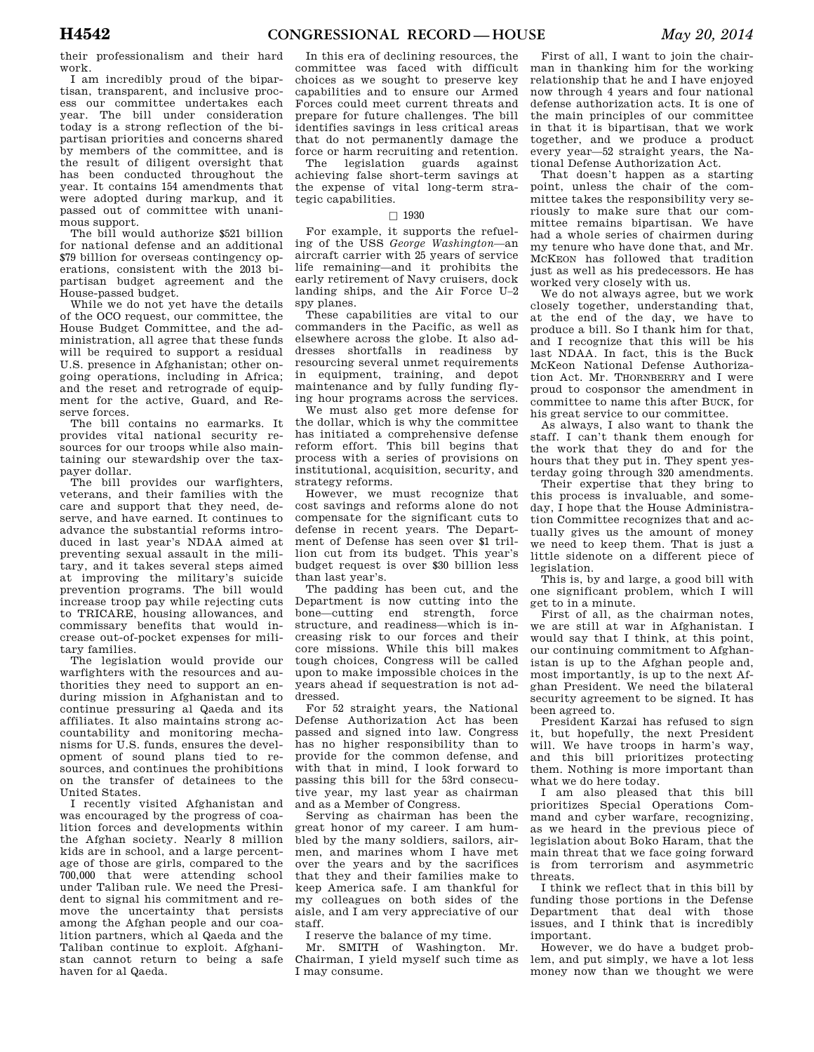their professionalism and their hard work.

I am incredibly proud of the bipartisan, transparent, and inclusive process our committee undertakes each year. The bill under consideration today is a strong reflection of the bipartisan priorities and concerns shared by members of the committee, and is the result of diligent oversight that has been conducted throughout the year. It contains 154 amendments that were adopted during markup, and it passed out of committee with unanimous support.

The bill would authorize \$521 billion for national defense and an additional \$79 billion for overseas contingency operations, consistent with the 2013 bipartisan budget agreement and the House-passed budget.

While we do not yet have the details of the OCO request, our committee, the House Budget Committee, and the administration, all agree that these funds will be required to support a residual U.S. presence in Afghanistan; other ongoing operations, including in Africa; and the reset and retrograde of equipment for the active, Guard, and Reserve forces.

The bill contains no earmarks. It provides vital national security resources for our troops while also maintaining our stewardship over the taxpayer dollar.

The bill provides our warfighters, veterans, and their families with the care and support that they need, deserve, and have earned. It continues to advance the substantial reforms introduced in last year's NDAA aimed at preventing sexual assault in the military, and it takes several steps aimed at improving the military's suicide prevention programs. The bill would increase troop pay while rejecting cuts to TRICARE, housing allowances, and commissary benefits that would increase out-of-pocket expenses for military families.

The legislation would provide our warfighters with the resources and authorities they need to support an enduring mission in Afghanistan and to continue pressuring al Qaeda and its affiliates. It also maintains strong accountability and monitoring mechanisms for U.S. funds, ensures the development of sound plans tied to resources, and continues the prohibitions on the transfer of detainees to the United States.

I recently visited Afghanistan and was encouraged by the progress of coalition forces and developments within the Afghan society. Nearly 8 million kids are in school, and a large percentage of those are girls, compared to the 700,000 that were attending school under Taliban rule. We need the President to signal his commitment and remove the uncertainty that persists among the Afghan people and our coalition partners, which al Qaeda and the Taliban continue to exploit. Afghanistan cannot return to being a safe haven for al Qaeda.

In this era of declining resources, the committee was faced with difficult choices as we sought to preserve key capabilities and to ensure our Armed Forces could meet current threats and prepare for future challenges. The bill identifies savings in less critical areas that do not permanently damage the force or harm recruiting and retention.

The legislation guards against achieving false short-term savings at the expense of vital long-term strategic capabilities.

### $\Box$  1930

For example, it supports the refueling of the USS *George Washington*—an aircraft carrier with 25 years of service life remaining—and it prohibits the early retirement of Navy cruisers, dock landing ships, and the Air Force U–2 spy planes.

These capabilities are vital to our commanders in the Pacific, as well as elsewhere across the globe. It also addresses shortfalls in readiness by resourcing several unmet requirements in equipment, training, and depot maintenance and by fully funding flying hour programs across the services.

We must also get more defense for the dollar, which is why the committee has initiated a comprehensive defense reform effort. This bill begins that process with a series of provisions on institutional, acquisition, security, and strategy reforms.

However, we must recognize that cost savings and reforms alone do not compensate for the significant cuts to defense in recent years. The Department of Defense has seen over \$1 trillion cut from its budget. This year's budget request is over \$30 billion less than last year's.

The padding has been cut, and the Department is now cutting into the bone—cutting end strength, force structure, and readiness—which is increasing risk to our forces and their core missions. While this bill makes tough choices, Congress will be called upon to make impossible choices in the years ahead if sequestration is not addressed.

For 52 straight years, the National Defense Authorization Act has been passed and signed into law. Congress has no higher responsibility than to provide for the common defense, and with that in mind, I look forward to passing this bill for the 53rd consecutive year, my last year as chairman and as a Member of Congress.

Serving as chairman has been the great honor of my career. I am humbled by the many soldiers, sailors, airmen, and marines whom I have met over the years and by the sacrifices that they and their families make to keep America safe. I am thankful for my colleagues on both sides of the aisle, and I am very appreciative of our staff.

I reserve the balance of my time.

Mr. SMITH of Washington. Mr. Chairman, I yield myself such time as I may consume.

First of all, I want to join the chairman in thanking him for the working relationship that he and I have enjoyed now through 4 years and four national defense authorization acts. It is one of the main principles of our committee in that it is bipartisan, that we work together, and we produce a product every year—52 straight years, the National Defense Authorization Act.

That doesn't happen as a starting point, unless the chair of the committee takes the responsibility very seriously to make sure that our committee remains bipartisan. We have had a whole series of chairmen during my tenure who have done that, and Mr. MCKEON has followed that tradition just as well as his predecessors. He has worked very closely with us.

We do not always agree, but we work closely together, understanding that, at the end of the day, we have to produce a bill. So I thank him for that, and I recognize that this will be his last NDAA. In fact, this is the Buck McKeon National Defense Authorization Act. Mr. THORNBERRY and I were proud to cosponsor the amendment in committee to name this after BUCK, for his great service to our committee.

As always, I also want to thank the staff. I can't thank them enough for the work that they do and for the hours that they put in. They spent yesterday going through 320 amendments.

Their expertise that they bring to this process is invaluable, and someday, I hope that the House Administration Committee recognizes that and actually gives us the amount of money we need to keep them. That is just a little sidenote on a different piece of legislation.

This is, by and large, a good bill with one significant problem, which I will get to in a minute.

First of all, as the chairman notes, we are still at war in Afghanistan. I would say that I think, at this point, our continuing commitment to Afghanistan is up to the Afghan people and, most importantly, is up to the next Afghan President. We need the bilateral security agreement to be signed. It has been agreed to.

President Karzai has refused to sign it, but hopefully, the next President will. We have troops in harm's way, and this bill prioritizes protecting them. Nothing is more important than what we do here today.

I am also pleased that this bill prioritizes Special Operations Command and cyber warfare, recognizing, as we heard in the previous piece of legislation about Boko Haram, that the main threat that we face going forward is from terrorism and asymmetric threats.

I think we reflect that in this bill by funding those portions in the Defense Department that deal with those issues, and I think that is incredibly important.

However, we do have a budget problem, and put simply, we have a lot less money now than we thought we were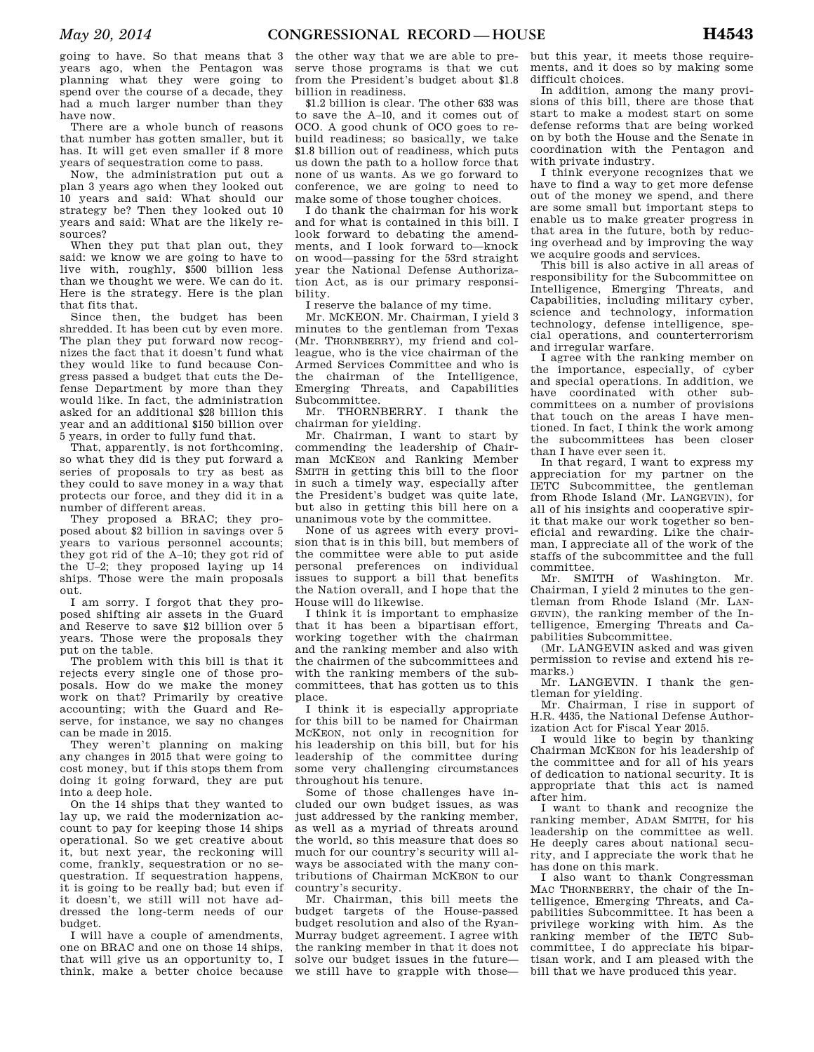going to have. So that means that 3 years ago, when the Pentagon was planning what they were going to spend over the course of a decade, they had a much larger number than they have now.

There are a whole bunch of reasons that number has gotten smaller, but it has. It will get even smaller if 8 more years of sequestration come to pass.

Now, the administration put out a plan 3 years ago when they looked out 10 years and said: What should our strategy be? Then they looked out 10 years and said: What are the likely resources?

When they put that plan out, they said: we know we are going to have to live with, roughly, \$500 billion less than we thought we were. We can do it. Here is the strategy. Here is the plan that fits that.

Since then, the budget has been shredded. It has been cut by even more. The plan they put forward now recognizes the fact that it doesn't fund what they would like to fund because Congress passed a budget that cuts the Defense Department by more than they would like. In fact, the administration asked for an additional \$28 billion this year and an additional \$150 billion over 5 years, in order to fully fund that.

That, apparently, is not forthcoming, so what they did is they put forward a series of proposals to try as best as they could to save money in a way that protects our force, and they did it in a number of different areas.

They proposed a BRAC; they proposed about \$2 billion in savings over 5 years to various personnel accounts; they got rid of the A–10; they got rid of the U–2; they proposed laying up 14 ships. Those were the main proposals out.

I am sorry. I forgot that they proposed shifting air assets in the Guard and Reserve to save \$12 billion over 5 years. Those were the proposals they put on the table.

The problem with this bill is that it rejects every single one of those proposals. How do we make the money work on that? Primarily by creative accounting; with the Guard and Reserve, for instance, we say no changes can be made in 2015.

They weren't planning on making any changes in 2015 that were going to cost money, but if this stops them from doing it going forward, they are put into a deep hole.

On the 14 ships that they wanted to lay up, we raid the modernization account to pay for keeping those 14 ships operational. So we get creative about it, but next year, the reckoning will come, frankly, sequestration or no sequestration. If sequestration happens, it is going to be really bad; but even if it doesn't, we still will not have addressed the long-term needs of our budget.

I will have a couple of amendments, one on BRAC and one on those 14 ships, that will give us an opportunity to, I think, make a better choice because

the other way that we are able to preserve those programs is that we cut from the President's budget about \$1.8 billion in readiness.

\$1.2 billion is clear. The other 633 was to save the A–10, and it comes out of OCO. A good chunk of OCO goes to rebuild readiness; so basically, we take \$1.8 billion out of readiness, which puts us down the path to a hollow force that none of us wants. As we go forward to conference, we are going to need to make some of those tougher choices.

I do thank the chairman for his work and for what is contained in this bill. I look forward to debating the amendments, and I look forward to—knock on wood—passing for the 53rd straight year the National Defense Authorization Act, as is our primary responsibility.

I reserve the balance of my time.

Mr. MCKEON. Mr. Chairman, I yield 3 minutes to the gentleman from Texas (Mr. THORNBERRY), my friend and colleague, who is the vice chairman of the Armed Services Committee and who is the chairman of the Intelligence, Emerging Threats, and Capabilities Subcommittee.

Mr. THORNBERRY. I thank the chairman for yielding.

Mr. Chairman, I want to start by commending the leadership of Chairman MCKEON and Ranking Member SMITH in getting this bill to the floor in such a timely way, especially after the President's budget was quite late, but also in getting this bill here on a unanimous vote by the committee.

None of us agrees with every provision that is in this bill, but members of the committee were able to put aside personal preferences on individual issues to support a bill that benefits the Nation overall, and I hope that the House will do likewise.

I think it is important to emphasize that it has been a bipartisan effort, working together with the chairman and the ranking member and also with the chairmen of the subcommittees and with the ranking members of the subcommittees, that has gotten us to this place.

I think it is especially appropriate for this bill to be named for Chairman MCKEON, not only in recognition for his leadership on this bill, but for his leadership of the committee during some very challenging circumstances throughout his tenure.

Some of those challenges have included our own budget issues, as was just addressed by the ranking member, as well as a myriad of threats around the world, so this measure that does so much for our country's security will always be associated with the many contributions of Chairman MCKEON to our country's security.

Mr. Chairman, this bill meets the budget targets of the House-passed budget resolution and also of the Ryan-Murray budget agreement. I agree with the ranking member in that it does not solve our budget issues in the future we still have to grapple with those—

but this year, it meets those requirements, and it does so by making some difficult choices.

In addition, among the many provisions of this bill, there are those that start to make a modest start on some defense reforms that are being worked on by both the House and the Senate in coordination with the Pentagon and with private industry.

I think everyone recognizes that we have to find a way to get more defense out of the money we spend, and there are some small but important steps to enable us to make greater progress in that area in the future, both by reducing overhead and by improving the way we acquire goods and services.

This bill is also active in all areas of responsibility for the Subcommittee on Intelligence, Emerging Threats, and Capabilities, including military cyber, science and technology, information technology, defense intelligence, special operations, and counterterrorism and irregular warfare.

I agree with the ranking member on the importance, especially, of cyber and special operations. In addition, we have coordinated with other subcommittees on a number of provisions that touch on the areas I have mentioned. In fact, I think the work among the subcommittees has been closer than I have ever seen it.

In that regard, I want to express my appreciation for my partner on the IETC Subcommittee, the gentleman from Rhode Island (Mr. LANGEVIN), for all of his insights and cooperative spirit that make our work together so beneficial and rewarding. Like the chairman, I appreciate all of the work of the staffs of the subcommittee and the full committee.

Mr. SMITH of Washington. Mr. Chairman, I yield 2 minutes to the gentleman from Rhode Island (Mr. LAN-GEVIN), the ranking member of the Intelligence, Emerging Threats and Capabilities Subcommittee.

(Mr. LANGEVIN asked and was given permission to revise and extend his remarks.)

Mr. LANGEVIN. I thank the gentleman for yielding.

Mr. Chairman, I rise in support of H.R. 4435, the National Defense Authorization Act for Fiscal Year 2015.

I would like to begin by thanking Chairman MCKEON for his leadership of the committee and for all of his years of dedication to national security. It is appropriate that this act is named after him.

I want to thank and recognize the ranking member, ADAM SMITH, for his leadership on the committee as well. He deeply cares about national security, and I appreciate the work that he has done on this mark.

I also want to thank Congressman MAC THORNBERRY, the chair of the Intelligence, Emerging Threats, and Capabilities Subcommittee. It has been a privilege working with him. As the ranking member of the IETC Subcommittee, I do appreciate his bipartisan work, and I am pleased with the bill that we have produced this year.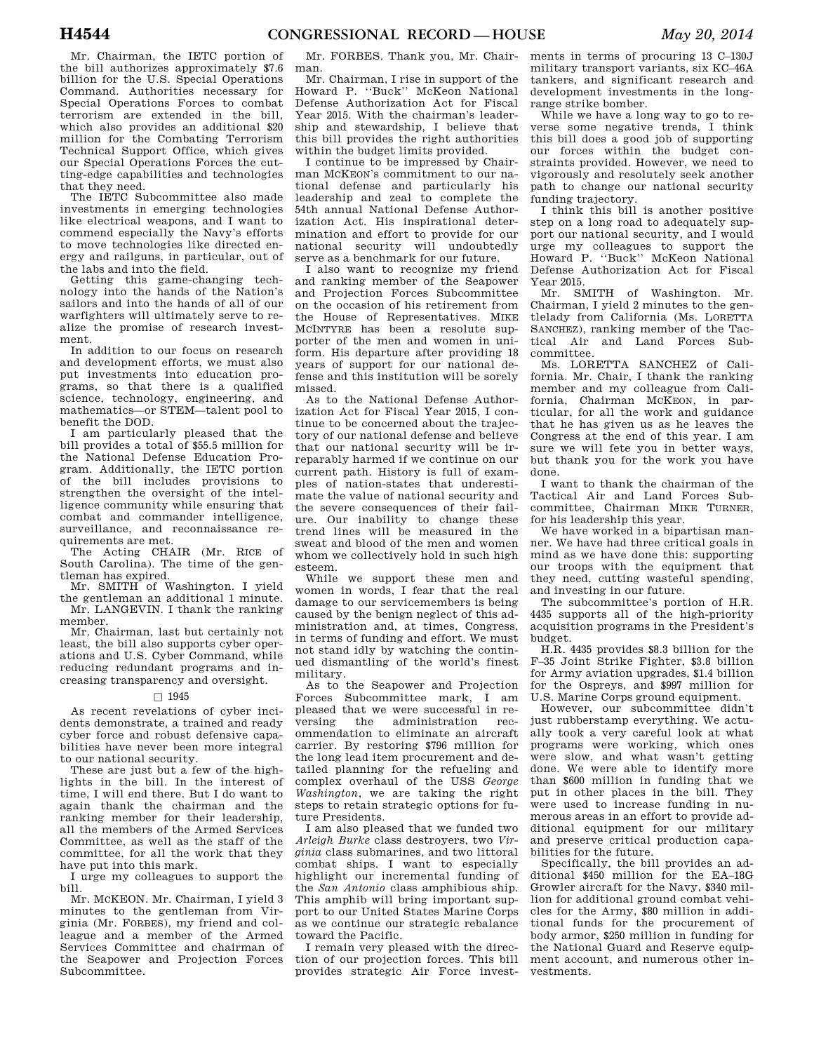Mr. Chairman, the IETC portion of the bill authorizes approximately \$7.6 billion for the U.S. Special Operations Command. Authorities necessary for Special Operations Forces to combat terrorism are extended in the bill, which also provides an additional \$20 million for the Combating Terrorism Technical Support Office, which gives our Special Operations Forces the cutting-edge capabilities and technologies that they need.

The IETC Subcommittee also made investments in emerging technologies like electrical weapons, and I want to commend especially the Navy's efforts to move technologies like directed energy and railguns, in particular, out of the labs and into the field.

Getting this game-changing technology into the hands of the Nation's sailors and into the hands of all of our warfighters will ultimately serve to realize the promise of research investment.

In addition to our focus on research and development efforts, we must also put investments into education programs, so that there is a qualified science, technology, engineering, and mathematics—or STEM—talent pool to benefit the DOD.

I am particularly pleased that the bill provides a total of \$55.5 million for the National Defense Education Program. Additionally, the IETC portion of the bill includes provisions to strengthen the oversight of the intelligence community while ensuring that combat and commander intelligence, surveillance, and reconnaissance requirements are met.

The Acting CHAIR (Mr. RICE of South Carolina). The time of the gentleman has expired.

Mr. SMITH of Washington. I yield the gentleman an additional 1 minute. Mr. LANGEVIN. I thank the ranking member.

Mr. Chairman, last but certainly not least, the bill also supports cyber operations and U.S. Cyber Command, while reducing redundant programs and increasing transparency and oversight.

### $\square$  1945

As recent revelations of cyber incidents demonstrate, a trained and ready cyber force and robust defensive capabilities have never been more integral to our national security.

These are just but a few of the highlights in the bill. In the interest of time, I will end there. But I do want to again thank the chairman and the ranking member for their leadership, all the members of the Armed Services Committee, as well as the staff of the committee, for all the work that they have put into this mark.

I urge my colleagues to support the bill.

Mr. MCKEON. Mr. Chairman, I yield 3 minutes to the gentleman from Virginia (Mr. FORBES), my friend and colleague and a member of the Armed Services Committee and chairman of the Seapower and Projection Forces Subcommittee.

Mr. FORBES. Thank you, Mr. Chairman.

Mr. Chairman, I rise in support of the Howard P. ''Buck'' McKeon National Defense Authorization Act for Fiscal Year 2015. With the chairman's leadership and stewardship, I believe that this bill provides the right authorities within the budget limits provided.

I continue to be impressed by Chairman MCKEON's commitment to our national defense and particularly his leadership and zeal to complete the 54th annual National Defense Authorization Act. His inspirational determination and effort to provide for our national security will undoubtedly serve as a benchmark for our future.

I also want to recognize my friend and ranking member of the Seapower and Projection Forces Subcommittee on the occasion of his retirement from the House of Representatives. MIKE MCINTYRE has been a resolute supporter of the men and women in uniform. His departure after providing 18 years of support for our national defense and this institution will be sorely missed.

As to the National Defense Authorization Act for Fiscal Year 2015, I continue to be concerned about the trajectory of our national defense and believe that our national security will be irreparably harmed if we continue on our current path. History is full of examples of nation-states that underestimate the value of national security and the severe consequences of their failure. Our inability to change these trend lines will be measured in the sweat and blood of the men and women whom we collectively hold in such high esteem.

While we support these men and women in words, I fear that the real damage to our servicemembers is being caused by the benign neglect of this administration and, at times, Congress, in terms of funding and effort. We must not stand idly by watching the continued dismantling of the world's finest military.

As to the Seapower and Projection Forces Subcommittee mark, I am pleased that we were successful in reversing the administration recommendation to eliminate an aircraft carrier. By restoring \$796 million for the long lead item procurement and detailed planning for the refueling and complex overhaul of the USS *George Washington*, we are taking the right steps to retain strategic options for future Presidents.

I am also pleased that we funded two *Arleigh Burke* class destroyers, two *Virginia* class submarines, and two littoral combat ships. I want to especially highlight our incremental funding of the *San Antonio* class amphibious ship. This amphib will bring important support to our United States Marine Corps as we continue our strategic rebalance toward the Pacific.

I remain very pleased with the direction of our projection forces. This bill provides strategic Air Force invest-

ments in terms of procuring 13 C–130J military transport variants, six KC–46A tankers, and significant research and development investments in the longrange strike bomber.

While we have a long way to go to reverse some negative trends, I think this bill does a good job of supporting our forces within the budget constraints provided. However, we need to vigorously and resolutely seek another path to change our national security funding trajectory.

I think this bill is another positive step on a long road to adequately support our national security, and I would urge my colleagues to support the Howard P. ''Buck'' McKeon National Defense Authorization Act for Fiscal Year 2015.

Mr. SMITH of Washington. Mr. Chairman, I yield 2 minutes to the gentlelady from California (Ms. LORETTA SANCHEZ), ranking member of the Tactical Air and Land Forces Subcommittee.

Ms. LORETTA SANCHEZ of California. Mr. Chair, I thank the ranking member and my colleague from California, Chairman MCKEON, in particular, for all the work and guidance that he has given us as he leaves the Congress at the end of this year. I am sure we will fete you in better ways, but thank you for the work you have done.

I want to thank the chairman of the Tactical Air and Land Forces Subcommittee, Chairman MIKE TURNER, for his leadership this year.

We have worked in a bipartisan manner. We have had three critical goals in mind as we have done this: supporting our troops with the equipment that they need, cutting wasteful spending, and investing in our future.

The subcommittee's portion of H.R. 4435 supports all of the high-priority acquisition programs in the President's budget.

H.R. 4435 provides \$8.3 billion for the F–35 Joint Strike Fighter, \$3.8 billion for Army aviation upgrades, \$1.4 billion for the Ospreys, and \$997 million for U.S. Marine Corps ground equipment.

However, our subcommittee didn't just rubberstamp everything. We actually took a very careful look at what programs were working, which ones were slow, and what wasn't getting done. We were able to identify more than \$600 million in funding that we put in other places in the bill. They were used to increase funding in numerous areas in an effort to provide additional equipment for our military and preserve critical production capabilities for the future.

Specifically, the bill provides an additional \$450 million for the EA–18G Growler aircraft for the Navy, \$340 million for additional ground combat vehicles for the Army, \$80 million in additional funds for the procurement of body armor, \$250 million in funding for the National Guard and Reserve equipment account, and numerous other investments.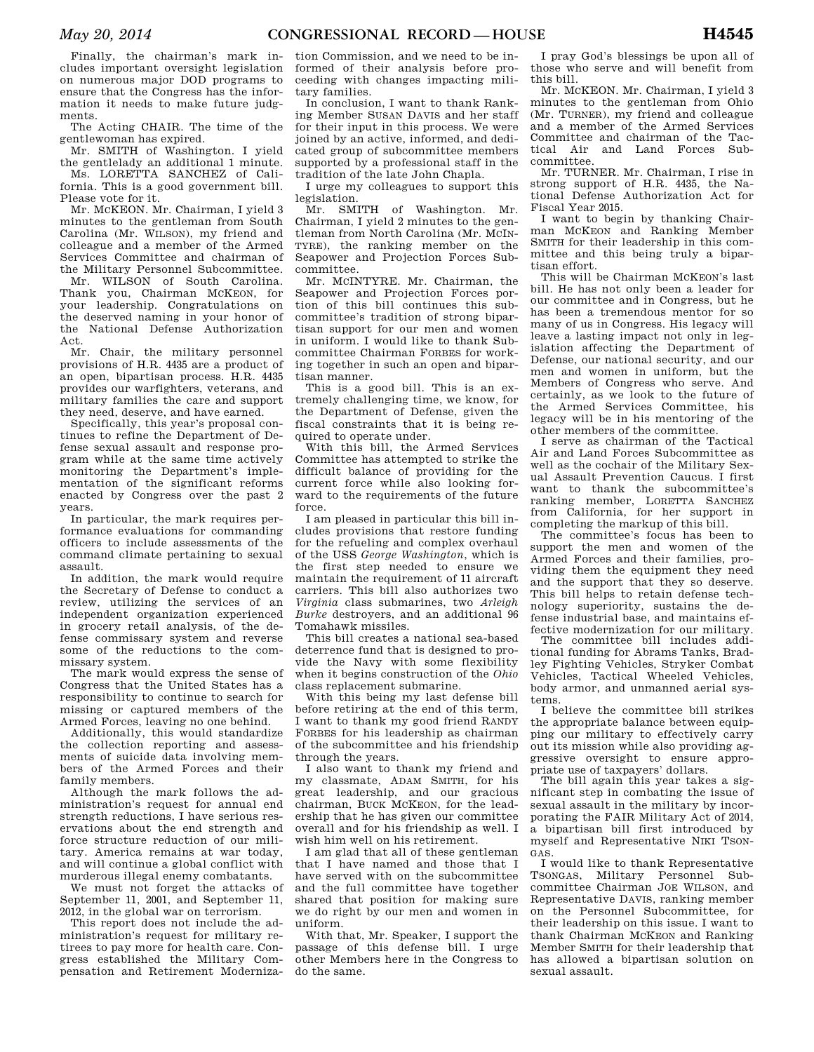Finally, the chairman's mark includes important oversight legislation on numerous major DOD programs to ensure that the Congress has the information it needs to make future judgments.

The Acting CHAIR. The time of the gentlewoman has expired.

Mr. SMITH of Washington. I yield the gentlelady an additional 1 minute.

Ms. LORETTA SANCHEZ of California. This is a good government bill. Please vote for it.

Mr. MCKEON. Mr. Chairman, I yield 3 minutes to the gentleman from South Carolina (Mr. WILSON), my friend and colleague and a member of the Armed Services Committee and chairman of the Military Personnel Subcommittee.

Mr. WILSON of South Carolina. Thank you, Chairman MCKEON, for your leadership. Congratulations on the deserved naming in your honor of the National Defense Authorization Act.

Mr. Chair, the military personnel provisions of H.R. 4435 are a product of an open, bipartisan process. H.R. 4435 provides our warfighters, veterans, and military families the care and support they need, deserve, and have earned.

Specifically, this year's proposal continues to refine the Department of Defense sexual assault and response program while at the same time actively monitoring the Department's implementation of the significant reforms enacted by Congress over the past 2 years.

In particular, the mark requires performance evaluations for commanding officers to include assessments of the command climate pertaining to sexual assault.

In addition, the mark would require the Secretary of Defense to conduct a review, utilizing the services of an independent organization experienced in grocery retail analysis, of the defense commissary system and reverse some of the reductions to the commissary system.

The mark would express the sense of Congress that the United States has a responsibility to continue to search for missing or captured members of the Armed Forces, leaving no one behind.

Additionally, this would standardize the collection reporting and assessments of suicide data involving members of the Armed Forces and their family members.

Although the mark follows the administration's request for annual end strength reductions, I have serious reservations about the end strength and force structure reduction of our military. America remains at war today, and will continue a global conflict with murderous illegal enemy combatants.

We must not forget the attacks of September 11, 2001, and September 11, 2012, in the global war on terrorism.

This report does not include the administration's request for military retirees to pay more for health care. Congress established the Military Compensation and Retirement Moderniza-

tion Commission, and we need to be informed of their analysis before proceeding with changes impacting military families.

In conclusion, I want to thank Ranking Member SUSAN DAVIS and her staff for their input in this process. We were joined by an active, informed, and dedicated group of subcommittee members supported by a professional staff in the tradition of the late John Chapla.

I urge my colleagues to support this legislation.

Mr. SMITH of Washington. Mr. Chairman, I yield 2 minutes to the gentleman from North Carolina (Mr. MCIN-TYRE), the ranking member on the Seapower and Projection Forces Subcommittee.

Mr. MCINTYRE. Mr. Chairman, the Seapower and Projection Forces portion of this bill continues this subcommittee's tradition of strong bipartisan support for our men and women in uniform. I would like to thank Subcommittee Chairman FORBES for working together in such an open and bipartisan manner.

This is a good bill. This is an extremely challenging time, we know, for the Department of Defense, given the fiscal constraints that it is being required to operate under.

With this bill, the Armed Services Committee has attempted to strike the difficult balance of providing for the current force while also looking forward to the requirements of the future force.

I am pleased in particular this bill includes provisions that restore funding for the refueling and complex overhaul of the USS *George Washington*, which is the first step needed to ensure we maintain the requirement of 11 aircraft carriers. This bill also authorizes two *Virginia* class submarines, two *Arleigh Burke* destroyers, and an additional 96 Tomahawk missiles.

This bill creates a national sea-based deterrence fund that is designed to provide the Navy with some flexibility when it begins construction of the *Ohio*  class replacement submarine.

With this being my last defense bill before retiring at the end of this term, I want to thank my good friend RANDY FORBES for his leadership as chairman of the subcommittee and his friendship through the years.

I also want to thank my friend and my classmate, ADAM SMITH, for his great leadership, and our gracious chairman, BUCK MCKEON, for the leadership that he has given our committee overall and for his friendship as well. I wish him well on his retirement.

I am glad that all of these gentleman that I have named and those that I have served with on the subcommittee and the full committee have together shared that position for making sure we do right by our men and women in uniform.

With that, Mr. Speaker, I support the passage of this defense bill. I urge other Members here in the Congress to do the same.

I pray God's blessings be upon all of those who serve and will benefit from this bill.

Mr. MCKEON. Mr. Chairman, I yield 3 minutes to the gentleman from Ohio (Mr. TURNER), my friend and colleague and a member of the Armed Services Committee and chairman of the Tactical Air and Land Forces Subcommittee.

Mr. TURNER. Mr. Chairman, I rise in strong support of H.R. 4435, the National Defense Authorization Act for Fiscal Year 2015.

I want to begin by thanking Chairman MCKEON and Ranking Member SMITH for their leadership in this committee and this being truly a bipartisan effort.

This will be Chairman MCKEON's last bill. He has not only been a leader for our committee and in Congress, but he has been a tremendous mentor for so many of us in Congress. His legacy will leave a lasting impact not only in legislation affecting the Department of Defense, our national security, and our men and women in uniform, but the Members of Congress who serve. And certainly, as we look to the future of the Armed Services Committee, his legacy will be in his mentoring of the other members of the committee.

I serve as chairman of the Tactical Air and Land Forces Subcommittee as well as the cochair of the Military Sexual Assault Prevention Caucus. I first want to thank the subcommittee's ranking member, LORETTA SANCHEZ from California, for her support in completing the markup of this bill.

The committee's focus has been to support the men and women of the Armed Forces and their families, providing them the equipment they need and the support that they so deserve. This bill helps to retain defense technology superiority, sustains the defense industrial base, and maintains effective modernization for our military.

The committee bill includes additional funding for Abrams Tanks, Bradley Fighting Vehicles, Stryker Combat Vehicles, Tactical Wheeled Vehicles, body armor, and unmanned aerial systems.

I believe the committee bill strikes the appropriate balance between equipping our military to effectively carry out its mission while also providing aggressive oversight to ensure appropriate use of taxpayers' dollars.

The bill again this year takes a significant step in combating the issue of sexual assault in the military by incorporating the FAIR Military Act of 2014, a bipartisan bill first introduced by myself and Representative NIKI TSON-GAS.

I would like to thank Representative TSONGAS, Military Personnel Subcommittee Chairman JOE WILSON, and Representative DAVIS, ranking member on the Personnel Subcommittee, for their leadership on this issue. I want to thank Chairman MCKEON and Ranking Member SMITH for their leadership that has allowed a bipartisan solution on sexual assault.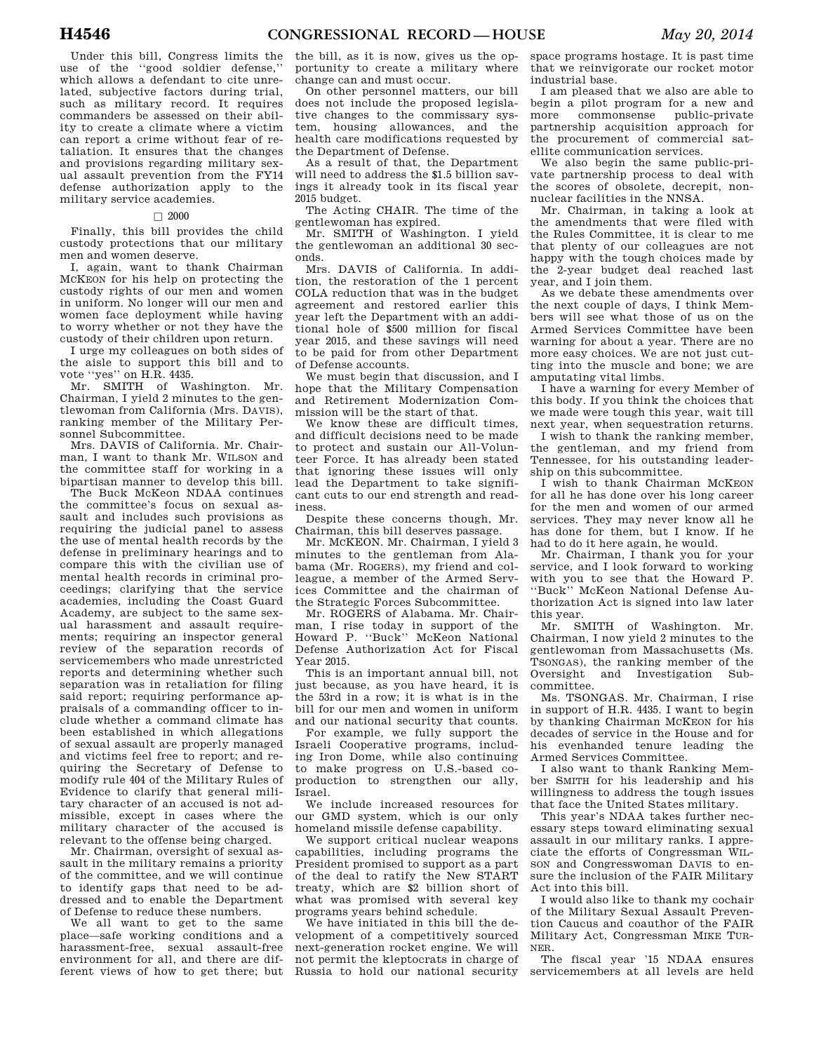Under this bill, Congress limits the use of the ''good soldier defense,'' which allows a defendant to cite unrelated, subjective factors during trial, such as military record. It requires commanders be assessed on their ability to create a climate where a victim can report a crime without fear of retaliation. It ensures that the changes and provisions regarding military sexual assault prevention from the FY14 defense authorization apply to the military service academies.

### $\square$  2000

Finally, this bill provides the child custody protections that our military men and women deserve.

I, again, want to thank Chairman MCKEON for his help on protecting the custody rights of our men and women in uniform. No longer will our men and women face deployment while having to worry whether or not they have the custody of their children upon return.

I urge my colleagues on both sides of the aisle to support this bill and to vote ''yes'' on H.R. 4435.

Mr. SMITH of Washington. Mr. Chairman, I yield 2 minutes to the gentlewoman from California (Mrs. DAVIS), ranking member of the Military Personnel Subcommittee.

Mrs. DAVIS of California. Mr. Chairman, I want to thank Mr. WILSON and the committee staff for working in a bipartisan manner to develop this bill.

The Buck McKeon NDAA continues the committee's focus on sexual assault and includes such provisions as requiring the judicial panel to assess the use of mental health records by the defense in preliminary hearings and to compare this with the civilian use of mental health records in criminal proceedings; clarifying that the service academies, including the Coast Guard Academy, are subject to the same sexual harassment and assault requirements; requiring an inspector general review of the separation records of servicemembers who made unrestricted reports and determining whether such separation was in retaliation for filing said report; requiring performance appraisals of a commanding officer to include whether a command climate has been established in which allegations of sexual assault are properly managed and victims feel free to report; and requiring the Secretary of Defense to modify rule 404 of the Military Rules of Evidence to clarify that general military character of an accused is not admissible, except in cases where the military character of the accused is relevant to the offense being charged.

Mr. Chairman, oversight of sexual assault in the military remains a priority of the committee, and we will continue to identify gaps that need to be addressed and to enable the Department of Defense to reduce these numbers.

We all want to get to the same place—safe working conditions and a harassment-free, sexual assault-free environment for all, and there are different views of how to get there; but

the bill, as it is now, gives us the opportunity to create a military where change can and must occur.

On other personnel matters, our bill does not include the proposed legislative changes to the commissary system, housing allowances, and the health care modifications requested by the Department of Defense.

As a result of that, the Department will need to address the \$1.5 billion savings it already took in its fiscal year 2015 budget.

The Acting CHAIR. The time of the gentlewoman has expired.

Mr. SMITH of Washington. I yield the gentlewoman an additional 30 seconds.

Mrs. DAVIS of California. In addition, the restoration of the 1 percent COLA reduction that was in the budget agreement and restored earlier this year left the Department with an additional hole of \$500 million for fiscal year 2015, and these savings will need to be paid for from other Department of Defense accounts.

We must begin that discussion, and I hope that the Military Compensation and Retirement Modernization Commission will be the start of that.

We know these are difficult times, and difficult decisions need to be made to protect and sustain our All-Volunteer Force. It has already been stated that ignoring these issues will only lead the Department to take significant cuts to our end strength and readiness.

Despite these concerns though, Mr. Chairman, this bill deserves passage.

Mr. MCKEON. Mr. Chairman, I yield 3 minutes to the gentleman from Alabama (Mr. ROGERS), my friend and colleague, a member of the Armed Services Committee and the chairman of the Strategic Forces Subcommittee.

Mr. ROGERS of Alabama. Mr. Chairman, I rise today in support of the Howard P. ''Buck'' McKeon National Defense Authorization Act for Fiscal Year 2015.

This is an important annual bill, not just because, as you have heard, it is the 53rd in a row; it is what is in the bill for our men and women in uniform and our national security that counts.

For example, we fully support the Israeli Cooperative programs, including Iron Dome, while also continuing to make progress on U.S.-based coproduction to strengthen our ally, Israel.

We include increased resources for our GMD system, which is our only homeland missile defense capability.

We support critical nuclear weapons capabilities, including programs the President promised to support as a part of the deal to ratify the New START treaty, which are \$2 billion short of what was promised with several key programs years behind schedule.

We have initiated in this bill the development of a competitively sourced next-generation rocket engine. We will not permit the kleptocrats in charge of Russia to hold our national security

space programs hostage. It is past time that we reinvigorate our rocket motor industrial base.

I am pleased that we also are able to begin a pilot program for a new and more commonsense public-private partnership acquisition approach for the procurement of commercial satellite communication services.

We also begin the same public-private partnership process to deal with the scores of obsolete, decrepit, nonnuclear facilities in the NNSA.

Mr. Chairman, in taking a look at the amendments that were filed with the Rules Committee, it is clear to me that plenty of our colleagues are not happy with the tough choices made by the 2-year budget deal reached last year, and I join them.

As we debate these amendments over the next couple of days, I think Members will see what those of us on the Armed Services Committee have been warning for about a year. There are no more easy choices. We are not just cutting into the muscle and bone; we are amputating vital limbs.

I have a warning for every Member of this body. If you think the choices that we made were tough this year, wait till next year, when sequestration returns.

I wish to thank the ranking member, the gentleman, and my friend from Tennessee, for his outstanding leadership on this subcommittee.

I wish to thank Chairman MCKEON for all he has done over his long career for the men and women of our armed services. They may never know all he has done for them, but I know. If he had to do it here again, he would.

Mr. Chairman, I thank you for your service, and I look forward to working with you to see that the Howard P. ''Buck'' McKeon National Defense Authorization Act is signed into law later this year.

Mr. SMITH of Washington. Mr. Chairman, I now yield 2 minutes to the gentlewoman from Massachusetts (Ms. TSONGAS), the ranking member of the<br>Oversight and Investigation Suband Investigation Subcommittee.

Ms. TSONGAS. Mr. Chairman, I rise in support of H.R. 4435. I want to begin by thanking Chairman MCKEON for his decades of service in the House and for his evenhanded tenure leading the Armed Services Committee.

I also want to thank Ranking Member SMITH for his leadership and his willingness to address the tough issues that face the United States military.

This year's NDAA takes further necessary steps toward eliminating sexual assault in our military ranks. I appreciate the efforts of Congressman WIL-SON and Congresswoman DAVIS to ensure the inclusion of the FAIR Military Act into this bill.

I would also like to thank my cochair of the Military Sexual Assault Prevention Caucus and coauthor of the FAIR Military Act, Congressman MIKE TUR-NER.

The fiscal year '15 NDAA ensures servicemembers at all levels are held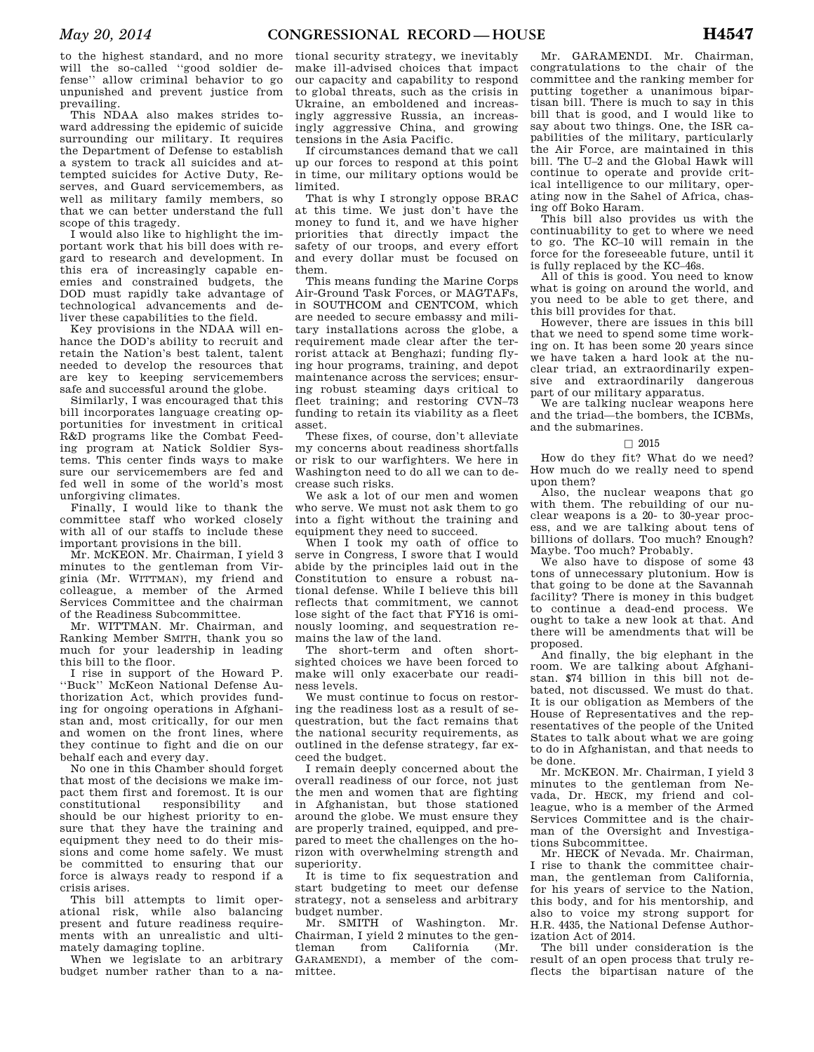to the highest standard, and no more will the so-called ''good soldier defense'' allow criminal behavior to go unpunished and prevent justice from prevailing.

This NDAA also makes strides toward addressing the epidemic of suicide surrounding our military. It requires the Department of Defense to establish a system to track all suicides and attempted suicides for Active Duty, Reserves, and Guard servicemembers, as well as military family members, so that we can better understand the full scope of this tragedy.

I would also like to highlight the important work that his bill does with regard to research and development. In this era of increasingly capable enemies and constrained budgets, the DOD must rapidly take advantage of technological advancements and deliver these capabilities to the field.

Key provisions in the NDAA will enhance the DOD's ability to recruit and retain the Nation's best talent, talent needed to develop the resources that are key to keeping servicemembers safe and successful around the globe.

Similarly, I was encouraged that this bill incorporates language creating opportunities for investment in critical R&D programs like the Combat Feeding program at Natick Soldier Systems. This center finds ways to make sure our servicemembers are fed and fed well in some of the world's most unforgiving climates.

Finally, I would like to thank the committee staff who worked closely with all of our staffs to include these important provisions in the bill.

Mr. MCKEON. Mr. Chairman, I yield 3 minutes to the gentleman from Virginia (Mr. WITTMAN), my friend and colleague, a member of the Armed Services Committee and the chairman of the Readiness Subcommittee.

Mr. WITTMAN. Mr. Chairman, and Ranking Member SMITH, thank you so much for your leadership in leading this bill to the floor.

I rise in support of the Howard P. ''Buck'' McKeon National Defense Authorization Act, which provides funding for ongoing operations in Afghanistan and, most critically, for our men and women on the front lines, where they continue to fight and die on our behalf each and every day.

No one in this Chamber should forget that most of the decisions we make impact them first and foremost. It is our constitutional responsibility and should be our highest priority to ensure that they have the training and equipment they need to do their missions and come home safely. We must be committed to ensuring that our force is always ready to respond if a crisis arises.

This bill attempts to limit operational risk, while also balancing present and future readiness requirements with an unrealistic and ultimately damaging topline.

When we legislate to an arbitrary budget number rather than to a na-

tional security strategy, we inevitably make ill-advised choices that impact our capacity and capability to respond to global threats, such as the crisis in Ukraine, an emboldened and increasingly aggressive Russia, an increasingly aggressive China, and growing tensions in the Asia Pacific.

If circumstances demand that we call up our forces to respond at this point in time, our military options would be limited.

That is why I strongly oppose BRAC at this time. We just don't have the money to fund it, and we have higher priorities that directly impact the safety of our troops, and every effort and every dollar must be focused on them.

This means funding the Marine Corps Air-Ground Task Forces, or MAGTAFs, in SOUTHCOM and CENTCOM, which are needed to secure embassy and military installations across the globe, a requirement made clear after the terrorist attack at Benghazi; funding flying hour programs, training, and depot maintenance across the services; ensuring robust steaming days critical to fleet training; and restoring CVN–73 funding to retain its viability as a fleet asset.

These fixes, of course, don't alleviate my concerns about readiness shortfalls or risk to our warfighters. We here in Washington need to do all we can to decrease such risks.

We ask a lot of our men and women who serve. We must not ask them to go into a fight without the training and equipment they need to succeed.

When I took my oath of office to serve in Congress, I swore that I would abide by the principles laid out in the Constitution to ensure a robust national defense. While I believe this bill reflects that commitment, we cannot lose sight of the fact that FY16 is ominously looming, and sequestration remains the law of the land.

The short-term and often shortsighted choices we have been forced to make will only exacerbate our readiness levels.

We must continue to focus on restoring the readiness lost as a result of sequestration, but the fact remains that the national security requirements, as outlined in the defense strategy, far exceed the budget.

I remain deeply concerned about the overall readiness of our force, not just the men and women that are fighting in Afghanistan, but those stationed around the globe. We must ensure they are properly trained, equipped, and prepared to meet the challenges on the horizon with overwhelming strength and superiority.

It is time to fix sequestration and start budgeting to meet our defense strategy, not a senseless and arbitrary budget number.

Mr. SMITH of Washington. Mr. Chairman, I yield 2 minutes to the gentleman from California (Mr. GARAMENDI), a member of the committee.

Mr. GARAMENDI. Mr. Chairman, congratulations to the chair of the committee and the ranking member for putting together a unanimous bipartisan bill. There is much to say in this bill that is good, and I would like to say about two things. One, the ISR capabilities of the military, particularly the Air Force, are maintained in this bill. The U–2 and the Global Hawk will continue to operate and provide critical intelligence to our military, operating now in the Sahel of Africa, chasing off Boko Haram.

This bill also provides us with the continuability to get to where we need to go. The KC–10 will remain in the force for the foreseeable future, until it is fully replaced by the KC–46s.

All of this is good. You need to know what is going on around the world, and you need to be able to get there, and this bill provides for that.

However, there are issues in this bill that we need to spend some time working on. It has been some 20 years since we have taken a hard look at the nuclear triad, an extraordinarily expensive and extraordinarily dangerous part of our military apparatus.

We are talking nuclear weapons here and the triad—the bombers, the ICBMs, and the submarines.

### $\Box$  2015

How do they fit? What do we need? How much do we really need to spend upon them?

Also, the nuclear weapons that go with them. The rebuilding of our nuclear weapons is a 20- to 30-year process, and we are talking about tens of billions of dollars. Too much? Enough? Maybe. Too much? Probably.

We also have to dispose of some 43 tons of unnecessary plutonium. How is that going to be done at the Savannah facility? There is money in this budget to continue a dead-end process. We ought to take a new look at that. And there will be amendments that will be proposed.

And finally, the big elephant in the room. We are talking about Afghanistan. \$74 billion in this bill not debated, not discussed. We must do that. It is our obligation as Members of the House of Representatives and the representatives of the people of the United States to talk about what we are going to do in Afghanistan, and that needs to be done.

Mr. MCKEON. Mr. Chairman, I yield 3 minutes to the gentleman from Nevada, Dr. HECK, my friend and colleague, who is a member of the Armed Services Committee and is the chairman of the Oversight and Investigations Subcommittee.

Mr. HECK of Nevada. Mr. Chairman, I rise to thank the committee chairman, the gentleman from California, for his years of service to the Nation, this body, and for his mentorship, and also to voice my strong support for H.R. 4435, the National Defense Authorization Act of 2014.

The bill under consideration is the result of an open process that truly reflects the bipartisan nature of the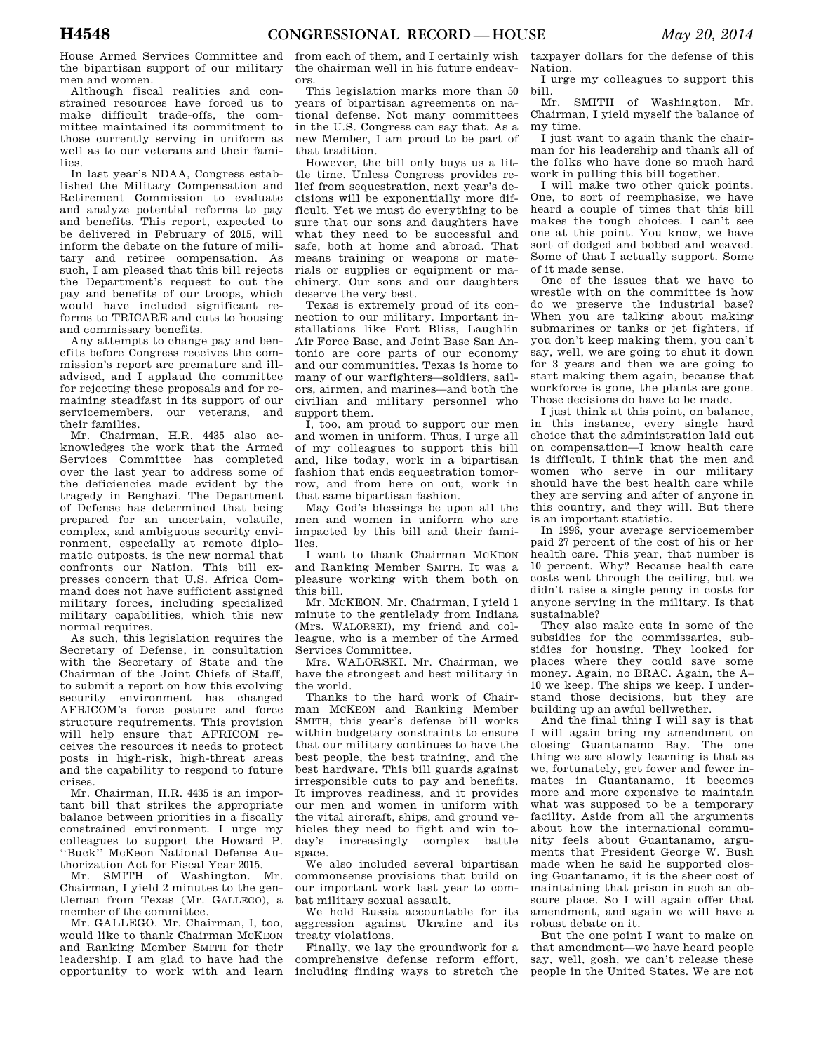House Armed Services Committee and the bipartisan support of our military men and women.

Although fiscal realities and constrained resources have forced us to make difficult trade-offs, the committee maintained its commitment to those currently serving in uniform as well as to our veterans and their families.

In last year's NDAA, Congress established the Military Compensation and Retirement Commission to evaluate and analyze potential reforms to pay and benefits. This report, expected to be delivered in February of 2015, will inform the debate on the future of military and retiree compensation. As such, I am pleased that this bill rejects the Department's request to cut the pay and benefits of our troops, which would have included significant reforms to TRICARE and cuts to housing and commissary benefits.

Any attempts to change pay and benefits before Congress receives the commission's report are premature and illadvised, and I applaud the committee for rejecting these proposals and for remaining steadfast in its support of our servicemembers, our veterans, and their families.

Mr. Chairman, H.R. 4435 also acknowledges the work that the Armed Services Committee has completed over the last year to address some of the deficiencies made evident by the tragedy in Benghazi. The Department of Defense has determined that being prepared for an uncertain, volatile, complex, and ambiguous security environment, especially at remote diplomatic outposts, is the new normal that confronts our Nation. This bill expresses concern that U.S. Africa Command does not have sufficient assigned military forces, including specialized military capabilities, which this new normal requires.

As such, this legislation requires the Secretary of Defense, in consultation with the Secretary of State and the Chairman of the Joint Chiefs of Staff, to submit a report on how this evolving security environment has changed AFRICOM's force posture and force structure requirements. This provision will help ensure that AFRICOM receives the resources it needs to protect posts in high-risk, high-threat areas and the capability to respond to future crises.

Mr. Chairman, H.R. 4435 is an important bill that strikes the appropriate balance between priorities in a fiscally constrained environment. I urge my colleagues to support the Howard P. ''Buck'' McKeon National Defense Authorization Act for Fiscal Year 2015.

Mr. SMITH of Washington. Mr. Chairman, I yield 2 minutes to the gentleman from Texas (Mr. GALLEGO), a member of the committee.

Mr. GALLEGO. Mr. Chairman, I, too, would like to thank Chairman MCKEON and Ranking Member SMITH for their leadership. I am glad to have had the opportunity to work with and learn

from each of them, and I certainly wish the chairman well in his future endeavors.

This legislation marks more than 50 years of bipartisan agreements on national defense. Not many committees in the U.S. Congress can say that. As a new Member, I am proud to be part of that tradition.

However, the bill only buys us a little time. Unless Congress provides relief from sequestration, next year's decisions will be exponentially more difficult. Yet we must do everything to be sure that our sons and daughters have what they need to be successful and safe, both at home and abroad. That means training or weapons or materials or supplies or equipment or machinery. Our sons and our daughters deserve the very best.

Texas is extremely proud of its connection to our military. Important installations like Fort Bliss, Laughlin Air Force Base, and Joint Base San Antonio are core parts of our economy and our communities. Texas is home to many of our warfighters—soldiers, sailors, airmen, and marines—and both the civilian and military personnel who support them.

I, too, am proud to support our men and women in uniform. Thus, I urge all of my colleagues to support this bill and, like today, work in a bipartisan fashion that ends sequestration tomorrow, and from here on out, work in that same bipartisan fashion.

May God's blessings be upon all the men and women in uniform who are impacted by this bill and their families.

I want to thank Chairman MCKEON and Ranking Member SMITH. It was a pleasure working with them both on this bill.

Mr. MCKEON. Mr. Chairman, I yield 1 minute to the gentlelady from Indiana (Mrs. WALORSKI), my friend and colleague, who is a member of the Armed Services Committee.

Mrs. WALORSKI. Mr. Chairman, we have the strongest and best military in the world.

Thanks to the hard work of Chairman MCKEON and Ranking Member SMITH, this year's defense bill works within budgetary constraints to ensure that our military continues to have the best people, the best training, and the best hardware. This bill guards against irresponsible cuts to pay and benefits. It improves readiness, and it provides our men and women in uniform with the vital aircraft, ships, and ground vehicles they need to fight and win today's increasingly complex battle space.

We also included several bipartisan commonsense provisions that build on our important work last year to combat military sexual assault.

We hold Russia accountable for its aggression against Ukraine and its treaty violations.

Finally, we lay the groundwork for a comprehensive defense reform effort, including finding ways to stretch the

taxpayer dollars for the defense of this Nation.

I urge my colleagues to support this bill.

Mr. SMITH of Washington. Mr. Chairman, I yield myself the balance of my time.

I just want to again thank the chairman for his leadership and thank all of the folks who have done so much hard work in pulling this bill together.

I will make two other quick points. One, to sort of reemphasize, we have heard a couple of times that this bill makes the tough choices. I can't see one at this point. You know, we have sort of dodged and bobbed and weaved. Some of that I actually support. Some of it made sense.

One of the issues that we have to wrestle with on the committee is how do we preserve the industrial base? When you are talking about making submarines or tanks or jet fighters, if you don't keep making them, you can't say, well, we are going to shut it down for 3 years and then we are going to start making them again, because that workforce is gone, the plants are gone. Those decisions do have to be made.

I just think at this point, on balance, in this instance, every single hard choice that the administration laid out on compensation—I know health care is difficult. I think that the men and women who serve in our military should have the best health care while they are serving and after of anyone in this country, and they will. But there is an important statistic.

In 1996, your average servicemember paid 27 percent of the cost of his or her health care. This year, that number is 10 percent. Why? Because health care costs went through the ceiling, but we didn't raise a single penny in costs for anyone serving in the military. Is that sustainable?

They also make cuts in some of the subsidies for the commissaries, subsidies for housing. They looked for places where they could save some money. Again, no BRAC. Again, the A– 10 we keep. The ships we keep. I understand those decisions, but they are building up an awful bellwether.

And the final thing I will say is that I will again bring my amendment on closing Guantanamo Bay. The one thing we are slowly learning is that as we, fortunately, get fewer and fewer inmates in Guantanamo, it becomes more and more expensive to maintain what was supposed to be a temporary facility. Aside from all the arguments about how the international community feels about Guantanamo, arguments that President George W. Bush made when he said he supported closing Guantanamo, it is the sheer cost of maintaining that prison in such an obscure place. So I will again offer that amendment, and again we will have a robust debate on it.

But the one point I want to make on that amendment—we have heard people say, well, gosh, we can't release these people in the United States. We are not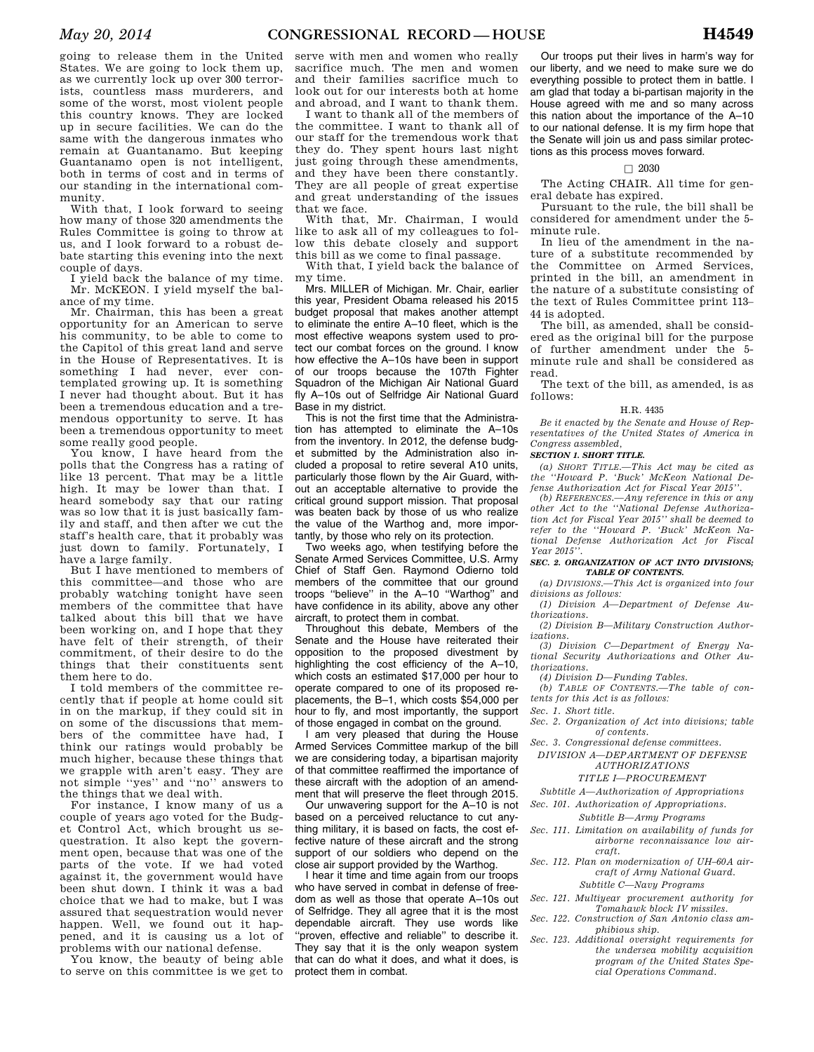going to release them in the United States. We are going to lock them up, as we currently lock up over 300 terrorists, countless mass murderers, and some of the worst, most violent people this country knows. They are locked up in secure facilities. We can do the same with the dangerous inmates who remain at Guantanamo. But keeping Guantanamo open is not intelligent, both in terms of cost and in terms of our standing in the international community.

With that, I look forward to seeing how many of those 320 amendments the Rules Committee is going to throw at us, and I look forward to a robust debate starting this evening into the next couple of days.

I yield back the balance of my time. Mr. MCKEON. I yield myself the balance of my time.

Mr. Chairman, this has been a great opportunity for an American to serve his community, to be able to come to the Capitol of this great land and serve in the House of Representatives. It is something I had never, ever contemplated growing up. It is something I never had thought about. But it has been a tremendous education and a tremendous opportunity to serve. It has been a tremendous opportunity to meet some really good people.

You know, I have heard from the polls that the Congress has a rating of like 13 percent. That may be a little high. It may be lower than that. I heard somebody say that our rating was so low that it is just basically family and staff, and then after we cut the staff's health care, that it probably was just down to family. Fortunately, I have a large family.

But I have mentioned to members of this committee—and those who are probably watching tonight have seen members of the committee that have talked about this bill that we have been working on, and I hope that they have felt of their strength, of their commitment, of their desire to do the things that their constituents sent them here to do.

I told members of the committee recently that if people at home could sit in on the markup, if they could sit in on some of the discussions that members of the committee have had, I think our ratings would probably be much higher, because these things that we grapple with aren't easy. They are not simple ''yes'' and ''no'' answers to the things that we deal with.

For instance, I know many of us a couple of years ago voted for the Budget Control Act, which brought us sequestration. It also kept the government open, because that was one of the parts of the vote. If we had voted against it, the government would have been shut down. I think it was a bad choice that we had to make, but I was assured that sequestration would never happen. Well, we found out it happened, and it is causing us a lot of problems with our national defense.

You know, the beauty of being able to serve on this committee is we get to

serve with men and women who really sacrifice much. The men and women and their families sacrifice much to look out for our interests both at home and abroad, and I want to thank them.

I want to thank all of the members of the committee. I want to thank all of our staff for the tremendous work that they do. They spent hours last night just going through these amendments, and they have been there constantly. They are all people of great expertise and great understanding of the issues that we face.

With that, Mr. Chairman, I would like to ask all of my colleagues to follow this debate closely and support this bill as we come to final passage.

With that, I yield back the balance of my time.

Mrs. MILLER of Michigan. Mr. Chair, earlier this year, President Obama released his 2015 budget proposal that makes another attempt to eliminate the entire A–10 fleet, which is the most effective weapons system used to protect our combat forces on the ground. I know how effective the A–10s have been in support of our troops because the 107th Fighter Squadron of the Michigan Air National Guard fly A–10s out of Selfridge Air National Guard Base in my district.

This is not the first time that the Administration has attempted to eliminate the A–10s from the inventory. In 2012, the defense budget submitted by the Administration also included a proposal to retire several A10 units, particularly those flown by the Air Guard, without an acceptable alternative to provide the critical ground support mission. That proposal was beaten back by those of us who realize the value of the Warthog and, more importantly, by those who rely on its protection.

Two weeks ago, when testifying before the Senate Armed Services Committee, U.S. Army Chief of Staff Gen. Raymond Odierno told members of the committee that our ground troops ''believe'' in the A–10 ''Warthog'' and have confidence in its ability, above any other aircraft, to protect them in combat.

Throughout this debate, Members of the Senate and the House have reiterated their opposition to the proposed divestment by highlighting the cost efficiency of the A–10, which costs an estimated \$17,000 per hour to operate compared to one of its proposed replacements, the B–1, which costs \$54,000 per hour to fly, and most importantly, the support of those engaged in combat on the ground.

I am very pleased that during the House Armed Services Committee markup of the bill we are considering today, a bipartisan majority of that committee reaffirmed the importance of these aircraft with the adoption of an amendment that will preserve the fleet through 2015.

Our unwavering support for the A–10 is not based on a perceived reluctance to cut anything military, it is based on facts, the cost effective nature of these aircraft and the strong support of our soldiers who depend on the close air support provided by the Warthog.

I hear it time and time again from our troops who have served in combat in defense of freedom as well as those that operate A–10s out of Selfridge. They all agree that it is the most dependable aircraft. They use words like "proven, effective and reliable" to describe it. They say that it is the only weapon system that can do what it does, and what it does, is protect them in combat.

Our troops put their lives in harm's way for our liberty, and we need to make sure we do everything possible to protect them in battle. I am glad that today a bi-partisan majority in the House agreed with me and so many across this nation about the importance of the A–10 to our national defense. It is my firm hope that the Senate will join us and pass similar protections as this process moves forward.

### $\Box$  2030

The Acting CHAIR. All time for general debate has expired.

Pursuant to the rule, the bill shall be considered for amendment under the 5 minute rule.

In lieu of the amendment in the nature of a substitute recommended by the Committee on Armed Services, printed in the bill, an amendment in the nature of a substitute consisting of the text of Rules Committee print 113– 44 is adopted.

The bill, as amended, shall be considered as the original bill for the purpose of further amendment under the 5 minute rule and shall be considered as read.

The text of the bill, as amended, is as follows:

#### H.R. 4435

*Be it enacted by the Senate and House of Representatives of the United States of America in Congress assembled,* 

#### *SECTION 1. SHORT TITLE.*

*(a) SHORT TITLE.—This Act may be cited as the ''Howard P. 'Buck' McKeon National Defense Authorization Act for Fiscal Year 2015''.* 

*(b) REFERENCES.—Any reference in this or any other Act to the ''National Defense Authorization Act for Fiscal Year 2015'' shall be deemed to refer to the ''Howard P. 'Buck' McKeon National Defense Authorization Act for Fiscal Year 2015''.* 

#### *SEC. 2. ORGANIZATION OF ACT INTO DIVISIONS; TABLE OF CONTENTS.*

*(a) DIVISIONS.—This Act is organized into four divisions as follows:* 

*(1) Division A—Department of Defense Authorizations.* 

*(2) Division B—Military Construction Authorizations.* 

*(3) Division C—Department of Energy National Security Authorizations and Other Authorizations.* 

*(4) Division D—Funding Tables.* 

*(b) TABLE OF CONTENTS.—The table of contents for this Act is as follows:* 

*Sec. 1. Short title.* 

- *Sec. 2. Organization of Act into divisions; table of contents.*
- *Sec. 3. Congressional defense committees.*
- *DIVISION A—DEPARTMENT OF DEFENSE AUTHORIZATIONS*

#### *TITLE I—PROCUREMENT*

*Subtitle A—Authorization of Appropriations* 

*Sec. 101. Authorization of Appropriations.* 

*Subtitle B—Army Programs* 

- *Sec. 111. Limitation on availability of funds for airborne reconnaissance low aircraft.*
- *Sec. 112. Plan on modernization of UH–60A aircraft of Army National Guard. Subtitle C—Navy Programs*
- *Sec. 121. Multiyear procurement authority for Tomahawk block IV missiles.*
- *Sec. 122. Construction of San Antonio class amphibious ship.*
- *Sec. 123. Additional oversight requirements for the undersea mobility acquisition program of the United States Special Operations Command.*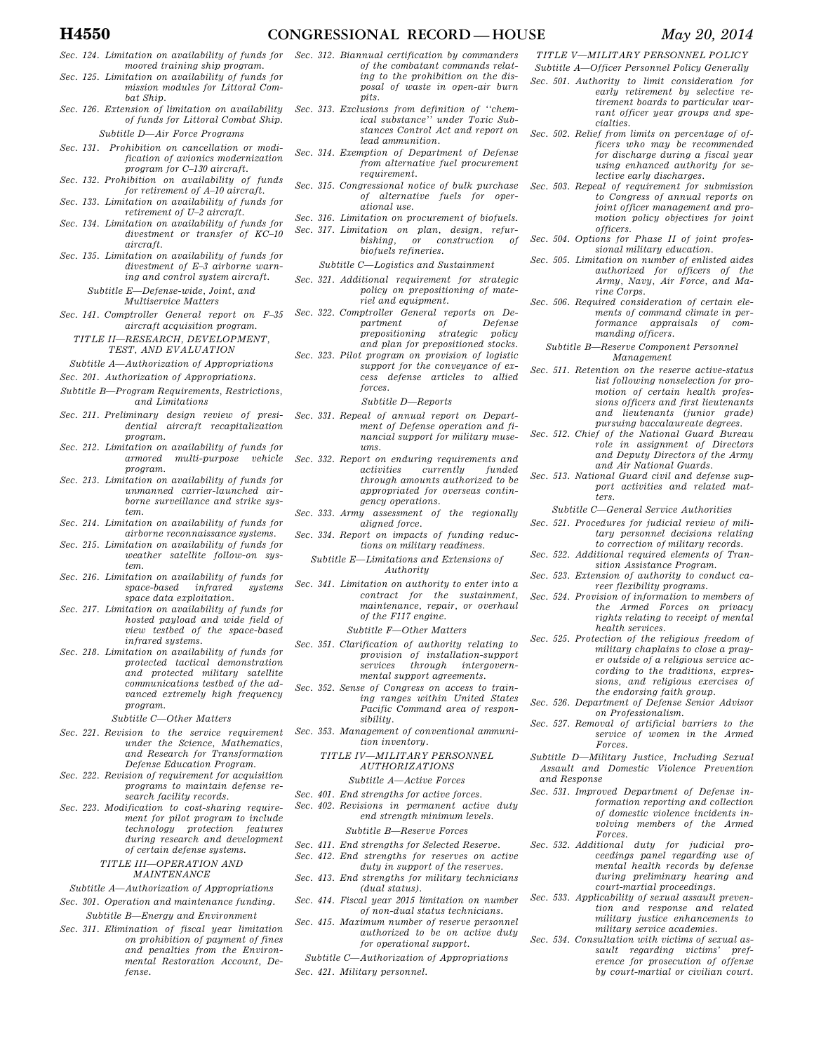- *Sec. 124. Limitation on availability of funds for moored training ship program.*
- *Sec. 125. Limitation on availability of funds for mission modules for Littoral Combat Ship.*
- *Sec. 126. Extension of limitation on availability of funds for Littoral Combat Ship. Subtitle D—Air Force Programs*

- *Sec. 131. Prohibition on cancellation or modification of avionics modernization program for C–130 aircraft.*
- *Sec. 132. Prohibition on availability of funds for retirement of A–10 aircraft.*
- *Sec. 133. Limitation on availability of funds for retirement of U–2 aircraft.*
- *Sec. 134. Limitation on availability of funds for divestment or transfer of KC–10 aircraft.*
- *Sec. 135. Limitation on availability of funds for divestment of E–3 airborne warning and control system aircraft.*

*Subtitle E—Defense-wide, Joint, and Multiservice Matters* 

*Sec. 141. Comptroller General report on F–35 aircraft acquisition program.* 

*TITLE II—RESEARCH, DEVELOPMENT, TEST, AND EVALUATION* 

- *Subtitle A—Authorization of Appropriations*
- *Sec. 201. Authorization of Appropriations.*
- *Subtitle B—Program Requirements, Restrictions, and Limitations*
- *Sec. 211. Preliminary design review of presidential aircraft recapitalization program.*
- *Sec. 212. Limitation on availability of funds for armored multi-purpose vehicle program.*
- *Sec. 213. Limitation on availability of funds for unmanned carrier-launched airborne surveillance and strike system.*
- *Sec. 214. Limitation on availability of funds for airborne reconnaissance systems.*
- *Sec. 215. Limitation on availability of funds for weather satellite follow-on system.*
- *Sec. 216. Limitation on availability of funds for space-based infrared systems space data exploitation.*
- *Sec. 217. Limitation on availability of funds for hosted payload and wide field of view testbed of the space-based infrared systems.*
- *Sec. 218. Limitation on availability of funds for protected tactical demonstration and protected military satellite communications testbed of the advanced extremely high frequency program.*

#### *Subtitle C—Other Matters*

- *Sec. 221. Revision to the service requirement under the Science, Mathematics, and Research for Transformation Defense Education Program.*
- *Sec. 222. Revision of requirement for acquisition programs to maintain defense research facility records.*
- *Sec. 223. Modification to cost-sharing requirement for pilot program to include technology protection features during research and development of certain defense systems. TITLE III—OPERATION AND*

*MAINTENANCE* 

- *Subtitle A—Authorization of Appropriations Sec. 301. Operation and maintenance funding.*
- *Subtitle B—Energy and Environment*
- *Sec. 311. Elimination of fiscal year limitation on prohibition of payment of fines and penalties from the Environmental Restoration Account, Defense.*
- *Sec. 312. Biannual certification by commanders of the combatant commands relating to the prohibition on the disposal of waste in open-air burn pits.*
- *Sec. 313. Exclusions from definition of ''chemical substance'' under Toxic Substances Control Act and report on lead ammunition.*
- *Sec. 314. Exemption of Department of Defense from alternative fuel procurement requirement.*
- *Sec. 315. Congressional notice of bulk purchase of alternative fuels for operational use.*
- *Sec. 316. Limitation on procurement of biofuels.*
- *Sec. 317. Limitation on plan, design, refurbishing, or construction of biofuels refineries.*

*Subtitle C—Logistics and Sustainment* 

- *Sec. 321. Additional requirement for strategic policy on prepositioning of materiel and equipment.*
- *Sec. 322. Comptroller General reports on Department of Defense*   $prepositioning$  strategic *and plan for prepositioned stocks.*
- *Sec. 323. Pilot program on provision of logistic support for the conveyance of excess defense articles to allied forces.*

*Subtitle D—Reports* 

- *Sec. 331. Repeal of annual report on Department of Defense operation and financial support for military museums.*
- *Sec. 332. Report on enduring requirements and activities currently funded through amounts authorized to be appropriated for overseas contingency operations.*
- *Sec. 333. Army assessment of the regionally aligned force.*
- *Sec. 334. Report on impacts of funding reductions on military readiness.* 
	- *Subtitle E—Limitations and Extensions of Authority*
- *Sec. 341. Limitation on authority to enter into a contract for the sustainment, maintenance, repair, or overhaul of the F117 engine.* 
	- *Subtitle F—Other Matters*
- *Sec. 351. Clarification of authority relating to provision of installation-support services through intergovernmental support agreements.*
- *Sec. 352. Sense of Congress on access to training ranges within United States Pacific Command area of responsibility.*
- *Sec. 353. Management of conventional ammunition inventory.* 
	- *TITLE IV—MILITARY PERSONNEL AUTHORIZATIONS*

*Subtitle A—Active Forces* 

- *Sec. 401. End strengths for active forces.*
- *Sec. 402. Revisions in permanent active duty end strength minimum levels. Subtitle B—Reserve Forces*
- *Sec. 411. End strengths for Selected Reserve.*
- *Sec. 412. End strengths for reserves on active duty in support of the reserves.*
- *Sec. 413. End strengths for military technicians (dual status).*
- *Sec. 414. Fiscal year 2015 limitation on number of non-dual status technicians.*
- *Sec. 415. Maximum number of reserve personnel authorized to be on active duty for operational support.*
- *Subtitle C—Authorization of Appropriations*

*Sec. 421. Military personnel.* 

*Subtitle A—Officer Personnel Policy Generally Sec. 501. Authority to limit consideration for early retirement by selective retirement boards to particular warrant officer year groups and spe-*

*TITLE V—MILITARY PERSONNEL POLICY* 

*cialties. Sec. 502. Relief from limits on percentage of officers who may be recommended for discharge during a fiscal year using enhanced authority for selective early discharges.* 

- *Sec. 503. Repeal of requirement for submission to Congress of annual reports on joint officer management and promotion policy objectives for joint officers.*
- *Sec. 504. Options for Phase II of joint professional military education.*
- *Sec. 505. Limitation on number of enlisted aides authorized for officers of the Army, Navy, Air Force, and Marine Corps.*
- *Sec. 506. Required consideration of certain elements of command climate in performance appraisals of commanding officers.* 
	- *Subtitle B—Reserve Component Personnel Management*
- *Sec. 511. Retention on the reserve active-status list following nonselection for promotion of certain health professions officers and first lieutenants and lieutenants (junior grade) pursuing baccalaureate degrees.*
- *Sec. 512. Chief of the National Guard Bureau role in assignment of Directors and Deputy Directors of the Army and Air National Guards.*
- *Sec. 513. National Guard civil and defense support activities and related matters.* 
	- *Subtitle C—General Service Authorities*
- *Sec. 521. Procedures for judicial review of military personnel decisions relating to correction of military records.*
- *Sec. 522. Additional required elements of Transition Assistance Program.*
- *Sec. 523. Extension of authority to conduct career flexibility programs.*
- *Sec. 524. Provision of information to members of the Armed Forces on privacy rights relating to receipt of mental health services.*
- *Sec. 525. Protection of the religious freedom of military chaplains to close a prayer outside of a religious service according to the traditions, expressions, and religious exercises of the endorsing faith group.*
- *Sec. 526. Department of Defense Senior Advisor on Professionalism.*
- *Sec. 527. Removal of artificial barriers to the service of women in the Armed Forces.*
- *Subtitle D—Military Justice, Including Sexual Assault and Domestic Violence Prevention and Response*
- *Sec. 531. Improved Department of Defense information reporting and collection of domestic violence incidents involving members of the Armed Forces.*
- *Sec. 532. Additional duty for judicial proceedings panel regarding use of mental health records by defense during preliminary hearing and court-martial proceedings.*
- *Sec. 533. Applicability of sexual assault prevention and response and related military justice enhancements to military service academies.*
- *Sec. 534. Consultation with victims of sexual assault regarding victims' preference for prosecution of offense by court-martial or civilian court.*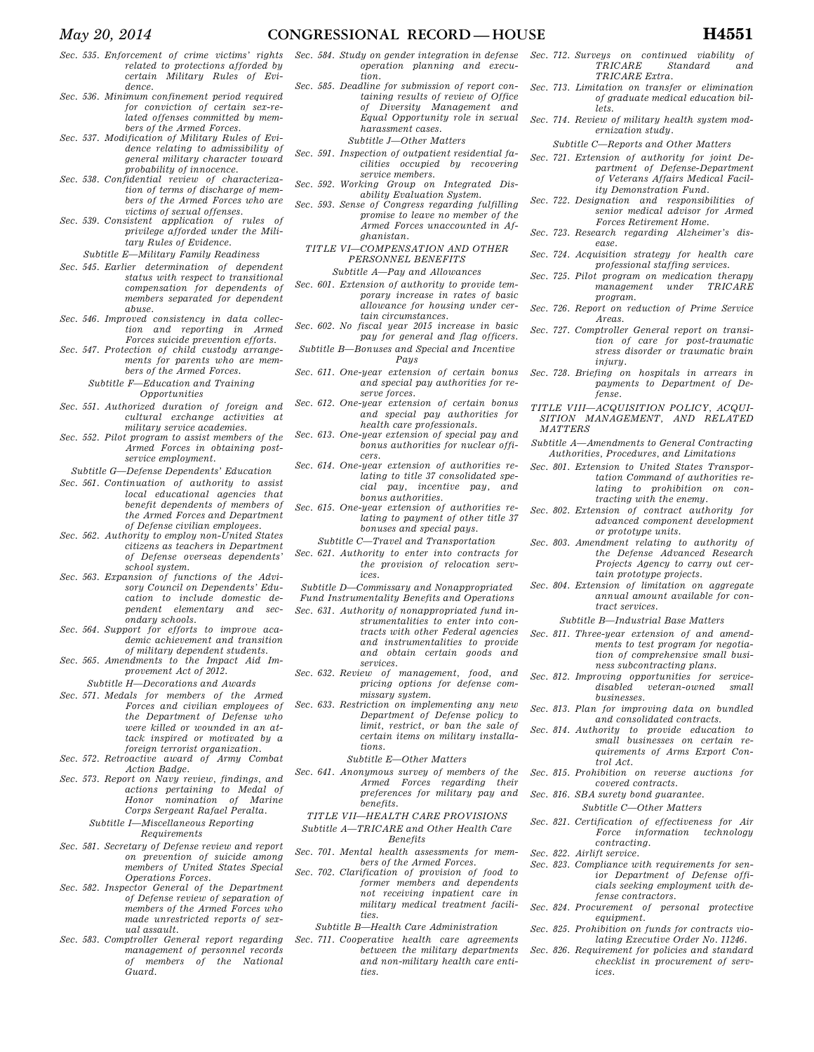- *Sec. 535. Enforcement of crime victims' rights related to protections afforded by certain Military Rules of Evidence.*
- *Sec. 536. Minimum confinement period required for conviction of certain sex-related offenses committed by mem-*
- *bers of the Armed Forces. Sec. 537. Modification of Military Rules of Evidence relating to admissibility of general military character toward probability of innocence.*
- *Sec. 538. Confidential review of characterization of terms of discharge of members of the Armed Forces who are victims of sexual offenses.*
- *Sec. 539. Consistent application of rules of privilege afforded under the Military Rules of Evidence.* 
	- *Subtitle E—Military Family Readiness*
- *Sec. 545. Earlier determination of dependent status with respect to transitional compensation for dependents of members separated for dependent abuse.*
- *Sec. 546. Improved consistency in data collection and reporting in Armed Forces suicide prevention efforts.*
- *Sec. 547. Protection of child custody arrangements for parents who are members of the Armed Forces.*

*Subtitle F—Education and Training* 

- *Opportunities Sec. 551. Authorized duration of foreign and*
- *cultural exchange activities at military service academies.*
- *Sec. 552. Pilot program to assist members of the Armed Forces in obtaining postservice employment.*

*Subtitle G—Defense Dependents' Education* 

- *Sec. 561. Continuation of authority to assist local educational agencies that benefit dependents of members of the Armed Forces and Department of Defense civilian employees.*
- *Sec. 562. Authority to employ non-United States citizens as teachers in Department of Defense overseas dependents' school system.*
- *Sec. 563. Expansion of functions of the Advisory Council on Dependents' Education to include domestic dependent elementary and secondary schools.*
- *Sec. 564. Support for efforts to improve academic achievement and transition of military dependent students.*
- *Sec. 565. Amendments to the Impact Aid Improvement Act of 2012.*

*Subtitle H—Decorations and Awards* 

- *Sec. 571. Medals for members of the Armed Forces and civilian employees of the Department of Defense who were killed or wounded in an attack inspired or motivated by a foreign terrorist organization.*
- *Sec. 572. Retroactive award of Army Combat Action Badge.*
- *Sec. 573. Report on Navy review, findings, and actions pertaining to Medal of Honor nomination of Marine Corps Sergeant Rafael Peralta.*

### *Subtitle I—Miscellaneous Reporting Requirements*

- *Sec. 581. Secretary of Defense review and report on prevention of suicide among members of United States Special Operations Forces.*
- *Sec. 582. Inspector General of the Department of Defense review of separation of members of the Armed Forces who made unrestricted reports of sexual assault.*
- *Sec. 583. Comptroller General report regarding management of personnel records of members of the National Guard.*
- *Sec. 584. Study on gender integration in defense operation planning and execution.*
- *Sec. 585. Deadline for submission of report containing results of review of Office of Diversity Management and Equal Opportunity role in sexual harassment cases.* 
	- *Subtitle J—Other Matters*
- *Sec. 591. Inspection of outpatient residential facilities occupied by recovering service members.*
- *Sec. 592. Working Group on Integrated Disability Evaluation System.*
- *Sec. 593. Sense of Congress regarding fulfilling promise to leave no member of the Armed Forces unaccounted in Afghanistan.* 
	- *TITLE VI—COMPENSATION AND OTHER PERSONNEL BENEFITS* 
		- *Subtitle A—Pay and Allowances*
- *Sec. 601. Extension of authority to provide temporary increase in rates of basic allowance for housing under certain circumstances.*
- *Sec. 602. No fiscal year 2015 increase in basic pay for general and flag officers.*
- *Subtitle B—Bonuses and Special and Incentive Pays*
- *Sec. 611. One-year extension of certain bonus and special pay authorities for reserve forces.*
- *Sec. 612. One-year extension of certain bonus and special pay authorities for health care professionals.*
- *Sec. 613. One-year extension of special pay and bonus authorities for nuclear officers.*
- *Sec. 614. One-year extension of authorities relating to title 37 consolidated special pay, incentive pay, and bonus authorities.*
- *Sec. 615. One-year extension of authorities relating to payment of other title 37 bonuses and special pays.* 
	- *Subtitle C—Travel and Transportation*
- *Sec. 621. Authority to enter into contracts for the provision of relocation services.*
- *Subtitle D—Commissary and Nonappropriated*
- *Fund Instrumentality Benefits and Operations Sec. 631. Authority of nonappropriated fund in*
	- *strumentalities to enter into contracts with other Federal agencies and instrumentalities to provide and obtain certain goods and services.*
- *Sec. 632. Review of management, food, and pricing options for defense commissary system.*
- *Sec. 633. Restriction on implementing any new Department of Defense policy to limit, restrict, or ban the sale of certain items on military installations.* 
	- *Subtitle E—Other Matters*
- *Sec. 641. Anonymous survey of members of the Armed Forces regarding their preferences for military pay and benefits.*

*TITLE VII—HEALTH CARE PROVISIONS Subtitle A—TRICARE and Other Health Care Benefits* 

- *Sec. 701. Mental health assessments for members of the Armed Forces.*
- *Sec. 702. Clarification of provision of food to former members and dependents not receiving inpatient care in military medical treatment facilities.*

*Subtitle B—Health Care Administration* 

*Sec. 711. Cooperative health care agreements between the military departments and non-military health care entities.* 

- *Sec. 712. Surveys on continued viability of TRICARE Standard and TRICARE Extra.*
- *Sec. 713. Limitation on transfer or elimination of graduate medical education billets.*
- *Sec. 714. Review of military health system modernization study.* 
	- *Subtitle C—Reports and Other Matters*
- *Sec. 721. Extension of authority for joint Department of Defense-Department of Veterans Affairs Medical Facility Demonstration Fund.*
- *Sec. 722. Designation and responsibilities of senior medical advisor for Armed Forces Retirement Home.*
- *Sec. 723. Research regarding Alzheimer's disease.*
- *Sec. 724. Acquisition strategy for health care professional staffing services.*
- *Sec. 725. Pilot program on medication therapy*   $management$ *program.*
- *Sec. 726. Report on reduction of Prime Service Areas.*
- *Sec. 727. Comptroller General report on transition of care for post-traumatic stress disorder or traumatic brain injury.*
- *Sec. 728. Briefing on hospitals in arrears in payments to Department of Defense.*
- *TITLE VIII—ACQUISITION POLICY, ACQUI-SITION MANAGEMENT, AND RELATED MATTERS*
- *Subtitle A—Amendments to General Contracting Authorities, Procedures, and Limitations*
- *Sec. 801. Extension to United States Transportation Command of authorities relating to prohibition on contracting with the enemy.*
- *Sec. 802. Extension of contract authority for advanced component development or prototype units.*
- *Sec. 803. Amendment relating to authority of the Defense Advanced Research Projects Agency to carry out certain prototype projects.*
- *Sec. 804. Extension of limitation on aggregate annual amount available for contract services.* 
	- *Subtitle B—Industrial Base Matters*
- *Sec. 811. Three-year extension of and amendments to test program for negotiation of comprehensive small business subcontracting plans.*
- *Sec. 812. Improving opportunities for service* $disabeled$  veteran-owned *businesses.*
- *Sec. 813. Plan for improving data on bundled and consolidated contracts.*
- *Sec. 814. Authority to provide education to small businesses on certain requirements of Arms Export Control Act.*
- *Sec. 815. Prohibition on reverse auctions for covered contracts.*
- *Sec. 816. SBA surety bond guarantee.* 
	- *Subtitle C—Other Matters*
- *Sec. 821. Certification of effectiveness for Air Force information technology contracting.*
- *Sec. 822. Airlift service.*
- *Sec. 823. Compliance with requirements for senior Department of Defense officials seeking employment with defense contractors.*
- *Sec. 824. Procurement of personal protective equipment.*
- *Sec. 825. Prohibition on funds for contracts violating Executive Order No. 11246.*
- *Sec. 826. Requirement for policies and standard checklist in procurement of services.*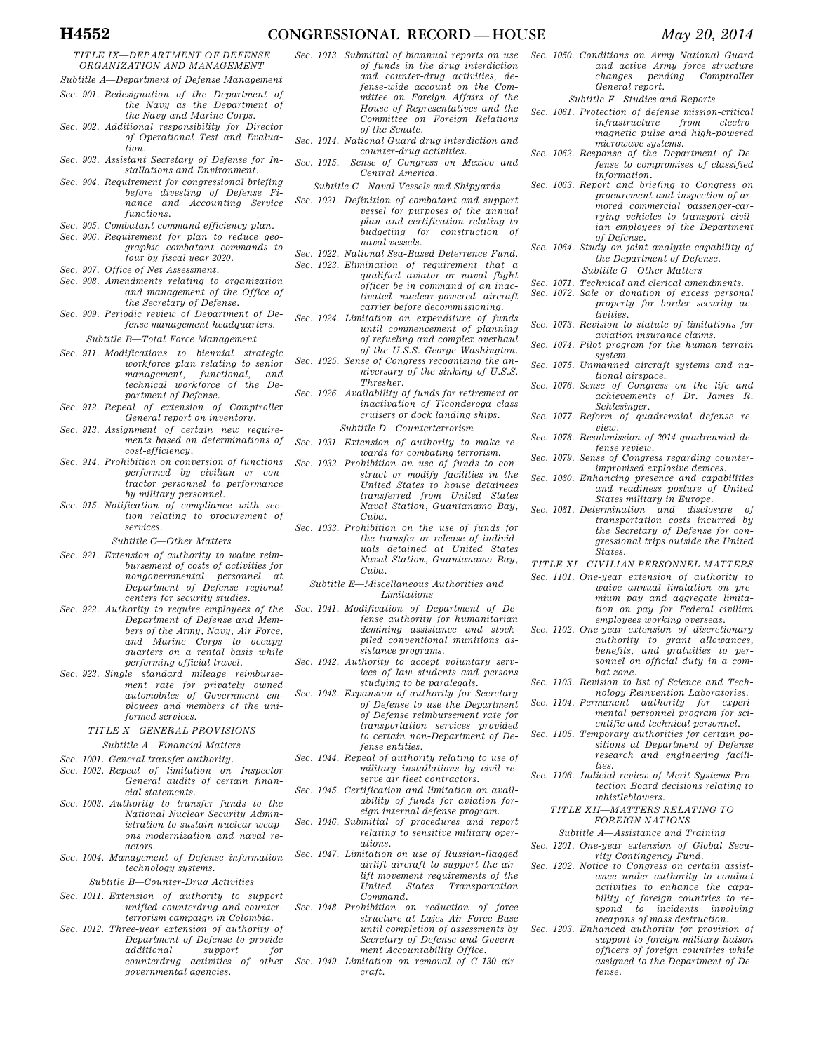#### *TITLE IX—DEPARTMENT OF DEFENSE ORGANIZATION AND MANAGEMENT*

- *Subtitle A—Department of Defense Management Sec. 901. Redesignation of the Department of*
- *the Navy as the Department of the Navy and Marine Corps. Sec. 902. Additional responsibility for Director*
- *of Operational Test and Evaluation.*
- *Sec. 903. Assistant Secretary of Defense for Installations and Environment.*
- *Sec. 904. Requirement for congressional briefing before divesting of Defense Finance and Accounting Service functions.*
- *Sec. 905. Combatant command efficiency plan.*
- *Sec. 906. Requirement for plan to reduce geographic combatant commands to four by fiscal year 2020.*
- *Sec. 907. Office of Net Assessment.*
- *Sec. 908. Amendments relating to organization and management of the Office of the Secretary of Defense.*
- *Sec. 909. Periodic review of Department of Defense management headquarters.*

#### *Subtitle B—Total Force Management*

- *Sec. 911. Modifications to biennial strategic workforce plan relating to senior management, functional, and technical workforce of the Department of Defense.*
- *Sec. 912. Repeal of extension of Comptroller General report on inventory.*
- Sec. 913. Assignment of certain new require*ments based on determinations of cost-efficiency.*
- *Sec. 914. Prohibition on conversion of functions performed by civilian or contractor personnel to performance by military personnel.*
- *Sec. 915. Notification of compliance with section relating to procurement of services.*

#### *Subtitle C—Other Matters*

- *Sec. 921. Extension of authority to waive reimbursement of costs of activities for nongovernmental personnel at Department of Defense regional centers for security studies.*
- *Sec. 922. Authority to require employees of the Department of Defense and Members of the Army, Navy, Air Force, and Marine Corps to occupy quarters on a rental basis while performing official travel.*
- *Sec. 923. Single standard mileage reimbursement rate for privately owned automobiles of Government employees and members of the uniformed services.*

## *TITLE X—GENERAL PROVISIONS*

- *Subtitle A—Financial Matters*
- *Sec. 1001. General transfer authority.*
- *Sec. 1002. Repeal of limitation on Inspector General audits of certain financial statements.*
- *Sec. 1003. Authority to transfer funds to the National Nuclear Security Administration to sustain nuclear weapons modernization and naval reactors.*
- *Sec. 1004. Management of Defense information technology systems.*

#### *Subtitle B—Counter-Drug Activities*

- *Sec. 1011. Extension of authority to support unified counterdrug and counterterrorism campaign in Colombia.*
- *Sec. 1012. Three-year extension of authority of Department of Defense to provide additional support for counterdrug activities of other governmental agencies.*
- *Sec. 1013. Submittal of biannual reports on use of funds in the drug interdiction and counter-drug activities, defense-wide account on the Committee on Foreign Affairs of the House of Representatives and the Committee on Foreign Relations of the Senate.*
- *Sec. 1014. National Guard drug interdiction and counter-drug activities.*
- *Sec. 1015. Sense of Congress on Mexico and Central America.* 
	- *Subtitle C—Naval Vessels and Shipyards*
- *Sec. 1021. Definition of combatant and support vessel for purposes of the annual plan and certification relating to budgeting for construction of naval vessels.*
- *Sec. 1022. National Sea-Based Deterrence Fund.*
- *Sec. 1023. Elimination of requirement that a qualified aviator or naval flight officer be in command of an inactivated nuclear-powered aircraft carrier before decommissioning.*
- *Sec. 1024. Limitation on expenditure of funds until commencement of planning of refueling and complex overhaul of the U.S.S. George Washington.*
- *Sec. 1025. Sense of Congress recognizing the anniversary of the sinking of U.S.S. Thresher.*
- *Sec. 1026. Availability of funds for retirement or inactivation of Ticonderoga class cruisers or dock landing ships. Subtitle D—Counterterrorism*
- *Sec. 1031. Extension of authority to make rewards for combating terrorism.*
- *Sec. 1032. Prohibition on use of funds to construct or modify facilities in the United States to house detainees transferred from United States Naval Station, Guantanamo Bay, Cuba.*
- *Sec. 1033. Prohibition on the use of funds for the transfer or release of individuals detained at United States Naval Station, Guantanamo Bay, Cuba.* 
	- *Subtitle E—Miscellaneous Authorities and Limitations*
- *Sec. 1041. Modification of Department of Defense authority for humanitarian demining assistance and stockpiled conventional munitions assistance programs.*
- *Sec. 1042. Authority to accept voluntary services of law students and persons studying to be paralegals.*
- *Sec. 1043. Expansion of authority for Secretary of Defense to use the Department of Defense reimbursement rate for transportation services provided to certain non-Department of Defense entities.*
- *Sec. 1044. Repeal of authority relating to use of military installations by civil reserve air fleet contractors.*
- *Sec. 1045. Certification and limitation on availability of funds for aviation foreign internal defense program.*
- *Sec. 1046. Submittal of procedures and report relating to sensitive military operations.*
- *Sec. 1047. Limitation on use of Russian-flagged airlift aircraft to support the airlift movement requirements of the United States Transportation Command.*
- *Sec. 1048. Prohibition on reduction of force structure at Lajes Air Force Base until completion of assessments by Secretary of Defense and Government Accountability Office.*
- *Sec. 1049. Limitation on removal of C–130 aircraft.*

*Sec. 1050. Conditions on Army National Guard and active Army force structure changes pending Comptroller General report.* 

*Subtitle F—Studies and Reports* 

- *Sec. 1061. Protection of defense mission-critical*   $in$ *frastructure from magnetic pulse and high-powered microwave systems.*
- *Sec. 1062. Response of the Department of Defense to compromises of classified information.*
- *Sec. 1063. Report and briefing to Congress on procurement and inspection of armored commercial passenger-carrying vehicles to transport civilian employees of the Department of Defense.*
- *Sec. 1064. Study on joint analytic capability of the Department of Defense. Subtitle G—Other Matters* 
	-
- *Sec. 1071. Technical and clerical amendments. Sec. 1072. Sale or donation of excess personal* 
	- *property for border security activities.*
- *Sec. 1073. Revision to statute of limitations for aviation insurance claims.*
- *Sec. 1074. Pilot program for the human terrain system.*
- *Sec. 1075. Unmanned aircraft systems and national airspace.*
- *Sec. 1076. Sense of Congress on the life and achievements of Dr. James R. Schlesinger.*
- *Sec. 1077. Reform of quadrennial defense review.*
- *Sec. 1078. Resubmission of 2014 quadrennial defense review.*
- *Sec. 1079. Sense of Congress regarding counterimprovised explosive devices.*
- *Sec. 1080. Enhancing presence and capabilities and readiness posture of United States military in Europe.*
- *Sec. 1081. Determination and disclosure of transportation costs incurred by the Secretary of Defense for congressional trips outside the United States.*
- *TITLE XI—CIVILIAN PERSONNEL MATTERS*
- *Sec. 1101. One-year extension of authority to waive annual limitation on premium pay and aggregate limitation on pay for Federal civilian employees working overseas.*
- *Sec. 1102. One-year extension of discretionary authority to grant allowances, benefits, and gratuities to personnel on official duty in a combat zone.*
- *Sec. 1103. Revision to list of Science and Technology Reinvention Laboratories.*
- *Sec. 1104. Permanent authority for experimental personnel program for scientific and technical personnel.*
- *Sec. 1105. Temporary authorities for certain positions at Department of Defense research and engineering facilities.*
- *Sec. 1106. Judicial review of Merit Systems Protection Board decisions relating to whistleblowers.* 
	- *TITLE XII—MATTERS RELATING TO FOREIGN NATIONS*
	- *Subtitle A—Assistance and Training*
- *Sec. 1201. One-year extension of Global Security Contingency Fund.*
- *Sec. 1202. Notice to Congress on certain assistance under authority to conduct activities to enhance the capability of foreign countries to respond to incidents involving weapons of mass destruction.*
- *Sec. 1203. Enhanced authority for provision of support to foreign military liaison officers of foreign countries while assigned to the Department of Defense.*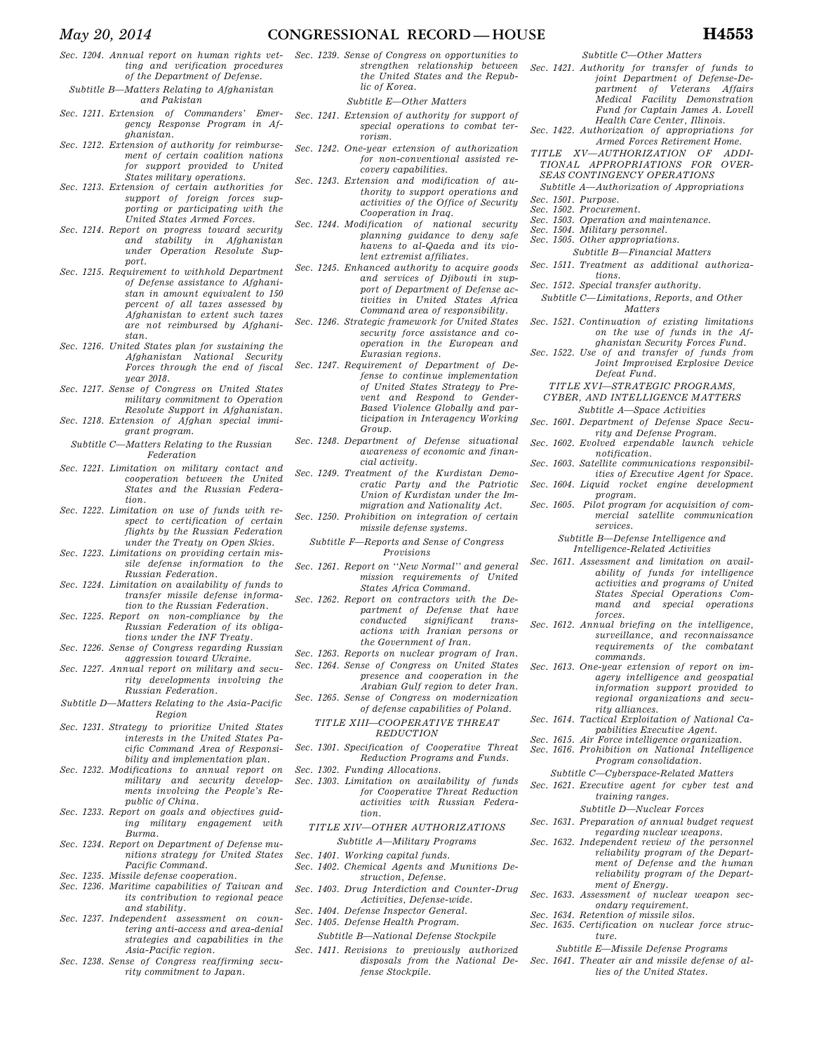- *Sec. 1204. Annual report on human rights vetting and verification procedures of the Department of Defense.*
- *Subtitle B—Matters Relating to Afghanistan and Pakistan*
- *Sec. 1211. Extension of Commanders' Emergency Response Program in Afghanistan.*
- *Sec. 1212. Extension of authority for reimbursement of certain coalition nations for support provided to United States military operations.*
- *Sec. 1213. Extension of certain authorities for support of foreign forces supporting or participating with the United States Armed Forces.*
- *Sec. 1214. Report on progress toward security and stability in Afghanistan under Operation Resolute Support.*
- *Sec. 1215. Requirement to withhold Department of Defense assistance to Afghanistan in amount equivalent to 150 percent of all taxes assessed by Afghanistan to extent such taxes are not reimbursed by Afghanistan.*
- *Sec. 1216. United States plan for sustaining the Afghanistan National Security Forces through the end of fiscal year 2018.*
- *Sec. 1217. Sense of Congress on United States military commitment to Operation Resolute Support in Afghanistan.*
- *Sec. 1218. Extension of Afghan special immigrant program.*
- *Subtitle C—Matters Relating to the Russian Federation*
- *Sec. 1221. Limitation on military contact and cooperation between the United States and the Russian Federation.*
- *Sec. 1222. Limitation on use of funds with respect to certification of certain flights by the Russian Federation under the Treaty on Open Skies.*
- *Sec. 1223. Limitations on providing certain missile defense information to the Russian Federation.*
- *Sec. 1224. Limitation on availability of funds to transfer missile defense informa-*
- *tion to the Russian Federation. Sec. 1225. Report on non-compliance by the*
- *Russian Federation of its obligations under the INF Treaty. Sec. 1226. Sense of Congress regarding Russian*
- *aggression toward Ukraine. Sec. 1227. Annual report on military and secu-*
- *rity developments involving the Russian Federation.*
- *Subtitle D—Matters Relating to the Asia-Pacific Region*
- *Sec. 1231. Strategy to prioritize United States interests in the United States Pacific Command Area of Responsibility and implementation plan.*
- *Sec. 1232. Modifications to annual report on military and security developments involving the People's Republic of China.*
- *Sec. 1233. Report on goals and objectives guiding military engagement with Burma.*
- *Sec. 1234. Report on Department of Defense munitions strategy for United States Pacific Command.*
- *Sec. 1235. Missile defense cooperation.*
- *Sec. 1236. Maritime capabilities of Taiwan and its contribution to regional peace and stability.*
- *Sec. 1237. Independent assessment on countering anti-access and area-denial strategies and capabilities in the Asia-Pacific region.*
- *Sec. 1238. Sense of Congress reaffirming security commitment to Japan.*
- *Sec. 1239. Sense of Congress on opportunities to strengthen relationship between the United States and the Republic of Korea.* 
	- *Subtitle E—Other Matters*
- *Sec. 1241. Extension of authority for support of special operations to combat terrorism.*
- *Sec. 1242. One-year extension of authorization for non-conventional assisted recovery capabilities.*
- *Sec. 1243. Extension and modification of authority to support operations and activities of the Office of Security Cooperation in Iraq.*
- *Sec. 1244. Modification of national security planning guidance to deny safe havens to al-Qaeda and its violent extremist affiliates.*
- *Sec. 1245. Enhanced authority to acquire goods and services of Djibouti in support of Department of Defense activities in United States Africa Command area of responsibility.*
- *Sec. 1246. Strategic framework for United States security force assistance and cooperation in the European and Eurasian regions.*
- *Sec. 1247. Requirement of Department of Defense to continue implementation of United States Strategy to Prevent and Respond to Gender-Based Violence Globally and participation in Interagency Working Group.*
- *Sec. 1248. Department of Defense situational awareness of economic and financial activity.*
- *Sec. 1249. Treatment of the Kurdistan Democratic Party and the Patriotic Union of Kurdistan under the Immigration and Nationality Act.*
- *Sec. 1250. Prohibition on integration of certain missile defense systems.* 
	- *Subtitle F—Reports and Sense of Congress Provisions*
- *Sec. 1261. Report on ''New Normal'' and general mission requirements of United States Africa Command.*
- *Sec. 1262. Report on contractors with the Department of Defense that have conducted significant transactions with Iranian persons or the Government of Iran.*
- *Sec. 1263. Reports on nuclear program of Iran. Sec. 1264. Sense of Congress on United States presence and cooperation in the* 
	- *Arabian Gulf region to deter Iran.*
- *Sec. 1265. Sense of Congress on modernization of defense capabilities of Poland.* 
	- *TITLE XIII—COOPERATIVE THREAT REDUCTION*
- *Sec. 1301. Specification of Cooperative Threat Reduction Programs and Funds.*
- *Sec. 1302. Funding Allocations.*
- *Sec. 1303. Limitation on availability of funds for Cooperative Threat Reduction activities with Russian Federation.* 
	- *TITLE XIV—OTHER AUTHORIZATIONS Subtitle A—Military Programs*
- *Sec. 1401. Working capital funds.*
- *Sec. 1402. Chemical Agents and Munitions Destruction, Defense.*
- *Sec. 1403. Drug Interdiction and Counter-Drug Activities, Defense-wide.*
- *Sec. 1404. Defense Inspector General.*
- *Sec. 1405. Defense Health Program. Subtitle B—National Defense Stockpile*
- *Sec. 1411. Revisions to previously authorized disposals from the National Defense Stockpile.*

*Subtitle C—Other Matters* 

- *Sec. 1421. Authority for transfer of funds to joint Department of Defense-Department of Veterans Affairs Medical Facility Demonstration Fund for Captain James A. Lovell*
- *Health Care Center, Illinois. Sec. 1422. Authorization of appropriations for Armed Forces Retirement Home.*
- *TITLE XV—AUTHORIZATION OF ADDI-TIONAL APPROPRIATIONS FOR OVER-SEAS CONTINGENCY OPERATIONS*
- *Subtitle A—Authorization of Appropriations*
- *Sec. 1501. Purpose.*
- *Sec. 1502. Procurement.*
- *Sec. 1503. Operation and maintenance.*
- *Sec. 1504. Military personnel.*
- *Sec. 1505. Other appropriations.*
- *Subtitle B—Financial Matters*
- *Sec. 1511. Treatment as additional authorizations.*
- *Sec. 1512. Special transfer authority.*
- *Subtitle C—Limitations, Reports, and Other Matters*
- *Sec. 1521. Continuation of existing limitations on the use of funds in the Afghanistan Security Forces Fund.*
- *Sec. 1522. Use of and transfer of funds from Joint Improvised Explosive Device Defeat Fund.* 
	- *TITLE XVI—STRATEGIC PROGRAMS,*
	- *CYBER, AND INTELLIGENCE MATTERS Subtitle A—Space Activities*
- *Sec. 1601. Department of Defense Space Security and Defense Program.*
- *Sec. 1602. Evolved expendable launch vehicle notification.*
- *Sec. 1603. Satellite communications responsibilities of Executive Agent for Space.*
- *Sec. 1604. Liquid rocket engine development program.*
- *Sec. 1605. Pilot program for acquisition of commercial satellite communication services.* 
	- *Subtitle B—Defense Intelligence and Intelligence-Related Activities*
- *Sec. 1611. Assessment and limitation on availability of funds for intelligence activities and programs of United States Special Operations Command and special operations forces.*
- *Sec. 1612. Annual briefing on the intelligence, surveillance, and reconnaissance requirements of the combatant commands.*
- *Sec. 1613. One-year extension of report on imagery intelligence and geospatial information support provided to regional organizations and security alliances.*
- *Sec. 1614. Tactical Exploitation of National Capabilities Executive Agent.*
- *Sec. 1615. Air Force intelligence organization.*
- *Sec. 1616. Prohibition on National Intelligence Program consolidation.* 
	- *Subtitle C—Cyberspace-Related Matters*
- *Sec. 1621. Executive agent for cyber test and training ranges.* 
	- *Subtitle D—Nuclear Forces*
- *Sec. 1631. Preparation of annual budget request*
- *regarding nuclear weapons. Sec. 1632. Independent review of the personnel reliability program of the Department of Defense and the human* 
	- *reliability program of the Department of Energy.*
- *Sec. 1633. Assessment of nuclear weapon secondary requirement.*
- *Sec. 1634. Retention of missile silos.*
- *Sec. 1635. Certification on nuclear force structure.* 
	- *Subtitle E—Missile Defense Programs*
- *Sec. 1641. Theater air and missile defense of allies of the United States.*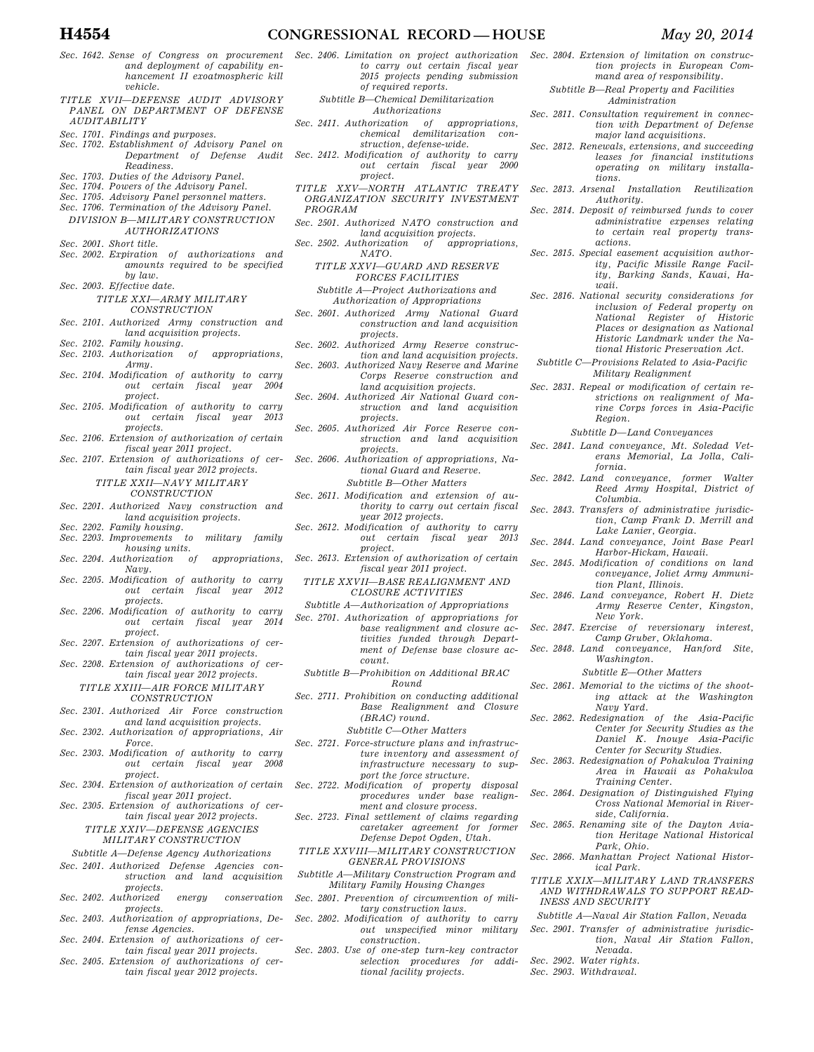- *Sec. 1642. Sense of Congress on procurement and deployment of capability enhancement II exoatmospheric kill vehicle.*
- *TITLE XVII—DEFENSE AUDIT ADVISORY PANEL ON DEPARTMENT OF DEFENSE AUDITABILITY*
- *Sec. 1701. Findings and purposes.*
- *Sec. 1702. Establishment of Advisory Panel on Department of Defense Audit*
- *Readiness.*
- *Sec. 1703. Duties of the Advisory Panel.*
- *Sec. 1704. Powers of the Advisory Panel.*
- *Sec. 1705. Advisory Panel personnel matters. Sec. 1706. Termination of the Advisory Panel.*
- *DIVISION B—MILITARY CONSTRUCTION AUTHORIZATIONS*
- *Sec. 2001. Short title.*
- *Sec. 2002. Expiration of authorizations and amounts required to be specified by law.*
- *Sec. 2003. Effective date. TITLE XXI—ARMY MILITARY*

*CONSTRUCTION* 

- *Sec. 2101. Authorized Army construction and land acquisition projects.*
- *Sec. 2102. Family housing. Sec. 2103. Authorization of appropriations,*
- *Army. Sec. 2104. Modification of authority to carry out certain fiscal year 2004*
- *project. Sec. 2105. Modification of authority to carry*
- *out certain fiscal year 2013 projects. Sec. 2106. Extension of authorization of certain*
- *fiscal year 2011 project. Sec. 2107. Extension of authorizations of cer-*
- *tain fiscal year 2012 projects.* 
	- *TITLE XXII—NAVY MILITARY CONSTRUCTION*
- *Sec. 2201. Authorized Navy construction and*
- *land acquisition projects. Sec. 2202. Family housing.*
- *Sec. 2203. Improvements to military family housing units.*
- *Sec. 2204. Authorization of appropriations,*   $N$ *avy*.
- *Sec. 2205. Modification of authority to carry out certain fiscal year 2012 projects.*
- *Sec. 2206. Modification of authority to carry out certain fiscal year 2014 project.*
- *Sec. 2207. Extension of authorizations of certain fiscal year 2011 projects.*
- *Sec. 2208. Extension of authorizations of certain fiscal year 2012 projects.*

*TITLE XXIII—AIR FORCE MILITARY CONSTRUCTION* 

- *Sec. 2301. Authorized Air Force construction and land acquisition projects.*
- *Sec. 2302. Authorization of appropriations, Air Force.*
- *Sec. 2303. Modification of authority to carry out certain fiscal year 2008 project.*
- *Sec. 2304. Extension of authorization of certain fiscal year 2011 project.*
- *Sec. 2305. Extension of authorizations of certain fiscal year 2012 projects.*

*TITLE XXIV—DEFENSE AGENCIES MILITARY CONSTRUCTION* 

- *Subtitle A—Defense Agency Authorizations*
- *Sec. 2401. Authorized Defense Agencies construction and land acquisition*
- *projects. Sec. 2402. Authorized energy conservation*
- *projects. Sec. 2403. Authorization of appropriations, De-*
- *fense Agencies. Sec. 2404. Extension of authorizations of cer-*
- *tain fiscal year 2011 projects. Sec. 2405. Extension of authorizations of cer-*
- *tain fiscal year 2012 projects.*
- *Sec. 2406. Limitation on project authorization to carry out certain fiscal year 2015 projects pending submission of required reports.* 
	- *Subtitle B—Chemical Demilitarization Authorizations*
- *Sec. 2411. Authorization of appropriations, chemical demilitarization construction, defense-wide.*
- *Sec. 2412. Modification of authority to carry out certain fiscal year 2000 project.*
- *TITLE XXV—NORTH ATLANTIC TREATY ORGANIZATION SECURITY INVESTMENT PROGRAM*
- *Sec. 2501. Authorized NATO construction and land acquisition projects.*
- *Sec. 2502. Authorization of NATO.*
- *TITLE XXVI—GUARD AND RESERVE FORCES FACILITIES Subtitle A—Project Authorizations and* 
	- *Authorization of Appropriations*
- *Sec. 2601. Authorized Army National Guard construction and land acquisition projects.*
- *Sec. 2602. Authorized Army Reserve construction and land acquisition projects.*
- *Sec. 2603. Authorized Navy Reserve and Marine Corps Reserve construction and land acquisition projects.*
- *Sec. 2604. Authorized Air National Guard construction and land acquisition projects.*
- *Sec. 2605. Authorized Air Force Reserve construction and land acquisition projects.*
- *Sec. 2606. Authorization of appropriations, National Guard and Reserve. Subtitle B—Other Matters*
- *Sec. 2611. Modification and extension of authority to carry out certain fiscal*
- *year 2012 projects. Sec. 2612. Modification of authority to carry*
- *out certain fiscal year 2013 project.*
- *Sec. 2613. Extension of authorization of certain fiscal year 2011 project.* 
	- *TITLE XXVII—BASE REALIGNMENT AND CLOSURE ACTIVITIES*
- *Subtitle A—Authorization of Appropriations Sec. 2701. Authorization of appropriations for*
- *base realignment and closure activities funded through Department of Defense base closure account.*
- *Subtitle B—Prohibition on Additional BRAC Round*
- *Sec. 2711. Prohibition on conducting additional Base Realignment and Closure (BRAC) round.* 
	- *Subtitle C—Other Matters*
- *Sec. 2721. Force-structure plans and infrastructure inventory and assessment of infrastructure necessary to support the force structure.*
- *Sec. 2722. Modification of property disposal procedures under base realignment and closure process.*
- *Sec. 2723. Final settlement of claims regarding caretaker agreement for former Defense Depot Ogden, Utah.*
- *TITLE XXVIII—MILITARY CONSTRUCTION GENERAL PROVISIONS*
- *Subtitle A—Military Construction Program and Military Family Housing Changes*
- *Sec. 2801. Prevention of circumvention of military construction laws.*
- *Sec. 2802. Modification of authority to carry out unspecified minor military construction.*
- *Sec. 2803. Use of one-step turn-key contractor selection procedures for additional facility projects.*
- *Sec. 2804. Extension of limitation on construction projects in European Command area of responsibility.* 
	- *Subtitle B—Real Property and Facilities Administration*
- *Sec. 2811. Consultation requirement in connection with Department of Defense major land acquisitions.*
- *Sec. 2812. Renewals, extensions, and succeeding leases for financial institutions operating on military installations.*
- *Sec. 2813. Arsenal Installation Reutilization Authority.*
- *Sec. 2814. Deposit of reimbursed funds to cover administrative expenses relating to certain real property transactions.*
- *Sec. 2815. Special easement acquisition authority, Pacific Missile Range Facility, Barking Sands, Kauai, Hawaii.*
- *Sec. 2816. National security considerations for inclusion of Federal property on National Register of Historic Places or designation as National Historic Landmark under the National Historic Preservation Act.*
- *Subtitle C—Provisions Related to Asia-Pacific Military Realignment*
- *Sec. 2831. Repeal or modification of certain restrictions on realignment of Marine Corps forces in Asia-Pacific Region.* 
	- *Subtitle D—Land Conveyances*
- *Sec. 2841. Land conveyance, Mt. Soledad Veterans Memorial, La Jolla, California.*
- *Sec. 2842. Land conveyance, former Walter Reed Army Hospital, District of Columbia.*
- *Sec. 2843. Transfers of administrative jurisdiction, Camp Frank D. Merrill and Lake Lanier, Georgia.*
- *Sec. 2844. Land conveyance, Joint Base Pearl Harbor-Hickam, Hawaii.*
- *Sec. 2845. Modification of conditions on land conveyance, Joliet Army Ammunition Plant, Illinois.*
- *Sec. 2846. Land conveyance, Robert H. Dietz Army Reserve Center, Kingston, New York.*
- *Sec. 2847. Exercise of reversionary interest, Camp Gruber, Oklahoma.*
- *Sec. 2848. Land conveyance, Hanford Site, Washington.* 
	- *Subtitle E—Other Matters*
- *Sec. 2861. Memorial to the victims of the shooting attack at the Washington Navy Yard. Sec. 2862. Redesignation of the Asia-Pacific*

*Training Center. Sec. 2864. Designation of Distinguished Flying* 

*side, California. Sec. 2865. Renaming site of the Dayton Avia-*

*TITLE XXIX—MILITARY LAND TRANSFERS AND WITHDRAWALS TO SUPPORT READ-*

*Subtitle A—Naval Air Station Fallon, Nevada Sec. 2901. Transfer of administrative jurisdic-*

*Park, Ohio. Sec. 2866. Manhattan Project National Historical Park.* 

*Nevada.* 

*INESS AND SECURITY* 

*Sec. 2902. Water rights. Sec. 2903. Withdrawal.* 

*Center for Security Studies as the Daniel K. Inouye Asia-Pacific Center for Security Studies. Sec. 2863. Redesignation of Pohakuloa Training* 

*Area in Hawaii as Pohakuloa* 

*Cross National Memorial in River-*

*tion Heritage National Historical* 

*tion, Naval Air Station Fallon,*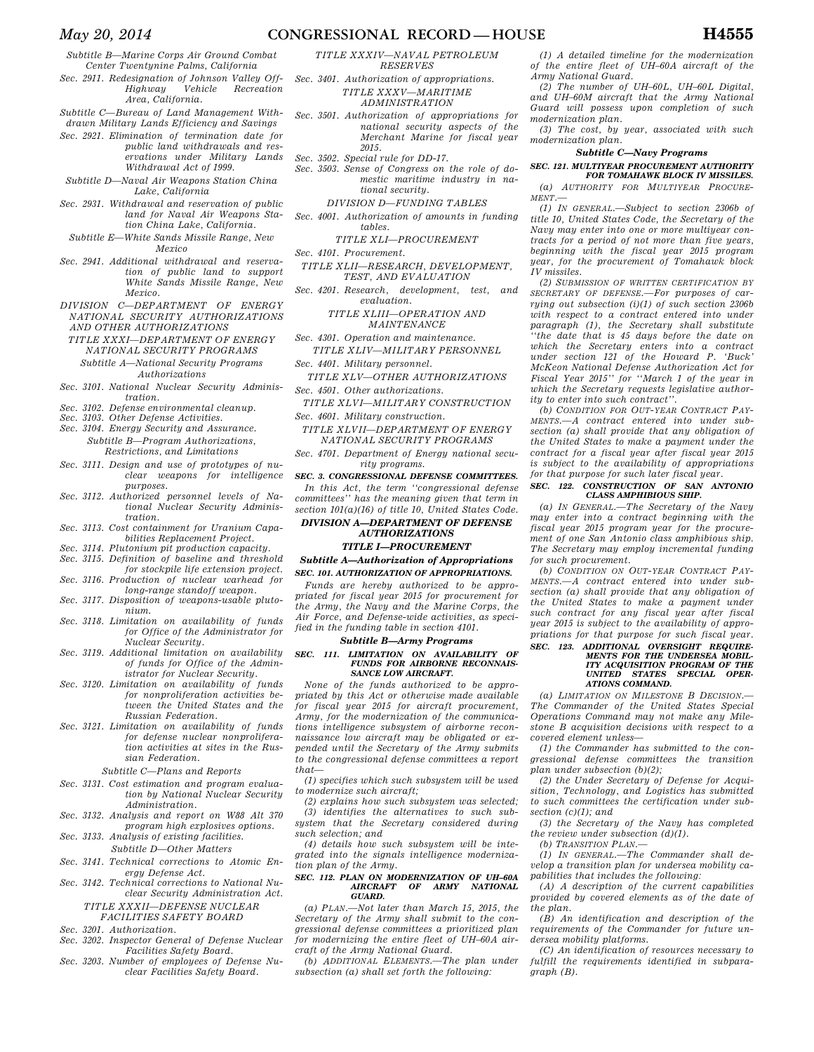*Subtitle B—Marine Corps Air Ground Combat Center Twentynine Palms, California* 

*Sec. 2911. Redesignation of Johnson Valley Off-Highway Vehicle Recreation Area, California.* 

*Subtitle C—Bureau of Land Management Withdrawn Military Lands Efficiency and Savings* 

- *Sec. 2921. Elimination of termination date for public land withdrawals and reservations under Military Lands*
- *Withdrawal Act of 1999. Subtitle D—Naval Air Weapons Station China*
- *Lake, California Sec. 2931. Withdrawal and reservation of public*
- *land for Naval Air Weapons Station China Lake, California.*
- *Subtitle E—White Sands Missile Range, New Mexico*
- *Sec. 2941. Additional withdrawal and reservation of public land to support White Sands Missile Range, New Mexico.*
- *DIVISION C—DEPARTMENT OF ENERGY NATIONAL SECURITY AUTHORIZATIONS AND OTHER AUTHORIZATIONS*
- *TITLE XXXI—DEPARTMENT OF ENERGY NATIONAL SECURITY PROGRAMS* 
	- *Subtitle A—National Security Programs Authorizations*
- *Sec. 3101. National Nuclear Security Administration.*
- *Sec. 3102. Defense environmental cleanup.*
- *Sec. 3103. Other Defense Activities.*
- *Sec. 3104. Energy Security and Assurance. Subtitle B—Program Authorizations, Restrictions, and Limitations*
- *Sec. 3111. Design and use of prototypes of nuclear weapons for intelligence purposes.*
- *Sec. 3112. Authorized personnel levels of National Nuclear Security Administration.*
- *Sec. 3113. Cost containment for Uranium Capabilities Replacement Project.*
- 
- *Sec. 3114. Plutonium pit production capacity. Sec. 3115. Definition of baseline and threshold*
- *for stockpile life extension project. Sec. 3116. Production of nuclear warhead for*
- *long-range standoff weapon. Sec. 3117. Disposition of weapons-usable pluto-*
- *nium. Sec. 3118. Limitation on availability of funds*
- *for Office of the Administrator for Nuclear Security.*
- *Sec. 3119. Additional limitation on availability of funds for Office of the Administrator for Nuclear Security.*
- *Sec. 3120. Limitation on availability of funds for nonproliferation activities between the United States and the Russian Federation.*
- *Sec. 3121. Limitation on availability of funds for defense nuclear nonproliferation activities at sites in the Russian Federation.*

*Subtitle C—Plans and Reports* 

- *Sec. 3131. Cost estimation and program evaluation by National Nuclear Security Administration.*
- *Sec. 3132. Analysis and report on W88 Alt 370 program high explosives options.*
- *Sec. 3133. Analysis of existing facilities. Subtitle D—Other Matters*
- *Sec. 3141. Technical corrections to Atomic Energy Defense Act.*
- *Sec. 3142. Technical corrections to National Nuclear Security Administration Act. TITLE XXXII—DEFENSE NUCLEAR*

### *FACILITIES SAFETY BOARD Sec. 3201. Authorization.*

- *Sec. 3202. Inspector General of Defense Nuclear*
- *Facilities Safety Board. Sec. 3203. Number of employees of Defense Nu-*
- *clear Facilities Safety Board.*

*TITLE XXXIV—NAVAL PETROLEUM RESERVES* 

- *Sec. 3401. Authorization of appropriations. TITLE XXXV—MARITIME ADMINISTRATION*
- *Sec. 3501. Authorization of appropriations for national security aspects of the Merchant Marine for fiscal year 2015.*
- *Sec. 3502. Special rule for DD-17.*
- *Sec. 3503. Sense of Congress on the role of domestic maritime industry in national security.* 
	- *DIVISION D—FUNDING TABLES*
- *Sec. 4001. Authorization of amounts in funding tables.* 
	- *TITLE XLI—PROCUREMENT*

*Sec. 4101. Procurement.* 

- *TITLE XLII—RESEARCH, DEVELOPMENT, TEST, AND EVALUATION*
- *Sec. 4201. Research, development, test, and evaluation.* 
	- *TITLE XLIII—OPERATION AND MAINTENANCE*
- *Sec. 4301. Operation and maintenance. TITLE XLIV—MILITARY PERSONNEL*
- *Sec. 4401. Military personnel.*
- *TITLE XLV—OTHER AUTHORIZATIONS Sec. 4501. Other authorizations.*
- *TITLE XLVI—MILITARY CONSTRUCTION Sec. 4601. Military construction.*
- *TITLE XLVII—DEPARTMENT OF ENERGY NATIONAL SECURITY PROGRAMS*
- *Sec. 4701. Department of Energy national security programs.*

*SEC. 3. CONGRESSIONAL DEFENSE COMMITTEES. In this Act, the term ''congressional defense* 

*committees'' has the meaning given that term in section 101(a)(16) of title 10, United States Code.* 

### *DIVISION A—DEPARTMENT OF DEFENSE AUTHORIZATIONS TITLE I—PROCUREMENT*

### *Subtitle A—Authorization of Appropriations*

*SEC. 101. AUTHORIZATION OF APPROPRIATIONS.* 

*Funds are hereby authorized to be appropriated for fiscal year 2015 for procurement for the Army, the Navy and the Marine Corps, the Air Force, and Defense-wide activities, as specified in the funding table in section 4101.* 

### *Subtitle B—Army Programs*

## *SEC. 111. LIMITATION ON AVAILABILITY OF FUNDS FOR AIRBORNE RECONNAIS-SANCE LOW AIRCRAFT.*

*None of the funds authorized to be appropriated by this Act or otherwise made available for fiscal year 2015 for aircraft procurement, Army, for the modernization of the communications intelligence subsystem of airborne reconnaissance low aircraft may be obligated or expended until the Secretary of the Army submits to the congressional defense committees a report that—* 

*(1) specifies which such subsystem will be used to modernize such aircraft;* 

*(2) explains how such subsystem was selected; (3) identifies the alternatives to such subsystem that the Secretary considered during such selection; and* 

*(4) details how such subsystem will be integrated into the signals intelligence modernization plan of the Army.* 

#### *SEC. 112. PLAN ON MODERNIZATION OF UH–60A AIRCRAFT OF ARMY NATIONAL GUARD.*

*(a) PLAN.—Not later than March 15, 2015, the Secretary of the Army shall submit to the congressional defense committees a prioritized plan for modernizing the entire fleet of UH–60A aircraft of the Army National Guard.* 

*(b) ADDITIONAL ELEMENTS.—The plan under subsection (a) shall set forth the following:* 

*(1) A detailed timeline for the modernization of the entire fleet of UH–60A aircraft of the Army National Guard.* 

*(2) The number of UH–60L, UH–60L Digital, and UH–60M aircraft that the Army National Guard will possess upon completion of such modernization plan.* 

*(3) The cost, by year, associated with such modernization plan.* 

#### *Subtitle C—Navy Programs*

### *SEC. 121. MULTIYEAR PROCUREMENT AUTHORITY FOR TOMAHAWK BLOCK IV MISSILES.*

*(a) AUTHORITY FOR MULTIYEAR PROCURE-MENT.—* 

*(1) IN GENERAL.—Subject to section 2306b of title 10, United States Code, the Secretary of the Navy may enter into one or more multiyear contracts for a period of not more than five years, beginning with the fiscal year 2015 program year, for the procurement of Tomahawk block IV missiles.* 

*(2) SUBMISSION OF WRITTEN CERTIFICATION BY SECRETARY OF DEFENSE.—For purposes of carrying out subsection (i)(1) of such section 2306b with respect to a contract entered into under paragraph (1), the Secretary shall substitute ''the date that is 45 days before the date on which the Secretary enters into a contract under section 121 of the Howard P. 'Buck' McKeon National Defense Authorization Act for Fiscal Year 2015'' for ''March 1 of the year in which the Secretary requests legislative authority to enter into such contract''.* 

*(b) CONDITION FOR OUT-YEAR CONTRACT PAY-MENTS.—A contract entered into under subsection (a) shall provide that any obligation of the United States to make a payment under the contract for a fiscal year after fiscal year 2015 is subject to the availability of appropriations for that purpose for such later fiscal year.* 

### *SEC. 122. CONSTRUCTION OF SAN ANTONIO CLASS AMPHIBIOUS SHIP.*

*(a) IN GENERAL.—The Secretary of the Navy may enter into a contract beginning with the fiscal year 2015 program year for the procurement of one San Antonio class amphibious ship. The Secretary may employ incremental funding for such procurement.* 

*(b) CONDITION ON OUT-YEAR CONTRACT PAY-MENTS.—A contract entered into under subsection (a) shall provide that any obligation of the United States to make a payment under such contract for any fiscal year after fiscal year 2015 is subject to the availability of appropriations for that purpose for such fiscal year. SEC. 123. ADDITIONAL OVERSIGHT REQUIRE-*

## *MENTS FOR THE UNDERSEA MOBIL-ITY ACQUISITION PROGRAM OF THE UNITED STATES SPECIAL OPER-ATIONS COMMAND.*

*(a) LIMITATION ON MILESTONE B DECISION.— The Commander of the United States Special Operations Command may not make any Milestone B acquisition decisions with respect to a covered element unless—* 

*(1) the Commander has submitted to the congressional defense committees the transition plan under subsection (b)(2);* 

*(2) the Under Secretary of Defense for Acquisition, Technology, and Logistics has submitted to such committees the certification under subsection (c)(1); and* 

*(3) the Secretary of the Navy has completed the review under subsection (d)(1).* 

*(b) TRANSITION PLAN.—* 

*(1) IN GENERAL.—The Commander shall develop a transition plan for undersea mobility capabilities that includes the following:* 

*(A) A description of the current capabilities provided by covered elements as of the date of the plan.* 

*(B) An identification and description of the requirements of the Commander for future undersea mobility platforms.* 

*(C) An identification of resources necessary to fulfill the requirements identified in subparagraph (B).*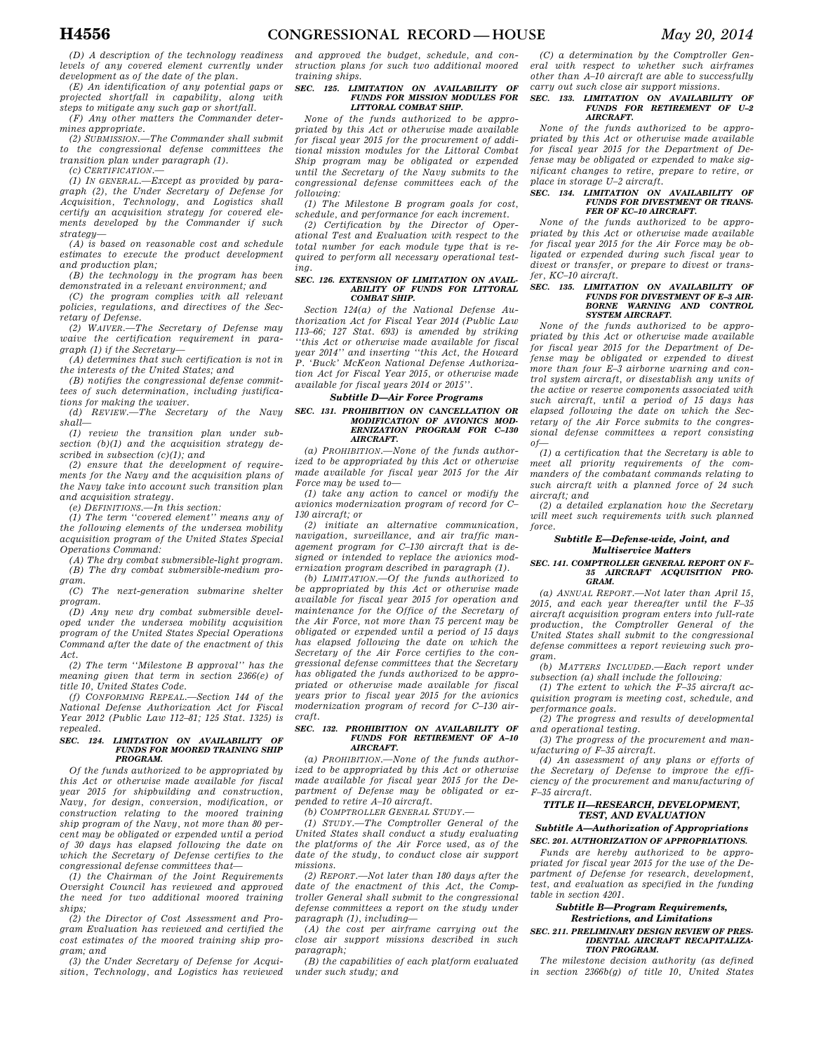*(D) A description of the technology readiness levels of any covered element currently under development as of the date of the plan.* 

*(E) An identification of any potential gaps or projected shortfall in capability, along with steps to mitigate any such gap or shortfall.* 

*(F) Any other matters the Commander determines appropriate.* 

*(2) SUBMISSION.—The Commander shall submit to the congressional defense committees the transition plan under paragraph (1).* 

*(c) CERTIFICATION.—* 

*(1) IN GENERAL.—Except as provided by paragraph (2), the Under Secretary of Defense for Acquisition, Technology, and Logistics shall certify an acquisition strategy for covered elements developed by the Commander if such strategy—* 

*(A) is based on reasonable cost and schedule estimates to execute the product development and production plan;* 

*(B) the technology in the program has been demonstrated in a relevant environment; and* 

*(C) the program complies with all relevant policies, regulations, and directives of the Secretary of Defense.* 

*(2) WAIVER.—The Secretary of Defense may waive the certification requirement in paragraph (1) if the Secretary—* 

*(A) determines that such certification is not in the interests of the United States; and* 

*(B) notifies the congressional defense committees of such determination, including justifications for making the waiver.* 

*(d) REVIEW.—The Secretary of the Navy shall—* 

*(1) review the transition plan under subsection (b)(1) and the acquisition strategy described in subsection (c)(1); and* 

*(2) ensure that the development of requirements for the Navy and the acquisition plans of the Navy take into account such transition plan and acquisition strategy.* 

*(e) DEFINITIONS.—In this section:* 

*(1) The term ''covered element'' means any of the following elements of the undersea mobility acquisition program of the United States Special Operations Command:* 

*(A) The dry combat submersible-light program. (B) The dry combat submersible-medium program.* 

*(C) The next-generation submarine shelter program.* 

*(D) Any new dry combat submersible developed under the undersea mobility acquisition program of the United States Special Operations Command after the date of the enactment of this Act.* 

*(2) The term ''Milestone B approval'' has the meaning given that term in section 2366(e) of title 10, United States Code.* 

*(f) CONFORMING REPEAL.—Section 144 of the National Defense Authorization Act for Fiscal Year 2012 (Public Law 112–81; 125 Stat. 1325) is repealed.* 

#### *SEC. 124. LIMITATION ON AVAILABILITY OF FUNDS FOR MOORED TRAINING SHIP PROGRAM.*

*Of the funds authorized to be appropriated by this Act or otherwise made available for fiscal year 2015 for shipbuilding and construction, Navy, for design, conversion, modification, or construction relating to the moored training ship program of the Navy, not more than 80 percent may be obligated or expended until a period of 30 days has elapsed following the date on which the Secretary of Defense certifies to the congressional defense committees that—* 

*(1) the Chairman of the Joint Requirements Oversight Council has reviewed and approved the need for two additional moored training ships;* 

*(2) the Director of Cost Assessment and Program Evaluation has reviewed and certified the cost estimates of the moored training ship program; and* 

*(3) the Under Secretary of Defense for Acquisition, Technology, and Logistics has reviewed* 

*and approved the budget, schedule, and construction plans for such two additional moored training ships.* 

#### *SEC. 125. LIMITATION ON AVAILABILITY OF FUNDS FOR MISSION MODULES FOR LITTORAL COMBAT SHIP.*

*None of the funds authorized to be appropriated by this Act or otherwise made available for fiscal year 2015 for the procurement of additional mission modules for the Littoral Combat Ship program may be obligated or expended until the Secretary of the Navy submits to the congressional defense committees each of the following:* 

*(1) The Milestone B program goals for cost, schedule, and performance for each increment.* 

*(2) Certification by the Director of Operational Test and Evaluation with respect to the total number for each module type that is required to perform all necessary operational test* $in a$ .

### *SEC. 126. EXTENSION OF LIMITATION ON AVAIL-ABILITY OF FUNDS FOR LITTORAL COMBAT SHIP.*

*Section 124(a) of the National Defense Authorization Act for Fiscal Year 2014 (Public Law 113–66; 127 Stat. 693) is amended by striking ''this Act or otherwise made available for fiscal year 2014'' and inserting ''this Act, the Howard P. 'Buck' McKeon National Defense Authorization Act for Fiscal Year 2015, or otherwise made available for fiscal years 2014 or 2015''.* 

### *Subtitle D—Air Force Programs*

#### *SEC. 131. PROHIBITION ON CANCELLATION OR MODIFICATION OF AVIONICS MOD-ERNIZATION PROGRAM FOR C–130 AIRCRAFT.*

*(a) PROHIBITION.—None of the funds authorized to be appropriated by this Act or otherwise made available for fiscal year 2015 for the Air Force may be used to—* 

*(1) take any action to cancel or modify the avionics modernization program of record for C– 130 aircraft; or* 

*(2) initiate an alternative communication, navigation, surveillance, and air traffic management program for C–130 aircraft that is designed or intended to replace the avionics modernization program described in paragraph (1).* 

*(b) LIMITATION.—Of the funds authorized to be appropriated by this Act or otherwise made available for fiscal year 2015 for operation and maintenance for the Office of the Secretary of the Air Force, not more than 75 percent may be obligated or expended until a period of 15 days has elapsed following the date on which the Secretary of the Air Force certifies to the congressional defense committees that the Secretary has obligated the funds authorized to be appropriated or otherwise made available for fiscal years prior to fiscal year 2015 for the avionics modernization program of record for C–130 aircraft.* 

## *SEC. 132. PROHIBITION ON AVAILABILITY OF FUNDS FOR RETIREMENT OF A–10 AIRCRAFT.*

*(a) PROHIBITION.—None of the funds authorized to be appropriated by this Act or otherwise made available for fiscal year 2015 for the Department of Defense may be obligated or expended to retire A–10 aircraft.* 

*(b) COMPTROLLER GENERAL STUDY.—* 

*(1) STUDY.—The Comptroller General of the United States shall conduct a study evaluating the platforms of the Air Force used, as of the date of the study, to conduct close air support missions.* 

*(2) REPORT.—Not later than 180 days after the date of the enactment of this Act, the Comptroller General shall submit to the congressional defense committees a report on the study under paragraph (1), including—* 

*(A) the cost per airframe carrying out the close air support missions described in such paragraph;* 

*(B) the capabilities of each platform evaluated under such study; and* 

*(C) a determination by the Comptroller General with respect to whether such airframes other than A–10 aircraft are able to successfully carry out such close air support missions.* 

### *SEC. 133. LIMITATION ON AVAILABILITY OF FUNDS FOR RETIREMENT OF U–2 AIRCRAFT.*

*None of the funds authorized to be appropriated by this Act or otherwise made available for fiscal year 2015 for the Department of Defense may be obligated or expended to make significant changes to retire, prepare to retire, or place in storage U–2 aircraft.* 

#### *SEC. 134. LIMITATION ON AVAILABILITY OF FUNDS FOR DIVESTMENT OR TRANS-FER OF KC–10 AIRCRAFT.*

*None of the funds authorized to be appropriated by this Act or otherwise made available for fiscal year 2015 for the Air Force may be obligated or expended during such fiscal year to divest or transfer, or prepare to divest or transfer, KC–10 aircraft.* 

#### *SEC. 135. LIMITATION ON AVAILABILITY OF FUNDS FOR DIVESTMENT OF E–3 AIR-BORNE WARNING AND CONTROL SYSTEM AIRCRAFT.*

*None of the funds authorized to be appropriated by this Act or otherwise made available for fiscal year 2015 for the Department of Defense may be obligated or expended to divest more than four E–3 airborne warning and control system aircraft, or disestablish any units of the active or reserve components associated with such aircraft, until a period of 15 days has elapsed following the date on which the Secretary of the Air Force submits to the congressional defense committees a report consisting of—* 

*(1) a certification that the Secretary is able to meet all priority requirements of the commanders of the combatant commands relating to such aircraft with a planned force of 24 such aircraft; and* 

*(2) a detailed explanation how the Secretary will meet such requirements with such planned force.* 

#### *Subtitle E—Defense-wide, Joint, and Multiservice Matters*

#### *SEC. 141. COMPTROLLER GENERAL REPORT ON F– 35 AIRCRAFT ACQUISITION PRO-GRAM.*

*(a) ANNUAL REPORT.—Not later than April 15, 2015, and each year thereafter until the F–35 aircraft acquisition program enters into full-rate production, the Comptroller General of the United States shall submit to the congressional defense committees a report reviewing such program.* 

*(b) MATTERS INCLUDED.—Each report under subsection (a) shall include the following:* 

*(1) The extent to which the F–35 aircraft acquisition program is meeting cost, schedule, and performance goals.* 

*(2) The progress and results of developmental and operational testing.* 

*(3) The progress of the procurement and manufacturing of F–35 aircraft.* 

*(4) An assessment of any plans or efforts of the Secretary of Defense to improve the efficiency of the procurement and manufacturing of F–35 aircraft.* 

#### *TITLE II—RESEARCH, DEVELOPMENT, TEST, AND EVALUATION*

### *Subtitle A—Authorization of Appropriations SEC. 201. AUTHORIZATION OF APPROPRIATIONS.*

*Funds are hereby authorized to be appropriated for fiscal year 2015 for the use of the Department of Defense for research, development, test, and evaluation as specified in the funding table in section 4201.* 

#### *Subtitle B—Program Requirements, Restrictions, and Limitations*

#### *SEC. 211. PRELIMINARY DESIGN REVIEW OF PRES-IDENTIAL AIRCRAFT RECAPITALIZA-TION PROGRAM.*

*The milestone decision authority (as defined in section 2366b(g) of title 10, United States*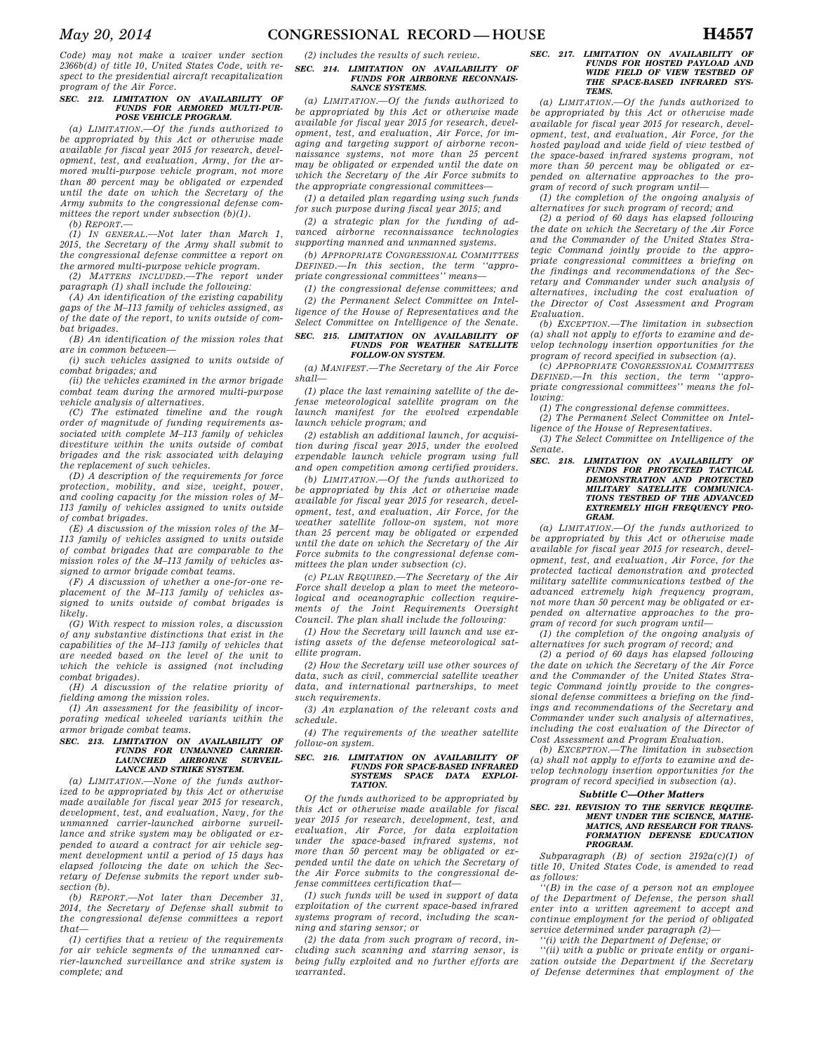*Code) may not make a waiver under section 2366b(d) of title 10, United States Code, with respect to the presidential aircraft recapitalization program of the Air Force.* 

## *SEC. 212. LIMITATION ON AVAILABILITY OF FUNDS FOR ARMORED MULTI-PUR-POSE VEHICLE PROGRAM.*

*(a) LIMITATION.—Of the funds authorized to be appropriated by this Act or otherwise made available for fiscal year 2015 for research, development, test, and evaluation, Army, for the armored multi-purpose vehicle program, not more than 80 percent may be obligated or expended until the date on which the Secretary of the Army submits to the congressional defense committees the report under subsection (b)(1).* 

*(b) REPORT.—* 

*(1) IN GENERAL.—Not later than March 1, 2015, the Secretary of the Army shall submit to the congressional defense committee a report on the armored multi-purpose vehicle program.* 

*(2) MATTERS INCLUDED.—The report under paragraph (1) shall include the following:* 

*(A) An identification of the existing capability gaps of the M–113 family of vehicles assigned, as of the date of the report, to units outside of combat brigades.* 

*(B) An identification of the mission roles that are in common between—* 

*(i) such vehicles assigned to units outside of combat brigades; and* 

*(ii) the vehicles examined in the armor brigade combat team during the armored multi-purpose vehicle analysis of alternatives.* 

*(C) The estimated timeline and the rough order of magnitude of funding requirements associated with complete M–113 family of vehicles divestiture within the units outside of combat brigades and the risk associated with delaying the replacement of such vehicles.* 

*(D) A description of the requirements for force protection, mobility, and size, weight, power, and cooling capacity for the mission roles of M– 113 family of vehicles assigned to units outside of combat brigades.* 

*(E) A discussion of the mission roles of the M– 113 family of vehicles assigned to units outside of combat brigades that are comparable to the mission roles of the M–113 family of vehicles assigned to armor brigade combat teams.* 

*(F) A discussion of whether a one-for-one replacement of the M–113 family of vehicles assigned to units outside of combat brigades is likely.* 

*(G) With respect to mission roles, a discussion of any substantive distinctions that exist in the capabilities of the M–113 family of vehicles that are needed based on the level of the unit to which the vehicle is assigned (not including combat brigades).* 

*(H) A discussion of the relative priority of fielding among the mission roles.* 

*(I) An assessment for the feasibility of incorporating medical wheeled variants within the armor brigade combat teams.* 

### *SEC. 213. LIMITATION ON AVAILABILITY OF FUNDS FOR UNMANNED CARRIER-LAUNCHED AIRBORNE SURVEIL-LANCE AND STRIKE SYSTEM.*

*(a) LIMITATION.—None of the funds authorized to be appropriated by this Act or otherwise made available for fiscal year 2015 for research, development, test, and evaluation, Navy, for the unmanned carrier-launched airborne surveillance and strike system may be obligated or expended to award a contract for air vehicle segment development until a period of 15 days has elapsed following the date on which the Secretary of Defense submits the report under subsection (b).* 

*(b) REPORT.—Not later than December 31, 2014, the Secretary of Defense shall submit to the congressional defense committees a report that—* 

*(1) certifies that a review of the requirements for air vehicle segments of the unmanned carrier-launched surveillance and strike system is complete; and* 

#### *(2) includes the results of such review. SEC. 214. LIMITATION ON AVAILABILITY OF FUNDS FOR AIRBORNE RECONNAIS-SANCE SYSTEMS.*

*(a) LIMITATION.—Of the funds authorized to be appropriated by this Act or otherwise made available for fiscal year 2015 for research, development, test, and evaluation, Air Force, for imaging and targeting support of airborne reconnaissance systems, not more than 25 percent may be obligated or expended until the date on which the Secretary of the Air Force submits to the appropriate congressional committees—* 

*(1) a detailed plan regarding using such funds for such purpose during fiscal year 2015; and* 

*(2) a strategic plan for the funding of advanced airborne reconnaissance technologies supporting manned and unmanned systems.* 

*(b) APPROPRIATE CONGRESSIONAL COMMITTEES DEFINED.—In this section, the term ''appropriate congressional committees'' means—* 

*(1) the congressional defense committees; and (2) the Permanent Select Committee on Intelligence of the House of Representatives and the Select Committee on Intelligence of the Senate.* 

#### *SEC. 215. LIMITATION ON AVAILABILITY OF FUNDS FOR WEATHER SATELLITE FOLLOW-ON SYSTEM.*

*(a) MANIFEST.—The Secretary of the Air Force shall—* 

*(1) place the last remaining satellite of the defense meteorological satellite program on the launch manifest for the evolved expendable launch vehicle program; and* 

*(2) establish an additional launch, for acquisition during fiscal year 2015, under the evolved expendable launch vehicle program using full and open competition among certified providers.* 

*(b) LIMITATION.—Of the funds authorized to be appropriated by this Act or otherwise made available for fiscal year 2015 for research, development, test, and evaluation, Air Force, for the weather satellite follow-on system, not more than 25 percent may be obligated or expended until the date on which the Secretary of the Air Force submits to the congressional defense committees the plan under subsection (c).* 

*(c) PLAN REQUIRED.—The Secretary of the Air Force shall develop a plan to meet the meteorological and oceanographic collection requirements of the Joint Requirements Oversight Council. The plan shall include the following:* 

*(1) How the Secretary will launch and use existing assets of the defense meteorological satellite program.* 

*(2) How the Secretary will use other sources of data, such as civil, commercial satellite weather data, and international partnerships, to meet such requirements.* 

*(3) An explanation of the relevant costs and schedule.* 

*(4) The requirements of the weather satellite follow-on system.* 

### *SEC. 216. LIMITATION ON AVAILABILITY OF FUNDS FOR SPACE-BASED INFRARED SYSTEMS SPACE DATA EXPLOI-TATION.*

*Of the funds authorized to be appropriated by this Act or otherwise made available for fiscal year 2015 for research, development, test, and evaluation, Air Force, for data exploitation under the space-based infrared systems, not more than 50 percent may be obligated or expended until the date on which the Secretary of the Air Force submits to the congressional defense committees certification that—* 

*(1) such funds will be used in support of data exploitation of the current space-based infrared systems program of record, including the scanning and staring sensor; or* 

*(2) the data from such program of record, including such scanning and starring sensor, is being fully exploited and no further efforts are warranted.* 

### *SEC. 217. LIMITATION ON AVAILABILITY OF FUNDS FOR HOSTED PAYLOAD AND WIDE FIELD OF VIEW TESTBED OF THE SPACE-BASED INFRARED SYS-TEMS.*

*(a) LIMITATION.—Of the funds authorized to be appropriated by this Act or otherwise made available for fiscal year 2015 for research, development, test, and evaluation, Air Force, for the hosted payload and wide field of view testbed of the space-based infrared systems program, not more than 50 percent may be obligated or expended on alternative approaches to the program of record of such program until—* 

*(1) the completion of the ongoing analysis of alternatives for such program of record; and* 

*(2) a period of 60 days has elapsed following the date on which the Secretary of the Air Force and the Commander of the United States Strategic Command jointly provide to the appropriate congressional committees a briefing on the findings and recommendations of the Secretary and Commander under such analysis of alternatives, including the cost evaluation of the Director of Cost Assessment and Program Evaluation.* 

*(b) EXCEPTION.—The limitation in subsection (a) shall not apply to efforts to examine and develop technology insertion opportunities for the program of record specified in subsection (a).* 

*(c) APPROPRIATE CONGRESSIONAL COMMITTEES DEFINED.—In this section, the term ''appropriate congressional committees'' means the following:* 

*(1) The congressional defense committees.* 

*(2) The Permanent Select Committee on Intelligence of the House of Representatives.* 

*(3) The Select Committee on Intelligence of the Senate.* 

*SEC. 218. LIMITATION ON AVAILABILITY OF FUNDS FOR PROTECTED TACTICAL DEMONSTRATION AND PROTECTED MILITARY SATELLITE COMMUNICA-TIONS TESTBED OF THE ADVANCED EXTREMELY HIGH FREQUENCY PRO-GRAM.* 

*(a) LIMITATION.—Of the funds authorized to be appropriated by this Act or otherwise made available for fiscal year 2015 for research, development, test, and evaluation, Air Force, for the protected tactical demonstration and protected military satellite communications testbed of the advanced extremely high frequency program, not more than 50 percent may be obligated or expended on alternative approaches to the program of record for such program until—* 

*(1) the completion of the ongoing analysis of alternatives for such program of record; and* 

*(2) a period of 60 days has elapsed following the date on which the Secretary of the Air Force and the Commander of the United States Strategic Command jointly provide to the congressional defense committees a briefing on the findings and recommendations of the Secretary and Commander under such analysis of alternatives, including the cost evaluation of the Director of Cost Assessment and Program Evaluation.* 

*(b) EXCEPTION.—The limitation in subsection (a) shall not apply to efforts to examine and develop technology insertion opportunities for the program of record specified in subsection (a).* 

### *Subtitle C—Other Matters*

#### *SEC. 221. REVISION TO THE SERVICE REQUIRE-MENT UNDER THE SCIENCE, MATHE-MATICS, AND RESEARCH FOR TRANS-FORMATION DEFENSE EDUCATION PROGRAM.*

*Subparagraph (B) of section 2192a(c)(1) of title 10, United States Code, is amended to read as follows:* 

*''(B) in the case of a person not an employee of the Department of Defense, the person shall enter into a written agreement to accept and continue employment for the period of obligated service determined under paragraph (2)—* 

*''(i) with the Department of Defense; or* 

*''(ii) with a public or private entity or organization outside the Department if the Secretary of Defense determines that employment of the*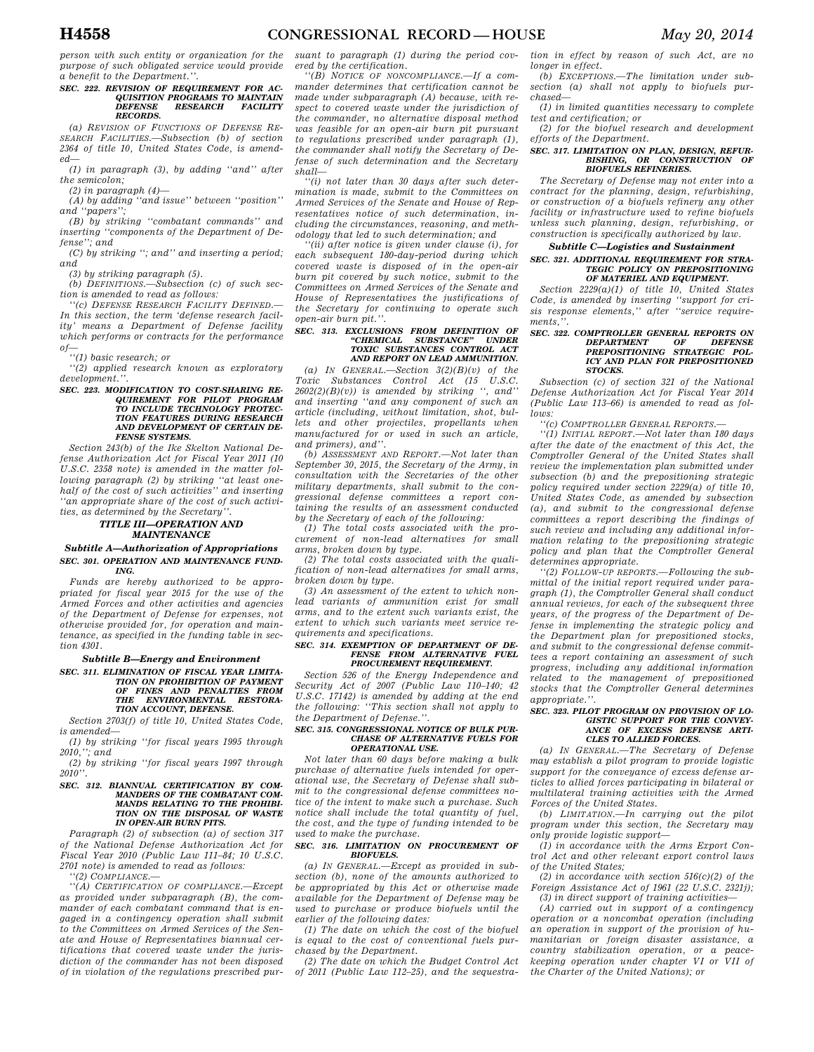*person with such entity or organization for the purpose of such obligated service would provide a benefit to the Department.''.* 

### *SEC. 222. REVISION OF REQUIREMENT FOR AC-QUISITION PROGRAMS TO MAINTAIN DEFENSE RESEARCH FACILITY RECORDS.*

*(a) REVISION OF FUNCTIONS OF DEFENSE RE-SEARCH FACILITIES.—Subsection (b) of section 2364 of title 10, United States Code, is amended—* 

*(1) in paragraph (3), by adding ''and'' after the semicolon;* 

*(2) in paragraph (4)—* 

*(A) by adding ''and issue'' between ''position'' and ''papers'';* 

*(B) by striking ''combatant commands'' and inserting ''components of the Department of Defense''; and* 

*(C) by striking ''; and'' and inserting a period; and* 

*(3) by striking paragraph (5).* 

*(b) DEFINITIONS.—Subsection (c) of such section is amended to read as follows:* 

*''(c) DEFENSE RESEARCH FACILITY DEFINED.— In this section, the term 'defense research facility' means a Department of Defense facility which performs or contracts for the performance of—* 

*''(1) basic research; or* 

*''(2) applied research known as exploratory development.''.* 

### *SEC. 223. MODIFICATION TO COST-SHARING RE-QUIREMENT FOR PILOT PROGRAM TO INCLUDE TECHNOLOGY PROTEC-TION FEATURES DURING RESEARCH AND DEVELOPMENT OF CERTAIN DE-FENSE SYSTEMS.*

*Section 243(b) of the Ike Skelton National Defense Authorization Act for Fiscal Year 2011 (10 U.S.C. 2358 note) is amended in the matter following paragraph (2) by striking ''at least onehalf of the cost of such activities'' and inserting ''an appropriate share of the cost of such activities, as determined by the Secretary''.* 

### *TITLE III—OPERATION AND MAINTENANCE*

#### *Subtitle A—Authorization of Appropriations SEC. 301. OPERATION AND MAINTENANCE FUND-ING.*

*Funds are hereby authorized to be appropriated for fiscal year 2015 for the use of the Armed Forces and other activities and agencies of the Department of Defense for expenses, not otherwise provided for, for operation and maintenance, as specified in the funding table in section 4301.* 

*Subtitle B—Energy and Environment* 

### *SEC. 311. ELIMINATION OF FISCAL YEAR LIMITA-TION ON PROHIBITION OF PAYMENT OF FINES AND PENALTIES FROM THE ENVIRONMENTAL RESTORA-TION ACCOUNT, DEFENSE.*

*Section 2703(f) of title 10, United States Code, is amended—* 

*(1) by striking ''for fiscal years 1995 through 2010,''; and* 

*(2) by striking ''for fiscal years 1997 through 2010''.* 

### *SEC. 312. BIANNUAL CERTIFICATION BY COM-MANDERS OF THE COMBATANT COM-MANDS RELATING TO THE PROHIBI-TION ON THE DISPOSAL OF WASTE IN OPEN-AIR BURN PITS.*

*Paragraph (2) of subsection (a) of section 317 of the National Defense Authorization Act for Fiscal Year 2010 (Public Law 111–84; 10 U.S.C. 2701 note) is amended to read as follows:* 

*''(2) COMPLIANCE.—* 

*''(A) CERTIFICATION OF COMPLIANCE.—Except as provided under subparagraph (B), the commander of each combatant command that is engaged in a contingency operation shall submit to the Committees on Armed Services of the Senate and House of Representatives biannual certifications that covered waste under the jurisdiction of the commander has not been disposed of in violation of the regulations prescribed pur-*

*suant to paragraph (1) during the period covered by the certification.* 

*''(B) NOTICE OF NONCOMPLIANCE.—If a commander determines that certification cannot be made under subparagraph (A) because, with respect to covered waste under the jurisdiction of the commander, no alternative disposal method was feasible for an open-air burn pit pursuant to regulations prescribed under paragraph (1), the commander shall notify the Secretary of Defense of such determination and the Secretary shall—* 

*''(i) not later than 30 days after such determination is made, submit to the Committees on Armed Services of the Senate and House of Representatives notice of such determination, including the circumstances, reasoning, and methodology that led to such determination; and* 

*''(ii) after notice is given under clause (i), for each subsequent 180-day-period during which covered waste is disposed of in the open-air burn pit covered by such notice, submit to the Committees on Armed Services of the Senate and House of Representatives the justifications of the Secretary for continuing to operate such open-air burn pit.''.* 

#### *SEC. 313. EXCLUSIONS FROM DEFINITION OF*   $"CHEMICAL$  SUBSTANCE" *TOXIC SUBSTANCES CONTROL ACT AND REPORT ON LEAD AMMUNITION.*

*(a) IN GENERAL.—Section 3(2)(B)(v) of the Toxic Substances Control Act (15 U.S.C.*   $2602(2)(B)(v)$  is amended by striking ", and" *and inserting ''and any component of such an article (including, without limitation, shot, bullets and other projectiles, propellants when manufactured for or used in such an article, and primers), and''.* 

*(b) ASSESSMENT AND REPORT.—Not later than September 30, 2015, the Secretary of the Army, in consultation with the Secretaries of the other military departments, shall submit to the congressional defense committees a report containing the results of an assessment conducted by the Secretary of each of the following:* 

*(1) The total costs associated with the procurement of non-lead alternatives for small arms, broken down by type.* 

*(2) The total costs associated with the qualification of non-lead alternatives for small arms, broken down by type.* 

*(3) An assessment of the extent to which nonlead variants of ammunition exist for small arms, and to the extent such variants exist, the extent to which such variants meet service requirements and specifications.* 

## *SEC. 314. EXEMPTION OF DEPARTMENT OF DE-FENSE FROM ALTERNATIVE FUEL PROCUREMENT REQUIREMENT.*

*Section 526 of the Energy Independence and Security Act of 2007 (Public Law 110–140; 42 U.S.C. 17142) is amended by adding at the end the following: ''This section shall not apply to the Department of Defense.''.* 

#### *SEC. 315. CONGRESSIONAL NOTICE OF BULK PUR-CHASE OF ALTERNATIVE FUELS FOR OPERATIONAL USE.*

*Not later than 60 days before making a bulk purchase of alternative fuels intended for operational use, the Secretary of Defense shall submit to the congressional defense committees notice of the intent to make such a purchase. Such notice shall include the total quantity of fuel, the cost, and the type of funding intended to be used to make the purchase.* 

#### *SEC. 316. LIMITATION ON PROCUREMENT OF BIOFUELS.*

*(a) IN GENERAL.—Except as provided in subsection (b), none of the amounts authorized to be appropriated by this Act or otherwise made available for the Department of Defense may be used to purchase or produce biofuels until the earlier of the following dates:* 

*(1) The date on which the cost of the biofuel is equal to the cost of conventional fuels purchased by the Department.* 

*(2) The date on which the Budget Control Act of 2011 (Public Law 112–25), and the sequestra-* *tion in effect by reason of such Act, are no longer in effect.* 

*(b) EXCEPTIONS.—The limitation under subsection (a) shall not apply to biofuels purchased—* 

*(1) in limited quantities necessary to complete test and certification; or* 

*(2) for the biofuel research and development efforts of the Department.* 

## *SEC. 317. LIMITATION ON PLAN, DESIGN, REFUR-BISHING, OR CONSTRUCTION OF BIOFUELS REFINERIES.*

*The Secretary of Defense may not enter into a contract for the planning, design, refurbishing, or construction of a biofuels refinery any other facility or infrastructure used to refine biofuels unless such planning, design, refurbishing, or construction is specifically authorized by law.* 

### *Subtitle C—Logistics and Sustainment*

#### *SEC. 321. ADDITIONAL REQUIREMENT FOR STRA-TEGIC POLICY ON PREPOSITIONING OF MATERIEL AND EQUIPMENT.*

*Section 2229(a)(1) of title 10, United States Code, is amended by inserting ''support for crisis response elements,'' after ''service requirements,''.* 

### *SEC. 322. COMPTROLLER GENERAL REPORTS ON DEPARTMENT OF DEFENSE PREPOSITIONING STRATEGIC POL-ICY AND PLAN FOR PREPOSITIONED STOCKS.*

*Subsection (c) of section 321 of the National Defense Authorization Act for Fiscal Year 2014 (Public Law 113–66) is amended to read as follows:* 

*''(c) COMPTROLLER GENERAL REPORTS.—* 

*''(1) INITIAL REPORT.—Not later than 180 days after the date of the enactment of this Act, the Comptroller General of the United States shall review the implementation plan submitted under subsection (b) and the prepositioning strategic policy required under section 2229(a) of title 10, United States Code, as amended by subsection (a), and submit to the congressional defense committees a report describing the findings of such review and including any additional information relating to the prepositioning strategic policy and plan that the Comptroller General determines appropriate.* 

*''(2) FOLLOW-UP REPORTS.—Following the submittal of the initial report required under paragraph (1), the Comptroller General shall conduct annual reviews, for each of the subsequent three years, of the progress of the Department of Defense in implementing the strategic policy and the Department plan for prepositioned stocks, and submit to the congressional defense committees a report containing an assessment of such progress, including any additional information related to the management of prepositioned stocks that the Comptroller General determines appropriate.''.* 

#### *SEC. 323. PILOT PROGRAM ON PROVISION OF LO-GISTIC SUPPORT FOR THE CONVEY-ANCE OF EXCESS DEFENSE ARTI-CLES TO ALLIED FORCES.*

*(a) IN GENERAL.—The Secretary of Defense may establish a pilot program to provide logistic support for the conveyance of excess defense articles to allied forces participating in bilateral or multilateral training activities with the Armed Forces of the United States.* 

*(b) LIMITATION.—In carrying out the pilot program under this section, the Secretary may only provide logistic support—* 

*(1) in accordance with the Arms Export Control Act and other relevant export control laws of the United States;* 

*(2) in accordance with section 516(c)(2) of the Foreign Assistance Act of 1961 (22 U.S.C. 2321j); (3) in direct support of training activities—* 

*(A) carried out in support of a contingency operation or a noncombat operation (including an operation in support of the provision of humanitarian or foreign disaster assistance, a country stabilization operation, or a peacekeeping operation under chapter VI or VII of the Charter of the United Nations); or*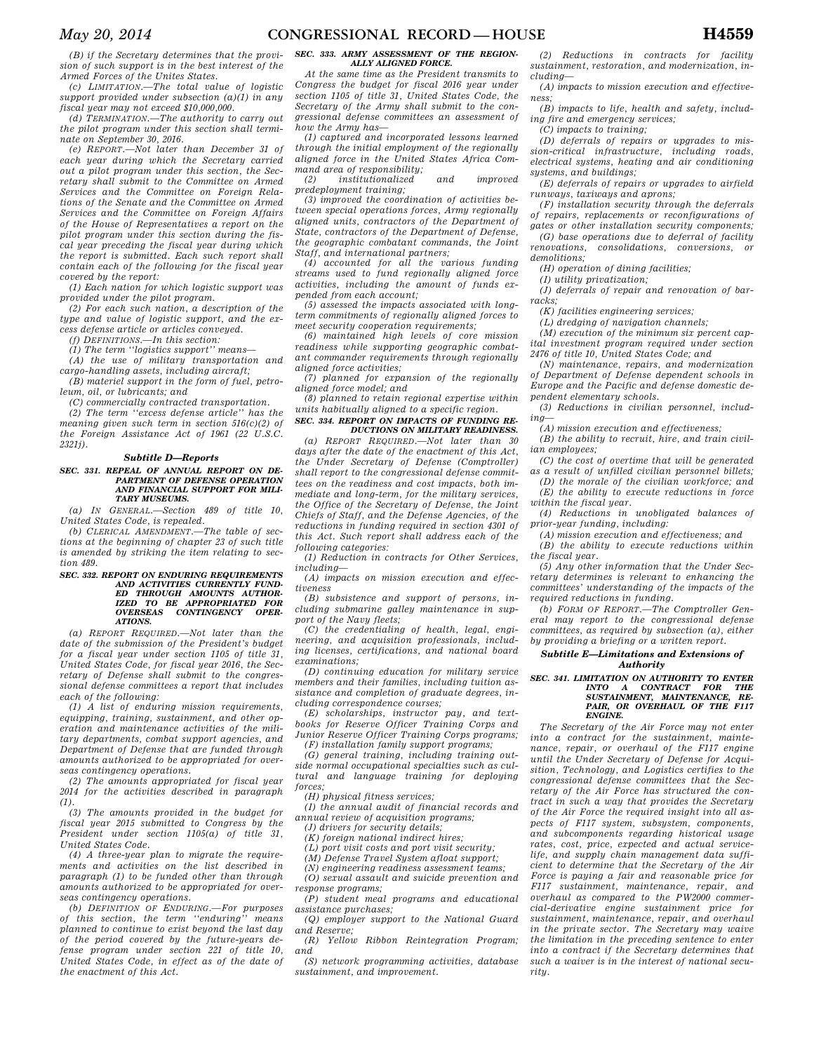*(B) if the Secretary determines that the provision of such support is in the best interest of the Armed Forces of the Unites States.* 

*(c) LIMITATION.—The total value of logistic support provided under subsection (a)(1) in any fiscal year may not exceed \$10,000,000.* 

*(d) TERMINATION.—The authority to carry out the pilot program under this section shall terminate on September 30, 2016.* 

*(e) REPORT.—Not later than December 31 of each year during which the Secretary carried out a pilot program under this section, the Secretary shall submit to the Committee on Armed Services and the Committee on Foreign Relations of the Senate and the Committee on Armed Services and the Committee on Foreign Affairs of the House of Representatives a report on the pilot program under this section during the fiscal year preceding the fiscal year during which the report is submitted. Each such report shall contain each of the following for the fiscal year covered by the report:* 

*(1) Each nation for which logistic support was provided under the pilot program.* 

*(2) For each such nation, a description of the type and value of logistic support, and the excess defense article or articles conveyed.* 

*(f) DEFINITIONS.—In this section:* 

*2321j).* 

*(1) The term ''logistics support'' means—* 

*(A) the use of military transportation and cargo-handling assets, including aircraft; (B) materiel support in the form of fuel, petro-*

*leum, oil, or lubricants; and (C) commercially contracted transportation.* 

*(2) The term ''excess defense article'' has the meaning given such term in section 516(c)(2) of the Foreign Assistance Act of 1961 (22 U.S.C.* 

#### *Subtitle D—Reports*

*SEC. 331. REPEAL OF ANNUAL REPORT ON DE-PARTMENT OF DEFENSE OPERATION AND FINANCIAL SUPPORT FOR MILI-TARY MUSEUMS.* 

*(a) IN GENERAL.—Section 489 of title 10, United States Code, is repealed.* 

*(b) CLERICAL AMENDMENT.—The table of sections at the beginning of chapter 23 of such title is amended by striking the item relating to section 489.* 

#### *SEC. 332. REPORT ON ENDURING REQUIREMENTS AND ACTIVITIES CURRENTLY FUND-ED THROUGH AMOUNTS AUTHOR-IZED TO BE APPROPRIATED FOR OVERSEAS CONTINGENCY OPER-ATIONS.*

*(a) REPORT REQUIRED.—Not later than the date of the submission of the President's budget for a fiscal year under section 1105 of title 31, United States Code, for fiscal year 2016, the Secretary of Defense shall submit to the congressional defense committees a report that includes each of the following:* 

*(1) A list of enduring mission requirements, equipping, training, sustainment, and other operation and maintenance activities of the military departments, combat support agencies, and Department of Defense that are funded through amounts authorized to be appropriated for overseas contingency operations.* 

*(2) The amounts appropriated for fiscal year 2014 for the activities described in paragraph (1).* 

*(3) The amounts provided in the budget for fiscal year 2015 submitted to Congress by the President under section 1105(a) of title 31, United States Code.* 

*(4) A three-year plan to migrate the requirements and activities on the list described in paragraph (1) to be funded other than through amounts authorized to be appropriated for overseas contingency operations.* 

*(b) DEFINITION OF ENDURING.—For purposes of this section, the term ''enduring'' means planned to continue to exist beyond the last day of the period covered by the future-years defense program under section 221 of title 10, United States Code, in effect as of the date of the enactment of this Act.* 

### *SEC. 333. ARMY ASSESSMENT OF THE REGION-ALLY ALIGNED FORCE.*

*At the same time as the President transmits to Congress the budget for fiscal 2016 year under section 1105 of title 31, United States Code, the Secretary of the Army shall submit to the congressional defense committees an assessment of how the Army has—* 

*(1) captured and incorporated lessons learned through the initial employment of the regionally aligned force in the United States Africa Command area of responsibility;* 

*(2) institutionalized and improved predeployment training;* 

*(3) improved the coordination of activities between special operations forces, Army regionally aligned units, contractors of the Department of State, contractors of the Department of Defense, the geographic combatant commands, the Joint Staff, and international partners;* 

*(4) accounted for all the various funding streams used to fund regionally aligned force activities, including the amount of funds expended from each account;* 

*(5) assessed the impacts associated with longterm commitments of regionally aligned forces to meet security cooperation requirements;* 

*(6) maintained high levels of core mission readiness while supporting geographic combatant commander requirements through regionally aligned force activities;* 

*(7) planned for expansion of the regionally aligned force model; and* 

*(8) planned to retain regional expertise within units habitually aligned to a specific region.* 

#### *SEC. 334. REPORT ON IMPACTS OF FUNDING RE-DUCTIONS ON MILITARY READINESS.*

*(a) REPORT REQUIRED.—Not later than 30 days after the date of the enactment of this Act, the Under Secretary of Defense (Comptroller) shall report to the congressional defense committees on the readiness and cost impacts, both immediate and long-term, for the military services, the Office of the Secretary of Defense, the Joint Chiefs of Staff, and the Defense Agencies, of the reductions in funding required in section 4301 of this Act. Such report shall address each of the following categories:* 

*(1) Reduction in contracts for Other Services, including—* 

*(A) impacts on mission execution and effectiveness* 

*(B) subsistence and support of persons, including submarine galley maintenance in support of the Navy fleets;* 

*(C) the credentialing of health, legal, engineering, and acquisition professionals, including licenses, certifications, and national board examinations;* 

*(D) continuing education for military service members and their families, including tuition assistance and completion of graduate degrees, including correspondence courses;* 

*(E) scholarships, instructor pay, and textbooks for Reserve Officer Training Corps and Junior Reserve Officer Training Corps programs;* 

*(F) installation family support programs;* 

*(G) general training, including training outside normal occupational specialties such as cultural and language training for deploying forces;* 

*(H) physical fitness services;* 

*(I) the annual audit of financial records and annual review of acquisition programs;* 

*(J) drivers for security details;* 

*(K) foreign national indirect hires;* 

*(L) port visit costs and port visit security;* 

*(M) Defense Travel System afloat support; (N) engineering readiness assessment teams;* 

*(O) sexual assault and suicide prevention and response programs;* 

*(P) student meal programs and educational assistance purchases;* 

*(Q) employer support to the National Guard and Reserve;* 

*(R) Yellow Ribbon Reintegration Program; and* 

*(S) network programming activities, database sustainment, and improvement.* 

*(2) Reductions in contracts for facility sustainment, restoration, and modernization, including—* 

*(A) impacts to mission execution and effectiveness;* 

*(B) impacts to life, health and safety, including fire and emergency services;* 

*(C) impacts to training;* 

*(D) deferrals of repairs or upgrades to mission-critical infrastructure, including roads, electrical systems, heating and air conditioning systems, and buildings;* 

*(E) deferrals of repairs or upgrades to airfield runways, taxiways and aprons;* 

*(F) installation security through the deferrals of repairs, replacements or reconfigurations of gates or other installation security components;* 

*(G) base operations due to deferral of facility renovations, consolidations, conversions, or* 

*demolitions;* 

*(H) operation of dining facilities; (I) utility privatization;* 

*(J) deferrals of repair and renovation of barracks;* 

*(K) facilities engineering services;* 

*(L) dredging of navigation channels;* 

*(M) execution of the minimum six percent capital investment program required under section 2476 of title 10, United States Code; and* 

*(N) maintenance, repairs, and modernization of Department of Defense dependent schools in Europe and the Pacific and defense domestic dependent elementary schools.* 

*(3) Reductions in civilian personnel, including—* 

*(A) mission execution and effectiveness;* 

*(B) the ability to recruit, hire, and train civilian employees;* 

*(C) the cost of overtime that will be generated as a result of unfilled civilian personnel billets;* 

*(D) the morale of the civilian workforce; and (E) the ability to execute reductions in force within the fiscal year.* 

*(4) Reductions in unobligated balances of prior-year funding, including:* 

*(A) mission execution and effectiveness; and* 

*(B) the ability to execute reductions within the fiscal year.* 

*(5) Any other information that the Under Secretary determines is relevant to enhancing the committees' understanding of the impacts of the required reductions in funding.* 

*(b) FORM OF REPORT.—The Comptroller General may report to the congressional defense committees, as required by subsection (a), either by providing a briefing or a written report.* 

#### *Subtitle E—Limitations and Extensions of*

## *Authority SEC. 341. LIMITATION ON AUTHORITY TO ENTER INTO A CONTRACT FOR THE SUSTAINMENT, MAINTENANCE, RE-PAIR, OR OVERHAUL OF THE F117*

*ENGINE. The Secretary of the Air Force may not enter into a contract for the sustainment, maintenance, repair, or overhaul of the F117 engine until the Under Secretary of Defense for Acquisition, Technology, and Logistics certifies to the congressional defense committees that the Secretary of the Air Force has structured the contract in such a way that provides the Secretary of the Air Force the required insight into all aspects of F117 system, subsystem, components, and subcomponents regarding historical usage rates, cost, price, expected and actual servicelife, and supply chain management data sufficient to determine that the Secretary of the Air Force is paying a fair and reasonable price for F117 sustainment, maintenance, repair, and overhaul as compared to the PW2000 commercial-derivative engine sustainment price for sustainment, maintenance, repair, and overhaul in the private sector. The Secretary may waive the limitation in the preceding sentence to enter into a contract if the Secretary determines that such a waiver is in the interest of national security.*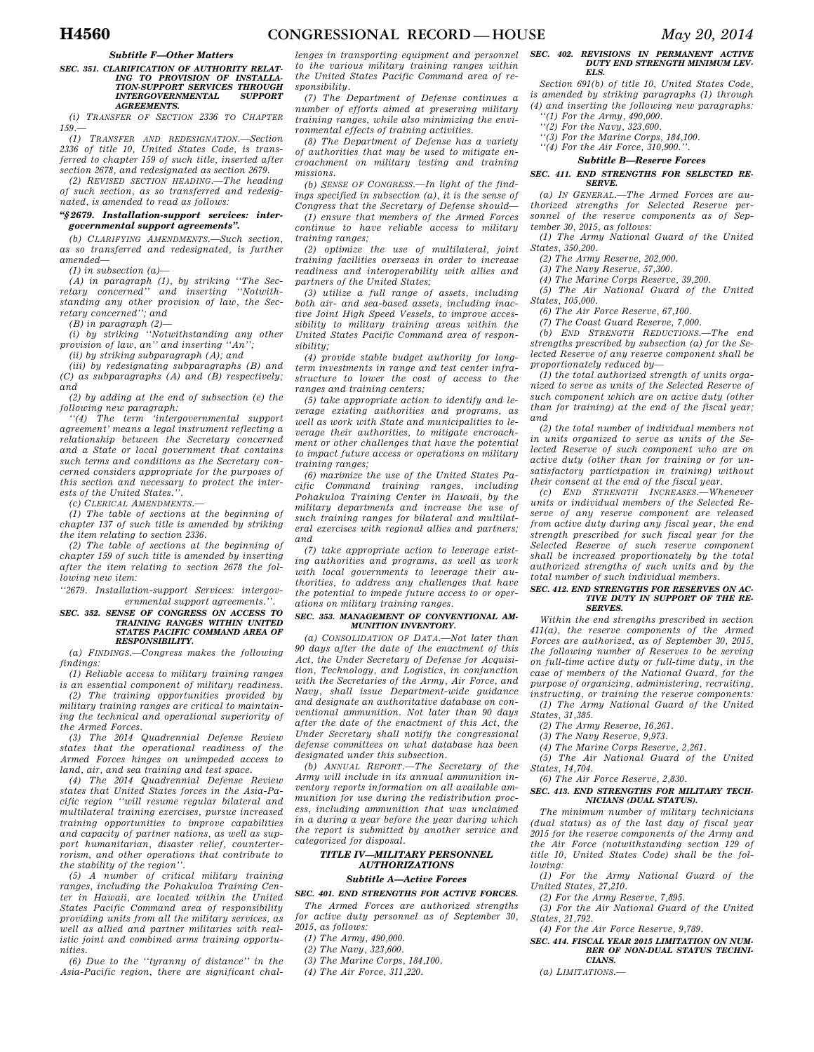#### *Subtitle F—Other Matters*

#### *SEC. 351. CLARIFICATION OF AUTHORITY RELAT-ING TO PROVISION OF INSTALLA-TION-SUPPORT SERVICES THROUGH*   $\emph{INTERGOVERNMENTAL}$ *AGREEMENTS.*

*(i) TRANSFER OF SECTION 2336 TO CHAPTER 159.—* 

*(1) TRANSFER AND REDESIGNATION.—Section 2336 of title 10, United States Code, is transferred to chapter 159 of such title, inserted after section 2678, and redesignated as section 2679.* 

*(2) REVISED SECTION HEADING.—The heading of such section, as so transferred and redesignated, is amended to read as follows:* 

#### *''§ 2679. Installation-support services: intergovernmental support agreements''.*

*(b) CLARIFYING AMENDMENTS.—Such section, as so transferred and redesignated, is further amended—* 

*(1) in subsection (a)—* 

*(A) in paragraph (1), by striking ''The Secretary concerned'' and inserting ''Notwithstanding any other provision of law, the Secretary concerned''; and* 

*(B) in paragraph (2)—* 

*(i) by striking ''Notwithstanding any other provision of law, an'' and inserting ''An'';* 

*(ii) by striking subparagraph (A); and* 

*(iii) by redesignating subparagraphs (B) and (C) as subparagraphs (A) and (B) respectively; and* 

*(2) by adding at the end of subsection (e) the following new paragraph:* 

*''(4) The term 'intergovernmental support agreement' means a legal instrument reflecting a relationship between the Secretary concerned and a State or local government that contains such terms and conditions as the Secretary concerned considers appropriate for the purposes of this section and necessary to protect the interests of the United States.''.* 

*(c) CLERICAL AMENDMENTS.—* 

*(1) The table of sections at the beginning of chapter 137 of such title is amended by striking the item relating to section 2336.* 

*(2) The table of sections at the beginning of chapter 159 of such title is amended by inserting after the item relating to section 2678 the following new item:* 

*''2679. Installation-support Services: intergovernmental support agreements.''.* 

#### *SEC. 352. SENSE OF CONGRESS ON ACCESS TO TRAINING RANGES WITHIN UNITED STATES PACIFIC COMMAND AREA OF RESPONSIBILITY.*

*(a) FINDINGS.—Congress makes the following findings:* 

*(1) Reliable access to military training ranges is an essential component of military readiness. (2) The training opportunities provided by* 

*military training ranges are critical to maintaining the technical and operational superiority of the Armed Forces.* 

*(3) The 2014 Quadrennial Defense Review states that the operational readiness of the Armed Forces hinges on unimpeded access to land, air, and sea training and test space.* 

*(4) The 2014 Quadrennial Defense Review states that United States forces in the Asia-Pacific region ''will resume regular bilateral and multilateral training exercises, pursue increased training opportunities to improve capabilities and capacity of partner nations, as well as support humanitarian, disaster relief, counterterrorism, and other operations that contribute to the stability of the region''.* 

*(5) A number of critical military training ranges, including the Pohakuloa Training Center in Hawaii, are located within the United States Pacific Command area of responsibility providing units from all the military services, as well as allied and partner militaries with realistic joint and combined arms training opportunities.* 

*(6) Due to the ''tyranny of distance'' in the Asia-Pacific region, there are significant chal-*

*lenges in transporting equipment and personnel to the various military training ranges within the United States Pacific Command area of responsibility.* 

*(7) The Department of Defense continues a number of efforts aimed at preserving military training ranges, while also minimizing the environmental effects of training activities.* 

*(8) The Department of Defense has a variety of authorities that may be used to mitigate encroachment on military testing and training missions.* 

*(b) SENSE OF CONGRESS.—In light of the findings specified in subsection (a), it is the sense of Congress that the Secretary of Defense should—* 

*(1) ensure that members of the Armed Forces continue to have reliable access to military training ranges;* 

*(2) optimize the use of multilateral, joint training facilities overseas in order to increase readiness and interoperability with allies and partners of the United States;* 

*(3) utilize a full range of assets, including both air- and sea-based assets, including inactive Joint High Speed Vessels, to improve accessibility to military training areas within the United States Pacific Command area of responsibility;* 

*(4) provide stable budget authority for longterm investments in range and test center infrastructure to lower the cost of access to the ranges and training centers;* 

*(5) take appropriate action to identify and leverage existing authorities and programs, as well as work with State and municipalities to leverage their authorities, to mitigate encroachment or other challenges that have the potential to impact future access or operations on military training ranges;* 

*(6) maximize the use of the United States Pacific Command training ranges, including Pohakuloa Training Center in Hawaii, by the military departments and increase the use of such training ranges for bilateral and multilateral exercises with regional allies and partners; and* 

*(7) take appropriate action to leverage existing authorities and programs, as well as work with local governments to leverage their authorities, to address any challenges that have the potential to impede future access to or operations on military training ranges.* 

#### *SEC. 353. MANAGEMENT OF CONVENTIONAL AM-MUNITION INVENTORY.*

*(a) CONSOLIDATION OF DATA.—Not later than 90 days after the date of the enactment of this Act, the Under Secretary of Defense for Acquisition, Technology, and Logistics, in conjunction with the Secretaries of the Army, Air Force, and Navy, shall issue Department-wide guidance and designate an authoritative database on conventional ammunition. Not later than 90 days after the date of the enactment of this Act, the Under Secretary shall notify the congressional defense committees on what database has been designated under this subsection.* 

*(b) ANNUAL REPORT.—The Secretary of the Army will include in its annual ammunition inventory reports information on all available ammunition for use during the redistribution process, including ammunition that was unclaimed in a during a year before the year during which the report is submitted by another service and categorized for disposal.* 

### *TITLE IV—MILITARY PERSONNEL AUTHORIZATIONS*

### *Subtitle A—Active Forces*

*SEC. 401. END STRENGTHS FOR ACTIVE FORCES. The Armed Forces are authorized strengths for active duty personnel as of September 30,* 

*2015, as follows:* 

- *(1) The Army, 490,000.*
- *(2) The Navy, 323,600.*
- *(3) The Marine Corps, 184,100.*
- *(4) The Air Force, 311,220.*

#### *SEC. 402. REVISIONS IN PERMANENT ACTIVE DUTY END STRENGTH MINIMUM LEV-ELS.*

*Section 691(b) of title 10, United States Code, is amended by striking paragraphs (1) through (4) and inserting the following new paragraphs: ''(1) For the Army, 490,000.* 

- *''(2) For the Navy, 323,600. ''(3) For the Marine Corps, 184,100.* 
	- *''(4) For the Air Force, 310,900.''.*

#### *Subtitle B—Reserve Forces*

#### *SEC. 411. END STRENGTHS FOR SELECTED RE-SERVE.*

*(a) IN GENERAL.—The Armed Forces are authorized strengths for Selected Reserve personnel of the reserve components as of September 30, 2015, as follows:* 

*(1) The Army National Guard of the United States, 350,200.* 

*(2) The Army Reserve, 202,000.* 

*(3) The Navy Reserve, 57,300.* 

*(4) The Marine Corps Reserve, 39,200.* 

*(5) The Air National Guard of the United States, 105,000.* 

*(6) The Air Force Reserve, 67,100.* 

*(7) The Coast Guard Reserve, 7,000.* 

*(b) END STRENGTH REDUCTIONS.—The end strengths prescribed by subsection (a) for the Selected Reserve of any reserve component shall be proportionately reduced by—* 

*(1) the total authorized strength of units organized to serve as units of the Selected Reserve of such component which are on active duty (other than for training) at the end of the fiscal year; and* 

*(2) the total number of individual members not in units organized to serve as units of the Selected Reserve of such component who are on active duty (other than for training or for unsatisfactory participation in training) without their consent at the end of the fiscal year.* 

*(c) END STRENGTH INCREASES.—Whenever units or individual members of the Selected Reserve of any reserve component are released from active duty during any fiscal year, the end strength prescribed for such fiscal year for the Selected Reserve of such reserve component shall be increased proportionately by the total authorized strengths of such units and by the total number of such individual members.* 

#### *SEC. 412. END STRENGTHS FOR RESERVES ON AC-TIVE DUTY IN SUPPORT OF THE RE-SERVES.*

*Within the end strengths prescribed in section 411(a), the reserve components of the Armed Forces are authorized, as of September 30, 2015, the following number of Reserves to be serving on full-time active duty or full-time duty, in the case of members of the National Guard, for the purpose of organizing, administering, recruiting, instructing, or training the reserve components:* 

*(1) The Army National Guard of the United States, 31,385.* 

*(2) The Army Reserve, 16,261.* 

*(3) The Navy Reserve, 9,973.* 

*(4) The Marine Corps Reserve, 2,261.* 

*(5) The Air National Guard of the United States, 14,704.* 

*(6) The Air Force Reserve, 2,830.* 

#### *SEC. 413. END STRENGTHS FOR MILITARY TECH-NICIANS (DUAL STATUS).*

*The minimum number of military technicians (dual status) as of the last day of fiscal year 2015 for the reserve components of the Army and the Air Force (notwithstanding section 129 of title 10, United States Code) shall be the following:* 

*(1) For the Army National Guard of the United States, 27,210.* 

*(2) For the Army Reserve, 7,895.* 

*(3) For the Air National Guard of the United States, 21,792.* 

*(4) For the Air Force Reserve, 9,789.* 

#### *SEC. 414. FISCAL YEAR 2015 LIMITATION ON NUM-BER OF NON-DUAL STATUS TECHNI-CIANS.*

#### *(a) LIMITATIONS.—*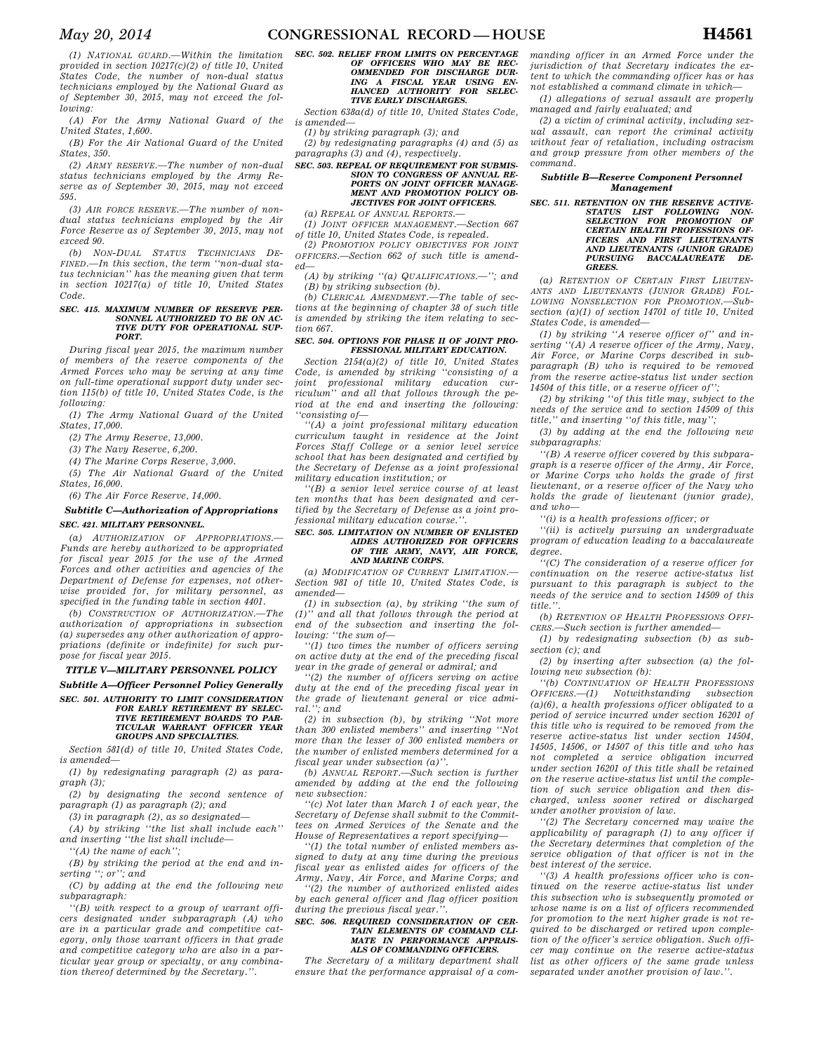*(1) NATIONAL GUARD.—Within the limitation provided in section 10217(c)(2) of title 10, United States Code, the number of non-dual status technicians employed by the National Guard as of September 30, 2015, may not exceed the following:* 

*(A) For the Army National Guard of the United States, 1,600.* 

*(B) For the Air National Guard of the United States, 350.* 

*(2) ARMY RESERVE.—The number of non-dual status technicians employed by the Army Reserve as of September 30, 2015, may not exceed 595.* 

*(3) AIR FORCE RESERVE.—The number of nondual status technicians employed by the Air Force Reserve as of September 30, 2015, may not exceed 90.* 

*(b) NON-DUAL STATUS TECHNICIANS DE-FINED.—In this section, the term ''non-dual status technician'' has the meaning given that term in section 10217(a) of title 10, United States Code.* 

#### *SEC. 415. MAXIMUM NUMBER OF RESERVE PER-SONNEL AUTHORIZED TO BE ON AC-TIVE DUTY FOR OPERATIONAL SUP-PORT.*

*During fiscal year 2015, the maximum number of members of the reserve components of the Armed Forces who may be serving at any time on full-time operational support duty under section 115(b) of title 10, United States Code, is the following:* 

*(1) The Army National Guard of the United States, 17,000.* 

*(2) The Army Reserve, 13,000.* 

*(3) The Navy Reserve, 6,200.* 

*(4) The Marine Corps Reserve, 3,000.* 

*(5) The Air National Guard of the United States, 16,000.* 

*(6) The Air Force Reserve, 14,000.* 

## *Subtitle C—Authorization of Appropriations*

#### *SEC. 421. MILITARY PERSONNEL.*

*(a) AUTHORIZATION OF APPROPRIATIONS.— Funds are hereby authorized to be appropriated for fiscal year 2015 for the use of the Armed Forces and other activities and agencies of the Department of Defense for expenses, not otherwise provided for, for military personnel, as specified in the funding table in section 4401.* 

*(b) CONSTRUCTION OF AUTHORIZATION.—The authorization of appropriations in subsection (a) supersedes any other authorization of appropriations (definite or indefinite) for such purpose for fiscal year 2015.* 

#### *TITLE V—MILITARY PERSONNEL POLICY*

*Subtitle A—Officer Personnel Policy Generally SEC. 501. AUTHORITY TO LIMIT CONSIDERATION* 

#### *FOR EARLY RETIREMENT BY SELEC-TIVE RETIREMENT BOARDS TO PAR-TICULAR WARRANT OFFICER YEAR GROUPS AND SPECIALTIES.*

*Section 581(d) of title 10, United States Code, is amended—* 

*(1) by redesignating paragraph (2) as paragraph (3);* 

*(2) by designating the second sentence of paragraph (1) as paragraph (2); and* 

*(3) in paragraph (2), as so designated—* 

*(A) by striking ''the list shall include each'' and inserting ''the list shall include—* 

*''(A) the name of each'';* 

*(B) by striking the period at the end and inserting ''; or''; and* 

*(C) by adding at the end the following new subparagraph:* 

*''(B) with respect to a group of warrant officers designated under subparagraph (A) who are in a particular grade and competitive category, only those warrant officers in that grade and competitive category who are also in a particular year group or specialty, or any combination thereof determined by the Secretary.''.* 

## *SEC. 502. RELIEF FROM LIMITS ON PERCENTAGE OF OFFICERS WHO MAY BE REC-OMMENDED FOR DISCHARGE DUR-ING A FISCAL YEAR USING EN-HANCED AUTHORITY FOR SELEC-TIVE EARLY DISCHARGES.*

*Section 638a(d) of title 10, United States Code, is amended—* 

*(1) by striking paragraph (3); and* 

*(2) by redesignating paragraphs (4) and (5) as paragraphs (3) and (4), respectively.* 

#### *SEC. 503. REPEAL OF REQUIREMENT FOR SUBMIS-SION TO CONGRESS OF ANNUAL RE-PORTS ON JOINT OFFICER MANAGE-MENT AND PROMOTION POLICY OB-JECTIVES FOR JOINT OFFICERS.*

*(a) REPEAL OF ANNUAL REPORTS.— (1) JOINT OFFICER MANAGEMENT.—Section 667 of title 10, United States Code, is repealed.* 

*(2) PROMOTION POLICY OBJECTIVES FOR JOINT OFFICERS.—Section 662 of such title is amended—* 

*(A) by striking ''(a) QUALIFICATIONS.—''; and (B) by striking subsection (b).* 

*(b) CLERICAL AMENDMENT.—The table of sections at the beginning of chapter 38 of such title is amended by striking the item relating to section 667.* 

#### *SEC. 504. OPTIONS FOR PHASE II OF JOINT PRO-FESSIONAL MILITARY EDUCATION.*

*Section 2154(a)(2) of title 10, United States Code, is amended by striking ''consisting of a joint professional military education curriculum'' and all that follows through the period at the end and inserting the following: ''consisting of—* 

*''(A) a joint professional military education curriculum taught in residence at the Joint Forces Staff College or a senior level service school that has been designated and certified by the Secretary of Defense as a joint professional military education institution; or* 

*''(B) a senior level service course of at least ten months that has been designated and certified by the Secretary of Defense as a joint professional military education course.''.* 

#### *SEC. 505. LIMITATION ON NUMBER OF ENLISTED AIDES AUTHORIZED FOR OFFICERS OF THE ARMY, NAVY, AIR FORCE, AND MARINE CORPS.*

*(a) MODIFICATION OF CURRENT LIMITATION.— Section 981 of title 10, United States Code, is amended—* 

*(1) in subsection (a), by striking ''the sum of (1)'' and all that follows through the period at end of the subsection and inserting the following: ''the sum of—* 

*''(1) two times the number of officers serving on active duty at the end of the preceding fiscal year in the grade of general or admiral; and* 

*''(2) the number of officers serving on active duty at the end of the preceding fiscal year in the grade of lieutenant general or vice admiral.''; and* 

*(2) in subsection (b), by striking ''Not more than 300 enlisted members'' and inserting ''Not more than the lesser of 300 enlisted members or the number of enlisted members determined for a fiscal year under subsection (a)''.* 

*(b) ANNUAL REPORT.—Such section is further amended by adding at the end the following new subsection:* 

*''(c) Not later than March 1 of each year, the Secretary of Defense shall submit to the Committees on Armed Services of the Senate and the House of Representatives a report specifying—* 

*''(1) the total number of enlisted members assigned to duty at any time during the previous fiscal year as enlisted aides for officers of the Army, Navy, Air Force, and Marine Corps; and* 

*''(2) the number of authorized enlisted aides by each general officer and flag officer position during the previous fiscal year.''.* 

#### *SEC. 506. REQUIRED CONSIDERATION OF CER-TAIN ELEMENTS OF COMMAND CLI-MATE IN PERFORMANCE APPRAIS-ALS OF COMMANDING OFFICERS.*

*The Secretary of a military department shall ensure that the performance appraisal of a com-* *manding officer in an Armed Force under the jurisdiction of that Secretary indicates the extent to which the commanding officer has or has not established a command climate in which—* 

*(1) allegations of sexual assault are properly managed and fairly evaluated; and* 

*(2) a victim of criminal activity, including sexual assault, can report the criminal activity without fear of retaliation, including ostracism and group pressure from other members of the command.* 

#### *Subtitle B—Reserve Component Personnel Management*

*SEC. 511. RETENTION ON THE RESERVE ACTIVE-STATUS LIST FOLLOWING NON-SELECTION FOR PROMOTION OF CERTAIN HEALTH PROFESSIONS OF-FICERS AND FIRST LIEUTENANTS AND LIEUTENANTS (JUNIOR GRADE) PURSUING BACCALAUREATE DE-GREES.* 

*(a) RETENTION OF CERTAIN FIRST LIEUTEN-ANTS AND LIEUTENANTS (JUNIOR GRADE) FOL-LOWING NONSELECTION FOR PROMOTION.—Subsection (a)(1) of section 14701 of title 10, United States Code, is amended—* 

*(1) by striking ''A reserve officer of'' and inserting ''(A) A reserve officer of the Army, Navy, Air Force, or Marine Corps described in subparagraph (B) who is required to be removed from the reserve active-status list under section 14504 of this title, or a reserve officer of'';* 

*(2) by striking ''of this title may, subject to the needs of the service and to section 14509 of this title,'' and inserting ''of this title, may'';* 

*(3) by adding at the end the following new subparagraphs:* 

*''(B) A reserve officer covered by this subparagraph is a reserve officer of the Army, Air Force, or Marine Corps who holds the grade of first lieutenant, or a reserve officer of the Navy who holds the grade of lieutenant (junior grade), and who—* 

*''(i) is a health professions officer; or* 

*''(ii) is actively pursuing an undergraduate program of education leading to a baccalaureate degree.* 

*''(C) The consideration of a reserve officer for continuation on the reserve active-status list pursuant to this paragraph is subject to the needs of the service and to section 14509 of this title.''.* 

*(b) RETENTION OF HEALTH PROFESSIONS OFFI-CERS.—Such section is further amended—* 

*(1) by redesignating subsection (b) as subsection (c); and* 

*(2) by inserting after subsection (a) the following new subsection (b):* 

*''(b) CONTINUATION OF HEALTH PROFESSIONS OFFICERS.—(1) Notwithstanding subsection (a)(6), a health professions officer obligated to a period of service incurred under section 16201 of this title who is required to be removed from the reserve active-status list under section 14504, 14505, 14506, or 14507 of this title and who has not completed a service obligation incurred under section 16201 of this title shall be retained on the reserve active-status list until the completion of such service obligation and then discharged, unless sooner retired or discharged under another provision of law.* 

*''(2) The Secretary concerned may waive the applicability of paragraph (1) to any officer if the Secretary determines that completion of the service obligation of that officer is not in the best interest of the service.* 

*''(3) A health professions officer who is continued on the reserve active-status list under this subsection who is subsequently promoted or whose name is on a list of officers recommended for promotion to the next higher grade is not required to be discharged or retired upon completion of the officer's service obligation. Such officer may continue on the reserve active-status list as other officers of the same grade unless separated under another provision of law.''.*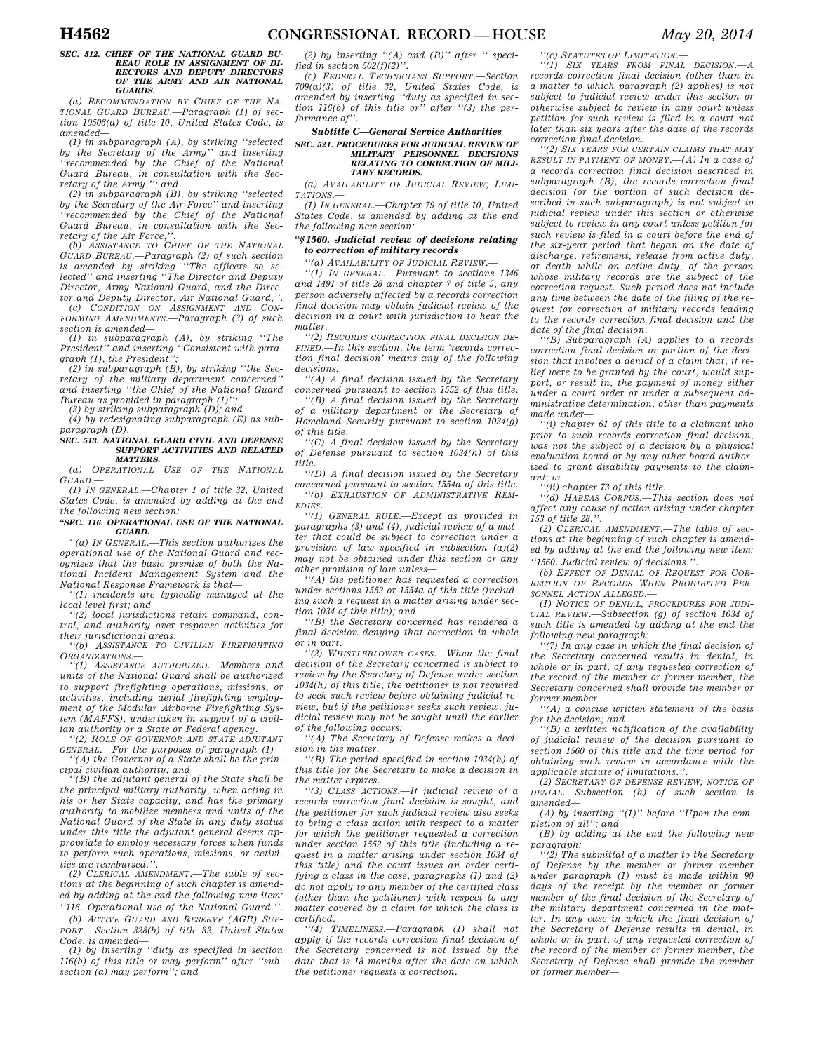#### *SEC. 512. CHIEF OF THE NATIONAL GUARD BU-REAU ROLE IN ASSIGNMENT OF DI-RECTORS AND DEPUTY DIRECTORS OF THE ARMY AND AIR NATIONAL GUARDS.*

*(a) RECOMMENDATION BY CHIEF OF THE NA-TIONAL GUARD BUREAU.—Paragraph (1) of section 10506(a) of title 10, United States Code, is amended—* 

*(1) in subparagraph (A), by striking ''selected by the Secretary of the Army'' and inserting ''recommended by the Chief of the National Guard Bureau, in consultation with the Secretary of the Army,''; and* 

*(2) in subparagraph (B), by striking ''selected by the Secretary of the Air Force'' and inserting ''recommended by the Chief of the National Guard Bureau, in consultation with the Secretary of the Air Force,''.* 

*(b) ASSISTANCE TO CHIEF OF THE NATIONAL GUARD BUREAU.—Paragraph (2) of such section is amended by striking ''The officers so selected'' and inserting ''The Director and Deputy Director, Army National Guard, and the Director and Deputy Director, Air National Guard,''.* 

*(c) CONDITION ON ASSIGNMENT AND CON-FORMING AMENDMENTS.—Paragraph (3) of such section is amended—* 

*(1) in subparagraph (A), by striking ''The President'' and inserting ''Consistent with paragraph (1), the President'';* 

*(2) in subparagraph (B), by striking ''the Secretary of the military department concerned'' and inserting ''the Chief of the National Guard Bureau as provided in paragraph (1)'';* 

*(3) by striking subparagraph (D); and (4) by redesignating subparagraph (E) as sub-*

*paragraph (D).* 

#### *SEC. 513. NATIONAL GUARD CIVIL AND DEFENSE SUPPORT ACTIVITIES AND RELATED MATTERS.*

*(a) OPERATIONAL USE OF THE NATIONAL GUARD.—* 

*(1) IN GENERAL.—Chapter 1 of title 32, United States Code, is amended by adding at the end the following new section:* 

#### *''SEC. 116. OPERATIONAL USE OF THE NATIONAL GUARD.*

*''(a) IN GENERAL.—This section authorizes the operational use of the National Guard and recognizes that the basic premise of both the National Incident Management System and the National Response Framework is that—* 

*''(1) incidents are typically managed at the local level first; and* 

*''(2) local jurisdictions retain command, control, and authority over response activities for their jurisdictional areas.* 

*''(b) ASSISTANCE TO CIVILIAN FIREFIGHTING ORGANIZATIONS.—* 

*''(1) ASSISTANCE AUTHORIZED.—Members and units of the National Guard shall be authorized to support firefighting operations, missions, or activities, including aerial firefighting employment of the Modular Airborne Firefighting System (MAFFS), undertaken in support of a civilian authority or a State or Federal agency.* 

*''(2) ROLE OF GOVERNOR AND STATE ADJUTANT GENERAL.—For the purposes of paragraph (1)— ''(A) the Governor of a State shall be the principal civilian authority; and* 

*''(B) the adjutant general of the State shall be the principal military authority, when acting in his or her State capacity, and has the primary authority to mobilize members and units of the National Guard of the State in any duty status under this title the adjutant general deems appropriate to employ necessary forces when funds to perform such operations, missions, or activities are reimbursed.''.* 

*(2) CLERICAL AMENDMENT.—The table of sections at the beginning of such chapter is amended by adding at the end the following new item: ''116. Operational use of the National Guard.''.* 

*(b) ACTIVE GUARD AND RESERVE (AGR) SUP-PORT.—Section 328(b) of title 32, United States Code, is amended—* 

*(1) by inserting ''duty as specified in section 116(b) of this title or may perform'' after ''subsection (a) may perform''; and* 

*(2) by inserting ''(A) and (B)'' after '' specified in section 502(f)(2)''.* 

*(c) FEDERAL TECHNICIANS SUPPORT.—Section 709(a)(3) of title 32, United States Code, is amended by inserting ''duty as specified in section 116(b) of this title or'' after ''(3) the per*formance of

#### *Subtitle C—General Service Authorities*

### *SEC. 521. PROCEDURES FOR JUDICIAL REVIEW OF MILITARY PERSONNEL DECISIONS RELATING TO CORRECTION OF MILI-TARY RECORDS.*

*(a) AVAILABILITY OF JUDICIAL REVIEW; LIMI-TATIONS.—* 

*(1) IN GENERAL.—Chapter 79 of title 10, United States Code, is amended by adding at the end the following new section:* 

#### *''§ 1560. Judicial review of decisions relating to correction of military records*

*''(a) AVAILABILITY OF JUDICIAL REVIEW.—* 

*''(1) IN GENERAL.—Pursuant to sections 1346 and 1491 of title 28 and chapter 7 of title 5, any person adversely affected by a records correction final decision may obtain judicial review of the decision in a court with jurisdiction to hear the matter.* 

*''(2) RECORDS CORRECTION FINAL DECISION DE-FINED.—In this section, the term 'records correction final decision' means any of the following decisions:* 

*''(A) A final decision issued by the Secretary concerned pursuant to section 1552 of this title.* 

*''(B) A final decision issued by the Secretary of a military department or the Secretary of Homeland Security pursuant to section 1034(g) of this title.* 

*''(C) A final decision issued by the Secretary of Defense pursuant to section 1034(h) of this title.* 

*''(D) A final decision issued by the Secretary concerned pursuant to section 1554a of this title. ''(b) EXHAUSTION OF ADMINISTRATIVE REM-EDIES.—* 

*''(1) GENERAL RULE.—Except as provided in paragraphs (3) and (4), judicial review of a matter that could be subject to correction under a provision of law specified in subsection (a)(2) may not be obtained under this section or any other provision of law unless—* 

*''(A) the petitioner has requested a correction under sections 1552 or 1554a of this title (including such a request in a matter arising under section 1034 of this title); and* 

*''(B) the Secretary concerned has rendered a final decision denying that correction in whole or in part.* 

*''(2) WHISTLEBLOWER CASES.—When the final decision of the Secretary concerned is subject to review by the Secretary of Defense under section 1034(h) of this title, the petitioner is not required to seek such review before obtaining judicial review, but if the petitioner seeks such review, judicial review may not be sought until the earlier of the following occurs:* 

*''(A) The Secretary of Defense makes a decision in the matter.* 

*''(B) The period specified in section 1034(h) of this title for the Secretary to make a decision in the matter expires.* 

*''(3) CLASS ACTIONS.—If judicial review of a records correction final decision is sought, and the petitioner for such judicial review also seeks to bring a class action with respect to a matter for which the petitioner requested a correction under section 1552 of this title (including a request in a matter arising under section 1034 of this title) and the court issues an order certifying a class in the case, paragraphs (1) and (2) do not apply to any member of the certified class (other than the petitioner) with respect to any matter covered by a claim for which the class is certified.* 

*''(4) TIMELINESS.—Paragraph (1) shall not apply if the records correction final decision of the Secretary concerned is not issued by the date that is 18 months after the date on which the petitioner requests a correction.* 

*''(c) STATUTES OF LIMITATION.—* 

*''(1) SIX YEARS FROM FINAL DECISION.—A records correction final decision (other than in a matter to which paragraph (2) applies) is not subject to judicial review under this section or otherwise subject to review in any court unless petition for such review is filed in a court not later than six years after the date of the records correction final decision.* 

*''(2) SIX YEARS FOR CERTAIN CLAIMS THAT MAY RESULT IN PAYMENT OF MONEY.—(A) In a case of a records correction final decision described in subparagraph (B), the records correction final decision (or the portion of such decision described in such subparagraph) is not subject to judicial review under this section or otherwise subject to review in any court unless petition for such review is filed in a court before the end of the six-year period that began on the date of discharge, retirement, release from active duty, or death while on active duty, of the person whose military records are the subject of the correction request. Such period does not include any time between the date of the filing of the request for correction of military records leading to the records correction final decision and the date of the final decision.* 

*''(B) Subparagraph (A) applies to a records correction final decision or portion of the decision that involves a denial of a claim that, if relief were to be granted by the court, would support, or result in, the payment of money either under a court order or under a subsequent administrative determination, other than payments made under—* 

*''(i) chapter 61 of this title to a claimant who prior to such records correction final decision, was not the subject of a decision by a physical evaluation board or by any other board authorized to grant disability payments to the claimant; or* 

*''(ii) chapter 73 of this title.* 

*''(d) HABEAS CORPUS.—This section does not affect any cause of action arising under chapter 153 of title 28.''.* 

*(2) CLERICAL AMENDMENT.—The table of sections at the beginning of such chapter is amended by adding at the end the following new item: ''1560. Judicial review of decisions.''.* 

*(b) EFFECT OF DENIAL OF REQUEST FOR COR-RECTION OF RECORDS WHEN PROHIBITED PER-SONNEL ACTION ALLEGED.—* 

*(1) NOTICE OF DENIAL; PROCEDURES FOR JUDI-CIAL REVIEW.—Subsection (g) of section 1034 of such title is amended by adding at the end the following new paragraph:* 

*''(7) In any case in which the final decision of the Secretary concerned results in denial, in whole or in part, of any requested correction of the record of the member or former member, the Secretary concerned shall provide the member or former member—* 

*''(A) a concise written statement of the basis for the decision; and* 

*''(B) a written notification of the availability of judicial review of the decision pursuant to section 1560 of this title and the time period for obtaining such review in accordance with the applicable statute of limitations.''.* 

*(2) SECRETARY OF DEFENSE REVIEW; NOTICE OF DENIAL.—Subsection (h) of such section is amended—* 

*(A) by inserting ''(1)'' before ''Upon the completion of all''; and* 

*(B) by adding at the end the following new paragraph:* 

*''(2) The submittal of a matter to the Secretary of Defense by the member or former member under paragraph (1) must be made within 90 days of the receipt by the member or former member of the final decision of the Secretary of the military department concerned in the matter. In any case in which the final decision of the Secretary of Defense results in denial, in whole or in part, of any requested correction of the record of the member or former member, the Secretary of Defense shall provide the member or former member—*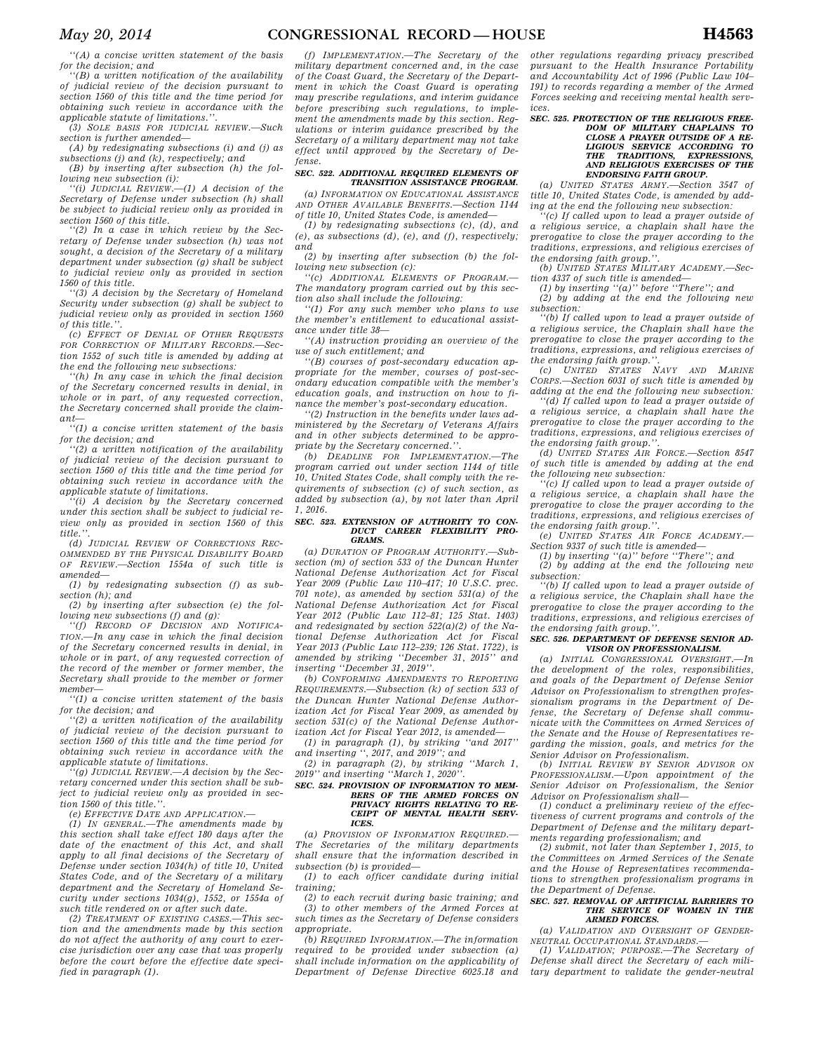*''(A) a concise written statement of the basis for the decision; and* 

*''(B) a written notification of the availability of judicial review of the decision pursuant to section 1560 of this title and the time period for obtaining such review in accordance with the* 

*applicable statute of limitations.''. (3) SOLE BASIS FOR JUDICIAL REVIEW.—Such section is further amended—* 

*(A) by redesignating subsections (i) and (j) as subsections (j) and (k), respectively; and (B) by inserting after subsection (h) the fol-*

*lowing new subsection (i): ''(i) JUDICIAL REVIEW.—(1) A decision of the Secretary of Defense under subsection (h) shall be subject to judicial review only as provided in* 

*section 1560 of this title. ''(2) In a case in which review by the Secretary of Defense under subsection (h) was not sought, a decision of the Secretary of a military department under subsection (g) shall be subject to judicial review only as provided in section 1560 of this title.* 

*''(3) A decision by the Secretary of Homeland Security under subsection (g) shall be subject to judicial review only as provided in section 1560 of this title.''.* 

*(c) EFFECT OF DENIAL OF OTHER REQUESTS FOR CORRECTION OF MILITARY RECORDS.—Section 1552 of such title is amended by adding at the end the following new subsections:* 

*''(h) In any case in which the final decision of the Secretary concerned results in denial, in whole or in part, of any requested correction, the Secretary concerned shall provide the claimant—* 

*''(1) a concise written statement of the basis for the decision; and* 

*''(2) a written notification of the availability of judicial review of the decision pursuant to section 1560 of this title and the time period for obtaining such review in accordance with the applicable statute of limitations.* 

*''(i) A decision by the Secretary concerned under this section shall be subject to judicial review only as provided in section 1560 of this title.''.* 

*(d) JUDICIAL REVIEW OF CORRECTIONS REC-OMMENDED BY THE PHYSICAL DISABILITY BOARD OF REVIEW.—Section 1554a of such title is amended—* 

*(1) by redesignating subsection (f) as subsection (h); and* 

*(2) by inserting after subsection (e) the following new subsections (f) and (g):* 

*''(f) RECORD OF DECISION AND NOTIFICA-TION.—In any case in which the final decision of the Secretary concerned results in denial, in whole or in part, of any requested correction of the record of the member or former member, the Secretary shall provide to the member or former member—* 

*''(1) a concise written statement of the basis for the decision; and* 

*''(2) a written notification of the availability of judicial review of the decision pursuant to section 1560 of this title and the time period for obtaining such review in accordance with the applicable statute of limitations.* 

*''(g) JUDICIAL REVIEW.—A decision by the Secretary concerned under this section shall be subject to judicial review only as provided in section 1560 of this title.''.* 

*(e) EFFECTIVE DATE AND APPLICATION.—* 

*(1) IN GENERAL.—The amendments made by this section shall take effect 180 days after the date of the enactment of this Act, and shall apply to all final decisions of the Secretary of Defense under section 1034(h) of title 10, United States Code, and of the Secretary of a military department and the Secretary of Homeland Security under sections 1034(g), 1552, or 1554a of such title rendered on or after such date.* 

*(2) TREATMENT OF EXISTING CASES.—This section and the amendments made by this section do not affect the authority of any court to exercise jurisdiction over any case that was properly before the court before the effective date specified in paragraph (1).* 

*(f) IMPLEMENTATION.—The Secretary of the military department concerned and, in the case of the Coast Guard, the Secretary of the Department in which the Coast Guard is operating may prescribe regulations, and interim guidance before prescribing such regulations, to implement the amendments made by this section. Regulations or interim guidance prescribed by the Secretary of a military department may not take effect until approved by the Secretary of Defense.* 

#### *SEC. 522. ADDITIONAL REQUIRED ELEMENTS OF TRANSITION ASSISTANCE PROGRAM.*

*(a) INFORMATION ON EDUCATIONAL ASSISTANCE AND OTHER AVAILABLE BENEFITS.—Section 1144 of title 10, United States Code, is amended—* 

*(1) by redesignating subsections (c), (d), and (e), as subsections (d), (e), and (f), respectively; and* 

*(2) by inserting after subsection (b) the following new subsection (c):* 

*''(c) ADDITIONAL ELEMENTS OF PROGRAM.— The mandatory program carried out by this section also shall include the following:* 

*''(1) For any such member who plans to use the member's entitlement to educational assistance under title 38—* 

*''(A) instruction providing an overview of the use of such entitlement; and* 

*''(B) courses of post-secondary education appropriate for the member, courses of post-secondary education compatible with the member's education goals, and instruction on how to finance the member's post-secondary education.* 

*''(2) Instruction in the benefits under laws administered by the Secretary of Veterans Affairs and in other subjects determined to be appropriate by the Secretary concerned.''.* 

*(b) DEADLINE FOR IMPLEMENTATION.—The program carried out under section 1144 of title 10, United States Code, shall comply with the requirements of subsection (c) of such section, as added by subsection (a), by not later than April 1, 2016.* 

### *SEC. 523. EXTENSION OF AUTHORITY TO CON-DUCT CAREER FLEXIBILITY PRO-GRAMS.*

*(a) DURATION OF PROGRAM AUTHORITY.—Subsection (m) of section 533 of the Duncan Hunter National Defense Authorization Act for Fiscal Year 2009 (Public Law 110–417; 10 U.S.C. prec. 701 note), as amended by section 531(a) of the National Defense Authorization Act for Fiscal Year 2012 (Public Law 112–81; 125 Stat. 1403) and redesignated by section 522(a)(2) of the National Defense Authorization Act for Fiscal Year 2013 (Public Law 112–239; 126 Stat. 1722), is amended by striking ''December 31, 2015'' and inserting ''December 31, 2019''.* 

*(b) CONFORMING AMENDMENTS TO REPORTING REQUIREMENTS.—Subsection (k) of section 533 of the Duncan Hunter National Defense Authorization Act for Fiscal Year 2009, as amended by section 531(c) of the National Defense Authorization Act for Fiscal Year 2012, is amended—* 

*(1) in paragraph (1), by striking ''and 2017'' and inserting '', 2017, and 2019''; and* 

*(2) in paragraph (2), by striking ''March 1, 2019'' and inserting ''March 1, 2020''.* 

#### *SEC. 524. PROVISION OF INFORMATION TO MEM-BERS OF THE ARMED FORCES ON PRIVACY RIGHTS RELATING TO RE-CEIPT OF MENTAL HEALTH SERV-ICES.*

*(a) PROVISION OF INFORMATION REQUIRED.— The Secretaries of the military departments shall ensure that the information described in subsection (b) is provided—* 

*(1) to each officer candidate during initial training;* 

*(2) to each recruit during basic training; and (3) to other members of the Armed Forces at such times as the Secretary of Defense considers appropriate.* 

*(b) REQUIRED INFORMATION.—The information required to be provided under subsection (a) shall include information on the applicability of Department of Defense Directive 6025.18 and* 

*other regulations regarding privacy prescribed pursuant to the Health Insurance Portability and Accountability Act of 1996 (Public Law 104– 191) to records regarding a member of the Armed Forces seeking and receiving mental health services.* 

## *SEC. 525. PROTECTION OF THE RELIGIOUS FREE-DOM OF MILITARY CHAPLAINS TO CLOSE A PRAYER OUTSIDE OF A RE-LIGIOUS SERVICE ACCORDING TO THE TRADITIONS, EXPRESSIONS, AND RELIGIOUS EXERCISES OF THE ENDORSING FAITH GROUP.*

*(a) UNITED STATES ARMY.—Section 3547 of title 10, United States Code, is amended by adding at the end the following new subsection:* 

*''(c) If called upon to lead a prayer outside of a religious service, a chaplain shall have the prerogative to close the prayer according to the traditions, expressions, and religious exercises of the endorsing faith group.''. (b) UNITED STATES MILITARY ACADEMY.—Sec-*

*tion 4337 of such title is amended—* 

*(1) by inserting ''(a)'' before ''There''; and* 

*(2) by adding at the end the following new subsection: ''(b) If called upon to lead a prayer outside of a religious service, the Chaplain shall have the* 

*prerogative to close the prayer according to the traditions, expressions, and religious exercises of the endorsing faith group.''. (c) UNITED STATES NAVY AND MARINE*

*CORPS.—Section 6031 of such title is amended by adding at the end the following new subsection:* 

*''(d) If called upon to lead a prayer outside of a religious service, a chaplain shall have the prerogative to close the prayer according to the traditions, expressions, and religious exercises of*   $the$  endorsing faith group.

*(d) UNITED STATES AIR FORCE.—Section 8547 of such title is amended by adding at the end the following new subsection:* 

*''(c) If called upon to lead a prayer outside of a religious service, a chaplain shall have the prerogative to close the prayer according to the traditions, expressions, and religious exercises of the endorsing faith group.''.* 

*(e) UNITED STATES AIR FORCE ACADEMY.— Section 9337 of such title is amended—* 

*(1) by inserting ''(a)'' before ''There''; and* 

*(2) by adding at the end the following new subsection:* 

*''(b) If called upon to lead a prayer outside of a religious service, the Chaplain shall have the prerogative to close the prayer according to the traditions, expressions, and religious exercises of the endorsing faith group.''.* 

#### *SEC. 526. DEPARTMENT OF DEFENSE SENIOR AD-VISOR ON PROFESSIONALISM.*

*(a) INITIAL CONGRESSIONAL OVERSIGHT. the development of the roles, responsibilities, and goals of the Department of Defense Senior Advisor on Professionalism to strengthen professionalism programs in the Department of Defense, the Secretary of Defense shall communicate with the Committees on Armed Services of the Senate and the House of Representatives regarding the mission, goals, and metrics for the Senior Advisor on Professionalism.* 

*(b) INITIAL REVIEW BY SENIOR ADVISOR ON PROFESSIONALISM.—Upon appointment of the Senior Advisor on Professionalism, the Senior Advisor on Professionalism shall—* 

*(1) conduct a preliminary review of the effectiveness of current programs and controls of the Department of Defense and the military departments regarding professionalism; and* 

*(2) submit, not later than September 1, 2015, to the Committees on Armed Services of the Senate and the House of Representatives recommendations to strengthen professionalism programs in the Department of Defense.* 

#### *SEC. 527. REMOVAL OF ARTIFICIAL BARRIERS TO THE SERVICE OF WOMEN IN THE ARMED FORCES.*

*(a) VALIDATION AND OVERSIGHT OF GENDER-NEUTRAL OCCUPATIONAL STANDARDS.—* 

*(1) VALIDATION; PURPOSE.—The Secretary of Defense shall direct the Secretary of each military department to validate the gender-neutral*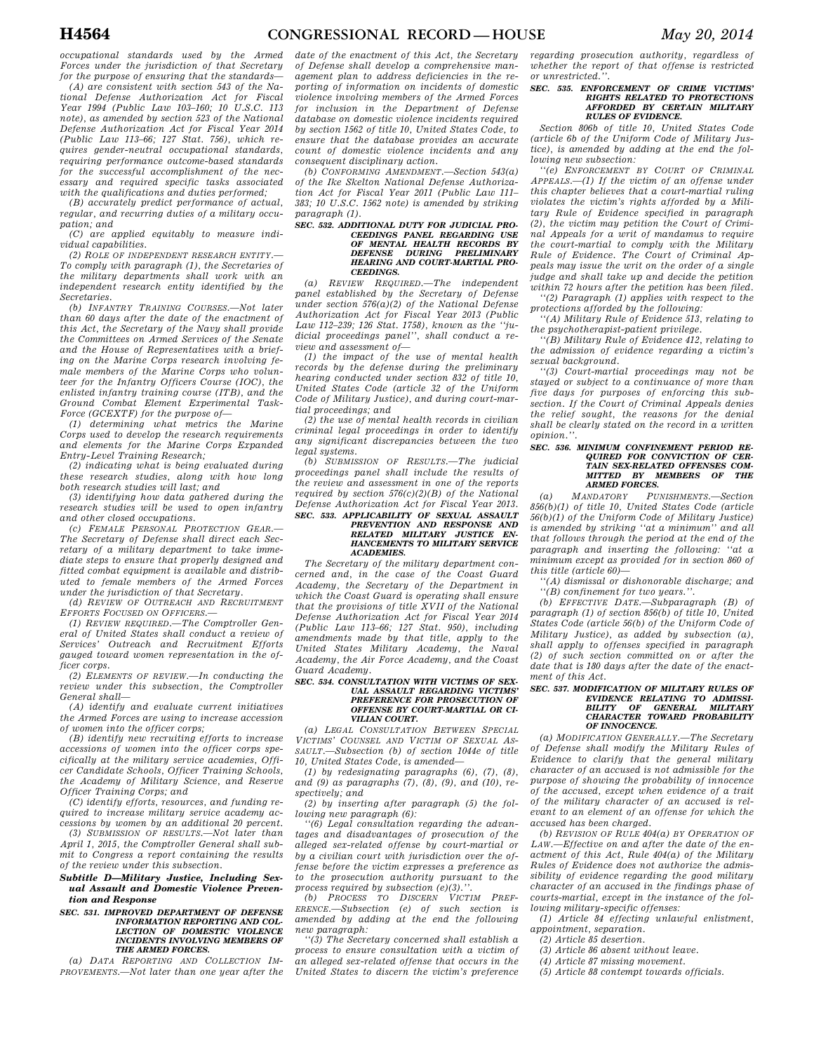*occupational standards used by the Armed Forces under the jurisdiction of that Secretary for the purpose of ensuring that the standards—* 

*(A) are consistent with section 543 of the National Defense Authorization Act for Fiscal Year 1994 (Public Law 103–160; 10 U.S.C. 113 note), as amended by section 523 of the National Defense Authorization Act for Fiscal Year 2014 (Public Law 113–66; 127 Stat. 756), which requires gender-neutral occupational standards, requiring performance outcome-based standards for the successful accomplishment of the necessary and required specific tasks associated with the qualifications and duties performed;* 

*(B) accurately predict performance of actual, regular, and recurring duties of a military occupation; and* 

*(C) are applied equitably to measure individual capabilities.* 

*(2) ROLE OF INDEPENDENT RESEARCH ENTITY.— To comply with paragraph (1), the Secretaries of the military departments shall work with an independent research entity identified by the Secretaries.* 

*(b) INFANTRY TRAINING COURSES.—Not later than 60 days after the date of the enactment of this Act, the Secretary of the Navy shall provide the Committees on Armed Services of the Senate and the House of Representatives with a briefing on the Marine Corps research involving female members of the Marine Corps who volunteer for the Infantry Officers Course (IOC), the enlisted infantry training course (ITB), and the Ground Combat Element Experimental Task-Force (GCEXTF) for the purpose of—* 

*(1) determining what metrics the Marine Corps used to develop the research requirements and elements for the Marine Corps Expanded Entry-Level Training Research;* 

*(2) indicating what is being evaluated during these research studies, along with how long both research studies will last; and* 

*(3) identifying how data gathered during the research studies will be used to open infantry and other closed occupations.* 

*(c) FEMALE PERSONAL PROTECTION GEAR.— The Secretary of Defense shall direct each Secretary of a military department to take immediate steps to ensure that properly designed and fitted combat equipment is available and distributed to female members of the Armed Forces under the jurisdiction of that Secretary.* 

*(d) REVIEW OF OUTREACH AND RECRUITMENT EFFORTS FOCUSED ON OFFICERS.—* 

*(1) REVIEW REQUIRED.—The Comptroller General of United States shall conduct a review of Services' Outreach and Recruitment Efforts gauged toward women representation in the officer corps.* 

*(2) ELEMENTS OF REVIEW.—In conducting the review under this subsection, the Comptroller General shall—* 

*(A) identify and evaluate current initiatives the Armed Forces are using to increase accession of women into the officer corps;* 

*(B) identify new recruiting efforts to increase accessions of women into the officer corps specifically at the military service academies, Officer Candidate Schools, Officer Training Schools, the Academy of Military Science, and Reserve Officer Training Corps; and* 

*(C) identify efforts, resources, and funding required to increase military service academy accessions by women by an additional 20 percent.* 

*(3) SUBMISSION OF RESULTS.—Not later than April 1, 2015, the Comptroller General shall submit to Congress a report containing the results of the review under this subsection.* 

*Subtitle D—Military Justice, Including Sexual Assault and Domestic Violence Prevention and Response* 

*SEC. 531. IMPROVED DEPARTMENT OF DEFENSE INFORMATION REPORTING AND COL-LECTION OF DOMESTIC VIOLENCE INCIDENTS INVOLVING MEMBERS OF THE ARMED FORCES.* 

*(a) DATA REPORTING AND COLLECTION IM-PROVEMENTS.—Not later than one year after the* 

*date of the enactment of this Act, the Secretary of Defense shall develop a comprehensive management plan to address deficiencies in the reporting of information on incidents of domestic violence involving members of the Armed Forces for inclusion in the Department of Defense database on domestic violence incidents required by section 1562 of title 10, United States Code, to ensure that the database provides an accurate count of domestic violence incidents and any consequent disciplinary action.* 

*(b) CONFORMING AMENDMENT.—Section 543(a) of the Ike Skelton National Defense Authorization Act for Fiscal Year 2011 (Public Law 111– 383; 10 U.S.C. 1562 note) is amended by striking paragraph (1).* 

### *SEC. 532. ADDITIONAL DUTY FOR JUDICIAL PRO-CEEDINGS PANEL REGARDING USE OF MENTAL HEALTH RECORDS BY DEFENSE DURING PRELIMINARY HEARING AND COURT-MARTIAL PRO-CEEDINGS.*

*(a) REVIEW REQUIRED.—The independent panel established by the Secretary of Defense under section 576(a)(2) of the National Defense Authorization Act for Fiscal Year 2013 (Public Law 112–239; 126 Stat. 1758), known as the ''judicial proceedings panel'', shall conduct a review and assessment of—* 

*(1) the impact of the use of mental health records by the defense during the preliminary hearing conducted under section 832 of title 10, United States Code (article 32 of the Uniform Code of Military Justice), and during court-martial proceedings; and* 

*(2) the use of mental health records in civilian criminal legal proceedings in order to identify any significant discrepancies between the two legal systems.* 

*(b) SUBMISSION OF RESULTS.—The judicial proceedings panel shall include the results of the review and assessment in one of the reports required by section 576(c)(2)(B) of the National Defense Authorization Act for Fiscal Year 2013.* 

## *SEC. 533. APPLICABILITY OF SEXUAL ASSAULT PREVENTION AND RESPONSE AND RELATED MILITARY JUSTICE EN-HANCEMENTS TO MILITARY SERVICE ACADEMIES.*

*The Secretary of the military department concerned and, in the case of the Coast Guard Academy, the Secretary of the Department in which the Coast Guard is operating shall ensure that the provisions of title XVII of the National Defense Authorization Act for Fiscal Year 2014 (Public Law 113–66; 127 Stat. 950), including amendments made by that title, apply to the United States Military Academy, the Naval Academy, the Air Force Academy, and the Coast Guard Academy.* 

#### *SEC. 534. CONSULTATION WITH VICTIMS OF SEX-UAL ASSAULT REGARDING VICTIMS' PREFERENCE FOR PROSECUTION OF OFFENSE BY COURT-MARTIAL OR CI-VILIAN COURT.*

*(a) LEGAL CONSULTATION BETWEEN SPECIAL VICTIMS' COUNSEL AND VICTIM OF SEXUAL AS-SAULT.—Subsection (b) of section 1044e of title 10, United States Code, is amended—* 

*(1) by redesignating paragraphs (6), (7), (8), and (9) as paragraphs (7), (8), (9), and (10), respectively; and* 

*(2) by inserting after paragraph (5) the following new paragraph (6):* 

*''(6) Legal consultation regarding the advantages and disadvantages of prosecution of the alleged sex-related offense by court-martial or by a civilian court with jurisdiction over the offense before the victim expresses a preference as to the prosecution authority pursuant to the process required by subsection (e)(3).''.* 

*(b) PROCESS TO DISCERN VICTIM PREF-ERENCE.—Subsection (e) of such section is amended by adding at the end the following new paragraph:* 

*''(3) The Secretary concerned shall establish a process to ensure consultation with a victim of an alleged sex-related offense that occurs in the United States to discern the victim's preference* 

*regarding prosecution authority, regardless of whether the report of that offense is restricted or unrestricted.''.* 

### *SEC. 535. ENFORCEMENT OF CRIME VICTIMS' RIGHTS RELATED TO PROTECTIONS AFFORDED BY CERTAIN MILITARY RULES OF EVIDENCE.*

*Section 806b of title 10, United States Code (article 6b of the Uniform Code of Military Justice), is amended by adding at the end the following new subsection:* 

*''(e) ENFORCEMENT BY COURT OF CRIMINAL APPEALS.—(1) If the victim of an offense under this chapter believes that a court-martial ruling violates the victim's rights afforded by a Military Rule of Evidence specified in paragraph (2), the victim may petition the Court of Criminal Appeals for a writ of mandamus to require the court-martial to comply with the Military Rule of Evidence. The Court of Criminal Appeals may issue the writ on the order of a single judge and shall take up and decide the petition within 72 hours after the petition has been filed.* 

*''(2) Paragraph (1) applies with respect to the protections afforded by the following:* 

*''(A) Military Rule of Evidence 513, relating to the psychotherapist-patient privilege.* 

*''(B) Military Rule of Evidence 412, relating to the admission of evidence regarding a victim's sexual background.* 

*''(3) Court-martial proceedings may not be stayed or subject to a continuance of more than five days for purposes of enforcing this subsection. If the Court of Criminal Appeals denies the relief sought, the reasons for the denial shall be clearly stated on the record in a written opinion.''.* 

### *SEC. 536. MINIMUM CONFINEMENT PERIOD RE-QUIRED FOR CONVICTION OF CER-TAIN SEX-RELATED OFFENSES COM-MITTED BY MEMBERS OF THE ARMED FORCES.*

*(a) MANDATORY PUNISHMENTS.—Section 856(b)(1) of title 10, United States Code (article 56(b)(1) of the Uniform Code of Military Justice) is amended by striking ''at a minimum'' and all that follows through the period at the end of the paragraph and inserting the following: ''at a minimum except as provided for in section 860 of this title (article 60)—* 

*''(A) dismissal or dishonorable discharge; and ''(B) confinement for two years.''.* 

*(b) EFFECTIVE DATE.—Subparagraph (B) of paragraph (1) of section 856(b) of title 10, United States Code (article 56(b) of the Uniform Code of Military Justice), as added by subsection (a), shall apply to offenses specified in paragraph (2) of such section committed on or after the date that is 180 days after the date of the enactment of this Act.* 

### *SEC. 537. MODIFICATION OF MILITARY RULES OF EVIDENCE RELATING TO ADMISSI-BILITY OF GENERAL MILITARY CHARACTER TOWARD PROBABILITY OF INNOCENCE.*

*(a) MODIFICATION GENERALLY.—The Secretary of Defense shall modify the Military Rules of Evidence to clarify that the general military character of an accused is not admissible for the purpose of showing the probability of innocence of the accused, except when evidence of a trait of the military character of an accused is relevant to an element of an offense for which the accused has been charged.* 

*(b) REVISION OF RULE 404(a) BY OPERATION OF LAW.—Effective on and after the date of the enactment of this Act, Rule 404(a) of the Military Rules of Evidence does not authorize the admissibility of evidence regarding the good military character of an accused in the findings phase of courts-martial, except in the instance of the following military-specific offenses:* 

*(1) Article 84 effecting unlawful enlistment, appointment, separation.* 

- *(2) Article 85 desertion.*
- *(3) Article 86 absent without leave.*
- *(4) Article 87 missing movement.*
- *(5) Article 88 contempt towards officials.*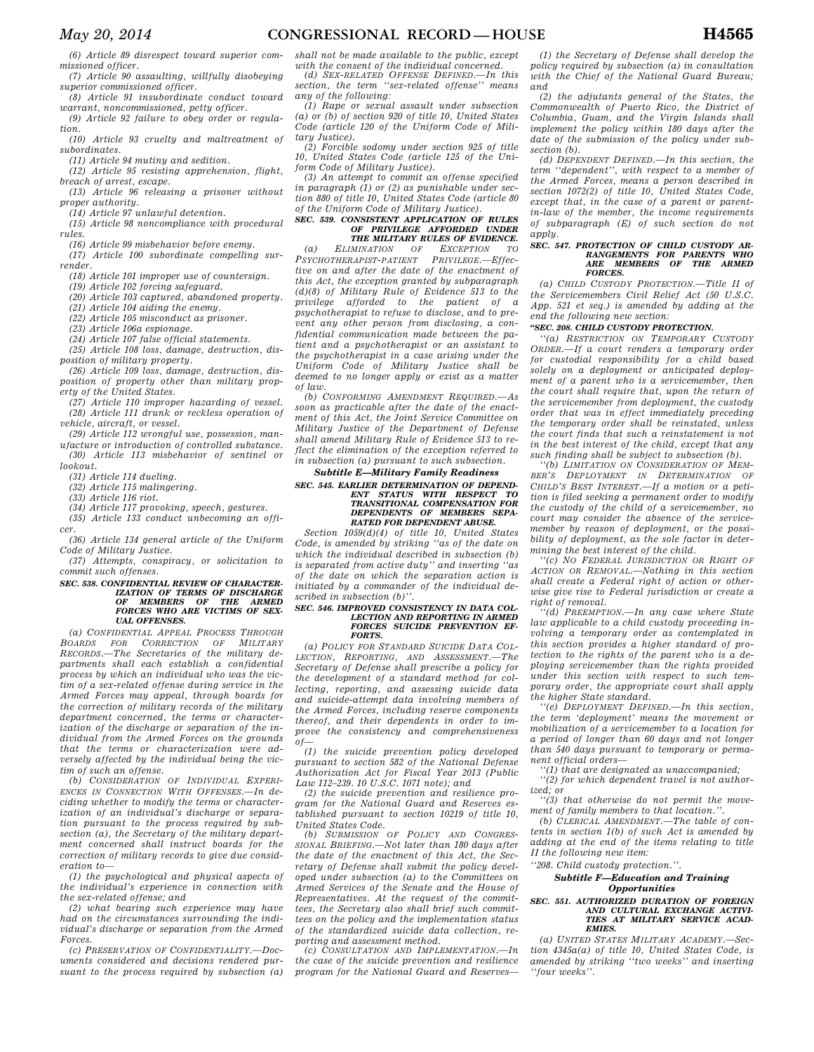*(6) Article 89 disrespect toward superior commissioned officer.* 

*(7) Article 90 assaulting, willfully disobeying superior commissioned officer.* 

*(8) Article 91 insubordinate conduct toward warrant, noncommissioned, petty officer.* 

*(9) Article 92 failure to obey order or regulation.* 

*(10) Article 93 cruelty and maltreatment of subordinates.* 

*(11) Article 94 mutiny and sedition.* 

*(12) Article 95 resisting apprehension, flight, breach of arrest, escape.* 

*(13) Article 96 releasing a prisoner without proper authority.* 

*(14) Article 97 unlawful detention.* 

*(15) Article 98 noncompliance with procedural rules. (16) Article 99 misbehavior before enemy.* 

*(17) Article 100 subordinate compelling sur-*

*render.* 

*(18) Article 101 improper use of countersign.* 

*(19) Article 102 forcing safeguard.* 

*(20) Article 103 captured, abandoned property.* 

*(21) Article 104 aiding the enemy.* 

*(22) Article 105 misconduct as prisoner.* 

*(23) Article 106a espionage.* 

*(24) Article 107 false official statements.* 

*(25) Article 108 loss, damage, destruction, disposition of military property.* 

*(26) Article 109 loss, damage, destruction, disposition of property other than military property of the United States.* 

*(27) Article 110 improper hazarding of vessel. (28) Article 111 drunk or reckless operation of vehicle, aircraft, or vessel.* 

*(29) Article 112 wrongful use, possession, manufacture or introduction of controlled substance.* 

*(30) Article 113 misbehavior of sentinel or lookout.* 

*(31) Article 114 dueling. (32) Article 115 malingering.* 

*(33) Article 116 riot.* 

*(34) Article 117 provoking, speech, gestures.* 

*(35) Article 133 conduct unbecoming an officer.* 

*(36) Article 134 general article of the Uniform Code of Military Justice.* 

*(37) Attempts, conspiracy, or solicitation to commit such offenses.* 

### *SEC. 538. CONFIDENTIAL REVIEW OF CHARACTER-IZATION OF TERMS OF DISCHARGE OF MEMBERS OF THE ARMED FORCES WHO ARE VICTIMS OF SEX-UAL OFFENSES.*

*(a) CONFIDENTIAL APPEAL PROCESS THROUGH BOARDS FOR CORRECTION OF MILITARY RECORDS.—The Secretaries of the military departments shall each establish a confidential process by which an individual who was the victim of a sex-related offense during service in the Armed Forces may appeal, through boards for the correction of military records of the military department concerned, the terms or characterization of the discharge or separation of the individual from the Armed Forces on the grounds that the terms or characterization were adversely affected by the individual being the victim of such an offense.* 

*(b) CONSIDERATION OF INDIVIDUAL EXPERI-ENCES IN CONNECTION WITH OFFENSES.—In deciding whether to modify the terms or characterization of an individual's discharge or separation pursuant to the process required by subsection (a), the Secretary of the military department concerned shall instruct boards for the correction of military records to give due consideration to—* 

*(1) the psychological and physical aspects of the individual's experience in connection with the sex-related offense; and* 

*(2) what bearing such experience may have had on the circumstances surrounding the individual's discharge or separation from the Armed Forces.* 

*(c) PRESERVATION OF CONFIDENTIALITY.—Documents considered and decisions rendered pursuant to the process required by subsection (a)*  *shall not be made available to the public, except with the consent of the individual concerned.* 

*(d) SEX-RELATED OFFENSE DEFINED.—In this section, the term ''sex-related offense'' means any of the following:* 

*(1) Rape or sexual assault under subsection (a) or (b) of section 920 of title 10, United States Code (article 120 of the Uniform Code of Military Justice).* 

*(2) Forcible sodomy under section 925 of title 10, United States Code (article 125 of the Uniform Code of Military Justice).* 

*(3) An attempt to commit an offense specified in paragraph (1) or (2) as punishable under section 880 of title 10, United States Code (article 80 of the Uniform Code of Military Justice).* 

*SEC. 539. CONSISTENT APPLICATION OF RULES OF PRIVILEGE AFFORDED UNDER*  **THE MILITARY RULES OF EVIDENCE.**<br> **EXCEPTION** OF **EXCEPTION** TO

*(a)* ELIMINATION OF EXCEPTION *PSYCHOTHERAPIST-PATIENT PRIVILEGE.—Effective on and after the date of the enactment of this Act, the exception granted by subparagraph (d)(8) of Military Rule of Evidence 513 to the privilege afforded to the patient of a psychotherapist to refuse to disclose, and to prevent any other person from disclosing, a confidential communication made between the patient and a psychotherapist or an assistant to the psychotherapist in a case arising under the Uniform Code of Military Justice shall be deemed to no longer apply or exist as a matter of law.* 

*(b) CONFORMING AMENDMENT REQUIRED.—As soon as practicable after the date of the enactment of this Act, the Joint Service Committee on Military Justice of the Department of Defense shall amend Military Rule of Evidence 513 to reflect the elimination of the exception referred to in subsection (a) pursuant to such subsection.* 

#### *Subtitle E—Military Family Readiness SEC. 545. EARLIER DETERMINATION OF DEPEND-ENT STATUS WITH RESPECT TRANSITIONAL COMPENSATION FOR DEPENDENTS OF MEMBERS SEPA-RATED FOR DEPENDENT ABUSE.*

*Section 1059(d)(4) of title 10, United States Code, is amended by striking ''as of the date on which the individual described in subsection (b) is separated from active duty'' and inserting ''as of the date on which the separation action is initiated by a commander of the individual described in subsection (b)''.* 

#### *SEC. 546. IMPROVED CONSISTENCY IN DATA COL-LECTION AND REPORTING IN ARMED FORCES SUICIDE PREVENTION EF-FORTS.*

*(a) POLICY FOR STANDARD SUICIDE DATA COL-LECTION, REPORTING, AND ASSESSMENT.—The Secretary of Defense shall prescribe a policy for the development of a standard method for collecting, reporting, and assessing suicide data and suicide-attempt data involving members of the Armed Forces, including reserve components thereof, and their dependents in order to improve the consistency and comprehensiveness of—* 

*(1) the suicide prevention policy developed pursuant to section 582 of the National Defense Authorization Act for Fiscal Year 2013 (Public Law 112–239. 10 U.S.C. 1071 note); and* 

*(2) the suicide prevention and resilience program for the National Guard and Reserves established pursuant to section 10219 of title 10, United States Code.* 

*(b) SUBMISSION OF POLICY AND CONGRES-SIONAL BRIEFING.—Not later than 180 days after the date of the enactment of this Act, the Secretary of Defense shall submit the policy developed under subsection (a) to the Committees on Armed Services of the Senate and the House of Representatives. At the request of the committees, the Secretary also shall brief such committees on the policy and the implementation status of the standardized suicide data collection, reporting and assessment method.* 

*(c) CONSULTATION AND IMPLEMENTATION.—In the case of the suicide prevention and resilience program for the National Guard and Reserves—* 

*(1) the Secretary of Defense shall develop the policy required by subsection (a) in consultation with the Chief of the National Guard Bureau; and* 

*(2) the adjutants general of the States, the Commonwealth of Puerto Rico, the District of Columbia, Guam, and the Virgin Islands shall implement the policy within 180 days after the date of the submission of the policy under subsection (b).* 

*(d) DEPENDENT DEFINED.—In this section, the term ''dependent'', with respect to a member of the Armed Forces, means a person described in section 1072(2) of title 10, United States Code, except that, in the case of a parent or parentin-law of the member, the income requirements of subparagraph (E) of such section do not apply.* 

### *SEC. 547. PROTECTION OF CHILD CUSTODY AR-RANGEMENTS FOR PARENTS WHO ARE MEMBERS OF THE ARMED FORCES.*

*(a) CHILD CUSTODY PROTECTION.—Title II of the Servicemembers Civil Relief Act (50 U.S.C. App. 521 et seq.) is amended by adding at the end the following new section:* 

### *''SEC. 208. CHILD CUSTODY PROTECTION.*

*''(a) RESTRICTION ON TEMPORARY CUSTODY ORDER.—If a court renders a temporary order for custodial responsibility for a child based solely on a deployment or anticipated deployment of a parent who is a servicemember, then the court shall require that, upon the return of the servicemember from deployment, the custody order that was in effect immediately preceding the temporary order shall be reinstated, unless the court finds that such a reinstatement is not in the best interest of the child, except that any such finding shall be subject to subsection (b).* 

*''(b) LIMITATION ON CONSIDERATION OF MEM-BER'S DEPLOYMENT IN DETERMINATION OF CHILD'S BEST INTEREST.—If a motion or a petition is filed seeking a permanent order to modify the custody of the child of a servicemember, no court may consider the absence of the servicemember by reason of deployment, or the possibility of deployment, as the sole factor in determining the best interest of the child.* 

*''(c) NO FEDERAL JURISDICTION OR RIGHT OF ACTION OR REMOVAL.—Nothing in this section shall create a Federal right of action or otherwise give rise to Federal jurisdiction or create a right of removal.* 

*''(d) PREEMPTION.—In any case where State law applicable to a child custody proceeding involving a temporary order as contemplated in this section provides a higher standard of protection to the rights of the parent who is a deploying servicemember than the rights provided under this section with respect to such temporary order, the appropriate court shall apply the higher State standard.* 

*''(e) DEPLOYMENT DEFINED.—In this section, the term 'deployment' means the movement or mobilization of a servicemember to a location for a period of longer than 60 days and not longer than 540 days pursuant to temporary or permanent official orders—* 

*''(1) that are designated as unaccompanied;* 

*''(2) for which dependent travel is not authorized; or* 

*''(3) that otherwise do not permit the movement of family members to that location.''.* 

*(b) CLERICAL AMENDMENT.—The table of contents in section 1(b) of such Act is amended by adding at the end of the items relating to title II the following new item:* 

*''208. Child custody protection.''.* 

#### *Subtitle F—Education and Training Opportunities*

#### *SEC. 551. AUTHORIZED DURATION OF FOREIGN AND CULTURAL EXCHANGE ACTIVI-TIES AT MILITARY SERVICE ACAD-EMIES.*

*(a) UNITED STATES MILITARY ACADEMY.—Section 4345a(a) of title 10, United States Code, is amended by striking ''two weeks'' and inserting ''four weeks''.*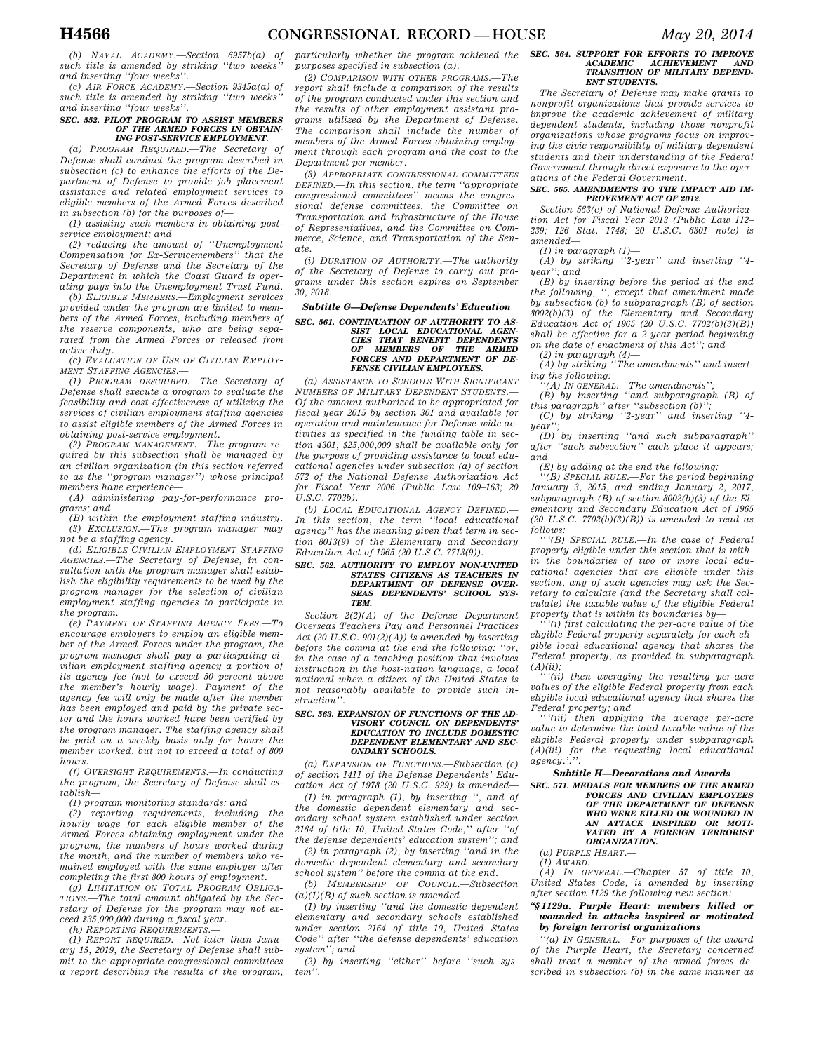*(b) NAVAL ACADEMY.—Section 6957b(a) of such title is amended by striking ''two weeks'' and inserting ''four weeks''.* 

*(c) AIR FORCE ACADEMY.—Section 9345a(a) of such title is amended by striking ''two weeks'' and inserting ''four weeks''.* 

#### *SEC. 552. PILOT PROGRAM TO ASSIST MEMBERS OF THE ARMED FORCES IN OBTAIN-ING POST-SERVICE EMPLOYMENT.*

*(a) PROGRAM REQUIRED.—The Secretary of Defense shall conduct the program described in subsection (c) to enhance the efforts of the Department of Defense to provide job placement assistance and related employment services to eligible members of the Armed Forces described in subsection (b) for the purposes of—* 

*(1) assisting such members in obtaining postservice employment; and* 

*(2) reducing the amount of ''Unemployment Compensation for Ex-Servicemembers'' that the Secretary of Defense and the Secretary of the Department in which the Coast Guard is operating pays into the Unemployment Trust Fund.* 

*(b) ELIGIBLE MEMBERS.—Employment services provided under the program are limited to members of the Armed Forces, including members of the reserve components, who are being separated from the Armed Forces or released from active duty.* 

*(c) EVALUATION OF USE OF CIVILIAN EMPLOY-MENT STAFFING AGENCIES.—* 

*(1) PROGRAM DESCRIBED.—The Secretary of Defense shall execute a program to evaluate the feasibility and cost-effectiveness of utilizing the services of civilian employment staffing agencies to assist eligible members of the Armed Forces in obtaining post-service employment.* 

*(2) PROGRAM MANAGEMENT.—The program required by this subsection shall be managed by an civilian organization (in this section referred to as the ''program manager'') whose principal members have experience—* 

*(A) administering pay-for-performance programs; and* 

*(B) within the employment staffing industry. (3) EXCLUSION.—The program manager may not be a staffing agency.* 

*(d) ELIGIBLE CIVILIAN EMPLOYMENT STAFFING AGENCIES.—The Secretary of Defense, in consultation with the program manager shall establish the eligibility requirements to be used by the program manager for the selection of civilian employment staffing agencies to participate in the program.* 

*(e) PAYMENT OF STAFFING AGENCY FEES.—To encourage employers to employ an eligible member of the Armed Forces under the program, the program manager shall pay a participating civilian employment staffing agency a portion of its agency fee (not to exceed 50 percent above the member's hourly wage). Payment of the agency fee will only be made after the member has been employed and paid by the private sector and the hours worked have been verified by the program manager. The staffing agency shall be paid on a weekly basis only for hours the member worked, but not to exceed a total of 800 hours.* 

*(f) OVERSIGHT REQUIREMENTS.—In conducting the program, the Secretary of Defense shall establish—* 

*(1) program monitoring standards; and* 

*(2) reporting requirements, including the hourly wage for each eligible member of the Armed Forces obtaining employment under the program, the numbers of hours worked during the month, and the number of members who remained employed with the same employer after completing the first 800 hours of employment.* 

*(g) LIMITATION ON TOTAL PROGRAM OBLIGA-TIONS.—The total amount obligated by the Secretary of Defense for the program may not exceed \$35,000,000 during a fiscal year.* 

*(h) REPORTING REQUIREMENTS.—* 

*(1) REPORT REQUIRED.—Not later than January 15, 2019, the Secretary of Defense shall submit to the appropriate congressional committees a report describing the results of the program,*  *particularly whether the program achieved the purposes specified in subsection (a).* 

*(2) COMPARISON WITH OTHER PROGRAMS.—The report shall include a comparison of the results of the program conducted under this section and the results of other employment assistant programs utilized by the Department of Defense. The comparison shall include the number of members of the Armed Forces obtaining employment through each program and the cost to the Department per member.* 

*(3) APPROPRIATE CONGRESSIONAL COMMITTEES DEFINED.—In this section, the term ''appropriate congressional committees'' means the congressional defense committees, the Committee on Transportation and Infrastructure of the House of Representatives, and the Committee on Commerce, Science, and Transportation of the Senate.* 

*(i) DURATION OF AUTHORITY.—The authority of the Secretary of Defense to carry out programs under this section expires on September 30, 2018.* 

#### *Subtitle G—Defense Dependents' Education*

## *SEC. 561. CONTINUATION OF AUTHORITY TO AS-SIST LOCAL EDUCATIONAL AGEN-CIES THAT BENEFIT DEPENDENTS OF MEMBERS OF THE ARMED FORCES AND DEPARTMENT OF DE-FENSE CIVILIAN EMPLOYEES.*

*(a) ASSISTANCE TO SCHOOLS WITH SIGNIFICANT NUMBERS OF MILITARY DEPENDENT STUDENTS.— Of the amount authorized to be appropriated for fiscal year 2015 by section 301 and available for operation and maintenance for Defense-wide activities as specified in the funding table in section 4301, \$25,000,000 shall be available only for the purpose of providing assistance to local educational agencies under subsection (a) of section 572 of the National Defense Authorization Act for Fiscal Year 2006 (Public Law 109–163; 20 U.S.C. 7703b).* 

*(b) LOCAL EDUCATIONAL AGENCY DEFINED.— In this section, the term ''local educational agency'' has the meaning given that term in section 8013(9) of the Elementary and Secondary Education Act of 1965 (20 U.S.C. 7713(9)).* 

## *SEC. 562. AUTHORITY TO EMPLOY NON-UNITED STATES CITIZENS AS TEACHERS IN DEPARTMENT OF DEFENSE OVER-SEAS DEPENDENTS' SCHOOL SYS-TEM.*

*Section 2(2)(A) of the Defense Department Overseas Teachers Pay and Personnel Practices Act (20 U.S.C. 901(2)(A)) is amended by inserting before the comma at the end the following: ''or, in the case of a teaching position that involves instruction in the host-nation language, a local national when a citizen of the United States is not reasonably available to provide such instruction''.* 

#### *SEC. 563. EXPANSION OF FUNCTIONS OF THE AD-VISORY COUNCIL ON DEPENDENTS' EDUCATION TO INCLUDE DOMESTIC DEPENDENT ELEMENTARY AND SEC-ONDARY SCHOOLS.*

*(a) EXPANSION OF FUNCTIONS.—Subsection (c) of section 1411 of the Defense Dependents' Education Act of 1978 (20 U.S.C. 929) is amended—* 

*(1) in paragraph (1), by inserting '', and of the domestic dependent elementary and secondary school system established under section 2164 of title 10, United States Code,'' after ''of the defense dependents' education system''; and (2) in paragraph (2), by inserting ''and in the* 

*domestic dependent elementary and secondary school system'' before the comma at the end.* 

*(b) MEMBERSHIP OF COUNCIL.—Subsection (a)(1)(B) of such section is amended—* 

*(1) by inserting ''and the domestic dependent elementary and secondary schools established under section 2164 of title 10, United States Code'' after ''the defense dependents' education system''; and* 

*(2) by inserting ''either'' before ''such system''.* 

### *SEC. 564. SUPPORT FOR EFFORTS TO IMPROVE ACADEMIC ACHIEVEMENT AND TRANSITION OF MILITARY DEPEND-ENT STUDENTS.*

*The Secretary of Defense may make grants to nonprofit organizations that provide services to improve the academic achievement of military dependent students, including those nonprofit organizations whose programs focus on improving the civic responsibility of military dependent students and their understanding of the Federal Government through direct exposure to the operations of the Federal Government.* 

#### *SEC. 565. AMENDMENTS TO THE IMPACT AID IM-PROVEMENT ACT OF 2012.*

*Section 563(c) of National Defense Authorization Act for Fiscal Year 2013 (Public Law 112– 239; 126 Stat. 1748; 20 U.S.C. 6301 note) is amended—* 

*(1) in paragraph (1)— (A) by striking ''2-year'' and inserting ''4 year''; and* 

*(B) by inserting before the period at the end the following, '', except that amendment made by subsection (b) to subparagraph (B) of section 8002(b)(3) of the Elementary and Secondary Education Act of 1965 (20 U.S.C. 7702(b)(3)(B)) shall be effective for a 2-year period beginning on the date of enactment of this Act''; and* 

*(2) in paragraph (4)—* 

*(A) by striking ''The amendments'' and inserting the following:* 

*''(A) IN GENERAL.—The amendments'';* 

*(B) by inserting ''and subparagraph (B) of this paragraph'' after ''subsection (b)'';* 

*(C) by striking ''2-year'' and inserting ''4 year'';* 

*(D) by inserting ''and such subparagraph'' after ''such subsection'' each place it appears; and* 

*(E) by adding at the end the following:* 

*''(B) SPECIAL RULE.—For the period beginning January 3, 2015, and ending January 2, 2017, subparagraph (B) of section 8002(b)(3) of the Elementary and Secondary Education Act of 1965 (20 U.S.C. 7702(b)(3)(B)) is amended to read as follows:* 

*'''(B) SPECIAL RULE.—In the case of Federal property eligible under this section that is within the boundaries of two or more local educational agencies that are eligible under this section, any of such agencies may ask the Secretary to calculate (and the Secretary shall calculate) the taxable value of the eligible Federal property that is within its boundaries by—* 

*'''(i) first calculating the per-acre value of the eligible Federal property separately for each eligible local educational agency that shares the Federal property, as provided in subparagraph (A)(ii);* 

*'''(ii) then averaging the resulting per-acre values of the eligible Federal property from each eligible local educational agency that shares the Federal property; and* 

*'''(iii) then applying the average per-acre value to determine the total taxable value of the eligible Federal property under subparagraph (A)(iii) for the requesting local educational agency.'.''.* 

### *Subtitle H—Decorations and Awards*

*SEC. 571. MEDALS FOR MEMBERS OF THE ARMED FORCES AND CIVILIAN EMPLOYEES OF THE DEPARTMENT OF DEFENSE WHO WERE KILLED OR WOUNDED IN AN ATTACK INSPIRED OR MOTI-VATED BY A FOREIGN TERRORIST ORGANIZATION.* 

*(a) PURPLE HEART.—* 

*(1) AWARD.—* 

*(A) IN GENERAL.—Chapter 57 of title 10, United States Code, is amended by inserting after section 1129 the following new section:* 

#### *''§ 1129a. Purple Heart: members killed or wounded in attacks inspired or motivated by foreign terrorist organizations*

*''(a) IN GENERAL.—For purposes of the award of the Purple Heart, the Secretary concerned shall treat a member of the armed forces described in subsection (b) in the same manner as*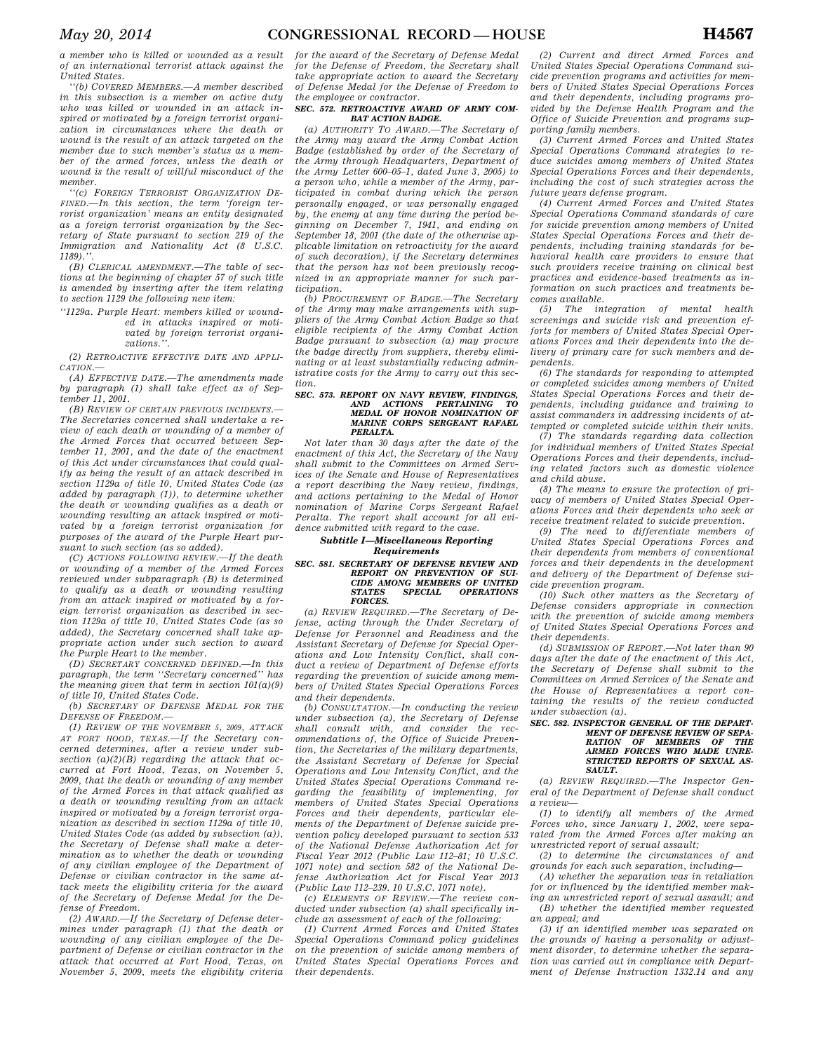*a member who is killed or wounded as a result of an international terrorist attack against the United States.* 

*''(b) COVERED MEMBERS.—A member described in this subsection is a member on active duty who was killed or wounded in an attack inspired or motivated by a foreign terrorist organization in circumstances where the death or wound is the result of an attack targeted on the member due to such member's status as a member of the armed forces, unless the death or wound is the result of willful misconduct of the member.* 

*''(c) FOREIGN TERRORIST ORGANIZATION DE-FINED.—In this section, the term 'foreign terrorist organization' means an entity designated as a foreign terrorist organization by the Secretary of State pursuant to section 219 of the Immigration and Nationality Act (8 U.S.C. 1189).''.* 

*(B) CLERICAL AMENDMENT.—The table of sections at the beginning of chapter 57 of such title is amended by inserting after the item relating to section 1129 the following new item:* 

*''1129a. Purple Heart: members killed or wounded in attacks inspired or motivated by foreign terrorist organizations.''.* 

*(2) RETROACTIVE EFFECTIVE DATE AND APPLI-CATION.—* 

*(A) EFFECTIVE DATE.—The amendments made by paragraph (1) shall take effect as of September 11, 2001.* 

*(B) REVIEW OF CERTAIN PREVIOUS INCIDENTS.— The Secretaries concerned shall undertake a review of each death or wounding of a member of the Armed Forces that occurred between September 11, 2001, and the date of the enactment of this Act under circumstances that could qualify as being the result of an attack described in section 1129a of title 10, United States Code (as added by paragraph (1)), to determine whether the death or wounding qualifies as a death or wounding resulting an attack inspired or motivated by a foreign terrorist organization for purposes of the award of the Purple Heart pursuant to such section (as so added).* 

*(C) ACTIONS FOLLOWING REVIEW.—If the death or wounding of a member of the Armed Forces reviewed under subparagraph (B) is determined to qualify as a death or wounding resulting from an attack inspired or motivated by a foreign terrorist organization as described in section 1129a of title 10, United States Code (as so added), the Secretary concerned shall take appropriate action under such section to award the Purple Heart to the member.* 

*(D) SECRETARY CONCERNED DEFINED.—In this paragraph, the term ''Secretary concerned'' has the meaning given that term in section 101(a)(9) of title 10, United States Code.* 

*(b) SECRETARY OF DEFENSE MEDAL FOR THE DEFENSE OF FREEDOM.—* 

*(1) REVIEW OF THE NOVEMBER 5, 2009, ATTACK AT FORT HOOD, TEXAS.—If the Secretary concerned determines, after a review under subsection (a)(2)(B) regarding the attack that occurred at Fort Hood, Texas, on November 5, 2009, that the death or wounding of any member of the Armed Forces in that attack qualified as a death or wounding resulting from an attack inspired or motivated by a foreign terrorist organization as described in section 1129a of title 10, United States Code (as added by subsection (a)), the Secretary of Defense shall make a determination as to whether the death or wounding of any civilian employee of the Department of Defense or civilian contractor in the same attack meets the eligibility criteria for the award of the Secretary of Defense Medal for the Defense of Freedom.* 

*(2) AWARD.—If the Secretary of Defense determines under paragraph (1) that the death or wounding of any civilian employee of the Department of Defense or civilian contractor in the attack that occurred at Fort Hood, Texas, on November 5, 2009, meets the eligibility criteria* 

*for the award of the Secretary of Defense Medal for the Defense of Freedom, the Secretary shall take appropriate action to award the Secretary of Defense Medal for the Defense of Freedom to the employee or contractor.* 

#### *SEC. 572. RETROACTIVE AWARD OF ARMY COM-BAT ACTION BADGE.*

*(a) AUTHORITY TO AWARD.—The Secretary of the Army may award the Army Combat Action Badge (established by order of the Secretary of the Army through Headquarters, Department of the Army Letter 600–05–1, dated June 3, 2005) to a person who, while a member of the Army, participated in combat during which the person personally engaged, or was personally engaged by, the enemy at any time during the period beginning on December 7, 1941, and ending on September 18, 2001 (the date of the otherwise applicable limitation on retroactivity for the award of such decoration), if the Secretary determines that the person has not been previously recognized in an appropriate manner for such participation.* 

*(b) PROCUREMENT OF BADGE.—The Secretary of the Army may make arrangements with suppliers of the Army Combat Action Badge so that eligible recipients of the Army Combat Action Badge pursuant to subsection (a) may procure the badge directly from suppliers, thereby eliminating or at least substantially reducing administrative costs for the Army to carry out this section.* 

## *SEC. 573. REPORT ON NAVY REVIEW, FINDINGS, AND ACTIONS PERTAINING TO MEDAL OF HONOR NOMINATION OF MARINE CORPS SERGEANT RAFAEL PERALTA.*

*Not later than 30 days after the date of the enactment of this Act, the Secretary of the Navy shall submit to the Committees on Armed Services of the Senate and House of Representatives a report describing the Navy review, findings, and actions pertaining to the Medal of Honor nomination of Marine Corps Sergeant Rafael Peralta. The report shall account for all evidence submitted with regard to the case.* 

### *Subtitle I—Miscellaneous Reporting Requirements*

#### *SEC. 581. SECRETARY OF DEFENSE REVIEW AND REPORT ON PREVENTION OF SUI-CIDE AMONG MEMBERS OF UNITED STATES SPECIAL OPERATIONS FORCES.*

*(a) REVIEW REQUIRED.—The Secretary of Defense, acting through the Under Secretary of Defense for Personnel and Readiness and the Assistant Secretary of Defense for Special Operations and Low Intensity Conflict, shall conduct a review of Department of Defense efforts regarding the prevention of suicide among members of United States Special Operations Forces and their dependents.* 

*(b) CONSULTATION.—In conducting the review under subsection (a), the Secretary of Defense shall consult with, and consider the recommendations of, the Office of Suicide Prevention, the Secretaries of the military departments, the Assistant Secretary of Defense for Special Operations and Low Intensity Conflict, and the United States Special Operations Command regarding the feasibility of implementing, for members of United States Special Operations Forces and their dependents, particular elements of the Department of Defense suicide prevention policy developed pursuant to section 533 of the National Defense Authorization Act for Fiscal Year 2012 (Public Law 112–81; 10 U.S.C. 1071 note) and section 582 of the National Defense Authorization Act for Fiscal Year 2013 (Public Law 112–239. 10 U.S.C. 1071 note).* 

*(c) ELEMENTS OF REVIEW.—The review conducted under subsection (a) shall specifically include an assessment of each of the following:* 

*(1) Current Armed Forces and United States Special Operations Command policy guidelines on the prevention of suicide among members of United States Special Operations Forces and their dependents.* 

*(2) Current and direct Armed Forces and United States Special Operations Command suicide prevention programs and activities for members of United States Special Operations Forces and their dependents, including programs provided by the Defense Health Program and the Office of Suicide Prevention and programs supporting family members.* 

*(3) Current Armed Forces and United States Special Operations Command strategies to reduce suicides among members of United States Special Operations Forces and their dependents, including the cost of such strategies across the future years defense program.* 

*(4) Current Armed Forces and United States Special Operations Command standards of care for suicide prevention among members of United States Special Operations Forces and their dependents, including training standards for behavioral health care providers to ensure that such providers receive training on clinical best practices and evidence-based treatments as information on such practices and treatments becomes available.* 

*(5) The integration of mental health screenings and suicide risk and prevention efforts for members of United States Special Operations Forces and their dependents into the delivery of primary care for such members and dependents.* 

*(6) The standards for responding to attempted or completed suicides among members of United States Special Operations Forces and their dependents, including guidance and training to assist commanders in addressing incidents of attempted or completed suicide within their units.* 

*(7) The standards regarding data collection for individual members of United States Special Operations Forces and their dependents, including related factors such as domestic violence and child abuse.* 

*(8) The means to ensure the protection of privacy of members of United States Special Operations Forces and their dependents who seek or receive treatment related to suicide prevention.* 

*(9) The need to differentiate members of United States Special Operations Forces and their dependents from members of conventional forces and their dependents in the development and delivery of the Department of Defense suicide prevention program.* 

*(10) Such other matters as the Secretary of Defense considers appropriate in connection with the prevention of suicide among members of United States Special Operations Forces and their dependents.* 

*(d) SUBMISSION OF REPORT.—Not later than 90 days after the date of the enactment of this Act, the Secretary of Defense shall submit to the Committees on Armed Services of the Senate and the House of Representatives a report containing the results of the review conducted under subsection (a).* 

#### *SEC. 582. INSPECTOR GENERAL OF THE DEPART-MENT OF DEFENSE REVIEW OF SEPA-***RATION OF MEMBERS** *ARMED FORCES WHO MADE UNRE-STRICTED REPORTS OF SEXUAL AS-SAULT.*

*(a) REVIEW REQUIRED.—The Inspector General of the Department of Defense shall conduct a review—* 

*(1) to identify all members of the Armed Forces who, since January 1, 2002, were separated from the Armed Forces after making an unrestricted report of sexual assault;* 

*(2) to determine the circumstances of and grounds for each such separation, including—* 

*(A) whether the separation was in retaliation for or influenced by the identified member making an unrestricted report of sexual assault; and* 

*(B) whether the identified member requested an appeal; and* 

*(3) if an identified member was separated on the grounds of having a personality or adjustment disorder, to determine whether the separation was carried out in compliance with Department of Defense Instruction 1332.14 and any*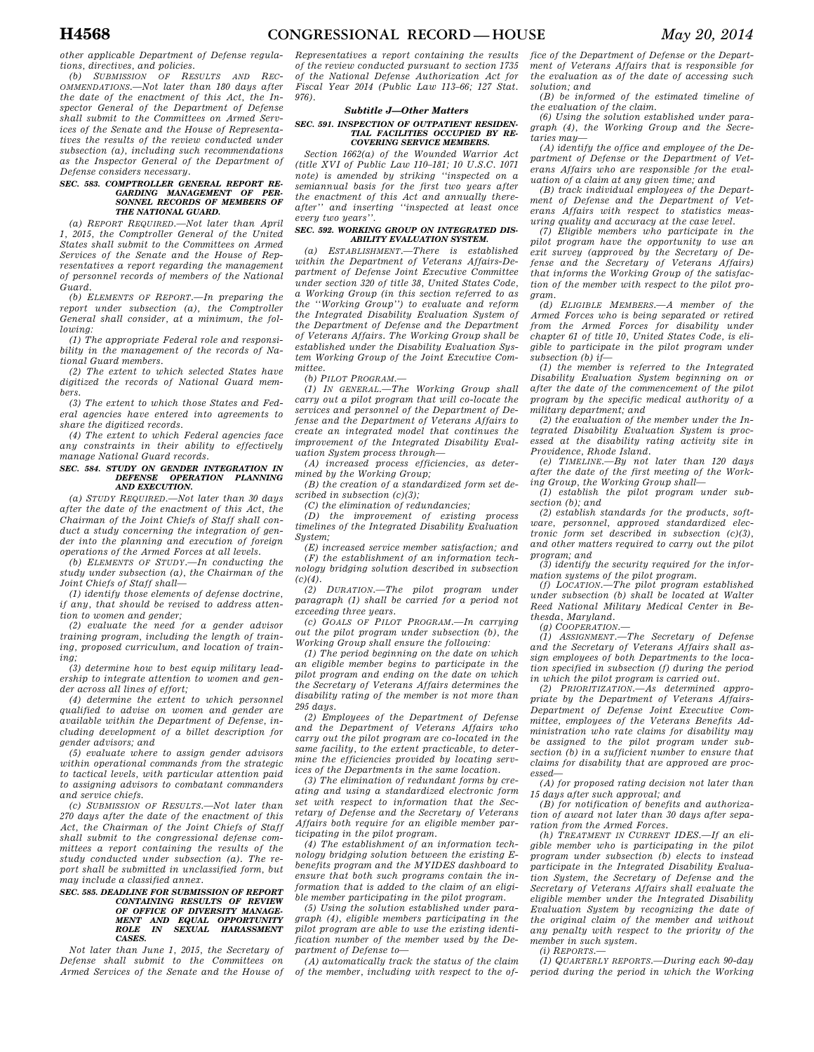*other applicable Department of Defense regulations, directives, and policies.* 

*(b) SUBMISSION OF RESULTS AND REC-OMMENDATIONS.—Not later than 180 days after the date of the enactment of this Act, the Inspector General of the Department of Defense shall submit to the Committees on Armed Services of the Senate and the House of Representatives the results of the review conducted under subsection (a), including such recommendations as the Inspector General of the Department of Defense considers necessary.* 

#### *SEC. 583. COMPTROLLER GENERAL REPORT RE-GARDING MANAGEMENT OF PER-SONNEL RECORDS OF MEMBERS OF THE NATIONAL GUARD.*

*(a) REPORT REQUIRED.—Not later than April 1, 2015, the Comptroller General of the United States shall submit to the Committees on Armed Services of the Senate and the House of Representatives a report regarding the management of personnel records of members of the National Guard.* 

*(b) ELEMENTS OF REPORT.—In preparing the report under subsection (a), the Comptroller General shall consider, at a minimum, the following:* 

*(1) The appropriate Federal role and responsibility in the management of the records of National Guard members.* 

*(2) The extent to which selected States have digitized the records of National Guard members.* 

*(3) The extent to which those States and Federal agencies have entered into agreements to share the digitized records.* 

*(4) The extent to which Federal agencies face any constraints in their ability to effectively manage National Guard records.* 

#### *SEC. 584. STUDY ON GENDER INTEGRATION IN DEFENSE OPERATION PLANNING AND EXECUTION.*

*(a) STUDY REQUIRED.—Not later than 30 days after the date of the enactment of this Act, the Chairman of the Joint Chiefs of Staff shall conduct a study concerning the integration of gender into the planning and execution of foreign operations of the Armed Forces at all levels.* 

*(b) ELEMENTS OF STUDY.—In conducting the study under subsection (a), the Chairman of the Joint Chiefs of Staff shall—* 

*(1) identify those elements of defense doctrine, if any, that should be revised to address attention to women and gender;* 

*(2) evaluate the need for a gender advisor training program, including the length of training, proposed curriculum, and location of training;* 

*(3) determine how to best equip military leadership to integrate attention to women and gender across all lines of effort;* 

*(4) determine the extent to which personnel qualified to advise on women and gender are available within the Department of Defense, including development of a billet description for gender advisors; and* 

*(5) evaluate where to assign gender advisors within operational commands from the strategic to tactical levels, with particular attention paid to assigning advisors to combatant commanders and service chiefs.* 

*(c) SUBMISSION OF RESULTS.—Not later than 270 days after the date of the enactment of this Act, the Chairman of the Joint Chiefs of Staff shall submit to the congressional defense committees a report containing the results of the study conducted under subsection (a). The report shall be submitted in unclassified form, but may include a classified annex.* 

### *SEC. 585. DEADLINE FOR SUBMISSION OF REPORT CONTAINING RESULTS OF REVIEW OF OFFICE OF DIVERSITY MANAGE-MENT AND EQUAL OPPORTUNITY ROLE IN SEXUAL HARASSMENT CASES.*

*Not later than June 1, 2015, the Secretary of Defense shall submit to the Committees on Armed Services of the Senate and the House of* 

*Representatives a report containing the results of the review conducted pursuant to section 1735 of the National Defense Authorization Act for Fiscal Year 2014 (Public Law 113–66; 127 Stat. 976).* 

#### *Subtitle J—Other Matters*

#### *SEC. 591. INSPECTION OF OUTPATIENT RESIDEN-TIAL FACILITIES OCCUPIED BY RE-COVERING SERVICE MEMBERS.*

*Section 1662(a) of the Wounded Warrior Act (title XVI of Public Law 110–181; 10 U.S.C. 1071 note) is amended by striking ''inspected on a semiannual basis for the first two years after the enactment of this Act and annually thereafter'' and inserting ''inspected at least once every two years''.* 

#### *SEC. 592. WORKING GROUP ON INTEGRATED DIS-ABILITY EVALUATION SYSTEM.*

*(a) ESTABLISHMENT.—There is established within the Department of Veterans Affairs-Department of Defense Joint Executive Committee under section 320 of title 38, United States Code, a Working Group (in this section referred to as the ''Working Group'') to evaluate and reform the Integrated Disability Evaluation System of the Department of Defense and the Department of Veterans Affairs. The Working Group shall be established under the Disability Evaluation System Working Group of the Joint Executive Committee.* 

*(b) PILOT PROGRAM.—* 

*(1) IN GENERAL.—The Working Group shall carry out a pilot program that will co-locate the services and personnel of the Department of Defense and the Department of Veterans Affairs to create an integrated model that continues the improvement of the Integrated Disability Evaluation System process through—* 

*(A) increased process efficiencies, as determined by the Working Group;* 

*(B) the creation of a standardized form set described in subsection (c)(3);* 

*(C) the elimination of redundancies;* 

*(D) the improvement of existing process timelines of the Integrated Disability Evaluation System;* 

*(E) increased service member satisfaction; and (F) the establishment of an information technology bridging solution described in subsection*   $(c)(4)$ .

*(2) DURATION.—The pilot program under paragraph (1) shall be carried for a period not exceeding three years.* 

*(c) GOALS OF PILOT PROGRAM.—In carrying out the pilot program under subsection (b), the Working Group shall ensure the following:* 

*(1) The period beginning on the date on which an eligible member begins to participate in the pilot program and ending on the date on which the Secretary of Veterans Affairs determines the disability rating of the member is not more than 295 days.* 

*(2) Employees of the Department of Defense and the Department of Veterans Affairs who carry out the pilot program are co-located in the same facility, to the extent practicable, to determine the efficiencies provided by locating services of the Departments in the same location.* 

*(3) The elimination of redundant forms by creating and using a standardized electronic form set with respect to information that the Secretary of Defense and the Secretary of Veterans Affairs both require for an eligible member participating in the pilot program.* 

*(4) The establishment of an information technology bridging solution between the existing Ebenefits program and the MYIDES dashboard to ensure that both such programs contain the information that is added to the claim of an eligible member participating in the pilot program.* 

*(5) Using the solution established under paragraph (4), eligible members participating in the pilot program are able to use the existing identification number of the member used by the Department of Defense to—* 

*(A) automatically track the status of the claim of the member, including with respect to the of-* *fice of the Department of Defense or the Department of Veterans Affairs that is responsible for the evaluation as of the date of accessing such solution; and* 

*(B) be informed of the estimated timeline of the evaluation of the claim.* 

*(6) Using the solution established under paragraph (4), the Working Group and the Secretaries may—* 

*(A) identify the office and employee of the Department of Defense or the Department of Veterans Affairs who are responsible for the evaluation of a claim at any given time; and* 

*(B) track individual employees of the Department of Defense and the Department of Veterans Affairs with respect to statistics measuring quality and accuracy at the case level.* 

*(7) Eligible members who participate in the pilot program have the opportunity to use an exit survey (approved by the Secretary of Defense and the Secretary of Veterans Affairs) that informs the Working Group of the satisfaction of the member with respect to the pilot program.* 

*(d) ELIGIBLE MEMBERS.—A member of the Armed Forces who is being separated or retired from the Armed Forces for disability under chapter 61 of title 10, United States Code, is eligible to participate in the pilot program under subsection (b) if—* 

*(1) the member is referred to the Integrated Disability Evaluation System beginning on or after the date of the commencement of the pilot program by the specific medical authority of a military department; and* 

*(2) the evaluation of the member under the Integrated Disability Evaluation System is processed at the disability rating activity site in Providence, Rhode Island. (e) TIMELINE.—By not later than 120 days* 

*after the date of the first meeting of the Work-*

*ing Group, the Working Group shall— (1) establish the pilot program under subsection (b); and* 

*(2) establish standards for the products, software, personnel, approved standardized electronic form set described in subsection (c)(3), and other matters required to carry out the pilot program; and* 

*(3) identify the security required for the information systems of the pilot program.* 

*(f) LOCATION.—The pilot program established under subsection (b) shall be located at Walter Reed National Military Medical Center in Bethesda, Maryland.* 

*(g) COOPERATION.—* 

*(1) ASSIGNMENT.—The Secretary of Defense and the Secretary of Veterans Affairs shall assign employees of both Departments to the location specified in subsection (f) during the period in which the pilot program is carried out.* 

*(2) PRIORITIZATION.—As determined appropriate by the Department of Veterans Affairs-Department of Defense Joint Executive Committee, employees of the Veterans Benefits Administration who rate claims for disability may be assigned to the pilot program under subsection (b) in a sufficient number to ensure that claims for disability that are approved are processed—* 

*(A) for proposed rating decision not later than* 

*15 days after such approval; and (B) for notification of benefits and authorization of award not later than 30 days after separation from the Armed Forces.* 

*(h) TREATMENT IN CURRENT IDES.—If an eligible member who is participating in the pilot program under subsection (b) elects to instead participate in the Integrated Disability Evaluation System, the Secretary of Defense and the Secretary of Veterans Affairs shall evaluate the eligible member under the Integrated Disability Evaluation System by recognizing the date of the original claim of the member and without any penalty with respect to the priority of the member in such system.* 

*(i) REPORTS.—* 

*(1) QUARTERLY REPORTS.—During each 90-day period during the period in which the Working*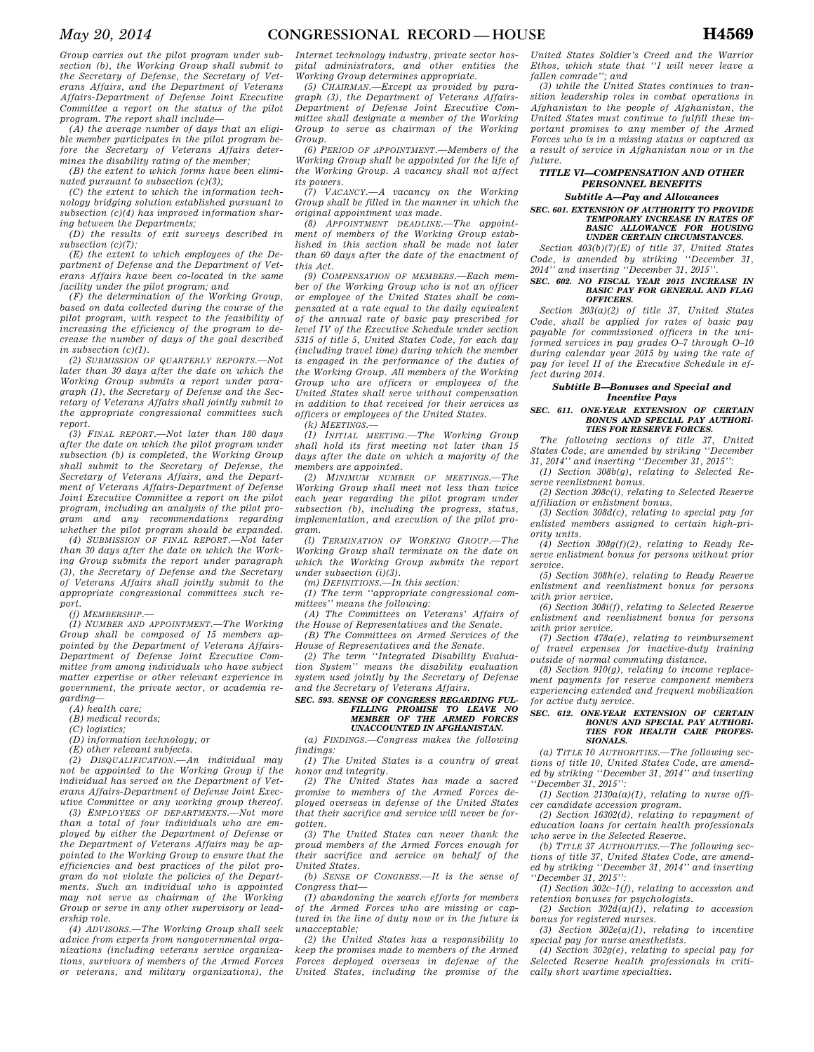*Group carries out the pilot program under subsection (b), the Working Group shall submit to the Secretary of Defense, the Secretary of Veterans Affairs, and the Department of Veterans Affairs-Department of Defense Joint Executive Committee a report on the status of the pilot program. The report shall include—* 

*(A) the average number of days that an eligible member participates in the pilot program before the Secretary of Veterans Affairs determines the disability rating of the member;* 

*(B) the extent to which forms have been eliminated pursuant to subsection (c)(3);* 

*(C) the extent to which the information technology bridging solution established pursuant to subsection (c)(4) has improved information sharing between the Departments;* 

*(D) the results of exit surveys described in subsection (c)(7);* 

*(E) the extent to which employees of the Department of Defense and the Department of Veterans Affairs have been co-located in the same facility under the pilot program; and* 

*(F) the determination of the Working Group, based on data collected during the course of the pilot program, with respect to the feasibility of increasing the efficiency of the program to decrease the number of days of the goal described in subsection (c)(1).* 

*(2) SUBMISSION OF QUARTERLY REPORTS.—Not later than 30 days after the date on which the Working Group submits a report under paragraph (1), the Secretary of Defense and the Secretary of Veterans Affairs shall jointly submit to the appropriate congressional committees such report.* 

*(3) FINAL REPORT.—Not later than 180 days after the date on which the pilot program under subsection (b) is completed, the Working Group shall submit to the Secretary of Defense, the Secretary of Veterans Affairs, and the Department of Veterans Affairs-Department of Defense Joint Executive Committee a report on the pilot program, including an analysis of the pilot program and any recommendations regarding whether the pilot program should be expanded.* 

*(4) SUBMISSION OF FINAL REPORT.—Not later than 30 days after the date on which the Working Group submits the report under paragraph (3), the Secretary of Defense and the Secretary of Veterans Affairs shall jointly submit to the appropriate congressional committees such report.* 

*(j) MEMBERSHIP.—* 

*(1) NUMBER AND APPOINTMENT.—The Working Group shall be composed of 15 members appointed by the Department of Veterans Affairs-Department of Defense Joint Executive Committee from among individuals who have subject matter expertise or other relevant experience in government, the private sector, or academia regarding—* 

*(A) health care;* 

*(B) medical records;* 

*(C) logistics;* 

*(D) information technology; or* 

*(E) other relevant subjects.* 

*(2) DISQUALIFICATION.—An individual may not be appointed to the Working Group if the individual has served on the Department of Veterans Affairs-Department of Defense Joint Executive Committee or any working group thereof.* 

*(3) EMPLOYEES OF DEPARTMENTS.—Not more than a total of four individuals who are employed by either the Department of Defense or the Department of Veterans Affairs may be appointed to the Working Group to ensure that the efficiencies and best practices of the pilot program do not violate the policies of the Departments. Such an individual who is appointed may not serve as chairman of the Working Group or serve in any other supervisory or leadership role.* 

*(4) ADVISORS.—The Working Group shall seek advice from experts from nongovernmental organizations (including veterans service organizations, survivors of members of the Armed Forces or veterans, and military organizations), the* 

*Internet technology industry, private sector hospital administrators, and other entities the Working Group determines appropriate.* 

*(5) CHAIRMAN.—Except as provided by paragraph (3), the Department of Veterans Affairs-Department of Defense Joint Executive Committee shall designate a member of the Working Group to serve as chairman of the Working Group.* 

*(6) PERIOD OF APPOINTMENT.—Members of the Working Group shall be appointed for the life of the Working Group. A vacancy shall not affect its powers.* 

*(7) VACANCY.—A vacancy on the Working Group shall be filled in the manner in which the original appointment was made.* 

*(8) APPOINTMENT DEADLINE.—The appointment of members of the Working Group established in this section shall be made not later than 60 days after the date of the enactment of this Act.* 

*(9) COMPENSATION OF MEMBERS.—Each member of the Working Group who is not an officer or employee of the United States shall be compensated at a rate equal to the daily equivalent of the annual rate of basic pay prescribed for level IV of the Executive Schedule under section 5315 of title 5, United States Code, for each day (including travel time) during which the member is engaged in the performance of the duties of the Working Group. All members of the Working Group who are officers or employees of the United States shall serve without compensation in addition to that received for their services as officers or employees of the United States.* 

*(k) MEETINGS.—* 

*(1) INITIAL MEETING.—The Working Group shall hold its first meeting not later than 15 days after the date on which a majority of the members are appointed.* 

*(2) MINIMUM NUMBER OF MEETINGS.—The Working Group shall meet not less than twice each year regarding the pilot program under subsection (b), including the progress, status, implementation, and execution of the pilot program.* 

*(l) TERMINATION OF WORKING GROUP.—The Working Group shall terminate on the date on which the Working Group submits the report under subsection (i)(3).* 

*(m) DEFINITIONS.—In this section:* 

*(1) The term ''appropriate congressional committees'' means the following:* 

*(A) The Committees on Veterans' Affairs of the House of Representatives and the Senate.* 

*(B) The Committees on Armed Services of the House of Representatives and the Senate.* 

*(2) The term ''Integrated Disability Evaluation System'' means the disability evaluation system used jointly by the Secretary of Defense and the Secretary of Veterans Affairs.* 

### *SEC. 593. SENSE OF CONGRESS REGARDING FUL-FILLING PROMISE TO LEAVE NO MEMBER OF THE ARMED FORCES UNACCOUNTED IN AFGHANISTAN.*

*(a) FINDINGS.—Congress makes the following findings:* 

*(1) The United States is a country of great honor and integrity.* 

*(2) The United States has made a sacred promise to members of the Armed Forces deployed overseas in defense of the United States that their sacrifice and service will never be forgotten.* 

*(3) The United States can never thank the proud members of the Armed Forces enough for their sacrifice and service on behalf of the United States.* 

*(b) SENSE OF CONGRESS.—It is the sense of Congress that—* 

*(1) abandoning the search efforts for members of the Armed Forces who are missing or captured in the line of duty now or in the future is unacceptable;* 

*(2) the United States has a responsibility to keep the promises made to members of the Armed Forces deployed overseas in defense of the United States, including the promise of the* 

*United States Soldier's Creed and the Warrior Ethos, which state that ''I will never leave a fallen comrade''; and* 

*(3) while the United States continues to transition leadership roles in combat operations in Afghanistan to the people of Afghanistan, the United States must continue to fulfill these important promises to any member of the Armed Forces who is in a missing status or captured as a result of service in Afghanistan now or in the future.* 

### *TITLE VI—COMPENSATION AND OTHER PERSONNEL BENEFITS*

### *Subtitle A—Pay and Allowances*

*SEC. 601. EXTENSION OF AUTHORITY TO PROVIDE TEMPORARY INCREASE IN RATES OF BASIC ALLOWANCE FOR HOUSING UNDER CERTAIN CIRCUMSTANCES.* 

*Section 403(b)(7)(E) of title 37, United States Code, is amended by striking ''December 31, 2014'' and inserting ''December 31, 2015''.* 

#### *SEC. 602. NO FISCAL YEAR 2015 INCREASE IN BASIC PAY FOR GENERAL AND FLAG OFFICERS.*

*Section 203(a)(2) of title 37, United States Code, shall be applied for rates of basic pay payable for commissioned officers in the uniformed services in pay grades O–7 through O–10 during calendar year 2015 by using the rate of pay for level II of the Executive Schedule in effect during 2014.* 

#### *Subtitle B—Bonuses and Special and Incentive Pays*

#### *SEC. 611. ONE-YEAR EXTENSION OF CERTAIN BONUS AND SPECIAL PAY AUTHORI-TIES FOR RESERVE FORCES.*

*The following sections of title 37, United States Code, are amended by striking ''December 31, 2014'' and inserting ''December 31, 2015'':* 

*(1) Section 308b(g), relating to Selected Reserve reenlistment bonus.* 

*(2) Section 308c(i), relating to Selected Reserve affiliation or enlistment bonus.* 

*(3) Section 308d(c), relating to special pay for enlisted members assigned to certain high-priority units.* 

*(4) Section 308g(f)(2), relating to Ready Reserve enlistment bonus for persons without prior service.* 

*(5) Section 308h(e), relating to Ready Reserve enlistment and reenlistment bonus for persons with prior service.* 

*(6) Section 308i(f), relating to Selected Reserve enlistment and reenlistment bonus for persons with prior service.* 

*(7) Section 478a(e), relating to reimbursement of travel expenses for inactive-duty training outside of normal commuting distance.* 

*(8) Section 910(g), relating to income replacement payments for reserve component members experiencing extended and frequent mobilization for active duty service.* 

#### *SEC. 612. ONE-YEAR EXTENSION OF CERTAIN BONUS AND SPECIAL PAY AUTHORI-TIES FOR HEALTH CARE PROFES-SIONALS.*

*(a) TITLE 10 AUTHORITIES.—The following sections of title 10, United States Code, are amended by striking ''December 31, 2014'' and inserting ''December 31, 2015'':* 

*(1) Section 2130a(a)(1), relating to nurse officer candidate accession program.* 

*(2) Section 16302(d), relating to repayment of education loans for certain health professionals who serve in the Selected Reserve.* 

*(b) TITLE 37 AUTHORITIES.—The following sections of title 37, United States Code, are amended by striking ''December 31, 2014'' and inserting ''December 31, 2015'':* 

*(1) Section 302c–1(f), relating to accession and retention bonuses for psychologists.* 

*(2) Section 302d(a)(1), relating to accession bonus for registered nurses.* 

*(3) Section 302e(a)(1), relating to incentive special pay for nurse anesthetists.* 

*(4) Section 302g(e), relating to special pay for Selected Reserve health professionals in critically short wartime specialties.*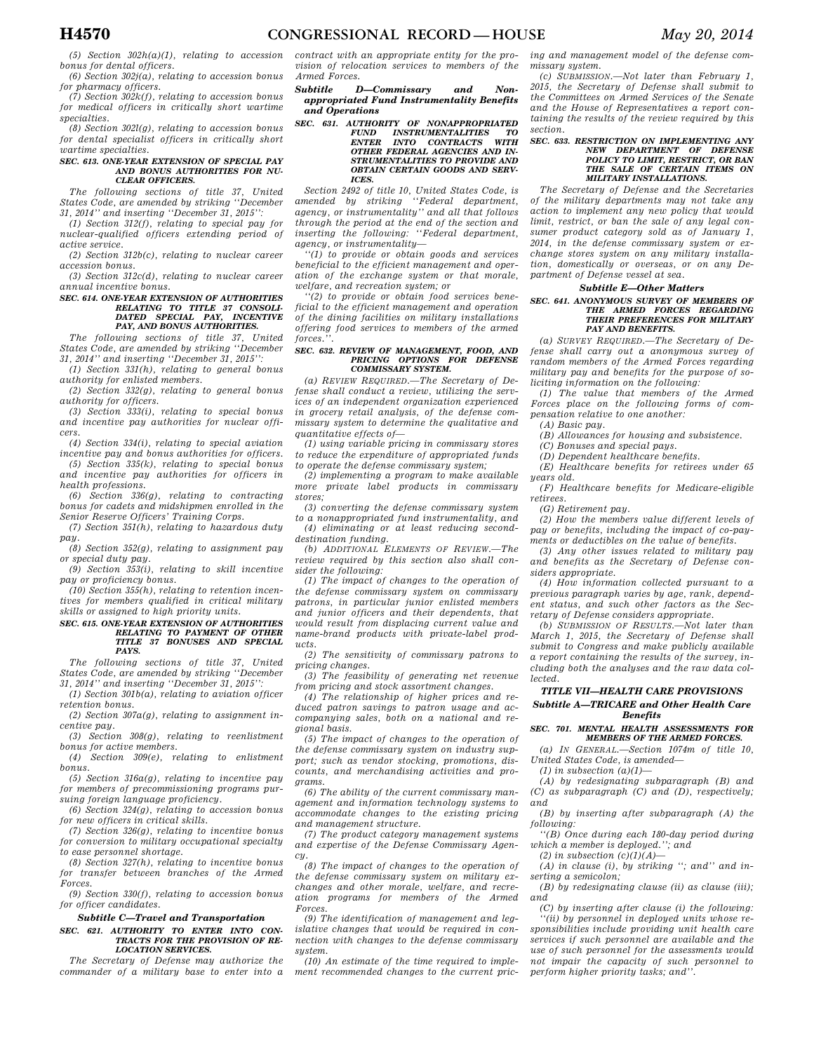*for pharmacy officers. (7) Section 302k(f), relating to accession bonus* 

*for medical officers in critically short wartime specialties.* 

*(8) Section 302l(g), relating to accession bonus for dental specialist officers in critically short wartime specialties.* 

#### *SEC. 613. ONE-YEAR EXTENSION OF SPECIAL PAY AND BONUS AUTHORITIES FOR NU-CLEAR OFFICERS.*

*The following sections of title 37, United States Code, are amended by striking ''December 31, 2014'' and inserting ''December 31, 2015'':* 

*(1) Section 312(f), relating to special pay for nuclear-qualified officers extending period of active service.* 

*(2) Section 312b(c), relating to nuclear career accession bonus.* 

*(3) Section 312c(d), relating to nuclear career annual incentive bonus.* 

# *SEC. 614. ONE-YEAR EXTENSION OF AUTHORITIES RELATING TO TITLE 37 CONSOLI-DATED SPECIAL PAY, INCENTIVE PAY, AND BONUS AUTHORITIES.*

*The following sections of title 37, United States Code, are amended by striking ''December 31, 2014'' and inserting ''December 31, 2015'':* 

*(1) Section 331(h), relating to general bonus authority for enlisted members.* 

*(2) Section 332(g), relating to general bonus authority for officers.* 

*(3) Section 333(i), relating to special bonus and incentive pay authorities for nuclear officers.* 

*(4) Section 334(i), relating to special aviation incentive pay and bonus authorities for officers.* 

*(5) Section 335(k), relating to special bonus and incentive pay authorities for officers in health professions.* 

*(6) Section 336(g), relating to contracting bonus for cadets and midshipmen enrolled in the Senior Reserve Officers' Training Corps.* 

*(7) Section 351(h), relating to hazardous duty pay.* 

*(8) Section 352(g), relating to assignment pay or special duty pay.* 

*(9) Section 353(i), relating to skill incentive pay or proficiency bonus.* 

*(10) Section 355(h), relating to retention incentives for members qualified in critical military skills or assigned to high priority units.* 

### *SEC. 615. ONE-YEAR EXTENSION OF AUTHORITIES RELATING TO PAYMENT OF OTHER TITLE 37 BONUSES AND SPECIAL PAYS.*

*The following sections of title 37, United States Code, are amended by striking ''December 31, 2014'' and inserting ''December 31, 2015'':* 

*(1) Section 301b(a), relating to aviation officer retention bonus.* 

*(2) Section 307a(g), relating to assignment incentive pay.* 

*(3) Section 308(g), relating to reenlistment bonus for active members.* 

*(4) Section 309(e), relating to enlistment bonus.* 

*(5) Section 316a(g), relating to incentive pay for members of precommissioning programs pursuing foreign language proficiency.* 

*(6) Section 324(g), relating to accession bonus for new officers in critical skills.* 

*(7) Section 326(g), relating to incentive bonus for conversion to military occupational specialty to ease personnel shortage.* 

*(8) Section 327(h), relating to incentive bonus for transfer between branches of the Armed Forces.* 

*(9) Section 330(f), relating to accession bonus for officer candidates.* 

#### *Subtitle C—Travel and Transportation SEC. 621. AUTHORITY TO ENTER INTO CON-TRACTS FOR THE PROVISION OF RE-*

*LOCATION SERVICES. The Secretary of Defense may authorize the commander of a military base to enter into a* 

*contract with an appropriate entity for the provision of relocation services to members of the Armed Forces.* 

*Subtitle D—Commissary and Nonappropriated Fund Instrumentality Benefits and Operations* 

*SEC. 631. AUTHORITY OF NONAPPROPRIATED FUND INSTRUMENTALITIES TO ENTER INTO CONTRACTS WITH OTHER FEDERAL AGENCIES AND IN-STRUMENTALITIES TO PROVIDE AND OBTAIN CERTAIN GOODS AND SERV-ICES.* 

*Section 2492 of title 10, United States Code, is amended by striking ''Federal department, agency, or instrumentality'' and all that follows through the period at the end of the section and inserting the following: ''Federal department, agency, or instrumentality—* 

*''(1) to provide or obtain goods and services beneficial to the efficient management and operation of the exchange system or that morale, welfare, and recreation system; or* 

*''(2) to provide or obtain food services beneficial to the efficient management and operation of the dining facilities on military installations offering food services to members of the armed*   $forces.$ 

#### *SEC. 632. REVIEW OF MANAGEMENT, FOOD, AND PRICING OPTIONS FOR DEFENSE COMMISSARY SYSTEM.*

*(a) REVIEW REQUIRED.—The Secretary of Defense shall conduct a review, utilizing the services of an independent organization experienced in grocery retail analysis, of the defense commissary system to determine the qualitative and quantitative effects of—* 

*(1) using variable pricing in commissary stores to reduce the expenditure of appropriated funds to operate the defense commissary system;* 

*(2) implementing a program to make available more private label products in commissary stores;* 

*(3) converting the defense commissary system to a nonappropriated fund instrumentality, and (4) eliminating or at least reducing seconddestination funding.* 

*(b) ADDITIONAL ELEMENTS OF REVIEW.—The review required by this section also shall consider the following:* 

*(1) The impact of changes to the operation of the defense commissary system on commissary patrons, in particular junior enlisted members and junior officers and their dependents, that would result from displacing current value and name-brand products with private-label products.* 

*(2) The sensitivity of commissary patrons to pricing changes.* 

*(3) The feasibility of generating net revenue from pricing and stock assortment changes.* 

*(4) The relationship of higher prices and reduced patron savings to patron usage and accompanying sales, both on a national and regional basis.* 

*(5) The impact of changes to the operation of the defense commissary system on industry support; such as vendor stocking, promotions, discounts, and merchandising activities and programs.* 

*(6) The ability of the current commissary management and information technology systems to accommodate changes to the existing pricing and management structure.* 

*(7) The product category management systems and expertise of the Defense Commissary Agency.* 

*(8) The impact of changes to the operation of the defense commissary system on military exchanges and other morale, welfare, and recreation programs for members of the Armed Forces.* 

*(9) The identification of management and legislative changes that would be required in connection with changes to the defense commissary system.* 

*(10) An estimate of the time required to implement recommended changes to the current pric-* *ing and management model of the defense commissary system.* 

*(c) SUBMISSION.—Not later than February 1, 2015, the Secretary of Defense shall submit to the Committees on Armed Services of the Senate and the House of Representatives a report containing the results of the review required by this section.* 

### *SEC. 633. RESTRICTION ON IMPLEMENTING ANY NEW DEPARTMENT OF DEFENSE POLICY TO LIMIT, RESTRICT, OR BAN THE SALE OF CERTAIN ITEMS ON MILITARY INSTALLATIONS.*

*The Secretary of Defense and the Secretaries of the military departments may not take any action to implement any new policy that would limit, restrict, or ban the sale of any legal consumer product category sold as of January 1, 2014, in the defense commissary system or exchange stores system on any military installation, domestically or overseas, or on any Department of Defense vessel at sea.* 

#### *Subtitle E—Other Matters*

### *SEC. 641. ANONYMOUS SURVEY OF MEMBERS OF THE ARMED FORCES REGARDING THEIR PREFERENCES FOR MILITARY PAY AND BENEFITS.*

*(a) SURVEY REQUIRED.—The Secretary of Defense shall carry out a anonymous survey of random members of the Armed Forces regarding military pay and benefits for the purpose of soliciting information on the following:* 

*(1) The value that members of the Armed Forces place on the following forms of compensation relative to one another: (A) Basic pay.* 

*(B) Allowances for housing and subsistence.* 

*(C) Bonuses and special pays.* 

*(D) Dependent healthcare benefits.* 

*(E) Healthcare benefits for retirees under 65 years old.* 

*(F) Healthcare benefits for Medicare-eligible retirees.* 

*(G) Retirement pay.* 

*(2) How the members value different levels of pay or benefits, including the impact of co-payments or deductibles on the value of benefits.* 

*(3) Any other issues related to military pay and benefits as the Secretary of Defense considers appropriate.* 

*(4) How information collected pursuant to a previous paragraph varies by age, rank, dependent status, and such other factors as the Secretary of Defense considers appropriate.* 

*(b) SUBMISSION OF RESULTS.—Not later than March 1, 2015, the Secretary of Defense shall submit to Congress and make publicly available a report containing the results of the survey, including both the analyses and the raw data collected.* 

#### *TITLE VII—HEALTH CARE PROVISIONS Subtitle A—TRICARE and Other Health Care Benefits*

#### *SEC. 701. MENTAL HEALTH ASSESSMENTS FOR MEMBERS OF THE ARMED FORCES.*

*(a) IN GENERAL.—Section 1074m of title 10, United States Code, is amended—* 

*(1) in subsection (a)(1)—* 

*(A) by redesignating subparagraph (B) and (C) as subparagraph (C) and (D), respectively; and* 

*(B) by inserting after subparagraph (A) the following:* 

*''(B) Once during each 180-day period during which a member is deployed.''; and* 

*(2) in subsection (c)(1)(A)—* 

*(A) in clause (i), by striking ''; and'' and inserting a semicolon;* 

*(B) by redesignating clause (ii) as clause (iii); and* 

*(C) by inserting after clause (i) the following: ''(ii) by personnel in deployed units whose responsibilities include providing unit health care services if such personnel are available and the use of such personnel for the assessments would not impair the capacity of such personnel to perform higher priority tasks; and''.*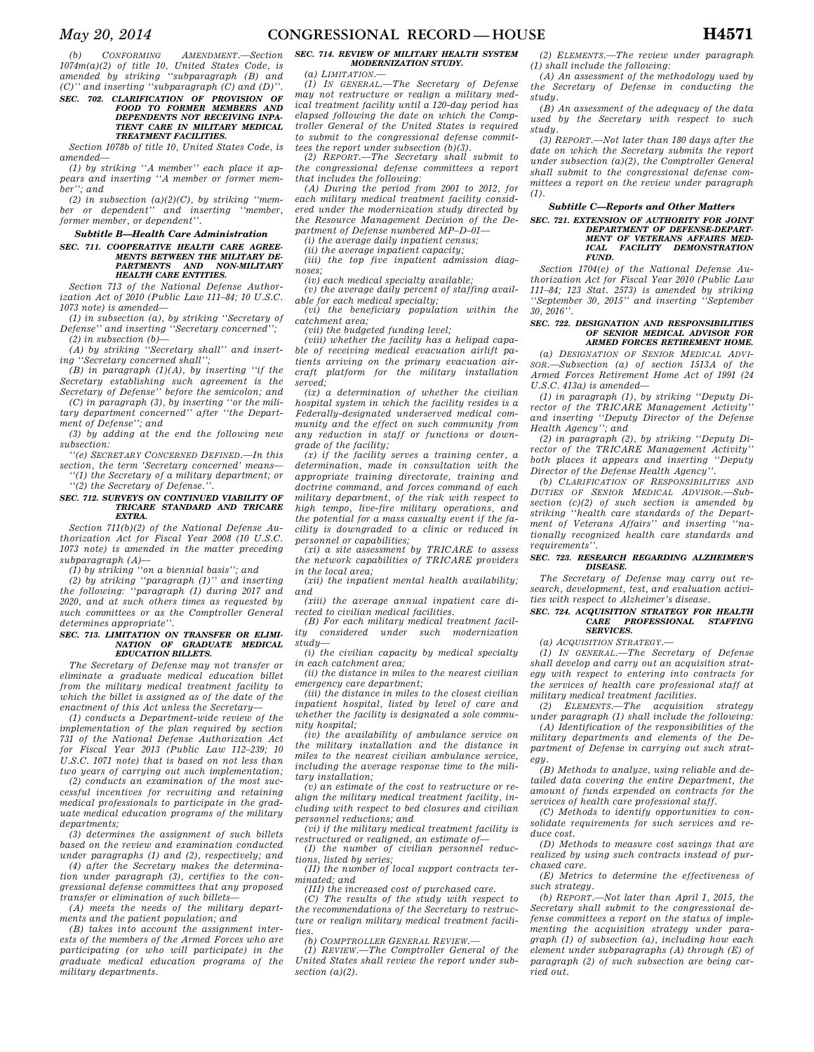*(b) CONFORMING AMENDMENT.—Section 1074m(a)(2) of title 10, United States Code, is amended by striking ''subparagraph (B) and (C)'' and inserting ''subparagraph (C) and (D)''.* 

#### *SEC. 702. CLARIFICATION OF PROVISION OF FOOD TO FORMER MEMBERS AND DEPENDENTS NOT RECEIVING INPA-TIENT CARE IN MILITARY MEDICAL TREATMENT FACILITIES.*

*Section 1078b of title 10, United States Code, is amended—* 

*(1) by striking ''A member'' each place it appears and inserting ''A member or former member''; and* 

*(2) in subsection (a)(2)(C), by striking ''member or dependent'' and inserting ''member, former member, or dependent''.* 

#### *Subtitle B—Health Care Administration SEC. 711. COOPERATIVE HEALTH CARE AGREE-MENTS BETWEEN THE MILITARY DE-PARTMENTS AND NON-MILITARY HEALTH CARE ENTITIES.*

*Section 713 of the National Defense Authorization Act of 2010 (Public Law 111–84; 10 U.S.C. 1073 note) is amended—* 

*(1) in subsection (a), by striking ''Secretary of Defense'' and inserting ''Secretary concerned''; (2) in subsection (b)—* 

*(A) by striking ''Secretary shall'' and inserting ''Secretary concerned shall'';* 

*(B) in paragraph (1)(A), by inserting ''if the Secretary establishing such agreement is the Secretary of Defense'' before the semicolon; and* 

*(C) in paragraph (3), by inserting ''or the military department concerned'' after ''the Department of Defense''; and* 

*(3) by adding at the end the following new subsection:* 

*''(e) SECRETARY CONCERNED DEFINED.—In this section, the term 'Secretary concerned' means—* 

*''(1) the Secretary of a military department; or ''(2) the Secretary of Defense.''.* 

#### *SEC. 712. SURVEYS ON CONTINUED VIABILITY OF TRICARE STANDARD AND TRICARE EXTRA.*

*Section 711(b)(2) of the National Defense Authorization Act for Fiscal Year 2008 (10 U.S.C. 1073 note) is amended in the matter preceding subparagraph (A)—* 

*(1) by striking ''on a biennial basis''; and (2) by striking ''paragraph (1)'' and inserting the following: ''paragraph (1) during 2017 and 2020, and at such others times as requested by such committees or as the Comptroller General determines appropriate''.* 

## *SEC. 713. LIMITATION ON TRANSFER OR ELIMI-NATION OF GRADUATE MEDICAL EDUCATION BILLETS.*

*The Secretary of Defense may not transfer or eliminate a graduate medical education billet from the military medical treatment facility to which the billet is assigned as of the date of the enactment of this Act unless the Secretary—* 

*(1) conducts a Department-wide review of the implementation of the plan required by section 731 of the National Defense Authorization Act for Fiscal Year 2013 (Public Law 112–239; 10 U.S.C. 1071 note) that is based on not less than two years of carrying out such implementation;* 

*(2) conducts an examination of the most successful incentives for recruiting and retaining medical professionals to participate in the graduate medical education programs of the military departments;* 

*(3) determines the assignment of such billets based on the review and examination conducted under paragraphs (1) and (2), respectively; and* 

*(4) after the Secretary makes the determination under paragraph (3), certifies to the congressional defense committees that any proposed transfer or elimination of such billets—* 

*(A) meets the needs of the military departments and the patient population; and* 

*(B) takes into account the assignment interests of the members of the Armed Forces who are participating (or who will participate) in the graduate medical education programs of the military departments.* 

### *SEC. 714. REVIEW OF MILITARY HEALTH SYSTEM MODERNIZATION STUDY.*

*(a) LIMITATION.—* 

*(1) IN GENERAL.—The Secretary of Defense may not restructure or realign a military medical treatment facility until a 120-day period has elapsed following the date on which the Comptroller General of the United States is required to submit to the congressional defense committees the report under subsection (b)(3).* 

*(2) REPORT.—The Secretary shall submit to the congressional defense committees a report that includes the following:* 

*(A) During the period from 2001 to 2012, for each military medical treatment facility considered under the modernization study directed by the Resource Management Decision of the Department of Defense numbered MP–D–01—* 

*(i) the average daily inpatient census;* 

*(ii) the average inpatient capacity;* 

*(iii) the top five inpatient admission diagnoses;* 

*(iv) each medical specialty available; (v) the average daily percent of staffing available for each medical specialty;* 

*(vi) the beneficiary population within the catchment area;* 

*(vii) the budgeted funding level;* 

*(viii) whether the facility has a helipad capable of receiving medical evacuation airlift patients arriving on the primary evacuation aircraft platform for the military installation served;* 

*(ix) a determination of whether the civilian hospital system in which the facility resides is a Federally-designated underserved medical community and the effect on such community from any reduction in staff or functions or downgrade of the facility;* 

*(x) if the facility serves a training center, a determination, made in consultation with the appropriate training directorate, training and doctrine command, and forces command of each military department, of the risk with respect to high tempo, live-fire military operations, and the potential for a mass casualty event if the facility is downgraded to a clinic or reduced in personnel or capabilities;* 

*(xi) a site assessment by TRICARE to assess the network capabilities of TRICARE providers in the local area;* 

*(xii) the inpatient mental health availability; and* 

*(xiii) the average annual inpatient care directed to civilian medical facilities.* 

*(B) For each military medical treatment facility considered under such modernization study—* 

*(i) the civilian capacity by medical specialty in each catchment area;* 

*(ii) the distance in miles to the nearest civilian emergency care department;* 

*(iii) the distance in miles to the closest civilian inpatient hospital, listed by level of care and whether the facility is designated a sole community hospital;* 

*(iv) the availability of ambulance service on the military installation and the distance in miles to the nearest civilian ambulance service, including the average response time to the military installation;* 

*(v) an estimate of the cost to restructure or realign the military medical treatment facility, including with respect to bed closures and civilian personnel reductions; and* 

*(vi) if the military medical treatment facility is restructured or realigned, an estimate of— (I) the number of civilian personnel reduc-*

*tions, listed by series; (II) the number of local support contracts ter-*

*minated; and* 

*(III) the increased cost of purchased care. (C) The results of the study with respect to* 

*the recommendations of the Secretary to restructure or realign military medical treatment facilities.* 

*(b) COMPTROLLER GENERAL REVIEW.—* 

*(1) REVIEW.—The Comptroller General of the United States shall review the report under subsection (a)(2).* 

*(2) ELEMENTS.—The review under paragraph (1) shall include the following:* 

*(A) An assessment of the methodology used by the Secretary of Defense in conducting the study.* 

*(B) An assessment of the adequacy of the data used by the Secretary with respect to such study.* 

*(3) REPORT.—Not later than 180 days after the date on which the Secretary submits the report under subsection (a)(2), the Comptroller General shall submit to the congressional defense committees a report on the review under paragraph (1).* 

### *Subtitle C—Reports and Other Matters*

## *SEC. 721. EXTENSION OF AUTHORITY FOR JOINT DEPARTMENT OF DEFENSE-DEPART-MENT OF VETERANS AFFAIRS MED-ICAL FACILITY DEMONSTRATION FUND.*

*Section 1704(e) of the National Defense Authorization Act for Fiscal Year 2010 (Public Law 111–84; 123 Stat. 2573) is amended by striking ''September 30, 2015'' and inserting ''September 30, 2016''.* 

#### *SEC. 722. DESIGNATION AND RESPONSIBILITIES OF SENIOR MEDICAL ADVISOR FOR ARMED FORCES RETIREMENT HOME.*

*(a) DESIGNATION OF SENIOR MEDICAL ADVI-SOR.—Subsection (a) of section 1513A of the Armed Forces Retirement Home Act of 1991 (24 U.S.C. 413a) is amended—* 

*(1) in paragraph (1), by striking ''Deputy Director of the TRICARE Management Activity'' and inserting ''Deputy Director of the Defense Health Agency''; and* 

*(2) in paragraph (2), by striking ''Deputy Director of the TRICARE Management Activity'' both places it appears and inserting ''Deputy Director of the Defense Health Agency''.* 

*(b) CLARIFICATION OF RESPONSIBILITIES AND DUTIES OF SENIOR MEDICAL ADVISOR.—Subsection (c)(2) of such section is amended by striking ''health care standards of the Department of Veterans Affairs'' and inserting ''nationally recognized health care standards and requirements''.* 

#### *SEC. 723. RESEARCH REGARDING ALZHEIMER'S DISEASE.*

*The Secretary of Defense may carry out research, development, test, and evaluation activities with respect to Alzheimer's disease.* 

#### *SEC. 724. ACQUISITION STRATEGY FOR HEALTH CARE PROFESSIONAL STAFFING SERVICES.*

*(a) ACQUISITION STRATEGY.—* 

*(1) IN GENERAL.—The Secretary of Defense shall develop and carry out an acquisition strategy with respect to entering into contracts for the services of health care professional staff at military medical treatment facilities.* 

*(2) ELEMENTS.—The acquisition strategy under paragraph (1) shall include the following:* 

*(A) Identification of the responsibilities of the military departments and elements of the Department of Defense in carrying out such strategy.* 

*(B) Methods to analyze, using reliable and detailed data covering the entire Department, the amount of funds expended on contracts for the services of health care professional staff.* 

*(C) Methods to identify opportunities to consolidate requirements for such services and reduce cost.* 

*(D) Methods to measure cost savings that are realized by using such contracts instead of purchased care.* 

*(E) Metrics to determine the effectiveness of such strategy.* 

*(b) REPORT.—Not later than April 1, 2015, the Secretary shall submit to the congressional defense committees a report on the status of implementing the acquisition strategy under paragraph (1) of subsection (a), including how each element under subparagraphs (A) through (E) of paragraph (2) of such subsection are being carried out.*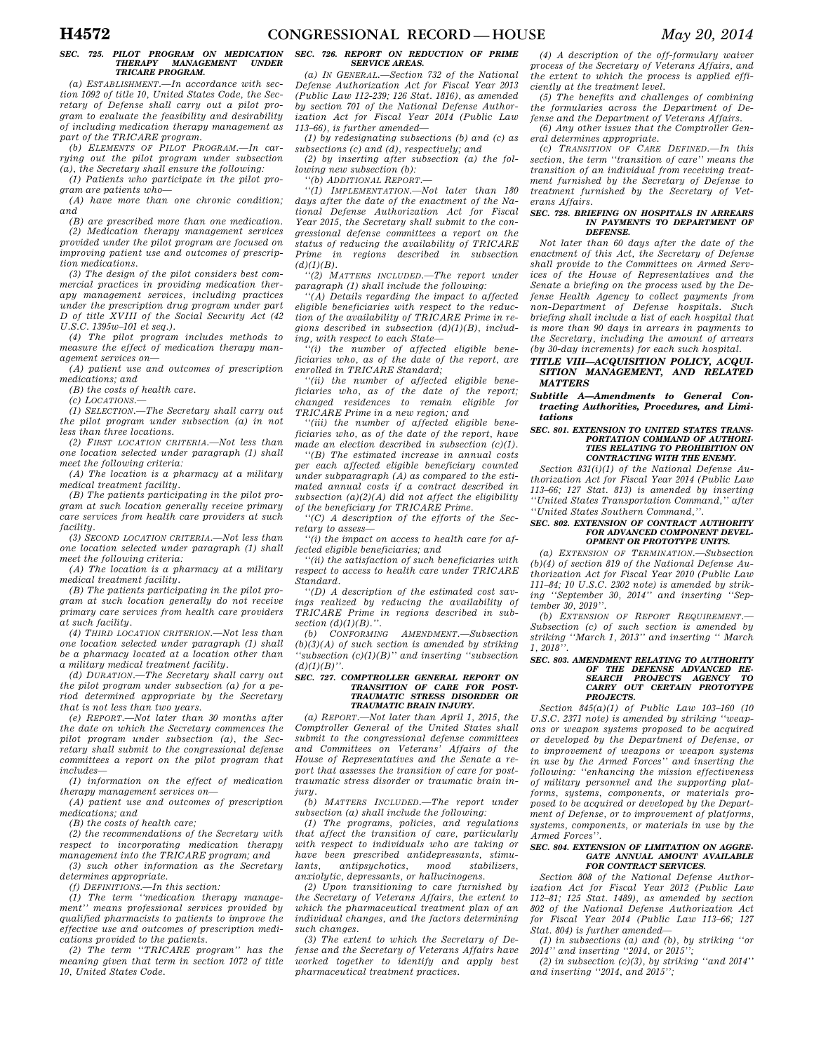## *SEC. 725. PILOT PROGRAM ON MEDICATION THERAPY MANAGEMENT UNDER TRICARE PROGRAM.*

*(a) ESTABLISHMENT.—In accordance with section 1092 of title 10, United States Code, the Secretary of Defense shall carry out a pilot program to evaluate the feasibility and desirability of including medication therapy management as part of the TRICARE program.* 

*(b) ELEMENTS OF PILOT PROGRAM.—In carrying out the pilot program under subsection (a), the Secretary shall ensure the following:* 

*(1) Patients who participate in the pilot program are patients who—* 

*(A) have more than one chronic condition; and* 

*(B) are prescribed more than one medication. (2) Medication therapy management services provided under the pilot program are focused on improving patient use and outcomes of prescription medications.* 

*(3) The design of the pilot considers best commercial practices in providing medication therapy management services, including practices under the prescription drug program under part D of title XVIII of the Social Security Act (42 U.S.C. 1395w–101 et seq.).* 

*(4) The pilot program includes methods to measure the effect of medication therapy management services on—* 

*(A) patient use and outcomes of prescription medications; and* 

*(B) the costs of health care.* 

*(c) LOCATIONS.—* 

*(1) SELECTION.—The Secretary shall carry out the pilot program under subsection (a) in not less than three locations.* 

*(2) FIRST LOCATION CRITERIA.—Not less than one location selected under paragraph (1) shall meet the following criteria:* 

*(A) The location is a pharmacy at a military medical treatment facility.* 

*(B) The patients participating in the pilot program at such location generally receive primary care services from health care providers at such facility.* 

*(3) SECOND LOCATION CRITERIA.—Not less than one location selected under paragraph (1) shall meet the following criteria:* 

*(A) The location is a pharmacy at a military medical treatment facility.* 

*(B) The patients participating in the pilot program at such location generally do not receive primary care services from health care providers at such facility.* 

*(4) THIRD LOCATION CRITERION.—Not less than one location selected under paragraph (1) shall be a pharmacy located at a location other than a military medical treatment facility.* 

*(d) DURATION.—The Secretary shall carry out the pilot program under subsection (a) for a period determined appropriate by the Secretary that is not less than two years.* 

*(e) REPORT.—Not later than 30 months after the date on which the Secretary commences the pilot program under subsection (a), the Secretary shall submit to the congressional defense committees a report on the pilot program that includes—* 

*(1) information on the effect of medication therapy management services on—* 

*(A) patient use and outcomes of prescription medications; and* 

*(B) the costs of health care;* 

*(2) the recommendations of the Secretary with respect to incorporating medication therapy management into the TRICARE program; and* 

*(3) such other information as the Secretary determines appropriate.* 

*(f) DEFINITIONS.—In this section:* 

*(1) The term ''medication therapy management'' means professional services provided by qualified pharmacists to patients to improve the effective use and outcomes of prescription medications provided to the patients.* 

*(2) The term ''TRICARE program'' has the meaning given that term in section 1072 of title 10, United States Code.* 

### *SEC. 726. REPORT ON REDUCTION OF PRIME SERVICE AREAS.*

*(a) IN GENERAL.—Section 732 of the National Defense Authorization Act for Fiscal Year 2013 (Public Law 112-239; 126 Stat. 1816), as amended by section 701 of the National Defense Authorization Act for Fiscal Year 2014 (Public Law 113–66), is further amended—* 

*(1) by redesignating subsections (b) and (c) as subsections (c) and (d), respectively; and* 

*(2) by inserting after subsection (a) the following new subsection (b):* 

*''(b) ADDITIONAL REPORT.—* 

*''(1) IMPLEMENTATION.—Not later than 180 days after the date of the enactment of the National Defense Authorization Act for Fiscal Year 2015, the Secretary shall submit to the congressional defense committees a report on the status of reducing the availability of TRICARE Prime in regions described in subsection*   $(d)(1)(B)$ .

*''(2) MATTERS INCLUDED.—The report under paragraph (1) shall include the following:* 

*''(A) Details regarding the impact to affected eligible beneficiaries with respect to the reduction of the availability of TRICARE Prime in regions described in subsection (d)(1)(B), including, with respect to each State—* 

*''(i) the number of affected eligible beneficiaries who, as of the date of the report, are enrolled in TRICARE Standard;* 

*''(ii) the number of affected eligible beneficiaries who, as of the date of the report; changed residences to remain eligible for TRICARE Prime in a new region; and* 

*''(iii) the number of affected eligible beneficiaries who, as of the date of the report, have made an election described in subsection (c)(1).* 

*''(B) The estimated increase in annual costs per each affected eligible beneficiary counted under subparagraph (A) as compared to the estimated annual costs if a contract described in subsection (a)(2)(A) did not affect the eligibility of the beneficiary for TRICARE Prime.* 

*''(C) A description of the efforts of the Secretary to assess—* 

*''(i) the impact on access to health care for affected eligible beneficiaries; and* 

*''(ii) the satisfaction of such beneficiaries with respect to access to health care under TRICARE Standard.* 

*''(D) A description of the estimated cost savings realized by reducing the availability of TRICARE Prime in regions described in subsection (d)(1)(B).''.* 

*(b) CONFORMING AMENDMENT.—Subsection (b)(3)(A) of such section is amended by striking ''subsection (c)(1)(B)'' and inserting ''subsection*   $(d)(1)(B)$ "

### *SEC. 727. COMPTROLLER GENERAL REPORT ON TRANSITION OF CARE FOR POST-TRAUMATIC STRESS DISORDER OR TRAUMATIC BRAIN INJURY.*

*(a) REPORT.—Not later than April 1, 2015, the Comptroller General of the United States shall submit to the congressional defense committees and Committees on Veterans' Affairs of the House of Representatives and the Senate a report that assesses the transition of care for posttraumatic stress disorder or traumatic brain injury.* 

*(b) MATTERS INCLUDED.—The report under subsection (a) shall include the following:* 

*(1) The programs, policies, and regulations that affect the transition of care, particularly with respect to individuals who are taking or have been prescribed antidepressants, stimulants, antipsychotics, mood stabilizers, anxiolytic, depressants, or hallucinogens.* 

*(2) Upon transitioning to care furnished by the Secretary of Veterans Affairs, the extent to which the pharmaceutical treatment plan of an individual changes, and the factors determining such changes.* 

*(3) The extent to which the Secretary of Defense and the Secretary of Veterans Affairs have worked together to identify and apply best pharmaceutical treatment practices.* 

*(4) A description of the off-formulary waiver process of the Secretary of Veterans Affairs, and the extent to which the process is applied efficiently at the treatment level.* 

*(5) The benefits and challenges of combining the formularies across the Department of Defense and the Department of Veterans Affairs.* 

*(6) Any other issues that the Comptroller General determines appropriate.* 

*(c) TRANSITION OF CARE DEFINED.—In this section, the term ''transition of care'' means the transition of an individual from receiving treatment furnished by the Secretary of Defense to treatment furnished by the Secretary of Veterans Affairs.* 

#### *SEC. 728. BRIEFING ON HOSPITALS IN ARREARS IN PAYMENTS TO DEPARTMENT OF DEFENSE.*

*Not later than 60 days after the date of the enactment of this Act, the Secretary of Defense shall provide to the Committees on Armed Services of the House of Representatives and the Senate a briefing on the process used by the Defense Health Agency to collect payments from non-Department of Defense hospitals. Such briefing shall include a list of each hospital that is more than 90 days in arrears in payments to the Secretary, including the amount of arrears (by 30-day increments) for each such hospital.* 

### *TITLE VIII—ACQUISITION POLICY, ACQUI-SITION MANAGEMENT, AND RELATED MATTERS*

*Subtitle A—Amendments to General Contracting Authorities, Procedures, and Limitations* 

#### *SEC. 801. EXTENSION TO UNITED STATES TRANS-PORTATION COMMAND OF AUTHORI-TIES RELATING TO PROHIBITION ON CONTRACTING WITH THE ENEMY.*

*Section 831(i)(1) of the National Defense Authorization Act for Fiscal Year 2014 (Public Law 113–66; 127 Stat. 813) is amended by inserting ''United States Transportation Command,'' after ''United States Southern Command,''.* 

#### *SEC. 802. EXTENSION OF CONTRACT AUTHORITY FOR ADVANCED COMPONENT DEVEL-OPMENT OR PROTOTYPE UNITS.*

*(a) EXTENSION OF TERMINATION.—Subsection (b)(4) of section 819 of the National Defense Authorization Act for Fiscal Year 2010 (Public Law 111–84; 10 U.S.C. 2302 note) is amended by striking ''September 30, 2014'' and inserting ''September 30, 2019''.* 

*(b) EXTENSION OF REPORT REQUIREMENT.— Subsection (c) of such section is amended by striking ''March 1, 2013'' and inserting '' March 1, 2018''.* 

## *SEC. 803. AMENDMENT RELATING TO AUTHORITY OF THE DEFENSE ADVANCED RE-SEARCH PROJECTS AGENCY TO CARRY OUT CERTAIN PROTOTYPE PROJECTS.*

*Section 845(a)(1) of Public Law 103–160 (10 U.S.C. 2371 note) is amended by striking ''weapons or weapon systems proposed to be acquired or developed by the Department of Defense, or to improvement of weapons or weapon systems in use by the Armed Forces'' and inserting the following: ''enhancing the mission effectiveness of military personnel and the supporting platforms, systems, components, or materials proposed to be acquired or developed by the Department of Defense, or to improvement of platforms, systems, components, or materials in use by the Armed Forces''.* 

#### *SEC. 804. EXTENSION OF LIMITATION ON AGGRE-GATE ANNUAL AMOUNT AVAILABLE FOR CONTRACT SERVICES.*

*Section 808 of the National Defense Authorization Act for Fiscal Year 2012 (Public Law 112–81; 125 Stat. 1489), as amended by section 802 of the National Defense Authorization Act for Fiscal Year 2014 (Public Law 113–66; 127 Stat. 804) is further amended—* 

*(1) in subsections (a) and (b), by striking ''or 2014'' and inserting ''2014, or 2015'';* 

 $(2)$  in subsection  $(c)(3)$ , by striking "and 2014" *and inserting ''2014, and 2015'';*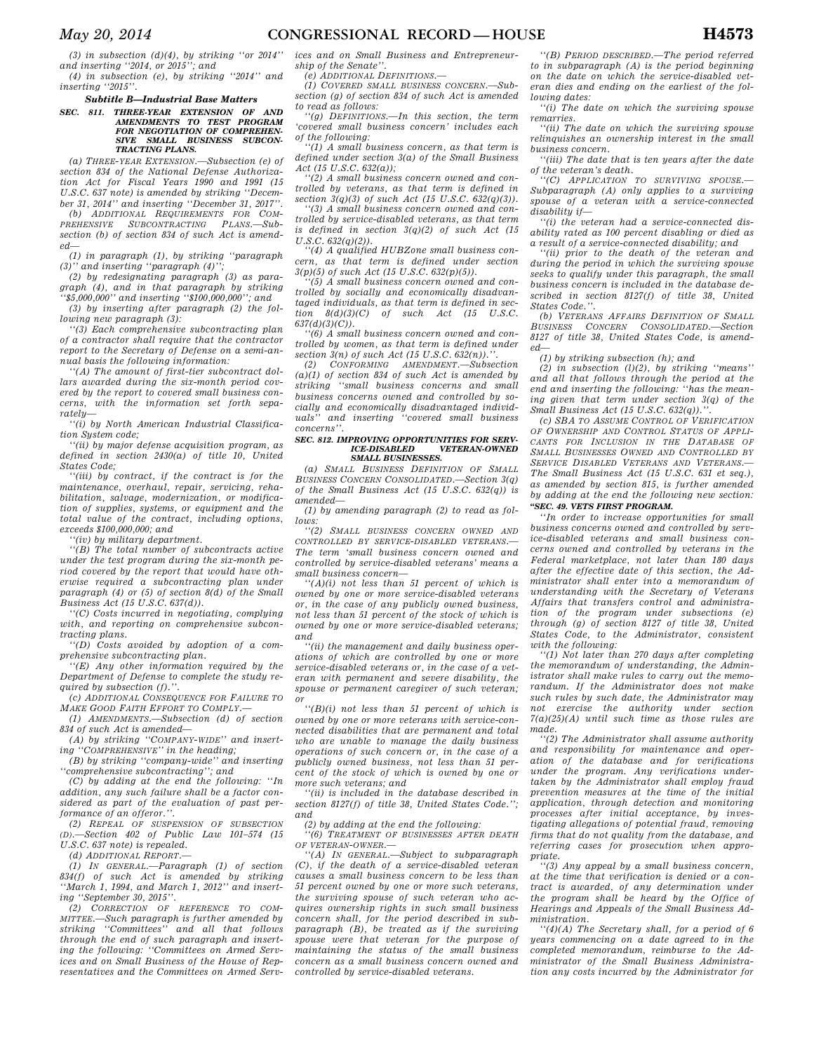*May 20, 2014* **CONGRESSIONAL RECORD — HOUSE H4573** 

*(3) in subsection (d)(4), by striking ''or 2014'' and inserting ''2014, or 2015''; and* 

*(4) in subsection (e), by striking ''2014'' and inserting ''2015''.* 

#### *Subtitle B—Industrial Base Matters*

*SEC. 811. THREE-YEAR EXTENSION OF AND AMENDMENTS TO TEST PROGRAM FOR NEGOTIATION OF COMPREHEN-SIVE SMALL BUSINESS SUBCON-TRACTING PLANS.* 

*(a) THREE-YEAR EXTENSION.—Subsection (e) of section 834 of the National Defense Authorization Act for Fiscal Years 1990 and 1991 (15 U.S.C. 637 note) is amended by striking ''December 31, 2014'' and inserting ''December 31, 2017''. (b) ADDITIONAL REQUIREMENTS FOR COM-*

*PREHENSIVE SUBCONTRACTING PLANS.—Subsection (b) of section 834 of such Act is amended—* 

*(1) in paragraph (1), by striking ''paragraph (3)'' and inserting ''paragraph (4)'';* 

*(2) by redesignating paragraph (3) as paragraph (4), and in that paragraph by striking ''\$5,000,000'' and inserting ''\$100,000,000''; and* 

*(3) by inserting after paragraph (2) the following new paragraph (3):* 

*''(3) Each comprehensive subcontracting plan of a contractor shall require that the contractor report to the Secretary of Defense on a semi-annual basis the following information:* 

*''(A) The amount of first-tier subcontract dollars awarded during the six-month period covered by the report to covered small business concerns, with the information set forth separately—* 

*''(i) by North American Industrial Classification System code;* 

*''(ii) by major defense acquisition program, as defined in section 2430(a) of title 10, United States Code;* 

*''(iii) by contract, if the contract is for the maintenance, overhaul, repair, servicing, rehabilitation, salvage, modernization, or modification of supplies, systems, or equipment and the total value of the contract, including options, exceeds \$100,000,000; and* 

*''(iv) by military department.* 

*''(B) The total number of subcontracts active under the test program during the six-month period covered by the report that would have otherwise required a subcontracting plan under paragraph (4) or (5) of section 8(d) of the Small Business Act (15 U.S.C. 637(d)).* 

*''(C) Costs incurred in negotiating, complying with, and reporting on comprehensive subcontracting plans.* 

*''(D) Costs avoided by adoption of a comprehensive subcontracting plan.* 

*''(E) Any other information required by the Department of Defense to complete the study required by subsection (f).''.* 

*(c) ADDITIONAL CONSEQUENCE FOR FAILURE TO MAKE GOOD FAITH EFFORT TO COMPLY.—* 

*(1) AMENDMENTS.—Subsection (d) of section 834 of such Act is amended—* 

*(A) by striking ''COMPANY-WIDE'' and inserting ''COMPREHENSIVE'' in the heading;* 

*(B) by striking ''company-wide'' and inserting ''comprehensive subcontracting''; and* 

*(C) by adding at the end the following: ''In addition, any such failure shall be a factor considered as part of the evaluation of past performance of an offeror.''.* 

*(2) REPEAL OF SUSPENSION OF SUBSECTION (D).—Section 402 of Public Law 101–574 (15 U.S.C. 637 note) is repealed.* 

*(d) ADDITIONAL REPORT.—* 

*(1) IN GENERAL.—Paragraph (1) of section 834(f) of such Act is amended by striking ''March 1, 1994, and March 1, 2012'' and inserting ''September 30, 2015''.* 

*(2) CORRECTION OF REFERENCE TO COM-MITTEE.—Such paragraph is further amended by striking ''Committees'' and all that follows through the end of such paragraph and inserting the following: ''Committees on Armed Services and on Small Business of the House of Representatives and the Committees on Armed Serv-* *ices and on Small Business and Entrepreneurship of the Senate''.* 

*(e) ADDITIONAL DEFINITIONS.—* 

*(1) COVERED SMALL BUSINESS CONCERN.—Subsection (g) of section 834 of such Act is amended to read as follows:* 

*''(g) DEFINITIONS.—In this section, the term 'covered small business concern' includes each of the following:* 

*''(1) A small business concern, as that term is defined under section 3(a) of the Small Business Act (15 U.S.C. 632(a));* 

*''(2) A small business concern owned and controlled by veterans, as that term is defined in section 3(q)(3) of such Act (15 U.S.C. 632(q)(3)).* 

*''(3) A small business concern owned and controlled by service-disabled veterans, as that term is defined in section 3(q)(2) of such Act (15 U.S.C. 632(q)(2)).* 

*''(4) A qualified HUBZone small business concern, as that term is defined under section 3(p)(5) of such Act (15 U.S.C. 632(p)(5)).* 

*''(5) A small business concern owned and controlled by socially and economically disadvantaged individuals, as that term is defined in section 8(d)(3)(C) of such Act (15 U.S.C. 637(d)(3)(C)).* 

*''(6) A small business concern owned and controlled by women, as that term is defined under section 3(n) of such Act (15 U.S.C. 632(n)).*<br>(2) *CONFORMING AMENDMENT.—Subs* 

*(2) CONFORMING AMENDMENT.—Subsection (a)(1) of section 834 of such Act is amended by striking ''small business concerns and small business concerns owned and controlled by socially and economically disadvantaged individuals'' and inserting ''covered small business concerns''.* 

#### *SEC. 812. IMPROVING OPPORTUNITIES FOR SERV-* $VETERAN-OWNED$ *SMALL BUSINESSES.*

*(a) SMALL BUSINESS DEFINITION OF SMALL BUSINESS CONCERN CONSOLIDATED.—Section 3(q) of the Small Business Act (15 U.S.C. 632(q)) is amended—* 

*(1) by amending paragraph (2) to read as follows:* 

*''(2) SMALL BUSINESS CONCERN OWNED AND CONTROLLED BY SERVICE-DISABLED VETERANS.— The term 'small business concern owned and controlled by service-disabled veterans' means a small business concern—* 

*''(A)(i) not less than 51 percent of which is owned by one or more service-disabled veterans or, in the case of any publicly owned business, not less than 51 percent of the stock of which is owned by one or more service-disabled veterans; and* 

*''(ii) the management and daily business operations of which are controlled by one or more service-disabled veterans or, in the case of a veteran with permanent and severe disability, the spouse or permanent caregiver of such veteran; or* 

*''(B)(i) not less than 51 percent of which is owned by one or more veterans with service-connected disabilities that are permanent and total who are unable to manage the daily business operations of such concern or, in the case of a publicly owned business, not less than 51 percent of the stock of which is owned by one or more such veterans; and* 

*''(ii) is included in the database described in section 8127(f) of title 38, United States Code.''; and* 

*(2) by adding at the end the following:* 

*''(6) TREATMENT OF BUSINESSES AFTER DEATH OF VETERAN-OWNER.—* 

*''(A) IN GENERAL.—Subject to subparagraph (C), if the death of a service-disabled veteran causes a small business concern to be less than 51 percent owned by one or more such veterans, the surviving spouse of such veteran who acquires ownership rights in such small business concern shall, for the period described in subparagraph (B), be treated as if the surviving spouse were that veteran for the purpose of maintaining the status of the small business concern as a small business concern owned and controlled by service-disabled veterans.* 

*''(B) PERIOD DESCRIBED.—The period referred to in subparagraph (A) is the period beginning on the date on which the service-disabled veteran dies and ending on the earliest of the following dates:* 

*''(i) The date on which the surviving spouse remarries.* 

*''(ii) The date on which the surviving spouse relinquishes an ownership interest in the small business concern.* 

*''(iii) The date that is ten years after the date of the veteran's death.* 

*''(C) APPLICATION TO SURVIVING SPOUSE.— Subparagraph (A) only applies to a surviving spouse of a veteran with a service-connected disability if—* 

*''(i) the veteran had a service-connected disability rated as 100 percent disabling or died as a result of a service-connected disability; and* 

*''(ii) prior to the death of the veteran and during the period in which the surviving spouse seeks to qualify under this paragraph, the small business concern is included in the database described in section 8127(f) of title 38, United States Code.''.* 

*(b) VETERANS AFFAIRS DEFINITION OF SMALL BUSINESS CONCERN CONSOLIDATED.—Section 8127 of title 38, United States Code, is amended—* 

*(1) by striking subsection (h); and* 

*(2) in subsection (l)(2), by striking ''means'' and all that follows through the period at the end and inserting the following: ''has the meaning given that term under section 3(q) of the Small Business Act (15 U.S.C. 632(q)).* 

*(c) SBA TO ASSUME CONTROL OF VERIFICATION OF OWNERSHIP AND CONTROL STATUS OF APPLI-CANTS FOR INCLUSION IN THE DATABASE OF SMALL BUSINESSES OWNED AND CONTROLLED BY SERVICE DISABLED VETERANS AND VETERANS.— The Small Business Act (15 U.S.C. 631 et seq.), as amended by section 815, is further amended by adding at the end the following new section: ''SEC. 49. VETS FIRST PROGRAM.* 

*''In order to increase opportunities for small business concerns owned and controlled by service-disabled veterans and small business concerns owned and controlled by veterans in the Federal marketplace, not later than 180 days after the effective date of this section, the Administrator shall enter into a memorandum of understanding with the Secretary of Veterans Affairs that transfers control and administration of the program under subsections (e) through (g) of section 8127 of title 38, United States Code, to the Administrator, consistent with the following:* 

*''(1) Not later than 270 days after completing the memorandum of understanding, the Administrator shall make rules to carry out the memorandum. If the Administrator does not make such rules by such date, the Administrator may not exercise the authority under section 7(a)(25)(A) until such time as those rules are made.* 

*''(2) The Administrator shall assume authority and responsibility for maintenance and operation of the database and for verifications under the program. Any verifications undertaken by the Administrator shall employ fraud prevention measures at the time of the initial application, through detection and monitoring processes after initial acceptance, by investigating allegations of potential fraud, removing firms that do not quality from the database, and referring cases for prosecution when appropriate.* 

*''(3) Any appeal by a small business concern, at the time that verification is denied or a contract is awarded, of any determination under the program shall be heard by the Office of Hearings and Appeals of the Small Business Administration.* 

*''(4)(A) The Secretary shall, for a period of 6 years commencing on a date agreed to in the completed memorandum, reimburse to the Administrator of the Small Business Administration any costs incurred by the Administrator for*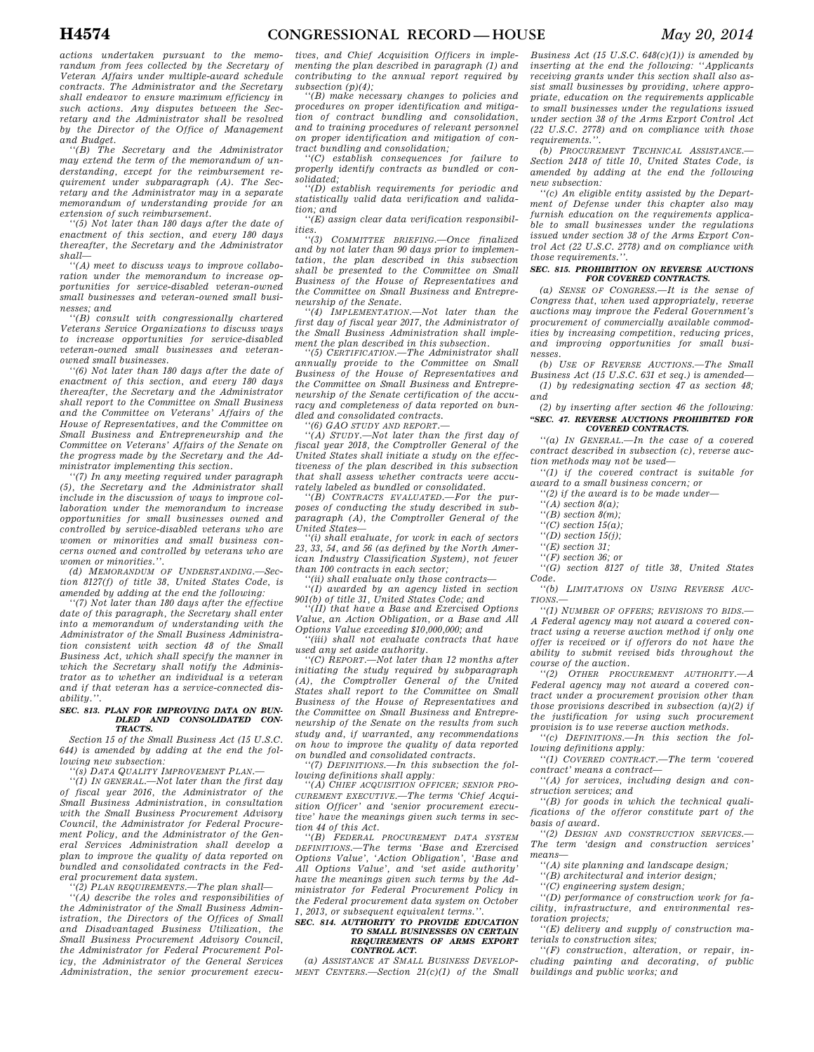*actions undertaken pursuant to the memorandum from fees collected by the Secretary of Veteran Affairs under multiple-award schedule contracts. The Administrator and the Secretary shall endeavor to ensure maximum efficiency in such actions. Any disputes between the Secretary and the Administrator shall be resolved by the Director of the Office of Management and Budget.* 

*''(B) The Secretary and the Administrator may extend the term of the memorandum of understanding, except for the reimbursement requirement under subparagraph (A). The Secretary and the Administrator may in a separate memorandum of understanding provide for an extension of such reimbursement.* 

*''(5) Not later than 180 days after the date of enactment of this section, and every 180 days thereafter, the Secretary and the Administrator shall—* 

*''(A) meet to discuss ways to improve collaboration under the memorandum to increase opportunities for service-disabled veteran-owned small businesses and veteran-owned small businesses; and* 

*''(B) consult with congressionally chartered Veterans Service Organizations to discuss ways to increase opportunities for service-disabled veteran-owned small businesses and veteranowned small businesses.* 

*''(6) Not later than 180 days after the date of enactment of this section, and every 180 days thereafter, the Secretary and the Administrator shall report to the Committee on Small Business and the Committee on Veterans' Affairs of the House of Representatives, and the Committee on Small Business and Entrepreneurship and the Committee on Veterans' Affairs of the Senate on the progress made by the Secretary and the Administrator implementing this section.* 

*''(7) In any meeting required under paragraph (5), the Secretary and the Administrator shall include in the discussion of ways to improve collaboration under the memorandum to increase opportunities for small businesses owned and controlled by service-disabled veterans who are women or minorities and small business concerns owned and controlled by veterans who are women or minorities.''.* 

*(d) MEMORANDUM OF UNDERSTANDING.—Section 8127(f) of title 38, United States Code, is amended by adding at the end the following:* 

*''(7) Not later than 180 days after the effective date of this paragraph, the Secretary shall enter into a memorandum of understanding with the Administrator of the Small Business Administration consistent with section 48 of the Small Business Act, which shall specify the manner in which the Secretary shall notify the Administrator as to whether an individual is a veteran and if that veteran has a service-connected disability.''.* 

#### *SEC. 813. PLAN FOR IMPROVING DATA ON BUN-DLED AND CONSOLIDATED CON-TRACTS.*

*Section 15 of the Small Business Act (15 U.S.C. 644) is amended by adding at the end the following new subsection:* 

*''(s) DATA QUALITY IMPROVEMENT PLAN.—* 

*''(1) IN GENERAL.—Not later than the first day of fiscal year 2016, the Administrator of the Small Business Administration, in consultation with the Small Business Procurement Advisory Council, the Administrator for Federal Procurement Policy, and the Administrator of the General Services Administration shall develop a plan to improve the quality of data reported on bundled and consolidated contracts in the Federal procurement data system.* 

*''(2) PLAN REQUIREMENTS.—The plan shall—* 

*''(A) describe the roles and responsibilities of the Administrator of the Small Business Administration, the Directors of the Offices of Small and Disadvantaged Business Utilization, the Small Business Procurement Advisory Council, the Administrator for Federal Procurement Policy, the Administrator of the General Services Administration, the senior procurement execu-* *tives, and Chief Acquisition Officers in implementing the plan described in paragraph (1) and contributing to the annual report required by subsection (p)(4);* 

*''(B) make necessary changes to policies and procedures on proper identification and mitigation of contract bundling and consolidation, and to training procedures of relevant personnel on proper identification and mitigation of contract bundling and consolidation; ''(C) establish consequences for failure to* 

*properly identify contracts as bundled or consolidated;* 

*''(D) establish requirements for periodic and statistically valid data verification and validation; and* 

*''(E) assign clear data verification responsibilities.* 

*''(3) COMMITTEE BRIEFING.—Once finalized and by not later than 90 days prior to implementation, the plan described in this subsection shall be presented to the Committee on Small Business of the House of Representatives and the Committee on Small Business and Entrepreneurship of the Senate.* 

*''(4) IMPLEMENTATION.—Not later than the first day of fiscal year 2017, the Administrator of the Small Business Administration shall implement the plan described in this subsection.* 

*''(5) CERTIFICATION.—The Administrator shall annually provide to the Committee on Small Business of the House of Representatives and the Committee on Small Business and Entrepreneurship of the Senate certification of the accuracy and completeness of data reported on bundled and consolidated contracts.* 

*''(6) GAO STUDY AND REPORT.—* 

*''(A) STUDY.—Not later than the first day of fiscal year 2018, the Comptroller General of the United States shall initiate a study on the effectiveness of the plan described in this subsection that shall assess whether contracts were accurately labeled as bundled or consolidated.* 

*''(B) CONTRACTS EVALUATED.—For the purposes of conducting the study described in subparagraph (A), the Comptroller General of the United States—* 

*''(i) shall evaluate, for work in each of sectors 23, 33, 54, and 56 (as defined by the North American Industry Classification System), not fewer than 100 contracts in each sector;* 

*''(ii) shall evaluate only those contracts— ''(I) awarded by an agency listed in section 901(b) of title 31, United States Code; and* 

*''(II) that have a Base and Exercised Options Value, an Action Obligation, or a Base and All Options Value exceeding \$10,000,000; and* 

*''(iii) shall not evaluate contracts that have used any set aside authority.* 

*''(C) REPORT.—Not later than 12 months after initiating the study required by subparagraph (A), the Comptroller General of the United States shall report to the Committee on Small Business of the House of Representatives and the Committee on Small Business and Entrepreneurship of the Senate on the results from such study and, if warranted, any recommendations on how to improve the quality of data reported on bundled and consolidated contracts.* 

*''(7) DEFINITIONS.—In this subsection the following definitions shall apply:* 

*''(A) CHIEF ACQUISITION OFFICER; SENIOR PRO-CUREMENT EXECUTIVE.—The terms 'Chief Acquisition Officer' and 'senior procurement executive' have the meanings given such terms in section 44 of this Act.* 

*''(B) FEDERAL PROCUREMENT DATA SYSTEM DEFINITIONS.—The terms 'Base and Exercised Options Value', 'Action Obligation', 'Base and All Options Value', and 'set aside authority' have the meanings given such terms by the Administrator for Federal Procurement Policy in the Federal procurement data system on October 1, 2013, or subsequent equivalent terms.''.* 

#### *SEC. 814. AUTHORITY TO PROVIDE EDUCATION TO SMALL BUSINESSES ON CERTAIN REQUIREMENTS OF ARMS EXPORT CONTROL ACT.*

*(a) ASSISTANCE AT SMALL BUSINESS DEVELOP-MENT CENTERS.—Section 21(c)(1) of the Small* 

*Business Act (15 U.S.C. 648(c)(1)) is amended by inserting at the end the following: ''Applicants receiving grants under this section shall also assist small businesses by providing, where appropriate, education on the requirements applicable to small businesses under the regulations issued under section 38 of the Arms Export Control Act (22 U.S.C. 2778) and on compliance with those requirements.''.* 

*(b) PROCUREMENT TECHNICAL ASSISTANCE.— Section 2418 of title 10, United States Code, is amended by adding at the end the following new subsection:* 

*''(c) An eligible entity assisted by the Department of Defense under this chapter also may furnish education on the requirements applicable to small businesses under the regulations issued under section 38 of the Arms Export Control Act (22 U.S.C. 2778) and on compliance with those requirements.''.* 

#### *SEC. 815. PROHIBITION ON REVERSE AUCTIONS FOR COVERED CONTRACTS.*

*(a) SENSE OF CONGRESS.—It is the sense of Congress that, when used appropriately, reverse auctions may improve the Federal Government's procurement of commercially available commodities by increasing competition, reducing prices, and improving opportunities for small businesses.* 

*(b) USE OF REVERSE AUCTIONS.—The Small Business Act (15 U.S.C. 631 et seq.) is amended— (1) by redesignating section 47 as section 48; and* 

*(2) by inserting after section 46 the following: ''SEC. 47. REVERSE AUCTIONS PROHIBITED FOR COVERED CONTRACTS.* 

*''(a) IN GENERAL.—In the case of a covered contract described in subsection (c), reverse auction methods may not be used—* 

*''(1) if the covered contract is suitable for award to a small business concern; or* 

*''(2) if the award is to be made under—* 

- *''(A) section 8(a);*
- *''(B) section 8(m);*
- *''(C) section 15(a);*
- *''(D) section 15(j);*
- *''(E) section 31;*
- *''(F) section 36; or ''(G) section 8127 of title 38, United States*

*Code. ''(b) LIMITATIONS ON USING REVERSE AUC-*

*TIONS.—* 

*''(1) NUMBER OF OFFERS; REVISIONS TO BIDS.— A Federal agency may not award a covered contract using a reverse auction method if only one offer is received or if offerors do not have the ability to submit revised bids throughout the course of the auction.* 

*''(2) OTHER PROCUREMENT AUTHORITY.—A Federal agency may not award a covered contract under a procurement provision other than those provisions described in subsection (a)(2) if the justification for using such procurement provision is to use reverse auction methods.* 

*''(c) DEFINITIONS.—In this section the following definitions apply:* 

*''(1) COVERED CONTRACT.—The term 'covered contract' means a contract—* 

*''(A) for services, including design and construction services; and* 

*''(B) for goods in which the technical qualifications of the offeror constitute part of the basis of award.* 

*''(2) DESIGN AND CONSTRUCTION SERVICES.— The term 'design and construction services' means—* 

*''(A) site planning and landscape design;* 

*''(B) architectural and interior design;* 

*''(C) engineering system design;* 

*''(D) performance of construction work for facility, infrastructure, and environmental restoration projects;* 

*''(E) delivery and supply of construction materials to construction sites;* 

*''(F) construction, alteration, or repair, including painting and decorating, of public buildings and public works; and*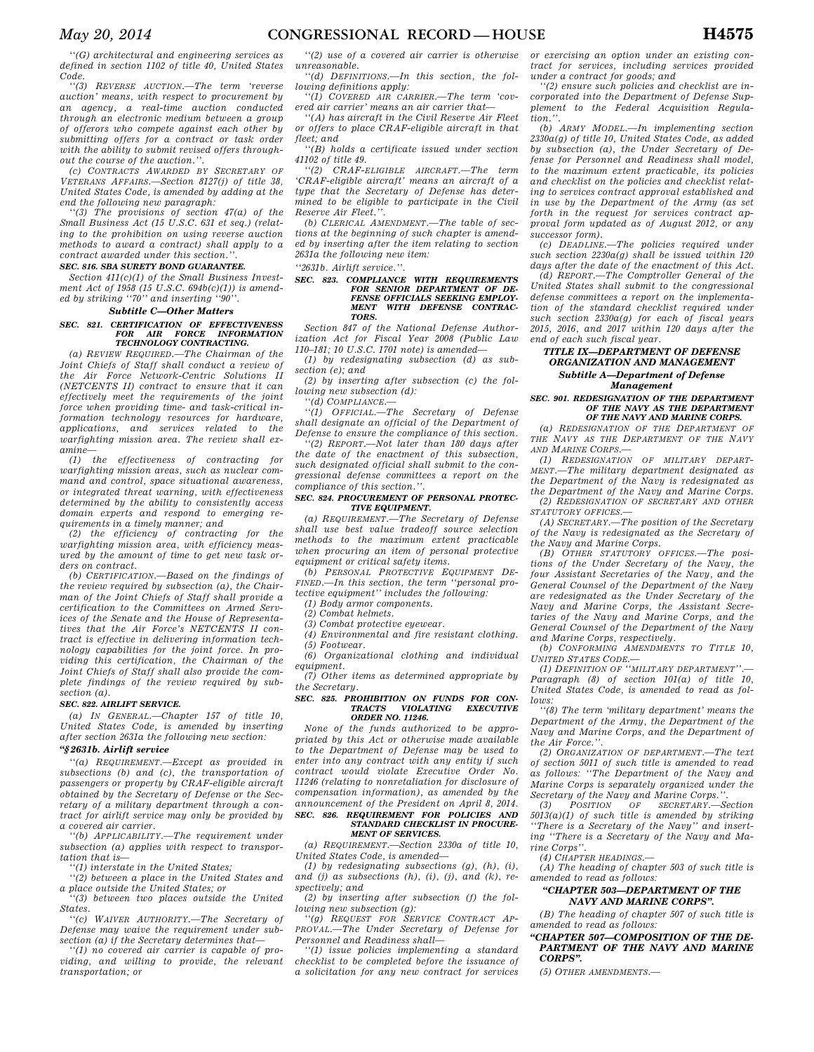*''(G) architectural and engineering services as defined in section 1102 of title 40, United States Code.* 

*''(3) REVERSE AUCTION.—The term 'reverse auction' means, with respect to procurement by an agency, a real-time auction conducted through an electronic medium between a group of offerors who compete against each other by submitting offers for a contract or task order with the ability to submit revised offers throughout the course of the auction.''.* 

*(c) CONTRACTS AWARDED BY SECRETARY OF VETERANS AFFAIRS.—Section 8127(j) of title 38, United States Code, is amended by adding at the end the following new paragraph:* 

*''(3) The provisions of section 47(a) of the Small Business Act (15 U.S.C. 631 et seq.) (relating to the prohibition on using reverse auction methods to award a contract) shall apply to a contract awarded under this section.''.* 

#### *SEC. 816. SBA SURETY BOND GUARANTEE.*

*Section 411(c)(1) of the Small Business Investment Act of 1958 (15 U.S.C. 694b(c)(1)) is amended by striking "70" and inserting "90"* 

#### *Subtitle C—Other Matters*

#### *SEC. 821. CERTIFICATION OF EFFECTIVENESS FOR AIR FORCE INFORMATION TECHNOLOGY CONTRACTING.*

*(a) REVIEW REQUIRED.—The Chairman of the Joint Chiefs of Staff shall conduct a review of the Air Force Network-Centric Solutions II (NETCENTS II) contract to ensure that it can effectively meet the requirements of the joint force when providing time- and task-critical information technology resources for hardware, applications, and services related to the warfighting mission area. The review shall examine—* 

*(1) the effectiveness of contracting for warfighting mission areas, such as nuclear command and control, space situational awareness, or integrated threat warning, with effectiveness determined by the ability to consistently access domain experts and respond to emerging requirements in a timely manner; and* 

*(2) the efficiency of contracting for the warfighting mission area, with efficiency measured by the amount of time to get new task orders on contract.* 

*(b) CERTIFICATION.—Based on the findings of the review required by subsection (a), the Chairman of the Joint Chiefs of Staff shall provide a certification to the Committees on Armed Services of the Senate and the House of Representatives that the Air Force's NETCENTS II contract is effective in delivering information technology capabilities for the joint force. In providing this certification, the Chairman of the Joint Chiefs of Staff shall also provide the complete findings of the review required by subsection (a).* 

#### *SEC. 822. AIRLIFT SERVICE.*

*(a) IN GENERAL.—Chapter 157 of title 10, United States Code, is amended by inserting after section 2631a the following new section:* 

### *''§ 2631b. Airlift service*

*''(a) REQUIREMENT.—Except as provided in subsections (b) and (c), the transportation of passengers or property by CRAF-eligible aircraft obtained by the Secretary of Defense or the Secretary of a military department through a contract for airlift service may only be provided by a covered air carrier.* 

*''(b) APPLICABILITY.—The requirement under subsection (a) applies with respect to transportation that is—* 

*''(1) interstate in the United States;* 

*''(2) between a place in the United States and a place outside the United States; or* 

*''(3) between two places outside the United States.* 

*''(c) WAIVER AUTHORITY.—The Secretary of Defense may waive the requirement under subsection (a) if the Secretary determines that—* 

*''(1) no covered air carrier is capable of providing, and willing to provide, the relevant transportation; or* 

*''(2) use of a covered air carrier is otherwise unreasonable.* 

*''(d) DEFINITIONS.—In this section, the following definitions apply:* 

*''(1) COVERED AIR CARRIER.—The term 'covered air carrier' means an air carrier that—* 

*''(A) has aircraft in the Civil Reserve Air Fleet or offers to place CRAF-eligible aircraft in that fleet; and* 

*''(B) holds a certificate issued under section 41102 of title 49.* 

*''(2) CRAF-ELIGIBLE AIRCRAFT.—The term 'CRAF-eligible aircraft' means an aircraft of a type that the Secretary of Defense has determined to be eligible to participate in the Civil Reserve Air Fleet.''.* 

*(b) CLERICAL AMENDMENT.—The table of sections at the beginning of such chapter is amended by inserting after the item relating to section 2631a the following new item:* 

*''2631b. Airlift service.''.* 

#### *SEC. 823. COMPLIANCE WITH REQUIREMENTS FOR SENIOR DEPARTMENT OF DE-FENSE OFFICIALS SEEKING EMPLOY-MENT WITH DEFENSE CONTRAC-TORS.*

*Section 847 of the National Defense Authorization Act for Fiscal Year 2008 (Public Law 110–181; 10 U.S.C. 1701 note) is amended—* 

*(1) by redesignating subsection (d) as subsection (e); and* 

*(2) by inserting after subsection (c) the following new subsection (d):* 

*''(d) COMPLIANCE.—* 

*''(1) OFFICIAL.—The Secretary of Defense shall designate an official of the Department of Defense to ensure the compliance of this section.* 

*''(2) REPORT.—Not later than 180 days after the date of the enactment of this subsection, such designated official shall submit to the congressional defense committees a report on the compliance of this section.''.* 

#### *SEC. 824. PROCUREMENT OF PERSONAL PROTEC-TIVE EQUIPMENT.*

*(a) REQUIREMENT.—The Secretary of Defense shall use best value tradeoff source selection methods to the maximum extent practicable when procuring an item of personal protective equipment or critical safety items.* 

*(b) PERSONAL PROTECTIVE EQUIPMENT DE-FINED.—In this section, the term ''personal protective equipment'' includes the following: (1) Body armor components.* 

*(2) Combat helmets.* 

*(3) Combat protective eyewear.* 

*(4) Environmental and fire resistant clothing.* 

*(5) Footwear. (6) Organizational clothing and individual* 

*equipment.* 

*(7) Other items as determined appropriate by the Secretary.* 

## *SEC. 825. PROHIBITION ON FUNDS FOR CON-TRACTS VIOLATING EXECUTIVE ORDER NO. 11246.*

*None of the funds authorized to be appropriated by this Act or otherwise made available to the Department of Defense may be used to enter into any contract with any entity if such contract would violate Executive Order No. 11246 (relating to nonretaliation for disclosure of compensation information), as amended by the announcement of the President on April 8, 2014. SEC. 826. REQUIREMENT FOR POLICIES AND STANDARD CHECKLIST IN PROCURE-*

### *MENT OF SERVICES.*

*(a) REQUIREMENT.—Section 2330a of title 10, United States Code, is amended—* 

*(1) by redesignating subsections (g), (h), (i), and (j) as subsections (h), (i), (j), and (k), respectively; and* 

*(2) by inserting after subsection (f) the following new subsection (g):* 

*''(g) REQUEST FOR SERVICE CONTRACT AP-PROVAL.—The Under Secretary of Defense for Personnel and Readiness shall—* 

*''(1) issue policies implementing a standard checklist to be completed before the issuance of a solicitation for any new contract for services* 

*or exercising an option under an existing contract for services, including services provided under a contract for goods; and* 

*''(2) ensure such policies and checklist are incorporated into the Department of Defense Supplement to the Federal Acquisition Regulation.''.* 

*(b) ARMY MODEL.—In implementing section 2330a(g) of title 10, United States Code, as added by subsection (a), the Under Secretary of Defense for Personnel and Readiness shall model, to the maximum extent practicable, its policies and checklist on the policies and checklist relating to services contract approval established and in use by the Department of the Army (as set forth in the request for services contract approval form updated as of August 2012, or any successor form).* 

*(c) DEADLINE.—The policies required under such section 2230a(g) shall be issued within 120 days after the date of the enactment of this Act.* 

*(d) REPORT.—The Comptroller General of the United States shall submit to the congressional defense committees a report on the implementation of the standard checklist required under such section 2330a(g) for each of fiscal years 2015, 2016, and 2017 within 120 days after the end of each such fiscal year.* 

### *TITLE IX—DEPARTMENT OF DEFENSE ORGANIZATION AND MANAGEMENT Subtitle A—Department of Defense*

*Management* 

#### *SEC. 901. REDESIGNATION OF THE DEPARTMENT OF THE NAVY AS THE DEPARTMENT OF THE NAVY AND MARINE CORPS.*

*(a) REDESIGNATION OF THE DEPARTMENT OF THE NAVY AS THE DEPARTMENT OF THE NAVY AND MARINE CORPS.—* 

*(1) REDESIGNATION OF MILITARY DEPART-MENT.—The military department designated as the Department of the Navy is redesignated as the Department of the Navy and Marine Corps. (2) REDESIGNATION OF SECRETARY AND OTHER STATUTORY OFFICES.—* 

*(A) SECRETARY.—The position of the Secretary of the Navy is redesignated as the Secretary of* 

*the Navy and Marine Corps. (B) OTHER STATUTORY OFFICES.—The positions of the Under Secretary of the Navy, the four Assistant Secretaries of the Navy, and the General Counsel of the Department of the Navy are redesignated as the Under Secretary of the Navy and Marine Corps, the Assistant Secretaries of the Navy and Marine Corps, and the General Counsel of the Department of the Navy and Marine Corps, respectively.* 

*(b) CONFORMING AMENDMENTS TO TITLE 10, UNITED STATES CODE.—* 

*(1) DEFINITION OF "MILITARY DEPARTMENT"*. *Paragraph (8) of section 101(a) of title 10, United States Code, is amended to read as follows:* 

*''(8) The term 'military department' means the Department of the Army, the Department of the Navy and Marine Corps, and the Department of the Air Force.''.* 

*(2) ORGANIZATION OF DEPARTMENT.—The text of section 5011 of such title is amended to read as follows: ''The Department of the Navy and Marine Corps is separately organized under the Secretary of the Navy and Marine Corps.''.* 

*(3) POSITION OF SECRETARY.—Section 5013(a)(1) of such title is amended by striking ''There is a Secretary of the Navy'' and inserting ''There is a Secretary of the Navy and Marine Corps''.* 

*(4) CHAPTER HEADINGS.—* 

*(A) The heading of chapter 503 of such title is amended to read as follows:* 

#### *''CHAPTER 503—DEPARTMENT OF THE NAVY AND MARINE CORPS''.*

*(B) The heading of chapter 507 of such title is amended to read as follows:* 

#### *''CHAPTER 507—COMPOSITION OF THE DE-PARTMENT OF THE NAVY AND MARINE CORPS''.*

*(5) OTHER AMENDMENTS.—*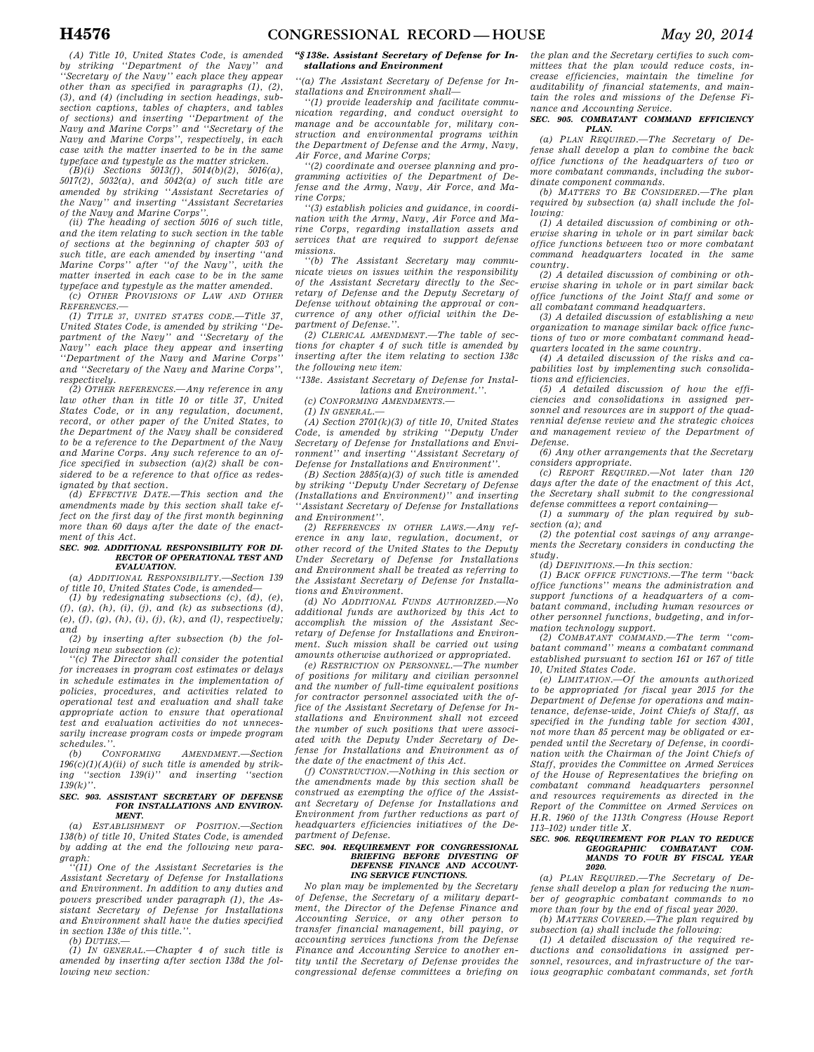*(B)(i) Sections 5013(f), 5014(b)(2), 5016(a), 5017(2), 5032(a), and 5042(a) of such title are amended by striking ''Assistant Secretaries of the Navy'' and inserting ''Assistant Secretaries of the Navy and Marine Corps''.* 

*(ii) The heading of section 5016 of such title, and the item relating to such section in the table of sections at the beginning of chapter 503 of such title, are each amended by inserting ''and Marine Corps'' after ''of the Navy'', with the matter inserted in each case to be in the same typeface and typestyle as the matter amended. (c) OTHER PROVISIONS OF LAW AND OTHER*

*REFERENCES.— (1) TITLE 37, UNITED STATES CODE.—Title 37, United States Code, is amended by striking ''Department of the Navy'' and ''Secretary of the Navy'' each place they appear and inserting ''Department of the Navy and Marine Corps'' and ''Secretary of the Navy and Marine Corps'', respectively.* 

*(2) OTHER REFERENCES.—Any reference in any law other than in title 10 or title 37, United States Code, or in any regulation, document, record, or other paper of the United States, to the Department of the Navy shall be considered to be a reference to the Department of the Navy and Marine Corps. Any such reference to an office specified in subsection (a)(2) shall be considered to be a reference to that office as redesignated by that section.* 

*(d) EFFECTIVE DATE.—This section and the amendments made by this section shall take effect on the first day of the first month beginning more than 60 days after the date of the enactment of this Act.* 

#### *SEC. 902. ADDITIONAL RESPONSIBILITY FOR DI-RECTOR OF OPERATIONAL TEST AND EVALUATION.*

*(a) ADDITIONAL RESPONSIBILITY.—Section 139 of title 10, United States Code, is amended—* 

*(1) by redesignating subsections (c), (d), (e), (f), (g), (h), (i), (j), and (k) as subsections (d), (e), (f), (g), (h), (i), (j), (k), and (l), respectively; and* 

*(2) by inserting after subsection (b) the following new subsection (c):* 

*''(c) The Director shall consider the potential for increases in program cost estimates or delays in schedule estimates in the implementation of policies, procedures, and activities related to operational test and evaluation and shall take appropriate action to ensure that operational test and evaluation activities do not unnecessarily increase program costs or impede program schedules.''.* 

*(b) CONFORMING AMENDMENT.—Section 196(c)(1)(A)(ii) of such title is amended by striking ''section 139(i)'' and inserting ''section 139(k)''.* 

#### *SEC. 903. ASSISTANT SECRETARY OF DEFENSE FOR INSTALLATIONS AND ENVIRON-MENT.*

*(a) ESTABLISHMENT OF POSITION.—Section 138(b) of title 10, United States Code, is amended by adding at the end the following new paragraph:* 

*''(11) One of the Assistant Secretaries is the Assistant Secretary of Defense for Installations and Environment. In addition to any duties and powers prescribed under paragraph (1), the Assistant Secretary of Defense for Installations and Environment shall have the duties specified in section 138e of this title.''.* 

*(b) DUTIES.—* 

*(1) IN GENERAL.—Chapter 4 of such title is amended by inserting after section 138d the following new section:* 

#### *''§ 138e. Assistant Secretary of Defense for Installations and Environment*

*''(a) The Assistant Secretary of Defense for Installations and Environment shall—* 

*''(1) provide leadership and facilitate communication regarding, and conduct oversight to manage and be accountable for, military construction and environmental programs within the Department of Defense and the Army, Navy, Air Force, and Marine Corps;* 

*''(2) coordinate and oversee planning and programming activities of the Department of Defense and the Army, Navy, Air Force, and Marine Corps;* 

*''(3) establish policies and guidance, in coordination with the Army, Navy, Air Force and Marine Corps, regarding installation assets and services that are required to support defense missions.* 

*''(b) The Assistant Secretary may communicate views on issues within the responsibility of the Assistant Secretary directly to the Secretary of Defense and the Deputy Secretary of Defense without obtaining the approval or concurrence of any other official within the Department of Defense.''.* 

*(2) CLERICAL AMENDMENT.—The table of sections for chapter 4 of such title is amended by inserting after the item relating to section 138c the following new item:* 

*''138e. Assistant Secretary of Defense for Installations and Environment.''.* 

*(c) CONFORMING AMENDMENTS.—* 

*(1) IN GENERAL.—* 

*(A) Section 2701(k)(3) of title 10, United States Code, is amended by striking ''Deputy Under Secretary of Defense for Installations and Environment'' and inserting ''Assistant Secretary of Defense for Installations and Environment''.* 

*(B) Section 2885(a)(3) of such title is amended by striking ''Deputy Under Secretary of Defense (Installations and Environment)'' and inserting ''Assistant Secretary of Defense for Installations and Environment''.* 

*(2) REFERENCES IN OTHER LAWS.—Any reference in any law, regulation, document, or other record of the United States to the Deputy Under Secretary of Defense for Installations and Environment shall be treated as referring to the Assistant Secretary of Defense for Installations and Environment.* 

*(d) NO ADDITIONAL FUNDS AUTHORIZED.—No additional funds are authorized by this Act to accomplish the mission of the Assistant Secretary of Defense for Installations and Environment. Such mission shall be carried out using amounts otherwise authorized or appropriated.* 

*(e) RESTRICTION ON PERSONNEL.—The number of positions for military and civilian personnel and the number of full-time equivalent positions for contractor personnel associated with the office of the Assistant Secretary of Defense for Installations and Environment shall not exceed the number of such positions that were associated with the Deputy Under Secretary of Defense for Installations and Environment as of the date of the enactment of this Act.* 

*(f) CONSTRUCTION.—Nothing in this section or the amendments made by this section shall be construed as exempting the office of the Assistant Secretary of Defense for Installations and Environment from further reductions as part of headquarters efficiencies initiatives of the Department of Defense.* 

## *SEC. 904. REQUIREMENT FOR CONGRESSIONAL BRIEFING BEFORE DIVESTING OF DEFENSE FINANCE AND ACCOUNT-ING SERVICE FUNCTIONS.*

*No plan may be implemented by the Secretary of Defense, the Secretary of a military department, the Director of the Defense Finance and Accounting Service, or any other person to transfer financial management, bill paying, or accounting services functions from the Defense Finance and Accounting Service to another entity until the Secretary of Defense provides the congressional defense committees a briefing on*  *the plan and the Secretary certifies to such committees that the plan would reduce costs, increase efficiencies, maintain the timeline for auditability of financial statements, and maintain the roles and missions of the Defense Finance and Accounting Service.* 

*SEC. 905. COMBATANT COMMAND EFFICIENCY PLAN.* 

*(a) PLAN REQUIRED.—The Secretary of Defense shall develop a plan to combine the back office functions of the headquarters of two or more combatant commands, including the subordinate component commands.* 

*(b) MATTERS TO BE CONSIDERED.—The plan required by subsection (a) shall include the following:* 

*(1) A detailed discussion of combining or otherwise sharing in whole or in part similar back office functions between two or more combatant command headquarters located in the same country.* 

*(2) A detailed discussion of combining or otherwise sharing in whole or in part similar back office functions of the Joint Staff and some or all combatant command headquarters.* 

*(3) A detailed discussion of establishing a new organization to manage similar back office functions of two or more combatant command headquarters located in the same country.* 

*(4) A detailed discussion of the risks and capabilities lost by implementing such consolidations and efficiencies.* 

*(5) A detailed discussion of how the efficiencies and consolidations in assigned personnel and resources are in support of the quadrennial defense review and the strategic choices and management review of the Department of Defense.* 

*(6) Any other arrangements that the Secretary considers appropriate.* 

*(c) REPORT REQUIRED.—Not later than 120 days after the date of the enactment of this Act, the Secretary shall submit to the congressional defense committees a report containing—* 

*(1) a summary of the plan required by subsection (a); and* 

*(2) the potential cost savings of any arrangements the Secretary considers in conducting the study.* 

*(d) DEFINITIONS.—In this section:* 

*(1) BACK OFFICE FUNCTIONS.—The term ''back office functions'' means the administration and support functions of a headquarters of a combatant command, including human resources or other personnel functions, budgeting, and information technology support.* 

*(2) COMBATANT COMMAND.—The term ''com-batant command'' means a combatant command established pursuant to section 161 or 167 of title 10, United States Code.* 

*(e) LIMITATION.—Of the amounts authorized to be appropriated for fiscal year 2015 for the Department of Defense for operations and maintenance, defense-wide, Joint Chiefs of Staff, as specified in the funding table for section 4301, not more than 85 percent may be obligated or expended until the Secretary of Defense, in coordination with the Chairman of the Joint Chiefs of Staff, provides the Committee on Armed Services of the House of Representatives the briefing on combatant command headquarters personnel and resources requirements as directed in the Report of the Committee on Armed Services on H.R. 1960 of the 113th Congress (House Report 113–102) under title X.* 

### *SEC. 906. REQUIREMENT FOR PLAN TO REDUCE GEOGRAPHIC COMBATANT COM-MANDS TO FOUR BY FISCAL YEAR 2020.*

*(a) PLAN REQUIRED.—The Secretary of Defense shall develop a plan for reducing the number of geographic combatant commands to no more than four by the end of fiscal year 2020. (b) MATTERS COVERED.—The plan required by* 

*subsection (a) shall include the following:* 

*(1) A detailed discussion of the required reductions and consolidations in assigned personnel, resources, and infrastructure of the various geographic combatant commands, set forth*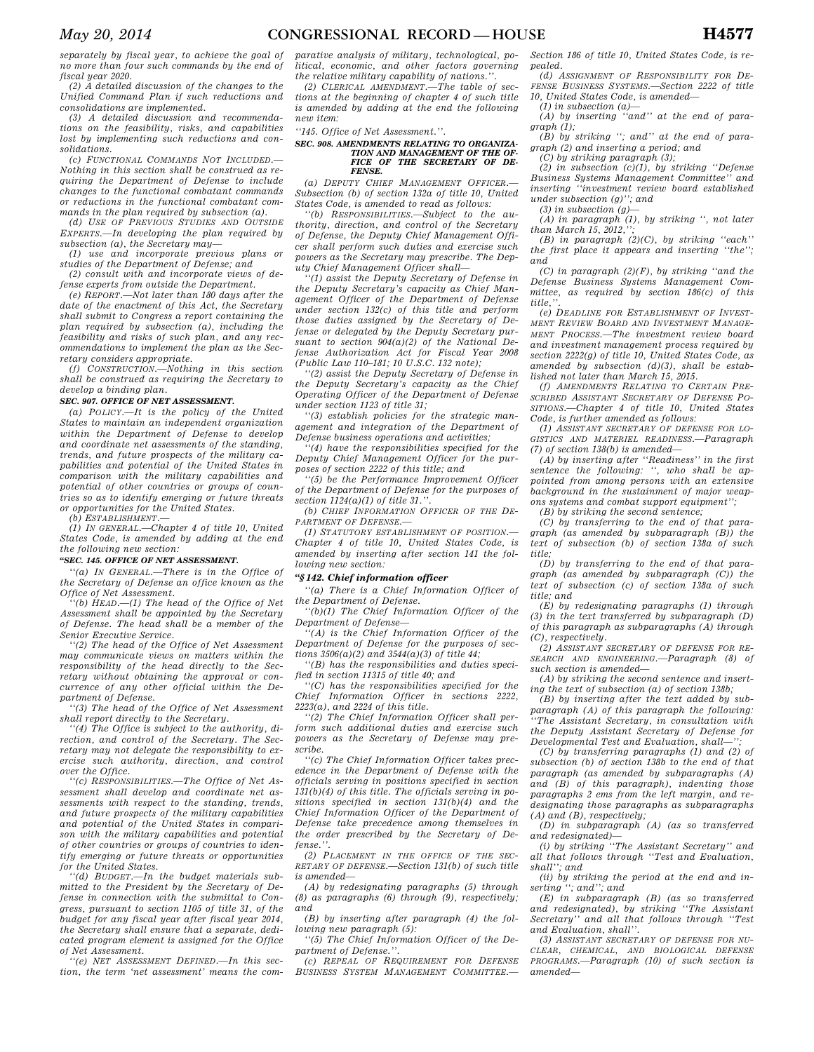*separately by fiscal year, to achieve the goal of no more than four such commands by the end of fiscal year 2020.* 

*(2) A detailed discussion of the changes to the Unified Command Plan if such reductions and consolidations are implemented.* 

*(3) A detailed discussion and recommendations on the feasibility, risks, and capabilities lost by implementing such reductions and consolidations.* 

*(c) FUNCTIONAL COMMANDS NOT INCLUDED.— Nothing in this section shall be construed as requiring the Department of Defense to include changes to the functional combatant commands or reductions in the functional combatant commands in the plan required by subsection (a).* 

*(d) USE OF PREVIOUS STUDIES AND OUTSIDE EXPERTS.—In developing the plan required by subsection (a), the Secretary may—* 

*(1) use and incorporate previous plans or studies of the Department of Defense; and (2) consult with and incorporate views of de-*

*fense experts from outside the Department.* 

*(e) REPORT.—Not later than 180 days after the date of the enactment of this Act, the Secretary shall submit to Congress a report containing the plan required by subsection (a), including the feasibility and risks of such plan, and any recommendations to implement the plan as the Secretary considers appropriate.* 

*(f) CONSTRUCTION.—Nothing in this section shall be construed as requiring the Secretary to develop a binding plan.* 

#### *SEC. 907. OFFICE OF NET ASSESSMENT.*

*(a) POLICY.—It is the policy of the United States to maintain an independent organization within the Department of Defense to develop and coordinate net assessments of the standing, trends, and future prospects of the military capabilities and potential of the United States in comparison with the military capabilities and potential of other countries or groups of countries so as to identify emerging or future threats or opportunities for the United States.* 

*(b) ESTABLISHMENT.—* 

*(1) IN GENERAL.—Chapter 4 of title 10, United States Code, is amended by adding at the end the following new section:* 

# *''SEC. 145. OFFICE OF NET ASSESSMENT.*

*''(a) IN GENERAL.—There is in the Office of the Secretary of Defense an office known as the Office of Net Assessment.* 

*''(b) HEAD.—(1) The head of the Office of Net Assessment shall be appointed by the Secretary of Defense. The head shall be a member of the Senior Executive Service.* 

*''(2) The head of the Office of Net Assessment may communicate views on matters within the responsibility of the head directly to the Secretary without obtaining the approval or concurrence of any other official within the Department of Defense.* 

*''(3) The head of the Office of Net Assessment shall report directly to the Secretary.* 

*''(4) The Office is subject to the authority, direction, and control of the Secretary. The Secretary may not delegate the responsibility to exercise such authority, direction, and control over the Office.* 

*''(c) RESPONSIBILITIES.—The Office of Net Assessment shall develop and coordinate net assessments with respect to the standing, trends, and future prospects of the military capabilities and potential of the United States in comparison with the military capabilities and potential of other countries or groups of countries to identify emerging or future threats or opportunities for the United States.* 

*''(d) BUDGET.—In the budget materials submitted to the President by the Secretary of Defense in connection with the submittal to Congress, pursuant to section 1105 of title 31, of the budget for any fiscal year after fiscal year 2014, the Secretary shall ensure that a separate, dedicated program element is assigned for the Office of Net Assessment.* 

*''(e) NET ASSESSMENT DEFINED.—In this section, the term 'net assessment' means the com-* *parative analysis of military, technological, political, economic, and other factors governing the relative military capability of nations.''.* 

*(2) CLERICAL AMENDMENT.—The table of sections at the beginning of chapter 4 of such title is amended by adding at the end the following new item:* 

*''145. Office of Net Assessment.''.* 

#### *SEC. 908. AMENDMENTS RELATING TO ORGANIZA-TION AND MANAGEMENT OF THE OF-FICE OF THE SECRETARY OF DE-FENSE.*

*(a) DEPUTY CHIEF MANAGEMENT OFFICER.— Subsection (b) of section 132a of title 10, United States Code, is amended to read as follows:* 

*''(b) RESPONSIBILITIES.—Subject to the authority, direction, and control of the Secretary of Defense, the Deputy Chief Management Officer shall perform such duties and exercise such powers as the Secretary may prescribe. The Deputy Chief Management Officer shall—* 

*''(1) assist the Deputy Secretary of Defense in the Deputy Secretary's capacity as Chief Management Officer of the Department of Defense under section 132(c) of this title and perform those duties assigned by the Secretary of Defense or delegated by the Deputy Secretary pursuant to section 904(a)(2) of the National Defense Authorization Act for Fiscal Year 2008 (Public Law 110–181; 10 U.S.C. 132 note);* 

*''(2) assist the Deputy Secretary of Defense in the Deputy Secretary's capacity as the Chief Operating Officer of the Department of Defense under section 1123 of title 31;* 

*''(3) establish policies for the strategic management and integration of the Department of Defense business operations and activities;* 

*''(4) have the responsibilities specified for the Deputy Chief Management Officer for the purposes of section 2222 of this title; and* 

*''(5) be the Performance Improvement Officer of the Department of Defense for the purposes of section 1124(a)(1) of title 31.''.* 

*(b) CHIEF INFORMATION OFFICER OF THE DE-PARTMENT OF DEFENSE.—* 

*(1) STATUTORY ESTABLISHMENT OF POSITION.— Chapter 4 of title 10, United States Code, is amended by inserting after section 141 the following new section:* 

# *''§ 142. Chief information officer*

*''(a) There is a Chief Information Officer of the Department of Defense.* 

*''(b)(1) The Chief Information Officer of the Department of Defense—* 

*''(A) is the Chief Information Officer of the Department of Defense for the purposes of sections 3506(a)(2) and 3544(a)(3) of title 44;* 

*''(B) has the responsibilities and duties specified in section 11315 of title 40; and* 

*''(C) has the responsibilities specified for the Chief Information Officer in sections 2222, 2223(a), and 2224 of this title.* 

*''(2) The Chief Information Officer shall perform such additional duties and exercise such powers as the Secretary of Defense may prescribe.* 

*''(c) The Chief Information Officer takes precedence in the Department of Defense with the officials serving in positions specified in section 131(b)(4) of this title. The officials serving in positions specified in section 131(b)(4) and the Chief Information Officer of the Department of Defense take precedence among themselves in the order prescribed by the Secretary of Defense.''.* 

*(2) PLACEMENT IN THE OFFICE OF THE SEC-RETARY OF DEFENSE.—Section 131(b) of such title is amended—* 

*(A) by redesignating paragraphs (5) through (8) as paragraphs (6) through (9), respectively; and* 

*(B) by inserting after paragraph (4) the following new paragraph (5):* 

*''(5) The Chief Information Officer of the Department of Defense.''.* 

*(c) REPEAL OF REQUIREMENT FOR DEFENSE BUSINESS SYSTEM MANAGEMENT COMMITTEE.—* 

*Section 186 of title 10, United States Code, is repealed.* 

*(d) ASSIGNMENT OF RESPONSIBILITY FOR DE-FENSE BUSINESS SYSTEMS.—Section 2222 of title 10, United States Code, is amended— (1) in subsection (a)—* 

*(A) by inserting ''and'' at the end of paragraph (1);* 

*(B) by striking ''; and'' at the end of paragraph (2) and inserting a period; and* 

*(C) by striking paragraph (3);* 

*(2) in subsection (c)(1), by striking ''Defense Business Systems Management Committee'' and inserting ''investment review board established under subsection (g)''; and* 

*(3) in subsection (g)— (A) in paragraph (1), by striking '', not later* 

*than March 15, 2012. (B) in paragraph (2)(C), by striking ''each''* 

*the first place it appears and inserting ''the''; and* 

*(C) in paragraph (2)(F), by striking ''and the Defense Business Systems Management Committee, as required by section 186(c) of this title,''.* 

*(e) DEADLINE FOR ESTABLISHMENT OF INVEST-MENT REVIEW BOARD AND INVESTMENT MANAGE-MENT PROCESS.—The investment review board and investment management process required by section 2222(g) of title 10, United States Code, as amended by subsection (d)(3), shall be established not later than March 15, 2015.* 

*(f) AMENDMENTS RELATING TO CERTAIN PRE-SCRIBED ASSISTANT SECRETARY OF DEFENSE PO-SITIONS.—Chapter 4 of title 10, United States Code, is further amended as follows:* 

*(1) ASSISTANT SECRETARY OF DEFENSE FOR LO-GISTICS AND MATERIEL READINESS.—Paragraph (7) of section 138(b) is amended—* 

*(A) by inserting after ''Readiness'' in the first sentence the following: '', who shall be appointed from among persons with an extensive background in the sustainment of major weapons systems and combat support equipment'';* 

*(B) by striking the second sentence;* 

*(C) by transferring to the end of that paragraph (as amended by subparagraph (B)) the text of subsection (b) of section 138a of such title;* 

*(D) by transferring to the end of that paragraph (as amended by subparagraph (C)) the text of subsection (c) of section 138a of such title; and* 

*(E) by redesignating paragraphs (1) through (3) in the text transferred by subparagraph (D) of this paragraph as subparagraphs (A) through (C), respectively.* 

*(2) ASSISTANT SECRETARY OF DEFENSE FOR RE-SEARCH AND ENGINEERING.—Paragraph (8) of such section is amended—* 

*(A) by striking the second sentence and inserting the text of subsection (a) of section 138b;* 

*(B) by inserting after the text added by subparagraph (A) of this paragraph the following: ''The Assistant Secretary, in consultation with the Deputy Assistant Secretary of Defense for*   $Developmental Test and Evaluation, shall-$ 

*(C) by transferring paragraphs (1) and (2) of subsection (b) of section 138b to the end of that paragraph (as amended by subparagraphs (A) and (B) of this paragraph), indenting those paragraphs 2 ems from the left margin, and redesignating those paragraphs as subparagraphs (A) and (B), respectively;* 

*(D) in subparagraph (A) (as so transferred and redesignated)—* 

*(i) by striking ''The Assistant Secretary'' and all that follows through ''Test and Evaluation, shall''; and* 

*(ii) by striking the period at the end and inserting ''; and''; and* 

*(E) in subparagraph (B) (as so transferred and redesignated), by striking ''The Assistant Secretary'' and all that follows through ''Test and Evaluation, shall''.* 

*(3) ASSISTANT SECRETARY OF DEFENSE FOR NU-CLEAR, CHEMICAL, AND BIOLOGICAL DEFENSE PROGRAMS.—Paragraph (10) of such section is amended—*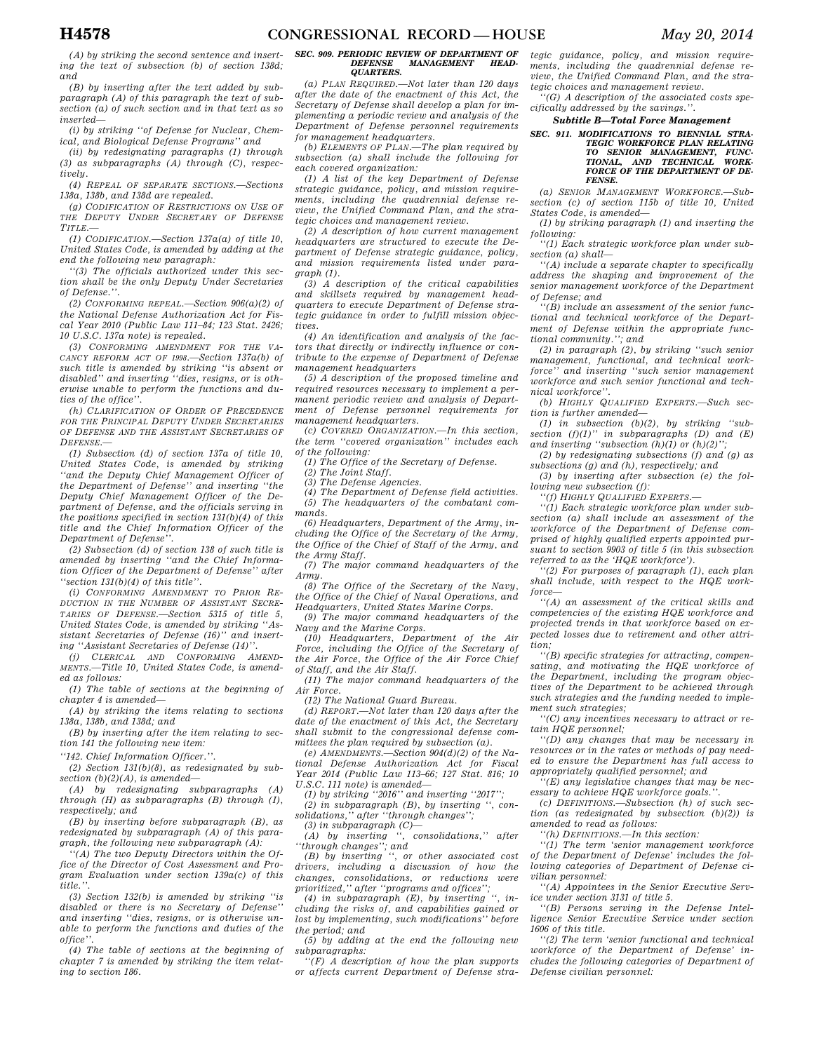*(A) by striking the second sentence and inserting the text of subsection (b) of section 138d; and* 

*(B) by inserting after the text added by subparagraph (A) of this paragraph the text of subsection (a) of such section and in that text as so inserted—* 

*(i) by striking ''of Defense for Nuclear, Chemical, and Biological Defense Programs'' and* 

*(ii) by redesignating paragraphs (1) through (3) as subparagraphs (A) through (C), respectively.* 

*(4) REPEAL OF SEPARATE SECTIONS.—Sections 138a, 138b, and 138d are repealed.* 

*(g) CODIFICATION OF RESTRICTIONS ON USE OF THE DEPUTY UNDER SECRETARY OF DEFENSE TITLE.—* 

*(1) CODIFICATION.—Section 137a(a) of title 10, United States Code, is amended by adding at the end the following new paragraph:* 

*''(3) The officials authorized under this section shall be the only Deputy Under Secretaries of Defense.''.* 

*(2) CONFORMING REPEAL.—Section 906(a)(2) of the National Defense Authorization Act for Fiscal Year 2010 (Public Law 111–84; 123 Stat. 2426; 10 U.S.C. 137a note) is repealed.* 

*(3) CONFORMING AMENDMENT FOR THE VA-CANCY REFORM ACT OF 1998.—Section 137a(b) of such title is amended by striking ''is absent or disabled'' and inserting ''dies, resigns, or is otherwise unable to perform the functions and duties of the office''.* 

*(h) CLARIFICATION OF ORDER OF PRECEDENCE FOR THE PRINCIPAL DEPUTY UNDER SECRETARIES OF DEFENSE AND THE ASSISTANT SECRETARIES OF DEFENSE.—* 

*(1) Subsection (d) of section 137a of title 10, United States Code, is amended by striking ''and the Deputy Chief Management Officer of the Department of Defense'' and inserting ''the Deputy Chief Management Officer of the Department of Defense, and the officials serving in the positions specified in section 131(b)(4) of this title and the Chief Information Officer of the Department of Defense''.* 

*(2) Subsection (d) of section 138 of such title is amended by inserting ''and the Chief Information Officer of the Department of Defense'' after ''section 131(b)(4) of this title''.* 

*(i) CONFORMING AMENDMENT TO PRIOR RE-DUCTION IN THE NUMBER OF ASSISTANT SECRE-TARIES OF DEFENSE.—Section 5315 of title 5, United States Code, is amended by striking ''Assistant Secretaries of Defense (16)'' and inserting ''Assistant Secretaries of Defense (14)''.* 

*(j) CLERICAL AND CONFORMING AMEND-MENTS.—Title 10, United States Code, is amended as follows:* 

*(1) The table of sections at the beginning of chapter 4 is amended—* 

*(A) by striking the items relating to sections 138a, 138b, and 138d; and* 

*(B) by inserting after the item relating to section 141 the following new item:* 

*''142. Chief Information Officer.''.* 

*(2) Section 131(b)(8), as redesignated by subsection (b)(2)(A), is amended—* 

*(A) by redesignating subparagraphs (A) through (H) as subparagraphs (B) through (I), respectively; and* 

*(B) by inserting before subparagraph (B), as redesignated by subparagraph (A) of this paragraph, the following new subparagraph (A):* 

*''(A) The two Deputy Directors within the Office of the Director of Cost Assessment and Program Evaluation under section 139a(c) of this title.''.* 

*(3) Section 132(b) is amended by striking ''is disabled or there is no Secretary of Defense'' and inserting ''dies, resigns, or is otherwise unable to perform the functions and duties of the office''.* 

*(4) The table of sections at the beginning of chapter 7 is amended by striking the item relating to section 186.* 

### *SEC. 909. PERIODIC REVIEW OF DEPARTMENT OF*   $MANAGEMENT$ *QUARTERS.*

*(a) PLAN REQUIRED.—Not later than 120 days after the date of the enactment of this Act, the Secretary of Defense shall develop a plan for implementing a periodic review and analysis of the Department of Defense personnel requirements for management headquarters.* 

*(b) ELEMENTS OF PLAN.—The plan required by subsection (a) shall include the following for each covered organization:* 

*(1) A list of the key Department of Defense strategic guidance, policy, and mission requirements, including the quadrennial defense review, the Unified Command Plan, and the strategic choices and management review.* 

*(2) A description of how current management headquarters are structured to execute the Department of Defense strategic guidance, policy, and mission requirements listed under paragraph (1).* 

*(3) A description of the critical capabilities and skillsets required by management headquarters to execute Department of Defense strategic guidance in order to fulfill mission objectives.* 

*(4) An identification and analysis of the factors that directly or indirectly influence or contribute to the expense of Department of Defense management headquarters* 

*(5) A description of the proposed timeline and required resources necessary to implement a permanent periodic review and analysis of Department of Defense personnel requirements for management headquarters.* 

*(c) COVERED ORGANIZATION.—In this section, the term ''covered organization'' includes each of the following:* 

*(1) The Office of the Secretary of Defense.* 

*(2) The Joint Staff.* 

*(3) The Defense Agencies.* 

*(4) The Department of Defense field activities. (5) The headquarters of the combatant commands.* 

*(6) Headquarters, Department of the Army, including the Office of the Secretary of the Army, the Office of the Chief of Staff of the Army, and the Army Staff.* 

*(7) The major command headquarters of the Army.* 

*(8) The Office of the Secretary of the Navy, the Office of the Chief of Naval Operations, and Headquarters, United States Marine Corps.* 

*(9) The major command headquarters of the Navy and the Marine Corps.* 

*(10) Headquarters, Department of the Air Force, including the Office of the Secretary of the Air Force, the Office of the Air Force Chief of Staff, and the Air Staff.* 

*(11) The major command headquarters of the Air Force.* 

*(12) The National Guard Bureau.* 

*(d) REPORT.—Not later than 120 days after the date of the enactment of this Act, the Secretary shall submit to the congressional defense committees the plan required by subsection (a).* 

*(e) AMENDMENTS.—Section 904(d)(2) of the National Defense Authorization Act for Fiscal Year 2014 (Public Law 113–66; 127 Stat. 816; 10 U.S.C. 111 note) is amended—* 

*(1) by striking ''2016'' and inserting ''2017'';* 

*(2) in subparagraph (B), by inserting '', consolidations,'' after ''through changes'';* 

*(3) in subparagraph (C)— (A) by inserting '', consolidations,'' after* 

*''through changes''; and (B) by inserting '', or other associated cost drivers, including a discussion of how the changes, consolidations, or reductions were prioritized,'' after ''programs and offices'';* 

*(4) in subparagraph (E), by inserting '', including the risks of, and capabilities gained or lost by implementing, such modifications'' before the period; and* 

*(5) by adding at the end the following new subparagraphs:* 

*''(F) A description of how the plan supports or affects current Department of Defense stra-*

*tegic guidance, policy, and mission requirements, including the quadrennial defense review, the Unified Command Plan, and the strategic choices and management review.* 

*''(G) A description of the associated costs specifically addressed by the savings.''.* 

*Subtitle B—Total Force Management* 

*SEC. 911. MODIFICATIONS TO BIENNIAL STRA-TEGIC WORKFORCE PLAN RELATING TO SENIOR MANAGEMENT, FUNC-TIONAL, AND TECHNICAL WORK-FORCE OF THE DEPARTMENT OF DE-FENSE.* 

*(a) SENIOR MANAGEMENT WORKFORCE.—Subsection (c) of section 115b of title 10, United States Code, is amended—* 

*(1) by striking paragraph (1) and inserting the following:* 

*''(1) Each strategic workforce plan under subsection (a) shall—* 

*''(A) include a separate chapter to specifically address the shaping and improvement of the senior management workforce of the Department of Defense; and* 

*''(B) include an assessment of the senior functional and technical workforce of the Department of Defense within the appropriate functional community.''; and* 

*(2) in paragraph (2), by striking ''such senior management, functional, and technical workforce'' and inserting ''such senior management workforce and such senior functional and technical workforce''.* 

*(b) HIGHLY QUALIFIED EXPERTS.—Such section is further amended—* 

*(1) in subsection (b)(2), by striking ''subsection (f)(1)'' in subparagraphs (D) and (E)*  and inserting "subsection  $(h)(1)$  or  $(h)(2)$ "

*(2) by redesignating subsections (f) and (g) as subsections (g) and (h), respectively; and* 

*(3) by inserting after subsection (e) the following new subsection (f):* 

*''(f) HIGHLY QUALIFIED EXPERTS.—* 

*''(1) Each strategic workforce plan under subsection (a) shall include an assessment of the workforce of the Department of Defense comprised of highly qualified experts appointed pursuant to section 9903 of title 5 (in this subsection referred to as the 'HQE workforce').* 

*''(2) For purposes of paragraph (1), each plan shall include, with respect to the HQE workforce—* 

*''(A) an assessment of the critical skills and competencies of the existing HQE workforce and projected trends in that workforce based on expected losses due to retirement and other attrition;* 

*''(B) specific strategies for attracting, compensating, and motivating the HQE workforce of the Department, including the program objectives of the Department to be achieved through such strategies and the funding needed to implement such strategies;* 

*''(C) any incentives necessary to attract or retain HQE personnel;* 

*''(D) any changes that may be necessary in resources or in the rates or methods of pay needed to ensure the Department has full access to appropriately qualified personnel; and* 

*''(E) any legislative changes that may be necessary to achieve HQE workforce goals.''.* 

*(c) DEFINITIONS.—Subsection (h) of such section (as redesignated by subsection (b)(2)) is amended to read as follows:* 

*''(h) DEFINITIONS.—In this section:* 

*''(1) The term 'senior management workforce of the Department of Defense' includes the following categories of Department of Defense civilian personnel:* 

*''(A) Appointees in the Senior Executive Service under section 3131 of title 5.* 

*''(B) Persons serving in the Defense Intelligence Senior Executive Service under section 1606 of this title.* 

*''(2) The term 'senior functional and technical workforce of the Department of Defense' includes the following categories of Department of Defense civilian personnel:*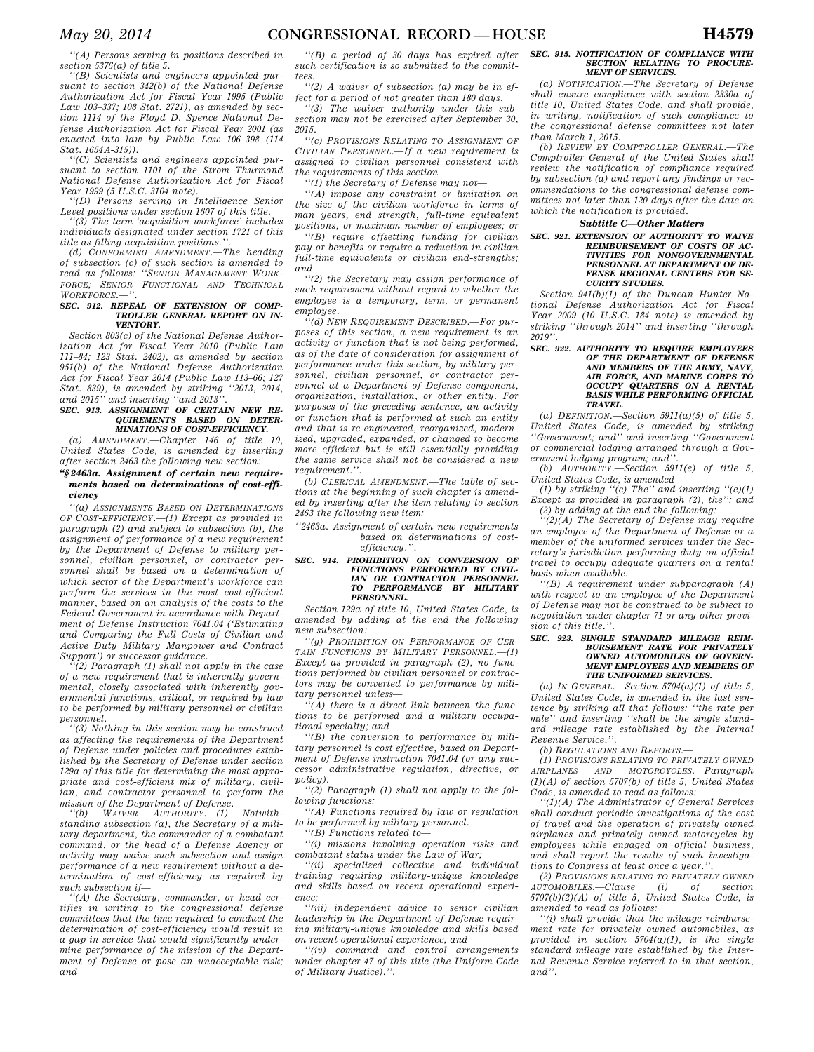*''(A) Persons serving in positions described in section 5376(a) of title 5.* 

*''(B) Scientists and engineers appointed pursuant to section 342(b) of the National Defense Authorization Act for Fiscal Year 1995 (Public Law 103–337; 108 Stat. 2721), as amended by section 1114 of the Floyd D. Spence National Defense Authorization Act for Fiscal Year 2001 (as enacted into law by Public Law 106–398 (114 Stat. 1654A-315)).* 

*''(C) Scientists and engineers appointed pursuant to section 1101 of the Strom Thurmond National Defense Authorization Act for Fiscal Year 1999 (5 U.S.C. 3104 note).* 

*''(D) Persons serving in Intelligence Senior Level positions under section 1607 of this title.* 

*''(3) The term 'acquisition workforce' includes individuals designated under section 1721 of this title as filling acquisition positions.''.* 

*(d) CONFORMING AMENDMENT.—The heading of subsection (c) of such section is amended to read as follows: ''SENIOR MANAGEMENT WORK-FORCE; SENIOR FUNCTIONAL AND TECHNICAL* WORKFORCE.

### *SEC. 912. REPEAL OF EXTENSION OF COMP-TROLLER GENERAL REPORT ON IN-VENTORY.*

*Section 803(c) of the National Defense Authorization Act for Fiscal Year 2010 (Public Law 111–84; 123 Stat. 2402), as amended by section 951(b) of the National Defense Authorization Act for Fiscal Year 2014 (Public Law 113–66; 127 Stat. 839), is amended by striking ''2013, 2014, and 2015'' and inserting ''and 2013''.* 

# *SEC. 913. ASSIGNMENT OF CERTAIN NEW RE-QUIREMENTS BASED ON DETER-MINATIONS OF COST-EFFICIENCY.*

*(a) AMENDMENT.—Chapter 146 of title 10, United States Code, is amended by inserting after section 2463 the following new section:* 

# *''§ 2463a. Assignment of certain new requirements based on determinations of cost-efficiency*

*''(a) ASSIGNMENTS BASED ON DETERMINATIONS OF COST-EFFICIENCY.—(1) Except as provided in paragraph (2) and subject to subsection (b), the assignment of performance of a new requirement by the Department of Defense to military personnel, civilian personnel, or contractor personnel shall be based on a determination of which sector of the Department's workforce can perform the services in the most cost-efficient manner, based on an analysis of the costs to the Federal Government in accordance with Department of Defense Instruction 7041.04 ('Estimating and Comparing the Full Costs of Civilian and Active Duty Military Manpower and Contract Support') or successor guidance.* 

*''(2) Paragraph (1) shall not apply in the case of a new requirement that is inherently governmental, closely associated with inherently governmental functions, critical, or required by law to be performed by military personnel or civilian personnel.* 

*''(3) Nothing in this section may be construed as affecting the requirements of the Department of Defense under policies and procedures established by the Secretary of Defense under section 129a of this title for determining the most appropriate and cost-efficient mix of military, civilian, and contractor personnel to perform the* 

*mission of the Department of Defense.*<br>
"(b) WAIVER AUTHORITY.—(1)  $AUTHORITY$  *(1) Notwithstanding subsection (a), the Secretary of a military department, the commander of a combatant command, or the head of a Defense Agency or activity may waive such subsection and assign performance of a new requirement without a determination of cost-efficiency as required by such subsection if—* 

*''(A) the Secretary, commander, or head certifies in writing to the congressional defense committees that the time required to conduct the determination of cost-efficiency would result in a gap in service that would significantly undermine performance of the mission of the Department of Defense or pose an unacceptable risk; and* 

*''(B) a period of 30 days has expired after such certification is so submitted to the committees.* 

*''(2) A waiver of subsection (a) may be in effect for a period of not greater than 180 days.* 

*''(3) The waiver authority under this subsection may not be exercised after September 30, 2015.* 

*''(c) PROVISIONS RELATING TO ASSIGNMENT OF CIVILIAN PERSONNEL.—If a new requirement is assigned to civilian personnel consistent with the requirements of this section—* 

*''(1) the Secretary of Defense may not—* 

*''(A) impose any constraint or limitation on the size of the civilian workforce in terms of man years, end strength, full-time equivalent positions, or maximum number of employees; or* 

*''(B) require offsetting funding for civilian pay or benefits or require a reduction in civilian full-time equivalents or civilian end-strengths; and* 

*''(2) the Secretary may assign performance of such requirement without regard to whether the employee is a temporary, term, or permanent employee.* 

*''(d) NEW REQUIREMENT DESCRIBED.—For purposes of this section, a new requirement is an activity or function that is not being performed, as of the date of consideration for assignment of performance under this section, by military personnel, civilian personnel, or contractor personnel at a Department of Defense component, organization, installation, or other entity. For purposes of the preceding sentence, an activity or function that is performed at such an entity and that is re-engineered, reorganized, modernized, upgraded, expanded, or changed to become more efficient but is still essentially providing the same service shall not be considered a new requirement.''.* 

*(b) CLERICAL AMENDMENT.—The table of sections at the beginning of such chapter is amended by inserting after the item relating to section 2463 the following new item:* 

*''2463a. Assignment of certain new requirements based on determinations of costefficiency.''.* 

# *SEC. 914. PROHIBITION ON CONVERSION OF FUNCTIONS PERFORMED BY CIVIL-IAN OR CONTRACTOR PERSONNEL TO PERFORMANCE BY MILITARY PERSONNEL.*

*Section 129a of title 10, United States Code, is amended by adding at the end the following new subsection:* 

*''(g) PROHIBITION ON PERFORMANCE OF CER-TAIN FUNCTIONS BY MILITARY PERSONNEL.—(1) Except as provided in paragraph (2), no functions performed by civilian personnel or contractors may be converted to performance by military personnel unless—* 

*''(A) there is a direct link between the functions to be performed and a military occupational specialty; and* 

*''(B) the conversion to performance by military personnel is cost effective, based on Department of Defense instruction 7041.04 (or any successor administrative regulation, directive, or policy).* 

*''(2) Paragraph (1) shall not apply to the following functions:* 

*''(A) Functions required by law or regulation to be performed by military personnel.* 

*''(B) Functions related to—* 

*''(i) missions involving operation risks and combatant status under the Law of War;* 

*''(ii) specialized collective and individual training requiring military-unique knowledge and skills based on recent operational experience;* 

*''(iii) independent advice to senior civilian leadership in the Department of Defense requiring military-unique knowledge and skills based on recent operational experience; and* 

*''(iv) command and control arrangements under chapter 47 of this title (the Uniform Code of Military Justice).''.* 

### *SEC. 915. NOTIFICATION OF COMPLIANCE WITH SECTION RELATING TO PROCURE-MENT OF SERVICES.*

*(a) NOTIFICATION.—The Secretary of Defense shall ensure compliance with section 2330a of title 10, United States Code, and shall provide, in writing, notification of such compliance to the congressional defense committees not later than March 1, 2015.* 

*(b) REVIEW BY COMPTROLLER GENERAL.—The Comptroller General of the United States shall review the notification of compliance required by subsection (a) and report any findings or recommendations to the congressional defense committees not later than 120 days after the date on which the notification is provided.* 

# *Subtitle C—Other Matters*

# *SEC. 921. EXTENSION OF AUTHORITY TO WAIVE REIMBURSEMENT OF COSTS OF AC-TIVITIES FOR NONGOVERNMENTAL PERSONNEL AT DEPARTMENT OF DE-FENSE REGIONAL CENTERS FOR SE-CURITY STUDIES.*

*Section 941(b)(1) of the Duncan Hunter National Defense Authorization Act for Fiscal Year 2009 (10 U.S.C. 184 note) is amended by striking ''through 2014'' and inserting ''through 2019''.* 

# *SEC. 922. AUTHORITY TO REQUIRE EMPLOYEES OF THE DEPARTMENT OF DEFENSE AND MEMBERS OF THE ARMY, NAVY, AIR FORCE, AND MARINE CORPS TO OCCUPY QUARTERS ON A RENTAL BASIS WHILE PERFORMING OFFICIAL TRAVEL.*

*(a) DEFINITION.—Section 5911(a)(5) of title 5, United States Code, is amended by striking ''Government; and'' and inserting ''Government or commercial lodging arranged through a Government lodging program; and''.* 

*(b) AUTHORITY.—Section 5911(e) of title 5, United States Code, is amended—* 

*(1) by striking ''(e) The'' and inserting ''(e)(1) Except as provided in paragraph (2), the''; and (2) by adding at the end the following:* 

*''(2)(A) The Secretary of Defense may require an employee of the Department of Defense or a member of the uniformed services under the Secretary's jurisdiction performing duty on official travel to occupy adequate quarters on a rental basis when available.* 

*''(B) A requirement under subparagraph (A) with respect to an employee of the Department of Defense may not be construed to be subject to negotiation under chapter 71 or any other provision of this title.''.* 

#### *SEC. 923. SINGLE STANDARD MILEAGE REIM-BURSEMENT RATE FOR PRIVATELY OWNED AUTOMOBILES OF GOVERN-MENT EMPLOYEES AND MEMBERS OF THE UNIFORMED SERVICES.*

*(a) IN GENERAL.—Section 5704(a)(1) of title 5, United States Code, is amended in the last sentence by striking all that follows: ''the rate per mile'' and inserting ''shall be the single standard mileage rate established by the Internal Revenue Service.''.* 

*(b) REGULATIONS AND REPORTS.—* 

*(1) PROVISIONS RELATING TO PRIVATELY OWNED AIRPLANES AND MOTORCYCLES.—Paragraph (1)(A) of section 5707(b) of title 5, United States Code, is amended to read as follows:* 

*''(1)(A) The Administrator of General Services shall conduct periodic investigations of the cost of travel and the operation of privately owned airplanes and privately owned motorcycles by employees while engaged on official business, and shall report the results of such investigations to Congress at least once a year.''.* 

*(2) PROVISIONS RELATING TO PRIVATELY OWNED AUTOMOBILES.—Clause (i) of section 5707(b)(2)(A) of title 5, United States Code, is amended to read as follows:* 

*''(i) shall provide that the mileage reimbursement rate for privately owned automobiles, as provided in section 5704(a)(1), is the single standard mileage rate established by the Internal Revenue Service referred to in that section, and''.*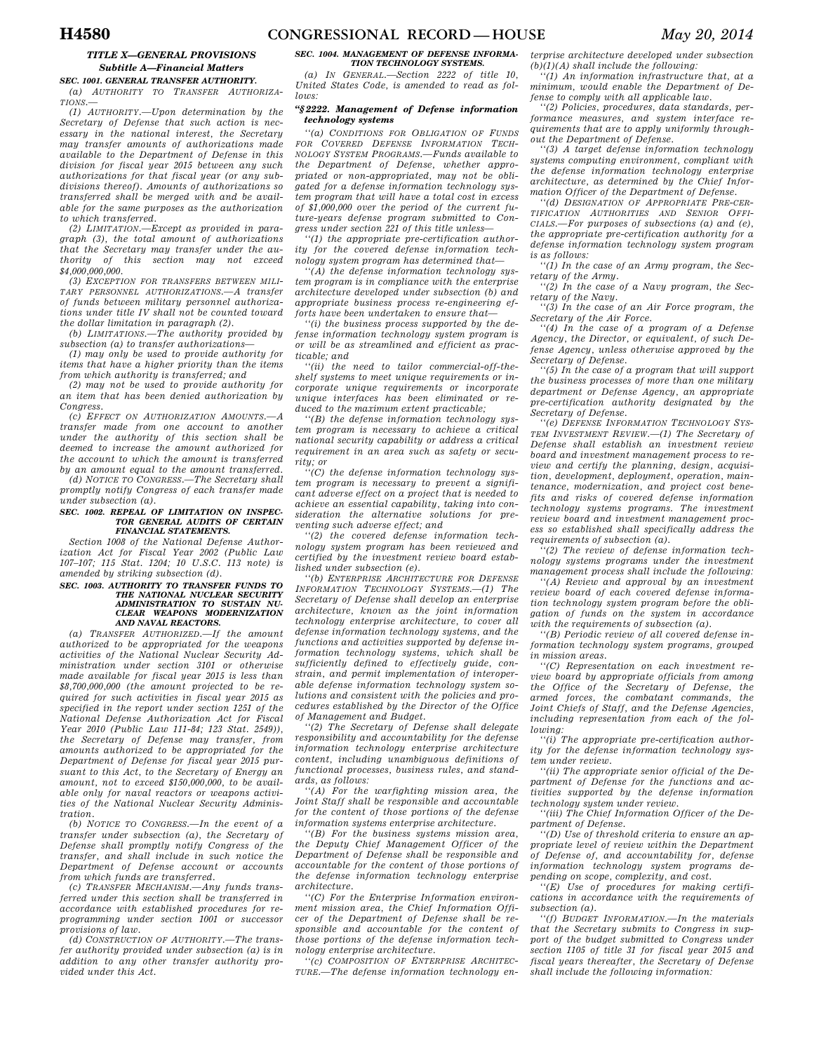# *TITLE X—GENERAL PROVISIONS Subtitle A—Financial Matters*

*SEC. 1001. GENERAL TRANSFER AUTHORITY. (a) AUTHORITY TO TRANSFER AUTHORIZA-TIONS.—* 

*(1) AUTHORITY.—Upon determination by the Secretary of Defense that such action is necessary in the national interest, the Secretary may transfer amounts of authorizations made available to the Department of Defense in this division for fiscal year 2015 between any such authorizations for that fiscal year (or any subdivisions thereof). Amounts of authorizations so transferred shall be merged with and be available for the same purposes as the authorization to which transferred.* 

*(2) LIMITATION.—Except as provided in paragraph (3), the total amount of authorizations that the Secretary may transfer under the authority of this section may not exceed \$4,000,000,000.* 

*(3) EXCEPTION FOR TRANSFERS BETWEEN MILI-TARY PERSONNEL AUTHORIZATIONS.—A transfer of funds between military personnel authorizations under title IV shall not be counted toward the dollar limitation in paragraph (2).* 

*(b) LIMITATIONS.—The authority provided by subsection (a) to transfer authorizations—* 

*(1) may only be used to provide authority for items that have a higher priority than the items from which authority is transferred; and* 

*(2) may not be used to provide authority for an item that has been denied authorization by Congress.* 

 $(c)$  *EFFECT ON AUTHORIZATION AMOUNTS. transfer made from one account to another under the authority of this section shall be deemed to increase the amount authorized for the account to which the amount is transferred by an amount equal to the amount transferred.* 

*(d) NOTICE TO CONGRESS.—The Secretary shall promptly notify Congress of each transfer made under subsection (a).* 

### *SEC. 1002. REPEAL OF LIMITATION ON INSPEC-TOR GENERAL AUDITS OF CERTAIN FINANCIAL STATEMENTS.*

*Section 1008 of the National Defense Authorization Act for Fiscal Year 2002 (Public Law 107–107; 115 Stat. 1204; 10 U.S.C. 113 note) is amended by striking subsection (d).* 

### *SEC. 1003. AUTHORITY TO TRANSFER FUNDS TO THE NATIONAL NUCLEAR SECURITY ADMINISTRATION TO SUSTAIN NU-CLEAR WEAPONS MODERNIZATION AND NAVAL REACTORS.*

*(a) TRANSFER AUTHORIZED.—If the amount authorized to be appropriated for the weapons activities of the National Nuclear Security Administration under section 3101 or otherwise made available for fiscal year 2015 is less than \$8,700,000,000 (the amount projected to be required for such activities in fiscal year 2015 as specified in the report under section 1251 of the National Defense Authorization Act for Fiscal Year 2010 (Public Law 111-84; 123 Stat. 2549)), the Secretary of Defense may transfer, from amounts authorized to be appropriated for the Department of Defense for fiscal year 2015 pursuant to this Act, to the Secretary of Energy an amount, not to exceed \$150,000,000, to be available only for naval reactors or weapons activities of the National Nuclear Security Administration.* 

*(b) NOTICE TO CONGRESS.—In the event of a transfer under subsection (a), the Secretary of Defense shall promptly notify Congress of the transfer, and shall include in such notice the Department of Defense account or accounts from which funds are transferred.* 

*(c) TRANSFER MECHANISM.—Any funds transferred under this section shall be transferred in accordance with established procedures for reprogramming under section 1001 or successor provisions of law.* 

*(d) CONSTRUCTION OF AUTHORITY.—The transfer authority provided under subsection (a) is in addition to any other transfer authority provided under this Act.* 

## *SEC. 1004. MANAGEMENT OF DEFENSE INFORMA-TION TECHNOLOGY SYSTEMS.*

*(a) IN GENERAL.—Section 2222 of title 10, United States Code, is amended to read as follows:* 

# *''§ 2222. Management of Defense information technology systems*

*''(a) CONDITIONS FOR OBLIGATION OF FUNDS FOR COVERED DEFENSE INFORMATION TECH-NOLOGY SYSTEM PROGRAMS.—Funds available to the Department of Defense, whether appropriated or non-appropriated, may not be obligated for a defense information technology system program that will have a total cost in excess of \$1,000,000 over the period of the current future-years defense program submitted to Congress under section 221 of this title unless—* 

*''(1) the appropriate pre-certification authority for the covered defense information technology system program has determined that—* 

*''(A) the defense information technology system program is in compliance with the enterprise architecture developed under subsection (b) and appropriate business process re-engineering efforts have been undertaken to ensure that—* 

*''(i) the business process supported by the defense information technology system program is or will be as streamlined and efficient as practicable; and* 

*''(ii) the need to tailor commercial-off-theshelf systems to meet unique requirements or incorporate unique requirements or incorporate unique interfaces has been eliminated or reduced to the maximum extent practicable;* 

*''(B) the defense information technology system program is necessary to achieve a critical national security capability or address a critical requirement in an area such as safety or security; or* 

*''(C) the defense information technology system program is necessary to prevent a significant adverse effect on a project that is needed to achieve an essential capability, taking into consideration the alternative solutions for preventing such adverse effect; and* 

*''(2) the covered defense information technology system program has been reviewed and certified by the investment review board established under subsection (e).* 

*''(b) ENTERPRISE ARCHITECTURE FOR DEFENSE INFORMATION TECHNOLOGY SYSTEMS.—(1) The Secretary of Defense shall develop an enterprise architecture, known as the joint information technology enterprise architecture, to cover all defense information technology systems, and the functions and activities supported by defense information technology systems, which shall be sufficiently defined to effectively guide, constrain, and permit implementation of interoperable defense information technology system solutions and consistent with the policies and procedures established by the Director of the Office of Management and Budget.* 

*''(2) The Secretary of Defense shall delegate responsibility and accountability for the defense information technology enterprise architecture content, including unambiguous definitions of functional processes, business rules, and standards, as follows:* 

*''(A) For the warfighting mission area, the Joint Staff shall be responsible and accountable for the content of those portions of the defense information systems enterprise architecture.* 

*''(B) For the business systems mission area, the Deputy Chief Management Officer of the Department of Defense shall be responsible and accountable for the content of those portions of the defense information technology enterprise architecture.* 

*''(C) For the Enterprise Information environment mission area, the Chief Information Officer of the Department of Defense shall be responsible and accountable for the content of those portions of the defense information technology enterprise architecture.* 

*''(c) COMPOSITION OF ENTERPRISE ARCHITEC-TURE.—The defense information technology en-* *terprise architecture developed under subsection (b)(1)(A) shall include the following:* 

*''(1) An information infrastructure that, at a minimum, would enable the Department of Defense to comply with all applicable law.* 

*''(2) Policies, procedures, data standards, performance measures, and system interface requirements that are to apply uniformly throughout the Department of Defense.* 

*''(3) A target defense information technology systems computing environment, compliant with the defense information technology enterprise architecture, as determined by the Chief Information Officer of the Department of Defense.* 

*''(d) DESIGNATION OF APPROPRIATE PRE-CER-TIFICATION AUTHORITIES AND SENIOR OFFI-CIALS.—For purposes of subsections (a) and (e), the appropriate pre-certification authority for a defense information technology system program is as follows:* 

*''(1) In the case of an Army program, the Secretary of the Army.* 

*''(2) In the case of a Navy program, the Secretary of the Navy.* 

*''(3) In the case of an Air Force program, the Secretary of the Air Force.* 

*''(4) In the case of a program of a Defense Agency, the Director, or equivalent, of such Defense Agency, unless otherwise approved by the Secretary of Defense.* 

*''(5) In the case of a program that will support the business processes of more than one military department or Defense Agency, an appropriate pre-certification authority designated by the Secretary of Defense.* 

*''(e) DEFENSE INFORMATION TECHNOLOGY SYS-TEM INVESTMENT REVIEW.—(1) The Secretary of Defense shall establish an investment review board and investment management process to review and certify the planning, design, acquisition, development, deployment, operation, maintenance, modernization, and project cost benefits and risks of covered defense information technology systems programs. The investment review board and investment management process so established shall specifically address the requirements of subsection (a).* 

*''(2) The review of defense information technology systems programs under the investment management process shall include the following:* 

*''(A) Review and approval by an investment review board of each covered defense information technology system program before the obligation of funds on the system in accordance with the requirements of subsection (a).* 

*''(B) Periodic review of all covered defense information technology system programs, grouped in mission areas.* 

*''(C) Representation on each investment review board by appropriate officials from among the Office of the Secretary of Defense, the armed forces, the combatant commands, the Joint Chiefs of Staff, and the Defense Agencies, including representation from each of the following:* 

*''(i) The appropriate pre-certification authority for the defense information technology system under review.* 

*''(ii) The appropriate senior official of the Department of Defense for the functions and activities supported by the defense information technology system under review.* 

*''(iii) The Chief Information Officer of the Department of Defense.* 

*''(D) Use of threshold criteria to ensure an appropriate level of review within the Department of Defense of, and accountability for, defense information technology system programs depending on scope, complexity, and cost.* 

*''(E) Use of procedures for making certifications in accordance with the requirements of subsection (a).* 

*''(f) BUDGET INFORMATION.—In the materials that the Secretary submits to Congress in support of the budget submitted to Congress under section 1105 of title 31 for fiscal year 2015 and fiscal years thereafter, the Secretary of Defense shall include the following information:*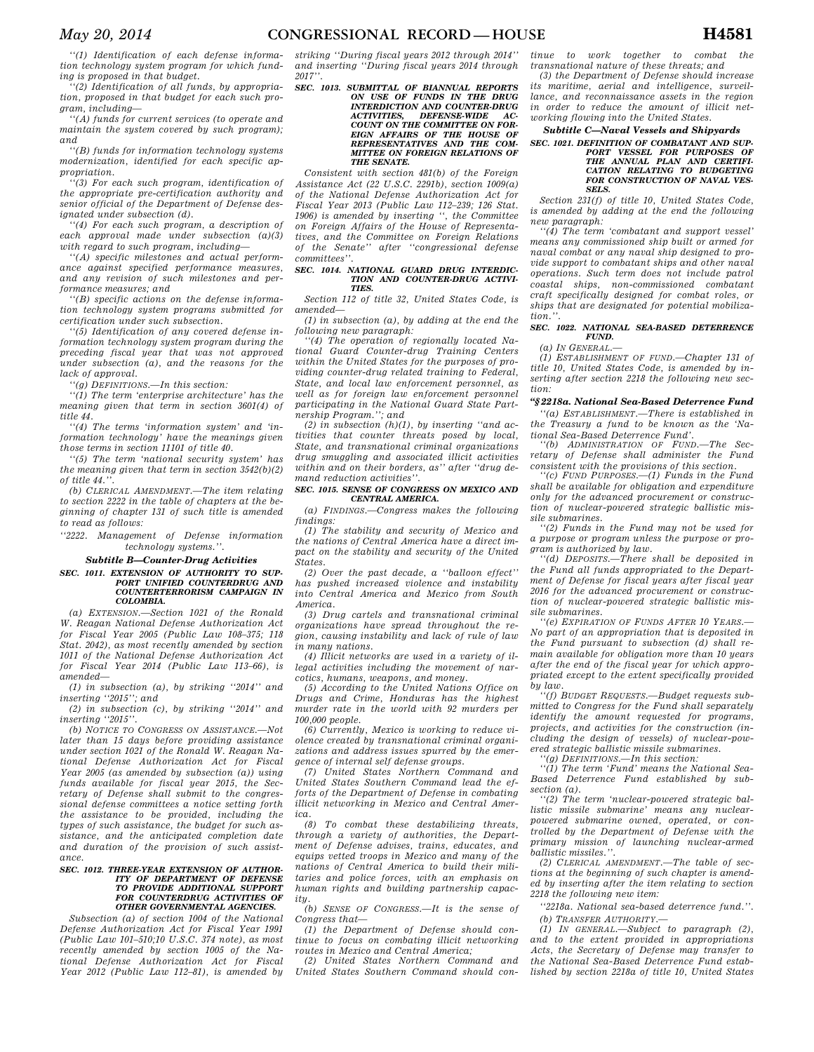*''(1) Identification of each defense information technology system program for which funding is proposed in that budget.* 

*''(2) Identification of all funds, by appropriation, proposed in that budget for each such program, including—* 

*''(A) funds for current services (to operate and maintain the system covered by such program); and* 

*''(B) funds for information technology systems modernization, identified for each specific appropriation.* 

*''(3) For each such program, identification of the appropriate pre-certification authority and senior official of the Department of Defense designated under subsection (d).* 

*''(4) For each such program, a description of each approval made under subsection (a)(3) with regard to such program, including—* 

*''(A) specific milestones and actual performance against specified performance measures, and any revision of such milestones and performance measures; and* 

*''(B) specific actions on the defense information technology system programs submitted for certification under such subsection.* 

*''(5) Identification of any covered defense information technology system program during the preceding fiscal year that was not approved under subsection (a), and the reasons for the lack of approval.* 

*''(g) DEFINITIONS.—In this section:* 

*''(1) The term 'enterprise architecture' has the meaning given that term in section 3601(4) of title 44.* 

*''(4) The terms 'information system' and 'information technology' have the meanings given those terms in section 11101 of title 40.* 

*''(5) The term 'national security system' has the meaning given that term in section 3542(b)(2) of title 44.''.* 

*(b) CLERICAL AMENDMENT.—The item relating to section 2222 in the table of chapters at the beginning of chapter 131 of such title is amended to read as follows:* 

*''2222. Management of Defense information technology systems.''.* 

#### *Subtitle B—Counter-Drug Activities*

### *SEC. 1011. EXTENSION OF AUTHORITY TO SUP-PORT UNIFIED COUNTERDRUG AND COUNTERTERRORISM CAMPAIGN IN COLOMBIA.*

*(a) EXTENSION.—Section 1021 of the Ronald W. Reagan National Defense Authorization Act for Fiscal Year 2005 (Public Law 108–375; 118 Stat. 2042), as most recently amended by section 1011 of the National Defense Authorization Act for Fiscal Year 2014 (Public Law 113–66), is amended—* 

*(1) in subsection (a), by striking ''2014'' and inserting ''2015''; and* 

*(2) in subsection (c), by striking ''2014'' and inserting ''2015''.* 

*(b) NOTICE TO CONGRESS ON ASSISTANCE.—Not later than 15 days before providing assistance under section 1021 of the Ronald W. Reagan National Defense Authorization Act for Fiscal Year 2005 (as amended by subsection (a)) using funds available for fiscal year 2015, the Secretary of Defense shall submit to the congressional defense committees a notice setting forth the assistance to be provided, including the types of such assistance, the budget for such assistance, and the anticipated completion date and duration of the provision of such assistance.* 

#### *SEC. 1012. THREE-YEAR EXTENSION OF AUTHOR-ITY OF DEPARTMENT OF DEFENSE TO PROVIDE ADDITIONAL SUPPORT FOR COUNTERDRUG ACTIVITIES OF OTHER GOVERNMENTAL AGENCIES.*

*Subsection (a) of section 1004 of the National Defense Authorization Act for Fiscal Year 1991 (Public Law 101–510;10 U.S.C. 374 note), as most recently amended by section 1005 of the National Defense Authorization Act for Fiscal Year 2012 (Public Law 112–81), is amended by* 

*striking ''During fiscal years 2012 through 2014'' and inserting ''During fiscal years 2014 through 2017''.* 

*SEC. 1013. SUBMITTAL OF BIANNUAL REPORTS ON USE OF FUNDS IN THE DRUG INTERDICTION AND COUNTER-DRUG ACTIVITIES, DEFENSE-WIDE COUNT ON THE COMMITTEE ON FOR-EIGN AFFAIRS OF THE HOUSE OF REPRESENTATIVES AND THE COM-MITTEE ON FOREIGN RELATIONS OF* 

*Consistent with section 481(b) of the Foreign Assistance Act (22 U.S.C. 2291b), section 1009(a) of the National Defense Authorization Act for Fiscal Year 2013 (Public Law 112–239; 126 Stat. 1906) is amended by inserting '', the Committee on Foreign Affairs of the House of Representatives, and the Committee on Foreign Relations of the Senate'' after ''congressional defense committees''.* 

*THE SENATE.* 

### *SEC. 1014. NATIONAL GUARD DRUG INTERDIC-TION AND COUNTER-DRUG ACTIVI-TIES.*

*Section 112 of title 32, United States Code, is amended—* 

*(1) in subsection (a), by adding at the end the following new paragraph:* 

*''(4) The operation of regionally located National Guard Counter-drug Training Centers within the United States for the purposes of providing counter-drug related training to Federal, State, and local law enforcement personnel, as well as for foreign law enforcement personnel participating in the National Guard State Part-*

*nership Program.''; and (2) in subsection (h)(1), by inserting ''and activities that counter threats posed by local, State, and transnational criminal organizations drug smuggling and associated illicit activities within and on their borders, as'' after ''drug demand reduction activities''.* 

### *SEC. 1015. SENSE OF CONGRESS ON MEXICO AND CENTRAL AMERICA.*

*(a) FINDINGS.—Congress makes the following findings:* 

*(1) The stability and security of Mexico and the nations of Central America have a direct impact on the stability and security of the United States.* 

*(2) Over the past decade, a ''balloon effect'' has pushed increased violence and instability into Central America and Mexico from South America.* 

*(3) Drug cartels and transnational criminal organizations have spread throughout the region, causing instability and lack of rule of law in many nations.* 

*(4) Illicit networks are used in a variety of illegal activities including the movement of narcotics, humans, weapons, and money.* 

*(5) According to the United Nations Office on Drugs and Crime, Honduras has the highest murder rate in the world with 92 murders per 100,000 people.* 

*(6) Currently, Mexico is working to reduce violence created by transnational criminal organizations and address issues spurred by the emergence of internal self defense groups.* 

*(7) United States Northern Command and United States Southern Command lead the efforts of the Department of Defense in combating illicit networking in Mexico and Central America.* 

*(8) To combat these destabilizing threats, through a variety of authorities, the Department of Defense advises, trains, educates, and equips vetted troops in Mexico and many of the nations of Central America to build their militaries and police forces, with an emphasis on human rights and building partnership capacity.* 

*(b) SENSE OF CONGRESS.—It is the sense of Congress that—* 

*(1) the Department of Defense should continue to focus on combating illicit networking routes in Mexico and Central America;* 

*(2) United States Northern Command and United States Southern Command should con-*

*tinue to work together to combat the transnational nature of these threats; and* 

*(3) the Department of Defense should increase its maritime, aerial and intelligence, surveillance, and reconnaissance assets in the region in order to reduce the amount of illicit networking flowing into the United States.* 

# *Subtitle C—Naval Vessels and Shipyards*

# *SEC. 1021. DEFINITION OF COMBATANT AND SUP-PORT VESSEL FOR PURPOSES OF THE ANNUAL PLAN AND CERTIFI-CATION RELATING TO BUDGETING FOR CONSTRUCTION OF NAVAL VES-SELS.*

*Section 231(f) of title 10, United States Code, is amended by adding at the end the following new paragraph:* 

*''(4) The term 'combatant and support vessel' means any commissioned ship built or armed for naval combat or any naval ship designed to provide support to combatant ships and other naval operations. Such term does not include patrol coastal ships, non-commissioned combatant craft specifically designed for combat roles, or ships that are designated for potential mobilization.''.* 

# *SEC. 1022. NATIONAL SEA-BASED DETERRENCE FUND.*

*(a) IN GENERAL.—* 

*(1) ESTABLISHMENT OF FUND.—Chapter 131 of title 10, United States Code, is amended by inserting after section 2218 the following new section:* 

# *''§ 2218a. National Sea-Based Deterrence Fund*

*''(a) ESTABLISHMENT.—There is established in the Treasury a fund to be known as the 'National Sea-Based Deterrence Fund'.* 

*''(b) ADMINISTRATION OF FUND.—The Secretary of Defense shall administer the Fund consistent with the provisions of this section.* 

*''(c) FUND PURPOSES.—(1) Funds in the Fund shall be available for obligation and expenditure only for the advanced procurement or construction of nuclear-powered strategic ballistic missile submarines.* 

*''(2) Funds in the Fund may not be used for a purpose or program unless the purpose or program is authorized by law.* 

*''(d) DEPOSITS.—There shall be deposited in the Fund all funds appropriated to the Department of Defense for fiscal years after fiscal year 2016 for the advanced procurement or construction of nuclear-powered strategic ballistic missile submarines.* 

*''(e) EXPIRATION OF FUNDS AFTER 10 YEARS.— No part of an appropriation that is deposited in the Fund pursuant to subsection (d) shall remain available for obligation more than 10 years after the end of the fiscal year for which appropriated except to the extent specifically provided by law.* 

*''(f) BUDGET REQUESTS.—Budget requests submitted to Congress for the Fund shall separately identify the amount requested for programs, projects, and activities for the construction (including the design of vessels) of nuclear-powered strategic ballistic missile submarines.* 

*''(g) DEFINITIONS.—In this section:* 

*''(1) The term 'Fund' means the National Sea-Based Deterrence Fund established by subsection (a).* 

*''(2) The term 'nuclear-powered strategic ballistic missile submarine' means any nuclearpowered submarine owned, operated, or controlled by the Department of Defense with the primary mission of launching nuclear-armed ballistic missiles.''.* 

*(2) CLERICAL AMENDMENT.—The table of sections at the beginning of such chapter is amended by inserting after the item relating to section 2218 the following new item:* 

*''2218a. National sea-based deterrence fund.''. (b) TRANSFER AUTHORITY.—* 

*(1) IN GENERAL.—Subject to paragraph (2), and to the extent provided in appropriations Acts, the Secretary of Defense may transfer to the National Sea-Based Deterrence Fund established by section 2218a of title 10, United States*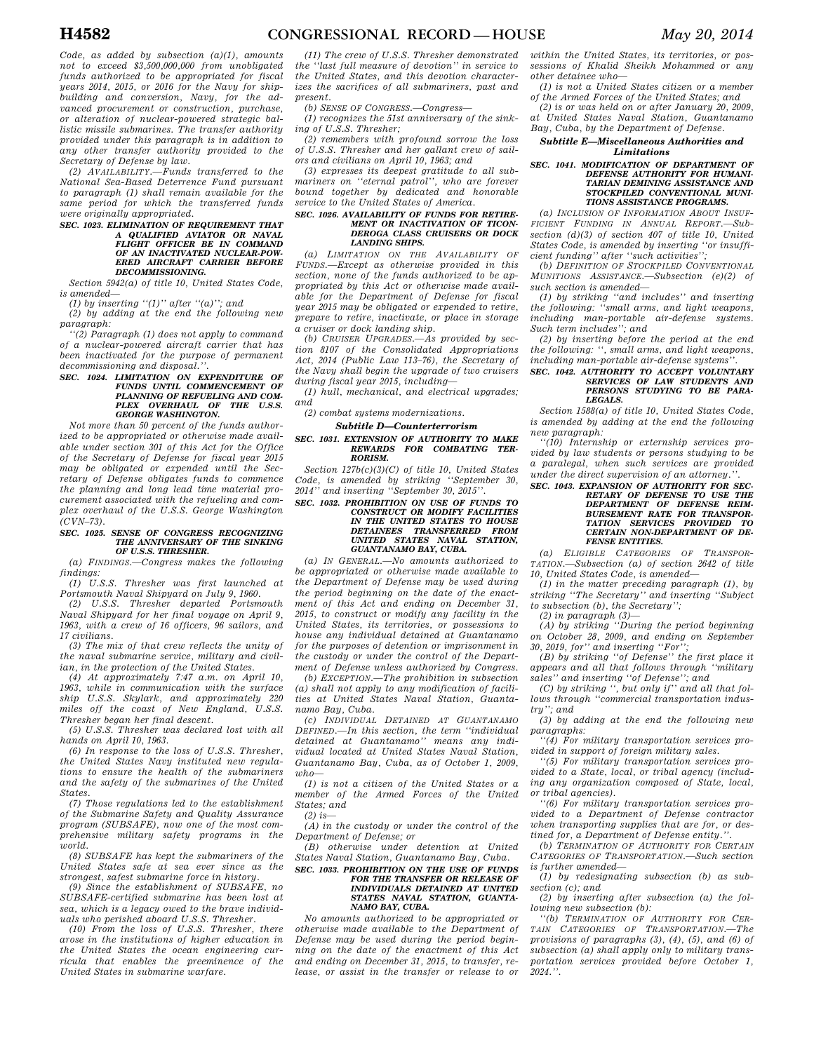*Code, as added by subsection (a)(1), amounts not to exceed \$3,500,000,000 from unobligated funds authorized to be appropriated for fiscal years 2014, 2015, or 2016 for the Navy for shipbuilding and conversion, Navy, for the advanced procurement or construction, purchase, or alteration of nuclear-powered strategic ballistic missile submarines. The transfer authority provided under this paragraph is in addition to any other transfer authority provided to the Secretary of Defense by law.* 

*(2) AVAILABILITY.—Funds transferred to the National Sea-Based Deterrence Fund pursuant to paragraph (1) shall remain available for the same period for which the transferred funds were originally appropriated.* 

*SEC. 1023. ELIMINATION OF REQUIREMENT THAT A QUALIFIED AVIATOR OR NAVAL FLIGHT OFFICER BE IN COMMAND OF AN INACTIVATED NUCLEAR-POW-ERED AIRCRAFT CARRIER BEFORE DECOMMISSIONING.* 

*Section 5942(a) of title 10, United States Code, is amended—* 

*(1) by inserting ''(1)'' after ''(a)''; and (2) by adding at the end the following new paragraph:* 

*''(2) Paragraph (1) does not apply to command of a nuclear-powered aircraft carrier that has been inactivated for the purpose of permanent decommissioning and disposal.''.* 

#### *SEC. 1024. LIMITATION ON EXPENDITURE OF FUNDS UNTIL COMMENCEMENT OF PLANNING OF REFUELING AND COM-PLEX OVERHAUL OF THE U.S.S. GEORGE WASHINGTON.*

*Not more than 50 percent of the funds authorized to be appropriated or otherwise made available under section 301 of this Act for the Office of the Secretary of Defense for fiscal year 2015 may be obligated or expended until the Secretary of Defense obligates funds to commence the planning and long lead time material procurement associated with the refueling and complex overhaul of the U.S.S. George Washington (CVN–73).* 

### *SEC. 1025. SENSE OF CONGRESS RECOGNIZING THE ANNIVERSARY OF THE SINKING OF U.S.S. THRESHER.*

*(a) FINDINGS.—Congress makes the following findings: (1) U.S.S. Thresher was first launched at* 

*Portsmouth Naval Shipyard on July 9, 1960. (2) U.S.S. Thresher departed Portsmouth* 

*Naval Shipyard for her final voyage on April 9, 1963, with a crew of 16 officers, 96 sailors, and 17 civilians.* 

*(3) The mix of that crew reflects the unity of the naval submarine service, military and civilian, in the protection of the United States.* 

*(4) At approximately 7:47 a.m. on April 10, 1963, while in communication with the surface ship U.S.S. Skylark, and approximately 220 miles off the coast of New England, U.S.S. Thresher began her final descent.* 

*(5) U.S.S. Thresher was declared lost with all hands on April 10, 1963.* 

*(6) In response to the loss of U.S.S. Thresher, the United States Navy instituted new regulations to ensure the health of the submariners and the safety of the submarines of the United States.* 

*(7) Those regulations led to the establishment of the Submarine Safety and Quality Assurance program (SUBSAFE), now one of the most comprehensive military safety programs in the world.* 

*(8) SUBSAFE has kept the submariners of the United States safe at sea ever since as the strongest, safest submarine force in history.* 

*(9) Since the establishment of SUBSAFE, no SUBSAFE-certified submarine has been lost at sea, which is a legacy owed to the brave individuals who perished aboard U.S.S. Thresher.* 

*(10) From the loss of U.S.S. Thresher, there arose in the institutions of higher education in the United States the ocean engineering curricula that enables the preeminence of the United States in submarine warfare.* 

*(11) The crew of U.S.S. Thresher demonstrated the ''last full measure of devotion'' in service to the United States, and this devotion characterizes the sacrifices of all submariners, past and present.* 

*(b) SENSE OF CONGRESS.—Congress—* 

*(1) recognizes the 51st anniversary of the sinking of U.S.S. Thresher;* 

*(2) remembers with profound sorrow the loss of U.S.S. Thresher and her gallant crew of sailors and civilians on April 10, 1963; and* 

*(3) expresses its deepest gratitude to all submariners on ''eternal patrol'', who are forever bound together by dedicated and honorable service to the United States of America.* 

### *SEC. 1026. AVAILABILITY OF FUNDS FOR RETIRE-MENT OR INACTIVATION OF TICON-DEROGA CLASS CRUISERS OR DOCK LANDING SHIPS.*

*(a) LIMITATION ON THE AVAILABILITY OF FUNDS.—Except as otherwise provided in this section, none of the funds authorized to be appropriated by this Act or otherwise made available for the Department of Defense for fiscal year 2015 may be obligated or expended to retire, prepare to retire, inactivate, or place in storage a cruiser or dock landing ship.* 

*(b) CRUISER UPGRADES.—As provided by section 8107 of the Consolidated Appropriations Act, 2014 (Public Law 113–76), the Secretary of the Navy shall begin the upgrade of two cruisers during fiscal year 2015, including—* 

*(1) hull, mechanical, and electrical upgrades; and* 

*(2) combat systems modernizations.* 

### *Subtitle D—Counterterrorism SEC. 1031. EXTENSION OF AUTHORITY TO MAKE REWARDS FOR COMBATING TER-RORISM.*

*Section 127b(c)(3)(C) of title 10, United States Code, is amended by striking ''September 30, 2014'' and inserting ''September 30, 2015''.* 

### *SEC. 1032. PROHIBITION ON USE OF FUNDS TO CONSTRUCT OR MODIFY FACILITIES IN THE UNITED STATES TO HOUSE DETAINEES TRANSFERRED FROM UNITED STATES NAVAL STATION, GUANTANAMO BAY, CUBA.*

*(a) IN GENERAL.—No amounts authorized to be appropriated or otherwise made available to the Department of Defense may be used during the period beginning on the date of the enactment of this Act and ending on December 31, 2015, to construct or modify any facility in the United States, its territories, or possessions to house any individual detained at Guantanamo for the purposes of detention or imprisonment in the custody or under the control of the Department of Defense unless authorized by Congress.* 

*(b) EXCEPTION.—The prohibition in subsection (a) shall not apply to any modification of facilities at United States Naval Station, Guantanamo Bay, Cuba.* 

*(c) INDIVIDUAL DETAINED AT GUANTANAMO DEFINED.—In this section, the term ''individual detained at Guantanamo'' means any individual located at United States Naval Station, Guantanamo Bay, Cuba, as of October 1, 2009,*   $$ 

*(1) is not a citizen of the United States or a member of the Armed Forces of the United States; and (2) is—* 

*(A) in the custody or under the control of the Department of Defense; or* 

*(B) otherwise under detention at United States Naval Station, Guantanamo Bay, Cuba.* 

*SEC. 1033. PROHIBITION ON THE USE OF FUNDS FOR THE TRANSFER OR RELEASE OF INDIVIDUALS DETAINED AT UNITED STATES NAVAL STATION, GUANTA-NAMO BAY, CUBA.* 

*No amounts authorized to be appropriated or otherwise made available to the Department of Defense may be used during the period beginning on the date of the enactment of this Act and ending on December 31, 2015, to transfer, release, or assist in the transfer or release to or* 

*within the United States, its territories, or possessions of Khalid Sheikh Mohammed or any other detainee who—* 

*(1) is not a United States citizen or a member of the Armed Forces of the United States; and* 

*(2) is or was held on or after January 20, 2009, at United States Naval Station, Guantanamo Bay, Cuba, by the Department of Defense.* 

# *Subtitle E—Miscellaneous Authorities and Limitations*

#### *SEC. 1041. MODIFICATION OF DEPARTMENT OF DEFENSE AUTHORITY FOR HUMANI-TARIAN DEMINING ASSISTANCE AND STOCKPILED CONVENTIONAL MUNI-TIONS ASSISTANCE PROGRAMS.*

*(a) INCLUSION OF INFORMATION ABOUT INSUF-FICIENT FUNDING IN ANNUAL REPORT.—Subsection (d)(3) of section 407 of title 10, United States Code, is amended by inserting ''or insufficient funding'' after ''such activities'';* 

*(b) DEFINITION OF STOCKPILED CONVENTIONAL MUNITIONS ASSISTANCE.—Subsection (e)(2) of such section is amended—* 

*(1) by striking ''and includes'' and inserting the following: ''small arms, and light weapons, including man-portable air-defense systems. Such term includes''; and* 

*(2) by inserting before the period at the end the following: '', small arms, and light weapons, including man-portable air-defense systems''.* 

# *SEC. 1042. AUTHORITY TO ACCEPT VOLUNTARY SERVICES OF LAW STUDENTS AND PERSONS STUDYING TO BE PARA-LEGALS.*

*Section 1588(a) of title 10, United States Code, is amended by adding at the end the following new paragraph:* 

*''(10) Internship or externship services provided by law students or persons studying to be a paralegal, when such services are provided under the direct supervision of an attorney.''.* 

# *SEC. 1043. EXPANSION OF AUTHORITY FOR SEC-RETARY OF DEFENSE TO USE THE DEPARTMENT OF DEFENSE REIM-BURSEMENT RATE FOR TRANSPOR-TATION SERVICES PROVIDED TO CERTAIN NON-DEPARTMENT OF DE-FENSE ENTITIES.*

*(a) ELIGIBLE CATEGORIES OF TRANSPOR-TATION.—Subsection (a) of section 2642 of title 10, United States Code, is amended—* 

*(1) in the matter preceding paragraph (1), by striking ''The Secretary'' and inserting ''Subject to subsection (b), the Secretary'';* 

*(2) in paragraph (3)—* 

*(A) by striking ''During the period beginning on October 28, 2009, and ending on September 30, 2019, for'' and inserting ''For'';* 

*(B) by striking ''of Defense'' the first place it appears and all that follows through ''military sales'' and inserting ''of Defense''; and* 

*(C) by striking '', but only if'' and all that follows through ''commercial transportation industry''; and* 

*(3) by adding at the end the following new paragraphs:* 

*''(4) For military transportation services provided in support of foreign military sales.* 

*''(5) For military transportation services provided to a State, local, or tribal agency (including any organization composed of State, local, or tribal agencies).* 

*''(6) For military transportation services provided to a Department of Defense contractor when transporting supplies that are for, or des* $tined$  for, a Department of Defense entity.

*(b) TERMINATION OF AUTHORITY FOR CERTAIN CATEGORIES OF TRANSPORTATION.—Such section is further amended—* 

*(1) by redesignating subsection (b) as subsection (c); and* 

*(2) by inserting after subsection (a) the following new subsection (b):* 

*''(b) TERMINATION OF AUTHORITY FOR CER-TAIN CATEGORIES OF TRANSPORTATION.—The provisions of paragraphs (3), (4), (5), and (6) of subsection (a) shall apply only to military transportation services provided before October 1, 2024.''.*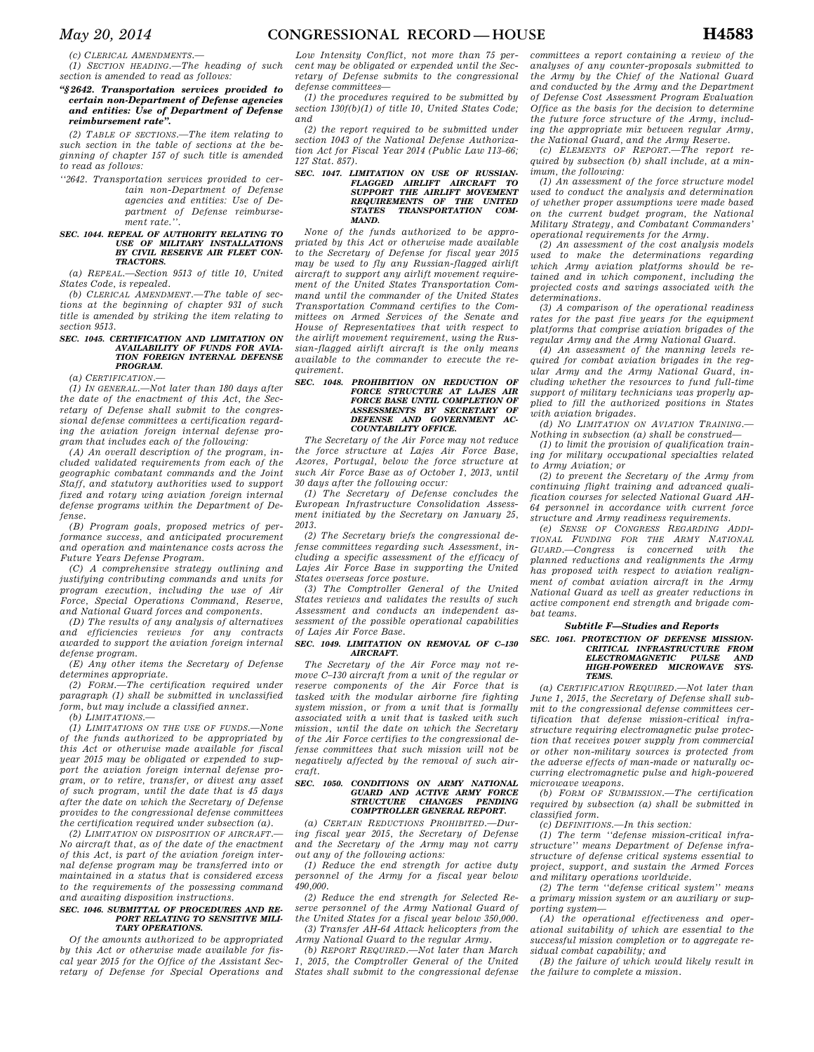*(c) CLERICAL AMENDMENTS.—* 

*(1) SECTION HEADING.—The heading of such section is amended to read as follows:* 

### *''§ 2642. Transportation services provided to certain non-Department of Defense agencies and entities: Use of Department of Defense reimbursement rate''.*

*(2) TABLE OF SECTIONS.—The item relating to such section in the table of sections at the beginning of chapter 157 of such title is amended to read as follows:* 

*''2642. Transportation services provided to certain non-Department of Defense agencies and entities: Use of Department of Defense reimbursement rate.''.* 

# *SEC. 1044. REPEAL OF AUTHORITY RELATING TO USE OF MILITARY INSTALLATIONS BY CIVIL RESERVE AIR FLEET CON-TRACTORS.*

*(a) REPEAL.—Section 9513 of title 10, United States Code, is repealed.* 

*(b) CLERICAL AMENDMENT.—The table of sections at the beginning of chapter 931 of such title is amended by striking the item relating to section 9513.* 

#### *SEC. 1045. CERTIFICATION AND LIMITATION ON AVAILABILITY OF FUNDS FOR AVIA-TION FOREIGN INTERNAL DEFENSE PROGRAM.*

*(a) CERTIFICATION.—* 

*(1) IN GENERAL.—Not later than 180 days after the date of the enactment of this Act, the Secretary of Defense shall submit to the congressional defense committees a certification regarding the aviation foreign internal defense program that includes each of the following:* 

*(A) An overall description of the program, included validated requirements from each of the geographic combatant commands and the Joint Staff, and statutory authorities used to support fixed and rotary wing aviation foreign internal defense programs within the Department of Defense.* 

*(B) Program goals, proposed metrics of performance success, and anticipated procurement and operation and maintenance costs across the Future Years Defense Program.* 

*(C) A comprehensive strategy outlining and justifying contributing commands and units for program execution, including the use of Air Force, Special Operations Command, Reserve, and National Guard forces and components.* 

*(D) The results of any analysis of alternatives and efficiencies reviews for any contracts awarded to support the aviation foreign internal defense program.* 

*(E) Any other items the Secretary of Defense determines appropriate.* 

*(2) FORM.—The certification required under paragraph (1) shall be submitted in unclassified form, but may include a classified annex.* 

*(b) LIMITATIONS.—* 

*(1) LIMITATIONS ON THE USE OF FUNDS.—None of the funds authorized to be appropriated by this Act or otherwise made available for fiscal year 2015 may be obligated or expended to support the aviation foreign internal defense program, or to retire, transfer, or divest any asset of such program, until the date that is 45 days after the date on which the Secretary of Defense provides to the congressional defense committees the certification required under subsection (a).* 

*(2) LIMITATION ON DISPOSITION OF AIRCRAFT.— No aircraft that, as of the date of the enactment of this Act, is part of the aviation foreign internal defense program may be transferred into or maintained in a status that is considered excess to the requirements of the possessing command and awaiting disposition instructions.* 

### *SEC. 1046. SUBMITTAL OF PROCEDURES AND RE-PORT RELATING TO SENSITIVE MILI-TARY OPERATIONS.*

*Of the amounts authorized to be appropriated by this Act or otherwise made available for fiscal year 2015 for the Office of the Assistant Secretary of Defense for Special Operations and* 

*Low Intensity Conflict, not more than 75 percent may be obligated or expended until the Secretary of Defense submits to the congressional defense committees—* 

*(1) the procedures required to be submitted by section 130f(b)(1) of title 10, United States Code; and* 

*(2) the report required to be submitted under section 1043 of the National Defense Authorization Act for Fiscal Year 2014 (Public Law 113–66; 127 Stat. 857).* 

# *SEC. 1047. LIMITATION ON USE OF RUSSIAN-FLAGGED AIRLIFT AIRCRAFT TO SUPPORT THE AIRLIFT MOVEMENT REQUIREMENTS OF THE UNITED STATES TRANSPORTATION COM-MAND.*

*None of the funds authorized to be appropriated by this Act or otherwise made available to the Secretary of Defense for fiscal year 2015 may be used to fly any Russian-flagged airlift aircraft to support any airlift movement requirement of the United States Transportation Command until the commander of the United States Transportation Command certifies to the Committees on Armed Services of the Senate and House of Representatives that with respect to the airlift movement requirement, using the Russian-flagged airlift aircraft is the only means available to the commander to execute the requirement.* 

# *SEC. 1048. PROHIBITION ON REDUCTION OF FORCE STRUCTURE AT LAJES AIR FORCE BASE UNTIL COMPLETION OF ASSESSMENTS BY SECRETARY OF DEFENSE AND GOVERNMENT AC-COUNTABILITY OFFICE.*

*The Secretary of the Air Force may not reduce the force structure at Lajes Air Force Base, Azores, Portugal, below the force structure at such Air Force Base as of October 1, 2013, until 30 days after the following occur:* 

*(1) The Secretary of Defense concludes the European Infrastructure Consolidation Assessment initiated by the Secretary on January 25, 2013.* 

*(2) The Secretary briefs the congressional defense committees regarding such Assessment, including a specific assessment of the efficacy of Lajes Air Force Base in supporting the United States overseas force posture.* 

*(3) The Comptroller General of the United States reviews and validates the results of such Assessment and conducts an independent assessment of the possible operational capabilities of Lajes Air Force Base.* 

# *SEC. 1049. LIMITATION ON REMOVAL OF C–130 AIRCRAFT.*

*The Secretary of the Air Force may not remove C–130 aircraft from a unit of the regular or reserve components of the Air Force that is tasked with the modular airborne fire fighting system mission, or from a unit that is formally associated with a unit that is tasked with such mission, until the date on which the Secretary of the Air Force certifies to the congressional defense committees that such mission will not be negatively affected by the removal of such aircraft.* 

# *SEC. 1050. CONDITIONS ON ARMY NATIONAL GUARD AND ACTIVE ARMY FORCE STRUCTURE CHANGES PENDING COMPTROLLER GENERAL REPORT.*

*(a) CERTAIN REDUCTIONS PROHIBITED.—During fiscal year 2015, the Secretary of Defense and the Secretary of the Army may not carry out any of the following actions:* 

*(1) Reduce the end strength for active duty personnel of the Army for a fiscal year below 490,000.* 

*(2) Reduce the end strength for Selected Reserve personnel of the Army National Guard of the United States for a fiscal year below 350,000. (3) Transfer AH-64 Attack helicopters from the Army National Guard to the regular Army.* 

*(b) REPORT REQUIRED.—Not later than March 1, 2015, the Comptroller General of the United States shall submit to the congressional defense*  *committees a report containing a review of the analyses of any counter-proposals submitted to the Army by the Chief of the National Guard and conducted by the Army and the Department of Defense Cost Assessment Program Evaluation Office as the basis for the decision to determine the future force structure of the Army, including the appropriate mix between regular Army, the National Guard, and the Army Reserve.* 

*(c) ELEMENTS OF REPORT.—The report required by subsection (b) shall include, at a minimum, the following:* 

*(1) An assessment of the force structure model used to conduct the analysis and determination of whether proper assumptions were made based on the current budget program, the National Military Strategy, and Combatant Commanders' operational requirements for the Army.* 

*(2) An assessment of the cost analysis models used to make the determinations regarding which Army aviation platforms should be retained and in which component, including the projected costs and savings associated with the determinations.* 

*(3) A comparison of the operational readiness rates for the past five years for the equipment platforms that comprise aviation brigades of the regular Army and the Army National Guard.* 

*(4) An assessment of the manning levels required for combat aviation brigades in the regular Army and the Army National Guard, including whether the resources to fund full-time support of military technicians was properly applied to fill the authorized positions in States with aviation brigades.* 

*(d) NO LIMITATION ON AVIATION TRAINING.— Nothing in subsection (a) shall be construed—* 

*(1) to limit the provision of qualification training for military occupational specialties related to Army Aviation; or* 

*(2) to prevent the Secretary of the Army from continuing flight training and advanced qualification courses for selected National Guard AH-64 personnel in accordance with current force structure and Army readiness requirements.* 

*(e) SENSE OF CONGRESS REGARDING ADDI-TIONAL FUNDING FOR THE ARMY NATIONAL GUARD.—Congress is concerned with the planned reductions and realignments the Army has proposed with respect to aviation realignment of combat aviation aircraft in the Army National Guard as well as greater reductions in active component end strength and brigade combat teams.* 

### *Subtitle F—Studies and Reports SEC. 1061. PROTECTION OF DEFENSE MISSION-CRITICAL INFRASTRUCTURE FROM ELECTROMAGNETIC PULSE HIGH-POWERED MICROWAVE SYS-TEMS.*

*(a) CERTIFICATION REQUIRED.—Not later than June 1, 2015, the Secretary of Defense shall submit to the congressional defense committees certification that defense mission-critical infrastructure requiring electromagnetic pulse protection that receives power supply from commercial or other non-military sources is protected from the adverse effects of man-made or naturally occurring electromagnetic pulse and high-powered microwave weapons.* 

*(b) FORM OF SUBMISSION.—The certification required by subsection (a) shall be submitted in classified form.* 

*(c) DEFINITIONS.—In this section:* 

*(1) The term ''defense mission-critical infrastructure'' means Department of Defense infrastructure of defense critical systems essential to project, support, and sustain the Armed Forces and military operations worldwide.* 

*(2) The term ''defense critical system'' means a primary mission system or an auxiliary or supporting system—* 

*(A) the operational effectiveness and operational suitability of which are essential to the successful mission completion or to aggregate residual combat capability; and* 

*(B) the failure of which would likely result in the failure to complete a mission.*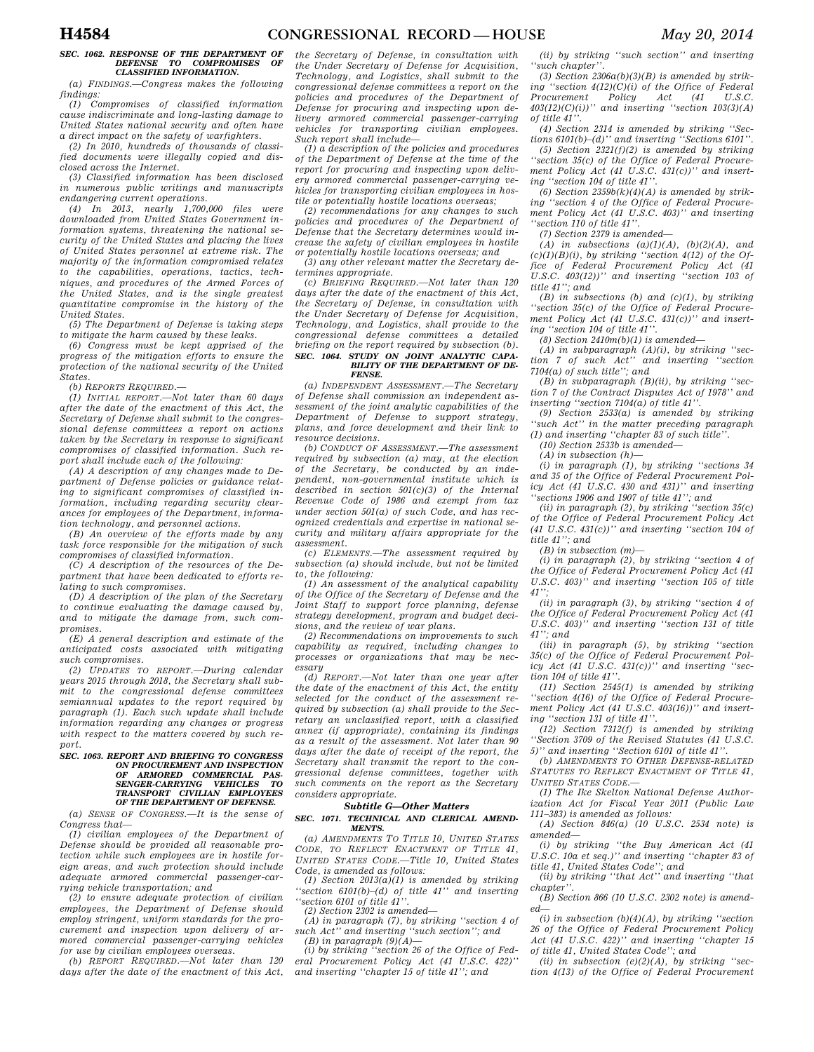# *SEC. 1062. RESPONSE OF THE DEPARTMENT OF DEFENSE TO COMPROMISES OF CLASSIFIED INFORMATION.*

*(a) FINDINGS.—Congress makes the following findings:* 

*(1) Compromises of classified information cause indiscriminate and long-lasting damage to United States national security and often have a direct impact on the safety of warfighters.* 

*(2) In 2010, hundreds of thousands of classified documents were illegally copied and disclosed across the Internet.* 

*(3) Classified information has been disclosed in numerous public writings and manuscripts endangering current operations.* 

*(4) In 2013, nearly 1,700,000 files were downloaded from United States Government information systems, threatening the national security of the United States and placing the lives of United States personnel at extreme risk. The majority of the information compromised relates to the capabilities, operations, tactics, techniques, and procedures of the Armed Forces of the United States, and is the single greatest quantitative compromise in the history of the United States.* 

*(5) The Department of Defense is taking steps to mitigate the harm caused by these leaks.* 

*(6) Congress must be kept apprised of the progress of the mitigation efforts to ensure the protection of the national security of the United States.* 

*(b) REPORTS REQUIRED.—* 

*(1) INITIAL REPORT.—Not later than 60 days after the date of the enactment of this Act, the Secretary of Defense shall submit to the congressional defense committees a report on actions taken by the Secretary in response to significant compromises of classified information. Such report shall include each of the following:* 

*(A) A description of any changes made to Department of Defense policies or guidance relating to significant compromises of classified information, including regarding security clearances for employees of the Department, information technology, and personnel actions.* 

*(B) An overview of the efforts made by any task force responsible for the mitigation of such compromises of classified information.* 

*(C) A description of the resources of the Department that have been dedicated to efforts relating to such compromises.* 

*(D) A description of the plan of the Secretary to continue evaluating the damage caused by, and to mitigate the damage from, such compromises.* 

*(E) A general description and estimate of the anticipated costs associated with mitigating such compromises.* 

*(2) UPDATES TO REPORT.—During calendar years 2015 through 2018, the Secretary shall submit to the congressional defense committees semiannual updates to the report required by paragraph (1). Each such update shall include information regarding any changes or progress with respect to the matters covered by such report.* 

# *SEC. 1063. REPORT AND BRIEFING TO CONGRESS ON PROCUREMENT AND INSPECTION OF ARMORED COMMERCIAL PAS-SENGER-CARRYING VEHICLES TO TRANSPORT CIVILIAN EMPLOYEES OF THE DEPARTMENT OF DEFENSE.*

*(a) SENSE OF CONGRESS.—It is the sense of Congress that—* 

*(1) civilian employees of the Department of Defense should be provided all reasonable protection while such employees are in hostile foreign areas, and such protection should include adequate armored commercial passenger-carrying vehicle transportation; and* 

*(2) to ensure adequate protection of civilian employees, the Department of Defense should employ stringent, uniform standards for the procurement and inspection upon delivery of armored commercial passenger-carrying vehicles for use by civilian employees overseas.* 

*(b) REPORT REQUIRED.—Not later than 120 days after the date of the enactment of this Act,* 

*the Secretary of Defense, in consultation with the Under Secretary of Defense for Acquisition, Technology, and Logistics, shall submit to the congressional defense committees a report on the policies and procedures of the Department of Defense for procuring and inspecting upon delivery armored commercial passenger-carrying vehicles for transporting civilian employees. Such report shall include—* 

*(1) a description of the policies and procedures of the Department of Defense at the time of the report for procuring and inspecting upon delivery armored commercial passenger-carrying vehicles for transporting civilian employees in hostile or potentially hostile locations overseas;* 

*(2) recommendations for any changes to such policies and procedures of the Department of Defense that the Secretary determines would increase the safety of civilian employees in hostile or potentially hostile locations overseas; and* 

*(3) any other relevant matter the Secretary determines appropriate.* 

*(c) BRIEFING REQUIRED.—Not later than 120 days after the date of the enactment of this Act, the Secretary of Defense, in consultation with the Under Secretary of Defense for Acquisition, Technology, and Logistics, shall provide to the congressional defense committees a detailed briefing on the report required by subsection (b). SEC. 1064. STUDY ON JOINT ANALYTIC CAPA-BILITY OF THE DEPARTMENT OF DE-*

# *FENSE.*

*(a) INDEPENDENT ASSESSMENT.—The Secretary of Defense shall commission an independent assessment of the joint analytic capabilities of the Department of Defense to support strategy, plans, and force development and their link to resource decisions.* 

*(b) CONDUCT OF ASSESSMENT.—The assessment required by subsection (a) may, at the election of the Secretary, be conducted by an independent, non-governmental institute which is described in section 501(c)(3) of the Internal Revenue Code of 1986 and exempt from tax under section 501(a) of such Code, and has recognized credentials and expertise in national security and military affairs appropriate for the assessment.* 

*(c) ELEMENTS.—The assessment required by subsection (a) should include, but not be limited to, the following:* 

*(1) An assessment of the analytical capability of the Office of the Secretary of Defense and the Joint Staff to support force planning, defense strategy development, program and budget decisions, and the review of war plans.* 

*(2) Recommendations on improvements to such capability as required, including changes to processes or organizations that may be necessary* 

*(d) REPORT.—Not later than one year after the date of the enactment of this Act, the entity selected for the conduct of the assessment required by subsection (a) shall provide to the Secretary an unclassified report, with a classified annex (if appropriate), containing its findings as a result of the assessment. Not later than 90 days after the date of receipt of the report, the Secretary shall transmit the report to the congressional defense committees, together with such comments on the report as the Secretary considers appropriate.* 

### *Subtitle G—Other Matters*

#### *SEC. 1071. TECHNICAL AND CLERICAL AMEND-MENTS.*

*(a) AMENDMENTS TO TITLE 10, UNITED STATES CODE, TO REFLECT ENACTMENT OF TITLE 41, UNITED STATES CODE.—Title 10, United States Code, is amended as follows:* 

*(1) Section 2013(a)(1) is amended by striking ''section 6101(b)–(d) of title 41'' and inserting ''section 6101 of title 41''.* 

*(2) Section 2302 is amended—* 

*(A) in paragraph (7), by striking ''section 4 of such Act'' and inserting ''such section''; and* 

*(B) in paragraph (9)(A)— (i) by striking ''section 26 of the Office of Federal Procurement Policy Act (41 U.S.C. 422)'' and inserting ''chapter 15 of title 41''; and* 

*(ii) by striking ''such section'' and inserting ''such chapter''.* 

*(3) Section 2306a(b)(3)(B) is amended by striking ''section 4(12)(C)(i) of the Office of Federal Procurement Policy Act (41 U.S.C. 403(12)(C)(i))'' and inserting ''section 103(3)(A) of title 41''.* 

*(4) Section 2314 is amended by striking ''Sec-tions 6101(b)–(d)'' and inserting ''Sections 6101''.* 

*(5) Section 2321(f)(2) is amended by striking ''section 35(c) of the Office of Federal Procurement Policy Act (41 U.S.C. 431(c))'' and inserting ''section 104 of title 41''.* 

*(6) Section 2359b(k)(4)(A) is amended by striking ''section 4 of the Office of Federal Procurement Policy Act (41 U.S.C. 403)'' and inserting ''section 110 of title 41''.* 

*(7) Section 2379 is amended—* 

*(A) in subsections (a)(1)(A), (b)(2)(A), and*   $(c)(1)(B)(i)$ , by striking "section  $4(12)$  of the Of*fice of Federal Procurement Policy Act (41 U.S.C. 403(12))'' and inserting ''section 103 of title 41''; and* 

*(B) in subsections (b) and (c)(1), by striking ''section 35(c) of the Office of Federal Procurement Policy Act (41 U.S.C. 431(c))'' and inserting ''section 104 of title 41''.* 

*(8) Section 2410m(b)(1) is amended—* 

*(A) in subparagraph (A)(i), by striking ''section 7 of such Act'' and inserting ''section 7104(a) of such title''; and* 

*(B) in subparagraph (B)(ii), by striking ''section 7 of the Contract Disputes Act of 1978'' and inserting ''section 7104(a) of title 41''.* 

*(9) Section 2533(a) is amended by striking ''such Act'' in the matter preceding paragraph (1) and inserting ''chapter 83 of such title''.* 

*(10) Section 2533b is amended—* 

*(A) in subsection (h)—* 

*(i) in paragraph (1), by striking ''sections 34 and 35 of the Office of Federal Procurement Policy Act (41 U.S.C. 430 and 431)'' and inserting ''sections 1906 and 1907 of title 41''; and* 

*(ii) in paragraph (2), by striking ''section 35(c) of the Office of Federal Procurement Policy Act (41 U.S.C. 431(c))'' and inserting ''section 104 of title 41''; and* 

*(B) in subsection (m)—* 

*(i) in paragraph (2), by striking ''section 4 of the Office of Federal Procurement Policy Act (41 U.S.C. 403)'' and inserting ''section 105 of title 41'';* 

*(ii) in paragraph (3), by striking ''section 4 of the Office of Federal Procurement Policy Act (41 U.S.C. 403)'' and inserting ''section 131 of title 41''; and* 

*(iii) in paragraph (5), by striking ''section 35(c) of the Office of Federal Procurement Policy Act (41 U.S.C. 431(c))'' and inserting ''section 104 of title 41''.* 

*(11) Section 2545(1) is amended by striking ''section 4(16) of the Office of Federal Procurement Policy Act (41 U.S.C. 403(16))'' and inserting ''section 131 of title 41''.* 

*(12) Section 7312(f) is amended by striking ''Section 3709 of the Revised Statutes (41 U.S.C. 5)'' and inserting ''Section 6101 of title 41''.* 

*(b) AMENDMENTS TO OTHER DEFENSE-RELATED STATUTES TO REFLECT ENACTMENT OF TITLE 41, UNITED STATES CODE.—* 

*(1) The Ike Skelton National Defense Authorization Act for Fiscal Year 2011 (Public Law 111–383) is amended as follows:* 

*(A) Section 846(a) (10 U.S.C. 2534 note) is amended—* 

*(i) by striking ''the Buy American Act (41 U.S.C. 10a et seq.)'' and inserting ''chapter 83 of title 41, United States Code''; and* 

*(ii) by striking ''that Act'' and inserting ''that chapter''.* 

*(B) Section 866 (10 U.S.C. 2302 note) is amended—* 

*(i) in subsection (b)(4)(A), by striking ''section 26 of the Office of Federal Procurement Policy Act (41 U.S.C. 422)'' and inserting ''chapter 15 of title 41, United States Code''; and* 

*(ii) in subsection (e)(2)(A), by striking ''section 4(13) of the Office of Federal Procurement*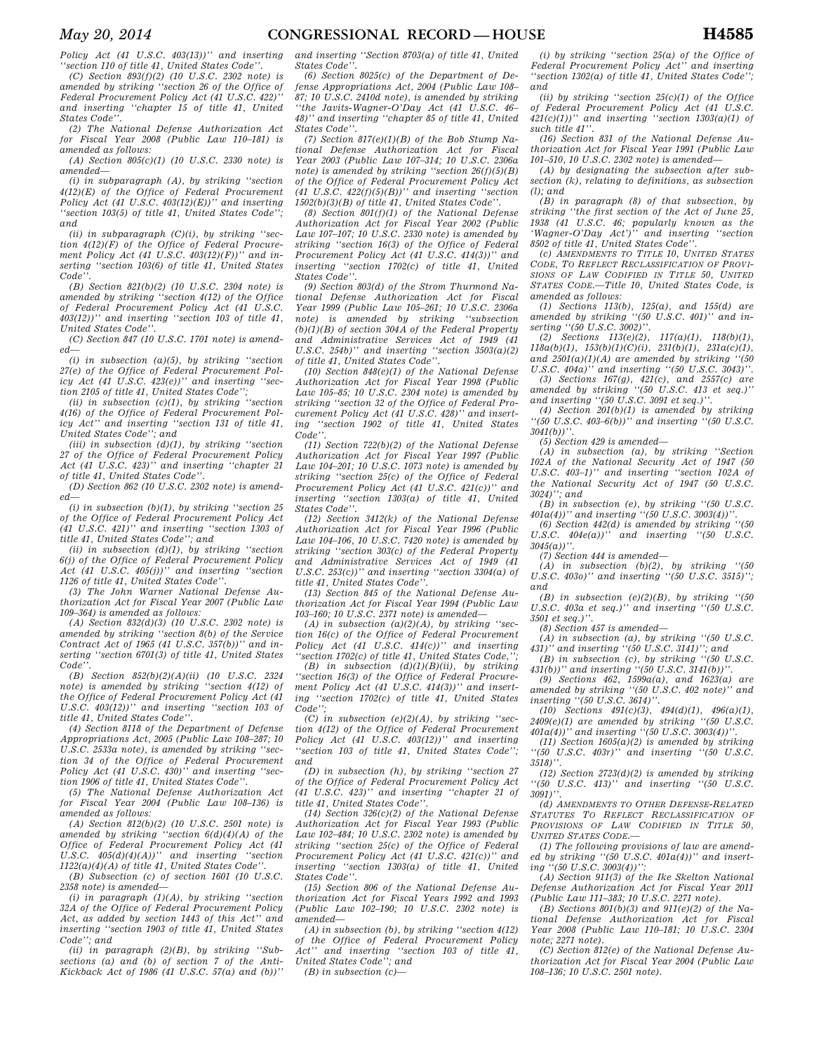*Policy Act (41 U.S.C. 403(13))'' and inserting ''section 110 of title 41, United States Code''.* 

*(C) Section 893(f)(2) (10 U.S.C. 2302 note) is amended by striking ''section 26 of the Office of Federal Procurement Policy Act (41 U.S.C. 422)'' and inserting ''chapter 15 of title 41, United States Code''.* 

*(2) The National Defense Authorization Act for Fiscal Year 2008 (Public Law 110–181) is amended as follows:* 

*(A) Section 805(c)(1) (10 U.S.C. 2330 note) is amended—* 

*(i) in subparagraph (A), by striking ''section 4(12)(E) of the Office of Federal Procurement Policy Act (41 U.S.C. 403(12)(E))'' and inserting ''section 103(5) of title 41, United States Code''; and* 

*(ii) in subparagraph (C)(i), by striking ''section 4(12)(F) of the Office of Federal Procurement Policy Act (41 U.S.C. 403(12)(F))'' and inserting ''section 103(6) of title 41, United States Code''.* 

*(B) Section 821(b)(2) (10 U.S.C. 2304 note) is amended by striking ''section 4(12) of the Office of Federal Procurement Policy Act (41 U.S.C. 403(12))'' and inserting ''section 103 of title 41, United States Code''.* 

*(C) Section 847 (10 U.S.C. 1701 note) is amended—* 

*(i) in subsection (a)(5), by striking ''section 27(e) of the Office of Federal Procurement Policy Act (41 U.S.C. 423(e))'' and inserting ''section 2105 of title 41, United States Code'';* 

*(ii) in subsection (c)(1), by striking ''section 4(16) of the Office of Federal Procurement Policy Act'' and inserting ''section 131 of title 41, United States Code''; and* 

*(iii) in subsection (d)(1), by striking ''section 27 of the Office of Federal Procurement Policy Act (41 U.S.C. 423)'' and inserting ''chapter 21 of title 41, United States Code''.* 

*(D) Section 862 (10 U.S.C. 2302 note) is amended—* 

*(i) in subsection (b)(1), by striking ''section 25 of the Office of Federal Procurement Policy Act (41 U.S.C. 421)'' and inserting ''section 1303 of title 41, United States Code''; and* 

*(ii) in subsection (d)(1), by striking ''section 6(j) of the Office of Federal Procurement Policy Act (41 U.S.C. 405(j))'' and inserting ''section 1126 of title 41, United States Code''.* 

*(3) The John Warner National Defense Authorization Act for Fiscal Year 2007 (Public Law 109–364) is amended as follows:* 

*(A) Section 832(d)(3) (10 U.S.C. 2302 note) is amended by striking ''section 8(b) of the Service Contract Act of 1965 (41 U.S.C. 357(b))'' and inserting ''section 6701(3) of title 41, United States Code''.* 

*(B) Section 852(b)(2)(A)(ii) (10 U.S.C. 2324 note) is amended by striking ''section 4(12) of the Office of Federal Procurement Policy Act (41 U.S.C. 403(12))'' and inserting ''section 103 of title 41, United States Code''.* 

*(4) Section 8118 of the Department of Defense Appropriations Act, 2005 (Public Law 108–287; 10 U.S.C. 2533a note), is amended by striking ''section 34 of the Office of Federal Procurement Policy Act (41 U.S.C. 430)'' and inserting ''section 1906 of title 41, United States Code''.* 

*(5) The National Defense Authorization Act for Fiscal Year 2004 (Public Law 108–136) is amended as follows:* 

*(A) Section 812(b)(2) (10 U.S.C. 2501 note) is amended by striking ''section 6(d)(4)(A) of the Office of Federal Procurement Policy Act (41 U.S.C. 405(d)(4)(A))'' and inserting ''section 1122(a)(4)(A) of title 41, United States Code''.* 

*(B) Subsection (c) of section 1601 (10 U.S.C. 2358 note) is amended—* 

*(i) in paragraph (1)(A), by striking ''section 32A of the Office of Federal Procurement Policy Act, as added by section 1443 of this Act'' and inserting ''section 1903 of title 41, United States Code''; and* 

*(ii) in paragraph (2)(B), by striking ''Subsections (a) and (b) of section 7 of the Anti-Kickback Act of 1986 (41 U.S.C. 57(a) and (b))''*  *and inserting ''Section 8703(a) of title 41, United States Code''.* 

*(6) Section 8025(c) of the Department of Defense Appropriations Act, 2004 (Public Law 108– 87; 10 U.S.C. 2410d note), is amended by striking ''the Javits-Wagner-O'Day Act (41 U.S.C. 46– 48)'' and inserting ''chapter 85 of title 41, United States Code''.* 

*(7) Section 817(e)(1)(B) of the Bob Stump National Defense Authorization Act for Fiscal Year 2003 (Public Law 107–314; 10 U.S.C. 2306a note) is amended by striking ''section 26(f)(5)(B) of the Office of Federal Procurement Policy Act (41 U.S.C. 422(f)(5)(B))'' and inserting ''section 1502(b)(3)(B) of title 41, United States Code''.* 

*(8) Section 801(f)(1) of the National Defense Authorization Act for Fiscal Year 2002 (Public Law 107–107; 10 U.S.C. 2330 note) is amended by striking ''section 16(3) of the Office of Federal Procurement Policy Act (41 U.S.C. 414(3))'' and inserting ''section 1702(c) of title 41, United States Code''.* 

*(9) Section 803(d) of the Strom Thurmond National Defense Authorization Act for Fiscal Year 1999 (Public Law 105–261; 10 U.S.C. 2306a note) is amended by striking ''subsection (b)(1)(B) of section 304A of the Federal Property and Administrative Services Act of 1949 (41 U.S.C. 254b)'' and inserting ''section 3503(a)(2) of title 41, United States Code''.* 

*(10) Section 848(e)(1) of the National Defense Authorization Act for Fiscal Year 1998 (Public Law 105–85; 10 U.S.C. 2304 note) is amended by striking ''section 32 of the Office of Federal Procurement Policy Act (41 U.S.C. 428)'' and inserting ''section 1902 of title 41, United States Code''.* 

*(11) Section 722(b)(2) of the National Defense Authorization Act for Fiscal Year 1997 (Public Law 104–201; 10 U.S.C. 1073 note) is amended by striking ''section 25(c) of the Office of Federal Procurement Policy Act (41 U.S.C. 421(c))'' and inserting ''section 1303(a) of title 41, United States Code''.* 

*(12) Section 3412(k) of the National Defense Authorization Act for Fiscal Year 1996 (Public Law 104–106, 10 U.S.C. 7420 note) is amended by striking ''section 303(c) of the Federal Property and Administrative Services Act of 1949 (41 U.S.C. 253(c))'' and inserting ''section 3304(a) of title 41, United States Code''.* 

*(13) Section 845 of the National Defense Authorization Act for Fiscal Year 1994 (Public Law 103–160; 10 U.S.C. 2371 note) is amended—* 

*(A) in subsection (a)(2)(A), by striking ''section 16(c) of the Office of Federal Procurement Policy Act (41 U.S.C. 414(c))'' and inserting ''section 1702(c) of title 41, United States Code,'';* 

*(B) in subsection (d)(1)(B)(ii), by striking ''section 16(3) of the Office of Federal Procurement Policy Act (41 U.S.C. 414(3))'' and inserting ''section 1702(c) of title 41, United States Code'';* 

*(C) in subsection (e)(2)(A), by striking ''section 4(12) of the Office of Federal Procurement Policy Act (41 U.S.C. 403(12))'' and inserting ''section 103 of title 41, United States Code''; and* 

*(D) in subsection (h), by striking ''section 27 of the Office of Federal Procurement Policy Act (41 U.S.C. 423)'' and inserting ''chapter 21 of title 41, United States Code''.* 

*(14) Section 326(c)(2) of the National Defense Authorization Act for Fiscal Year 1993 (Public Law 102–484; 10 U.S.C. 2302 note) is amended by striking ''section 25(c) of the Office of Federal Procurement Policy Act (41 U.S.C. 421(c))'' and inserting ''section 1303(a) of title 41, United States Code''.* 

*(15) Section 806 of the National Defense Authorization Act for Fiscal Years 1992 and 1993 (Public Law 102–190; 10 U.S.C. 2302 note) is amended—* 

*(A) in subsection (b), by striking ''section 4(12) of the Office of Federal Procurement Policy Act'' and inserting ''section 103 of title 41, United States Code''; and* 

*(B) in subsection (c)—* 

*(i) by striking ''section 25(a) of the Office of Federal Procurement Policy Act'' and inserting ''section 1302(a) of title 41, United States Code''; and* 

*(ii) by striking ''section 25(c)(1) of the Office of Federal Procurement Policy Act (41 U.S.C. 421(c)(1))'' and inserting ''section 1303(a)(1) of such title 41''.* 

*(16) Section 831 of the National Defense Authorization Act for Fiscal Year 1991 (Public Law 101–510, 10 U.S.C. 2302 note) is amended—* 

*(A) by designating the subsection after subsection (k), relating to definitions, as subsection (l); and* 

*(B) in paragraph (8) of that subsection, by striking ''the first section of the Act of June 25, 1938 (41 U.S.C. 46; popularly known as the 'Wagner-O'Day Act')'' and inserting ''section 8502 of title 41, United States Code''.* 

*(c) AMENDMENTS TO TITLE 10, UNITED STATES CODE, TO REFLECT RECLASSIFICATION OF PROVI-SIONS OF LAW CODIFIED IN TITLE 50, UNITED STATES CODE.—Title 10, United States Code, is amended as follows:* 

*(1) Sections 113(b), 125(a), and 155(d) are amended by striking ''(50 U.S.C. 401)'' and inserting ''(50 U.S.C. 3002)''.* 

*(2) Sections 113(e)(2), 117(a)(1), 118(b)(1), 118a(b)(1), 153(b)(1)(C)(i), 231(b)(1), 231a(c)(1), and 2501(a)(1)(A) are amended by striking ''(50 U.S.C. 404a)'' and inserting ''(50 U.S.C. 3043)''.* 

*(3) Sections 167(g), 421(c), and 2557(c) are amended by striking ''(50 U.S.C. 413 et seq.)'' and inserting ''(50 U.S.C. 3091 et seq.)''.* 

*(4) Section 201(b)(1) is amended by striking ''(50 U.S.C. 403–6(b))'' and inserting ''(50 U.S.C. 3041(b))''.* 

*(5) Section 429 is amended—* 

*(A) in subsection (a), by striking ''Section 102A of the National Security Act of 1947 (50 U.S.C. 403–1)'' and inserting ''section 102A of the National Security Act of 1947 (50 U.S.C. 3024)''; and* 

*(B) in subsection (e), by striking ''(50 U.S.C. 401a(4))'' and inserting ''(50 U.S.C. 3003(4))''. (6) Section 442(d) is amended by striking ''(50* 

*U.S.C. 404e(a))'' and inserting ''(50 U.S.C. 3045(a))''.* 

*(7) Section 444 is amended—* 

*(A) in subsection (b)(2), by striking ''(50 U.S.C. 403o)'' and inserting ''(50 U.S.C. 3515)''; and* 

*(B) in subsection (e)(2)(B), by striking ''(50 U.S.C. 403a et seq.)'' and inserting ''(50 U.S.C. 3501 et seq.)''.* 

*(8) Section 457 is amended—* 

*(A) in subsection (a), by striking ''(50 U.S.C. 431)'' and inserting ''(50 U.S.C. 3141)''; and* 

*(B) in subsection (c), by striking ''(50 U.S.C. 431(b))'' and inserting ''(50 U.S.C. 3141(b))''.* 

*(9) Sections 462, 1599a(a), and 1623(a) are amended by striking ''(50 U.S.C. 402 note)'' and inserting ''(50 U.S.C. 3614)''.* 

*(10) Sections 491(c)(3), 494(d)(1), 496(a)(1), 2409(e)(1) are amended by striking ''(50 U.S.C. 401a(4))'' and inserting ''(50 U.S.C. 3003(4))''.* 

*(11) Section 1605(a)(2) is amended by striking ''(50 U.S.C. 403r)'' and inserting ''(50 U.S.C. 3518)''.* 

*(12) Section 2723(d)(2) is amended by striking ''(50 U.S.C. 413)'' and inserting ''(50 U.S.C. 3091)''.* 

*(d) AMENDMENTS TO OTHER DEFENSE-RELATED STATUTES TO REFLECT RECLASSIFICATION OF PROVISIONS OF LAW CODIFIED IN TITLE 50, UNITED STATES CODE.—* 

*(1) The following provisions of law are amended by striking ''(50 U.S.C. 401a(4))'' and inserting ''(50 U.S.C. 3003(4))'':* 

*(A) Section 911(3) of the Ike Skelton National Defense Authorization Act for Fiscal Year 2011 (Public Law 111–383; 10 U.S.C. 2271 note).* 

*(B) Sections 801(b)(3) and 911(e)(2) of the National Defense Authorization Act for Fiscal Year 2008 (Public Law 110–181; 10 U.S.C. 2304 note; 2271 note).* 

*(C) Section 812(e) of the National Defense Authorization Act for Fiscal Year 2004 (Public Law 108–136; 10 U.S.C. 2501 note).*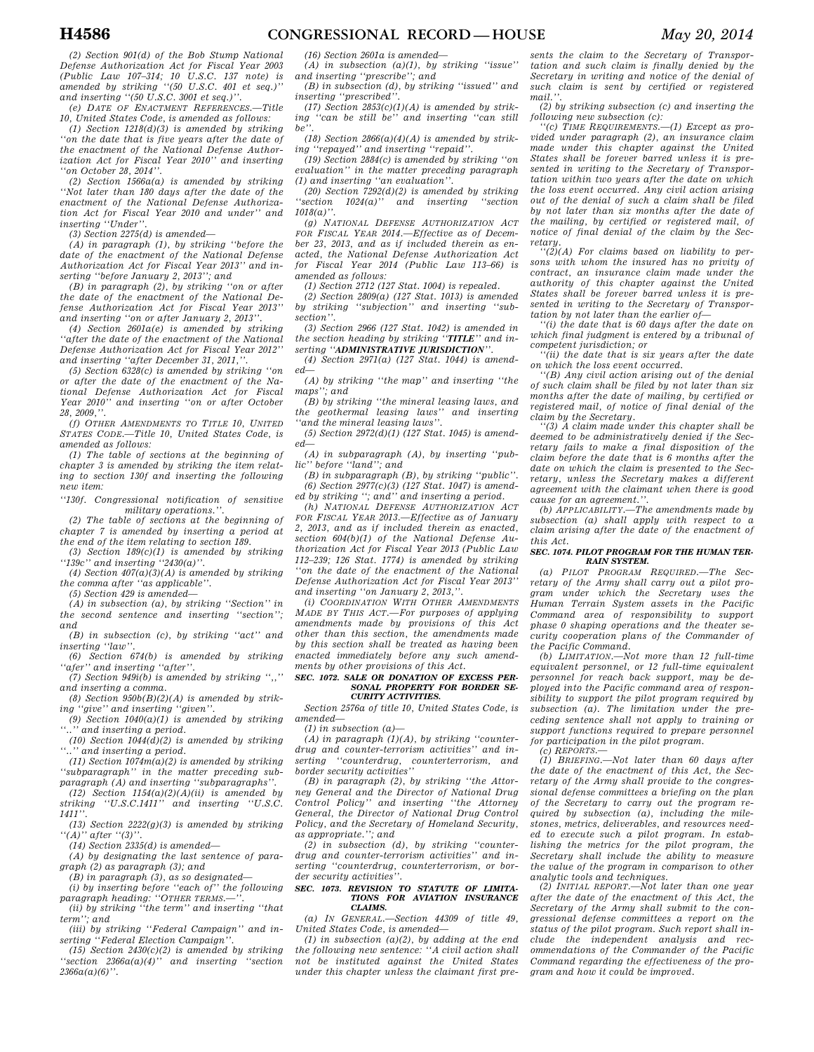*(2) Section 901(d) of the Bob Stump National Defense Authorization Act for Fiscal Year 2003 (Public Law 107–314; 10 U.S.C. 137 note) is amended by striking ''(50 U.S.C. 401 et seq.)'' and inserting ''(50 U.S.C. 3001 et seq.)''.* 

*(e) DATE OF ENACTMENT REFERENCES.—Title 10, United States Code, is amended as follows:* 

*(1) Section 1218(d)(3) is amended by striking ''on the date that is five years after the date of the enactment of the National Defense Authorization Act for Fiscal Year 2010'' and inserting ''on October 28, 2014''.* 

*(2) Section 1566a(a) is amended by striking ''Not later than 180 days after the date of the enactment of the National Defense Authorization Act for Fiscal Year 2010 and under'' and inserting ''Under''.* 

*(3) Section 2275(d) is amended—* 

*(A) in paragraph (1), by striking ''before the date of the enactment of the National Defense Authorization Act for Fiscal Year 2013'' and inserting ''before January 2, 2013''; and* 

*(B) in paragraph (2), by striking ''on or after the date of the enactment of the National Defense Authorization Act for Fiscal Year 2013'' and inserting ''on or after January 2, 2013''.* 

*(4) Section 2601a(e) is amended by striking ''after the date of the enactment of the National Defense Authorization Act for Fiscal Year 2012'' and inserting ''after December 31, 2011,''.* 

*(5) Section 6328(c) is amended by striking ''on or after the date of the enactment of the National Defense Authorization Act for Fiscal Year 2010'' and inserting ''on or after October 28, 2009,''.* 

*(f) OTHER AMENDMENTS TO TITLE 10, UNITED STATES CODE.—Title 10, United States Code, is amended as follows:* 

*(1) The table of sections at the beginning of chapter 3 is amended by striking the item relating to section 130f and inserting the following new item:* 

*''130f. Congressional notification of sensitive military operations.''.* 

*(2) The table of sections at the beginning of chapter 7 is amended by inserting a period at the end of the item relating to section 189.* 

*(3) Section 189(c)(1) is amended by striking ''139c'' and inserting ''2430(a)''.* 

*(4) Section 407(a)(3)(A) is amended by striking the comma after ''as applicable''.* 

*(5) Section 429 is amended—* 

*(A) in subsection (a), by striking ''Section'' in the second sentence and inserting ''section''; and* 

*(B) in subsection (c), by striking ''act'' and inserting ''law''.* 

*(6) Section 674(b) is amended by striking ''afer'' and inserting ''after''.* 

*(7) Section 949i(b) is amended by striking '',,'' and inserting a comma.* 

*(8) Section 950b(B)(2)(A) is amended by striking ''give'' and inserting ''given''. (9) Section 1040(a)(1) is amended by striking* 

*''..'' and inserting a period.* 

*(10) Section 1044(d)(2) is amended by striking ''..'' and inserting a period.* 

*(11) Section 1074m(a)(2) is amended by striking ''subparagraph'' in the matter preceding subparagraph (A) and inserting ''subparagraphs''.* 

*(12) Section 1154(a)(2)(A)(ii) is amended by striking ''U.S.C.1411'' and inserting ''U.S.C. 1411''.* 

*(13) Section 2222(g)(3) is amended by striking ''(A)'' after ''(3)''.* 

*(14) Section 2335(d) is amended—* 

*(A) by designating the last sentence of paragraph (2) as paragraph (3); and* 

*(B) in paragraph (3), as so designated—* 

*(i) by inserting before ''each of'' the following*  paragraph heading: "OTHER TERMS.-*(ii) by striking ''the term'' and inserting ''that* 

*term''; and (iii) by striking ''Federal Campaign'' and in-*

*serting ''Federal Election Campaign''. (15) Section 2430(c)(2) is amended by striking* 

*''section 2366a(a)(4)'' and inserting ''section 2366a(a)(6)''.* 

*(16) Section 2601a is amended—* 

*(A) in subsection (a)(1), by striking ''issue'' and inserting ''prescribe''; and* 

*(B) in subsection (d), by striking ''issued'' and inserting ''prescribed''.* 

*(17) Section 2853(c)(1)(A) is amended by striking ''can be still be'' and inserting ''can still be''.* 

*(18) Section 2866(a)(4)(A) is amended by striking ''repayed'' and inserting ''repaid''.* 

*(19) Section 2884(c) is amended by striking ''on evaluation'' in the matter preceding paragraph (1) and inserting ''an evaluation''.* 

*(20) Section 7292(d)(2) is amended by striking ''section 1024(a)'' and inserting ''section 1018(a)''.* 

*(g) NATIONAL DEFENSE AUTHORIZATION ACT FOR FISCAL YEAR 2014.—Effective as of December 23, 2013, and as if included therein as enacted, the National Defense Authorization Act for Fiscal Year 2014 (Public Law 113–66) is amended as follows:* 

*(1) Section 2712 (127 Stat. 1004) is repealed.* 

*(2) Section 2809(a) (127 Stat. 1013) is amended by striking ''subjection'' and inserting ''subsection''.* 

*(3) Section 2966 (127 Stat. 1042) is amended in the section heading by striking ''TITLE'' and inserting ''ADMINISTRATIVE JURISDICTION''.* 

*(4) Section 2971(a) (127 Stat. 1044) is amended—* 

*(A) by striking ''the map'' and inserting ''the maps''; and* 

*(B) by striking ''the mineral leasing laws, and the geothermal leasing laws'' and inserting ''and the mineral leasing laws''.* 

*(5) Section 2972(d)(1) (127 Stat. 1045) is amended—* 

*(A) in subparagraph (A), by inserting ''public'' before ''land''; and* 

*(B) in subparagraph (B), by striking ''public''. (6) Section 2977(c)(3) (127 Stat. 1047) is amended by striking ''; and'' and inserting a period.* 

*(h) NATIONAL DEFENSE AUTHORIZATION ACT FOR FISCAL YEAR 2013.—Effective as of January 2, 2013, and as if included therein as enacted, section 604(b)(1) of the National Defense Authorization Act for Fiscal Year 2013 (Public Law 112–239; 126 Stat. 1774) is amended by striking ''on the date of the enactment of the National Defense Authorization Act for Fiscal Year 2013'' and inserting ''on January 2, 2013,''.* 

*(i) COORDINATION WITH OTHER AMENDMENTS MADE BY THIS ACT.—For purposes of applying amendments made by provisions of this Act other than this section, the amendments made by this section shall be treated as having been enacted immediately before any such amendments by other provisions of this Act.* 

### *SEC. 1072. SALE OR DONATION OF EXCESS PER-SONAL PROPERTY FOR BORDER SE-CURITY ACTIVITIES.*

*Section 2576a of title 10, United States Code, is amended—* 

*(1) in subsection (a)—* 

*(A) in paragraph (1)(A), by striking ''counterdrug and counter-terrorism activities'' and inserting ''counterdrug, counterterrorism, and border security activities''* 

*(B) in paragraph (2), by striking ''the Attorney General and the Director of National Drug Control Policy'' and inserting ''the Attorney General, the Director of National Drug Control Policy, and the Secretary of Homeland Security, as appropriate.''; and* 

*(2) in subsection (d), by striking ''counterdrug and counter-terrorism activities'' and inserting ''counterdrug, counterterrorism, or border security activities''.* 

### *SEC. 1073. REVISION TO STATUTE OF LIMITA-TIONS FOR AVIATION INSURANCE CLAIMS.*

*(a) IN GENERAL.—Section 44309 of title 49, United States Code, is amended—* 

*(1) in subsection (a)(2), by adding at the end the following new sentence: ''A civil action shall not be instituted against the United States under this chapter unless the claimant first pre-*

*sents the claim to the Secretary of Transportation and such claim is finally denied by the Secretary in writing and notice of the denial of such claim is sent by certified or registered mail.''.* 

*(2) by striking subsection (c) and inserting the following new subsection (c):* 

*''(c) TIME REQUIREMENTS.—(1) Except as provided under paragraph (2), an insurance claim made under this chapter against the United States shall be forever barred unless it is presented in writing to the Secretary of Transportation within two years after the date on which the loss event occurred. Any civil action arising out of the denial of such a claim shall be filed by not later than six months after the date of the mailing, by certified or registered mail, of notice of final denial of the claim by the Secretary.* 

*''(2)(A) For claims based on liability to persons with whom the insured has no privity of contract, an insurance claim made under the authority of this chapter against the United States shall be forever barred unless it is presented in writing to the Secretary of Transportation by not later than the earlier of—* 

*''(i) the date that is 60 days after the date on which final judgment is entered by a tribunal of competent jurisdiction; or* 

*''(ii) the date that is six years after the date on which the loss event occurred.* 

*''(B) Any civil action arising out of the denial of such claim shall be filed by not later than six months after the date of mailing, by certified or registered mail, of notice of final denial of the claim by the Secretary.* 

*''(3) A claim made under this chapter shall be deemed to be administratively denied if the Secretary fails to make a final disposition of the claim before the date that is 6 months after the date on which the claim is presented to the Secretary, unless the Secretary makes a different agreement with the claimant when there is good cause for an agreement.''.* 

*(b) APPLICABILITY.—The amendments made by subsection (a) shall apply with respect to a claim arising after the date of the enactment of this Act.* 

### *SEC. 1074. PILOT PROGRAM FOR THE HUMAN TER-RAIN SYSTEM.*

*(a) PILOT PROGRAM REQUIRED.—The Secretary of the Army shall carry out a pilot program under which the Secretary uses the Human Terrain System assets in the Pacific Command area of responsibility to support phase 0 shaping operations and the theater security cooperation plans of the Commander of the Pacific Command.* 

*(b) LIMITATION.—Not more than 12 full-time equivalent personnel, or 12 full-time equivalent personnel for reach back support, may be deployed into the Pacific command area of responsibility to support the pilot program required by subsection (a). The limitation under the preceding sentence shall not apply to training or support functions required to prepare personnel for participation in the pilot program.* 

*(c) REPORTS.—* 

*(1) BRIEFING.—Not later than 60 days after the date of the enactment of this Act, the Secretary of the Army shall provide to the congressional defense committees a briefing on the plan of the Secretary to carry out the program required by subsection (a), including the milestones, metrics, deliverables, and resources needed to execute such a pilot program. In establishing the metrics for the pilot program, the Secretary shall include the ability to measure the value of the program in comparison to other analytic tools and techniques.* 

*(2) INITIAL REPORT.—Not later than one year after the date of the enactment of this Act, the Secretary of the Army shall submit to the congressional defense committees a report on the status of the pilot program. Such report shall include the independent analysis and recommendations of the Commander of the Pacific Command regarding the effectiveness of the program and how it could be improved.*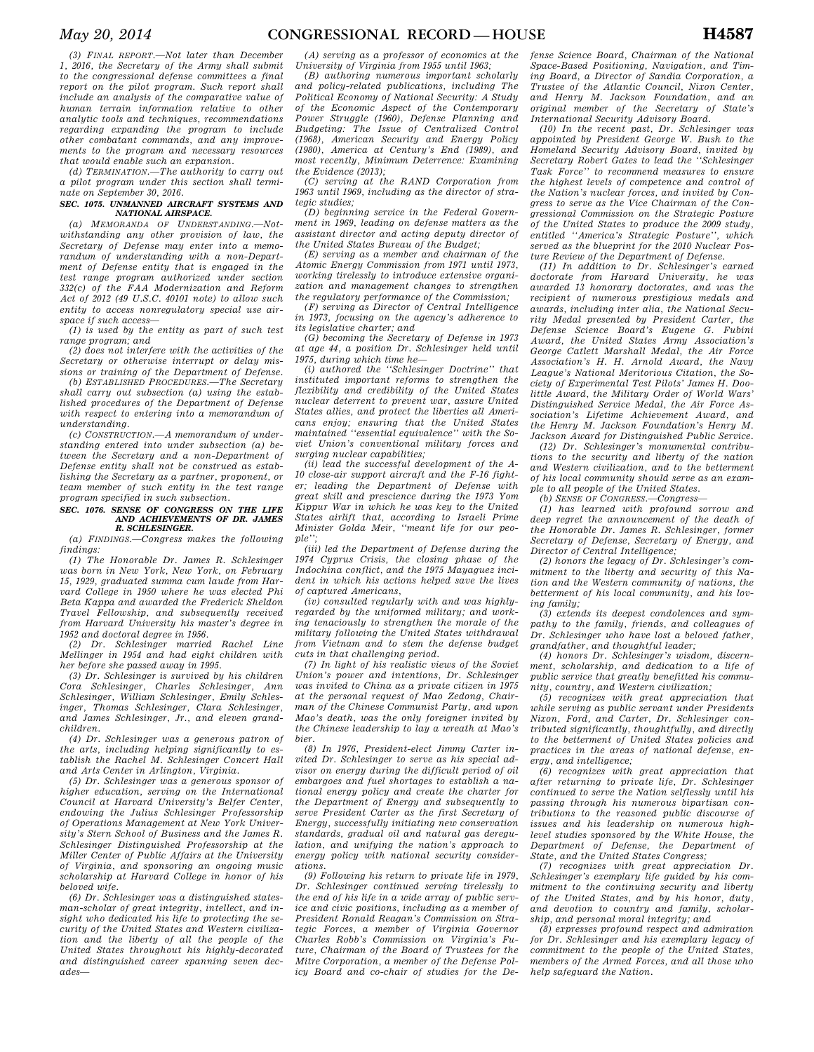*(3) FINAL REPORT.—Not later than December 1, 2016, the Secretary of the Army shall submit to the congressional defense committees a final report on the pilot program. Such report shall include an analysis of the comparative value of human terrain information relative to other analytic tools and techniques, recommendations regarding expanding the program to include other combatant commands, and any improvements to the program and necessary resources that would enable such an expansion.* 

*(d) TERMINATION.—The authority to carry out a pilot program under this section shall terminate on September 30, 2016.* 

### *SEC. 1075. UNMANNED AIRCRAFT SYSTEMS AND NATIONAL AIRSPACE.*

*(a) MEMORANDA OF UNDERSTANDING.—Notwithstanding any other provision of law, the Secretary of Defense may enter into a memorandum of understanding with a non-Department of Defense entity that is engaged in the test range program authorized under section 332(c) of the FAA Modernization and Reform Act of 2012 (49 U.S.C. 40101 note) to allow such entity to access nonregulatory special use airspace if such access—* 

*(1) is used by the entity as part of such test range program; and* 

*(2) does not interfere with the activities of the Secretary or otherwise interrupt or delay missions or training of the Department of Defense.* 

*(b) ESTABLISHED PROCEDURES.—The Secretary shall carry out subsection (a) using the established procedures of the Department of Defense with respect to entering into a memorandum of understanding.* 

*(c) CONSTRUCTION.—A memorandum of understanding entered into under subsection (a) between the Secretary and a non-Department of Defense entity shall not be construed as establishing the Secretary as a partner, proponent, or team member of such entity in the test range program specified in such subsection.* 

### *SEC. 1076. SENSE OF CONGRESS ON THE LIFE AND ACHIEVEMENTS OF DR. JAMES R. SCHLESINGER.*

*(a) FINDINGS.—Congress makes the following findings:* 

*(1) The Honorable Dr. James R. Schlesinger was born in New York, New York, on February 15, 1929, graduated summa cum laude from Harvard College in 1950 where he was elected Phi Beta Kappa and awarded the Frederick Sheldon Travel Fellowship, and subsequently received from Harvard University his master's degree in 1952 and doctoral degree in 1956.* 

*(2) Dr. Schlesinger married Rachel Line Mellinger in 1954 and had eight children with her before she passed away in 1995.* 

*(3) Dr. Schlesinger is survived by his children Cora Schlesinger, Charles Schlesinger, Ann Schlesinger, William Schlesinger, Emily Schlesinger, Thomas Schlesinger, Clara Schlesinger, and James Schlesinger, Jr., and eleven grandchildren.* 

*(4) Dr. Schlesinger was a generous patron of the arts, including helping significantly to establish the Rachel M. Schlesinger Concert Hall and Arts Center in Arlington, Virginia.* 

*(5) Dr. Schlesinger was a generous sponsor of higher education, serving on the International Council at Harvard University's Belfer Center, endowing the Julius Schlesinger Professorship of Operations Management at New York University's Stern School of Business and the James R. Schlesinger Distinguished Professorship at the Miller Center of Public Affairs at the University of Virginia, and sponsoring an ongoing music scholarship at Harvard College in honor of his beloved wife.* 

*(6) Dr. Schlesinger was a distinguished statesman-scholar of great integrity, intellect, and insight who dedicated his life to protecting the security of the United States and Western civilization and the liberty of all the people of the United States throughout his highly-decorated and distinguished career spanning seven decades—* 

*(A) serving as a professor of economics at the University of Virginia from 1955 until 1963;* 

*(B) authoring numerous important scholarly and policy-related publications, including The Political Economy of National Security: A Study of the Economic Aspect of the Contemporary Power Struggle (1960), Defense Planning and Budgeting: The Issue of Centralized Control (1968), American Security and Energy Policy (1980), America at Century's End (1989), and most recently, Minimum Deterrence: Examining the Evidence (2013);* 

*(C) serving at the RAND Corporation from 1963 until 1969, including as the director of strategic studies;* 

*(D) beginning service in the Federal Government in 1969, leading on defense matters as the assistant director and acting deputy director of the United States Bureau of the Budget;* 

*(E) serving as a member and chairman of the Atomic Energy Commission from 1971 until 1973, working tirelessly to introduce extensive organization and management changes to strengthen the regulatory performance of the Commission;* 

*(F) serving as Director of Central Intelligence in 1973, focusing on the agency's adherence to its legislative charter; and* 

*(G) becoming the Secretary of Defense in 1973 at age 44, a position Dr. Schlesinger held until 1975, during which time he—* 

*(i) authored the ''Schlesinger Doctrine'' that instituted important reforms to strengthen the flexibility and credibility of the United States nuclear deterrent to prevent war, assure United States allies, and protect the liberties all Americans enjoy; ensuring that the United States maintained ''essential equivalence'' with the Soviet Union's conventional military forces and surging nuclear capabilities;* 

*(ii) lead the successful development of the A-10 close-air support aircraft and the F-16 fighter; leading the Department of Defense with great skill and prescience during the 1973 Yom Kippur War in which he was key to the United States airlift that, according to Israeli Prime Minister Golda Meir, ''meant life for our people'';* 

*(iii) led the Department of Defense during the 1974 Cyprus Crisis, the closing phase of the Indochina conflict, and the 1975 Mayaguez incident in which his actions helped save the lives of captured Americans,* 

*(iv) consulted regularly with and was highlyregarded by the uniformed military; and working tenaciously to strengthen the morale of the military following the United States withdrawal from Vietnam and to stem the defense budget cuts in that challenging period.* 

*(7) In light of his realistic views of the Soviet Union's power and intentions, Dr. Schlesinger was invited to China as a private citizen in 1975 at the personal request of Mao Zedong, Chairman of the Chinese Communist Party, and upon Mao's death, was the only foreigner invited by the Chinese leadership to lay a wreath at Mao's bier.* 

*(8) In 1976, President-elect Jimmy Carter invited Dr. Schlesinger to serve as his special advisor on energy during the difficult period of oil embargoes and fuel shortages to establish a national energy policy and create the charter for the Department of Energy and subsequently to serve President Carter as the first Secretary of Energy, successfully initiating new conservation standards, gradual oil and natural gas deregulation, and unifying the nation's approach to energy policy with national security considerations.* 

*(9) Following his return to private life in 1979, Dr. Schlesinger continued serving tirelessly to the end of his life in a wide array of public service and civic positions, including as a member of President Ronald Reagan's Commission on Strategic Forces, a member of Virginia Governor Charles Robb's Commission on Virginia's Future, Chairman of the Board of Trustees for the Mitre Corporation, a member of the Defense Policy Board and co-chair of studies for the De-*

*fense Science Board, Chairman of the National Space-Based Positioning, Navigation, and Timing Board, a Director of Sandia Corporation, a Trustee of the Atlantic Council, Nixon Center, and Henry M. Jackson Foundation, and an original member of the Secretary of State's International Security Advisory Board.* 

*(10) In the recent past, Dr. Schlesinger was appointed by President George W. Bush to the Homeland Security Advisory Board, invited by Secretary Robert Gates to lead the ''Schlesinger Task Force'' to recommend measures to ensure the highest levels of competence and control of the Nation's nuclear forces, and invited by Congress to serve as the Vice Chairman of the Congressional Commission on the Strategic Posture of the United States to produce the 2009 study, entitled ''America's Strategic Posture'', which served as the blueprint for the 2010 Nuclear Posture Review of the Department of Defense.* 

*(11) In addition to Dr. Schlesinger's earned doctorate from Harvard University, he was awarded 13 honorary doctorates, and was the recipient of numerous prestigious medals and awards, including inter alia, the National Security Medal presented by President Carter, the Defense Science Board's Eugene G. Fubini Award, the United States Army Association's George Catlett Marshall Medal, the Air Force Association's H. H. Arnold Award, the Navy League's National Meritorious Citation, the Society of Experimental Test Pilots' James H. Doolittle Award, the Military Order of World Wars' Distinguished Service Medal, the Air Force Association's Lifetime Achievement Award, and the Henry M. Jackson Foundation's Henry M. Jackson Award for Distinguished Public Service.* 

*(12) Dr. Schlesinger's monumental contributions to the security and liberty of the nation and Western civilization, and to the betterment of his local community should serve as an example to all people of the United States.* 

*(b) SENSE OF CONGRESS.—Congress—* 

*(1) has learned with profound sorrow and deep regret the announcement of the death of the Honorable Dr. James R. Schlesinger, former Secretary of Defense, Secretary of Energy, and Director of Central Intelligence;* 

*(2) honors the legacy of Dr. Schlesinger's commitment to the liberty and security of this Nation and the Western community of nations, the betterment of his local community, and his loving family;* 

*(3) extends its deepest condolences and sympathy to the family, friends, and colleagues of Dr. Schlesinger who have lost a beloved father, grandfather, and thoughtful leader;* 

*(4) honors Dr. Schlesinger's wisdom, discernment, scholarship, and dedication to a life of public service that greatly benefitted his community, country, and Western civilization;* 

*(5) recognizes with great appreciation that while serving as public servant under Presidents Nixon, Ford, and Carter, Dr. Schlesinger contributed significantly, thoughtfully, and directly to the betterment of United States policies and practices in the areas of national defense, energy, and intelligence;* 

*(6) recognizes with great appreciation that after returning to private life, Dr. Schlesinger continued to serve the Nation selflessly until his passing through his numerous bipartisan contributions to the reasoned public discourse of issues and his leadership on numerous highlevel studies sponsored by the White House, the Department of Defense, the Department of State, and the United States Congress;* 

*(7) recognizes with great appreciation Dr. Schlesinger's exemplary life guided by his commitment to the continuing security and liberty of the United States, and by his honor, duty, and devotion to country and family, scholarship, and personal moral integrity; and* 

*(8) expresses profound respect and admiration for Dr. Schlesinger and his exemplary legacy of commitment to the people of the United States, members of the Armed Forces, and all those who help safeguard the Nation.*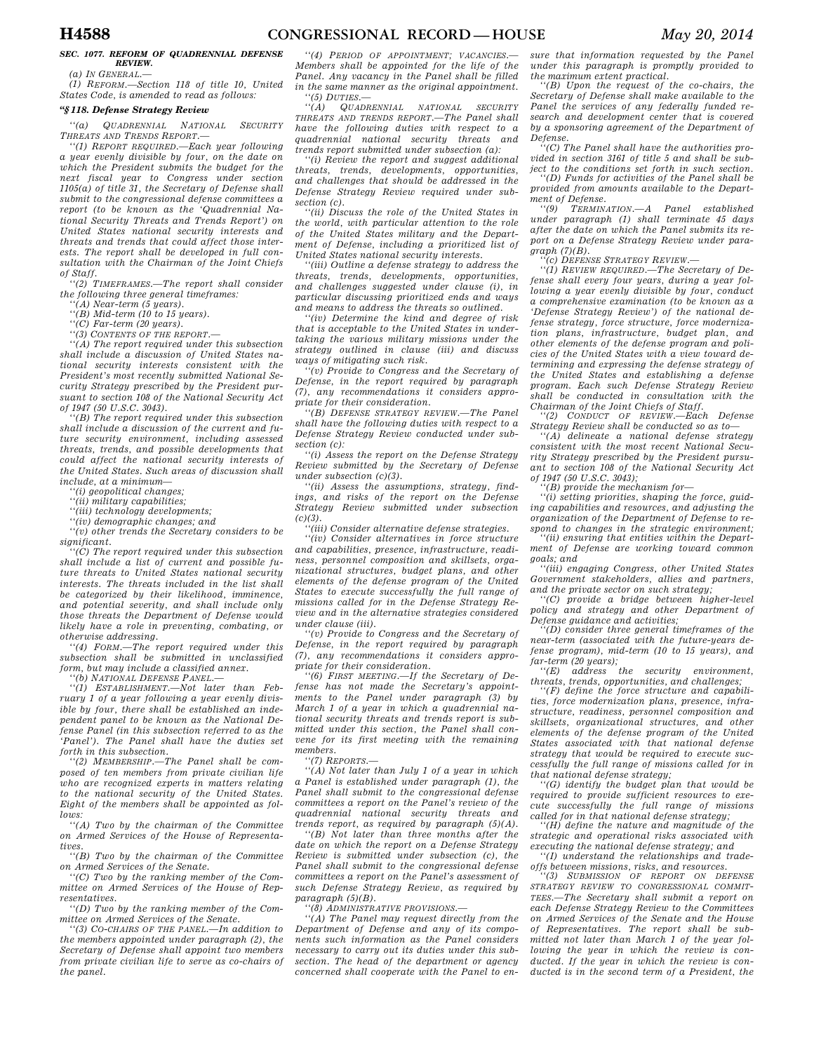### *SEC. 1077. REFORM OF QUADRENNIAL DEFENSE REVIEW.*

*(a) IN GENERAL.—* 

*(1) REFORM.—Section 118 of title 10, United States Code, is amended to read as follows:* 

# *''§ 118. Defense Strategy Review*

*''(a) QUADRENNIAL NATIONAL SECURITY THREATS AND TRENDS REPORT.—* 

*''(1) REPORT REQUIRED.—Each year following a year evenly divisible by four, on the date on which the President submits the budget for the next fiscal year to Congress under section 1105(a) of title 31, the Secretary of Defense shall submit to the congressional defense committees a report (to be known as the 'Quadrennial National Security Threats and Trends Report') on United States national security interests and threats and trends that could affect those interests. The report shall be developed in full consultation with the Chairman of the Joint Chiefs of Staff.* 

*''(2) TIMEFRAMES.—The report shall consider the following three general timeframes:* 

*''(A) Near-term (5 years).* 

*''(B) Mid-term (10 to 15 years).* 

*''(C) Far-term (20 years). ''(3) CONTENTS OF THE REPORT.—* 

*''(A) The report required under this subsection shall include a discussion of United States national security interests consistent with the President's most recently submitted National Security Strategy prescribed by the President pur-*

*suant to section 108 of the National Security Act of 1947 (50 U.S.C. 3043). ''(B) The report required under this subsection shall include a discussion of the current and fu-*

*ture security environment, including assessed threats, trends, and possible developments that could affect the national security interests of the United States. Such areas of discussion shall include, at a minimum—* 

*''(i) geopolitical changes;* 

*''(ii) military capabilities;* 

*''(iii) technology developments;* 

*''(iv) demographic changes; and* 

*''(v) other trends the Secretary considers to be significant.* 

*''(C) The report required under this subsection shall include a list of current and possible future threats to United States national security interests. The threats included in the list shall be categorized by their likelihood, imminence, and potential severity, and shall include only those threats the Department of Defense would likely have a role in preventing, combating, or otherwise addressing.* 

*''(4) FORM.—The report required under this subsection shall be submitted in unclassified form, but may include a classified annex.* 

*''(b) NATIONAL DEFENSE PANEL.—* 

*''(1) ESTABLISHMENT.—Not later than February 1 of a year following a year evenly divisible by four, there shall be established an independent panel to be known as the National Defense Panel (in this subsection referred to as the 'Panel'). The Panel shall have the duties set forth in this subsection.* 

*''(2) MEMBERSHIP.—The Panel shall be composed of ten members from private civilian life who are recognized experts in matters relating to the national security of the United States. Eight of the members shall be appointed as follows:* 

*''(A) Two by the chairman of the Committee on Armed Services of the House of Representatives.* 

*''(B) Two by the chairman of the Committee on Armed Services of the Senate.* 

*''(C) Two by the ranking member of the Committee on Armed Services of the House of Representatives.* 

*''(D) Two by the ranking member of the Committee on Armed Services of the Senate.* 

*''(3) CO-CHAIRS OF THE PANEL.—In addition to the members appointed under paragraph (2), the Secretary of Defense shall appoint two members from private civilian life to serve as co-chairs of the panel.* 

*''(4) PERIOD OF APPOINTMENT; VACANCIES.— Members shall be appointed for the life of the Panel. Any vacancy in the Panel shall be filled in the same manner as the original appointment. ''(5) DUTIES.—* 

*''(A) QUADRENNIAL NATIONAL SECURITY THREATS AND TRENDS REPORT.—The Panel shall have the following duties with respect to a quadrennial national security threats and trends report submitted under subsection (a):* 

*''(i) Review the report and suggest additional threats, trends, developments, opportunities, and challenges that should be addressed in the Defense Strategy Review required under subsection (c).* 

*''(ii) Discuss the role of the United States in the world, with particular attention to the role of the United States military and the Department of Defense, including a prioritized list of United States national security interests.* 

*''(iii) Outline a defense strategy to address the threats, trends, developments, opportunities, and challenges suggested under clause (i), in particular discussing prioritized ends and ways and means to address the threats so outlined.* 

*''(iv) Determine the kind and degree of risk that is acceptable to the United States in undertaking the various military missions under the strategy outlined in clause (iii) and discuss ways of mitigating such risk.* 

*''(v) Provide to Congress and the Secretary of Defense, in the report required by paragraph (7), any recommendations it considers appropriate for their consideration.* 

*''(B) DEFENSE STRATEGY REVIEW.—The Panel shall have the following duties with respect to a Defense Strategy Review conducted under subsection (c):* 

*''(i) Assess the report on the Defense Strategy Review submitted by the Secretary of Defense under subsection (c)(3).* 

*''(ii) Assess the assumptions, strategy, findings, and risks of the report on the Defense Strategy Review submitted under subsection*   $(c)(3)$ .

*''(iii) Consider alternative defense strategies.* 

*''(iv) Consider alternatives in force structure and capabilities, presence, infrastructure, readiness, personnel composition and skillsets, organizational structures, budget plans, and other elements of the defense program of the United States to execute successfully the full range of missions called for in the Defense Strategy Review and in the alternative strategies considered under clause (iii).* 

*''(v) Provide to Congress and the Secretary of Defense, in the report required by paragraph (7), any recommendations it considers appropriate for their consideration.* 

*''(6) FIRST MEETING.—If the Secretary of Defense has not made the Secretary's appointments to the Panel under paragraph (3) by March 1 of a year in which a quadrennial national security threats and trends report is submitted under this section, the Panel shall convene for its first meeting with the remaining members.* 

*''(7) REPORTS.—* 

*''(A) Not later than July 1 of a year in which a Panel is established under paragraph (1), the Panel shall submit to the congressional defense committees a report on the Panel's review of the quadrennial national security threats and trends report, as required by paragraph (5)(A).* 

*''(B) Not later than three months after the date on which the report on a Defense Strategy Review is submitted under subsection (c), the Panel shall submit to the congressional defense committees a report on the Panel's assessment of such Defense Strategy Review, as required by paragraph (5)(B).* 

*''(8) ADMINISTRATIVE PROVISIONS.—* 

*''(A) The Panel may request directly from the Department of Defense and any of its components such information as the Panel considers necessary to carry out its duties under this subsection. The head of the department or agency concerned shall cooperate with the Panel to en-* *sure that information requested by the Panel under this paragraph is promptly provided to the maximum extent practical. ''(B) Upon the request of the co-chairs, the* 

*Secretary of Defense shall make available to the Panel the services of any federally funded research and development center that is covered by a sponsoring agreement of the Department of Defense.* 

*''(C) The Panel shall have the authorities provided in section 3161 of title 5 and shall be subject to the conditions set forth in such section.* 

*''(D) Funds for activities of the Panel shall be provided from amounts available to the Department of Defense.* 

*''(9) TERMINATION.—A Panel established under paragraph (1) shall terminate 45 days after the date on which the Panel submits its report on a Defense Strategy Review under paragraph (7)(B).* 

*''(c) DEFENSE STRATEGY REVIEW.—* 

*''(1) REVIEW REQUIRED.—The Secretary of Defense shall every four years, during a year following a year evenly divisible by four, conduct a comprehensive examination (to be known as a 'Defense Strategy Review') of the national defense strategy, force structure, force modernization plans, infrastructure, budget plan, and other elements of the defense program and policies of the United States with a view toward determining and expressing the defense strategy of the United States and establishing a defense program. Each such Defense Strategy Review shall be conducted in consultation with the Chairman of the Joint Chiefs of Staff.* 

*''(2) CONDUCT OF REVIEW.—Each Defense Strategy Review shall be conducted so as to—* 

*''(A) delineate a national defense strategy consistent with the most recent National Security Strategy prescribed by the President pursuant to section 108 of the National Security Act of 1947 (50 U.S.C. 3043);* 

*''(B) provide the mechanism for—* 

*''(i) setting priorities, shaping the force, guiding capabilities and resources, and adjusting the organization of the Department of Defense to respond to changes in the strategic environment;* 

*''(ii) ensuring that entities within the Department of Defense are working toward common goals; and* 

*''(iii) engaging Congress, other United States Government stakeholders, allies and partners, and the private sector on such strategy;* 

*''(C) provide a bridge between higher-level policy and strategy and other Department of Defense guidance and activities;* 

*''(D) consider three general timeframes of the near-term (associated with the future-years defense program), mid-term (10 to 15 years), and far-term (20 years);* 

 $securitu$  *environment. threats, trends, opportunities, and challenges;* 

*''(F) define the force structure and capabilities, force modernization plans, presence, infrastructure, readiness, personnel composition and skillsets, organizational structures, and other elements of the defense program of the United States associated with that national defense strategy that would be required to execute successfully the full range of missions called for in that national defense strategy;* 

*''(G) identify the budget plan that would be required to provide sufficient resources to execute successfully the full range of missions called for in that national defense strategy;* 

*''(H) define the nature and magnitude of the strategic and operational risks associated with executing the national defense strategy; and* 

*''(I) understand the relationships and tradeoffs between missions, risks, and resources.* 

*''(3) SUBMISSION OF REPORT ON DEFENSE STRATEGY REVIEW TO CONGRESSIONAL COMMIT-TEES.—The Secretary shall submit a report on each Defense Strategy Review to the Committees on Armed Services of the Senate and the House of Representatives. The report shall be submitted not later than March 1 of the year following the year in which the review is conducted. If the year in which the review is conducted is in the second term of a President, the*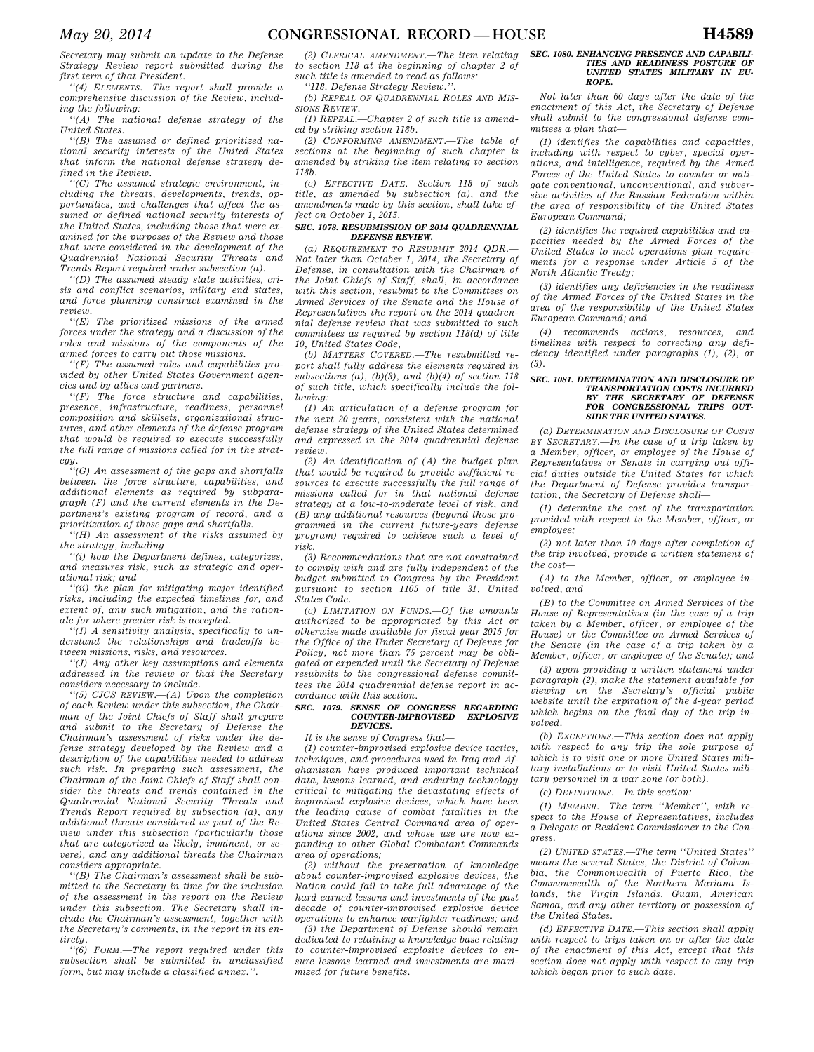*Secretary may submit an update to the Defense Strategy Review report submitted during the first term of that President.* 

*''(4) ELEMENTS.—The report shall provide a comprehensive discussion of the Review, including the following:* 

*''(A) The national defense strategy of the United States.* 

*''(B) The assumed or defined prioritized national security interests of the United States that inform the national defense strategy defined in the Review.* 

*''(C) The assumed strategic environment, including the threats, developments, trends, opportunities, and challenges that affect the assumed or defined national security interests of the United States, including those that were examined for the purposes of the Review and those that were considered in the development of the Quadrennial National Security Threats and Trends Report required under subsection (a).* 

*''(D) The assumed steady state activities, crisis and conflict scenarios, military end states, and force planning construct examined in the review.* 

*''(E) The prioritized missions of the armed forces under the strategy and a discussion of the roles and missions of the components of the armed forces to carry out those missions.* 

*''(F) The assumed roles and capabilities provided by other United States Government agencies and by allies and partners.* 

*''(F) The force structure and capabilities, presence, infrastructure, readiness, personnel composition and skillsets, organizational structures, and other elements of the defense program that would be required to execute successfully the full range of missions called for in the strategy.* 

*''(G) An assessment of the gaps and shortfalls between the force structure, capabilities, and additional elements as required by subparagraph (F) and the current elements in the Department's existing program of record, and a prioritization of those gaps and shortfalls.* 

*''(H) An assessment of the risks assumed by the strategy, including—* 

*''(i) how the Department defines, categorizes, and measures risk, such as strategic and operational risk; and* 

*''(ii) the plan for mitigating major identified risks, including the expected timelines for, and extent of, any such mitigation, and the rationale for where greater risk is accepted.* 

*''(I) A sensitivity analysis, specifically to understand the relationships and tradeoffs between missions, risks, and resources.* 

*''(J) Any other key assumptions and elements addressed in the review or that the Secretary considers necessary to include.* 

*''(5) CJCS REVIEW.—(A) Upon the completion of each Review under this subsection, the Chairman of the Joint Chiefs of Staff shall prepare and submit to the Secretary of Defense the Chairman's assessment of risks under the defense strategy developed by the Review and a description of the capabilities needed to address such risk. In preparing such assessment, the Chairman of the Joint Chiefs of Staff shall consider the threats and trends contained in the Quadrennial National Security Threats and Trends Report required by subsection (a), any additional threats considered as part of the Review under this subsection (particularly those that are categorized as likely, imminent, or severe), and any additional threats the Chairman considers appropriate.* 

*''(B) The Chairman's assessment shall be submitted to the Secretary in time for the inclusion of the assessment in the report on the Review under this subsection. The Secretary shall include the Chairman's assessment, together with the Secretary's comments, in the report in its entirety.* 

*''(6) FORM.—The report required under this subsection shall be submitted in unclassified form, but may include a classified annex.''.* 

*(2) CLERICAL AMENDMENT.—The item relating to section 118 at the beginning of chapter 2 of such title is amended to read as follows:* 

*''118. Defense Strategy Review.''.* 

*(b) REPEAL OF QUADRENNIAL ROLES AND MIS-SIONS REVIEW.—* 

*(1) REPEAL.—Chapter 2 of such title is amended by striking section 118b.* 

*(2) CONFORMING AMENDMENT.—The table of sections at the beginning of such chapter is amended by striking the item relating to section 118b.* 

*(c) EFFECTIVE DATE.—Section 118 of such title, as amended by subsection (a), and the amendments made by this section, shall take effect on October 1, 2015.* 

### *SEC. 1078. RESUBMISSION OF 2014 QUADRENNIAL DEFENSE REVIEW.*

*(a) REQUIREMENT TO RESUBMIT 2014 QDR.— Not later than October 1, 2014, the Secretary of Defense, in consultation with the Chairman of the Joint Chiefs of Staff, shall, in accordance with this section, resubmit to the Committees on Armed Services of the Senate and the House of Representatives the report on the 2014 quadrennial defense review that was submitted to such committees as required by section 118(d) of title 10, United States Code,* 

*(b) MATTERS COVERED.—The resubmitted report shall fully address the elements required in subsections (a), (b)(3), and (b)(4) of section 118 of such title, which specifically include the following:* 

*(1) An articulation of a defense program for the next 20 years, consistent with the national defense strategy of the United States determined and expressed in the 2014 quadrennial defense review.* 

*(2) An identification of (A) the budget plan that would be required to provide sufficient resources to execute successfully the full range of missions called for in that national defense strategy at a low-to-moderate level of risk, and (B) any additional resources (beyond those programmed in the current future-years defense program) required to achieve such a level of risk.* 

*(3) Recommendations that are not constrained to comply with and are fully independent of the budget submitted to Congress by the President pursuant to section 1105 of title 31, United States Code.* 

*(c) LIMITATION ON FUNDS.—Of the amounts authorized to be appropriated by this Act or otherwise made available for fiscal year 2015 for the Office of the Under Secretary of Defense for Policy, not more than 75 percent may be obligated or expended until the Secretary of Defense resubmits to the congressional defense committees the 2014 quadrennial defense report in accordance with this section.* 

### *SEC. 1079. SENSE OF CONGRESS REGARDING COUNTER-IMPROVISED EXPLOSIVE DEVICES.*

# *It is the sense of Congress that—*

*(1) counter-improvised explosive device tactics, techniques, and procedures used in Iraq and Afghanistan have produced important technical data, lessons learned, and enduring technology critical to mitigating the devastating effects of improvised explosive devices, which have been the leading cause of combat fatalities in the United States Central Command area of operations since 2002, and whose use are now expanding to other Global Combatant Commands area of operations;* 

*(2) without the preservation of knowledge about counter-improvised explosive devices, the Nation could fail to take full advantage of the hard earned lessons and investments of the past decade of counter-improvised explosive device operations to enhance warfighter readiness; and* 

*(3) the Department of Defense should remain dedicated to retaining a knowledge base relating to counter-improvised explosive devices to ensure lessons learned and investments are maximized for future benefits.* 

#### *SEC. 1080. ENHANCING PRESENCE AND CAPABILI-TIES AND READINESS POSTURE OF UNITED STATES MILITARY IN EU-ROPE.*

*Not later than 60 days after the date of the enactment of this Act, the Secretary of Defense shall submit to the congressional defense committees a plan that—* 

*(1) identifies the capabilities and capacities, including with respect to cyber, special operations, and intelligence, required by the Armed Forces of the United States to counter or mitigate conventional, unconventional, and subversive activities of the Russian Federation within the area of responsibility of the United States European Command;* 

*(2) identifies the required capabilities and capacities needed by the Armed Forces of the United States to meet operations plan requirements for a response under Article 5 of the North Atlantic Treaty;* 

*(3) identifies any deficiencies in the readiness of the Armed Forces of the United States in the area of the responsibility of the United States European Command; and* 

*(4) recommends actions, resources, and timelines with respect to correcting any deficiency identified under paragraphs (1), (2), or (3).* 

#### *SEC. 1081. DETERMINATION AND DISCLOSURE OF TRANSPORTATION COSTS INCURRED BY THE SECRETARY OF DEFENSE FOR CONGRESSIONAL TRIPS OUT-SIDE THE UNITED STATES.*

*(a) DETERMINATION AND DISCLOSURE OF COSTS BY SECRETARY.—In the case of a trip taken by a Member, officer, or employee of the House of Representatives or Senate in carrying out official duties outside the United States for which the Department of Defense provides transportation, the Secretary of Defense shall—* 

*(1) determine the cost of the transportation provided with respect to the Member, officer, or employee;* 

*(2) not later than 10 days after completion of the trip involved, provide a written statement of the cost—* 

*(A) to the Member, officer, or employee involved, and* 

*(B) to the Committee on Armed Services of the House of Representatives (in the case of a trip taken by a Member, officer, or employee of the House) or the Committee on Armed Services of the Senate (in the case of a trip taken by a Member, officer, or employee of the Senate); and* 

*(3) upon providing a written statement under paragraph (2), make the statement available for viewing on the Secretary's official public website until the expiration of the 4-year period which begins on the final day of the trip involved.* 

*(b) EXCEPTIONS.—This section does not apply with respect to any trip the sole purpose of which is to visit one or more United States military installations or to visit United States military personnel in a war zone (or both).* 

*(c) DEFINITIONS.—In this section:* 

*(1) MEMBER.—The term ''Member'', with respect to the House of Representatives, includes a Delegate or Resident Commissioner to the Congress.* 

*(2) UNITED STATES.—The term ''United States'' means the several States, the District of Columbia, the Commonwealth of Puerto Rico, the Commonwealth of the Northern Mariana Islands, the Virgin Islands, Guam, American Samoa, and any other territory or possession of the United States.* 

*(d) EFFECTIVE DATE.—This section shall apply with respect to trips taken on or after the date of the enactment of this Act, except that this section does not apply with respect to any trip which began prior to such date.*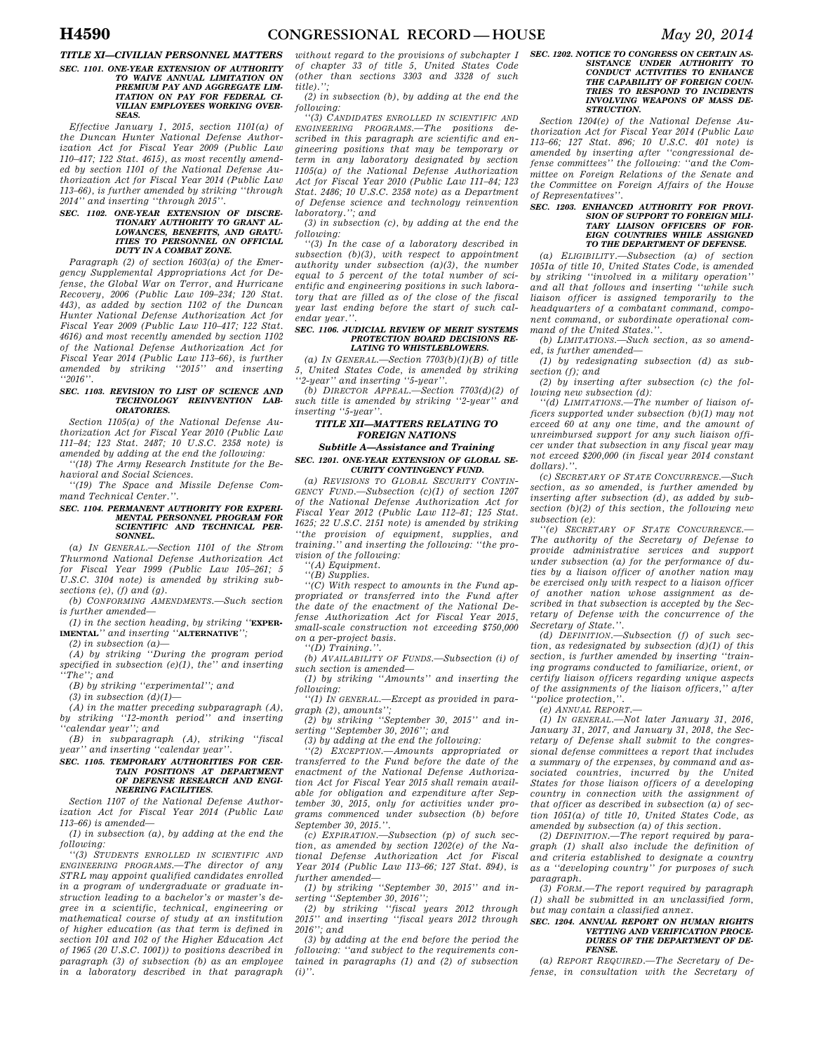# *TITLE XI—CIVILIAN PERSONNEL MATTERS SEC. 1101. ONE-YEAR EXTENSION OF AUTHORITY TO WAIVE ANNUAL LIMITATION ON*

*PREMIUM PAY AND AGGREGATE LIM-ITATION ON PAY FOR FEDERAL CI-VILIAN EMPLOYEES WORKING OVER-SEAS.* 

*Effective January 1, 2015, section 1101(a) of the Duncan Hunter National Defense Authorization Act for Fiscal Year 2009 (Public Law 110–417; 122 Stat. 4615), as most recently amended by section 1101 of the National Defense Authorization Act for Fiscal Year 2014 (Public Law 113–66), is further amended by striking ''through 2014'' and inserting ''through 2015''.* 

### *SEC. 1102. ONE-YEAR EXTENSION OF DISCRE-TIONARY AUTHORITY TO GRANT AL-LOWANCES, BENEFITS, AND GRATU-ITIES TO PERSONNEL ON OFFICIAL DUTY IN A COMBAT ZONE.*

*Paragraph (2) of section 1603(a) of the Emergency Supplemental Appropriations Act for Defense, the Global War on Terror, and Hurricane Recovery, 2006 (Public Law 109–234; 120 Stat. 443), as added by section 1102 of the Duncan Hunter National Defense Authorization Act for Fiscal Year 2009 (Public Law 110–417; 122 Stat. 4616) and most recently amended by section 1102 of the National Defense Authorization Act for Fiscal Year 2014 (Public Law 113–66), is further amended by striking ''2015'' and inserting ''2016''.* 

#### *SEC. 1103. REVISION TO LIST OF SCIENCE AND TECHNOLOGY REINVENTION LAB-ORATORIES.*

*Section 1105(a) of the National Defense Authorization Act for Fiscal Year 2010 (Public Law 111–84; 123 Stat. 2487; 10 U.S.C. 2358 note) is amended by adding at the end the following:* 

*''(18) The Army Research Institute for the Behavioral and Social Sciences.* 

*''(19) The Space and Missile Defense Command Technical Center.''.* 

#### *SEC. 1104. PERMANENT AUTHORITY FOR EXPERI-MENTAL PERSONNEL PROGRAM FOR SCIENTIFIC AND TECHNICAL PER-SONNEL.*

*(a) IN GENERAL.—Section 1101 of the Strom Thurmond National Defense Authorization Act for Fiscal Year 1999 (Public Law 105–261; 5 U.S.C. 3104 note) is amended by striking subsections (e), (f) and (g).* 

*(b) CONFORMING AMENDMENTS.—Such section is further amended—* 

*(1) in the section heading, by striking ''***EXPER-IMENTAL***'' and inserting ''***ALTERNATIVE***'';* 

*(2) in subsection (a)—* 

*(A) by striking ''During the program period specified in subsection (e)(1), the'' and inserting ''The''; and* 

*(B) by striking ''experimental''; and* 

*(3) in subsection (d)(1)—* 

*(A) in the matter preceding subparagraph (A), by striking ''12-month period'' and inserting ''calendar year''; and* 

*(B) in subparagraph (A), striking ''fiscal year'' and inserting ''calendar year''.* 

### *SEC. 1105. TEMPORARY AUTHORITIES FOR CER-TAIN POSITIONS AT DEPARTMENT OF DEFENSE RESEARCH AND ENGI-NEERING FACILITIES.*

*Section 1107 of the National Defense Authorization Act for Fiscal Year 2014 (Public Law 113–66) is amended—* 

*(1) in subsection (a), by adding at the end the following:* 

*''(3) STUDENTS ENROLLED IN SCIENTIFIC AND ENGINEERING PROGRAMS.—The director of any STRL may appoint qualified candidates enrolled in a program of undergraduate or graduate instruction leading to a bachelor's or master's degree in a scientific, technical, engineering or mathematical course of study at an institution of higher education (as that term is defined in section 101 and 102 of the Higher Education Act of 1965 (20 U.S.C. 1001)) to positions described in paragraph (3) of subsection (b) as an employee in a laboratory described in that paragraph* 

*without regard to the provisions of subchapter I of chapter 33 of title 5, United States Code (other than sections 3303 and 3328 of such title).'';* 

*(2) in subsection (b), by adding at the end the following:* 

*''(3) CANDIDATES ENROLLED IN SCIENTIFIC AND ENGINEERING PROGRAMS.—The positions described in this paragraph are scientific and engineering positions that may be temporary or term in any laboratory designated by section 1105(a) of the National Defense Authorization Act for Fiscal Year 2010 (Public Law 111–84; 123 Stat. 2486; 10 U.S.C. 2358 note) as a Department of Defense science and technology reinvention laboratory.''; and* 

*(3) in subsection (c), by adding at the end the following:* 

*''(3) In the case of a laboratory described in subsection (b)(3), with respect to appointment authority under subsection (a)(3), the number equal to 5 percent of the total number of scientific and engineering positions in such laboratory that are filled as of the close of the fiscal year last ending before the start of such calendar year.''.* 

#### *SEC. 1106. JUDICIAL REVIEW OF MERIT SYSTEMS PROTECTION BOARD DECISIONS RE-LATING TO WHISTLEBLOWERS.*

*(a) IN GENERAL.—Section 7703(b)(1)(B) of title 5, United States Code, is amended by striking ''2-year'' and inserting ''5-year''.* 

*(b) DIRECTOR APPEAL.—Section 7703(d)(2) of such title is amended by striking ''2-year'' and inserting ''5-year''.* 

# *TITLE XII—MATTERS RELATING TO FOREIGN NATIONS*

### *Subtitle A—Assistance and Training SEC. 1201. ONE-YEAR EXTENSION OF GLOBAL SE-CURITY CONTINGENCY FUND.*

*(a) REVISIONS TO GLOBAL SECURITY CONTIN-GENCY FUND.—Subsection (c)(1) of section 1207 of the National Defense Authorization Act for Fiscal Year 2012 (Public Law 112–81; 125 Stat. 1625; 22 U.S.C. 2151 note) is amended by striking ''the provision of equipment, supplies, and training.'' and inserting the following: ''the provision of the following:* 

*''(A) Equipment.* 

*''(B) Supplies.* 

*''(C) With respect to amounts in the Fund appropriated or transferred into the Fund after the date of the enactment of the National Defense Authorization Act for Fiscal Year 2015, small-scale construction not exceeding \$750,000 on a per-project basis.* 

*''(D) Training.''.* 

*(b) AVAILABILITY OF FUNDS.—Subsection (i) of such section is amended—* 

*(1) by striking ''Amounts'' and inserting the following:* 

*''(1) IN GENERAL.—Except as provided in paragraph (2), amounts'';* 

*(2) by striking ''September 30, 2015'' and inserting ''September 30, 2016''; and* 

*(3) by adding at the end the following:* 

*''(2) EXCEPTION.—Amounts appropriated or transferred to the Fund before the date of the enactment of the National Defense Authorization Act for Fiscal Year 2015 shall remain available for obligation and expenditure after September 30, 2015, only for activities under programs commenced under subsection (b) before September 30, 2015.''.* 

*(c) EXPIRATION.—Subsection (p) of such section, as amended by section 1202(e) of the National Defense Authorization Act for Fiscal Year 2014 (Public Law 113–66; 127 Stat. 894), is further amended—* 

*(1) by striking ''September 30, 2015'' and inserting ''September 30, 2016'';* 

*(2) by striking ''fiscal years 2012 through 2015'' and inserting ''fiscal years 2012 through 2016''; and* 

*(3) by adding at the end before the period the following: ''and subject to the requirements contained in paragraphs (1) and (2) of subsection (i)''.* 

# *SEC. 1202. NOTICE TO CONGRESS ON CERTAIN AS-SISTANCE UNDER AUTHORITY TO CONDUCT ACTIVITIES TO ENHANCE THE CAPABILITY OF FOREIGN COUN-TRIES TO RESPOND TO INCIDENTS INVOLVING WEAPONS OF MASS DE-STRUCTION.*

*Section 1204(e) of the National Defense Authorization Act for Fiscal Year 2014 (Public Law 113–66; 127 Stat. 896; 10 U.S.C. 401 note) is amended by inserting after ''congressional defense committees'' the following: ''and the Committee on Foreign Relations of the Senate and the Committee on Foreign Affairs of the House of Representatives''.* 

# *SEC. 1203. ENHANCED AUTHORITY FOR PROVI-SION OF SUPPORT TO FOREIGN MILI-TARY LIAISON OFFICERS OF FOR-EIGN COUNTRIES WHILE ASSIGNED TO THE DEPARTMENT OF DEFENSE.*

*(a) ELIGIBILITY.—Subsection (a) of section 1051a of title 10, United States Code, is amended by striking ''involved in a military operation'' and all that follows and inserting ''while such liaison officer is assigned temporarily to the headquarters of a combatant command, component command, or subordinate operational command of the United States.''.* 

*(b) LIMITATIONS.—Such section, as so amended, is further amended—* 

*(1) by redesignating subsection (d) as subsection (f); and* 

*(2) by inserting after subsection (c) the following new subsection (d):* 

*''(d) LIMITATIONS.—The number of liaison officers supported under subsection (b)(1) may not exceed 60 at any one time, and the amount of unreimbursed support for any such liaison officer under that subsection in any fiscal year may not exceed \$200,000 (in fiscal year 2014 constant dollars).''.* 

*(c) SECRETARY OF STATE CONCURRENCE.—Such section, as so amended, is further amended by inserting after subsection (d), as added by subsection (b)(2) of this section, the following new subsection (e):* 

*''(e) SECRETARY OF STATE CONCURRENCE.— The authority of the Secretary of Defense to provide administrative services and support under subsection (a) for the performance of duties by a liaison officer of another nation may be exercised only with respect to a liaison officer of another nation whose assignment as described in that subsection is accepted by the Secretary of Defense with the concurrence of the Secretary of State.''.* 

*(d) DEFINITION.—Subsection (f) of such section, as redesignated by subsection (d)(1) of this section, is further amended by inserting ''training programs conducted to familiarize, orient, or certify liaison officers regarding unique aspects of the assignments of the liaison officers,'' after ''police protection,''.* 

*(e) ANNUAL REPORT.—* 

*(1) IN GENERAL.—Not later January 31, 2016, January 31, 2017, and January 31, 2018, the Secretary of Defense shall submit to the congressional defense committees a report that includes a summary of the expenses, by command and associated countries, incurred by the United States for those liaison officers of a developing country in connection with the assignment of that officer as described in subsection (a) of section 1051(a) of title 10, United States Code, as amended by subsection (a) of this section.* 

*(2) DEFINITION.—The report required by paragraph (1) shall also include the definition of and criteria established to designate a country as a ''developing country'' for purposes of such paragraph.* 

*(3) FORM.—The report required by paragraph (1) shall be submitted in an unclassified form, but may contain a classified annex.* 

### *SEC. 1204. ANNUAL REPORT ON HUMAN RIGHTS VETTING AND VERIFICATION PROCE-DURES OF THE DEPARTMENT OF DE-FENSE.*

*(a) REPORT REQUIRED.—The Secretary of Defense, in consultation with the Secretary of*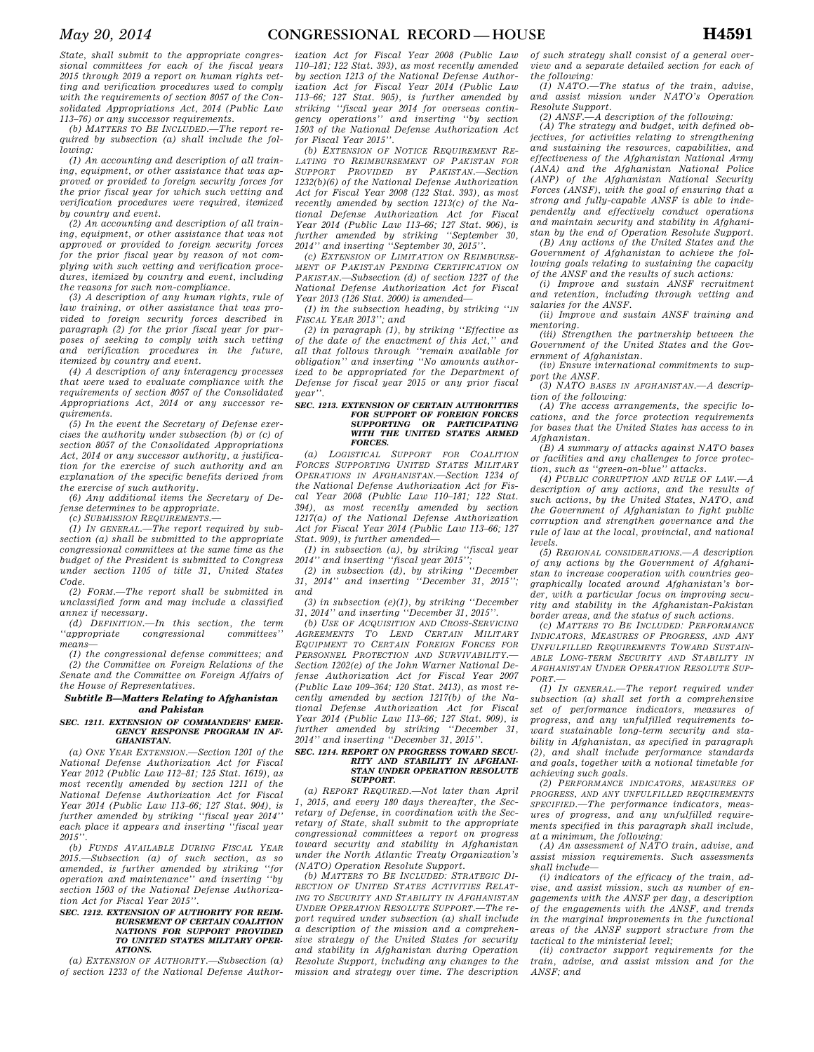*State, shall submit to the appropriate congressional committees for each of the fiscal years 2015 through 2019 a report on human rights vetting and verification procedures used to comply with the requirements of section 8057 of the Consolidated Appropriations Act, 2014 (Public Law 113–76) or any successor requirements.* 

*(b) MATTERS TO BE INCLUDED.—The report required by subsection (a) shall include the following:* 

*(1) An accounting and description of all training, equipment, or other assistance that was approved or provided to foreign security forces for the prior fiscal year for which such vetting and verification procedures were required, itemized by country and event.* 

*(2) An accounting and description of all training, equipment, or other assistance that was not approved or provided to foreign security forces for the prior fiscal year by reason of not complying with such vetting and verification procedures, itemized by country and event, including the reasons for such non-compliance.* 

*(3) A description of any human rights, rule of law training, or other assistance that was provided to foreign security forces described in paragraph (2) for the prior fiscal year for purposes of seeking to comply with such vetting and verification procedures in the future, itemized by country and event.* 

*(4) A description of any interagency processes that were used to evaluate compliance with the requirements of section 8057 of the Consolidated Appropriations Act, 2014 or any successor requirements.* 

*(5) In the event the Secretary of Defense exercises the authority under subsection (b) or (c) of section 8057 of the Consolidated Appropriations Act, 2014 or any successor authority, a justification for the exercise of such authority and an explanation of the specific benefits derived from the exercise of such authority.* 

*(6) Any additional items the Secretary of Defense determines to be appropriate.* 

*(c) SUBMISSION REQUIREMENTS.—* 

*(1) IN GENERAL.—The report required by subsection (a) shall be submitted to the appropriate congressional committees at the same time as the budget of the President is submitted to Congress under section 1105 of title 31, United States Code.* 

*(2) FORM.—The report shall be submitted in unclassified form and may include a classified annex if necessary.* 

*(d) DEFINITION.—In this section, the term*   $congressional$ *means—* 

*(1) the congressional defense committees; and (2) the Committee on Foreign Relations of the Senate and the Committee on Foreign Affairs of the House of Representatives.* 

### *Subtitle B—Matters Relating to Afghanistan and Pakistan*

### *SEC. 1211. EXTENSION OF COMMANDERS' EMER-GENCY RESPONSE PROGRAM IN AF-GHANISTAN.*

*(a) ONE YEAR EXTENSION.—Section 1201 of the National Defense Authorization Act for Fiscal Year 2012 (Public Law 112–81; 125 Stat. 1619), as most recently amended by section 1211 of the National Defense Authorization Act for Fiscal Year 2014 (Public Law 113–66; 127 Stat. 904), is further amended by striking ''fiscal year 2014'' each place it appears and inserting ''fiscal year 2015''.* 

*(b) FUNDS AVAILABLE DURING FISCAL YEAR 2015.—Subsection (a) of such section, as so amended, is further amended by striking ''for operation and maintenance'' and inserting ''by section 1503 of the National Defense Authorization Act for Fiscal Year 2015''.* 

### *SEC. 1212. EXTENSION OF AUTHORITY FOR REIM-BURSEMENT OF CERTAIN COALITION NATIONS FOR SUPPORT PROVIDED TO UNITED STATES MILITARY OPER-ATIONS.*

*(a) EXTENSION OF AUTHORITY.—Subsection (a) of section 1233 of the National Defense Author-*

*ization Act for Fiscal Year 2008 (Public Law 110–181; 122 Stat. 393), as most recently amended by section 1213 of the National Defense Authorization Act for Fiscal Year 2014 (Public Law 113–66; 127 Stat. 905), is further amended by striking ''fiscal year 2014 for overseas contingency operations'' and inserting ''by section 1503 of the National Defense Authorization Act for Fiscal Year 2015''.* 

*(b) EXTENSION OF NOTICE REQUIREMENT RE-LATING TO REIMBURSEMENT OF PAKISTAN FOR SUPPORT PROVIDED BY PAKISTAN.—Section 1232(b)(6) of the National Defense Authorization Act for Fiscal Year 2008 (122 Stat. 393), as most recently amended by section 1213(c) of the National Defense Authorization Act for Fiscal Year 2014 (Public Law 113–66; 127 Stat. 906), is further amended by striking ''September 30, 2014'' and inserting ''September 30, 2015''.* 

*(c) EXTENSION OF LIMITATION ON REIMBURSE-MENT OF PAKISTAN PENDING CERTIFICATION ON PAKISTAN.—Subsection (d) of section 1227 of the National Defense Authorization Act for Fiscal Year 2013 (126 Stat. 2000) is amended—* 

*(1) in the subsection heading, by striking ''IN FISCAL YEAR 2013''; and* 

*(2) in paragraph (1), by striking ''Effective as of the date of the enactment of this Act,'' and all that follows through ''remain available for obligation'' and inserting ''No amounts authorized to be appropriated for the Department of Defense for fiscal year 2015 or any prior fiscal year''.* 

#### *SEC. 1213. EXTENSION OF CERTAIN AUTHORITIES FOR SUPPORT OF FOREIGN FORCES SUPPORTING OR PARTICIPATING WITH THE UNITED STATES ARMED FORCES.*

*(a) LOGISTICAL SUPPORT FOR COALITION FORCES SUPPORTING UNITED STATES MILITARY OPERATIONS IN AFGHANISTAN.—Section 1234 of the National Defense Authorization Act for Fiscal Year 2008 (Public Law 110–181; 122 Stat. 394), as most recently amended by section 1217(a) of the National Defense Authorization Act for Fiscal Year 2014 (Public Law 113–66; 127 Stat. 909), is further amended—* 

*(1) in subsection (a), by striking ''fiscal year 2014'' and inserting ''fiscal year 2015'';* 

*(2) in subsection (d), by striking ''December 31, 2014'' and inserting ''December 31, 2015''; and* 

*(3) in subsection (e)(1), by striking ''December 31, 2014'' and inserting ''December 31, 2015''.* 

*(b) USE OF ACQUISITION AND CROSS-SERVICING AGREEMENTS TO LEND CERTAIN MILITARY EQUIPMENT TO CERTAIN FOREIGN FORCES FOR PERSONNEL PROTECTION AND SURVIVABILITY.— Section 1202(e) of the John Warner National Defense Authorization Act for Fiscal Year 2007 (Public Law 109–364; 120 Stat. 2413), as most recently amended by section 1217(b) of the National Defense Authorization Act for Fiscal Year 2014 (Public Law 113–66; 127 Stat. 909), is further amended by striking ''December 31, 2014'' and inserting ''December 31, 2015''.* 

### *SEC. 1214. REPORT ON PROGRESS TOWARD SECU-RITY AND STABILITY IN AFGHANI-STAN UNDER OPERATION RESOLUTE SUPPORT.*

*(a) REPORT REQUIRED.—Not later than April 1, 2015, and every 180 days thereafter, the Secretary of Defense, in coordination with the Secretary of State, shall submit to the appropriate congressional committees a report on progress toward security and stability in Afghanistan under the North Atlantic Treaty Organization's (NATO) Operation Resolute Support.* 

*(b) MATTERS TO BE INCLUDED: STRATEGIC DI-RECTION OF UNITED STATES ACTIVITIES RELAT-ING TO SECURITY AND STABILITY IN AFGHANISTAN UNDER OPERATION RESOLUTE SUPPORT.—The report required under subsection (a) shall include a description of the mission and a comprehensive strategy of the United States for security and stability in Afghanistan during Operation Resolute Support, including any changes to the mission and strategy over time. The description*  *of such strategy shall consist of a general overview and a separate detailed section for each of the following:* 

*(1) NATO.—The status of the train, advise, and assist mission under NATO's Operation Resolute Support.* 

*(2) ANSF.—A description of the following:* 

*(A) The strategy and budget, with defined objectives, for activities relating to strengthening and sustaining the resources, capabilities, and effectiveness of the Afghanistan National Army (ANA) and the Afghanistan National Police (ANP) of the Afghanistan National Security Forces (ANSF), with the goal of ensuring that a strong and fully-capable ANSF is able to independently and effectively conduct operations and maintain security and stability in Afghanistan by the end of Operation Resolute Support. (B) Any actions of the United States and the* 

*Government of Afghanistan to achieve the following goals relating to sustaining the capacity of the ANSF and the results of such actions:* 

*(i) Improve and sustain ANSF recruitment and retention, including through vetting and salaries for the ANSF.* 

*(ii) Improve and sustain ANSF training and mentoring.* 

*(iii) Strengthen the partnership between the Government of the United States and the Government of Afghanistan.* 

*(iv) Ensure international commitments to support the ANSF.* 

*(3) NATO BASES IN AFGHANISTAN.—A description of the following:* 

*(A) The access arrangements, the specific locations, and the force protection requirements for bases that the United States has access to in Afghanistan.* 

*(B) A summary of attacks against NATO bases or facilities and any challenges to force protection, such as ''green-on-blue'' attacks.* 

*(4) PUBLIC CORRUPTION AND RULE OF LAW.—A description of any actions, and the results of such actions, by the United States, NATO, and the Government of Afghanistan to fight public corruption and strengthen governance and the rule of law at the local, provincial, and national levels.* 

*(5) REGIONAL CONSIDERATIONS.—A description of any actions by the Government of Afghanistan to increase cooperation with countries geographically located around Afghanistan's border, with a particular focus on improving security and stability in the Afghanistan-Pakistan border areas, and the status of such actions.* 

*(c) MATTERS TO BE INCLUDED: PERFORMANCE INDICATORS, MEASURES OF PROGRESS, AND ANY UNFULFILLED REQUIREMENTS TOWARD SUSTAIN-ABLE LONG-TERM SECURITY AND STABILITY IN AFGHANISTAN UNDER OPERATION RESOLUTE SUP-* $PORT.$ 

*(1) IN GENERAL.—The report required under subsection (a) shall set forth a comprehensive set of performance indicators, measures of progress, and any unfulfilled requirements toward sustainable long-term security and stability in Afghanistan, as specified in paragraph (2), and shall include performance standards and goals, together with a notional timetable for* 

*achieving such goals. (2) PERFORMANCE INDICATORS, MEASURES OF PROGRESS, AND ANY UNFULFILLED REQUIREMENTS SPECIFIED.—The performance indicators, measures of progress, and any unfulfilled requirements specified in this paragraph shall include, at a minimum, the following:* 

*(A) An assessment of NATO train, advise, and assist mission requirements. Such assessments shall include—* 

*(i) indicators of the efficacy of the train, advise, and assist mission, such as number of engagements with the ANSF per day, a description of the engagements with the ANSF, and trends in the marginal improvements in the functional areas of the ANSF support structure from the tactical to the ministerial level;* 

*(ii) contractor support requirements for the train, advise, and assist mission and for the ANSF; and*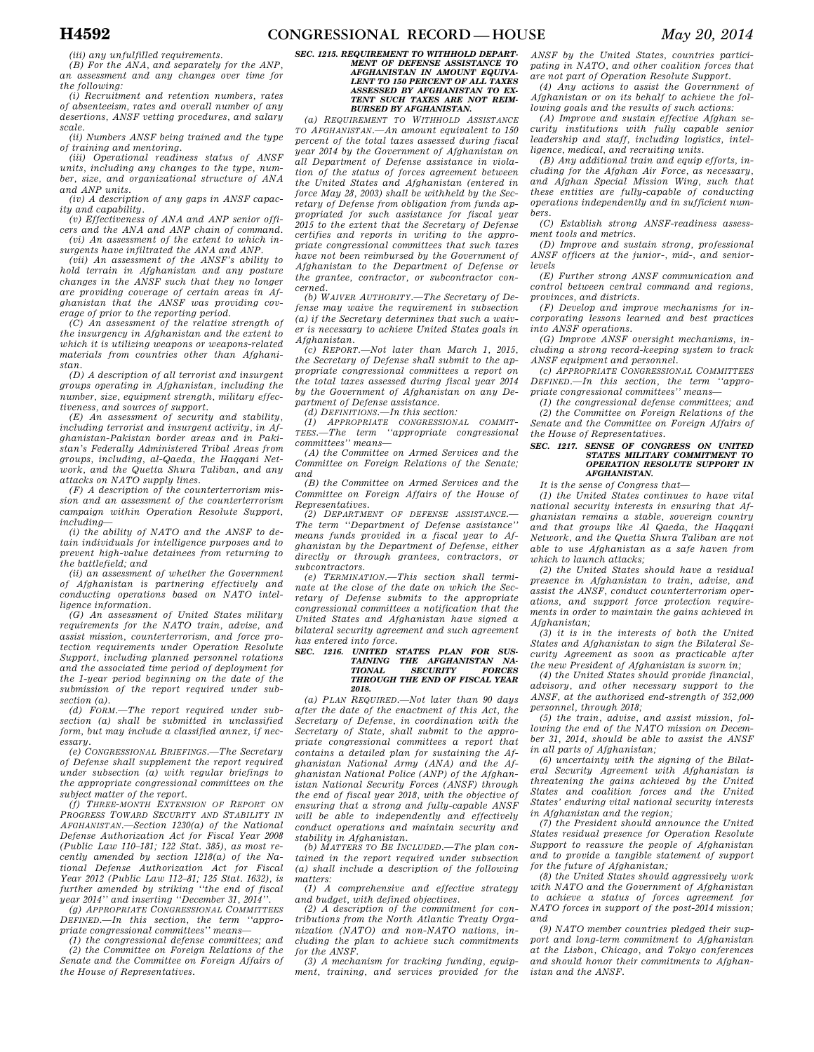*(iii) any unfulfilled requirements.* 

*(B) For the ANA, and separately for the ANP, an assessment and any changes over time for the following:* 

*(i) Recruitment and retention numbers, rates of absenteeism, rates and overall number of any desertions, ANSF vetting procedures, and salary scale.* 

*(ii) Numbers ANSF being trained and the type of training and mentoring.* 

*(iii) Operational readiness status of ANSF units, including any changes to the type, number, size, and organizational structure of ANA and ANP units.* 

*(iv) A description of any gaps in ANSF capacity and capability.* 

*(v) Effectiveness of ANA and ANP senior officers and the ANA and ANP chain of command. (vi) An assessment of the extent to which in-*

*surgents have infiltrated the ANA and ANP. (vii) An assessment of the ANSF's ability to hold terrain in Afghanistan and any posture* 

*changes in the ANSF such that they no longer are providing coverage of certain areas in Afghanistan that the ANSF was providing coverage of prior to the reporting period.* 

*(C) An assessment of the relative strength of the insurgency in Afghanistan and the extent to which it is utilizing weapons or weapons-related materials from countries other than Afghanistan.* 

*(D) A description of all terrorist and insurgent groups operating in Afghanistan, including the number, size, equipment strength, military effectiveness, and sources of support.* 

*(E) An assessment of security and stability, including terrorist and insurgent activity, in Afghanistan-Pakistan border areas and in Pakistan's Federally Administered Tribal Areas from groups, including, al-Qaeda, the Haqqani Network, and the Quetta Shura Taliban, and any attacks on NATO supply lines.* 

*(F) A description of the counterterrorism mission and an assessment of the counterterrorism campaign within Operation Resolute Support, including—* 

*(i) the ability of NATO and the ANSF to detain individuals for intelligence purposes and to prevent high-value detainees from returning to the battlefield; and* 

*(ii) an assessment of whether the Government of Afghanistan is partnering effectively and conducting operations based on NATO intelligence information.* 

*(G) An assessment of United States military requirements for the NATO train, advise, and assist mission, counterterrorism, and force protection requirements under Operation Resolute Support, including planned personnel rotations and the associated time period of deployment for the 1-year period beginning on the date of the submission of the report required under subsection (a).* 

*(d) FORM.—The report required under subsection (a) shall be submitted in unclassified form, but may include a classified annex, if necessary.* 

*(e) CONGRESSIONAL BRIEFINGS.—The Secretary of Defense shall supplement the report required under subsection (a) with regular briefings to the appropriate congressional committees on the* 

*subject matter of the report. (f) THREE-MONTH EXTENSION OF REPORT ON PROGRESS TOWARD SECURITY AND STABILITY IN AFGHANISTAN.—Section 1230(a) of the National Defense Authorization Act for Fiscal Year 2008 (Public Law 110–181; 122 Stat. 385), as most recently amended by section 1218(a) of the National Defense Authorization Act for Fiscal Year 2012 (Public Law 112–81; 125 Stat. 1632), is further amended by striking ''the end of fiscal year 2014'' and inserting ''December 31, 2014''.* 

*(g) APPROPRIATE CONGRESSIONAL COMMITTEES DEFINED.—In this section, the term ''appropriate congressional committees'' means—* 

*(1) the congressional defense committees; and (2) the Committee on Foreign Relations of the Senate and the Committee on Foreign Affairs of the House of Representatives.* 

# *SEC. 1215. REQUIREMENT TO WITHHOLD DEPART-MENT OF DEFENSE ASSISTANCE TO AFGHANISTAN IN AMOUNT EQUIVA-LENT TO 150 PERCENT OF ALL TAXES ASSESSED BY AFGHANISTAN TO EX-TENT SUCH TAXES ARE NOT REIM-BURSED BY AFGHANISTAN.*

*(a) REQUIREMENT TO WITHHOLD ASSISTANCE TO AFGHANISTAN.—An amount equivalent to 150 percent of the total taxes assessed during fiscal year 2014 by the Government of Afghanistan on all Department of Defense assistance in violation of the status of forces agreement between the United States and Afghanistan (entered in force May 28, 2003) shall be withheld by the Secretary of Defense from obligation from funds appropriated for such assistance for fiscal year 2015 to the extent that the Secretary of Defense certifies and reports in writing to the appropriate congressional committees that such taxes have not been reimbursed by the Government of Afghanistan to the Department of Defense or the grantee, contractor, or subcontractor concerned.* 

*(b) WAIVER AUTHORITY.—The Secretary of Defense may waive the requirement in subsection (a) if the Secretary determines that such a waiver is necessary to achieve United States goals in Afghanistan.* 

*(c) REPORT.—Not later than March 1, 2015, the Secretary of Defense shall submit to the appropriate congressional committees a report on the total taxes assessed during fiscal year 2014 by the Government of Afghanistan on any Department of Defense assistance.* 

*(d) DEFINITIONS.—In this section:* 

*(1) APPROPRIATE CONGRESSIONAL COMMIT-TEES.—The term ''appropriate congressional committees'' means—* 

*(A) the Committee on Armed Services and the Committee on Foreign Relations of the Senate; and* 

*(B) the Committee on Armed Services and the Committee on Foreign Affairs of the House of Representatives.* 

*(2) DEPARTMENT OF DEFENSE ASSISTANCE.— The term ''Department of Defense assistance'' means funds provided in a fiscal year to Afghanistan by the Department of Defense, either directly or through grantees, contractors, or subcontractors.* 

*(e) TERMINATION.—This section shall terminate at the close of the date on which the Secretary of Defense submits to the appropriate congressional committees a notification that the United States and Afghanistan have signed a bilateral security agreement and such agreement has entered into force.* 

# *SEC. 1216. UNITED STATES PLAN FOR SUS-TAINING THE AFGHANISTAN NA-TIONAL SECURITY FORCES THROUGH THE END OF FISCAL YEAR 2018.*

*(a) PLAN REQUIRED.—Not later than 90 days after the date of the enactment of this Act, the Secretary of Defense, in coordination with the Secretary of State, shall submit to the appropriate congressional committees a report that contains a detailed plan for sustaining the Afghanistan National Army (ANA) and the Afghanistan National Police (ANP) of the Afghanistan National Security Forces (ANSF) through the end of fiscal year 2018, with the objective of ensuring that a strong and fully-capable ANSF will be able to independently and effectively conduct operations and maintain security and stability in Afghanistan.* 

*(b) MATTERS TO BE INCLUDED.—The plan contained in the report required under subsection (a) shall include a description of the following matters:* 

*(1) A comprehensive and effective strategy and budget, with defined objectives.* 

*(2) A description of the commitment for contributions from the North Atlantic Treaty Organization (NATO) and non-NATO nations, including the plan to achieve such commitments for the ANSF.* 

*(3) A mechanism for tracking funding, equipment, training, and services provided for the* 

*ANSF by the United States, countries participating in NATO, and other coalition forces that are not part of Operation Resolute Support.* 

*(4) Any actions to assist the Government of Afghanistan or on its behalf to achieve the following goals and the results of such actions:* 

*(A) Improve and sustain effective Afghan security institutions with fully capable senior leadership and staff, including logistics, intelligence, medical, and recruiting units.* 

*(B) Any additional train and equip efforts, including for the Afghan Air Force, as necessary, and Afghan Special Mission Wing, such that these entities are fully-capable of conducting operations independently and in sufficient numbers.* 

*(C) Establish strong ANSF-readiness assessment tools and metrics.* 

*(D) Improve and sustain strong, professional ANSF officers at the junior-, mid-, and seniorlevels* 

*(E) Further strong ANSF communication and control between central command and regions, provinces, and districts.* 

*(F) Develop and improve mechanisms for incorporating lessons learned and best practices into ANSF operations.* 

*(G) Improve ANSF oversight mechanisms, including a strong record-keeping system to track ANSF equipment and personnel.* 

*(c) APPROPRIATE CONGRESSIONAL COMMITTEES DEFINED.—In this section, the term ''appropriate congressional committees'' means—* 

*(1) the congressional defense committees; and (2) the Committee on Foreign Relations of the Senate and the Committee on Foreign Affairs of the House of Representatives.* 

# *SEC. 1217. SENSE OF CONGRESS ON UNITED STATES MILITARY COMMITMENT TO OPERATION RESOLUTE SUPPORT IN AFGHANISTAN.*

*It is the sense of Congress that—* 

*(1) the United States continues to have vital national security interests in ensuring that Afghanistan remains a stable, sovereign country and that groups like Al Qaeda, the Haqqani Network, and the Quetta Shura Taliban are not able to use Afghanistan as a safe haven from which to launch attacks;* 

*(2) the United States should have a residual presence in Afghanistan to train, advise, and assist the ANSF, conduct counterterrorism operations, and support force protection requirements in order to maintain the gains achieved in Afghanistan;* 

*(3) it is in the interests of both the United States and Afghanistan to sign the Bilateral Security Agreement as soon as practicable after the new President of Afghanistan is sworn in;* 

*(4) the United States should provide financial, advisory, and other necessary support to the ANSF, at the authorized end-strength of 352,000 personnel, through 2018;* 

*(5) the train, advise, and assist mission, following the end of the NATO mission on December 31, 2014, should be able to assist the ANSF in all parts of Afghanistan;* 

*(6) uncertainty with the signing of the Bilateral Security Agreement with Afghanistan is threatening the gains achieved by the United States and coalition forces and the United States' enduring vital national security interests in Afghanistan and the region;* 

*(7) the President should announce the United States residual presence for Operation Resolute Support to reassure the people of Afghanistan and to provide a tangible statement of support for the future of Afghanistan;* 

*(8) the United States should aggressively work with NATO and the Government of Afghanistan to achieve a status of forces agreement for NATO forces in support of the post-2014 mission; and* 

*(9) NATO member countries pledged their support and long-term commitment to Afghanistan at the Lisbon, Chicago, and Tokyo conferences and should honor their commitments to Afghanistan and the ANSF.*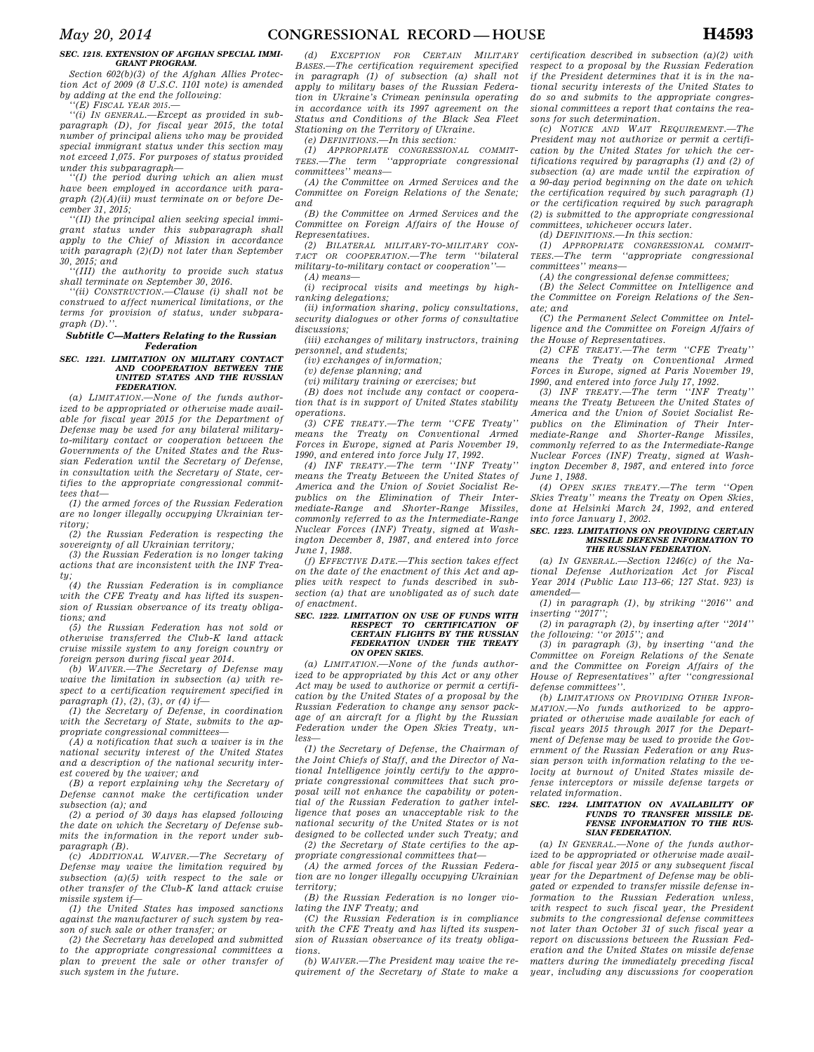### *SEC. 1218. EXTENSION OF AFGHAN SPECIAL IMMI-GRANT PROGRAM.*

*Section 602(b)(3) of the Afghan Allies Protection Act of 2009 (8 U.S.C. 1101 note) is amended by adding at the end the following:* 

*''(E) FISCAL YEAR 2015.—* 

*''(i) IN GENERAL.—Except as provided in subparagraph (D), for fiscal year 2015, the total number of principal aliens who may be provided special immigrant status under this section may not exceed 1,075. For purposes of status provided under this subparagraph—* 

*''(I) the period during which an alien must have been employed in accordance with paragraph (2)(A)(ii) must terminate on or before December 31, 2015;* 

*''(II) the principal alien seeking special immigrant status under this subparagraph shall apply to the Chief of Mission in accordance with paragraph (2)(D) not later than September 30, 2015; and* 

*''(III) the authority to provide such status shall terminate on September 30, 2016.* 

*''(ii) CONSTRUCTION.—Clause (i) shall not be construed to affect numerical limitations, or the* 

*terms for provision of status, under subparagraph (D).''.* 

### *Subtitle C—Matters Relating to the Russian Federation*

### *SEC. 1221. LIMITATION ON MILITARY CONTACT AND COOPERATION BETWEEN THE UNITED STATES AND THE RUSSIAN FEDERATION.*

*(a) LIMITATION.—None of the funds authorized to be appropriated or otherwise made available for fiscal year 2015 for the Department of Defense may be used for any bilateral militaryto-military contact or cooperation between the Governments of the United States and the Russian Federation until the Secretary of Defense, in consultation with the Secretary of State, certifies to the appropriate congressional committees that—* 

*(1) the armed forces of the Russian Federation are no longer illegally occupying Ukrainian territory;* 

*(2) the Russian Federation is respecting the sovereignty of all Ukrainian territory;* 

*(3) the Russian Federation is no longer taking actions that are inconsistent with the INF Treaty;* 

*(4) the Russian Federation is in compliance with the CFE Treaty and has lifted its suspension of Russian observance of its treaty obligations; and* 

*(5) the Russian Federation has not sold or otherwise transferred the Club-K land attack cruise missile system to any foreign country or foreign person during fiscal year 2014.* 

*(b) WAIVER.—The Secretary of Defense may waive the limitation in subsection (a) with respect to a certification requirement specified in paragraph (1), (2), (3), or (4) if—* 

*(1) the Secretary of Defense, in coordination with the Secretary of State, submits to the appropriate congressional committees—* 

*(A) a notification that such a waiver is in the national security interest of the United States and a description of the national security interest covered by the waiver; and* 

*(B) a report explaining why the Secretary of Defense cannot make the certification under subsection (a); and* 

*(2) a period of 30 days has elapsed following the date on which the Secretary of Defense submits the information in the report under subparagraph (B).* 

*(c) ADDITIONAL WAIVER.—The Secretary of Defense may waive the limitation required by subsection (a)(5) with respect to the sale or other transfer of the Club-K land attack cruise missile system if—* 

*(1) the United States has imposed sanctions against the manufacturer of such system by reason of such sale or other transfer; or* 

*(2) the Secretary has developed and submitted to the appropriate congressional committees a plan to prevent the sale or other transfer of such system in the future.* 

*(d) EXCEPTION FOR CERTAIN MILITARY BASES.—The certification requirement specified in paragraph (1) of subsection (a) shall not apply to military bases of the Russian Federation in Ukraine's Crimean peninsula operating in accordance with its 1997 agreement on the Status and Conditions of the Black Sea Fleet Stationing on the Territory of Ukraine.* 

*(e) DEFINITIONS.—In this section:* 

*(1) APPROPRIATE CONGRESSIONAL COMMIT-TEES.—The term ''appropriate congressional committees'' means—* 

*(A) the Committee on Armed Services and the Committee on Foreign Relations of the Senate; and* 

*(B) the Committee on Armed Services and the Committee on Foreign Affairs of the House of Representatives.* 

*(2) BILATERAL MILITARY-TO-MILITARY CON-TACT OR COOPERATION.—The term ''bilateral military-to-military contact or cooperation''— (A) means—* 

*(i) reciprocal visits and meetings by highranking delegations;* 

*(ii) information sharing, policy consultations, security dialogues or other forms of consultative discussions;* 

*(iii) exchanges of military instructors, training personnel, and students;* 

*(iv) exchanges of information;* 

*(v) defense planning; and* 

*(vi) military training or exercises; but* 

*(B) does not include any contact or cooperation that is in support of United States stability operations.* 

*(3) CFE TREATY.—The term ''CFE Treaty'' means the Treaty on Conventional Armed Forces in Europe, signed at Paris November 19, 1990, and entered into force July 17, 1992.* 

*(4) INF TREATY.—The term ''INF Treaty'' means the Treaty Between the United States of America and the Union of Soviet Socialist Republics on the Elimination of Their Intermediate-Range and Shorter-Range Missiles, commonly referred to as the Intermediate-Range Nuclear Forces (INF) Treaty, signed at Washington December 8, 1987, and entered into force June 1, 1988.* 

*(f) EFFECTIVE DATE.—This section takes effect on the date of the enactment of this Act and applies with respect to funds described in subsection (a) that are unobligated as of such date of enactment.* 

#### *SEC. 1222. LIMITATION ON USE OF FUNDS WITH*  **RESPECT TO CERTIFICATION** *CERTAIN FLIGHTS BY THE RUSSIAN FEDERATION UNDER THE TREATY ON OPEN SKIES.*

*(a) LIMITATION.—None of the funds authorized to be appropriated by this Act or any other Act may be used to authorize or permit a certification by the United States of a proposal by the Russian Federation to change any sensor package of an aircraft for a flight by the Russian Federation under the Open Skies Treaty, unless—* 

*(1) the Secretary of Defense, the Chairman of the Joint Chiefs of Staff, and the Director of National Intelligence jointly certify to the appropriate congressional committees that such proposal will not enhance the capability or potential of the Russian Federation to gather intelligence that poses an unacceptable risk to the national security of the United States or is not designed to be collected under such Treaty; and (2) the Secretary of State certifies to the ap-*

*propriate congressional committees that—* 

*(A) the armed forces of the Russian Federation are no longer illegally occupying Ukrainian territory;* 

*(B) the Russian Federation is no longer violating the INF Treaty; and* 

*(C) the Russian Federation is in compliance with the CFE Treaty and has lifted its suspension of Russian observance of its treaty obligations.* 

*(b) WAIVER.—The President may waive the requirement of the Secretary of State to make a*  *certification described in subsection (a)(2) with respect to a proposal by the Russian Federation if the President determines that it is in the national security interests of the United States to do so and submits to the appropriate congressional committees a report that contains the reasons for such determination.* 

*(c) NOTICE AND WAIT REQUIREMENT.—The President may not authorize or permit a certification by the United States for which the certifications required by paragraphs (1) and (2) of subsection (a) are made until the expiration of a 90-day period beginning on the date on which the certification required by such paragraph (1) or the certification required by such paragraph (2) is submitted to the appropriate congressional committees, whichever occurs later.* 

*(d) DEFINITIONS.—In this section:* 

*(1) APPROPRIATE CONGRESSIONAL COMMIT-TEES.—The term ''appropriate congressional committees'' means—* 

*(A) the congressional defense committees;* 

*(B) the Select Committee on Intelligence and the Committee on Foreign Relations of the Senate; and* 

*(C) the Permanent Select Committee on Intelligence and the Committee on Foreign Affairs of the House of Representatives.* 

*(2) CFE TREATY.—The term ''CFE Treaty'' means the Treaty on Conventional Armed Forces in Europe, signed at Paris November 19, 1990, and entered into force July 17, 1992.* 

*(3) INF TREATY.—The term ''INF Treaty'' means the Treaty Between the United States of America and the Union of Soviet Socialist Republics on the Elimination of Their Intermediate-Range and Shorter-Range Missiles, commonly referred to as the Intermediate-Range Nuclear Forces (INF) Treaty, signed at Washington December 8, 1987, and entered into force June 1, 1988.* 

*(4) OPEN SKIES TREATY.—The term ''Open Skies Treaty'' means the Treaty on Open Skies, done at Helsinki March 24, 1992, and entered into force January 1, 2002.* 

### *SEC. 1223. LIMITATIONS ON PROVIDING CERTAIN MISSILE DEFENSE INFORMATION TO THE RUSSIAN FEDERATION.*

*(a) IN GENERAL.—Section 1246(c) of the National Defense Authorization Act for Fiscal Year 2014 (Public Law 113–66; 127 Stat. 923) is amended—* 

*(1) in paragraph (1), by striking ''2016'' and inserting ''2017'';* 

*(2) in paragraph (2), by inserting after ''2014'' the following: ''or 2015''; and* 

*(3) in paragraph (3), by inserting ''and the Committee on Foreign Relations of the Senate and the Committee on Foreign Affairs of the House of Representatives'' after ''congressional defense committees''.* 

*(b) LIMITATIONS ON PROVIDING OTHER INFOR-MATION.—No funds authorized to be appropriated or otherwise made available for each of fiscal years 2015 through 2017 for the Department of Defense may be used to provide the Government of the Russian Federation or any Russian person with information relating to the velocity at burnout of United States missile defense interceptors or missile defense targets or related information.* 

### *SEC. 1224. LIMITATION ON AVAILABILITY OF FUNDS TO TRANSFER MISSILE DE-FENSE INFORMATION TO THE RUS-SIAN FEDERATION.*

*(a) IN GENERAL.—None of the funds authorized to be appropriated or otherwise made available for fiscal year 2015 or any subsequent fiscal year for the Department of Defense may be obligated or expended to transfer missile defense information to the Russian Federation unless, with respect to such fiscal year, the President submits to the congressional defense committees not later than October 31 of such fiscal year a report on discussions between the Russian Federation and the United States on missile defense matters during the immediately preceding fiscal year, including any discussions for cooperation*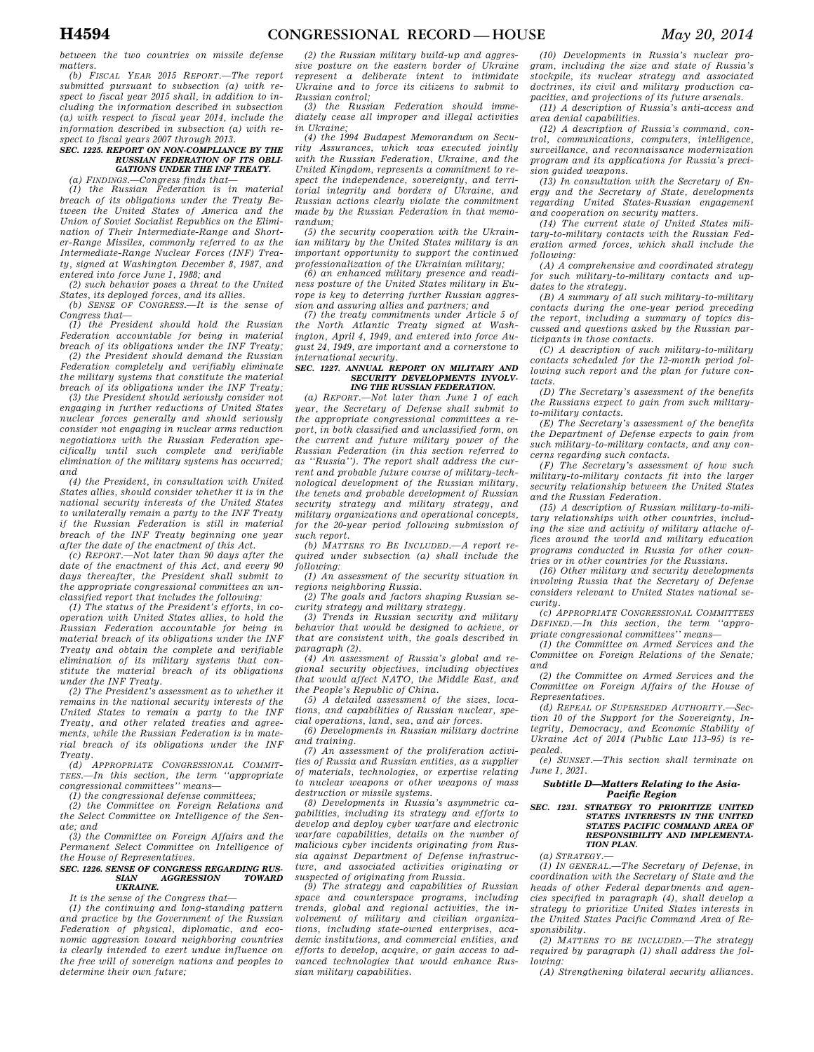*between the two countries on missile defense matters.* 

*(b) FISCAL YEAR 2015 REPORT.—The report submitted pursuant to subsection (a) with respect to fiscal year 2015 shall, in addition to including the information described in subsection (a) with respect to fiscal year 2014, include the information described in subsection (a) with respect to fiscal years 2007 through 2013.* 

### *SEC. 1225. REPORT ON NON-COMPLIANCE BY THE RUSSIAN FEDERATION OF ITS OBLI-GATIONS UNDER THE INF TREATY.*

*(a) FINDINGS.—Congress finds that—* 

*(1) the Russian Federation is in material breach of its obligations under the Treaty Between the United States of America and the Union of Soviet Socialist Republics on the Elimination of Their Intermediate-Range and Shorter-Range Missiles, commonly referred to as the Intermediate-Range Nuclear Forces (INF) Treaty, signed at Washington December 8, 1987, and entered into force June 1, 1988; and* 

*(2) such behavior poses a threat to the United States, its deployed forces, and its allies. (b) SENSE OF CONGRESS.—It is the sense of* 

*Congress that—* 

*(1) the President should hold the Russian Federation accountable for being in material breach of its obligations under the INF Treaty; (2) the President should demand the Russian* 

*Federation completely and verifiably eliminate the military systems that constitute the material breach of its obligations under the INF Treaty;* 

*(3) the President should seriously consider not engaging in further reductions of United States nuclear forces generally and should seriously consider not engaging in nuclear arms reduction negotiations with the Russian Federation specifically until such complete and verifiable elimination of the military systems has occurred; and* 

*(4) the President, in consultation with United States allies, should consider whether it is in the national security interests of the United States to unilaterally remain a party to the INF Treaty if the Russian Federation is still in material breach of the INF Treaty beginning one year* 

*after the date of the enactment of this Act. (c) REPORT.—Not later than 90 days after the date of the enactment of this Act, and every 90 days thereafter, the President shall submit to the appropriate congressional committees an unclassified report that includes the following:* 

*(1) The status of the President's efforts, in cooperation with United States allies, to hold the Russian Federation accountable for being in material breach of its obligations under the INF Treaty and obtain the complete and verifiable elimination of its military systems that constitute the material breach of its obligations under the INF Treaty.* 

*(2) The President's assessment as to whether it remains in the national security interests of the United States to remain a party to the INF Treaty, and other related treaties and agreements, while the Russian Federation is in material breach of its obligations under the INF Treaty.* 

*(d) APPROPRIATE CONGRESSIONAL COMMIT-TEES.—In this section, the term ''appropriate congressional committees'' means—* 

*(1) the congressional defense committees;* 

*(2) the Committee on Foreign Relations and the Select Committee on Intelligence of the Senate; and* 

*(3) the Committee on Foreign Affairs and the Permanent Select Committee on Intelligence of the House of Representatives.* 

#### *SEC. 1226. SENSE OF CONGRESS REGARDING RUS-SIAN AGGRESSION TOWARD UKRAINE.*

*It is the sense of the Congress that—* 

*(1) the continuing and long-standing pattern and practice by the Government of the Russian Federation of physical, diplomatic, and economic aggression toward neighboring countries is clearly intended to exert undue influence on the free will of sovereign nations and peoples to determine their own future;* 

*(2) the Russian military build-up and aggressive posture on the eastern border of Ukraine represent a deliberate intent to intimidate Ukraine and to force its citizens to submit to Russian control;* 

*(3) the Russian Federation should immediately cease all improper and illegal activities in Ukraine;* 

*(4) the 1994 Budapest Memorandum on Security Assurances, which was executed jointly with the Russian Federation, Ukraine, and the United Kingdom, represents a commitment to respect the independence, sovereignty, and territorial integrity and borders of Ukraine, and Russian actions clearly violate the commitment made by the Russian Federation in that memorandum;* 

*(5) the security cooperation with the Ukrainian military by the United States military is an important opportunity to support the continued professionalization of the Ukrainian military;* 

*(6) an enhanced military presence and readiness posture of the United States military in Europe is key to deterring further Russian aggression and assuring allies and partners; and* 

*(7) the treaty commitments under Article 5 of the North Atlantic Treaty signed at Washington, April 4, 1949, and entered into force August 24, 1949, are important and a cornerstone to international security.* 

### *SEC. 1227. ANNUAL REPORT ON MILITARY AND*  **SECURITY DEVELOPMENTS INVOLV.** *ING THE RUSSIAN FEDERATION.*

*(a) REPORT.—Not later than June 1 of each year, the Secretary of Defense shall submit to the appropriate congressional committees a report, in both classified and unclassified form, on the current and future military power of the Russian Federation (in this section referred to as ''Russia''). The report shall address the current and probable future course of military-technological development of the Russian military, the tenets and probable development of Russian security strategy and military strategy, and military organizations and operational concepts, for the 20-year period following submission of such report.* 

*(b) MATTERS TO BE INCLUDED.—A report required under subsection (a) shall include the following:* 

*(1) An assessment of the security situation in regions neighboring Russia.* 

*(2) The goals and factors shaping Russian security strategy and military strategy.* 

*(3) Trends in Russian security and military behavior that would be designed to achieve, or that are consistent with, the goals described in paragraph (2).* 

*(4) An assessment of Russia's global and regional security objectives, including objectives that would affect NATO, the Middle East, and the People's Republic of China.* 

*(5) A detailed assessment of the sizes, locations, and capabilities of Russian nuclear, special operations, land, sea, and air forces.* 

*(6) Developments in Russian military doctrine and training.* 

*(7) An assessment of the proliferation activities of Russia and Russian entities, as a supplier of materials, technologies, or expertise relating to nuclear weapons or other weapons of mass destruction or missile systems.* 

*(8) Developments in Russia's asymmetric capabilities, including its strategy and efforts to develop and deploy cyber warfare and electronic warfare capabilities, details on the number of malicious cyber incidents originating from Russia against Department of Defense infrastructure, and associated activities originating or suspected of originating from Russia.* 

*(9) The strategy and capabilities of Russian space and counterspace programs, including trends, global and regional activities, the involvement of military and civilian organizations, including state-owned enterprises, academic institutions, and commercial entities, and efforts to develop, acquire, or gain access to advanced technologies that would enhance Russian military capabilities.* 

*(10) Developments in Russia's nuclear program, including the size and state of Russia's stockpile, its nuclear strategy and associated doctrines, its civil and military production capacities, and projections of its future arsenals.* 

*(11) A description of Russia's anti-access and area denial capabilities.* 

*(12) A description of Russia's command, control, communications, computers, intelligence, surveillance, and reconnaissance modernization program and its applications for Russia's precision guided weapons.* 

*(13) In consultation with the Secretary of Energy and the Secretary of State, developments regarding United States-Russian engagement and cooperation on security matters.* 

*(14) The current state of United States military-to-military contacts with the Russian Federation armed forces, which shall include the following:* 

*(A) A comprehensive and coordinated strategy for such military-to-military contacts and updates to the strategy.* 

*(B) A summary of all such military-to-military contacts during the one-year period preceding the report, including a summary of topics discussed and questions asked by the Russian participants in those contacts.* 

*(C) A description of such military-to-military contacts scheduled for the 12-month period following such report and the plan for future contacts.* 

*(D) The Secretary's assessment of the benefits the Russians expect to gain from such militaryto-military contacts.* 

*(E) The Secretary's assessment of the benefits the Department of Defense expects to gain from such military-to-military contacts, and any concerns regarding such contacts.* 

*(F) The Secretary's assessment of how such military-to-military contacts fit into the larger security relationship between the United States and the Russian Federation.* 

*(15) A description of Russian military-to-military relationships with other countries, including the size and activity of military attache offices around the world and military education programs conducted in Russia for other countries or in other countries for the Russians.* 

*(16) Other military and security developments involving Russia that the Secretary of Defense considers relevant to United States national security.* 

*(c) APPROPRIATE CONGRESSIONAL COMMITTEES DEFINED.—In this section, the term ''appropriate congressional committees'' means—* 

*(1) the Committee on Armed Services and the Committee on Foreign Relations of the Senate; and* 

*(2) the Committee on Armed Services and the Committee on Foreign Affairs of the House of Representatives.* 

*(d) REPEAL OF SUPERSEDED AUTHORITY.—Section 10 of the Support for the Sovereignty, Integrity, Democracy, and Economic Stability of Ukraine Act of 2014 (Public Law 113–95) is repealed.* 

*(e) SUNSET.—This section shall terminate on June 1, 2021.* 

# *Subtitle D—Matters Relating to the Asia-Pacific Region*

#### *SEC. 1231. STRATEGY TO PRIORITIZE UNITED STATES INTERESTS IN THE UNITED STATES PACIFIC COMMAND AREA OF RESPONSIBILITY AND IMPLEMENTA-TION PLAN.*

*(a) STRATEGY.—* 

*(1) IN GENERAL.—The Secretary of Defense, in coordination with the Secretary of State and the heads of other Federal departments and agencies specified in paragraph (4), shall develop a strategy to prioritize United States interests in the United States Pacific Command Area of Responsibility.* 

*(2) MATTERS TO BE INCLUDED.—The strategy required by paragraph (1) shall address the following:* 

*(A) Strengthening bilateral security alliances.*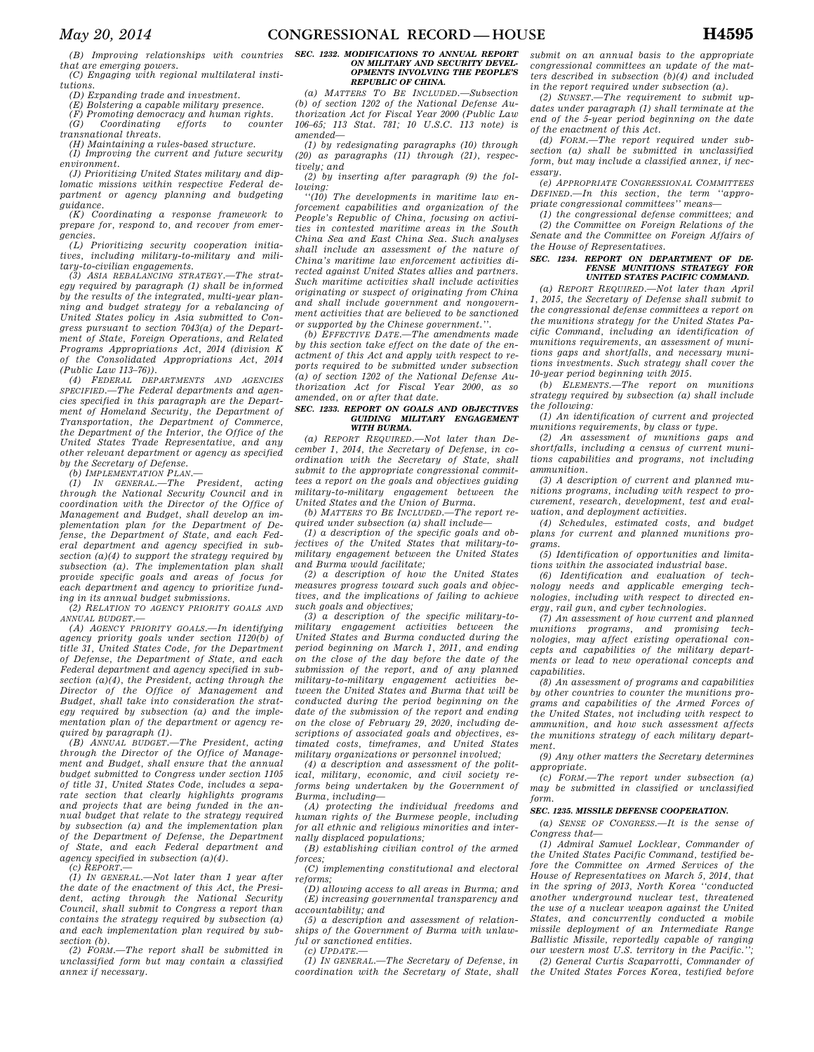*(B) Improving relationships with countries that are emerging powers.* 

*(C) Engaging with regional multilateral institutions.* 

*(D) Expanding trade and investment.* 

*(E) Bolstering a capable military presence.* 

*(F) Promoting democracy and human rights. (G) Coordinating efforts to counter transnational threats.* 

*(H) Maintaining a rules-based structure.* 

*(I) Improving the current and future security environment.* 

*(J) Prioritizing United States military and diplomatic missions within respective Federal department or agency planning and budgeting guidance.* 

*(K) Coordinating a response framework to prepare for, respond to, and recover from emergencies.* 

*(L) Prioritizing security cooperation initiatives, including military-to-military and military-to-civilian engagements.* 

*(3) ASIA REBALANCING STRATEGY.—The strategy required by paragraph (1) shall be informed by the results of the integrated, multi-year planning and budget strategy for a rebalancing of United States policy in Asia submitted to Congress pursuant to section 7043(a) of the Department of State, Foreign Operations, and Related Programs Appropriations Act, 2014 (division K of the Consolidated Appropriations Act, 2014 (Public Law 113–76)).* 

*(4) FEDERAL DEPARTMENTS AND AGENCIES SPECIFIED.—The Federal departments and agencies specified in this paragraph are the Department of Homeland Security, the Department of Transportation, the Department of Commerce, the Department of the Interior, the Office of the United States Trade Representative, and any other relevant department or agency as specified by the Secretary of Defense.* 

*(b) IMPLEMENTATION PLAN.—* 

*(1) IN GENERAL.—The President, acting through the National Security Council and in coordination with the Director of the Office of Management and Budget, shall develop an implementation plan for the Department of Defense, the Department of State, and each Federal department and agency specified in subsection (a)(4) to support the strategy required by subsection (a). The implementation plan shall provide specific goals and areas of focus for each department and agency to prioritize funding in its annual budget submissions.* 

*(2) RELATION TO AGENCY PRIORITY GOALS AND ANNUAL BUDGET.—* 

*(A) AGENCY PRIORITY GOALS.—In identifying agency priority goals under section 1120(b) of title 31, United States Code, for the Department of Defense, the Department of State, and each Federal department and agency specified in subsection (a)(4), the President, acting through the Director of the Office of Management and Budget, shall take into consideration the strategy required by subsection (a) and the implementation plan of the department or agency required by paragraph (1).* 

*(B) ANNUAL BUDGET.—The President, acting through the Director of the Office of Management and Budget, shall ensure that the annual budget submitted to Congress under section 1105 of title 31, United States Code, includes a separate section that clearly highlights programs and projects that are being funded in the annual budget that relate to the strategy required by subsection (a) and the implementation plan of the Department of Defense, the Department of State, and each Federal department and agency specified in subsection (a)(4). (c) REPORT.—* 

*(1) IN GENERAL.—Not later than 1 year after the date of the enactment of this Act, the President, acting through the National Security Council, shall submit to Congress a report than contains the strategy required by subsection (a) and each implementation plan required by subsection (b).* 

*(2) FORM.—The report shall be submitted in unclassified form but may contain a classified annex if necessary.* 

#### *SEC. 1232. MODIFICATIONS TO ANNUAL REPORT ON MILITARY AND SECURITY DEVEL-OPMENTS INVOLVING THE PEOPLE'S REPUBLIC OF CHINA.*

*(a) MATTERS TO BE INCLUDED.—Subsection (b) of section 1202 of the National Defense Authorization Act for Fiscal Year 2000 (Public Law 106–65; 113 Stat. 781; 10 U.S.C. 113 note) is amended—* 

*(1) by redesignating paragraphs (10) through (20) as paragraphs (11) through (21), respectively; and* 

*(2) by inserting after paragraph (9) the following:* 

*''(10) The developments in maritime law enforcement capabilities and organization of the People's Republic of China, focusing on activities in contested maritime areas in the South China Sea and East China Sea. Such analyses shall include an assessment of the nature of China's maritime law enforcement activities directed against United States allies and partners. Such maritime activities shall include activities originating or suspect of originating from China and shall include government and nongovernment activities that are believed to be sanctioned or supported by the Chinese government.''.* 

*(b) EFFECTIVE DATE.—The amendments made by this section take effect on the date of the enactment of this Act and apply with respect to reports required to be submitted under subsection (a) of section 1202 of the National Defense Authorization Act for Fiscal Year 2000, as so amended, on or after that date.* 

# *SEC. 1233. REPORT ON GOALS AND OBJECTIVES GUIDING MILITARY ENGAGEMENT WITH BURMA.*

*(a) REPORT REQUIRED.—Not later than December 1, 2014, the Secretary of Defense, in coordination with the Secretary of State, shall submit to the appropriate congressional committees a report on the goals and objectives guiding military-to-military engagement between the United States and the Union of Burma.* 

*(b) MATTERS TO BE INCLUDED.—The report required under subsection (a) shall include—* 

*(1) a description of the specific goals and objectives of the United States that military-tomilitary engagement between the United States and Burma would facilitate;* 

*(2) a description of how the United States measures progress toward such goals and objectives, and the implications of failing to achieve such goals and objectives;* 

*(3) a description of the specific military-tomilitary engagement activities between the United States and Burma conducted during the period beginning on March 1, 2011, and ending on the close of the day before the date of the submission of the report, and of any planned military-to-military engagement activities between the United States and Burma that will be conducted during the period beginning on the date of the submission of the report and ending on the close of February 29, 2020, including descriptions of associated goals and objectives, estimated costs, timeframes, and United States military organizations or personnel involved;* 

*(4) a description and assessment of the political, military, economic, and civil society reforms being undertaken by the Government of Burma, including—* 

*(A) protecting the individual freedoms and human rights of the Burmese people, including for all ethnic and religious minorities and internally displaced populations;* 

*(B) establishing civilian control of the armed forces;* 

*(C) implementing constitutional and electoral reforms;* 

*(D) allowing access to all areas in Burma; and (E) increasing governmental transparency and accountability; and* 

*(5) a description and assessment of relationships of the Government of Burma with unlawful or sanctioned entities.* 

*(c) UPDATE.—* 

*(1) IN GENERAL.—The Secretary of Defense, in coordination with the Secretary of State, shall*  *submit on an annual basis to the appropriate congressional committees an update of the matters described in subsection (b)(4) and included in the report required under subsection (a).* 

*(2) SUNSET.—The requirement to submit updates under paragraph (1) shall terminate at the end of the 5-year period beginning on the date of the enactment of this Act.* 

*(d) FORM.—The report required under subsection (a) shall be submitted in unclassified form, but may include a classified annex, if necessary.* 

*(e) APPROPRIATE CONGRESSIONAL COMMITTEES DEFINED.—In this section, the term ''appropriate congressional committees'' means—* 

*(1) the congressional defense committees; and (2) the Committee on Foreign Relations of the Senate and the Committee on Foreign Affairs of the House of Representatives.* 

### *SEC. 1234. REPORT ON DEPARTMENT OF DE-FENSE MUNITIONS STRATEGY FOR UNITED STATES PACIFIC COMMAND.*

*(a) REPORT REQUIRED.—Not later than April 1, 2015, the Secretary of Defense shall submit to the congressional defense committees a report on the munitions strategy for the United States Pacific Command, including an identification of munitions requirements, an assessment of munitions gaps and shortfalls, and necessary munitions investments. Such strategy shall cover the 10-year period beginning with 2015.* 

*(b) ELEMENTS.—The report on munitions strategy required by subsection (a) shall include the following:* 

*(1) An identification of current and projected munitions requirements, by class or type.* 

*(2) An assessment of munitions gaps and shortfalls, including a census of current munitions capabilities and programs, not including ammunition.* 

*(3) A description of current and planned munitions programs, including with respect to procurement, research, development, test and evaluation, and deployment activities.* 

*(4) Schedules, estimated costs, and budget plans for current and planned munitions programs.* 

*(5) Identification of opportunities and limitations within the associated industrial base.* 

*(6) Identification and evaluation of technology needs and applicable emerging technologies, including with respect to directed energy, rail gun, and cyber technologies.* 

*(7) An assessment of how current and planned munitions programs, and promising technologies, may affect existing operational concepts and capabilities of the military departments or lead to new operational concepts and capabilities.* 

*(8) An assessment of programs and capabilities by other countries to counter the munitions programs and capabilities of the Armed Forces of the United States, not including with respect to ammunition, and how such assessment affects the munitions strategy of each military department.* 

*(9) Any other matters the Secretary determines appropriate.* 

*(c) FORM.—The report under subsection (a) may be submitted in classified or unclassified form.* 

# *SEC. 1235. MISSILE DEFENSE COOPERATION.*

*(a) SENSE OF CONGRESS.—It is the sense of Congress that—* 

*(1) Admiral Samuel Locklear, Commander of the United States Pacific Command, testified before the Committee on Armed Services of the House of Representatives on March 5, 2014, that in the spring of 2013, North Korea ''conducted another underground nuclear test, threatened the use of a nuclear weapon against the United States, and concurrently conducted a mobile missile deployment of an Intermediate Range Ballistic Missile, reportedly capable of ranging*  our western most U.S. territory in the Pacific.'

*(2) General Curtis Scaparrotti, Commander of the United States Forces Korea, testified before*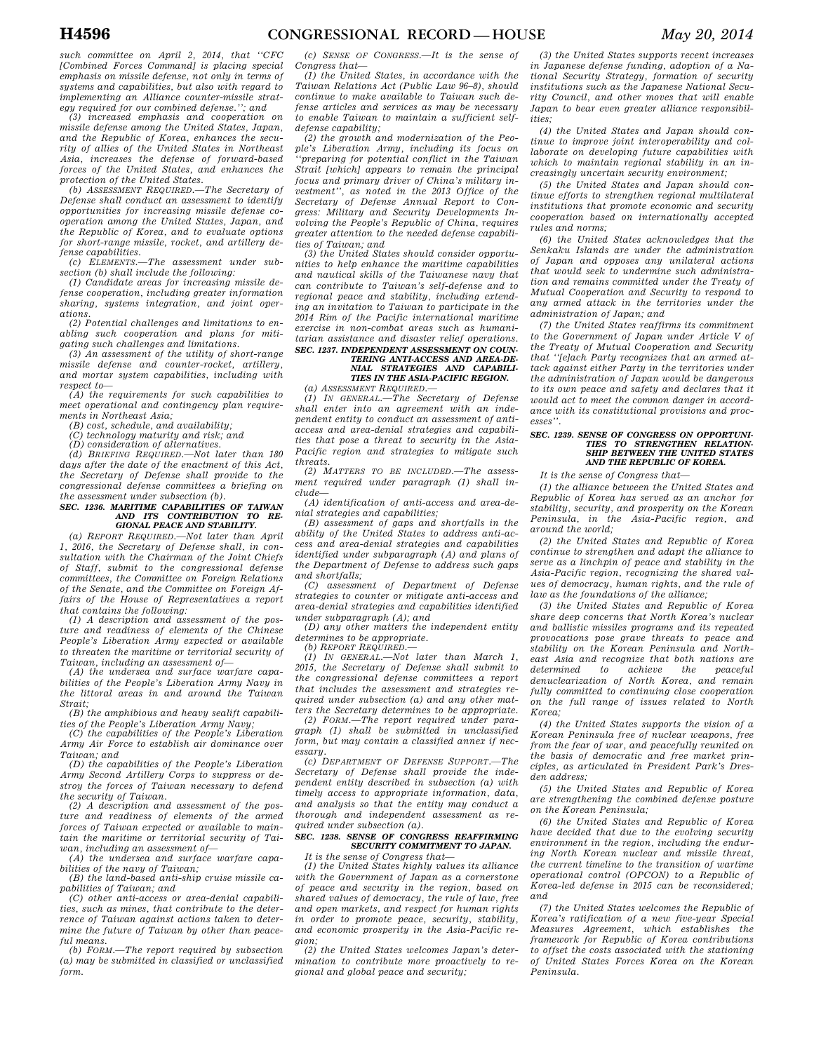*such committee on April 2, 2014, that ''CFC [Combined Forces Command] is placing special emphasis on missile defense, not only in terms of systems and capabilities, but also with regard to implementing an Alliance counter-missile strategy required for our combined defense.''; and* 

*(3) increased emphasis and cooperation on missile defense among the United States, Japan, and the Republic of Korea, enhances the security of allies of the United States in Northeast Asia, increases the defense of forward-based forces of the United States, and enhances the protection of the United States.* 

*(b) ASSESSMENT REQUIRED.—The Secretary of Defense shall conduct an assessment to identify opportunities for increasing missile defense cooperation among the United States, Japan, and the Republic of Korea, and to evaluate options for short-range missile, rocket, and artillery defense capabilities.* 

*(c) ELEMENTS.—The assessment under subsection (b) shall include the following:* 

*(1) Candidate areas for increasing missile defense cooperation, including greater information sharing, systems integration, and joint operations.* 

*(2) Potential challenges and limitations to enabling such cooperation and plans for mitigating such challenges and limitations.* 

*(3) An assessment of the utility of short-range missile defense and counter-rocket, artillery, and mortar system capabilities, including with respect to—* 

*(A) the requirements for such capabilities to meet operational and contingency plan requirements in Northeast Asia; (B) cost, schedule, and availability;* 

*(C) technology maturity and risk; and* 

*(D) consideration of alternatives. (d) BRIEFING REQUIRED.—Not later than 180 days after the date of the enactment of this Act, the Secretary of Defense shall provide to the* 

# *congressional defense committees a briefing on the assessment under subsection (b). SEC. 1236. MARITIME CAPABILITIES OF TAIWAN AND ITS CONTRIBUTION TO RE-GIONAL PEACE AND STABILITY.*

*(a) REPORT REQUIRED.—Not later than April 1, 2016, the Secretary of Defense shall, in consultation with the Chairman of the Joint Chiefs of Staff, submit to the congressional defense committees, the Committee on Foreign Relations of the Senate, and the Committee on Foreign Affairs of the House of Representatives a report that contains the following:* 

*(1) A description and assessment of the posture and readiness of elements of the Chinese People's Liberation Army expected or available to threaten the maritime or territorial security of Taiwan, including an assessment of—* 

*(A) the undersea and surface warfare capabilities of the People's Liberation Army Navy in the littoral areas in and around the Taiwan Strait;* 

*(B) the amphibious and heavy sealift capabilities of the People's Liberation Army Navy;* 

*(C) the capabilities of the People's Liberation Army Air Force to establish air dominance over Taiwan; and* 

*(D) the capabilities of the People's Liberation Army Second Artillery Corps to suppress or destroy the forces of Taiwan necessary to defend the security of Taiwan.* 

*(2) A description and assessment of the posture and readiness of elements of the armed forces of Taiwan expected or available to maintain the maritime or territorial security of Taiwan, including an assessment of—* 

*(A) the undersea and surface warfare capabilities of the navy of Taiwan;* 

*(B) the land-based anti-ship cruise missile capabilities of Taiwan; and* 

*(C) other anti-access or area-denial capabilities, such as mines, that contribute to the deterrence of Taiwan against actions taken to determine the future of Taiwan by other than peaceful means.* 

*(b) FORM.—The report required by subsection (a) may be submitted in classified or unclassified form.* 

*(c) SENSE OF CONGRESS.—It is the sense of Congress that—* 

*(1) the United States, in accordance with the Taiwan Relations Act (Public Law 96–8), should continue to make available to Taiwan such defense articles and services as may be necessary to enable Taiwan to maintain a sufficient selfdefense capability;* 

*(2) the growth and modernization of the People's Liberation Army, including its focus on ''preparing for potential conflict in the Taiwan Strait [which] appears to remain the principal focus and primary driver of China's military investment'', as noted in the 2013 Office of the Secretary of Defense Annual Report to Congress: Military and Security Developments Involving the People's Republic of China, requires greater attention to the needed defense capabilities of Taiwan; and* 

*(3) the United States should consider opportunities to help enhance the maritime capabilities and nautical skills of the Taiwanese navy that can contribute to Taiwan's self-defense and to regional peace and stability, including extending an invitation to Taiwan to participate in the 2014 Rim of the Pacific international maritime exercise in non-combat areas such as humanitarian assistance and disaster relief operations. SEC. 1237. INDEPENDENT ASSESSMENT ON COUN-TERING ANTI-ACCESS AND AREA-DE-*

### *NIAL STRATEGIES AND CAPABILI-TIES IN THE ASIA-PACIFIC REGION. (a) ASSESSMENT REQUIRED.—*

*(1) IN GENERAL.—The Secretary of Defense shall enter into an agreement with an independent entity to conduct an assessment of antiaccess and area-denial strategies and capabilities that pose a threat to security in the Asia-Pacific region and strategies to mitigate such threats.* 

*(2) MATTERS TO BE INCLUDED.—The assessment required under paragraph (1) shall include—* 

*(A) identification of anti-access and area-denial strategies and capabilities;* 

*(B) assessment of gaps and shortfalls in the ability of the United States to address anti-access and area-denial strategies and capabilities identified under subparagraph (A) and plans of the Department of Defense to address such gaps and shortfalls;* 

*(C) assessment of Department of Defense strategies to counter or mitigate anti-access and area-denial strategies and capabilities identified under subparagraph (A); and* 

*(D) any other matters the independent entity determines to be appropriate.* 

*(b) REPORT REQUIRED.—* 

*(1) IN GENERAL.—Not later than March 1, 2015, the Secretary of Defense shall submit to the congressional defense committees a report that includes the assessment and strategies required under subsection (a) and any other matters the Secretary determines to be appropriate.* 

*(2) FORM.—The report required under paragraph (1) shall be submitted in unclassified form, but may contain a classified annex if necessary.* 

*(c) DEPARTMENT OF DEFENSE SUPPORT.—The Secretary of Defense shall provide the independent entity described in subsection (a) with timely access to appropriate information, data, and analysis so that the entity may conduct a thorough and independent assessment as required under subsection (a).* 

# *SEC. 1238. SENSE OF CONGRESS REAFFIRMING SECURITY COMMITMENT TO JAPAN.*

*It is the sense of Congress that—* 

*(1) the United States highly values its alliance with the Government of Japan as a cornerstone of peace and security in the region, based on shared values of democracy, the rule of law, free and open markets, and respect for human rights in order to promote peace, security, stability, and economic prosperity in the Asia-Pacific region;* 

*(2) the United States welcomes Japan's determination to contribute more proactively to regional and global peace and security;* 

*(3) the United States supports recent increases in Japanese defense funding, adoption of a National Security Strategy, formation of security institutions such as the Japanese National Security Council, and other moves that will enable Japan to bear even greater alliance responsibilities;* 

*(4) the United States and Japan should continue to improve joint interoperability and collaborate on developing future capabilities with which to maintain regional stability in an increasingly uncertain security environment;* 

*(5) the United States and Japan should continue efforts to strengthen regional multilateral institutions that promote economic and security cooperation based on internationally accepted rules and norms;* 

*(6) the United States acknowledges that the Senkaku Islands are under the administration of Japan and opposes any unilateral actions that would seek to undermine such administration and remains committed under the Treaty of Mutual Cooperation and Security to respond to any armed attack in the territories under the administration of Japan; and* 

*(7) the United States reaffirms its commitment to the Government of Japan under Article V of the Treaty of Mutual Cooperation and Security that ''[e]ach Party recognizes that an armed attack against either Party in the territories under the administration of Japan would be dangerous to its own peace and safety and declares that it would act to meet the common danger in accordance with its constitutional provisions and processes''.* 

# *SEC. 1239. SENSE OF CONGRESS ON OPPORTUNI-TIES TO STRENGTHEN RELATION-SHIP BETWEEN THE UNITED STATES AND THE REPUBLIC OF KOREA.*

*It is the sense of Congress that—* 

*(1) the alliance between the United States and Republic of Korea has served as an anchor for stability, security, and prosperity on the Korean Peninsula, in the Asia-Pacific region, and around the world;* 

*(2) the United States and Republic of Korea continue to strengthen and adapt the alliance to serve as a linchpin of peace and stability in the Asia-Pacific region, recognizing the shared values of democracy, human rights, and the rule of law as the foundations of the alliance;* 

*(3) the United States and Republic of Korea share deep concerns that North Korea's nuclear and ballistic missiles programs and its repeated provocations pose grave threats to peace and stability on the Korean Peninsula and Northeast Asia and recognize that both nations are determined to denuclearization of North Korea, and remain fully committed to continuing close cooperation on the full range of issues related to North Korea;* 

*(4) the United States supports the vision of a Korean Peninsula free of nuclear weapons, free from the fear of war, and peacefully reunited on the basis of democratic and free market principles, as articulated in President Park's Dresden address;* 

*(5) the United States and Republic of Korea are strengthening the combined defense posture on the Korean Peninsula;* 

*(6) the United States and Republic of Korea have decided that due to the evolving security environment in the region, including the enduring North Korean nuclear and missile threat, the current timeline to the transition of wartime operational control (OPCON) to a Republic of Korea-led defense in 2015 can be reconsidered; and* 

*(7) the United States welcomes the Republic of Korea's ratification of a new five-year Special Measures Agreement, which establishes the framework for Republic of Korea contributions to offset the costs associated with the stationing of United States Forces Korea on the Korean Peninsula.*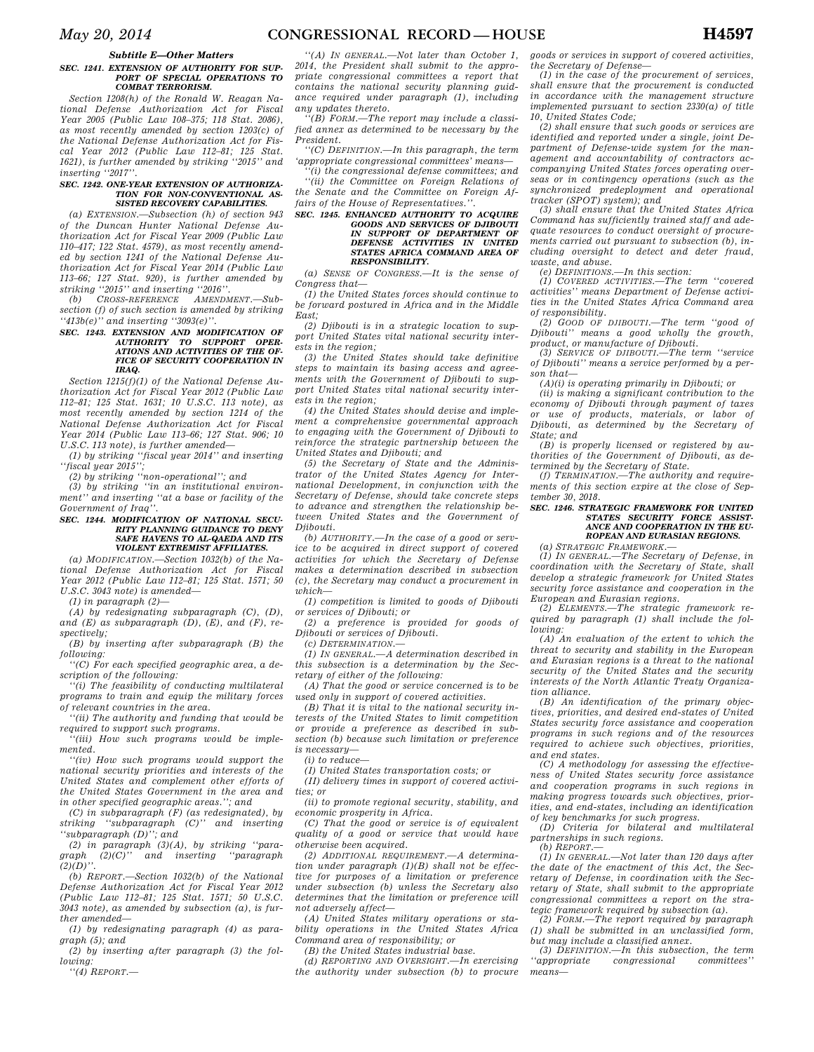## *Subtitle E—Other Matters*

#### *SEC. 1241. EXTENSION OF AUTHORITY FOR SUP-PORT OF SPECIAL OPERATIONS TO COMBAT TERRORISM.*

*Section 1208(h) of the Ronald W. Reagan National Defense Authorization Act for Fiscal Year 2005 (Public Law 108–375; 118 Stat. 2086), as most recently amended by section 1203(c) of the National Defense Authorization Act for Fiscal Year 2012 (Public Law 112–81; 125 Stat. 1621), is further amended by striking ''2015'' and inserting ''2017''.* 

#### *SEC. 1242. ONE-YEAR EXTENSION OF AUTHORIZA-TION FOR NON-CONVENTIONAL AS-SISTED RECOVERY CAPABILITIES.*

*(a) EXTENSION.—Subsection (h) of section 943 of the Duncan Hunter National Defense Authorization Act for Fiscal Year 2009 (Public Law 110–417; 122 Stat. 4579), as most recently amended by section 1241 of the National Defense Authorization Act for Fiscal Year 2014 (Public Law 113–66; 127 Stat. 920), is further amended by striking ''2015'' and inserting ''2016''.* 

*(b) CROSS-REFERENCE AMENDMENT.—Subsection (f) of such section is amended by striking ''413b(e)'' and inserting ''3093(e)''.* 

# *SEC. 1243. EXTENSION AND MODIFICATION OF AUTHORITY TO SUPPORT OPER-ATIONS AND ACTIVITIES OF THE OF-FICE OF SECURITY COOPERATION IN IRAQ.*

*Section 1215(f)(1) of the National Defense Authorization Act for Fiscal Year 2012 (Public Law 112–81; 125 Stat. 1631; 10 U.S.C. 113 note), as most recently amended by section 1214 of the National Defense Authorization Act for Fiscal Year 2014 (Public Law 113–66; 127 Stat. 906; 10 U.S.C. 113 note), is further amended—* 

*(1) by striking ''fiscal year 2014'' and inserting ''fiscal year 2015'';* 

*(2) by striking ''non-operational''; and* 

*(3) by striking ''in an institutional environment'' and inserting ''at a base or facility of the Government of Iraq''.* 

### *SEC. 1244. MODIFICATION OF NATIONAL SECU-RITY PLANNING GUIDANCE TO DENY SAFE HAVENS TO AL-QAEDA AND ITS VIOLENT EXTREMIST AFFILIATES.*

*(a) MODIFICATION.—Section 1032(b) of the National Defense Authorization Act for Fiscal Year 2012 (Public Law 112–81; 125 Stat. 1571; 50 U.S.C. 3043 note) is amended—* 

*(1) in paragraph (2)—* 

*(A) by redesignating subparagraph (C), (D), and (E) as subparagraph (D), (E), and (F), respectively;* 

*(B) by inserting after subparagraph (B) the following:* 

*''(C) For each specified geographic area, a description of the following:* 

*''(i) The feasibility of conducting multilateral programs to train and equip the military forces of relevant countries in the area.* 

*''(ii) The authority and funding that would be required to support such programs.* 

*''(iii) How such programs would be implemented.* 

*''(iv) How such programs would support the national security priorities and interests of the United States and complement other efforts of the United States Government in the area and in other specified geographic areas.''; and* 

*(C) in subparagraph (F) (as redesignated), by striking ''subparagraph (C)'' and inserting ''subparagraph (D)''; and* 

*(2) in paragraph (3)(A), by striking ''paragraph (2)(C)'' and inserting ''paragraph*   $(2)(D)$ ".

*(b) REPORT.—Section 1032(b) of the National Defense Authorization Act for Fiscal Year 2012 (Public Law 112–81; 125 Stat. 1571; 50 U.S.C. 3043 note), as amended by subsection (a), is further amended—* 

*(1) by redesignating paragraph (4) as paragraph (5); and* 

*(2) by inserting after paragraph (3) the following:* 

*''(4) REPORT.—* 

*''(A) IN GENERAL.—Not later than October 1, 2014, the President shall submit to the appropriate congressional committees a report that contains the national security planning guidance required under paragraph (1), including any updates thereto.* 

*''(B) FORM.—The report may include a classified annex as determined to be necessary by the President.* 

*''(C) DEFINITION.—In this paragraph, the term 'appropriate congressional committees' means—* 

*''(i) the congressional defense committees; and ''(ii) the Committee on Foreign Relations of the Senate and the Committee on Foreign Affairs of the House of Representatives.''.* 

# *SEC. 1245. ENHANCED AUTHORITY TO ACQUIRE GOODS AND SERVICES OF DJIBOUTI IN SUPPORT OF DEPARTMENT OF DEFENSE ACTIVITIES IN UNITED STATES AFRICA COMMAND AREA OF RESPONSIBILITY.*

*(a) SENSE OF CONGRESS.—It is the sense of Congress that—* 

*(1) the United States forces should continue to be forward postured in Africa and in the Middle East;* 

*(2) Djibouti is in a strategic location to support United States vital national security interests in the region;* 

*(3) the United States should take definitive steps to maintain its basing access and agreements with the Government of Djibouti to support United States vital national security interests in the region;* 

*(4) the United States should devise and implement a comprehensive governmental approach to engaging with the Government of Djibouti to reinforce the strategic partnership between the United States and Djibouti; and* 

*(5) the Secretary of State and the Administrator of the United States Agency for International Development, in conjunction with the Secretary of Defense, should take concrete steps to advance and strengthen the relationship between United States and the Government of Djibouti.* 

*(b) AUTHORITY.—In the case of a good or service to be acquired in direct support of covered activities for which the Secretary of Defense makes a determination described in subsection (c), the Secretary may conduct a procurement in which—* 

*(1) competition is limited to goods of Djibouti or services of Djibouti; or* 

*(2) a preference is provided for goods of Djibouti or services of Djibouti.* 

*(c) DETERMINATION.—* 

*(1) IN GENERAL.—A determination described in this subsection is a determination by the Secretary of either of the following:* 

*(A) That the good or service concerned is to be used only in support of covered activities.* 

*(B) That it is vital to the national security interests of the United States to limit competition or provide a preference as described in subsection (b) because such limitation or preference is necessary—* 

*(i) to reduce—* 

*(I) United States transportation costs; or* 

*(II) delivery times in support of covered activities; or* 

*(ii) to promote regional security, stability, and economic prosperity in Africa.* 

*(C) That the good or service is of equivalent quality of a good or service that would have otherwise been acquired.* 

*(2) ADDITIONAL REQUIREMENT.—A determination under paragraph (1)(B) shall not be effective for purposes of a limitation or preference under subsection (b) unless the Secretary also determines that the limitation or preference will not adversely affect—* 

*(A) United States military operations or stability operations in the United States Africa Command area of responsibility; or* 

*(B) the United States industrial base.* 

*(d) REPORTING AND OVERSIGHT.—In exercising the authority under subsection (b) to procure* 

*goods or services in support of covered activities, the Secretary of Defense—* 

*(1) in the case of the procurement of services, shall ensure that the procurement is conducted in accordance with the management structure implemented pursuant to section 2330(a) of title 10, United States Code;* 

*(2) shall ensure that such goods or services are identified and reported under a single, joint Department of Defense-wide system for the management and accountability of contractors accompanying United States forces operating overseas or in contingency operations (such as the synchronized predeployment and operational tracker (SPOT) system); and* 

*(3) shall ensure that the United States Africa Command has sufficiently trained staff and adequate resources to conduct oversight of procurements carried out pursuant to subsection (b), including oversight to detect and deter fraud, waste, and abuse.* 

*(e) DEFINITIONS.—In this section:* 

*(1) COVERED ACTIVITIES.—The term ''covered activities'' means Department of Defense activities in the United States Africa Command area of responsibility.* 

*(2) GOOD OF DJIBOUTI.—The term ''good of Djibouti'' means a good wholly the growth, product, or manufacture of Djibouti.* 

*(3) SERVICE OF DJIBOUTI.—The term ''service of Djibouti'' means a service performed by a person that—* 

*(A)(i) is operating primarily in Djibouti; or* 

*(ii) is making a significant contribution to the economy of Djibouti through payment of taxes or use of products, materials, or labor of Djibouti, as determined by the Secretary of State; and* 

*(B) is properly licensed or registered by authorities of the Government of Djibouti, as determined by the Secretary of State.* 

*(f) TERMINATION.—The authority and requirements of this section expire at the close of September 30, 2018.* 

### *SEC. 1246. STRATEGIC FRAMEWORK FOR UNITED STATES SECURITY FORCE ASSIST-ANCE AND COOPERATION IN THE EU-ROPEAN AND EURASIAN REGIONS.*

*(a) STRATEGIC FRAMEWORK.—* 

*(1) IN GENERAL.—The Secretary of Defense, in coordination with the Secretary of State, shall develop a strategic framework for United States security force assistance and cooperation in the European and Eurasian regions.* 

*(2) ELEMENTS.—The strategic framework required by paragraph (1) shall include the following:* 

*(A) An evaluation of the extent to which the threat to security and stability in the European and Eurasian regions is a threat to the national security of the United States and the security interests of the North Atlantic Treaty Organization alliance.* 

*(B) An identification of the primary objectives, priorities, and desired end-states of United States security force assistance and cooperation programs in such regions and of the resources required to achieve such objectives, priorities, and end states.* 

*(C) A methodology for assessing the effectiveness of United States security force assistance and cooperation programs in such regions in making progress towards such objectives, priorities, and end-states, including an identification of key benchmarks for such progress.* 

*(D) Criteria for bilateral and multilateral partnerships in such regions. (b) REPORT.—* 

*(1) IN GENERAL.—Not later than 120 days after the date of the enactment of this Act, the Secretary of Defense, in coordination with the Secretary of State, shall submit to the appropriate congressional committees a report on the strategic framework required by subsection (a).* 

*(2) FORM.—The report required by paragraph (1) shall be submitted in an unclassified form, but may include a classified annex.* 

*(3) DEFINITION.—In this subsection, the term ''appropriate congressional committees'' means—*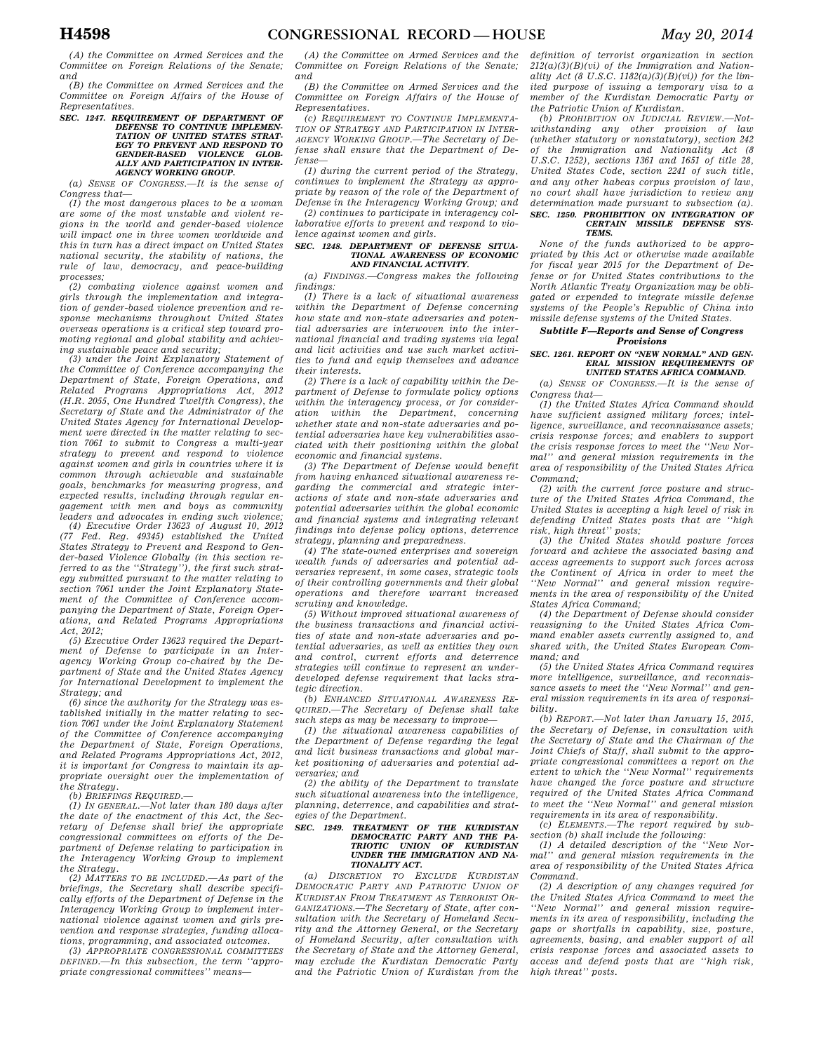*(A) the Committee on Armed Services and the Committee on Foreign Relations of the Senate; and* 

*(B) the Committee on Armed Services and the Committee on Foreign Affairs of the House of Representatives.* 

# *SEC. 1247. REQUIREMENT OF DEPARTMENT OF DEFENSE TO CONTINUE IMPLEMEN-TATION OF UNITED STATES STRAT-EGY TO PREVENT AND RESPOND TO GENDER-BASED VIOLENCE GLOB-ALLY AND PARTICIPATION IN INTER-AGENCY WORKING GROUP.*

*(a) SENSE OF CONGRESS.—It is the sense of Congress that—* 

*(1) the most dangerous places to be a woman are some of the most unstable and violent regions in the world and gender-based violence will impact one in three women worldwide and this in turn has a direct impact on United States national security, the stability of nations, the rule of law, democracy, and peace-building processes;* 

*(2) combating violence against women and girls through the implementation and integration of gender-based violence prevention and response mechanisms throughout United States overseas operations is a critical step toward promoting regional and global stability and achieving sustainable peace and security;* 

*(3) under the Joint Explanatory Statement of the Committee of Conference accompanying the Department of State, Foreign Operations, and Related Programs Appropriations Act, 2012 (H.R. 2055, One Hundred Twelfth Congress), the Secretary of State and the Administrator of the United States Agency for International Development were directed in the matter relating to section 7061 to submit to Congress a multi-year strategy to prevent and respond to violence against women and girls in countries where it is common through achievable and sustainable goals, benchmarks for measuring progress, and expected results, including through regular engagement with men and boys as community leaders and advocates in ending such violence; (4) Executive Order 13623 of August 10, 2012 (77 Fed. Reg. 49345) established the United States Strategy to Prevent and Respond to Gender-based Violence Globally (in this section referred to as the ''Strategy''), the first such strategy submitted pursuant to the matter relating to section 7061 under the Joint Explanatory Statement of the Committee of Conference accompanying the Department of State, Foreign Operations, and Related Programs Appropriations Act, 2012;* 

*(5) Executive Order 13623 required the Department of Defense to participate in an Interagency Working Group co-chaired by the Department of State and the United States Agency for International Development to implement the Strategy; and* 

*(6) since the authority for the Strategy was established initially in the matter relating to section 7061 under the Joint Explanatory Statement of the Committee of Conference accompanying the Department of State, Foreign Operations, and Related Programs Appropriations Act, 2012, it is important for Congress to maintain its appropriate oversight over the implementation of the Strategy.* 

*(b) BRIEFINGS REQUIRED.—* 

*(1) IN GENERAL.—Not later than 180 days after the date of the enactment of this Act, the Secretary of Defense shall brief the appropriate congressional committees on efforts of the Department of Defense relating to participation in the Interagency Working Group to implement the Strategy.* 

*(2) MATTERS TO BE INCLUDED.—As part of the briefings, the Secretary shall describe specifically efforts of the Department of Defense in the Interagency Working Group to implement international violence against women and girls prevention and response strategies, funding allocations, programming, and associated outcomes.* 

*(3) APPROPRIATE CONGRESSIONAL COMMITTEES DEFINED.—In this subsection, the term ''appropriate congressional committees'' means—* 

*(A) the Committee on Armed Services and the Committee on Foreign Relations of the Senate; and* 

*(B) the Committee on Armed Services and the Committee on Foreign Affairs of the House of Representatives.* 

*(c) REQUIREMENT TO CONTINUE IMPLEMENTA-TION OF STRATEGY AND PARTICIPATION IN INTER-AGENCY WORKING GROUP.—The Secretary of Defense shall ensure that the Department of Defense—* 

*(1) during the current period of the Strategy, continues to implement the Strategy as appropriate by reason of the role of the Department of Defense in the Interagency Working Group; and* 

*(2) continues to participate in interagency collaborative efforts to prevent and respond to violence against women and girls.* 

### *SEC. 1248. DEPARTMENT OF DEFENSE SITUA-TIONAL AWARENESS OF ECONOMIC AND FINANCIAL ACTIVITY.*

*(a) FINDINGS.—Congress makes the following findings:* 

*(1) There is a lack of situational awareness within the Department of Defense concerning how state and non-state adversaries and potential adversaries are interwoven into the international financial and trading systems via legal and licit activities and use such market activities to fund and equip themselves and advance their interests.* 

*(2) There is a lack of capability within the Department of Defense to formulate policy options within the interagency process, or for consideration within the Department, concerning whether state and non-state adversaries and potential adversaries have key vulnerabilities associated with their positioning within the global economic and financial systems.* 

*(3) The Department of Defense would benefit from having enhanced situational awareness regarding the commercial and strategic interactions of state and non-state adversaries and potential adversaries within the global economic and financial systems and integrating relevant findings into defense policy options, deterrence strategy, planning and preparedness.* 

*(4) The state-owned enterprises and sovereign wealth funds of adversaries and potential adversaries represent, in some cases, strategic tools of their controlling governments and their global operations and therefore warrant increased scrutiny and knowledge.* 

*(5) Without improved situational awareness of the business transactions and financial activities of state and non-state adversaries and potential adversaries, as well as entities they own and control, current efforts and deterrence strategies will continue to represent an underdeveloped defense requirement that lacks strategic direction.* 

*(b) ENHANCED SITUATIONAL AWARENESS RE-QUIRED.—The Secretary of Defense shall take such steps as may be necessary to improve—* 

*(1) the situational awareness capabilities of the Department of Defense regarding the legal and licit business transactions and global market positioning of adversaries and potential adversaries; and* 

*(2) the ability of the Department to translate such situational awareness into the intelligence, planning, deterrence, and capabilities and strategies of the Department.* 

# *SEC. 1249. TREATMENT OF THE KURDISTAN DEMOCRATIC PARTY AND THE PA-TRIOTIC UNION OF KURDISTAN UNDER THE IMMIGRATION AND NA-TIONALITY ACT.*

*(a) DISCRETION TO EXCLUDE KURDISTAN DEMOCRATIC PARTY AND PATRIOTIC UNION OF KURDISTAN FROM TREATMENT AS TERRORIST OR-GANIZATIONS.—The Secretary of State, after consultation with the Secretary of Homeland Security and the Attorney General, or the Secretary of Homeland Security, after consultation with the Secretary of State and the Attorney General, may exclude the Kurdistan Democratic Party and the Patriotic Union of Kurdistan from the*  *definition of terrorist organization in section 212(a)(3)(B)(vi) of the Immigration and Nationality Act (8 U.S.C. 1182(a)(3)(B)(vi)) for the limited purpose of issuing a temporary visa to a member of the Kurdistan Democratic Party or the Patriotic Union of Kurdistan.* 

*(b) PROHIBITION ON JUDICIAL REVIEW.—Notwithstanding any other provision of law (whether statutory or nonstatutory), section 242 of the Immigration and Nationality Act (8 U.S.C. 1252), sections 1361 and 1651 of title 28, United States Code, section 2241 of such title, and any other habeas corpus provision of law, no court shall have jurisdiction to review any determination made pursuant to subsection (a). SEC. 1250. PROHIBITION ON INTEGRATION OF CERTAIN MISSILE DEFENSE SYS-TEMS.* 

*None of the funds authorized to be appropriated by this Act or otherwise made available for fiscal year 2015 for the Department of Defense or for United States contributions to the North Atlantic Treaty Organization may be obligated or expended to integrate missile defense systems of the People's Republic of China into missile defense systems of the United States.* 

# *Subtitle F—Reports and Sense of Congress Provisions*

### *SEC. 1261. REPORT ON ''NEW NORMAL'' AND GEN-ERAL MISSION REQUIREMENTS OF UNITED STATES AFRICA COMMAND.*

*(a) SENSE OF CONGRESS.—It is the sense of Congress that—* 

*(1) the United States Africa Command should have sufficient assigned military forces; intelligence, surveillance, and reconnaissance assets; crisis response forces; and enablers to support the crisis response forces to meet the ''New Normal'' and general mission requirements in the area of responsibility of the United States Africa Command;* 

*(2) with the current force posture and structure of the United States Africa Command, the United States is accepting a high level of risk in defending United States posts that are ''high risk, high threat'' posts;* 

*(3) the United States should posture forces forward and achieve the associated basing and access agreements to support such forces across the Continent of Africa in order to meet the ''New Normal'' and general mission requirements in the area of responsibility of the United States Africa Command;* 

*(4) the Department of Defense should consider reassigning to the United States Africa Command enabler assets currently assigned to, and shared with, the United States European Command; and* 

*(5) the United States Africa Command requires more intelligence, surveillance, and reconnaissance assets to meet the ''New Normal'' and general mission requirements in its area of responsibility.* 

*(b) REPORT.—Not later than January 15, 2015, the Secretary of Defense, in consultation with the Secretary of State and the Chairman of the Joint Chiefs of Staff, shall submit to the appropriate congressional committees a report on the extent to which the ''New Normal'' requirements have changed the force posture and structure required of the United States Africa Command to meet the ''New Normal'' and general mission requirements in its area of responsibility.* 

*(c) ELEMENTS.—The report required by subsection (b) shall include the following: (1) A detailed description of the ''New Nor-*

*mal'' and general mission requirements in the area of responsibility of the United States Africa Command.* 

*(2) A description of any changes required for the United States Africa Command to meet the ''New Normal'' and general mission requirements in its area of responsibility, including the gaps or shortfalls in capability, size, posture, agreements, basing, and enabler support of all crisis response forces and associated assets to access and defend posts that are ''high risk, high threat'' posts.*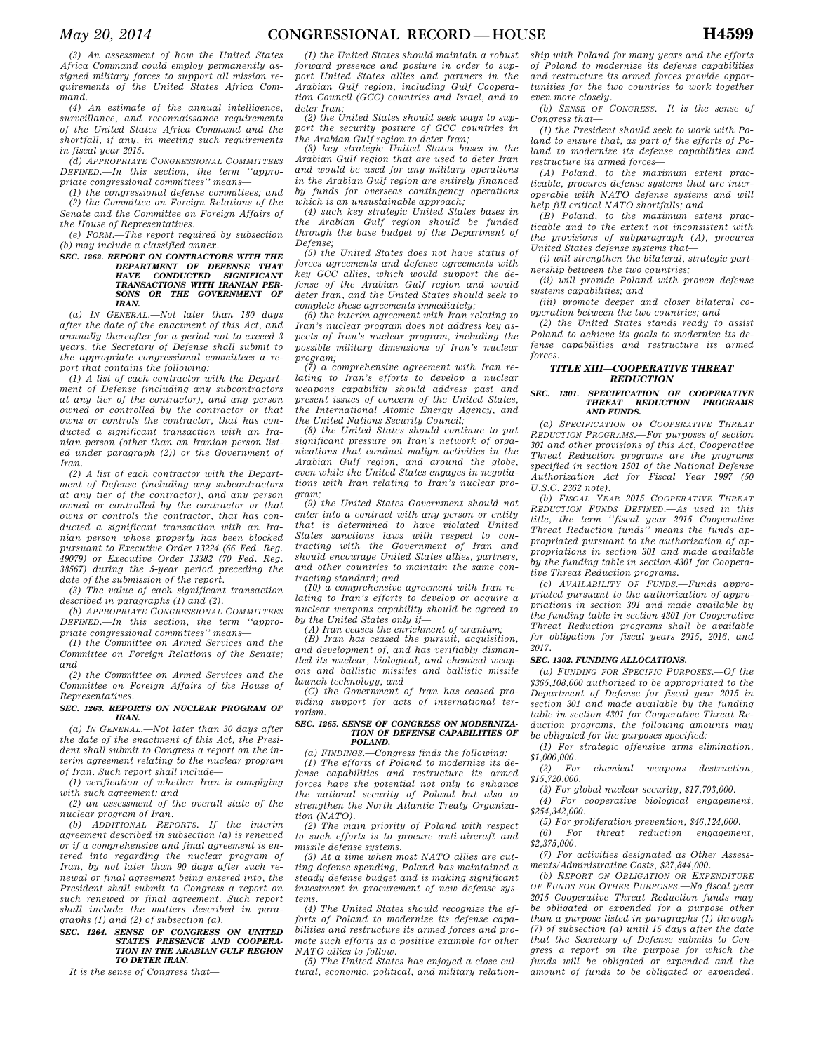*(4) An estimate of the annual intelligence, surveillance, and reconnaissance requirements of the United States Africa Command and the shortfall, if any, in meeting such requirements in fiscal year 2015.* 

*(d) APPROPRIATE CONGRESSIONAL COMMITTEES DEFINED.—In this section, the term ''appropriate congressional committees'' means—* 

*(1) the congressional defense committees; and (2) the Committee on Foreign Relations of the Senate and the Committee on Foreign Affairs of the House of Representatives.* 

*(e) FORM.—The report required by subsection (b) may include a classified annex.* 

# *SEC. 1262. REPORT ON CONTRACTORS WITH THE DEPARTMENT OF DEFENSE THAT HAVE CONDUCTED SIGNIFICANT TRANSACTIONS WITH IRANIAN PER-SONS OR THE GOVERNMENT OF IRAN.*

*(a) IN GENERAL.—Not later than 180 days after the date of the enactment of this Act, and annually thereafter for a period not to exceed 3 years, the Secretary of Defense shall submit to the appropriate congressional committees a report that contains the following:* 

*(1) A list of each contractor with the Department of Defense (including any subcontractors at any tier of the contractor), and any person owned or controlled by the contractor or that owns or controls the contractor, that has conducted a significant transaction with an Iranian person (other than an Iranian person listed under paragraph (2)) or the Government of Iran.* 

*(2) A list of each contractor with the Department of Defense (including any subcontractors at any tier of the contractor), and any person owned or controlled by the contractor or that owns or controls the contractor, that has conducted a significant transaction with an Iranian person whose property has been blocked pursuant to Executive Order 13224 (66 Fed. Reg. 49079) or Executive Order 13382 (70 Fed. Reg. 38567) during the 5-year period preceding the date of the submission of the report.* 

*(3) The value of each significant transaction described in paragraphs (1) and (2).* 

*(b) APPROPRIATE CONGRESSIONAL COMMITTEES DEFINED.—In this section, the term ''appropriate congressional committees'' means—* 

*(1) the Committee on Armed Services and the Committee on Foreign Relations of the Senate; and* 

*(2) the Committee on Armed Services and the Committee on Foreign Affairs of the House of Representatives.* 

### *SEC. 1263. REPORTS ON NUCLEAR PROGRAM OF IRAN.*

*(a) IN GENERAL.—Not later than 30 days after the date of the enactment of this Act, the President shall submit to Congress a report on the interim agreement relating to the nuclear program of Iran. Such report shall include—* 

*(1) verification of whether Iran is complying with such agreement; and* 

*(2) an assessment of the overall state of the nuclear program of Iran.* 

*(b) ADDITIONAL REPORTS.—If the interim agreement described in subsection (a) is renewed or if a comprehensive and final agreement is entered into regarding the nuclear program of Iran, by not later than 90 days after such renewal or final agreement being entered into, the President shall submit to Congress a report on such renewed or final agreement. Such report shall include the matters described in paragraphs (1) and (2) of subsection (a).* 

# *SEC. 1264. SENSE OF CONGRESS ON UNITED STATES PRESENCE AND COOPERA-TION IN THE ARABIAN GULF REGION TO DETER IRAN.*

*It is the sense of Congress that—* 

*(1) the United States should maintain a robust forward presence and posture in order to support United States allies and partners in the Arabian Gulf region, including Gulf Cooperation Council (GCC) countries and Israel, and to deter Iran;* 

*(2) the United States should seek ways to support the security posture of GCC countries in the Arabian Gulf region to deter Iran;* 

*(3) key strategic United States bases in the Arabian Gulf region that are used to deter Iran and would be used for any military operations in the Arabian Gulf region are entirely financed by funds for overseas contingency operations which is an unsustainable approach;* 

*(4) such key strategic United States bases in the Arabian Gulf region should be funded through the base budget of the Department of Defense;* 

*(5) the United States does not have status of forces agreements and defense agreements with key GCC allies, which would support the defense of the Arabian Gulf region and would deter Iran, and the United States should seek to complete these agreements immediately;* 

*(6) the interim agreement with Iran relating to Iran's nuclear program does not address key aspects of Iran's nuclear program, including the possible military dimensions of Iran's nuclear program;* 

*(7) a comprehensive agreement with Iran relating to Iran's efforts to develop a nuclear weapons capability should address past and present issues of concern of the United States, the International Atomic Energy Agency, and the United Nations Security Council;* 

*(8) the United States should continue to put significant pressure on Iran's network of organizations that conduct malign activities in the Arabian Gulf region, and around the globe, even while the United States engages in negotiations with Iran relating to Iran's nuclear program;* 

*(9) the United States Government should not enter into a contract with any person or entity that is determined to have violated United States sanctions laws with respect to contracting with the Government of Iran and should encourage United States allies, partners, and other countries to maintain the same contracting standard; and* 

*(10) a comprehensive agreement with Iran relating to Iran's efforts to develop or acquire a nuclear weapons capability should be agreed to by the United States only if—* 

*(A) Iran ceases the enrichment of uranium;* 

*(B) Iran has ceased the pursuit, acquisition, and development of, and has verifiably dismantled its nuclear, biological, and chemical weapons and ballistic missiles and ballistic missile launch technology; and* 

*(C) the Government of Iran has ceased providing support for acts of international terrorism.* 

#### *SEC. 1265. SENSE OF CONGRESS ON MODERNIZA-TION OF DEFENSE CAPABILITIES OF POLAND.*

*(a) FINDINGS.—Congress finds the following:* 

*(1) The efforts of Poland to modernize its defense capabilities and restructure its armed forces have the potential not only to enhance the national security of Poland but also to strengthen the North Atlantic Treaty Organization (NATO).* 

*(2) The main priority of Poland with respect to such efforts is to procure anti-aircraft and missile defense systems.* 

*(3) At a time when most NATO allies are cutting defense spending, Poland has maintained a steady defense budget and is making significant investment in procurement of new defense systems.* 

*(4) The United States should recognize the efforts of Poland to modernize its defense capabilities and restructure its armed forces and promote such efforts as a positive example for other NATO allies to follow.* 

*(5) The United States has enjoyed a close cultural, economic, political, and military relation-*

*ship with Poland for many years and the efforts of Poland to modernize its defense capabilities and restructure its armed forces provide opportunities for the two countries to work together even more closely.* 

*(b) SENSE OF CONGRESS.—It is the sense of Congress that—* 

*(1) the President should seek to work with Poland to ensure that, as part of the efforts of Poland to modernize its defense capabilities and restructure its armed forces—* 

*(A) Poland, to the maximum extent practicable, procures defense systems that are interoperable with NATO defense systems and will help fill critical NATO shortfalls; and* 

*(B) Poland, to the maximum extent practicable and to the extent not inconsistent with the provisions of subparagraph (A), procures United States defense systems that—* 

*(i) will strengthen the bilateral, strategic partnership between the two countries;* 

*(ii) will provide Poland with proven defense systems capabilities; and* 

*(iii) promote deeper and closer bilateral cooperation between the two countries; and* 

*(2) the United States stands ready to assist Poland to achieve its goals to modernize its defense capabilities and restructure its armed forces.* 

# *TITLE XIII—COOPERATIVE THREAT REDUCTION*

### *SEC. 1301. SPECIFICATION OF COOPERATIVE THREAT REDUCTION AND FUNDS.*

*(a) SPECIFICATION OF COOPERATIVE THREAT REDUCTION PROGRAMS.—For purposes of section 301 and other provisions of this Act, Cooperative Threat Reduction programs are the programs specified in section 1501 of the National Defense Authorization Act for Fiscal Year 1997 (50 U.S.C. 2362 note).* 

*(b) FISCAL YEAR 2015 COOPERATIVE THREAT REDUCTION FUNDS DEFINED.—As used in this title, the term ''fiscal year 2015 Cooperative Threat Reduction funds'' means the funds appropriated pursuant to the authorization of appropriations in section 301 and made available by the funding table in section 4301 for Cooperative Threat Reduction programs.* 

*(c) AVAILABILITY OF FUNDS.—Funds appropriated pursuant to the authorization of appropriations in section 301 and made available by the funding table in section 4301 for Cooperative Threat Reduction programs shall be available for obligation for fiscal years 2015, 2016, and 2017.* 

# *SEC. 1302. FUNDING ALLOCATIONS.*

*(a) FUNDING FOR SPECIFIC PURPOSES.—Of the \$365,108,000 authorized to be appropriated to the Department of Defense for fiscal year 2015 in section 301 and made available by the funding table in section 4301 for Cooperative Threat Reduction programs, the following amounts may be obligated for the purposes specified:* 

*(1) For strategic offensive arms elimination, \$1,000,000.* 

 $chemical$  weapons destruction. *\$15,720,000.* 

*(3) For global nuclear security, \$17,703,000. (4) For cooperative biological engagement,* 

*\$254,342,000.* 

*(5) For proliferation prevention, \$46,124,000.* 

*(6) For threat reduction engagement, \$2,375,000.* 

*(7) For activities designated as Other Assessments/Administrative Costs, \$27,844,000.* 

*(b) REPORT ON OBLIGATION OR EXPENDITURE OF FUNDS FOR OTHER PURPOSES.—No fiscal year 2015 Cooperative Threat Reduction funds may be obligated or expended for a purpose other than a purpose listed in paragraphs (1) through (7) of subsection (a) until 15 days after the date that the Secretary of Defense submits to Congress a report on the purpose for which the funds will be obligated or expended and the amount of funds to be obligated or expended.*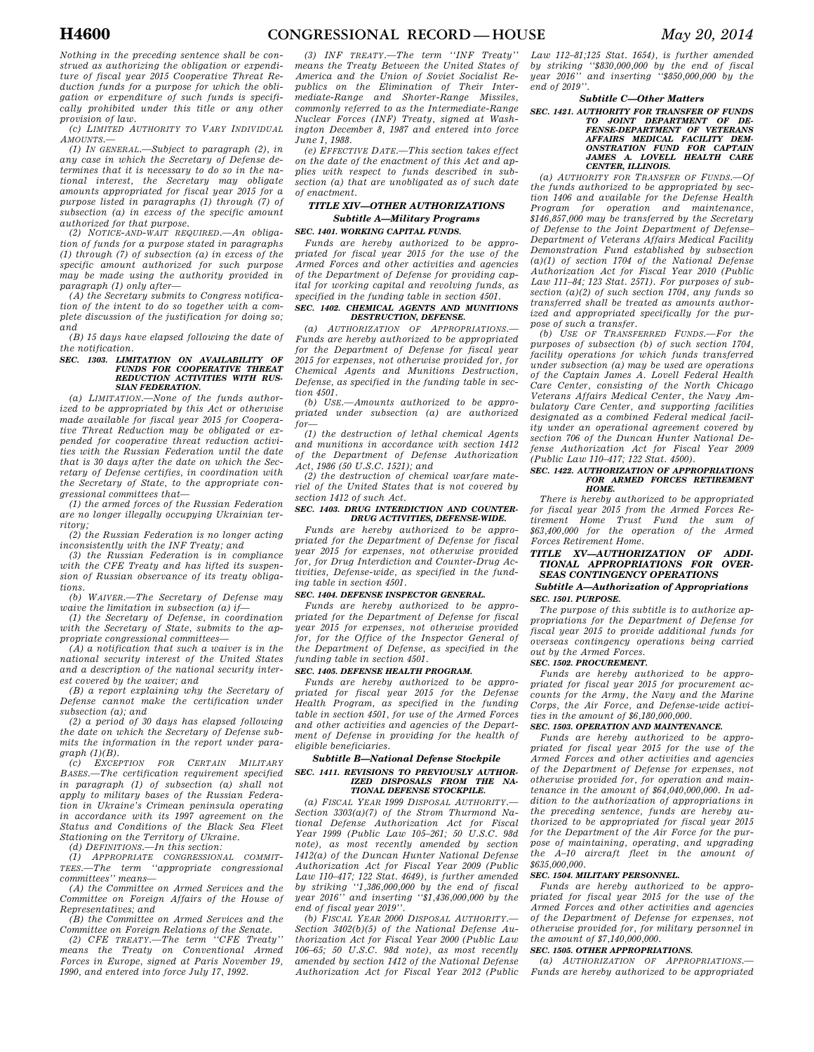*Nothing in the preceding sentence shall be construed as authorizing the obligation or expenditure of fiscal year 2015 Cooperative Threat Reduction funds for a purpose for which the obligation or expenditure of such funds is specifically prohibited under this title or any other provision of law.* 

*(c) LIMITED AUTHORITY TO VARY INDIVIDUAL AMOUNTS.—* 

*(1) IN GENERAL.—Subject to paragraph (2), in any case in which the Secretary of Defense determines that it is necessary to do so in the national interest, the Secretary may obligate amounts appropriated for fiscal year 2015 for a purpose listed in paragraphs (1) through (7) of subsection (a) in excess of the specific amount authorized for that purpose.* 

*(2) NOTICE-AND-WAIT REQUIRED.—An obligation of funds for a purpose stated in paragraphs (1) through (7) of subsection (a) in excess of the specific amount authorized for such purpose may be made using the authority provided in paragraph (1) only after—* 

*(A) the Secretary submits to Congress notification of the intent to do so together with a complete discussion of the justification for doing so; and* 

*(B) 15 days have elapsed following the date of the notification.* 

### *SEC. 1303. LIMITATION ON AVAILABILITY OF FUNDS FOR COOPERATIVE THREAT REDUCTION ACTIVITIES WITH RUS-SIAN FEDERATION.*

*(a) LIMITATION.—None of the funds authorized to be appropriated by this Act or otherwise made available for fiscal year 2015 for Cooperative Threat Reduction may be obligated or expended for cooperative threat reduction activities with the Russian Federation until the date that is 30 days after the date on which the Secretary of Defense certifies, in coordination with the Secretary of State, to the appropriate congressional committees that—* 

*(1) the armed forces of the Russian Federation are no longer illegally occupying Ukrainian territory;* 

*(2) the Russian Federation is no longer acting inconsistently with the INF Treaty; and* 

*(3) the Russian Federation is in compliance with the CFE Treaty and has lifted its suspension of Russian observance of its treaty obligations.* 

*(b) WAIVER.—The Secretary of Defense may waive the limitation in subsection (a) if—* 

*(1) the Secretary of Defense, in coordination with the Secretary of State, submits to the appropriate congressional committees—* 

*(A) a notification that such a waiver is in the national security interest of the United States and a description of the national security interest covered by the waiver; and* 

*(B) a report explaining why the Secretary of Defense cannot make the certification under subsection (a); and* 

*(2) a period of 30 days has elapsed following the date on which the Secretary of Defense submits the information in the report under paragraph (1)(B).* 

*(c) EXCEPTION FOR CERTAIN MILITARY BASES.—The certification requirement specified in paragraph (1) of subsection (a) shall not apply to military bases of the Russian Federation in Ukraine's Crimean peninsula operating in accordance with its 1997 agreement on the Status and Conditions of the Black Sea Fleet Stationing on the Territory of Ukraine.* 

*(d) DEFINITIONS.—In this section:* 

*(1) APPROPRIATE CONGRESSIONAL COMMIT-TEES.—The term ''appropriate congressional committees'' means—* 

*(A) the Committee on Armed Services and the Committee on Foreign Affairs of the House of Representatives; and* 

*(B) the Committee on Armed Services and the Committee on Foreign Relations of the Senate.* 

*(2) CFE TREATY.—The term means the Treaty on Conventional Armed Forces in Europe, signed at Paris November 19, 1990, and entered into force July 17, 1992.* 

*(3) INF TREATY.—The term ''INF Treaty'' means the Treaty Between the United States of America and the Union of Soviet Socialist Republics on the Elimination of Their Intermediate-Range and Shorter-Range Missiles, commonly referred to as the Intermediate-Range Nuclear Forces (INF) Treaty, signed at Washington December 8, 1987 and entered into force June 1, 1988.* 

*(e) EFFECTIVE DATE.—This section takes effect on the date of the enactment of this Act and applies with respect to funds described in subsection (a) that are unobligated as of such date of enactment.* 

# *TITLE XIV—OTHER AUTHORIZATIONS Subtitle A—Military Programs*

*SEC. 1401. WORKING CAPITAL FUNDS.* 

*Funds are hereby authorized to be appropriated for fiscal year 2015 for the use of the Armed Forces and other activities and agencies of the Department of Defense for providing capital for working capital and revolving funds, as specified in the funding table in section 4501. SEC. 1402. CHEMICAL AGENTS AND MUNITIONS* 

# *DESTRUCTION, DEFENSE.*

*(a) AUTHORIZATION OF APPROPRIATIONS.— Funds are hereby authorized to be appropriated for the Department of Defense for fiscal year 2015 for expenses, not otherwise provided for, for Chemical Agents and Munitions Destruction, Defense, as specified in the funding table in section 4501.* 

*(b) USE.—Amounts authorized to be appropriated under subsection (a) are authorized for—* 

*(1) the destruction of lethal chemical Agents and munitions in accordance with section 1412 of the Department of Defense Authorization Act, 1986 (50 U.S.C. 1521); and* 

*(2) the destruction of chemical warfare materiel of the United States that is not covered by section 1412 of such Act.* 

## *SEC. 1403. DRUG INTERDICTION AND COUNTER-DRUG ACTIVITIES, DEFENSE-WIDE.*

*Funds are hereby authorized to be appropriated for the Department of Defense for fiscal year 2015 for expenses, not otherwise provided for, for Drug Interdiction and Counter-Drug Activities, Defense-wide, as specified in the funding table in section 4501.* 

### *SEC. 1404. DEFENSE INSPECTOR GENERAL.*

*Funds are hereby authorized to be appropriated for the Department of Defense for fiscal year 2015 for expenses, not otherwise provided for, for the Office of the Inspector General of the Department of Defense, as specified in the funding table in section 4501.* 

### *SEC. 1405. DEFENSE HEALTH PROGRAM.*

*Funds are hereby authorized to be appropriated for fiscal year 2015 for the Defense Health Program, as specified in the funding table in section 4501, for use of the Armed Forces and other activities and agencies of the Department of Defense in providing for the health of eligible beneficiaries.* 

# *Subtitle B—National Defense Stockpile SEC. 1411. REVISIONS TO PREVIOUSLY AUTHOR-*

# *IZED DISPOSALS FROM THE NA-TIONAL DEFENSE STOCKPILE.*

*(a) FISCAL YEAR 1999 DISPOSAL AUTHORITY.— Section 3303(a)(7) of the Strom Thurmond National Defense Authorization Act for Fiscal Year 1999 (Public Law 105–261; 50 U.S.C. 98d note), as most recently amended by section 1412(a) of the Duncan Hunter National Defense Authorization Act for Fiscal Year 2009 (Public Law 110–417; 122 Stat. 4649), is further amended by striking ''1,386,000,000 by the end of fiscal year 2016'' and inserting ''\$1,436,000,000 by the end of fiscal year 2019''.* 

*(b) FISCAL YEAR 2000 DISPOSAL AUTHORITY.— Section 3402(b)(5) of the National Defense Authorization Act for Fiscal Year 2000 (Public Law 106–65; 50 U.S.C. 98d note), as most recently amended by section 1412 of the National Defense Authorization Act for Fiscal Year 2012 (Public* 

*Law 112–81;125 Stat. 1654), is further amended by striking ''\$830,000,000 by the end of fiscal year 2016'' and inserting ''\$850,000,000 by the end of 2019''.* 

# *Subtitle C—Other Matters*

*SEC. 1421. AUTHORITY FOR TRANSFER OF FUNDS TO JOINT DEPARTMENT OF DE-FENSE-DEPARTMENT OF VETERANS AFFAIRS MEDICAL FACILITY DEM-ONSTRATION FUND FOR CAPTAIN JAMES A. LOVELL HEALTH CARE CENTER, ILLINOIS.* 

*(a) AUTHORITY FOR TRANSFER OF FUNDS.—Of the funds authorized to be appropriated by section 1406 and available for the Defense Health Program for operation and maintenance, \$146,857,000 may be transferred by the Secretary of Defense to the Joint Department of Defense– Department of Veterans Affairs Medical Facility Demonstration Fund established by subsection (a)(1) of section 1704 of the National Defense Authorization Act for Fiscal Year 2010 (Public Law 111–84; 123 Stat. 2571). For purposes of subsection (a)(2) of such section 1704, any funds so transferred shall be treated as amounts authorized and appropriated specifically for the purpose of such a transfer.* 

*(b) USE OF TRANSFERRED FUNDS.—For the purposes of subsection (b) of such section 1704, facility operations for which funds transferred under subsection (a) may be used are operations of the Captain James A. Lovell Federal Health Care Center, consisting of the North Chicago Veterans Affairs Medical Center, the Navy Ambulatory Care Center, and supporting facilities designated as a combined Federal medical facility under an operational agreement covered by section 706 of the Duncan Hunter National Defense Authorization Act for Fiscal Year 2009 (Public Law 110–417; 122 Stat. 4500).* 

### *SEC. 1422. AUTHORIZATION OF APPROPRIATIONS FOR ARMED FORCES RETIREMENT HOME.*

*There is hereby authorized to be appropriated for fiscal year 2015 from the Armed Forces Retirement Home Trust Fund the sum of \$63,400,000 for the operation of the Armed Forces Retirement Home.* 

*TITLE XV—AUTHORIZATION OF ADDI-TIONAL APPROPRIATIONS FOR OVER-SEAS CONTINGENCY OPERATIONS Subtitle A—Authorization of Appropriations* 

# *SEC. 1501. PURPOSE.*

*The purpose of this subtitle is to authorize appropriations for the Department of Defense for fiscal year 2015 to provide additional funds for overseas contingency operations being carried out by the Armed Forces.* 

# *SEC. 1502. PROCUREMENT.*

*Funds are hereby authorized to be appropriated for fiscal year 2015 for procurement accounts for the Army, the Navy and the Marine Corps, the Air Force, and Defense-wide activities in the amount of \$6,180,000,000.* 

### *SEC. 1503. OPERATION AND MAINTENANCE.*

*Funds are hereby authorized to be appropriated for fiscal year 2015 for the use of the Armed Forces and other activities and agencies of the Department of Defense for expenses, not otherwise provided for, for operation and maintenance in the amount of \$64,040,000,000. In addition to the authorization of appropriations in the preceding sentence, funds are hereby authorized to be appropriated for fiscal year 2015 for the Department of the Air Force for the purpose of maintaining, operating, and upgrading the A–10 aircraft fleet in the amount of \$635,000,000.* 

# *SEC. 1504. MILITARY PERSONNEL.*

*Funds are hereby authorized to be appropriated for fiscal year 2015 for the use of the Armed Forces and other activities and agencies of the Department of Defense for expenses, not otherwise provided for, for military personnel in the amount of \$7,140,000,000.* 

# *SEC. 1505. OTHER APPROPRIATIONS.*

*(a) AUTHORIZATION OF APPROPRIATIONS.— Funds are hereby authorized to be appropriated*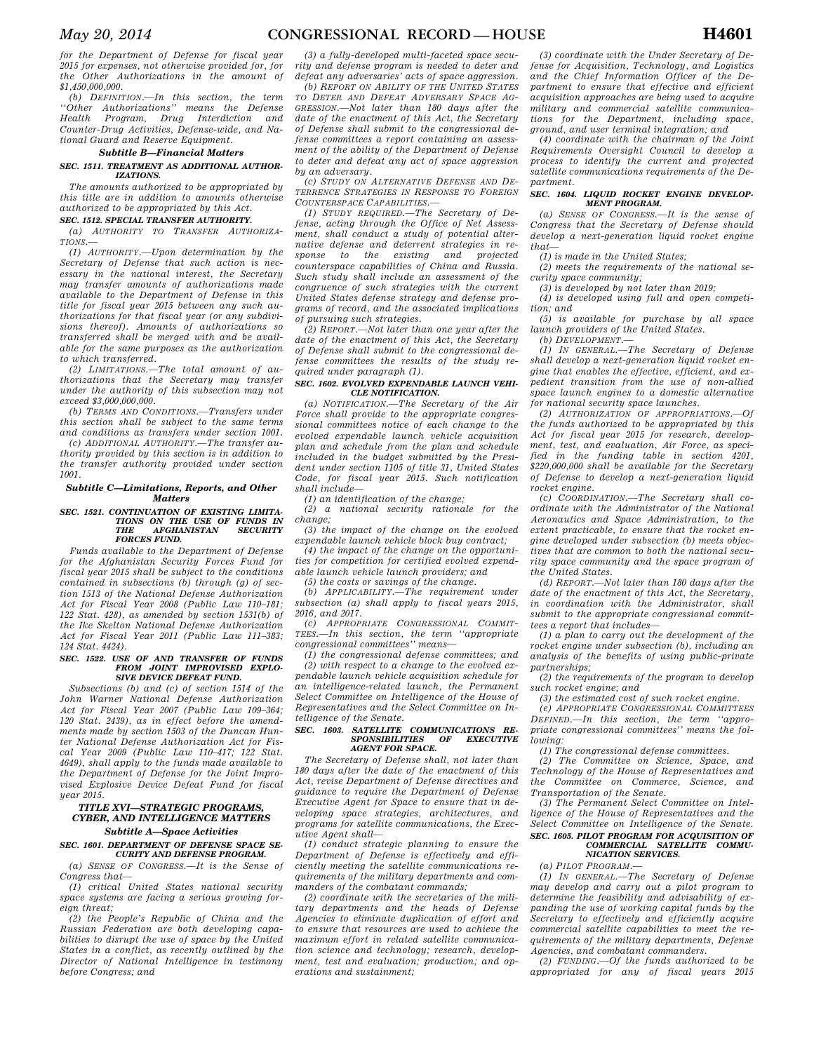*for the Department of Defense for fiscal year 2015 for expenses, not otherwise provided for, for the Other Authorizations in the amount of \$1,450,000,000.* 

*(b) DEFINITION.—In this section, the term ''Other Authorizations'' means the Defense Health Program, Drug Interdiction and Counter-Drug Activities, Defense-wide, and National Guard and Reserve Equipment.* 

# *Subtitle B—Financial Matters*

### *SEC. 1511. TREATMENT AS ADDITIONAL AUTHOR-IZATIONS.*

*The amounts authorized to be appropriated by this title are in addition to amounts otherwise authorized to be appropriated by this Act.* 

# *SEC. 1512. SPECIAL TRANSFER AUTHORITY.*

*(a) AUTHORITY TO TRANSFER AUTHORIZA-TIONS.—* 

*(1) AUTHORITY.—Upon determination by the Secretary of Defense that such action is necessary in the national interest, the Secretary may transfer amounts of authorizations made available to the Department of Defense in this title for fiscal year 2015 between any such authorizations for that fiscal year (or any subdivisions thereof). Amounts of authorizations so transferred shall be merged with and be available for the same purposes as the authorization to which transferred.* 

*(2) LIMITATIONS.—The total amount of authorizations that the Secretary may transfer under the authority of this subsection may not exceed \$3,000,000,000.* 

*(b) TERMS AND CONDITIONS.—Transfers under this section shall be subject to the same terms and conditions as transfers under section 1001. (c) ADDITIONAL AUTHORITY.—The transfer au-*

*thority provided by this section is in addition to the transfer authority provided under section 1001.* 

# *Subtitle C—Limitations, Reports, and Other Matters*

# *SEC. 1521. CONTINUATION OF EXISTING LIMITA-TIONS ON THE USE OF FUNDS IN THE AFGHANISTAN SECURITY FORCES FUND.*

*Funds available to the Department of Defense for the Afghanistan Security Forces Fund for fiscal year 2015 shall be subject to the conditions contained in subsections (b) through (g) of section 1513 of the National Defense Authorization Act for Fiscal Year 2008 (Public Law 110–181; 122 Stat. 428), as amended by section 1531(b) of the Ike Skelton National Defense Authorization Act for Fiscal Year 2011 (Public Law 111–383; 124 Stat. 4424).* 

### *SEC. 1522. USE OF AND TRANSFER OF FUNDS FROM JOINT IMPROVISED EXPLO-SIVE DEVICE DEFEAT FUND.*

*Subsections (b) and (c) of section 1514 of the John Warner National Defense Authorization Act for Fiscal Year 2007 (Public Law 109–364; 120 Stat. 2439), as in effect before the amendments made by section 1503 of the Duncan Hunter National Defense Authorization Act for Fiscal Year 2009 (Public Law 110–417; 122 Stat. 4649), shall apply to the funds made available to the Department of Defense for the Joint Improvised Explosive Device Defeat Fund for fiscal year 2015.* 

# *TITLE XVI—STRATEGIC PROGRAMS, CYBER, AND INTELLIGENCE MATTERS Subtitle A—Space Activities*

# *SEC. 1601. DEPARTMENT OF DEFENSE SPACE SE-*

*CURITY AND DEFENSE PROGRAM. (a) SENSE OF CONGRESS.—It is the Sense of* 

*Congress that— (1) critical United States national security space systems are facing a serious growing foreign threat;* 

*(2) the People's Republic of China and the Russian Federation are both developing capabilities to disrupt the use of space by the United States in a conflict, as recently outlined by the Director of National Intelligence in testimony before Congress; and* 

*(3) a fully-developed multi-faceted space security and defense program is needed to deter and defeat any adversaries' acts of space aggression.* 

*(b) REPORT ON ABILITY OF THE UNITED STATES TO DETER AND DEFEAT ADVERSARY SPACE AG-GRESSION.—Not later than 180 days after the date of the enactment of this Act, the Secretary of Defense shall submit to the congressional defense committees a report containing an assessment of the ability of the Department of Defense to deter and defeat any act of space aggression by an adversary.* 

*(c) STUDY ON ALTERNATIVE DEFENSE AND DE-TERRENCE STRATEGIES IN RESPONSE TO FOREIGN COUNTERSPACE CAPABILITIES.—* 

*(1) STUDY REQUIRED.—The Secretary of Defense, acting through the Office of Net Assessment, shall conduct a study of potential alternative defense and deterrent strategies in response to the existing and projected counterspace capabilities of China and Russia. Such study shall include an assessment of the congruence of such strategies with the current United States defense strategy and defense programs of record, and the associated implications of pursuing such strategies.* 

*(2) REPORT.—Not later than one year after the date of the enactment of this Act, the Secretary of Defense shall submit to the congressional defense committees the results of the study required under paragraph (1).* 

### *SEC. 1602. EVOLVED EXPENDABLE LAUNCH VEHI-CLE NOTIFICATION.*

*(a) NOTIFICATION.—The Secretary of the Air Force shall provide to the appropriate congressional committees notice of each change to the evolved expendable launch vehicle acquisition plan and schedule from the plan and schedule included in the budget submitted by the President under section 1105 of title 31, United States Code, for fiscal year 2015. Such notification shall include—* 

*(1) an identification of the change;* 

*(2) a national security rationale for the change;* 

*(3) the impact of the change on the evolved expendable launch vehicle block buy contract;* 

*(4) the impact of the change on the opportunities for competition for certified evolved expendable launch vehicle launch providers; and* 

*(5) the costs or savings of the change.* 

*(b) APPLICABILITY.—The requirement under subsection (a) shall apply to fiscal years 2015, 2016, and 2017.* 

*(c) APPROPRIATE CONGRESSIONAL COMMIT-TEES.—In this section, the term ''appropriate congressional committees'' means—* 

*(1) the congressional defense committees; and (2) with respect to a change to the evolved expendable launch vehicle acquisition schedule for an intelligence-related launch, the Permanent Select Committee on Intelligence of the House of Representatives and the Select Committee on Intelligence of the Senate.* 

### *SEC. 1603. SATELLITE COMMUNICATIONS RE-* $SPONSIBILITIES$ *AGENT FOR SPACE.*

*The Secretary of Defense shall, not later than 180 days after the date of the enactment of this Act, revise Department of Defense directives and guidance to require the Department of Defense Executive Agent for Space to ensure that in developing space strategies, architectures, and programs for satellite communications, the Executive Agent shall—* 

*(1) conduct strategic planning to ensure the Department of Defense is effectively and efficiently meeting the satellite communications requirements of the military departments and commanders of the combatant commands;* 

*(2) coordinate with the secretaries of the military departments and the heads of Defense Agencies to eliminate duplication of effort and to ensure that resources are used to achieve the maximum effort in related satellite communication science and technology; research, development, test and evaluation; production; and operations and sustainment;* 

*(3) coordinate with the Under Secretary of Defense for Acquisition, Technology, and Logistics and the Chief Information Officer of the Department to ensure that effective and efficient acquisition approaches are being used to acquire military and commercial satellite communications for the Department, including space, ground, and user terminal integration; and* 

*(4) coordinate with the chairman of the Joint Requirements Oversight Council to develop a process to identify the current and projected satellite communications requirements of the Department.* 

### *SEC. 1604. LIQUID ROCKET ENGINE DEVELOP-MENT PROGRAM.*

*(a) SENSE OF CONGRESS.—It is the sense of Congress that the Secretary of Defense should develop a next-generation liquid rocket engine that—* 

*(1) is made in the United States;* 

*(2) meets the requirements of the national security space community;* 

*(3) is developed by not later than 2019;* 

*(4) is developed using full and open competition; and* 

*(5) is available for purchase by all space launch providers of the United States.* 

*(b) DEVELOPMENT.—* 

*(1) IN GENERAL.—The Secretary of Defense shall develop a next-generation liquid rocket engine that enables the effective, efficient, and expedient transition from the use of non-allied space launch engines to a domestic alternative for national security space launches.* 

*(2) AUTHORIZATION OF APPROPRIATIONS.—Of the funds authorized to be appropriated by this Act for fiscal year 2015 for research, development, test, and evaluation, Air Force, as specified in the funding table in section 4201, \$220,000,000 shall be available for the Secretary of Defense to develop a next-generation liquid rocket engine.* 

*(c) COORDINATION.—The Secretary shall coordinate with the Administrator of the National Aeronautics and Space Administration, to the extent practicable, to ensure that the rocket engine developed under subsection (b) meets objectives that are common to both the national security space community and the space program of the United States.* 

*(d) REPORT.—Not later than 180 days after the date of the enactment of this Act, the Secretary, in coordination with the Administrator, shall submit to the appropriate congressional committees a report that includes—* 

*(1) a plan to carry out the development of the rocket engine under subsection (b), including an analysis of the benefits of using public-private partnerships;* 

*(2) the requirements of the program to develop such rocket engine; and* 

*(3) the estimated cost of such rocket engine. (e) APPROPRIATE CONGRESSIONAL COMMITTEES*

*DEFINED.—In this section, the term ''appropriate congressional committees'' means the following:* 

*(1) The congressional defense committees.* 

*(2) The Committee on Science, Space, and Technology of the House of Representatives and the Committee on Commerce, Science, and Transportation of the Senate.* 

*(3) The Permanent Select Committee on Intelligence of the House of Representatives and the Select Committee on Intelligence of the Senate. SEC. 1605. PILOT PROGRAM FOR ACQUISITION OF COMMERCIAL SATELLITE COMMU-*

# *NICATION SERVICES.*

*(a) PILOT PROGRAM.—* 

*(1) IN GENERAL.—The Secretary of Defense may develop and carry out a pilot program to determine the feasibility and advisability of expanding the use of working capital funds by the Secretary to effectively and efficiently acquire commercial satellite capabilities to meet the requirements of the military departments, Defense Agencies, and combatant commanders.* 

*(2) FUNDING.—Of the funds authorized to be appropriated for any of fiscal years 2015*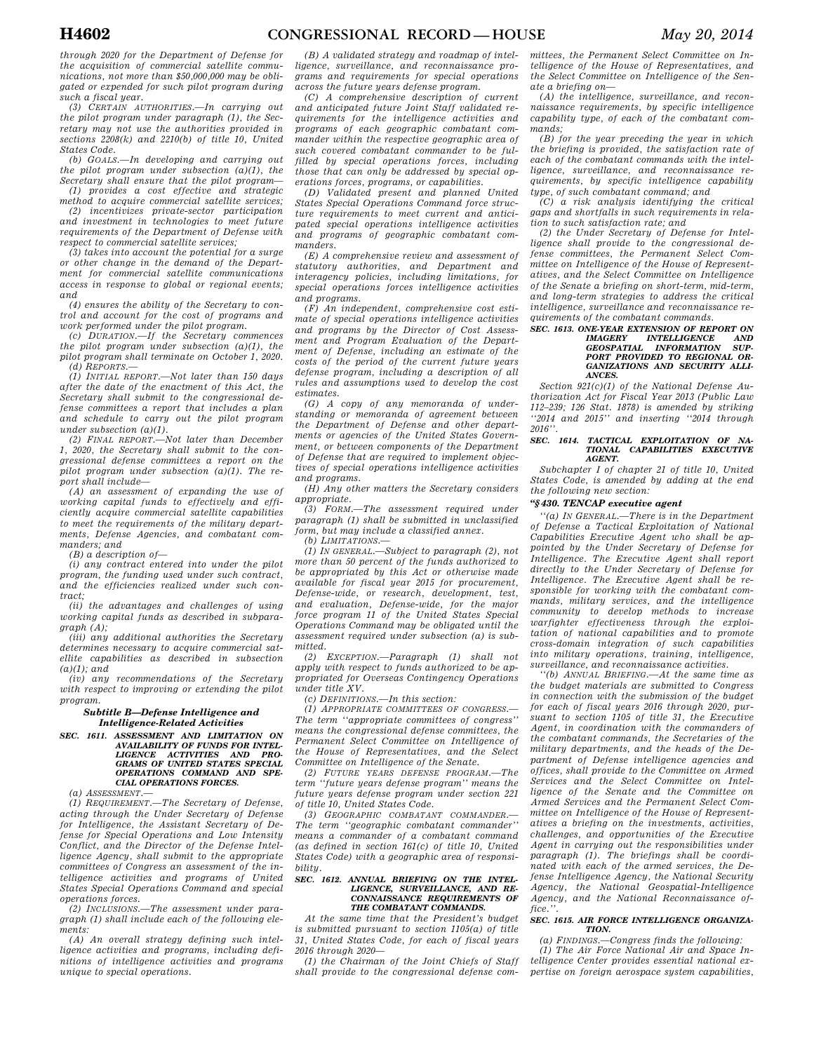*through 2020 for the Department of Defense for the acquisition of commercial satellite communications, not more than \$50,000,000 may be obligated or expended for such pilot program during such a fiscal year.* 

*(3) CERTAIN AUTHORITIES.—In carrying out the pilot program under paragraph (1), the Secretary may not use the authorities provided in sections 2208(k) and 2210(b) of title 10, United States Code.* 

*(b) GOALS.—In developing and carrying out the pilot program under subsection (a)(1), the Secretary shall ensure that the pilot program—* 

*(1) provides a cost effective and strategic method to acquire commercial satellite services; (2) incentivizes private-sector participation and investment in technologies to meet future requirements of the Department of Defense with* 

*respect to commercial satellite services; (3) takes into account the potential for a surge or other change in the demand of the Department for commercial satellite communications access in response to global or regional events; and* 

*(4) ensures the ability of the Secretary to control and account for the cost of programs and work performed under the pilot program.* 

*(c) DURATION.—If the Secretary commences the pilot program under subsection (a)(1), the pilot program shall terminate on October 1, 2020. (d) REPORTS.—* 

*(1) INITIAL REPORT.—Not later than 150 days after the date of the enactment of this Act, the Secretary shall submit to the congressional defense committees a report that includes a plan and schedule to carry out the pilot program under subsection (a)(1).* 

*(2) FINAL REPORT.—Not later than December 1, 2020, the Secretary shall submit to the congressional defense committees a report on the pilot program under subsection (a)(1). The report shall include—* 

*(A) an assessment of expanding the use of working capital funds to effectively and efficiently acquire commercial satellite capabilities to meet the requirements of the military departments, Defense Agencies, and combatant commanders; and* 

*(B) a description of—* 

*(i) any contract entered into under the pilot program, the funding used under such contract, and the efficiencies realized under such contract;* 

*(ii) the advantages and challenges of using working capital funds as described in subparagraph (A);* 

*(iii) any additional authorities the Secretary determines necessary to acquire commercial satellite capabilities as described in subsection (a)(1); and* 

*(iv) any recommendations of the Secretary with respect to improving or extending the pilot program.* 

## *Subtitle B—Defense Intelligence and Intelligence-Related Activities*

# *SEC. 1611. ASSESSMENT AND LIMITATION ON AVAILABILITY OF FUNDS FOR INTEL-LIGENCE ACTIVITIES AND PRO-GRAMS OF UNITED STATES SPECIAL OPERATIONS COMMAND AND SPE-CIAL OPERATIONS FORCES.*

*(a) ASSESSMENT.—* 

*(1) REQUIREMENT.—The Secretary of Defense, acting through the Under Secretary of Defense for Intelligence, the Assistant Secretary of Defense for Special Operations and Low Intensity Conflict, and the Director of the Defense Intelligence Agency, shall submit to the appropriate committees of Congress an assessment of the intelligence activities and programs of United States Special Operations Command and special operations forces.* 

*(2) INCLUSIONS.—The assessment under paragraph (1) shall include each of the following elements:* 

*(A) An overall strategy defining such intelligence activities and programs, including definitions of intelligence activities and programs unique to special operations.* 

*(B) A validated strategy and roadmap of intelligence, surveillance, and reconnaissance programs and requirements for special operations across the future years defense program.* 

*(C) A comprehensive description of current and anticipated future Joint Staff validated requirements for the intelligence activities and programs of each geographic combatant commander within the respective geographic area of such covered combatant commander to be fulfilled by special operations forces, including those that can only be addressed by special operations forces, programs, or capabilities.* 

*(D) Validated present and planned United States Special Operations Command force structure requirements to meet current and anticipated special operations intelligence activities and programs of geographic combatant commanders.* 

*(E) A comprehensive review and assessment of statutory authorities, and Department and interagency policies, including limitations, for special operations forces intelligence activities and programs.* 

*(F) An independent, comprehensive cost estimate of special operations intelligence activities and programs by the Director of Cost Assessment and Program Evaluation of the Department of Defense, including an estimate of the costs of the period of the current future years defense program, including a description of all rules and assumptions used to develop the cost estimates.* 

*(G) A copy of any memoranda of understanding or memoranda of agreement between the Department of Defense and other departments or agencies of the United States Government, or between components of the Department of Defense that are required to implement objectives of special operations intelligence activities and programs.* 

*(H) Any other matters the Secretary considers appropriate.* 

*(3) FORM.—The assessment required under paragraph (1) shall be submitted in unclassified form, but may include a classified annex.* 

*(b) LIMITATIONS.—* 

*(1) IN GENERAL.—Subject to paragraph (2), not more than 50 percent of the funds authorized to be appropriated by this Act or otherwise made available for fiscal year 2015 for procurement, Defense-wide, or research, development, test, and evaluation, Defense-wide, for the major force program 11 of the United States Special Operations Command may be obligated until the assessment required under subsection (a) is submitted.* 

*(2) EXCEPTION.—Paragraph (1) shall not apply with respect to funds authorized to be appropriated for Overseas Contingency Operations under title XV.* 

*(c) DEFINITIONS.—In this section:* 

*(1) APPROPRIATE COMMITTEES OF CONGRESS.— The term ''appropriate committees of congress'' means the congressional defense committees, the Permanent Select Committee on Intelligence of the House of Representatives, and the Select Committee on Intelligence of the Senate.* 

*(2) FUTURE YEARS DEFENSE PROGRAM.—The term ''future years defense program'' means the future years defense program under section 221 of title 10, United States Code.* 

*(3) GEOGRAPHIC COMBATANT COMMANDER.— The term ''geographic combatant commander'' means a commander of a combatant command (as defined in section 161(c) of title 10, United States Code) with a geographic area of responsibility.* 

### *SEC. 1612. ANNUAL BRIEFING ON THE INTEL-LIGENCE, SURVEILLANCE, AND RE-CONNAISSANCE REQUIREMENTS OF THE COMBATANT COMMANDS.*

*At the same time that the President's budget is submitted pursuant to section 1105(a) of title 31, United States Code, for each of fiscal years 2016 through 2020—* 

*(1) the Chairman of the Joint Chiefs of Staff shall provide to the congressional defense com-*

*mittees, the Permanent Select Committee on Intelligence of the House of Representatives, and the Select Committee on Intelligence of the Senate a briefing on—* 

*(A) the intelligence, surveillance, and reconnaissance requirements, by specific intelligence capability type, of each of the combatant commands;* 

*(B) for the year preceding the year in which the briefing is provided, the satisfaction rate of each of the combatant commands with the intelligence, surveillance, and reconnaissance requirements, by specific intelligence capability type, of such combatant command; and* 

*(C) a risk analysis identifying the critical gaps and shortfalls in such requirements in relation to such satisfaction rate; and* 

*(2) the Under Secretary of Defense for Intel-ligence shall provide to the congressional defense committees, the Permanent Select Committee on Intelligence of the House of Representatives, and the Select Committee on Intelligence of the Senate a briefing on short-term, mid-term, and long-term strategies to address the critical intelligence, surveillance and reconnaissance requirements of the combatant commands.* 

# *SEC. 1613. ONE-YEAR EXTENSION OF REPORT ON IMAGERY INTELLIGENCE AND GEOSPATIAL INFORMATION SUP-PORT PROVIDED TO REGIONAL OR-GANIZATIONS AND SECURITY ALLI-ANCES.*

*Section 921(c)(1) of the National Defense Authorization Act for Fiscal Year 2013 (Public Law 112–239; 126 Stat. 1878) is amended by striking ''2014 and 2015'' and inserting ''2014 through 2016''.* 

#### *SEC. 1614. TACTICAL EXPLOITATION OF NA-TIONAL CAPABILITIES EXECUTIVE AGENT.*

*Subchapter I of chapter 21 of title 10, United States Code, is amended by adding at the end the following new section:* 

# *''§ 430. TENCAP executive agent*

*''(a) IN GENERAL.—There is in the Department of Defense a Tactical Exploitation of National Capabilities Executive Agent who shall be appointed by the Under Secretary of Defense for Intelligence. The Executive Agent shall report directly to the Under Secretary of Defense for Intelligence. The Executive Agent shall be responsible for working with the combatant commands, military services, and the intelligence community to develop methods to increase warfighter effectiveness through the exploitation of national capabilities and to promote cross-domain integration of such capabilities into military operations, training, intelligence, surveillance, and reconnaissance activities.* 

*''(b) ANNUAL BRIEFING.—At the same time as the budget materials are submitted to Congress in connection with the submission of the budget for each of fiscal years 2016 through 2020, pursuant to section 1105 of title 31, the Executive Agent, in coordination with the commanders of the combatant commands, the Secretaries of the military departments, and the heads of the Department of Defense intelligence agencies and offices, shall provide to the Committee on Armed Services and the Select Committee on Intelligence of the Senate and the Committee on Armed Services and the Permanent Select Committee on Intelligence of the House of Representatives a briefing on the investments, activities, challenges, and opportunities of the Executive Agent in carrying out the responsibilities under paragraph (1). The briefings shall be coordinated with each of the armed services, the Defense Intelligence Agency, the National Security Agency, the National Geospatial-Intelligence Agency, and the National Reconnaissance office.''.* 

### *SEC. 1615. AIR FORCE INTELLIGENCE ORGANIZA-TION.*

*(a) FINDINGS.—Congress finds the following:* 

*(1) The Air Force National Air and Space Intelligence Center provides essential national expertise on foreign aerospace system capabilities,*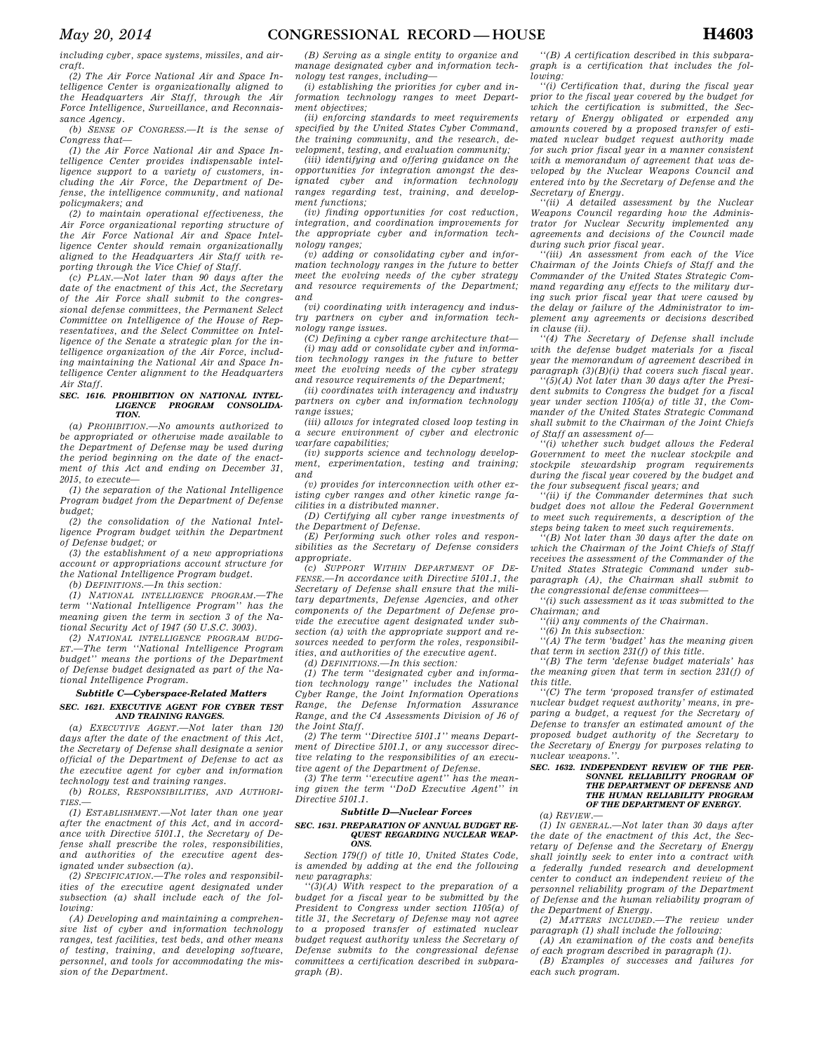*including cyber, space systems, missiles, and aircraft.* 

*(2) The Air Force National Air and Space Intelligence Center is organizationally aligned to the Headquarters Air Staff, through the Air Force Intelligence, Surveillance, and Reconnaissance Agency.* 

*(b) SENSE OF CONGRESS.—It is the sense of Congress that—* 

*(1) the Air Force National Air and Space Intelligence Center provides indispensable intelligence support to a variety of customers, including the Air Force, the Department of Defense, the intelligence community, and national policymakers; and* 

*(2) to maintain operational effectiveness, the Air Force organizational reporting structure of the Air Force National Air and Space Intelligence Center should remain organizationally aligned to the Headquarters Air Staff with reporting through the Vice Chief of Staff.* 

*(c) PLAN.—Not later than 90 days after the date of the enactment of this Act, the Secretary of the Air Force shall submit to the congressional defense committees, the Permanent Select Committee on Intelligence of the House of Representatives, and the Select Committee on Intelligence of the Senate a strategic plan for the intelligence organization of the Air Force, including maintaining the National Air and Space Intelligence Center alignment to the Headquarters Air Staff.* 

#### *SEC. 1616. PROHIBITION ON NATIONAL INTEL-LIGENCE PROGRAM CONSOLIDA-TION.*

*(a) PROHIBITION.—No amounts authorized to be appropriated or otherwise made available to the Department of Defense may be used during the period beginning on the date of the enactment of this Act and ending on December 31, 2015, to execute—* 

*(1) the separation of the National Intelligence Program budget from the Department of Defense budget;* 

*(2) the consolidation of the National Intelligence Program budget within the Department of Defense budget; or* 

*(3) the establishment of a new appropriations account or appropriations account structure for the National Intelligence Program budget.* 

*(b) DEFINITIONS.—In this section:* 

*(1) NATIONAL INTELLIGENCE PROGRAM.—The term ''National Intelligence Program'' has the meaning given the term in section 3 of the National Security Act of 1947 (50 U.S.C. 3003).* 

*(2) NATIONAL INTELLIGENCE PROGRAM BUDG-ET.—The term ''National Intelligence Program budget'' means the portions of the Department of Defense budget designated as part of the National Intelligence Program.* 

### *Subtitle C—Cyberspace-Related Matters SEC. 1621. EXECUTIVE AGENT FOR CYBER TEST AND TRAINING RANGES.*

*(a) EXECUTIVE AGENT.—Not later than 120 days after the date of the enactment of this Act, the Secretary of Defense shall designate a senior official of the Department of Defense to act as the executive agent for cyber and information technology test and training ranges.* 

*(b) ROLES, RESPONSIBILITIES, AND AUTHORI-TIES.—* 

*(1) ESTABLISHMENT.—Not later than one year after the enactment of this Act, and in accordance with Directive 5101.1, the Secretary of Defense shall prescribe the roles, responsibilities, and authorities of the executive agent designated under subsection (a).* 

*(2) SPECIFICATION.—The roles and responsibilities of the executive agent designated under subsection (a) shall include each of the following:* 

*(A) Developing and maintaining a comprehensive list of cyber and information technology ranges, test facilities, test beds, and other means of testing, training, and developing software, personnel, and tools for accommodating the mission of the Department.* 

*(B) Serving as a single entity to organize and manage designated cyber and information technology test ranges, including—* 

*(i) establishing the priorities for cyber and information technology ranges to meet Department objectives;* 

*(ii) enforcing standards to meet requirements specified by the United States Cyber Command, the training community, and the research, development, testing, and evaluation community;* 

*(iii) identifying and offering guidance on the opportunities for integration amongst the designated cyber and information technology ranges regarding test, training, and development functions;* 

*(iv) finding opportunities for cost reduction, integration, and coordination improvements for the appropriate cyber and information technology ranges;* 

*(v) adding or consolidating cyber and information technology ranges in the future to better meet the evolving needs of the cyber strategy and resource requirements of the Department; and* 

*(vi) coordinating with interagency and industry partners on cyber and information technology range issues.* 

*(C) Defining a cyber range architecture that— (i) may add or consolidate cyber and information technology ranges in the future to better meet the evolving needs of the cyber strategy and resource requirements of the Department;* 

*(ii) coordinates with interagency and industry partners on cyber and information technology range issues;* 

*(iii) allows for integrated closed loop testing in a secure environment of cyber and electronic warfare capabilities;* 

*(iv) supports science and technology development, experimentation, testing and training; and* 

*(v) provides for interconnection with other existing cyber ranges and other kinetic range facilities in a distributed manner.* 

*(D) Certifying all cyber range investments of the Department of Defense.* 

*(E) Performing such other roles and responsibilities as the Secretary of Defense considers appropriate.* 

*(c) SUPPORT WITHIN DEPARTMENT OF DE-FENSE.—In accordance with Directive 5101.1, the Secretary of Defense shall ensure that the military departments, Defense Agencies, and other components of the Department of Defense provide the executive agent designated under subsection (a) with the appropriate support and resources needed to perform the roles, responsibilities, and authorities of the executive agent.* 

*(d) DEFINITIONS.—In this section:* 

*(1) The term ''designated cyber and information technology range'' includes the National Cyber Range, the Joint Information Operations Range, the Defense Information Assurance Range, and the C4 Assessments Division of J6 of the Joint Staff.* 

*(2) The term ''Directive 5101.1'' means Department of Directive 5101.1, or any successor directive relating to the responsibilities of an executive agent of the Department of Defense.* 

*(3) The term ''executive agent'' has the meaning given the term ''DoD Executive Agent'' in Directive 5101.1.* 

# *Subtitle D—Nuclear Forces*

### *SEC. 1631. PREPARATION OF ANNUAL BUDGET RE-QUEST REGARDING NUCLEAR WEAP-ONS.*

*Section 179(f) of title 10, United States Code, is amended by adding at the end the following new paragraphs:* 

*''(3)(A) With respect to the preparation of a budget for a fiscal year to be submitted by the President to Congress under section 1105(a) of title 31, the Secretary of Defense may not agree to a proposed transfer of estimated nuclear budget request authority unless the Secretary of Defense submits to the congressional defense committees a certification described in subparagraph (B).* 

*''(B) A certification described in this subparagraph is a certification that includes the following:* 

*''(i) Certification that, during the fiscal year prior to the fiscal year covered by the budget for which the certification is submitted, the Secretary of Energy obligated or expended any amounts covered by a proposed transfer of estimated nuclear budget request authority made for such prior fiscal year in a manner consistent with a memorandum of agreement that was developed by the Nuclear Weapons Council and entered into by the Secretary of Defense and the Secretary of Energy.* 

*''(ii) A detailed assessment by the Nuclear Weapons Council regarding how the Administrator for Nuclear Security implemented any agreements and decisions of the Council made during such prior fiscal year.* 

*''(iii) An assessment from each of the Vice Chairman of the Joints Chiefs of Staff and the Commander of the United States Strategic Command regarding any effects to the military during such prior fiscal year that were caused by the delay or failure of the Administrator to implement any agreements or decisions described in clause (ii).* 

*''(4) The Secretary of Defense shall include with the defense budget materials for a fiscal year the memorandum of agreement described in paragraph (3)(B)(i) that covers such fiscal year.* 

*''(5)(A) Not later than 30 days after the President submits to Congress the budget for a fiscal year under section 1105(a) of title 31, the Commander of the United States Strategic Command shall submit to the Chairman of the Joint Chiefs of Staff an assessment of—* 

*''(i) whether such budget allows the Federal Government to meet the nuclear stockpile and stockpile stewardship program requirements during the fiscal year covered by the budget and the four subsequent fiscal years; and* 

*''(ii) if the Commander determines that such budget does not allow the Federal Government to meet such requirements, a description of the steps being taken to meet such requirements.* 

*''(B) Not later than 30 days after the date on which the Chairman of the Joint Chiefs of Staff receives the assessment of the Commander of the United States Strategic Command under subparagraph (A), the Chairman shall submit to the congressional defense committees—* 

*''(i) such assessment as it was submitted to the Chairman; and* 

*''(ii) any comments of the Chairman.* 

*''(6) In this subsection: ''(A) The term 'budget' has the meaning given that term in section 231(f) of this title.* 

*''(B) The term 'defense budget materials' has the meaning given that term in section 231(f) of this title.* 

*''(C) The term 'proposed transfer of estimated nuclear budget request authority' means, in preparing a budget, a request for the Secretary of Defense to transfer an estimated amount of the proposed budget authority of the Secretary to the Secretary of Energy for purposes relating to nuclear weapons.''.* 

### *SEC. 1632. INDEPENDENT REVIEW OF THE PER-SONNEL RELIABILITY PROGRAM OF THE DEPARTMENT OF DEFENSE AND THE HUMAN RELIABILITY PROGRAM OF THE DEPARTMENT OF ENERGY.*

# *(a) REVIEW.—*

*(1) IN GENERAL.—Not later than 30 days after the date of the enactment of this Act, the Secretary of Defense and the Secretary of Energy shall jointly seek to enter into a contract with a federally funded research and development center to conduct an independent review of the personnel reliability program of the Department of Defense and the human reliability program of the Department of Energy.* 

*(2) MATTERS INCLUDED.—The review under paragraph (1) shall include the following: (A) An examination of the costs and benefits* 

*of each program described in paragraph (1).* 

*(B) Examples of successes and failures for each such program.*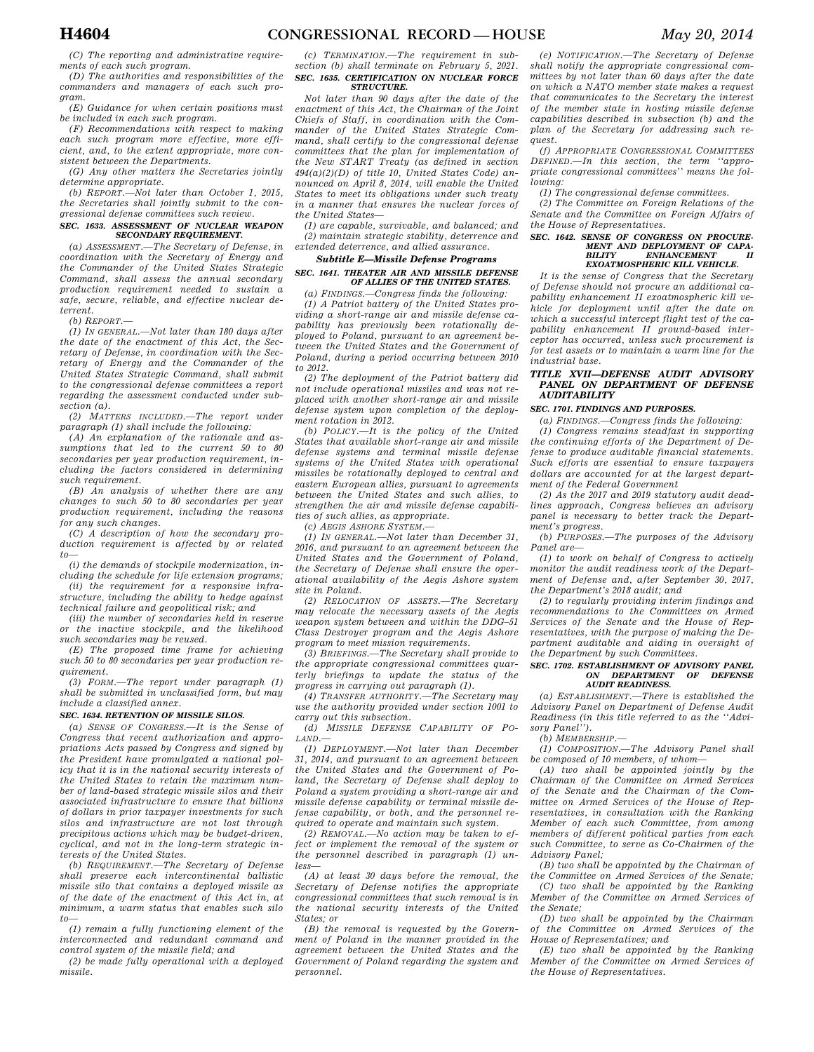*(C) The reporting and administrative requirements of each such program.* 

*(D) The authorities and responsibilities of the commanders and managers of each such program.* 

*(E) Guidance for when certain positions must be included in each such program.* 

*(F) Recommendations with respect to making each such program more effective, more efficient, and, to the extent appropriate, more consistent between the Departments.* 

*(G) Any other matters the Secretaries jointly determine appropriate.* 

*(b) REPORT.—Not later than October 1, 2015, the Secretaries shall jointly submit to the congressional defense committees such review.* 

# *SEC. 1633. ASSESSMENT OF NUCLEAR WEAPON SECONDARY REQUIREMENT.*

*(a) ASSESSMENT.—The Secretary of Defense, in coordination with the Secretary of Energy and the Commander of the United States Strategic Command, shall assess the annual secondary production requirement needed to sustain a safe, secure, reliable, and effective nuclear deterrent.* 

*(b) REPORT.—* 

*(1) IN GENERAL.—Not later than 180 days after the date of the enactment of this Act, the Secretary of Defense, in coordination with the Secretary of Energy and the Commander of the United States Strategic Command, shall submit to the congressional defense committees a report regarding the assessment conducted under subsection (a).* 

*(2) MATTERS INCLUDED.—The report under paragraph (1) shall include the following:* 

*(A) An explanation of the rationale and assumptions that led to the current 50 to 80 secondaries per year production requirement, including the factors considered in determining such requirement.* 

*(B) An analysis of whether there are any changes to such 50 to 80 secondaries per year production requirement, including the reasons for any such changes.* 

*(C) A description of how the secondary production requirement is affected by or related to—* 

*(i) the demands of stockpile modernization, including the schedule for life extension programs;* 

*(ii) the requirement for a responsive infrastructure, including the ability to hedge against technical failure and geopolitical risk; and* 

*(iii) the number of secondaries held in reserve or the inactive stockpile, and the likelihood such secondaries may be reused.* 

*(E) The proposed time frame for achieving such 50 to 80 secondaries per year production requirement.* 

*(3) FORM.—The report under paragraph (1) shall be submitted in unclassified form, but may include a classified annex.* 

# *SEC. 1634. RETENTION OF MISSILE SILOS.*

*(a) SENSE OF CONGRESS.—It is the Sense of Congress that recent authorization and appropriations Acts passed by Congress and signed by the President have promulgated a national policy that it is in the national security interests of the United States to retain the maximum number of land-based strategic missile silos and their associated infrastructure to ensure that billions of dollars in prior taxpayer investments for such silos and infrastructure are not lost through precipitous actions which may be budget-driven, cyclical, and not in the long-term strategic interests of the United States.* 

*(b) REQUIREMENT.—The Secretary of Defense shall preserve each intercontinental ballistic missile silo that contains a deployed missile as of the date of the enactment of this Act in, at minimum, a warm status that enables such silo to—* 

*(1) remain a fully functioning element of the interconnected and redundant command and control system of the missile field; and* 

*(2) be made fully operational with a deployed missile.* 

### *(c) TERMINATION.—The requirement in subsection (b) shall terminate on February 5, 2021. SEC. 1635. CERTIFICATION ON NUCLEAR FORCE STRUCTURE.*

*Not later than 90 days after the date of the enactment of this Act, the Chairman of the Joint Chiefs of Staff, in coordination with the Commander of the United States Strategic Command, shall certify to the congressional defense committees that the plan for implementation of the New START Treaty (as defined in section 494(a)(2)(D) of title 10, United States Code) announced on April 8, 2014, will enable the United States to meet its obligations under such treaty in a manner that ensures the nuclear forces of the United States—* 

*(1) are capable, survivable, and balanced; and (2) maintain strategic stability, deterrence and extended deterrence, and allied assurance.* 

# *Subtitle E—Missile Defense Programs*

### *SEC. 1641. THEATER AIR AND MISSILE DEFENSE OF ALLIES OF THE UNITED STATES.*

*(a) FINDINGS.—Congress finds the following: (1) A Patriot battery of the United States providing a short-range air and missile defense capability has previously been rotationally deployed to Poland, pursuant to an agreement between the United States and the Government of Poland, during a period occurring between 2010 to 2012.* 

*(2) The deployment of the Patriot battery did not include operational missiles and was not replaced with another short-range air and missile defense system upon completion of the deployment rotation in 2012.* 

*(b) POLICY.—It is the policy of the United States that available short-range air and missile defense systems and terminal missile defense systems of the United States with operational missiles be rotationally deployed to central and eastern European allies, pursuant to agreements between the United States and such allies, to strengthen the air and missile defense capabilities of such allies, as appropriate.* 

*(c) AEGIS ASHORE SYSTEM.—* 

*(1) IN GENERAL.—Not later than December 31, 2016, and pursuant to an agreement between the United States and the Government of Poland, the Secretary of Defense shall ensure the operational availability of the Aegis Ashore system site in Poland.* 

*(2) RELOCATION OF ASSETS.—The Secretary may relocate the necessary assets of the Aegis weapon system between and within the DDG–51 Class Destroyer program and the Aegis Ashore program to meet mission requirements.* 

*(3) BRIEFINGS.—The Secretary shall provide to the appropriate congressional committees quarterly briefings to update the status of the progress in carrying out paragraph (1).* 

*(4) TRANSFER AUTHORITY.—The Secretary may use the authority provided under section 1001 to carry out this subsection.* 

*(d) MISSILE DEFENSE CAPABILITY OF PO-LAND.—* 

*(1) DEPLOYMENT.—Not later than December 31, 2014, and pursuant to an agreement between the United States and the Government of Poland, the Secretary of Defense shall deploy to Poland a system providing a short-range air and missile defense capability or terminal missile defense capability, or both, and the personnel required to operate and maintain such system.* 

*(2) REMOVAL.—No action may be taken to effect or implement the removal of the system or the personnel described in paragraph (1) unless—* 

*(A) at least 30 days before the removal, the Secretary of Defense notifies the appropriate congressional committees that such removal is in the national security interests of the United States; or* 

*(B) the removal is requested by the Government of Poland in the manner provided in the agreement between the United States and the Government of Poland regarding the system and personnel.* 

*(e) NOTIFICATION.—The Secretary of Defense shall notify the appropriate congressional committees by not later than 60 days after the date on which a NATO member state makes a request that communicates to the Secretary the interest of the member state in hosting missile defense capabilities described in subsection (b) and the plan of the Secretary for addressing such request.* 

*(f) APPROPRIATE CONGRESSIONAL COMMITTEES DEFINED.—In this section, the term ''appropriate congressional committees'' means the following:* 

*(1) The congressional defense committees.* 

*(2) The Committee on Foreign Relations of the Senate and the Committee on Foreign Affairs of the House of Representatives.* 

# *SEC. 1642. SENSE OF CONGRESS ON PROCURE-MENT AND DEPLOYMENT OF CAPA-BILITY ENHANCEMENT II EXOATMOSPHERIC KILL VEHICLE.*

*It is the sense of Congress that the Secretary of Defense should not procure an additional capability enhancement II exoatmospheric kill vehicle for deployment until after the date on which a successful intercept flight test of the capability enhancement II ground-based interceptor has occurred, unless such procurement is for test assets or to maintain a warm line for the industrial base.* 

## *TITLE XVII—DEFENSE AUDIT ADVISORY PANEL ON DEPARTMENT OF DEFENSE AUDITABILITY*

# *SEC. 1701. FINDINGS AND PURPOSES.*

*(a) FINDINGS.—Congress finds the following: (1) Congress remains steadfast in supporting the continuing efforts of the Department of Defense to produce auditable financial statements. Such efforts are essential to ensure taxpayers dollars are accounted for at the largest department of the Federal Government* 

*(2) As the 2017 and 2019 statutory audit deadlines approach, Congress believes an advisory panel is necessary to better track the Department's progress.* 

*(b) PURPOSES.—The purposes of the Advisory Panel are—* 

*(1) to work on behalf of Congress to actively monitor the audit readiness work of the Department of Defense and, after September 30, 2017, the Department's 2018 audit; and* 

*(2) to regularly providing interim findings and recommendations to the Committees on Armed Services of the Senate and the House of Representatives, with the purpose of making the Department auditable and aiding in oversight of the Department by such Committees.* 

### *SEC. 1702. ESTABLISHMENT OF ADVISORY PANEL ON DEPARTMENT AUDIT READINESS.*

*(a) ESTABLISHMENT.—There is established the Advisory Panel on Department of Defense Audit Readiness (in this title referred to as the ''Advisory Panel'').* 

*(b) MEMBERSHIP.—* 

*(1) COMPOSITION.—The Advisory Panel shall be composed of 10 members, of whom—* 

*(A) two shall be appointed jointly by the Chairman of the Committee on Armed Services of the Senate and the Chairman of the Committee on Armed Services of the House of Representatives, in consultation with the Ranking Member of each such Committee, from among members of different political parties from each such Committee, to serve as Co-Chairmen of the Advisory Panel;* 

*(B) two shall be appointed by the Chairman of the Committee on Armed Services of the Senate;* 

*(C) two shall be appointed by the Ranking Member of the Committee on Armed Services of the Senate;* 

*(D) two shall be appointed by the Chairman of the Committee on Armed Services of the House of Representatives; and* 

*(E) two shall be appointed by the Ranking Member of the Committee on Armed Services of the House of Representatives.*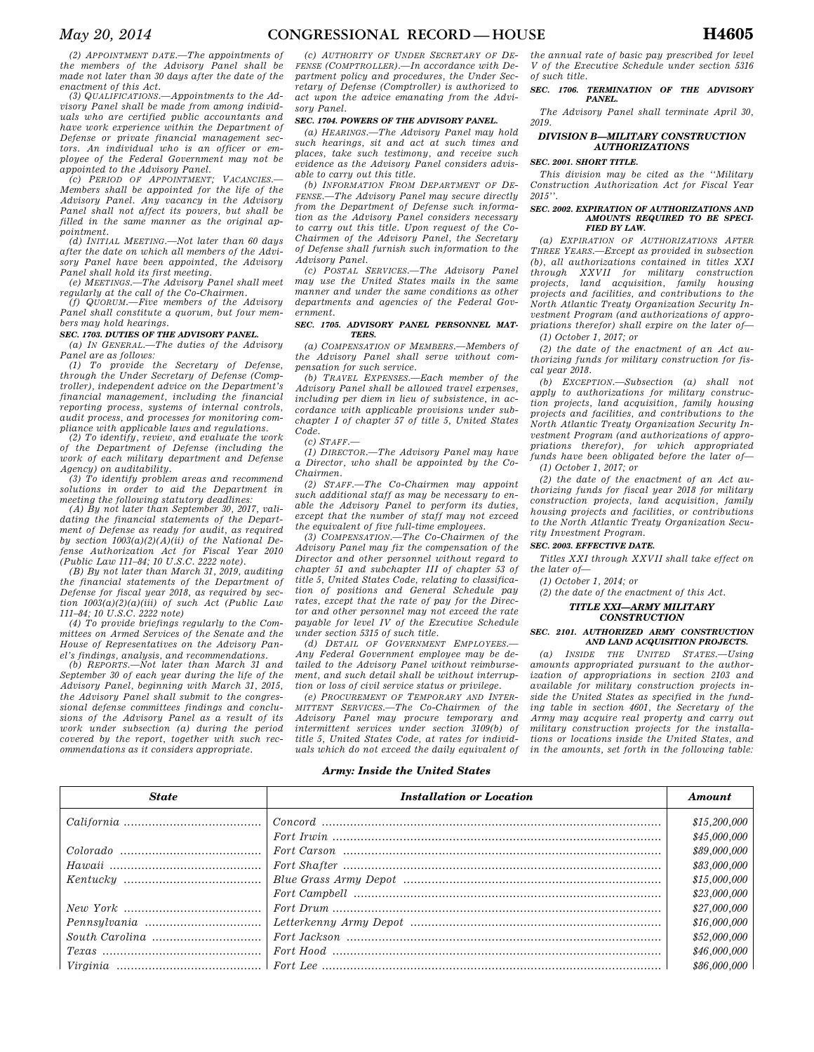*(2) APPOINTMENT DATE.—The appointments of the members of the Advisory Panel shall be made not later than 30 days after the date of the enactment of this Act.* 

*(3) QUALIFICATIONS.—Appointments to the Advisory Panel shall be made from among individuals who are certified public accountants and have work experience within the Department of Defense or private financial management sectors. An individual who is an officer or employee of the Federal Government may not be appointed to the Advisory Panel.* 

*(c) PERIOD OF APPOINTMENT; VACANCIES.— Members shall be appointed for the life of the Advisory Panel. Any vacancy in the Advisory Panel shall not affect its powers, but shall be filled in the same manner as the original appointment.* 

*(d) INITIAL MEETING.—Not later than 60 days after the date on which all members of the Advisory Panel have been appointed, the Advisory Panel shall hold its first meeting.* 

*(e) MEETINGS.—The Advisory Panel shall meet regularly at the call of the Co-Chairmen.* 

*(f) QUORUM.—Five members of the Advisory Panel shall constitute a quorum, but four members may hold hearings.* 

# *SEC. 1703. DUTIES OF THE ADVISORY PANEL.*

*(a) IN GENERAL.—The duties of the Advisory Panel are as follows:* 

*(1) To provide the Secretary of Defense, through the Under Secretary of Defense (Comptroller), independent advice on the Department's financial management, including the financial reporting process, systems of internal controls, audit process, and processes for monitoring compliance with applicable laws and regulations.* 

*(2) To identify, review, and evaluate the work of the Department of Defense (including the work of each military department and Defense Agency) on auditability.* 

*(3) To identify problem areas and recommend solutions in order to aid the Department in meeting the following statutory deadlines:* 

*(A) By not later than September 30, 2017, validating the financial statements of the Department of Defense as ready for audit, as required by section 1003(a)(2)(A)(ii) of the National Defense Authorization Act for Fiscal Year 2010 (Public Law 111–84; 10 U.S.C. 2222 note).* 

*(B) By not later than March 31, 2019, auditing the financial statements of the Department of Defense for fiscal year 2018, as required by section 1003(a)(2)(a)(iii) of such Act (Public Law 111–84; 10 U.S.C. 2222 note)* 

*(4) To provide briefings regularly to the Committees on Armed Services of the Senate and the House of Representatives on the Advisory Panel's findings, analysis, and recommendations.* 

*(b) REPORTS.—Not later than March 31 and September 30 of each year during the life of the Advisory Panel, beginning with March 31, 2015, the Advisory Panel shall submit to the congressional defense committees findings and conclusions of the Advisory Panel as a result of its work under subsection (a) during the period covered by the report, together with such recommendations as it considers appropriate.* 

*(c) AUTHORITY OF UNDER SECRETARY OF DE-FENSE (COMPTROLLER).—In accordance with Department policy and procedures, the Under Secretary of Defense (Comptroller) is authorized to act upon the advice emanating from the Advisory Panel.* 

## *SEC. 1704. POWERS OF THE ADVISORY PANEL.*

*(a) HEARINGS.—The Advisory Panel may hold such hearings, sit and act at such times and places, take such testimony, and receive such evidence as the Advisory Panel considers advisable to carry out this title.* 

*(b) INFORMATION FROM DEPARTMENT OF DE-FENSE.—The Advisory Panel may secure directly from the Department of Defense such information as the Advisory Panel considers necessary to carry out this title. Upon request of the Co-Chairmen of the Advisory Panel, the Secretary of Defense shall furnish such information to the Advisory Panel.* 

*(c) POSTAL SERVICES.—The Advisory Panel may use the United States mails in the same manner and under the same conditions as other departments and agencies of the Federal Government.* 

### *SEC. 1705. ADVISORY PANEL PERSONNEL MAT-TERS.*

*(a) COMPENSATION OF MEMBERS.—Members of the Advisory Panel shall serve without compensation for such service.* 

*(b) TRAVEL EXPENSES.—Each member of the Advisory Panel shall be allowed travel expenses, including per diem in lieu of subsistence, in accordance with applicable provisions under subchapter I of chapter 57 of title 5, United States Code.* 

*(c) STAFF.—* 

*(1) DIRECTOR.—The Advisory Panel may have a Director, who shall be appointed by the Co-Chairmen.* 

*(2) STAFF.—The Co-Chairmen may appoint such additional staff as may be necessary to enable the Advisory Panel to perform its duties, except that the number of staff may not exceed the equivalent of five full-time employees.* 

*(3) COMPENSATION.—The Co-Chairmen of the Advisory Panel may fix the compensation of the Director and other personnel without regard to chapter 51 and subchapter III of chapter 53 of title 5, United States Code, relating to classification of positions and General Schedule pay rates, except that the rate of pay for the Director and other personnel may not exceed the rate payable for level IV of the Executive Schedule under section 5315 of such title.* 

*(d) DETAIL OF GOVERNMENT EMPLOYEES.— Any Federal Government employee may be detailed to the Advisory Panel without reimbursement, and such detail shall be without interruption or loss of civil service status or privilege.* 

*(e) PROCUREMENT OF TEMPORARY AND INTER-MITTENT SERVICES.—The Co-Chairmen of the Advisory Panel may procure temporary and intermittent services under section 3109(b) of title 5, United States Code, at rates for individuals which do not exceed the daily equivalent of* 

*the annual rate of basic pay prescribed for level V of the Executive Schedule under section 5316 of such title.* 

#### *SEC. 1706. TERMINATION OF THE ADVISORY PANEL.*

*The Advisory Panel shall terminate April 30, 2019.* 

# *DIVISION B—MILITARY CONSTRUCTION AUTHORIZATIONS*

## *SEC. 2001. SHORT TITLE.*

*This division may be cited as the ''Military Construction Authorization Act for Fiscal Year 2015''.* 

### *SEC. 2002. EXPIRATION OF AUTHORIZATIONS AND AMOUNTS REQUIRED TO BE SPECI-FIED BY LAW.*

*(a) EXPIRATION OF AUTHORIZATIONS AFTER THREE YEARS.—Except as provided in subsection (b), all authorizations contained in titles XXI through XXVII for military construction projects, land acquisition, family housing projects and facilities, and contributions to the North Atlantic Treaty Organization Security Investment Program (and authorizations of appropriations therefor) shall expire on the later of— (1) October 1, 2017; or* 

*(2) the date of the enactment of an Act authorizing funds for military construction for fiscal year 2018.* 

*(b) EXCEPTION.—Subsection (a) shall not apply to authorizations for military construction projects, land acquisition, family housing projects and facilities, and contributions to the North Atlantic Treaty Organization Security Investment Program (and authorizations of appropriations therefor), for which appropriated funds have been obligated before the later of— (1) October 1, 2017; or* 

*(2) the date of the enactment of an Act authorizing funds for fiscal year 2018 for military construction projects, land acquisition, family housing projects and facilities, or contributions to the North Atlantic Treaty Organization Security Investment Program.* 

### *SEC. 2003. EFFECTIVE DATE.*

*Titles XXI through XXVII shall take effect on the later of—* 

*(1) October 1, 2014; or* 

# *(2) the date of the enactment of this Act.*

### *TITLE XXI—ARMY MILITARY CONSTRUCTION*

### *SEC. 2101. AUTHORIZED ARMY CONSTRUCTION AND LAND ACQUISITION PROJECTS.*

*(a) INSIDE THE UNITED STATES.—Using amounts appropriated pursuant to the authorization of appropriations in section 2103 and available for military construction projects inside the United States as specified in the funding table in section 4601, the Secretary of the Army may acquire real property and carry out military construction projects for the installations or locations inside the United States, and in the amounts, set forth in the following table:* 

# *Army: Inside the United States*

| <b>State</b> | <b>Installation or Location</b> | Amount       |
|--------------|---------------------------------|--------------|
|              |                                 | \$15,200,000 |
|              |                                 | \$45,000,000 |
|              |                                 | \$89,000,000 |
|              |                                 | \$83,000,000 |
|              |                                 | \$15,000,000 |
|              |                                 | \$23,000,000 |
|              |                                 | \$27,000,000 |
|              |                                 | \$16,000,000 |
|              |                                 | \$52,000,000 |
|              |                                 | \$46,000,000 |
|              |                                 | \$86,000,000 |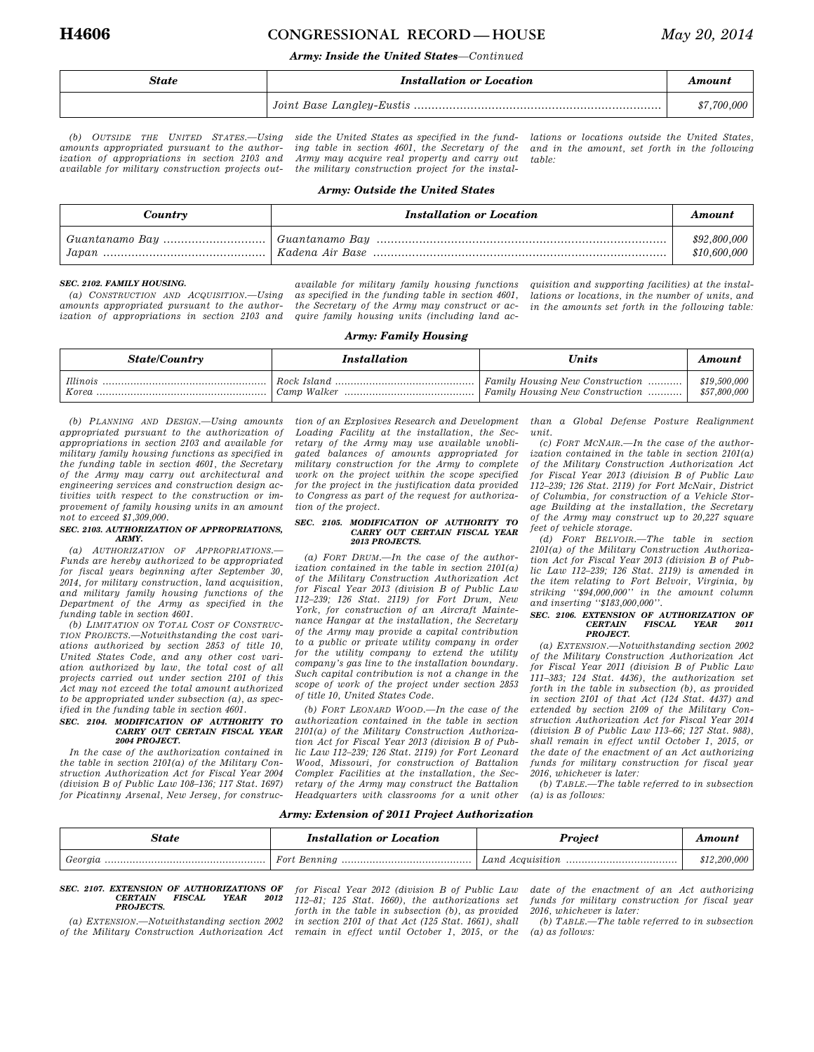# **H4606 CONGRESSIONAL RECORD — HOUSE** *May 20, 2014*

# *Army: Inside the United States—Continued*

| State | <b>Installation or Location</b>                                            | Amount      |
|-------|----------------------------------------------------------------------------|-------------|
|       | $\label{thm:1} \mbox{\it 1 Joint Base Language-Eustis}\,\, \mbox{\it 1-}.$ | \$7,700,000 |

*(b) OUTSIDE THE UNITED STATES.—Using amounts appropriated pursuant to the authorization of appropriations in section 2103 and available for military construction projects out-*

*side the United States as specified in the funding table in section 4601, the Secretary of the Army may acquire real property and carry out the military construction project for the instal-* *lations or locations outside the United States, and in the amount, set forth in the following table:* 

# *Army: Outside the United States*

| Country | <b>Installation or Location</b> | Amount                       |
|---------|---------------------------------|------------------------------|
|         |                                 | \$92,800,000<br>\$10,600,000 |

# *SEC. 2102. FAMILY HOUSING.*

*(a) CONSTRUCTION AND ACQUISITION.—Using amounts appropriated pursuant to the authorization of appropriations in section 2103 and*  *available for military family housing functions as specified in the funding table in section 4601, the Secretary of the Army may construct or acquire family housing units (including land ac-*

*quisition and supporting facilities) at the installations or locations, in the number of units, and in the amounts set forth in the following table:* 

# *Army: Family Housing*

| <b>State/Country</b>     | <i>Installation</i> | Units                                                              | Amount                       |
|--------------------------|---------------------|--------------------------------------------------------------------|------------------------------|
| <i>Illinois</i><br>Korea |                     | Family Housing New Construction<br>Family Housing New Construction | \$19,500,000<br>\$57,800,000 |

*(b) PLANNING AND DESIGN.—Using amounts appropriated pursuant to the authorization of appropriations in section 2103 and available for military family housing functions as specified in the funding table in section 4601, the Secretary of the Army may carry out architectural and engineering services and construction design activities with respect to the construction or improvement of family housing units in an amount not to exceed \$1,309,000.* 

### *SEC. 2103. AUTHORIZATION OF APPROPRIATIONS, ARMY.*

*(a) AUTHORIZATION OF APPROPRIATIONS.— Funds are hereby authorized to be appropriated for fiscal years beginning after September 30, 2014, for military construction, land acquisition, and military family housing functions of the Department of the Army as specified in the funding table in section 4601.* 

*(b) LIMITATION ON TOTAL COST OF CONSTRUC-TION PROJECTS.—Notwithstanding the cost variations authorized by section 2853 of title 10, United States Code, and any other cost variation authorized by law, the total cost of all projects carried out under section 2101 of this Act may not exceed the total amount authorized to be appropriated under subsection (a), as specified in the funding table in section 4601.* 

# *SEC. 2104. MODIFICATION OF AUTHORITY TO CARRY OUT CERTAIN FISCAL YEAR 2004 PROJECT.*

*In the case of the authorization contained in the table in section 2101(a) of the Military Construction Authorization Act for Fiscal Year 2004 (division B of Public Law 108–136; 117 Stat. 1697) for Picatinny Arsenal, New Jersey, for construc-*

*tion of an Explosives Research and Development Loading Facility at the installation, the Secretary of the Army may use available unobligated balances of amounts appropriated for military construction for the Army to complete work on the project within the scope specified for the project in the justification data provided to Congress as part of the request for authorization of the project.* 

### *SEC. 2105. MODIFICATION OF AUTHORITY TO CARRY OUT CERTAIN FISCAL YEAR 2013 PROJECTS.*

*(a) FORT DRUM.—In the case of the authorization contained in the table in section 2101(a) of the Military Construction Authorization Act for Fiscal Year 2013 (division B of Public Law 112–239; 126 Stat. 2119) for Fort Drum, New York, for construction of an Aircraft Maintenance Hangar at the installation, the Secretary of the Army may provide a capital contribution to a public or private utility company in order for the utility company to extend the utility company's gas line to the installation boundary. Such capital contribution is not a change in the scope of work of the project under section 2853 of title 10, United States Code.* 

*(b) FORT LEONARD WOOD.—In the case of the authorization contained in the table in section 2101(a) of the Military Construction Authorization Act for Fiscal Year 2013 (division B of Public Law 112–239; 126 Stat. 2119) for Fort Leonard Wood, Missouri, for construction of Battalion Complex Facilities at the installation, the Secretary of the Army may construct the Battalion Headquarters with classrooms for a unit other* 

*than a Global Defense Posture Realignment unit.* 

*(c) FORT MCNAIR.—In the case of the authorization contained in the table in section 2101(a) of the Military Construction Authorization Act for Fiscal Year 2013 (division B of Public Law 112–239; 126 Stat. 2119) for Fort McNair, District of Columbia, for construction of a Vehicle Storage Building at the installation, the Secretary of the Army may construct up to 20,227 square feet of vehicle storage.* 

*(d) FORT BELVOIR.—The table in section 2101(a) of the Military Construction Authorization Act for Fiscal Year 2013 (division B of Public Law 112–239; 126 Stat. 2119) is amended in the item relating to Fort Belvoir, Virginia, by striking ''\$94,000,000'' in the amount column and inserting ''\$183,000,000''.* 

#### *SEC. 2106. EXTENSION OF AUTHORIZATION OF*   $FISCAL$ *PROJECT.*

*(a) EXTENSION.—Notwithstanding section 2002 of the Military Construction Authorization Act for Fiscal Year 2011 (division B of Public Law 111–383; 124 Stat. 4436), the authorization set forth in the table in subsection (b), as provided in section 2101 of that Act (124 Stat. 4437) and extended by section 2109 of the Military Construction Authorization Act for Fiscal Year 2014 (division B of Public Law 113–66; 127 Stat. 988), shall remain in effect until October 1, 2015, or the date of the enactment of an Act authorizing funds for military construction for fiscal year 2016, whichever is later:* 

*(b) TABLE.—The table referred to in subsection (a) is as follows:* 

# *Army: Extension of 2011 Project Authorization*

| State   | <b>Installation or Location</b> | <b>Project</b>   | Amouni   |
|---------|---------------------------------|------------------|----------|
| Georgia | Fort Benning                    | Land Acquisition | .200.000 |

### *SEC. 2107. EXTENSION OF AUTHORIZATIONS OF*   $CERTAIN$ *PROJECTS.*

*(a) EXTENSION.—Notwithstanding section 2002 of the Military Construction Authorization Act*  *for Fiscal Year 2012 (division B of Public Law 112–81; 125 Stat. 1660), the authorizations set forth in the table in subsection (b), as provided in section 2101 of that Act (125 Stat. 1661), shall remain in effect until October 1, 2015, or the*  *date of the enactment of an Act authorizing funds for military construction for fiscal year 2016, whichever is later:* 

*(b) TABLE.—The table referred to in subsection (a) as follows:*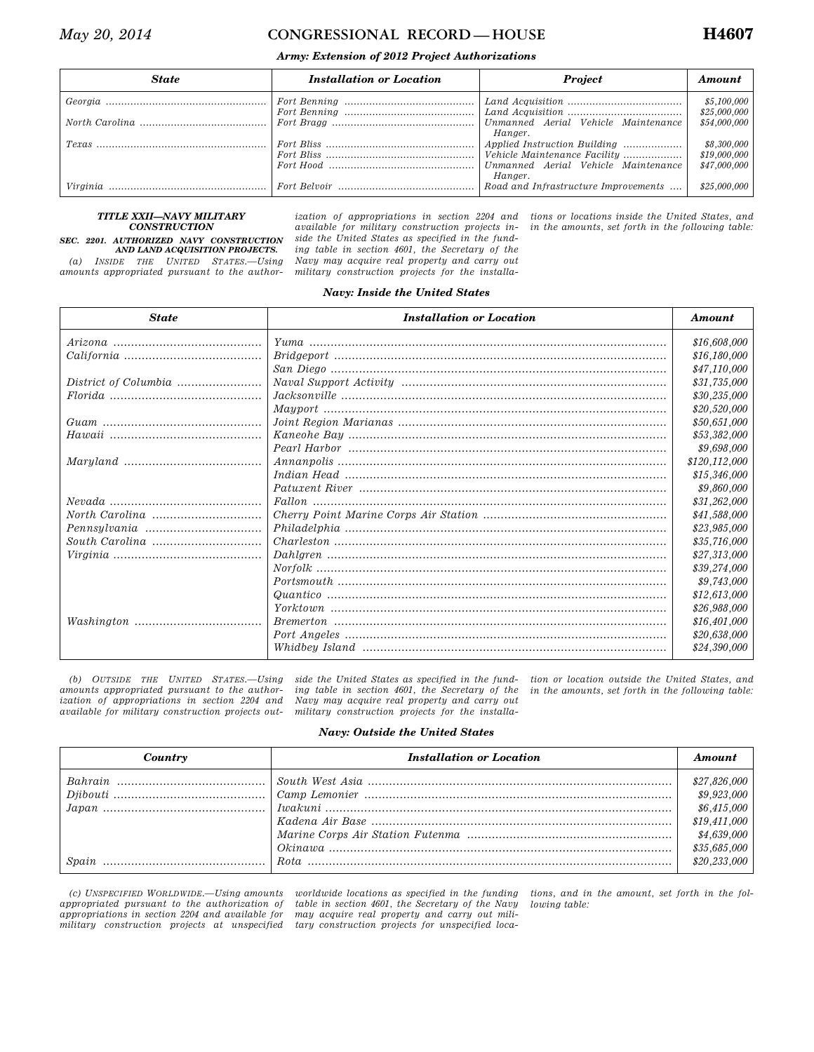# *May 20, 2014* **CONGRESSIONAL RECORD** — HOUSE **H4607**

# *Army: Extension of 2012 Project Authorizations*

| <b>State</b> | <b>Installation or Location</b> | <b>Project</b>                                                                         | Amount                       |
|--------------|---------------------------------|----------------------------------------------------------------------------------------|------------------------------|
|              |                                 |                                                                                        | \$5,100,000<br>\$25,000,000  |
|              |                                 | Hanger.                                                                                | \$54,000,000                 |
|              |                                 | Applied Instruction Building<br>Vehicle Maintenance Facility                           | \$8,300,000<br>\$19,000,000  |
|              |                                 | Unmanned Aerial Vehicle Maintenance<br>Hanger.<br>Road and Infrastructure Improvements | \$47,000,000<br>\$25,000,000 |

# *TITLE XXII—NAVY MILITARY CONSTRUCTION*

# *SEC. 2201. AUTHORIZED NAVY CONSTRUCTION AND LAND ACQUISITION PROJECTS.*

*(a) INSIDE THE UNITED STATES.—Using amounts appropriated pursuant to the author-*

*available for military construction projects inside the United States as specified in the funding table in section 4601, the Secretary of the Navy may acquire real property and carry out military construction projects for the installa-*

*ization of appropriations in section 2204 and tions or locations inside the United States, and in the amounts, set forth in the following table:* 

# *Navy: Inside the United States*

| <b>State</b>            | <b>Installation or Location</b> | Amount        |
|-------------------------|---------------------------------|---------------|
|                         |                                 | \$16,608,000  |
|                         |                                 | \$16,180,000  |
|                         |                                 | \$47,110,000  |
| District of Columbia    |                                 | \$31,735,000  |
|                         |                                 | \$30,235,000  |
|                         |                                 | \$20,520,000  |
|                         |                                 | \$50,651,000  |
|                         |                                 | \$53,382,000  |
|                         |                                 | \$9,698,000   |
|                         |                                 | \$120,112,000 |
|                         |                                 | \$15,346,000  |
|                         |                                 | \$9,860,000   |
|                         |                                 | \$31,262,000  |
|                         |                                 | \$41,588,000  |
|                         |                                 | \$23,985,000  |
| South Carolina $\ldots$ |                                 | \$35,716,000  |
|                         |                                 | \$27,313,000  |
|                         |                                 | \$39,274,000  |
|                         |                                 | \$9,743,000   |
|                         |                                 | \$12,613,000  |
|                         |                                 | \$26,988,000  |
|                         |                                 | \$16,401,000  |
|                         |                                 | \$20,638,000  |
|                         |                                 | \$24,390,000  |

*(b) OUTSIDE THE UNITED STATES.—Using amounts appropriated pursuant to the authorization of appropriations in section 2204 and available for military construction projects out-*

*side the United States as specified in the funding table in section 4601, the Secretary of the Navy may acquire real property and carry out military construction projects for the installa-*

*tion or location outside the United States, and in the amounts, set forth in the following table:* 

# *Navy: Outside the United States*

| Country | <b>Installation or Location</b> | Amount                                                                                                    |
|---------|---------------------------------|-----------------------------------------------------------------------------------------------------------|
|         |                                 | \$27,826,000<br>\$9,923,000<br>\$6,415,000<br>\$19,411,000<br>\$4,639,000<br>\$35,685,000<br>\$20,233,000 |

*(c) UNSPECIFIED WORLDWIDE.—Using amounts appropriated pursuant to the authorization of appropriations in section 2204 and available for military construction projects at unspecified* 

*worldwide locations as specified in the funding table in section 4601, the Secretary of the Navy may acquire real property and carry out military construction projects for unspecified loca-* *tions, and in the amount, set forth in the following table:*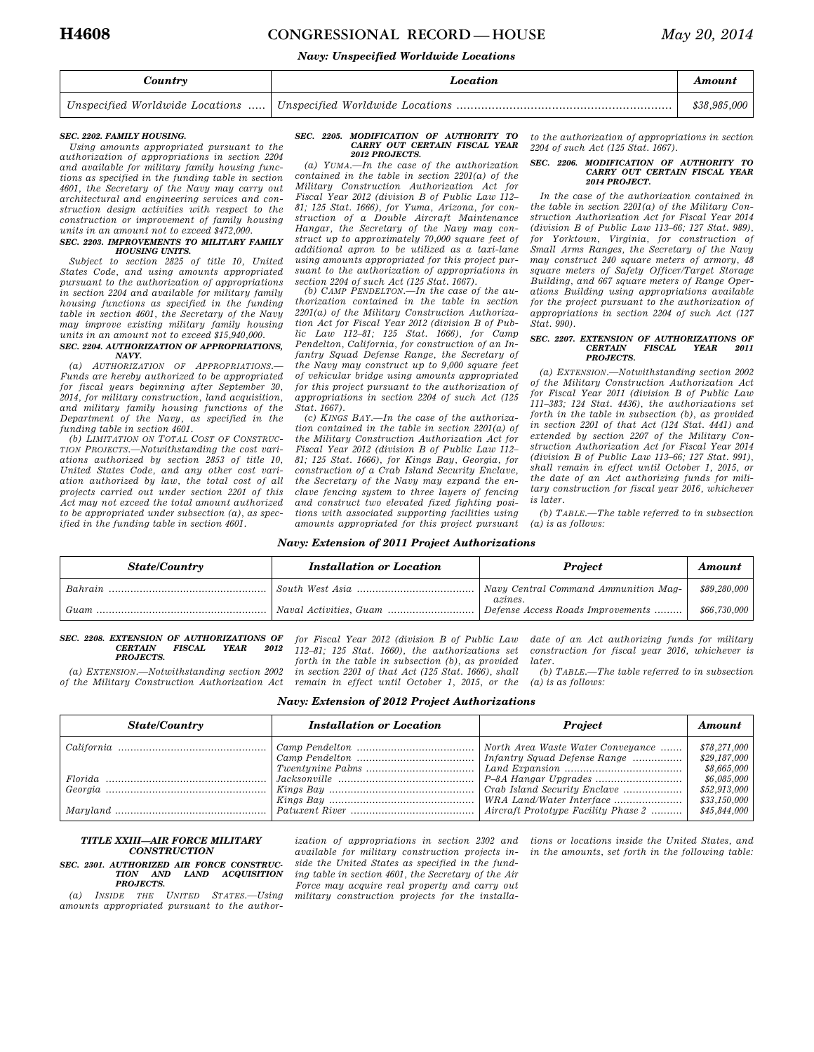# **H4608 CONGRESSIONAL RECORD — HOUSE** *May 20, 2014*

# *Navy: Unspecified Worldwide Locations*

| Country | Location | Amount       |
|---------|----------|--------------|
|         |          | \$38,985,000 |

# *SEC. 2202. FAMILY HOUSING.*

*Using amounts appropriated pursuant to the authorization of appropriations in section 2204 and available for military family housing functions as specified in the funding table in section 4601, the Secretary of the Navy may carry out architectural and engineering services and construction design activities with respect to the construction or improvement of family housing units in an amount not to exceed \$472,000.* 

### *SEC. 2203. IMPROVEMENTS TO MILITARY FAMILY HOUSING UNITS.*

*Subject to section 2825 of title 10, United States Code, and using amounts appropriated pursuant to the authorization of appropriations in section 2204 and available for military family housing functions as specified in the funding table in section 4601, the Secretary of the Navy may improve existing military family housing units in an amount not to exceed \$15,940,000.* 

### *SEC. 2204. AUTHORIZATION OF APPROPRIATIONS, NAVY.*

*(a) AUTHORIZATION OF APPROPRIATIONS.— Funds are hereby authorized to be appropriated for fiscal years beginning after September 30, 2014, for military construction, land acquisition, and military family housing functions of the Department of the Navy, as specified in the funding table in section 4601.* 

*(b) LIMITATION ON TOTAL COST OF CONSTRUC-TION PROJECTS.—Notwithstanding the cost variations authorized by section 2853 of title 10, United States Code, and any other cost variation authorized by law, the total cost of all projects carried out under section 2201 of this Act may not exceed the total amount authorized to be appropriated under subsection (a), as specified in the funding table in section 4601.* 

### *SEC. 2205. MODIFICATION OF AUTHORITY TO CARRY OUT CERTAIN FISCAL YEAR 2012 PROJECTS.*

*(a) YUMA.—In the case of the authorization contained in the table in section 2201(a) of the Military Construction Authorization Act for Fiscal Year 2012 (division B of Public Law 112– 81; 125 Stat. 1666), for Yuma, Arizona, for construction of a Double Aircraft Maintenance Hangar, the Secretary of the Navy may construct up to approximately 70,000 square feet of additional apron to be utilized as a taxi-lane using amounts appropriated for this project pursuant to the authorization of appropriations in* 

*section 2204 of such Act (125 Stat. 1667). (b) CAMP PENDELTON.—In the case of the authorization contained in the table in section 2201(a) of the Military Construction Authorization Act for Fiscal Year 2012 (division B of Public Law 112–81; 125 Stat. 1666), for Camp Pendelton, California, for construction of an Infantry Squad Defense Range, the Secretary of the Navy may construct up to 9,000 square feet of vehicular bridge using amounts appropriated for this project pursuant to the authorization of appropriations in section 2204 of such Act (125 Stat. 1667).* 

*(c) KINGS BAY.—In the case of the authorization contained in the table in section 2201(a) of the Military Construction Authorization Act for Fiscal Year 2012 (division B of Public Law 112– 81; 125 Stat. 1666), for Kings Bay, Georgia, for construction of a Crab Island Security Enclave, the Secretary of the Navy may expand the enclave fencing system to three layers of fencing and construct two elevated fixed fighting positions with associated supporting facilities using amounts appropriated for this project pursuant*  *to the authorization of appropriations in section 2204 of such Act (125 Stat. 1667).* 

#### *SEC. 2206. MODIFICATION OF AUTHORITY TO CARRY OUT CERTAIN FISCAL YEAR 2014 PROJECT.*

*In the case of the authorization contained in the table in section 2201(a) of the Military Construction Authorization Act for Fiscal Year 2014 (division B of Public Law 113–66; 127 Stat. 989), for Yorktown, Virginia, for construction of Small Arms Ranges, the Secretary of the Navy may construct 240 square meters of armory, 48 square meters of Safety Officer/Target Storage Building, and 667 square meters of Range Operations Building using appropriations available for the project pursuant to the authorization of appropriations in section 2204 of such Act (127 Stat. 990).* 

#### *SEC. 2207. EXTENSION OF AUTHORIZATIONS OF CERTAIN FISCAL YEAR 2011 PROJECTS.*

*(a) EXTENSION.—Notwithstanding section 2002 of the Military Construction Authorization Act for Fiscal Year 2011 (division B of Public Law 111–383; 124 Stat. 4436), the authorizations set forth in the table in subsection (b), as provided in section 2201 of that Act (124 Stat. 4441) and extended by section 2207 of the Military Construction Authorization Act for Fiscal Year 2014 (division B of Public Law 113–66; 127 Stat. 991), shall remain in effect until October 1, 2015, or the date of an Act authorizing funds for military construction for fiscal year 2016, whichever is later.* 

*(b) TABLE.—The table referred to in subsection (a) is as follows:* 

# *Navy: Extension of 2011 Project Authorizations*

| <b>State/Country</b> | <b>Installation or Location</b> | <b>Project</b>                                  | Amount       |
|----------------------|---------------------------------|-------------------------------------------------|--------------|
|                      |                                 | Navy Central Command Ammunition Mag-<br>azines. | \$89,280,000 |
| Guam                 |                                 | Defense Access Roads Improvements               | \$66,730,000 |

#### *SEC. 2208. EXTENSION OF AUTHORIZATIONS OF*   $FISCAL$ *PROJECTS.*

*(a) EXTENSION.—Notwithstanding section 2002 of the Military Construction Authorization Act* 

*for Fiscal Year 2012 (division B of Public Law 112–81; 125 Stat. 1660), the authorizations set forth in the table in subsection (b), as provided in section 2201 of that Act (125 Stat. 1666), shall remain in effect until October 1, 2015, or the*  *date of an Act authorizing funds for military construction for fiscal year 2016, whichever is later.* 

*(b) TABLE.—The table referred to in subsection (a) is as follows:* 

| <b>Navy: Extension of 2012 Project Authorizations</b> |
|-------------------------------------------------------|
|-------------------------------------------------------|

| <b>State/Country</b> | <b>Installation or Location</b> | <b>Project</b>                      | Amount       |
|----------------------|---------------------------------|-------------------------------------|--------------|
|                      |                                 |                                     | \$78,271,000 |
|                      |                                 |                                     | \$29,187,000 |
|                      |                                 |                                     | \$8,665,000  |
|                      |                                 |                                     | \$6,085,000  |
|                      |                                 |                                     | \$52,913,000 |
|                      |                                 |                                     | \$33,150,000 |
|                      |                                 | Aircraft Prototype Facility Phase 2 | \$45,844,000 |

# *TITLE XXIII—AIR FORCE MILITARY CONSTRUCTION*

*SEC. 2301. AUTHORIZED AIR FORCE CONSTRUC-TION AND LAND ACQUISITION PROJECTS.* 

*(a) INSIDE THE UNITED STATES.—Using amounts appropriated pursuant to the author-*

*ization of appropriations in section 2302 and available for military construction projects inside the United States as specified in the funding table in section 4601, the Secretary of the Air Force may acquire real property and carry out military construction projects for the installa-*

*tions or locations inside the United States, and in the amounts, set forth in the following table:*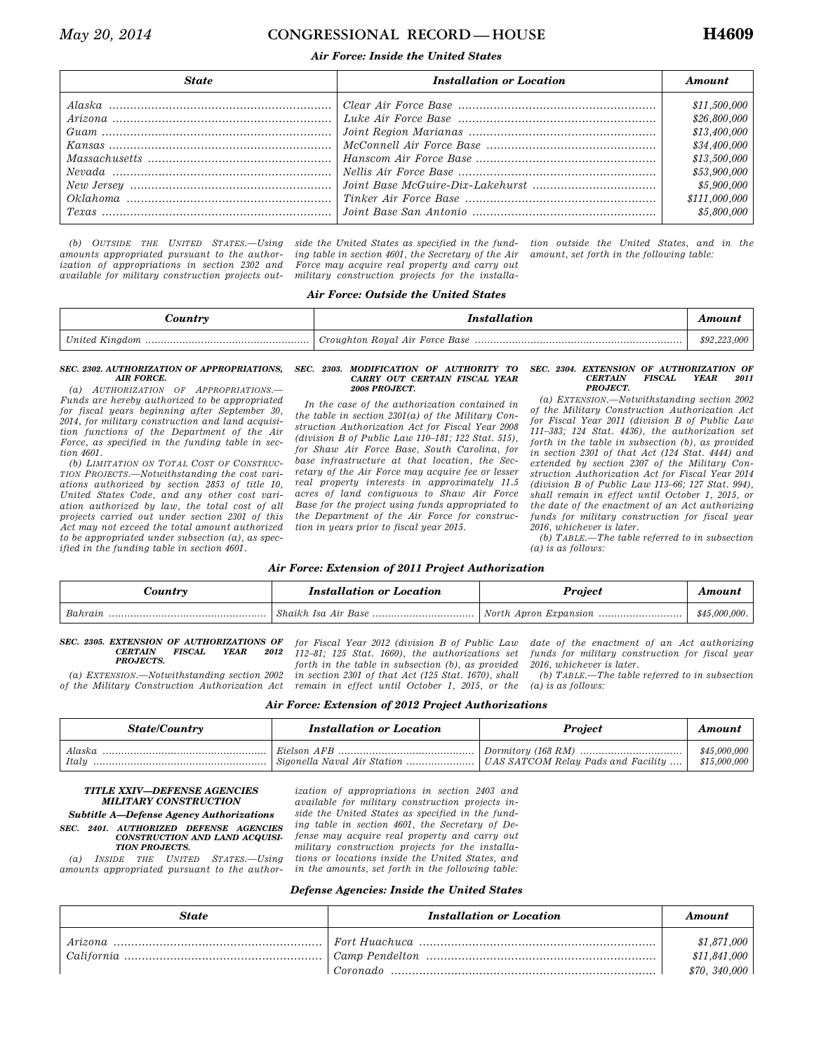# *May 20, 2014* **CONGRESSIONAL RECORD — HOUSE H4609**

# *Air Force: Inside the United States*

| <b>State</b> | Installation or Location | Amount                                                                                                                       |
|--------------|--------------------------|------------------------------------------------------------------------------------------------------------------------------|
|              |                          | \$11,500,000<br>\$26,800,000<br>\$13,400,000<br>\$34,400,000<br>\$13,500,000<br>\$53,900,000<br>\$5,900,000<br>\$111,000,000 |
|              |                          | \$5,800,000                                                                                                                  |

*(b) OUTSIDE THE UNITED STATES.—Using amounts appropriated pursuant to the authorization of appropriations in section 2302 and available for military construction projects out-*

*side the United States as specified in the funding table in section 4601, the Secretary of the Air Force may acquire real property and carry out military construction projects for the installa-* *tion outside the United States, and in the amount, set forth in the following table:* 

# *Air Force: Outside the United States*

| <i>Sountr</i> y | <i>Installation</i> | <b>Amoun</b> |
|-----------------|---------------------|--------------|
|                 |                     | \$92,223,000 |

## *SEC. 2302. AUTHORIZATION OF APPROPRIATIONS, AIR FORCE.*

*(a) AUTHORIZATION OF APPROPRIATIONS.— Funds are hereby authorized to be appropriated for fiscal years beginning after September 30, 2014, for military construction and land acquisition functions of the Department of the Air Force, as specified in the funding table in section 4601.* 

*(b) LIMITATION ON TOTAL COST OF CONSTRUC-TION PROJECTS.—Notwithstanding the cost variations authorized by section 2853 of title 10, United States Code, and any other cost variation authorized by law, the total cost of all projects carried out under section 2301 of this Act may not exceed the total amount authorized to be appropriated under subsection (a), as specified in the funding table in section 4601.* 

### *SEC. 2303. MODIFICATION OF AUTHORITY TO CARRY OUT CERTAIN FISCAL YEAR 2008 PROJECT.*

*In the case of the authorization contained in the table in section 2301(a) of the Military Construction Authorization Act for Fiscal Year 2008 (division B of Public Law 110–181; 122 Stat. 515), for Shaw Air Force Base, South Carolina, for base infrastructure at that location, the Secretary of the Air Force may acquire fee or lesser real property interests in approximately 11.5 acres of land contiguous to Shaw Air Force Base for the project using funds appropriated to the Department of the Air Force for construction in years prior to fiscal year 2015.* 

#### *SEC. 2304. EXTENSION OF AUTHORIZATION OF*   $CERTAIN$ *PROJECT.*

*(a) EXTENSION.—Notwithstanding section 2002 of the Military Construction Authorization Act for Fiscal Year 2011 (division B of Public Law 111–383; 124 Stat. 4436), the authorization set forth in the table in subsection (b), as provided in section 2301 of that Act (124 Stat. 4444) and extended by section 2307 of the Military Construction Authorization Act for Fiscal Year 2014 (division B of Public Law 113–66; 127 Stat. 994), shall remain in effect until October 1, 2015, or the date of the enactment of an Act authorizing funds for military construction for fiscal year 2016, whichever is later.* 

*(b) TABLE.—The table referred to in subsection (a) is as follows:* 

# *Air Force: Extension of 2011 Project Authorization*

| ountry  | <b>Installation or Location</b> | <i>rojeci</i>         |               |
|---------|---------------------------------|-----------------------|---------------|
| Bahrain | Base<br>-Shaikh Isa Air         | North Apron Expansion | \$45,000,000. |

*SEC. 2305. EXTENSION OF AUTHORIZATIONS OF*   ${\it FISCAL}$ *PROJECTS.* 

*(a) EXTENSION.—Notwithstanding section 2002 of the Military Construction Authorization Act* 

*for Fiscal Year 2012 (division B of Public Law 112–81; 125 Stat. 1660), the authorizations set forth in the table in subsection (b), as provided in section 2301 of that Act (125 Stat. 1670), shall remain in effect until October 1, 2015, or the*  *date of the enactment of an Act authorizing funds for military construction for fiscal year 2016, whichever is later.* 

*(b) TABLE.—The table referred to in subsection (a) is as follows:* 

| Air Force: Extension of 2012 Project Authorizations |  |  |
|-----------------------------------------------------|--|--|
|-----------------------------------------------------|--|--|

| <b>State/Country</b> | <b>Installation or Location</b>            | <b>Project</b>                     | Amount                       |
|----------------------|--------------------------------------------|------------------------------------|------------------------------|
| Alaska<br>Italu      | Eielson AFR<br>Sigonella Naval Air Station | UAS SATCOM Relay Pads and Facility | \$45,000,000<br>\$15,000,000 |

# *TITLE XXIV—DEFENSE AGENCIES MILITARY CONSTRUCTION*

*Subtitle A—Defense Agency Authorizations SEC. 2401. AUTHORIZED DEFENSE AGENCIES CONSTRUCTION AND LAND ACQUISI-*

*TION PROJECTS. (a) INSIDE THE UNITED STATES.—Using amounts appropriated pursuant to the author-*

*ization of appropriations in section 2403 and available for military construction projects inside the United States as specified in the funding table in section 4601, the Secretary of Defense may acquire real property and carry out military construction projects for the installations or locations inside the United States, and in the amounts, set forth in the following table:* 

# *Defense Agencies: Inside the United States*

| <b>State</b> | <b>Installation or Location</b> | Amount                      |
|--------------|---------------------------------|-----------------------------|
|              |                                 | \$1,871,000<br>\$11,841,000 |
|              |                                 | \$70, 340,000               |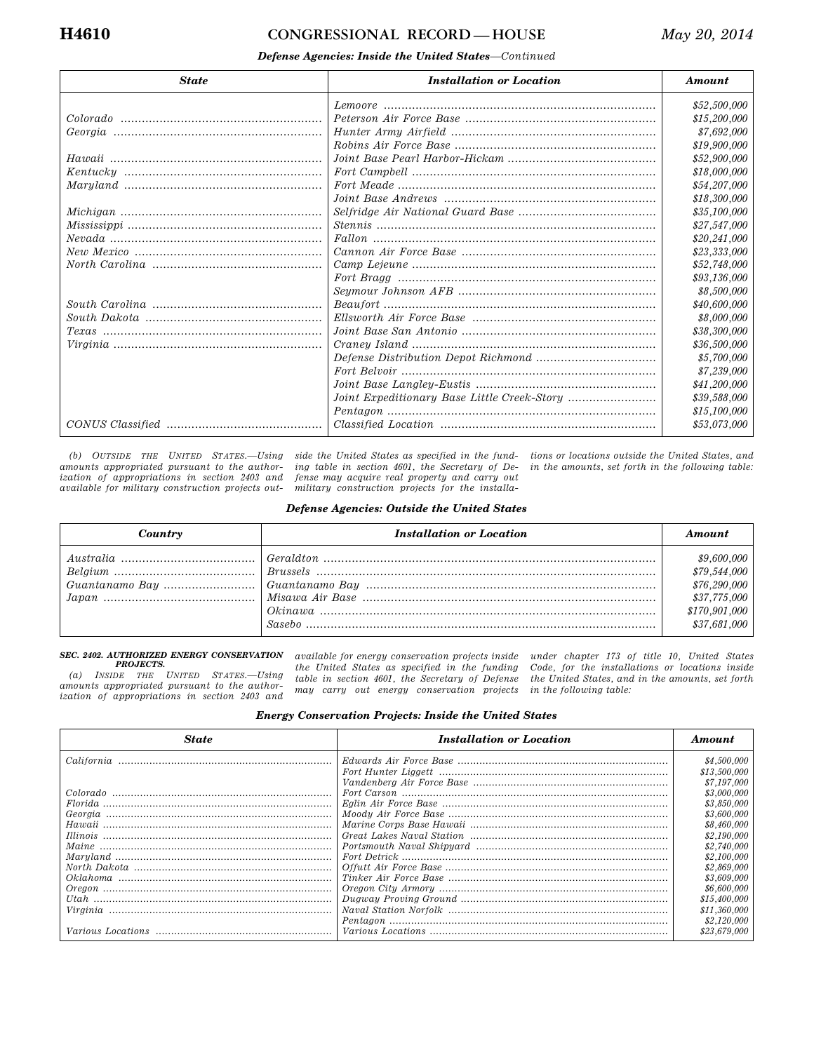# **H4610 CONGRESSIONAL RECORD — HOUSE** *May 20, 2014*

# *Defense Agencies: Inside the United States—Continued*

| <b>State</b> | <b>Installation or Location</b> | Amount       |
|--------------|---------------------------------|--------------|
|              |                                 | \$52,500,000 |
|              |                                 | \$15,200,000 |
|              |                                 | \$7,692,000  |
|              |                                 | \$19,900,000 |
|              |                                 | \$52,900,000 |
|              |                                 | \$18,000,000 |
|              |                                 | \$54,207,000 |
|              |                                 | \$18,300,000 |
|              |                                 | \$35,100,000 |
|              |                                 | \$27,547,000 |
|              |                                 | \$20,241,000 |
|              |                                 | \$23,333,000 |
|              |                                 | \$52,748,000 |
|              |                                 | \$93.136.000 |
|              |                                 | \$8,500,000  |
|              |                                 | \$40,600,000 |
|              |                                 | \$8,000,000  |
|              |                                 | \$38,300,000 |
|              |                                 | \$36,500,000 |
|              |                                 | \$5,700,000  |
|              |                                 | \$7,239,000  |
|              |                                 | \$41,200,000 |
|              |                                 | \$39,588,000 |
|              |                                 | \$15,100,000 |
|              |                                 | \$53,073,000 |

*(b) OUTSIDE THE UNITED STATES.—Using amounts appropriated pursuant to the authorization of appropriations in section 2403 and available for military construction projects out-*

*side the United States as specified in the funding table in section 4601, the Secretary of Defense may acquire real property and carry out military construction projects for the installa-*

*tions or locations outside the United States, and in the amounts, set forth in the following table:* 

# *Defense Agencies: Outside the United States*

| Country | <b>Installation or Location</b> | Amount                                                                                       |
|---------|---------------------------------|----------------------------------------------------------------------------------------------|
|         |                                 | \$9,600,000<br>\$79,544,000<br>\$76,290,000<br>\$37,775,000<br>\$170,901,000<br>\$37,681,000 |

### *SEC. 2402. AUTHORIZED ENERGY CONSERVATION PROJECTS.*

*(a) INSIDE THE UNITED STATES.—Using amounts appropriated pursuant to the authorization of appropriations in section 2403 and* 

*available for energy conservation projects inside the United States as specified in the funding table in section 4601, the Secretary of Defense may carry out energy conservation projects* 

*under chapter 173 of title 10, United States Code, for the installations or locations inside the United States, and in the amounts, set forth in the following table:* 

# *Energy Conservation Projects: Inside the United States*

| <b>State</b> | Installation or Location | Amount       |
|--------------|--------------------------|--------------|
|              |                          | \$4,500,000  |
|              |                          | \$13,500,000 |
|              |                          | \$7,197,000  |
|              |                          | \$3,000,000  |
|              |                          | \$3,850,000  |
|              |                          | \$3,600,000  |
|              |                          | \$8,460,000  |
|              |                          | \$2,190,000  |
|              |                          | \$2,740,000  |
|              |                          | \$2,100,000  |
|              |                          | \$2,869,000  |
|              |                          | \$3,609,000  |
|              |                          | \$6,600,000  |
|              |                          | \$15,400,000 |
|              |                          | \$11,360,000 |
|              |                          | \$2,120,000  |
|              |                          | \$23.679.000 |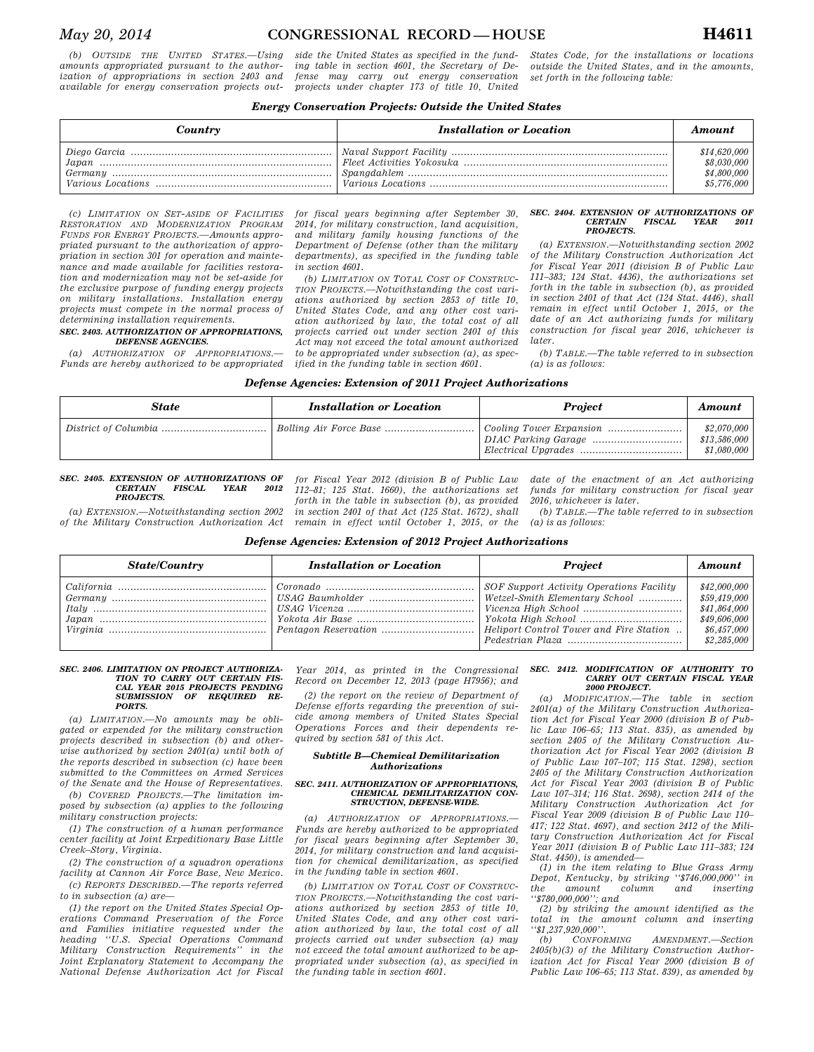*(b) OUTSIDE THE UNITED STATES.—Using amounts appropriated pursuant to the authorization of appropriations in section 2403 and available for energy conservation projects out-*

*side the United States as specified in the funding table in section 4601, the Secretary of Defense may carry out energy conservation projects under chapter 173 of title 10, United* 

*States Code, for the installations or locations outside the United States, and in the amounts, set forth in the following table:* 

# *Energy Conservation Projects: Outside the United States*

| Country | <b>Installation or Location</b> | Amount       |
|---------|---------------------------------|--------------|
|         |                                 | \$14,620,000 |
|         |                                 | \$8,030,000  |
|         |                                 | \$4,800,000  |
|         |                                 | \$5,776,000  |

*(c) LIMITATION ON SET-ASIDE OF FACILITIES RESTORATION AND MODERNIZATION PROGRAM FUNDS FOR ENERGY PROJECTS.—Amounts appropriated pursuant to the authorization of appropriation in section 301 for operation and maintenance and made available for facilities restoration and modernization may not be set-aside for the exclusive purpose of funding energy projects on military installations. Installation energy projects must compete in the normal process of determining installation requirements.* 

### *SEC. 2403. AUTHORIZATION OF APPROPRIATIONS, DEFENSE AGENCIES.*

*(a) AUTHORIZATION OF APPROPRIATIONS.— Funds are hereby authorized to be appropriated*  *for fiscal years beginning after September 30, 2014, for military construction, land acquisition, and military family housing functions of the Department of Defense (other than the military departments), as specified in the funding table in section 4601.* 

*(b) LIMITATION ON TOTAL COST OF CONSTRUC-TION PROJECTS.—Notwithstanding the cost variations authorized by section 2853 of title 10, United States Code, and any other cost variation authorized by law, the total cost of all projects carried out under section 2401 of this Act may not exceed the total amount authorized to be appropriated under subsection (a), as specified in the funding table in section 4601.* 

### *SEC. 2404. EXTENSION OF AUTHORIZATIONS OF CERTAIN FISCAL YEAR 2011 PROJECTS.*

*(a) EXTENSION.—Notwithstanding section 2002 of the Military Construction Authorization Act for Fiscal Year 2011 (division B of Public Law 111–383; 124 Stat. 4436), the authorizations set forth in the table in subsection (b), as provided in section 2401 of that Act (124 Stat. 4446), shall remain in effect until October 1, 2015, or the date of an Act authorizing funds for military construction for fiscal year 2016, whichever is later.* 

*(b) TABLE.—The table referred to in subsection (a) is as follows:* 

| Defense Agencies: Extension of 2011 Project Authorizations |  |  |  |  |
|------------------------------------------------------------|--|--|--|--|
|------------------------------------------------------------|--|--|--|--|

| State | <b>Installation or Location</b> | <b>Project</b> | Amount                                     |
|-------|---------------------------------|----------------|--------------------------------------------|
|       |                                 |                | \$2,070,000<br>\$13,586,000<br>\$1,080,000 |

### *SEC. 2405. EXTENSION OF AUTHORIZATIONS OF*   $FISCAL$ *PROJECTS.*

*(a) EXTENSION.—Notwithstanding section 2002 of the Military Construction Authorization Act* 

*for Fiscal Year 2012 (division B of Public Law 112–81; 125 Stat. 1660), the authorizations set forth in the table in subsection (b), as provided in section 2401 of that Act (125 Stat. 1672), shall remain in effect until October 1, 2015, or the*  *date of the enactment of an Act authorizing funds for military construction for fiscal year 2016, whichever is later.* 

*(b) TABLE.—The table referred to in subsection (a) is as follows:* 

# *Defense Agencies: Extension of 2012 Project Authorizations*

| <b>State/Country</b> | <b>Installation or Location</b> | <b>Project</b>                                                               | Amount                       |
|----------------------|---------------------------------|------------------------------------------------------------------------------|------------------------------|
|                      |                                 | SOF Support Activity Operations Facility<br>  Wetzel-Smith Elementary School | \$42,000,000<br>\$59,419,000 |
|                      |                                 |                                                                              | \$41,864,000                 |
|                      |                                 |                                                                              | \$49,606,000<br>\$6,457,000  |
|                      |                                 |                                                                              | \$2,285,000                  |

#### *SEC. 2406. LIMITATION ON PROJECT AUTHORIZA-TION TO CARRY OUT CERTAIN FIS-CAL YEAR 2015 PROJECTS PENDING SUBMISSION OF REQUIRED RE-PORTS.*

*(a) LIMITATION.—No amounts may be obligated or expended for the military construction projects described in subsection (b) and otherwise authorized by section 2401(a) until both of the reports described in subsection (c) have been submitted to the Committees on Armed Services of the Senate and the House of Representatives.* 

*(b) COVERED PROJECTS.—The limitation imposed by subsection (a) applies to the following military construction projects:* 

*(1) The construction of a human performance center facility at Joint Expeditionary Base Little Creek–Story, Virginia.* 

*(2) The construction of a squadron operations facility at Cannon Air Force Base, New Mexico. (c) REPORTS DESCRIBED.—The reports referred* 

*to in subsection (a) are— (1) the report on the United States Special Op-*

*erations Command Preservation of the Force and Families initiative requested under the heading ''U.S. Special Operations Command Military Construction Requirements'' in the Joint Explanatory Statement to Accompany the National Defense Authorization Act for Fiscal* 

*Year 2014, as printed in the Congressional Record on December 12, 2013 (page H7956); and* 

*(2) the report on the review of Department of Defense efforts regarding the prevention of suicide among members of United States Special Operations Forces and their dependents required by section 581 of this Act.* 

## *Subtitle B—Chemical Demilitarization Authorizations*

#### *SEC. 2411. AUTHORIZATION OF APPROPRIATIONS, CHEMICAL DEMILITARIZATION CON-STRUCTION, DEFENSE-WIDE.*

*(a) AUTHORIZATION OF APPROPRIATIONS.— Funds are hereby authorized to be appropriated for fiscal years beginning after September 30, 2014, for military construction and land acquisition for chemical demilitarization, as specified in the funding table in section 4601.* 

*(b) LIMITATION ON TOTAL COST OF CONSTRUC-TION PROJECTS.—Notwithstanding the cost variations authorized by section 2853 of title 10, United States Code, and any other cost variation authorized by law, the total cost of all projects carried out under subsection (a) may not exceed the total amount authorized to be appropriated under subsection (a), as specified in the funding table in section 4601.* 

### *SEC. 2412. MODIFICATION OF AUTHORITY TO CARRY OUT CERTAIN FISCAL YEAR 2000 PROJECT.*

*(a) MODIFICATION.—The table in section 2401(a) of the Military Construction Authorization Act for Fiscal Year 2000 (division B of Public Law 106–65; 113 Stat. 835), as amended by section 2405 of the Military Construction Authorization Act for Fiscal Year 2002 (division B of Public Law 107–107; 115 Stat. 1298), section 2405 of the Military Construction Authorization Act for Fiscal Year 2003 (division B of Public Law 107–314; 116 Stat. 2698), section 2414 of the Military Construction Authorization Act for Fiscal Year 2009 (division B of Public Law 110– 417; 122 Stat. 4697), and section 2412 of the Military Construction Authorization Act for Fiscal Year 2011 (division B of Public Law 111–383; 124 Stat. 4450), is amended—* 

*(1) in the item relating to Blue Grass Army Depot, Kentucky, by striking ''\$746,000,000'' in the amount column and inserting ''\$780,000,000''; and* 

*(2) by striking the amount identified as the total in the amount column and inserting ''\$1,237,920,000''.* 

*(b) CONFORMING AMENDMENT.—Section 2405(b)(3) of the Military Construction Authorization Act for Fiscal Year 2000 (division B of Public Law 106–65; 113 Stat. 839), as amended by*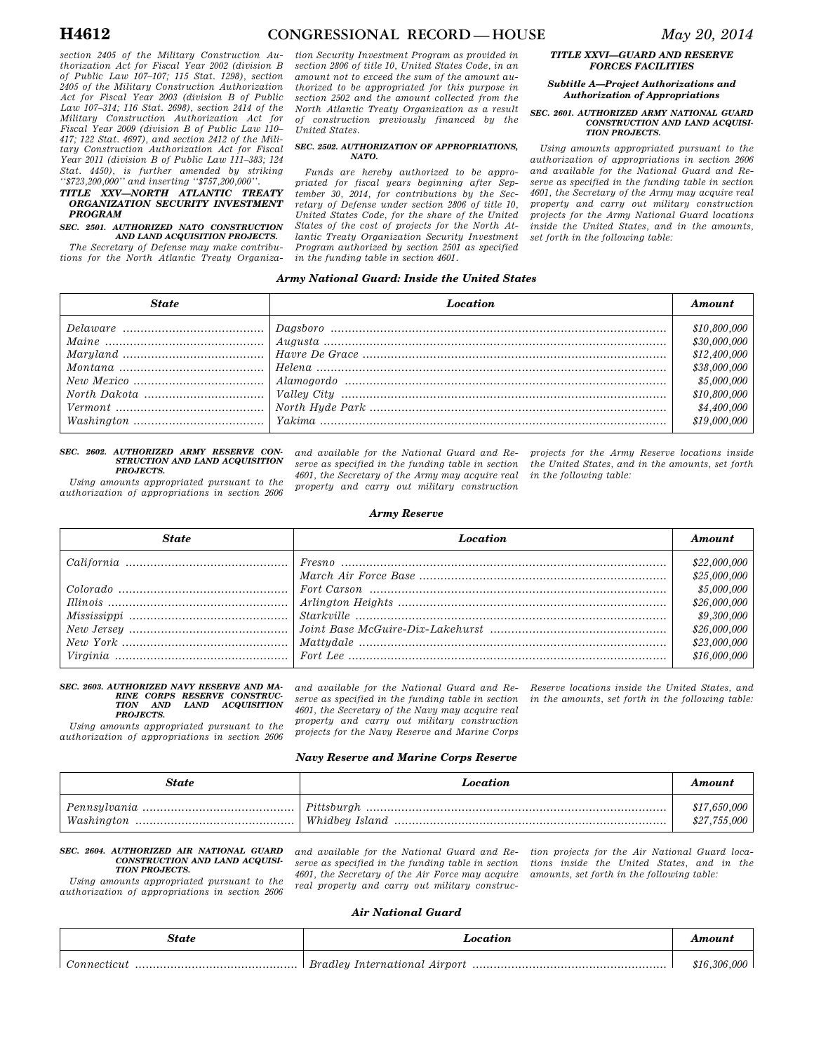*section 2405 of the Military Construction Authorization Act for Fiscal Year 2002 (division B of Public Law 107–107; 115 Stat. 1298), section 2405 of the Military Construction Authorization Act for Fiscal Year 2003 (division B of Public Law 107–314; 116 Stat. 2698), section 2414 of the Military Construction Authorization Act for Fiscal Year 2009 (division B of Public Law 110– 417; 122 Stat. 4697), and section 2412 of the Military Construction Authorization Act for Fiscal Year 2011 (division B of Public Law 111–383; 124 Stat. 4450), is further amended by striking ''\$723,200,000'' and inserting ''\$757,200,000''.* 

# *TITLE XXV—NORTH ATLANTIC TREATY ORGANIZATION SECURITY INVESTMENT PROGRAM*

## *SEC. 2501. AUTHORIZED NATO CONSTRUCTION AND LAND ACQUISITION PROJECTS.*

*The Secretary of Defense may make contributions for the North Atlantic Treaty Organiza-*

### *tion Security Investment Program as provided in section 2806 of title 10, United States Code, in an amount not to exceed the sum of the amount authorized to be appropriated for this purpose in section 2502 and the amount collected from the North Atlantic Treaty Organization as a result of construction previously financed by the United States.*

### *SEC. 2502. AUTHORIZATION OF APPROPRIATIONS, NATO.*

*Funds are hereby authorized to be appropriated for fiscal years beginning after September 30, 2014, for contributions by the Secretary of Defense under section 2806 of title 10, United States Code, for the share of the United States of the cost of projects for the North Atlantic Treaty Organization Security Investment Program authorized by section 2501 as specified in the funding table in section 4601.* 

# *TITLE XXVI—GUARD AND RESERVE FORCES FACILITIES*

# *Subtitle A—Project Authorizations and Authorization of Appropriations*

### *SEC. 2601. AUTHORIZED ARMY NATIONAL GUARD CONSTRUCTION AND LAND ACQUISI-TION PROJECTS.*

*Using amounts appropriated pursuant to the authorization of appropriations in section 2606 and available for the National Guard and Reserve as specified in the funding table in section 4601, the Secretary of the Army may acquire real property and carry out military construction projects for the Army National Guard locations inside the United States, and in the amounts, set forth in the following table:* 

# *Army National Guard: Inside the United States*

| <b>State</b> | <b>Location</b> | Amount                                                                                                                     |
|--------------|-----------------|----------------------------------------------------------------------------------------------------------------------------|
|              |                 | \$10,800,000<br>\$30,000,000<br>\$12,400,000<br>\$38,000,000<br>\$5,000,000<br>\$10,800,000<br>\$4,400,000<br>\$19,000,000 |

#### *SEC. 2602. AUTHORIZED ARMY RESERVE CON-STRUCTION AND LAND ACQUISITION PROJECTS.*

*Using amounts appropriated pursuant to the authorization of appropriations in section 2606* 

*and available for the National Guard and Reserve as specified in the funding table in section 4601, the Secretary of the Army may acquire real property and carry out military construction* 

*projects for the Army Reserve locations inside the United States, and in the amounts, set forth in the following table:* 

# *Army Reserve*

| <b>State</b> | <b>Location</b> | Amount       |
|--------------|-----------------|--------------|
|              |                 | \$22,000,000 |
|              |                 | \$25,000,000 |
|              |                 | \$5,000,000  |
|              |                 | \$26,000,000 |
|              |                 | \$9,300,000  |
|              |                 | \$26,000,000 |
|              |                 | \$23,000,000 |
|              |                 | \$16,000,000 |

# *SEC. 2603. AUTHORIZED NAVY RESERVE AND MA-RINE CORPS RESERVE CONSTRUC-TION AND LAND ACQUISITION PROJECTS.*

*Using amounts appropriated pursuant to the authorization of appropriations in section 2606* 

*and available for the National Guard and Reserve as specified in the funding table in section 4601, the Secretary of the Navy may acquire real property and carry out military construction projects for the Navy Reserve and Marine Corps* 

*Reserve locations inside the United States, and in the amounts, set forth in the following table:* 

# *Navy Reserve and Marine Corps Reserve*

| State | Location | Amount                       |
|-------|----------|------------------------------|
|       |          | \$17,650,000<br>\$27,755,000 |

#### *SEC. 2604. AUTHORIZED AIR NATIONAL GUARD CONSTRUCTION AND LAND ACQUISI-TION PROJECTS.*

*Using amounts appropriated pursuant to the authorization of appropriations in section 2606* 

*and available for the National Guard and Reserve as specified in the funding table in section 4601, the Secretary of the Air Force may acquire real property and carry out military construc-* *tion projects for the Air National Guard locations inside the United States, and in the amounts, set forth in the following table:* 

# *Air National Guard*

| State       | Location | Amount       |
|-------------|----------|--------------|
| Connecticut |          | \$16,306,000 |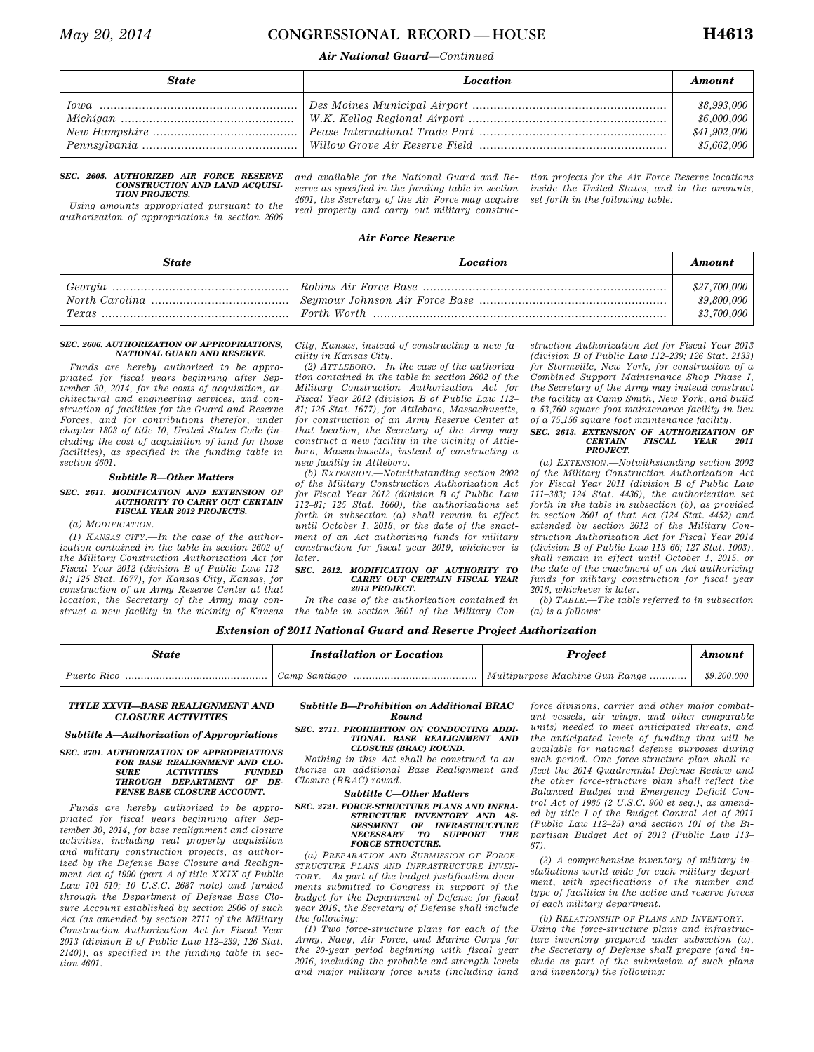### *May 20, 2014* **CONGRESSIONAL RECORD — HOUSE H4613**

### *Air National Guard—Continued*

| <b>State</b> | Location | Amount                                                    |
|--------------|----------|-----------------------------------------------------------|
|              |          | \$8,993,000<br>\$6,000,000<br>\$41,902,000<br>\$5,662,000 |

#### *SEC. 2605. AUTHORIZED AIR FORCE RESERVE CONSTRUCTION AND LAND ACQUISI-TION PROJECTS.*

*Using amounts appropriated pursuant to the authorization of appropriations in section 2606* 

*and available for the National Guard and Reserve as specified in the funding table in section 4601, the Secretary of the Air Force may acquire real property and carry out military construc-* *tion projects for the Air Force Reserve locations inside the United States, and in the amounts, set forth in the following table:* 

#### *Air Force Reserve*

| State | <b>Location</b> | Amount                                     |
|-------|-----------------|--------------------------------------------|
|       |                 | \$27,700,000<br>\$9,800,000<br>\$3,700,000 |

#### *SEC. 2606. AUTHORIZATION OF APPROPRIATIONS, NATIONAL GUARD AND RESERVE.*

*Funds are hereby authorized to be appropriated for fiscal years beginning after September 30, 2014, for the costs of acquisition, architectural and engineering services, and construction of facilities for the Guard and Reserve Forces, and for contributions therefor, under chapter 1803 of title 10, United States Code (including the cost of acquisition of land for those facilities), as specified in the funding table in section 4601.* 

#### *Subtitle B—Other Matters*

#### *SEC. 2611. MODIFICATION AND EXTENSION OF AUTHORITY TO CARRY OUT CERTAIN FISCAL YEAR 2012 PROJECTS.*

*(a) MODIFICATION.—* 

*(1) KANSAS CITY.—In the case of the authorization contained in the table in section 2602 of the Military Construction Authorization Act for Fiscal Year 2012 (division B of Public Law 112– 81; 125 Stat. 1677), for Kansas City, Kansas, for construction of an Army Reserve Center at that location, the Secretary of the Army may construct a new facility in the vicinity of Kansas*  *City, Kansas, instead of constructing a new facility in Kansas City.* 

*(2) ATTLEBORO.—In the case of the authorization contained in the table in section 2602 of the Military Construction Authorization Act for Fiscal Year 2012 (division B of Public Law 112– 81; 125 Stat. 1677), for Attleboro, Massachusetts, for construction of an Army Reserve Center at that location, the Secretary of the Army may construct a new facility in the vicinity of Attleboro, Massachusetts, instead of constructing a new facility in Attleboro.* 

*(b) EXTENSION.—Notwithstanding section 2002 of the Military Construction Authorization Act for Fiscal Year 2012 (division B of Public Law 112–81; 125 Stat. 1660), the authorizations set forth in subsection (a) shall remain in effect until October 1, 2018, or the date of the enactment of an Act authorizing funds for military construction for fiscal year 2019, whichever is later.* 

#### *SEC. 2612. MODIFICATION OF AUTHORITY TO CARRY OUT CERTAIN FISCAL YEAR 2013 PROJECT.*

*In the case of the authorization contained in the table in section 2601 of the Military Con-*

*struction Authorization Act for Fiscal Year 2013 (division B of Public Law 112–239; 126 Stat. 2133) for Stormville, New York, for construction of a Combined Support Maintenance Shop Phase I, the Secretary of the Army may instead construct the facility at Camp Smith, New York, and build a 53,760 square foot maintenance facility in lieu of a 75,156 square foot maintenance facility.* 

#### *SEC. 2613. EXTENSION OF AUTHORIZATION OF*   $CERTAIN$ *PROJECT.*

*(a) EXTENSION.—Notwithstanding section 2002 of the Military Construction Authorization Act for Fiscal Year 2011 (division B of Public Law 111–383; 124 Stat. 4436), the authorization set forth in the table in subsection (b), as provided in section 2601 of that Act (124 Stat. 4452) and extended by section 2612 of the Military Construction Authorization Act for Fiscal Year 2014 (division B of Public Law 113–66; 127 Stat. 1003), shall remain in effect until October 1, 2015, or the date of the enactment of an Act authorizing funds for military construction for fiscal year 2016, whichever is later.* 

*(b) TABLE.—The table referred to in subsection (a) is a follows:* 

#### *Extension of 2011 National Guard and Reserve Project Authorization*

| State       | Installation or Location | Project                        | Amount      |
|-------------|--------------------------|--------------------------------|-------------|
| Puerto Rico | Camp Santiago            | Multipurpose Machine Gun Range | \$9,200,000 |

#### *TITLE XXVII—BASE REALIGNMENT AND CLOSURE ACTIVITIES*

#### *Subtitle A—Authorization of Appropriations*

### *SEC. 2701. AUTHORIZATION OF APPROPRIATIONS FOR BASE REALIGNMENT AND CLO-SURE ACTIVITIES FUNDED THROUGH DEPARTMENT OF DE-FENSE BASE CLOSURE ACCOUNT.*

*Funds are hereby authorized to be appropriated for fiscal years beginning after September 30, 2014, for base realignment and closure activities, including real property acquisition and military construction projects, as authorized by the Defense Base Closure and Realignment Act of 1990 (part A of title XXIX of Public Law 101–510; 10 U.S.C. 2687 note) and funded through the Department of Defense Base Closure Account established by section 2906 of such Act (as amended by section 2711 of the Military Construction Authorization Act for Fiscal Year 2013 (division B of Public Law 112–239; 126 Stat. 2140)), as specified in the funding table in section 4601.* 

#### *Subtitle B—Prohibition on Additional BRAC Round*

### *SEC. 2711. PROHIBITION ON CONDUCTING ADDI-TIONAL BASE REALIGNMENT AND CLOSURE (BRAC) ROUND.*

*Nothing in this Act shall be construed to authorize an additional Base Realignment and Closure (BRAC) round.* 

#### *Subtitle C—Other Matters*

## *SEC. 2721. FORCE-STRUCTURE PLANS AND INFRA-STRUCTURE INVENTORY AND AS-SESSMENT OF INFRASTRUCTURE NECESSARY TO SUPPORT THE FORCE STRUCTURE.*<br>*FORCE STRUCTURE.*<br>*FORCE STRUCTURE.*

*(a) PREPARATION AND SUBMISSION OF FORCE-STRUCTURE PLANS AND INFRASTRUCTURE INVEN-TORY.—As part of the budget justification documents submitted to Congress in support of the budget for the Department of Defense for fiscal year 2016, the Secretary of Defense shall include the following:* 

*(1) Two force-structure plans for each of the Army, Navy, Air Force, and Marine Corps for the 20-year period beginning with fiscal year 2016, including the probable end-strength levels and major military force units (including land* 

*force divisions, carrier and other major combatant vessels, air wings, and other comparable units) needed to meet anticipated threats, and the anticipated levels of funding that will be available for national defense purposes during such period. One force-structure plan shall reflect the 2014 Quadrennial Defense Review and the other force-structure plan shall reflect the Balanced Budget and Emergency Deficit Control Act of 1985 (2 U.S.C. 900 et seq.), as amended by title I of the Budget Control Act of 2011 (Public Law 112–25) and section 101 of the Bipartisan Budget Act of 2013 (Public Law 113– 67).* 

*(2) A comprehensive inventory of military installations world-wide for each military department, with specifications of the number and type of facilities in the active and reserve forces of each military department.* 

*(b) RELATIONSHIP OF PLANS AND INVENTORY.— Using the force-structure plans and infrastructure inventory prepared under subsection (a), the Secretary of Defense shall prepare (and include as part of the submission of such plans and inventory) the following:*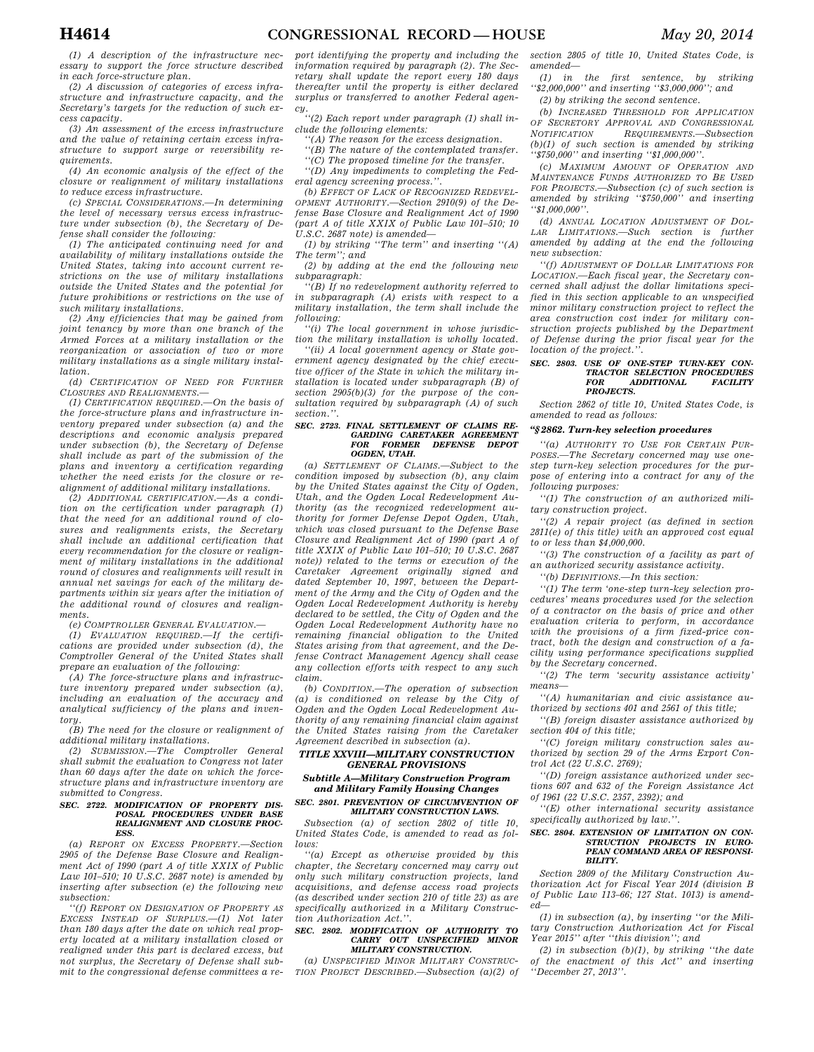*(1) A description of the infrastructure necessary to support the force structure described in each force-structure plan.* 

*(2) A discussion of categories of excess infrastructure and infrastructure capacity, and the Secretary's targets for the reduction of such excess capacity.* 

*(3) An assessment of the excess infrastructure and the value of retaining certain excess infrastructure to support surge or reversibility requirements.* 

*(4) An economic analysis of the effect of the closure or realignment of military installations to reduce excess infrastructure.* 

*(c) SPECIAL CONSIDERATIONS.—In determining the level of necessary versus excess infrastructure under subsection (b), the Secretary of Defense shall consider the following:* 

*(1) The anticipated continuing need for and availability of military installations outside the United States, taking into account current restrictions on the use of military installations outside the United States and the potential for future prohibitions or restrictions on the use of such military installations.* 

*(2) Any efficiencies that may be gained from joint tenancy by more than one branch of the Armed Forces at a military installation or the reorganization or association of two or more military installations as a single military installation.* 

*(d) CERTIFICATION OF NEED FOR FURTHER CLOSURES AND REALIGNMENTS.—* 

*(1) CERTIFICATION REQUIRED.—On the basis of the force-structure plans and infrastructure inventory prepared under subsection (a) and the descriptions and economic analysis prepared under subsection (b), the Secretary of Defense shall include as part of the submission of the plans and inventory a certification regarding whether the need exists for the closure or realignment of additional military installations.* 

*(2) ADDITIONAL CERTIFICATION.—As a condition on the certification under paragraph (1) that the need for an additional round of closures and realignments exists, the Secretary shall include an additional certification that every recommendation for the closure or realignment of military installations in the additional round of closures and realignments will result in annual net savings for each of the military departments within six years after the initiation of the additional round of closures and realignments.* 

*(e) COMPTROLLER GENERAL EVALUATION.—* 

*(1) EVALUATION REQUIRED.—If the certifications are provided under subsection (d), the Comptroller General of the United States shall prepare an evaluation of the following:* 

*(A) The force-structure plans and infrastructure inventory prepared under subsection (a), including an evaluation of the accuracy and analytical sufficiency of the plans and inventory.* 

*(B) The need for the closure or realignment of additional military installations.* 

*(2) SUBMISSION.—The Comptroller General shall submit the evaluation to Congress not later than 60 days after the date on which the forcestructure plans and infrastructure inventory are submitted to Congress.* 

#### *SEC. 2722. MODIFICATION OF PROPERTY DIS-POSAL PROCEDURES UNDER BASE REALIGNMENT AND CLOSURE PROC-ESS.*

*(a) REPORT ON EXCESS PROPERTY.—Section 2905 of the Defense Base Closure and Realignment Act of 1990 (part A of title XXIX of Public Law 101–510; 10 U.S.C. 2687 note) is amended by inserting after subsection (e) the following new subsection:* 

*''(f) REPORT ON DESIGNATION OF PROPERTY AS EXCESS INSTEAD OF SURPLUS.—(1) Not later than 180 days after the date on which real property located at a military installation closed or realigned under this part is declared excess, but not surplus, the Secretary of Defense shall submit to the congressional defense committees a re-*

*port identifying the property and including the information required by paragraph (2). The Secretary shall update the report every 180 days thereafter until the property is either declared surplus or transferred to another Federal agen-*

*cy. ''(2) Each report under paragraph (1) shall include the following elements:* 

*''(A) The reason for the excess designation.* 

*''(B) The nature of the contemplated transfer.* 

*''(C) The proposed timeline for the transfer.* 

*''(D) Any impediments to completing the Federal agency screening process.''.* 

*(b) EFFECT OF LACK OF RECOGNIZED REDEVEL-OPMENT AUTHORITY.—Section 2910(9) of the Defense Base Closure and Realignment Act of 1990 (part A of title XXIX of Public Law 101–510; 10 U.S.C. 2687 note) is amended—* 

*(1) by striking ''The term'' and inserting ''(A) The term''; and* 

*(2) by adding at the end the following new subparagraph:* 

*''(B) If no redevelopment authority referred to in subparagraph (A) exists with respect to a military installation, the term shall include the following:* 

*''(i) The local government in whose jurisdiction the military installation is wholly located.* 

*''(ii) A local government agency or State government agency designated by the chief executive officer of the State in which the military installation is located under subparagraph (B) of section 2905(b)(3) for the purpose of the consultation required by subparagraph (A) of such section.''.* 

### *SEC. 2723. FINAL SETTLEMENT OF CLAIMS RE-GARDING CARETAKER AGREEMENT FOR FORMER DEFENSE DEPOT OGDEN, UTAH.*

*(a) SETTLEMENT OF CLAIMS.—Subject to the condition imposed by subsection (b), any claim by the United States against the City of Ogden, Utah, and the Ogden Local Redevelopment Authority (as the recognized redevelopment authority for former Defense Depot Ogden, Utah, which was closed pursuant to the Defense Base Closure and Realignment Act of 1990 (part A of title XXIX of Public Law 101–510; 10 U.S.C. 2687 note*)) related to the terms or execution of the *Caretaker Agreement originally signed and dated September 10, 1997, between the Department of the Army and the City of Ogden and the Ogden Local Redevelopment Authority is hereby declared to be settled, the City of Ogden and the Ogden Local Redevelopment Authority have no remaining financial obligation to the United States arising from that agreement, and the Defense Contract Management Agency shall cease any collection efforts with respect to any such claim.* 

*(b) CONDITION.—The operation of subsection (a) is conditioned on release by the City of Ogden and the Ogden Local Redevelopment Authority of any remaining financial claim against the United States raising from the Caretaker Agreement described in subsection (a).* 

#### *TITLE XXVIII—MILITARY CONSTRUCTION GENERAL PROVISIONS*

#### *Subtitle A—Military Construction Program and Military Family Housing Changes*

#### *SEC. 2801. PREVENTION OF CIRCUMVENTION OF MILITARY CONSTRUCTION LAWS.*

*Subsection (a) of section 2802 of title 10, United States Code, is amended to read as follows:* 

*''(a) Except as otherwise provided by this chapter, the Secretary concerned may carry out only such military construction projects, land acquisitions, and defense access road projects (as described under section 210 of title 23) as are specifically authorized in a Military Construction Authorization Act.''.* 

#### *SEC. 2802. MODIFICATION OF AUTHORITY TO CARRY OUT UNSPECIFIED MINOR MILITARY CONSTRUCTION.*

*(a) UNSPECIFIED MINOR MILITARY CONSTRUC-TION PROJECT DESCRIBED.—Subsection (a)(2) of*  *section 2805 of title 10, United States Code, is amended—* 

*(1) in the first sentence, by striking ''\$2,000,000'' and inserting ''\$3,000,000''; and (2) by striking the second sentence.* 

*(b) INCREASED THRESHOLD FOR APPLICATION OF SECRETORY APPROVAL AND CONGRESSIONAL*  $REQUIREMENTS. -Subsection$ *(b)(1) of such section is amended by striking ''\$750,000'' and inserting ''\$1,000,000''.* 

*(c) MAXIMUM AMOUNT OF OPERATION AND MAINTENANCE FUNDS AUTHORIZED TO BE USED FOR PROJECTS.—Subsection (c) of such section is amended by striking ''\$750,000'' and inserting ''\$1,000,000''.* 

*(d) ANNUAL LOCATION ADJUSTMENT OF DOL-LAR LIMITATIONS.—Such section is further amended by adding at the end the following new subsection:* 

*''(f) ADJUSTMENT OF DOLLAR LIMITATIONS FOR LOCATION.—Each fiscal year, the Secretary concerned shall adjust the dollar limitations specified in this section applicable to an unspecified minor military construction project to reflect the area construction cost index for military construction projects published by the Department of Defense during the prior fiscal year for the location of the project.''.* 

#### *SEC. 2803. USE OF ONE-STEP TURN-KEY CON-***TRACTOR SELECTION PROCEDURES**<br> **FOR** ADDITIONAL FACILITY *ADDITIONAL PROJECTS.*

*Section 2862 of title 10, United States Code, is amended to read as follows:* 

#### *''§ 2862. Turn-key selection procedures*

*''(a) AUTHORITY TO USE FOR CERTAIN PUR-POSES.—The Secretary concerned may use onestep turn-key selection procedures for the purpose of entering into a contract for any of the following purposes:* 

*''(1) The construction of an authorized military construction project.* 

*''(2) A repair project (as defined in section 2811(e) of this title) with an approved cost equal to or less than \$4,000,000.* 

*''(3) The construction of a facility as part of an authorized security assistance activity.* 

*''(b) DEFINITIONS.—In this section:* 

*''(1) The term 'one-step turn-key selection procedures' means procedures used for the selection of a contractor on the basis of price and other evaluation criteria to perform, in accordance with the provisions of a firm fixed-price contract, both the design and construction of a facility using performance specifications supplied by the Secretary concerned.* 

*''(2) The term 'security assistance activity' means—* 

*''(A) humanitarian and civic assistance authorized by sections 401 and 2561 of this title;* 

*''(B) foreign disaster assistance authorized by section 404 of this title;* 

*''(C) foreign military construction sales authorized by section 29 of the Arms Export Control Act (22 U.S.C. 2769);* 

*''(D) foreign assistance authorized under sections 607 and 632 of the Foreign Assistance Act of 1961 (22 U.S.C. 2357, 2392); and* 

*''(E) other international security assistance specifically authorized by law.''.* 

### *SEC. 2804. EXTENSION OF LIMITATION ON CON-STRUCTION PROJECTS IN EURO-PEAN COMMAND AREA OF RESPONSI-BILITY.*

*Section 2809 of the Military Construction Authorization Act for Fiscal Year 2014 (division B of Public Law 113–66; 127 Stat. 1013) is amended—* 

*(1) in subsection (a), by inserting ''or the Military Construction Authorization Act for Fiscal Year 2015'' after ''this division''; and* 

*(2) in subsection (b)(1), by striking ''the date of the enactment of this Act'' and inserting ''December 27, 2013''.*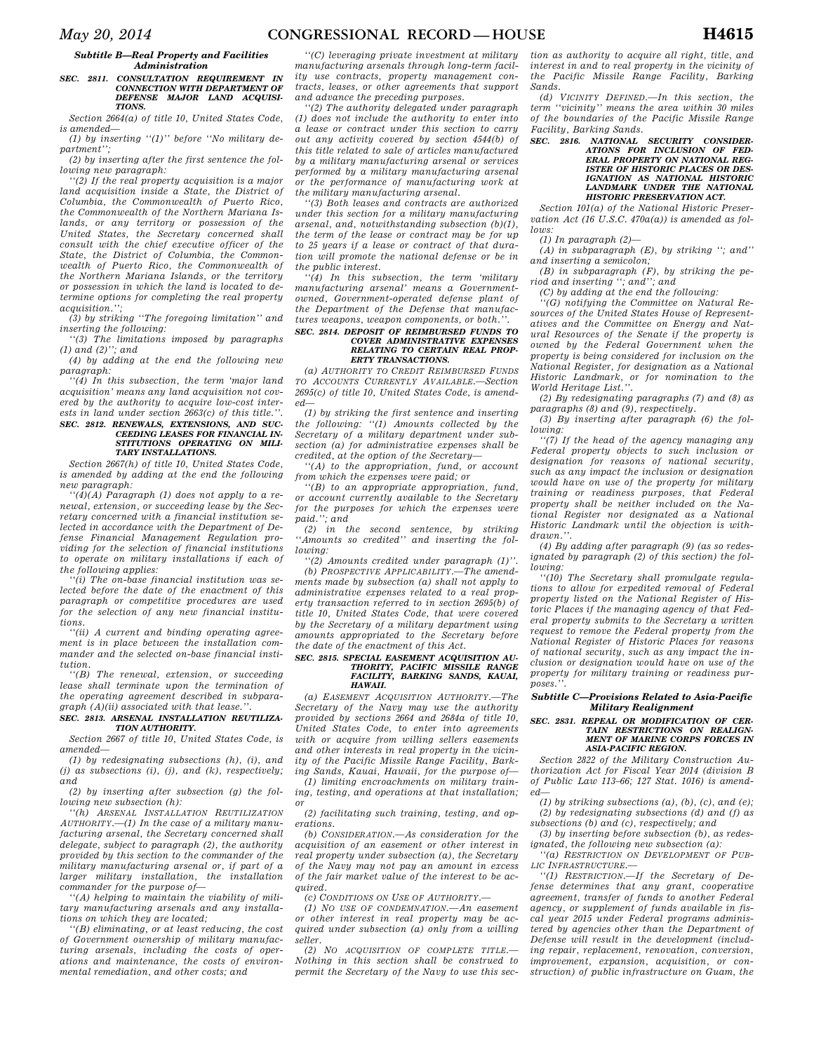#### *Subtitle B—Real Property and Facilities Administration*

#### *SEC. 2811. CONSULTATION REQUIREMENT IN CONNECTION WITH DEPARTMENT OF DEFENSE MAJOR LAND ACQUISI-TIONS.*

*Section 2664(a) of title 10, United States Code, is amended—* 

*(1) by inserting ''(1)'' before ''No military department'';* 

*(2) by inserting after the first sentence the following new paragraph:* 

*''(2) If the real property acquisition is a major land acquisition inside a State, the District of Columbia, the Commonwealth of Puerto Rico, the Commonwealth of the Northern Mariana Islands, or any territory or possession of the United States, the Secretary concerned shall consult with the chief executive officer of the State, the District of Columbia, the Commonwealth of Puerto Rico, the Commonwealth of the Northern Mariana Islands, or the territory or possession in which the land is located to determine options for completing the real property acquisition.'';* 

*(3) by striking ''The foregoing limitation'' and inserting the following:* 

*''(3) The limitations imposed by paragraphs (1) and (2)''; and* 

*(4) by adding at the end the following new paragraph:* 

*''(4) In this subsection, the term 'major land acquisition' means any land acquisition not covered by the authority to acquire low-cost interests in land under section 2663(c) of this title.''.* 

### *SEC. 2812. RENEWALS, EXTENSIONS, AND SUC-CEEDING LEASES FOR FINANCIAL IN-STITUTIONS OPERATING ON MILI-TARY INSTALLATIONS.*

*Section 2667(h) of title 10, United States Code, is amended by adding at the end the following new paragraph:* 

*''(4)(A) Paragraph (1) does not apply to a renewal, extension, or succeeding lease by the Secretary concerned with a financial institution selected in accordance with the Department of Defense Financial Management Regulation providing for the selection of financial institutions to operate on military installations if each of the following applies:* 

*''(i) The on-base financial institution was selected before the date of the enactment of this paragraph or competitive procedures are used for the selection of any new financial institutions.* 

*''(ii) A current and binding operating agreement is in place between the installation commander and the selected on-base financial institution.* 

*''(B) The renewal, extension, or succeeding lease shall terminate upon the termination of the operating agreement described in subparagraph (A)(ii) associated with that lease.''.* 

#### *SEC. 2813. ARSENAL INSTALLATION REUTILIZA-TION AUTHORITY.*

*Section 2667 of title 10, United States Code, is amended—* 

*(1) by redesignating subsections (h), (i), and (j) as subsections (i), (j), and (k), respectively; and* 

*(2) by inserting after subsection (g) the following new subsection (h):* 

*''(h) ARSENAL INSTALLATION REUTILIZATION AUTHORITY.—(1) In the case of a military manufacturing arsenal, the Secretary concerned shall delegate, subject to paragraph (2), the authority provided by this section to the commander of the military manufacturing arsenal or, if part of a larger military installation, the installation commander for the purpose of—* 

*''(A) helping to maintain the viability of military manufacturing arsenals and any installations on which they are located;* 

*''(B) eliminating, or at least reducing, the cost of Government ownership of military manufacturing arsenals, including the costs of operations and maintenance, the costs of environmental remediation, and other costs; and* 

*''(C) leveraging private investment at military manufacturing arsenals through long-term facility use contracts, property management contracts, leases, or other agreements that support and advance the preceding purposes.* 

*''(2) The authority delegated under paragraph (1) does not include the authority to enter into a lease or contract under this section to carry out any activity covered by section 4544(b) of this title related to sale of articles manufactured by a military manufacturing arsenal or services performed by a military manufacturing arsenal or the performance of manufacturing work at the military manufacturing arsenal.* 

*''(3) Both leases and contracts are authorized under this section for a military manufacturing arsenal, and, notwithstanding subsection (b)(1), the term of the lease or contract may be for up to 25 years if a lease or contract of that duration will promote the national defense or be in the public interest.* 

*''(4) In this subsection, the term 'military manufacturing arsenal' means a Governmentowned, Government-operated defense plant of the Department of the Defense that manufactures weapons, weapon components, or both.''.* 

#### *SEC. 2814. DEPOSIT OF REIMBURSED FUNDS TO COVER ADMINISTRATIVE EXPENSES RELATING TO CERTAIN REAL PROP-ERTY TRANSACTIONS.*

*(a) AUTHORITY TO CREDIT REIMBURSED FUNDS TO ACCOUNTS CURRENTLY AVAILABLE.—Section 2695(c) of title 10, United States Code, is amended—* 

*(1) by striking the first sentence and inserting the following: ''(1) Amounts collected by the Secretary of a military department under subsection (a) for administrative expenses shall be credited, at the option of the Secretary—* 

*''(A) to the appropriation, fund, or account from which the expenses were paid; or* 

*''(B) to an appropriate appropriation, fund, or account currently available to the Secretary for the purposes for which the expenses were paid.''; and* 

*(2) in the second sentence, by striking ''Amounts so credited'' and inserting the following:* 

*''(2) Amounts credited under paragraph (1)''. (b) PROSPECTIVE APPLICABILITY.—The amendments made by subsection (a) shall not apply to administrative expenses related to a real property transaction referred to in section 2695(b) of title 10, United States Code, that were covered by the Secretary of a military department using amounts appropriated to the Secretary before the date of the enactment of this Act.* 

### *SEC. 2815. SPECIAL EASEMENT ACQUISITION AU-THORITY, PACIFIC MISSILE RANGE FACILITY, BARKING SANDS, KAUAI, HAWAII.*

*(a) EASEMENT ACQUISITION AUTHORITY.—The Secretary of the Navy may use the authority provided by sections 2664 and 2684a of title 10, United States Code, to enter into agreements with or acquire from willing sellers easements and other interests in real property in the vicinity of the Pacific Missile Range Facility, Barking Sands, Kauai, Hawaii, for the purpose of—* 

*(1) limiting encroachments on military training, testing, and operations at that installation; or* 

*(2) facilitating such training, testing, and operations.* 

*(b) CONSIDERATION.—As consideration for the acquisition of an easement or other interest in real property under subsection (a), the Secretary of the Navy may not pay an amount in excess of the fair market value of the interest to be acquired.* 

*(c) CONDITIONS ON USE OF AUTHORITY.—* 

*(1) NO USE OF CONDEMNATION.—An easement or other interest in real property may be acquired under subsection (a) only from a willing seller.* 

*(2) NO ACQUISITION OF COMPLETE TITLE.— Nothing in this section shall be construed to permit the Secretary of the Navy to use this sec-*

*tion as authority to acquire all right, title, and interest in and to real property in the vicinity of the Pacific Missile Range Facility, Barking Sands.* 

*(d) VICINITY DEFINED.—In this section, the term ''vicinity'' means the area within 30 miles of the boundaries of the Pacific Missile Range Facility, Barking Sands.* 

### *SEC. 2816. NATIONAL SECURITY CONSIDER-ATIONS FOR INCLUSION OF FED-ERAL PROPERTY ON NATIONAL REG-ISTER OF HISTORIC PLACES OR DES-IGNATION AS NATIONAL HISTORIC LANDMARK UNDER THE NATIONAL HISTORIC PRESERVATION ACT.*

*Section 101(a) of the National Historic Preservation Act (16 U.S.C. 470a(a)) is amended as follows:* 

*(1) In paragraph (2)—* 

*(A) in subparagraph (E), by striking ''; and'' and inserting a semicolon;* 

*(B) in subparagraph (F), by striking the period and inserting ''; and''; and* 

*(C) by adding at the end the following:* 

*''(G) notifying the Committee on Natural Resources of the United States House of Representatives and the Committee on Energy and Natural Resources of the Senate if the property is owned by the Federal Government when the property is being considered for inclusion on the National Register, for designation as a National Historic Landmark, or for nomination to the World Heritage List.''.* 

*(2) By redesignating paragraphs (7) and (8) as paragraphs (8) and (9), respectively.* 

*(3) By inserting after paragraph (6) the following:* 

*''(7) If the head of the agency managing any Federal property objects to such inclusion or designation for reasons of national security, such as any impact the inclusion or designation would have on use of the property for military training or readiness purposes, that Federal property shall be neither included on the National Register nor designated as a National Historic Landmark until the objection is withdrawn.''.* 

*(4) By adding after paragraph (9) (as so redesignated by paragraph (2) of this section) the following:* 

*''(10) The Secretary shall promulgate regulations to allow for expedited removal of Federal property listed on the National Register of Historic Places if the managing agency of that Federal property submits to the Secretary a written request to remove the Federal property from the National Register of Historic Places for reasons of national security, such as any impact the inclusion or designation would have on use of the property for military training or readiness purposes.''.* 

#### *Subtitle C—Provisions Related to Asia-Pacific Military Realignment*

### *SEC. 2831. REPEAL OR MODIFICATION OF CER-TAIN RESTRICTIONS ON REALIGN-MENT OF MARINE CORPS FORCES IN ASIA-PACIFIC REGION.*

*Section 2822 of the Military Construction Authorization Act for Fiscal Year 2014 (division B of Public Law 113–66; 127 Stat. 1016) is amended—* 

*(1) by striking subsections (a), (b), (c), and (e); (2) by redesignating subsections (d) and (f) as subsections (b) and (c), respectively; and* 

*(3) by inserting before subsection (b), as redesignated, the following new subsection (a):* 

*''(a) RESTRICTION ON DEVELOPMENT OF PUB-LIC INFRASTRUCTURE.—* 

*''(1) RESTRICTION.—If the Secretary of Defense determines that any grant, cooperative agreement, transfer of funds to another Federal agency, or supplement of funds available in fiscal year 2015 under Federal programs administered by agencies other than the Department of Defense will result in the development (including repair, replacement, renovation, conversion, improvement, expansion, acquisition, or construction) of public infrastructure on Guam, the*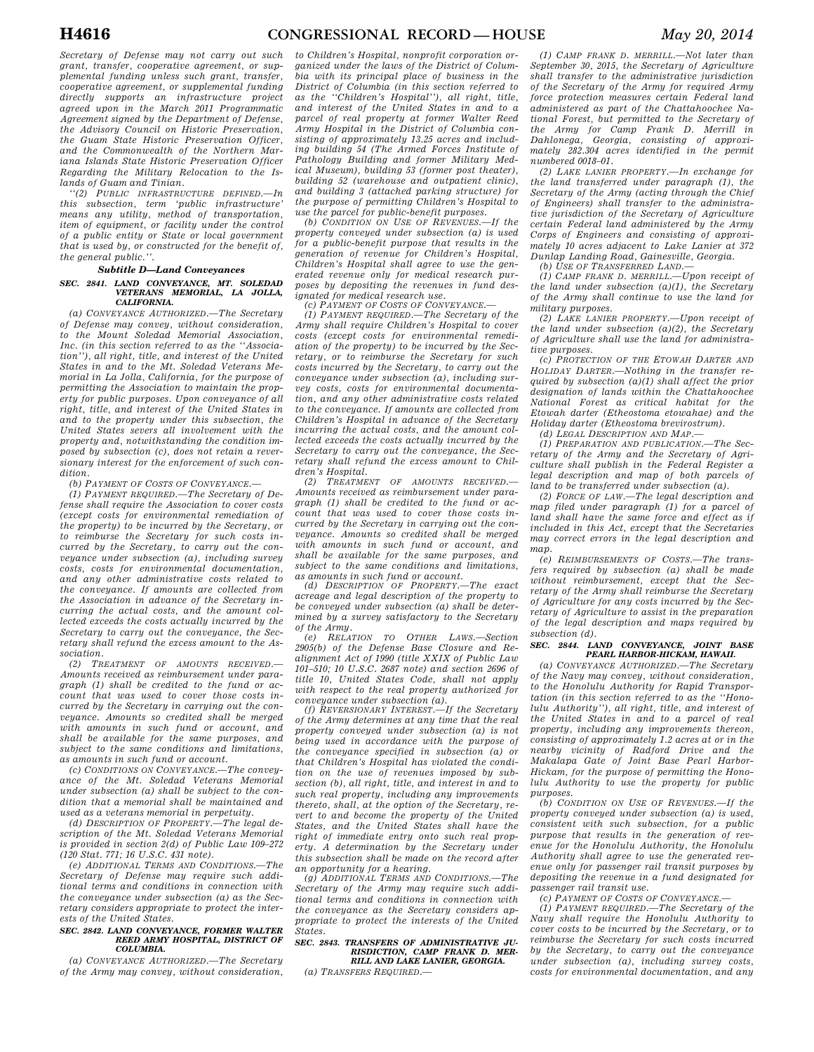*Secretary of Defense may not carry out such grant, transfer, cooperative agreement, or supplemental funding unless such grant, transfer, cooperative agreement, or supplemental funding directly supports an infrastructure project agreed upon in the March 2011 Programmatic Agreement signed by the Department of Defense, the Advisory Council on Historic Preservation, the Guam State Historic Preservation Officer, and the Commonwealth of the Northern Mariana Islands State Historic Preservation Officer Regarding the Military Relocation to the Islands of Guam and Tinian.* 

*''(2) PUBLIC INFRASTRUCTURE DEFINED.—In this subsection, term 'public infrastructure' means any utility, method of transportation, item of equipment, or facility under the control of a public entity or State or local government that is used by, or constructed for the benefit of, the general public.''.* 

### *Subtitle D—Land Conveyances*

#### *SEC. 2841. LAND CONVEYANCE, MT. SOLEDAD VETERANS MEMORIAL, LA JOLLA, CALIFORNIA.*

*(a) CONVEYANCE AUTHORIZED.—The Secretary of Defense may convey, without consideration, to the Mount Soledad Memorial Association, Inc. (in this section referred to as the ''Association''), all right, title, and interest of the United States in and to the Mt. Soledad Veterans Memorial in La Jolla, California, for the purpose of permitting the Association to maintain the property for public purposes. Upon conveyance of all right, title, and interest of the United States in and to the property under this subsection, the United States severs all involvement with the property and, notwithstanding the condition imposed by subsection (c), does not retain a reversionary interest for the enforcement of such condition.* 

*(b) PAYMENT OF COSTS OF CONVEYANCE.—* 

*(1) PAYMENT REQUIRED.—The Secretary of Defense shall require the Association to cover costs (except costs for environmental remediation of the property) to be incurred by the Secretary, or to reimburse the Secretary for such costs incurred by the Secretary, to carry out the conveyance under subsection (a), including survey costs, costs for environmental documentation, and any other administrative costs related to the conveyance. If amounts are collected from the Association in advance of the Secretary incurring the actual costs, and the amount collected exceeds the costs actually incurred by the Secretary to carry out the conveyance, the Secretary shall refund the excess amount to the Association.* 

*(2) TREATMENT OF AMOUNTS RECEIVED.— Amounts received as reimbursement under paragraph (1) shall be credited to the fund or account that was used to cover those costs incurred by the Secretary in carrying out the conveyance. Amounts so credited shall be merged with amounts in such fund or account, and shall be available for the same purposes, and subject to the same conditions and limitations, as amounts in such fund or account.* 

*(c) CONDITIONS ON CONVEYANCE.—The conveyance of the Mt. Soledad Veterans Memorial under subsection (a) shall be subject to the condition that a memorial shall be maintained and used as a veterans memorial in perpetuity.* 

*(d) DESCRIPTION OF PROPERTY.—The legal description of the Mt. Soledad Veterans Memorial is provided in section 2(d) of Public Law 109–272 (120 Stat. 771; 16 U.S.C. 431 note).* 

*(e) ADDITIONAL TERMS AND CONDITIONS.—The Secretary of Defense may require such additional terms and conditions in connection with the conveyance under subsection (a) as the Secretary considers appropriate to protect the interests of the United States.* 

#### *SEC. 2842. LAND CONVEYANCE, FORMER WALTER REED ARMY HOSPITAL, DISTRICT OF COLUMBIA.*

*(a) CONVEYANCE AUTHORIZED.—The Secretary of the Army may convey, without consideration,* 

*to Children's Hospital, nonprofit corporation organized under the laws of the District of Columbia with its principal place of business in the District of Columbia (in this section referred to as the ''Children's Hospital''), all right, title, and interest of the United States in and to a parcel of real property at former Walter Reed Army Hospital in the District of Columbia consisting of approximately 13.25 acres and including building 54 (The Armed Forces Institute of Pathology Building and former Military Medical Museum), building 53 (former post theater), building 52 (warehouse and outpatient clinic), and building 3 (attached parking structure) for the purpose of permitting Children's Hospital to* 

*use the parcel for public-benefit purposes. (b) CONDITION ON USE OF REVENUES.—If the property conveyed under subsection (a) is used for a public-benefit purpose that results in the generation of revenue for Children's Hospital, Children's Hospital shall agree to use the generated revenue only for medical research purposes by depositing the revenues in fund designated for medical research use.* 

*(c) PAYMENT OF COSTS OF CONVEYANCE.—* 

*(1) PAYMENT REQUIRED.—The Secretary of the Army shall require Children's Hospital to cover costs (except costs for environmental remediation of the property) to be incurred by the Secretary, or to reimburse the Secretary for such costs incurred by the Secretary, to carry out the conveyance under subsection (a), including survey costs, costs for environmental documentation, and any other administrative costs related to the conveyance. If amounts are collected from Children's Hospital in advance of the Secretary incurring the actual costs, and the amount collected exceeds the costs actually incurred by the Secretary to carry out the conveyance, the Secretary shall refund the excess amount to Children's Hospital.* 

*(2) TREATMENT OF AMOUNTS RECEIVED.— Amounts received as reimbursement under paragraph (1) shall be credited to the fund or account that was used to cover those costs incurred by the Secretary in carrying out the conveyance. Amounts so credited shall be merged with amounts in such fund or account, and shall be available for the same purposes, and subject to the same conditions and limitations,* 

*as amounts in such fund or account. (d) DESCRIPTION OF PROPERTY.—The exact acreage and legal description of the property to be conveyed under subsection (a) shall be determined by a survey satisfactory to the Secretary of the Army.* 

*(e) RELATION TO OTHER LAWS.—Section 2905(b) of the Defense Base Closure and Realignment Act of 1990 (title XXIX of Public Law 101–510; 10 U.S.C. 2687 note) and section 2696 of title 10, United States Code, shall not apply with respect to the real property authorized for conveyance under subsection (a).* 

*(f) REVERSIONARY INTEREST.—If the Secretary of the Army determines at any time that the real property conveyed under subsection (a) is not being used in accordance with the purpose of the conveyance specified in subsection (a) or that Children's Hospital has violated the condition on the use of revenues imposed by subsection (b), all right, title, and interest in and to such real property, including any improvements thereto, shall, at the option of the Secretary, revert to and become the property of the United States, and the United States shall have the right of immediate entry onto such real property. A determination by the Secretary under this subsection shall be made on the record after an opportunity for a hearing.* 

*(g) ADDITIONAL TERMS AND CONDITIONS.—The Secretary of the Army may require such additional terms and conditions in connection with the conveyance as the Secretary considers appropriate to protect the interests of the United States.* 

#### *SEC. 2843. TRANSFERS OF ADMINISTRATIVE JU-RISDICTION, CAMP FRANK D. MER-RILL AND LAKE LANIER, GEORGIA.*

*(a) TRANSFERS REQUIRED.—* 

*(1) CAMP FRANK D. MERRILL.—Not later than September 30, 2015, the Secretary of Agriculture shall transfer to the administrative jurisdiction of the Secretary of the Army for required Army force protection measures certain Federal land administered as part of the Chattahoochee National Forest, but permitted to the Secretary of the Army for Camp Frank D. Merrill in Dahlonega, Georgia, consisting of approximately 282.304 acres identified in the permit numbered 0018–01.* 

*(2) LAKE LANIER PROPERTY.—In exchange for the land transferred under paragraph (1), the Secretary of the Army (acting through the Chief of Engineers) shall transfer to the administrative jurisdiction of the Secretary of Agriculture certain Federal land administered by the Army Corps of Engineers and consisting of approximately 10 acres adjacent to Lake Lanier at 372 Dunlap Landing Road, Gainesville, Georgia. (b) USE OF TRANSFERRED LAND.—* 

*(1) CAMP FRANK D. MERRILL.—Upon receipt of the land under subsection (a)(1), the Secretary of the Army shall continue to use the land for military purposes.* 

*(2) LAKE LANIER PROPERTY.—Upon receipt of the land under subsection (a)(2), the Secretary of Agriculture shall use the land for administrative purposes.* 

*(c) PROTECTION OF THE ETOWAH DARTER AND HOLIDAY DARTER.—Nothing in the transfer required by subsection (a)(1) shall affect the prior designation of lands within the Chattahoochee National Forest as critical habitat for the Etowah darter (Etheostoma etowahae) and the Holiday darter (Etheostoma brevirostrum).* 

*(d) LEGAL DESCRIPTION AND MAP.—* 

*(1) PREPARATION AND PUBLICATION.—The Secretary of the Army and the Secretary of Agriculture shall publish in the Federal Register a legal description and map of both parcels of land to be transferred under subsection (a).* 

*(2) FORCE OF LAW.—The legal description and map filed under paragraph (1) for a parcel of land shall have the same force and effect as if included in this Act, except that the Secretaries may correct errors in the legal description and map.* 

*(e) REIMBURSEMENTS OF COSTS.—The transfers required by subsection (a) shall be made without reimbursement, except that the Secretary of the Army shall reimburse the Secretary of Agriculture for any costs incurred by the Secretary of Agriculture to assist in the preparation of the legal description and maps required by subsection (d).* 

#### *SEC. 2844. LAND CONVEYANCE, JOINT BASE PEARL HARBOR-HICKAM, HAWAII.*

*(a) CONVEYANCE AUTHORIZED.—The Secretary of the Navy may convey, without consideration, to the Honolulu Authority for Rapid Transportation (in this section referred to as the ''Honolulu Authority''), all right, title, and interest of the United States in and to a parcel of real property, including any improvements thereon, consisting of approximately 1.2 acres at or in the nearby vicinity of Radford Drive and the Makalapa Gate of Joint Base Pearl Harbor-Hickam, for the purpose of permitting the Honolulu Authority to use the property for public purposes.* 

*(b) CONDITION ON USE OF REVENUES.—If the property conveyed under subsection (a) is used, consistent with such subsection, for a public purpose that results in the generation of revenue for the Honolulu Authority, the Honolulu Authority shall agree to use the generated revenue only for passenger rail transit purposes by depositing the revenue in a fund designated for passenger rail transit use.* 

*(c) PAYMENT OF COSTS OF CONVEYANCE.—* 

*(1) PAYMENT REQUIRED.—The Secretary of the Navy shall require the Honolulu Authority to cover costs to be incurred by the Secretary, or to reimburse the Secretary for such costs incurred by the Secretary, to carry out the conveyance under subsection (a), including survey costs, costs for environmental documentation, and any*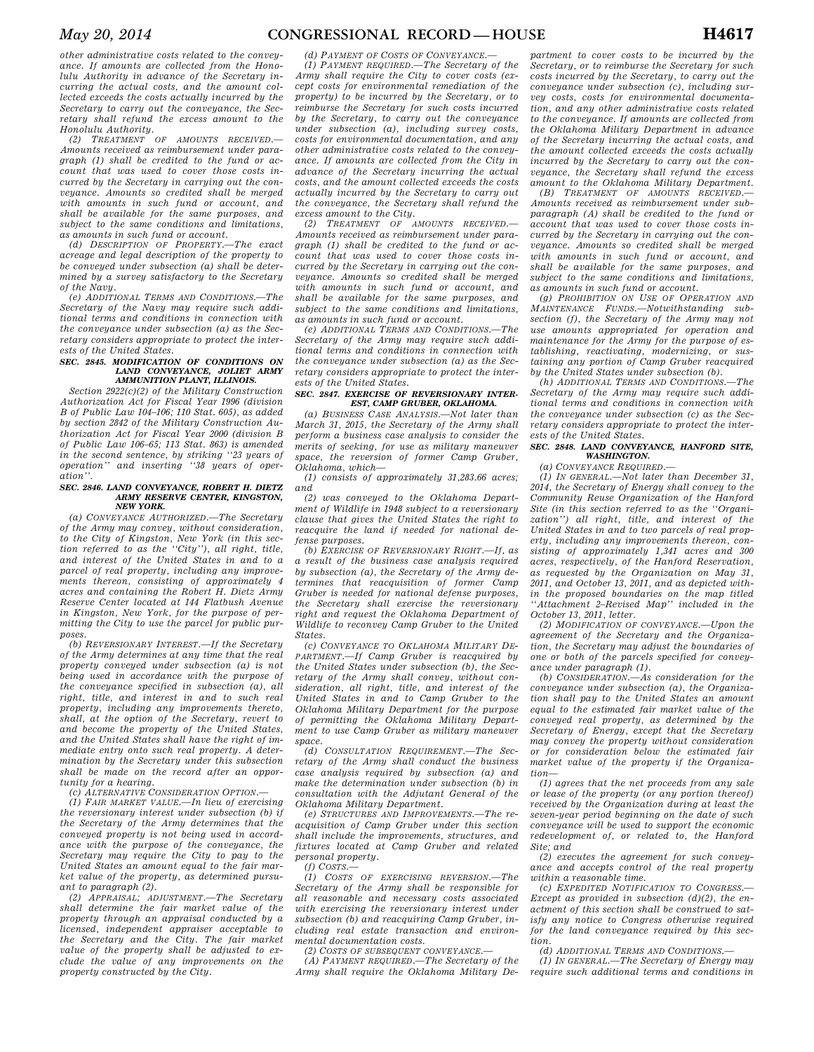*other administrative costs related to the conveyance. If amounts are collected from the Honolulu Authority in advance of the Secretary incurring the actual costs, and the amount collected exceeds the costs actually incurred by the Secretary to carry out the conveyance, the Secretary shall refund the excess amount to the Honolulu Authority.* 

*(2) TREATMENT OF AMOUNTS RECEIVED. Amounts received as reimbursement under paragraph (1) shall be credited to the fund or account that was used to cover those costs incurred by the Secretary in carrying out the conveyance. Amounts so credited shall be merged with amounts in such fund or account, and shall be available for the same purposes, and subject to the same conditions and limitations, as amounts in such fund or account.* 

*(d) DESCRIPTION OF PROPERTY.—The exact acreage and legal description of the property to be conveyed under subsection (a) shall be determined by a survey satisfactory to the Secretary of the Navy.* 

*(e) ADDITIONAL TERMS AND CONDITIONS.—The Secretary of the Navy may require such additional terms and conditions in connection with the conveyance under subsection (a) as the Secretary considers appropriate to protect the interests of the United States.* 

#### *SEC. 2845. MODIFICATION OF CONDITIONS ON LAND CONVEYANCE, JOLIET ARMY AMMUNITION PLANT, ILLINOIS.*

*Section 2922(c)(2) of the Military Construction Authorization Act for Fiscal Year 1996 (division B of Public Law 104–106; 110 Stat. 605), as added by section 2842 of the Military Construction Authorization Act for Fiscal Year 2000 (division B of Public Law 106–65; 113 Stat. 863) is amended in the second sentence, by striking ''23 years of operation'' and inserting ''38 years of operation''.* 

#### *SEC. 2846. LAND CONVEYANCE, ROBERT H. DIETZ ARMY RESERVE CENTER, KINGSTON, NEW YORK.*

*(a) CONVEYANCE AUTHORIZED.—The Secretary of the Army may convey, without consideration, to the City of Kingston, New York (in this section referred to as the ''City''), all right, title, and interest of the United States in and to a parcel of real property, including any improvements thereon, consisting of approximately 4 acres and containing the Robert H. Dietz Army Reserve Center located at 144 Flatbush Avenue in Kingston, New York, for the purpose of permitting the City to use the parcel for public purposes.* 

*(b) REVERSIONARY INTEREST.—If the Secretary of the Army determines at any time that the real property conveyed under subsection (a) is not being used in accordance with the purpose of the conveyance specified in subsection (a), all right, title, and interest in and to such real property, including any improvements thereto, shall, at the option of the Secretary, revert to and become the property of the United States, and the United States shall have the right of immediate entry onto such real property. A determination by the Secretary under this subsection shall be made on the record after an opportunity for a hearing.* 

#### *(c) ALTERNATIVE CONSIDERATION OPTION.—*

*(1) FAIR MARKET VALUE.—In lieu of exercising the reversionary interest under subsection (b) if the Secretary of the Army determines that the conveyed property is not being used in accordance with the purpose of the conveyance, the Secretary may require the City to pay to the United States an amount equal to the fair market value of the property, as determined pursuant to paragraph (2).* 

*(2) APPRAISAL; ADJUSTMENT.—The Secretary shall determine the fair market value of the property through an appraisal conducted by a licensed, independent appraiser acceptable to the Secretary and the City. The fair market value of the property shall be adjusted to exclude the value of any improvements on the property constructed by the City.* 

*(d) PAYMENT OF COSTS OF CONVEYANCE.— (1) PAYMENT REQUIRED.—The Secretary of the Army shall require the City to cover costs (except costs for environmental remediation of the property) to be incurred by the Secretary, or to reimburse the Secretary for such costs incurred by the Secretary, to carry out the conveyance under subsection (a), including survey costs, costs for environmental documentation, and any other administrative costs related to the conveyance. If amounts are collected from the City in advance of the Secretary incurring the actual costs, and the amount collected exceeds the costs actually incurred by the Secretary to carry out the conveyance, the Secretary shall refund the excess amount to the City.* 

*(2) TREATMENT OF AMOUNTS RECEIVED.— Amounts received as reimbursement under paragraph (1) shall be credited to the fund or account that was used to cover those costs incurred by the Secretary in carrying out the conveyance. Amounts so credited shall be merged with amounts in such fund or account, and shall be available for the same purposes, and subject to the same conditions and limitations, as amounts in such fund or account.* 

*(e) ADDITIONAL TERMS AND CONDITIONS.—The Secretary of the Army may require such additional terms and conditions in connection with the conveyance under subsection (a) as the Secretary considers appropriate to protect the interests of the United States.* 

#### *SEC. 2847. EXERCISE OF REVERSIONARY INTER-EST, CAMP GRUBER, OKLAHOMA.*

*(a) BUSINESS CASE ANALYSIS.—Not later than March 31, 2015, the Secretary of the Army shall perform a business case analysis to consider the merits of seeking, for use as military maneuver space, the reversion of former Camp Gruber, Oklahoma, which—* 

*(1) consists of approximately 31,283.66 acres; and* 

*(2) was conveyed to the Oklahoma Department of Wildlife in 1948 subject to a reversionary clause that gives the United States the right to reacquire the land if needed for national defense purposes.* 

*(b) EXERCISE OF REVERSIONARY RIGHT.—If, as a result of the business case analysis required by subsection (a), the Secretary of the Army determines that reacquisition of former Camp Gruber is needed for national defense purposes, the Secretary shall exercise the reversionary right and request the Oklahoma Department of Wildlife to reconvey Camp Gruber to the United States.* 

*(c) CONVEYANCE TO OKLAHOMA MILITARY DE-PARTMENT.—If Camp Gruber is reacquired by the United States under subsection (b), the Secretary of the Army shall convey, without consideration, all right, title, and interest of the United States in and to Camp Gruber to the Oklahoma Military Department for the purpose of permitting the Oklahoma Military Department to use Camp Gruber as military maneuver space.* 

*(d) CONSULTATION REQUIREMENT.—The Secretary of the Army shall conduct the business case analysis required by subsection (a) and make the determination under subsection (b) in consultation with the Adjutant General of the Oklahoma Military Department.* 

*(e) STRUCTURES AND IMPROVEMENTS.—The reacquisition of Camp Gruber under this section shall include the improvements, structures, and fixtures located at Camp Gruber and related personal property.* 

*(f) COSTS.—* 

*(1) COSTS OF EXERCISING REVERSION.—The Secretary of the Army shall be responsible for all reasonable and necessary costs associated with exercising the reversionary interest under subsection (b) and reacquiring Camp Gruber, including real estate transaction and environmental documentation costs.* 

*(2) COSTS OF SUBSEQUENT CONVEYANCE.—* 

*(A) PAYMENT REQUIRED.—The Secretary of the Army shall require the Oklahoma Military De-*

*partment to cover costs to be incurred by the Secretary, or to reimburse the Secretary for such costs incurred by the Secretary, to carry out the conveyance under subsection (c), including survey costs, costs for environmental documentation, and any other administrative costs related to the conveyance. If amounts are collected from the Oklahoma Military Department in advance of the Secretary incurring the actual costs, and the amount collected exceeds the costs actually incurred by the Secretary to carry out the conveyance, the Secretary shall refund the excess amount to the Oklahoma Military Department.* 

*(B) TREATMENT OF AMOUNTS RECEIVED.— Amounts received as reimbursement under subparagraph (A) shall be credited to the fund or account that was used to cover those costs incurred by the Secretary in carrying out the conveyance. Amounts so credited shall be merged with amounts in such fund or account, and shall be available for the same purposes, and subject to the same conditions and limitations, as amounts in such fund or account.* 

*(g) PROHIBITION ON USE OF OPERATION AND MAINTENANCE FUNDS.—Notwithstanding subsection (f), the Secretary of the Army may not use amounts appropriated for operation and maintenance for the Army for the purpose of establishing, reactivating, modernizing, or sustaining any portion of Camp Gruber reacquired by the United States under subsection (b).* 

*(h) ADDITIONAL TERMS AND CONDITIONS. Secretary of the Army may require such additional terms and conditions in connection with the conveyance under subsection (c) as the Secretary considers appropriate to protect the interests of the United States.* 

#### *SEC. 2848. LAND CONVEYANCE, HANFORD SITE, WASHINGTON.*

*(a) CONVEYANCE REQUIRED.—* 

*(1) IN GENERAL.—Not later than December 31, 2014, the Secretary of Energy shall convey to the Community Reuse Organization of the Hanford Site (in this section referred to as the ''Organization'') all right, title, and interest of the United States in and to two parcels of real property, including any improvements thereon, consisting of approximately 1,341 acres and 300 acres, respectively, of the Hanford Reservation, as requested by the Organization on May 31, 2011, and October 13, 2011, and as depicted within the proposed boundaries on the map titled ''Attachment 2–Revised Map'' included in the October 13, 2011, letter.* 

*(2) MODIFICATION OF CONVEYANCE.—Upon the agreement of the Secretary and the Organization, the Secretary may adjust the boundaries of one or both of the parcels specified for conveyance under paragraph (1).* 

*(b) CONSIDERATION.—As consideration for the conveyance under subsection (a), the Organization shall pay to the United States an amount equal to the estimated fair market value of the conveyed real property, as determined by the Secretary of Energy, except that the Secretary may convey the property without consideration or for consideration below the estimated fair market value of the property if the Organization—* 

*(1) agrees that the net proceeds from any sale or lease of the property (or any portion thereof) received by the Organization during at least the seven-year period beginning on the date of such conveyance will be used to support the economic redevelopment of, or related to, the Hanford Site; and* 

*(2) executes the agreement for such conveyance and accepts control of the real property within a reasonable time.* 

*(c) EXPEDITED NOTIFICATION TO CONGRESS.— Except as provided in subsection (d)(2), the enactment of this section shall be construed to satisfy any notice to Congress otherwise required for the land conveyance required by this section.* 

*(d) ADDITIONAL TERMS AND CONDITIONS.—* 

*(1) IN GENERAL.—The Secretary of Energy may require such additional terms and conditions in*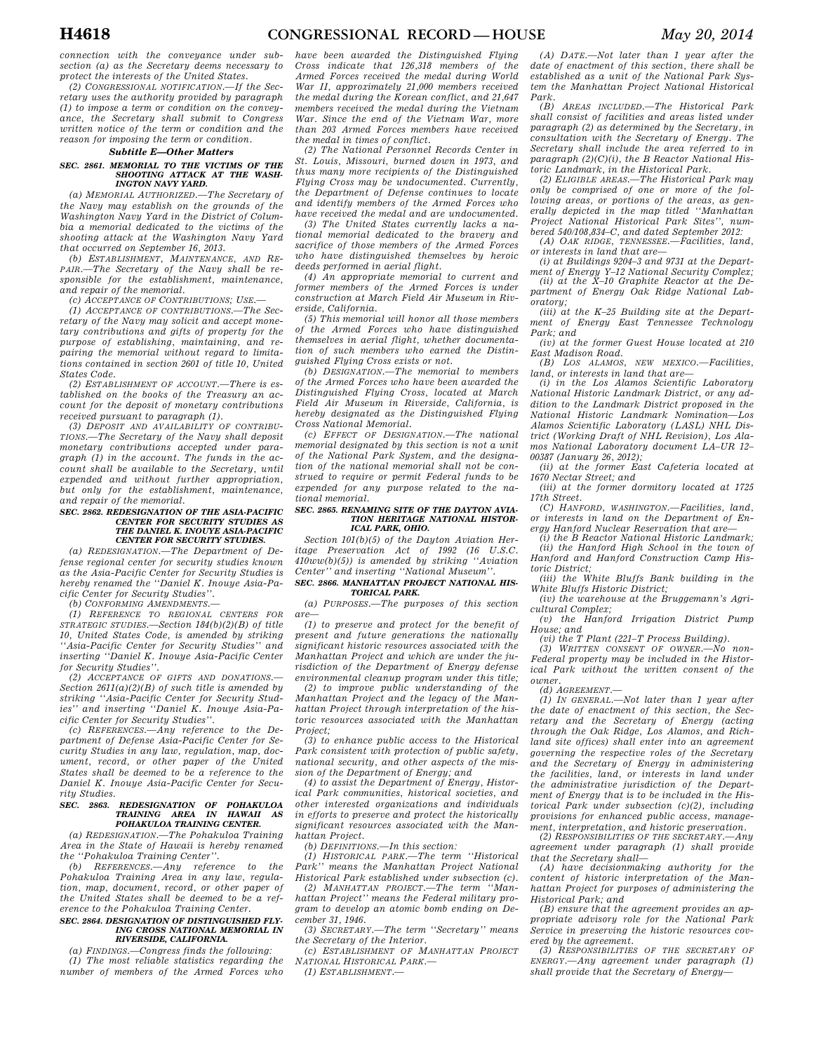*connection with the conveyance under subsection (a) as the Secretary deems necessary to protect the interests of the United States.* 

*(2) CONGRESSIONAL NOTIFICATION.—If the Secretary uses the authority provided by paragraph (1) to impose a term or condition on the conveyance, the Secretary shall submit to Congress written notice of the term or condition and the reason for imposing the term or condition.* 

#### *Subtitle E—Other Matters*

#### *SEC. 2861. MEMORIAL TO THE VICTIMS OF THE SHOOTING ATTACK AT THE WASH-INGTON NAVY YARD.*

*(a) MEMORIAL AUTHORIZED.—The Secretary of the Navy may establish on the grounds of the Washington Navy Yard in the District of Columbia a memorial dedicated to the victims of the shooting attack at the Washington Navy Yard that occurred on September 16, 2013.* 

*(b) ESTABLISHMENT, MAINTENANCE, AND RE-PAIR.—The Secretary of the Navy shall be responsible for the establishment, maintenance, and repair of the memorial.* 

*(c) ACCEPTANCE OF CONTRIBUTIONS; USE.—* 

*(1) ACCEPTANCE OF CONTRIBUTIONS.—The Secretary of the Navy may solicit and accept monetary contributions and gifts of property for the purpose of establishing, maintaining, and repairing the memorial without regard to limitations contained in section 2601 of title 10, United States Code.* 

*(2) ESTABLISHMENT OF ACCOUNT.—There is established on the books of the Treasury an account for the deposit of monetary contributions received pursuant to paragraph (1).* 

*(3) DEPOSIT AND AVAILABILITY OF CONTRIBU-TIONS.—The Secretary of the Navy shall deposit monetary contributions accepted under paragraph (1) in the account. The funds in the account shall be available to the Secretary, until expended and without further appropriation, but only for the establishment, maintenance, and repair of the memorial.* 

#### *SEC. 2862. REDESIGNATION OF THE ASIA-PACIFIC CENTER FOR SECURITY STUDIES AS THE DANIEL K. INOUYE ASIA-PACIFIC CENTER FOR SECURITY STUDIES.*

*(a) REDESIGNATION.—The Department of Defense regional center for security studies known as the Asia-Pacific Center for Security Studies is hereby renamed the ''Daniel K. Inouye Asia-Pacific Center for Security Studies''.* 

*(b) CONFORMING AMENDMENTS.—* 

*(1) REFERENCE TO REGIONAL CENTERS FOR STRATEGIC STUDIES.—Section 184(b)(2)(B) of title 10, United States Code, is amended by striking ''Asia-Pacific Center for Security Studies'' and inserting ''Daniel K. Inouye Asia-Pacific Center for Security Studies''.* 

*(2) ACCEPTANCE OF GIFTS AND DONATIONS.— Section 2611(a)(2)(B) of such title is amended by striking ''Asia-Pacific Center for Security Studies'' and inserting ''Daniel K. Inouye Asia-Pacific Center for Security Studies''.* 

*(c) REFERENCES.—Any reference to the Department of Defense Asia-Pacific Center for Security Studies in any law, regulation, map, document, record, or other paper of the United States shall be deemed to be a reference to the Daniel K. Inouye Asia-Pacific Center for Security Studies.* 

### *SEC. 2863. REDESIGNATION OF POHAKULOA TRAINING AREA IN HAWAII AS POHAKULOA TRAINING CENTER.*

*(a) REDESIGNATION.—The Pohakuloa Training Area in the State of Hawaii is hereby renamed the ''Pohakuloa Training Center''.* 

*(b) REFERENCES.—Any reference to the Pohakuloa Training Area in any law, regulation, map, document, record, or other paper of the United States shall be deemed to be a reference to the Pohakuloa Training Center. SEC. 2864. DESIGNATION OF DISTINGUISHED FLY-*

#### *ING CROSS NATIONAL MEMORIAL IN RIVERSIDE, CALIFORNIA.*

*(a) FINDINGS.—Congress finds the following: (1) The most reliable statistics regarding the number of members of the Armed Forces who* 

*have been awarded the Distinguished Flying Cross indicate that 126,318 members of the Armed Forces received the medal during World War II, approximately 21,000 members received the medal during the Korean conflict, and 21,647 members received the medal during the Vietnam War. Since the end of the Vietnam War, more than 203 Armed Forces members have received the medal in times of conflict.* 

*(2) The National Personnel Records Center in St. Louis, Missouri, burned down in 1973, and thus many more recipients of the Distinguished Flying Cross may be undocumented. Currently, the Department of Defense continues to locate and identify members of the Armed Forces who have received the medal and are undocumented.* 

*(3) The United States currently lacks a national memorial dedicated to the bravery and sacrifice of those members of the Armed Forces who have distinguished themselves by heroic deeds performed in aerial flight.* 

*(4) An appropriate memorial to current and former members of the Armed Forces is under construction at March Field Air Museum in Riverside, California.* 

*(5) This memorial will honor all those members of the Armed Forces who have distinguished themselves in aerial flight, whether documentation of such members who earned the Distinguished Flying Cross exists or not.* 

*(b) DESIGNATION.—The memorial to members of the Armed Forces who have been awarded the Distinguished Flying Cross, located at March Field Air Museum in Riverside, California, is hereby designated as the Distinguished Flying Cross National Memorial.* 

*(c) EFFECT OF DESIGNATION.—The national memorial designated by this section is not a unit of the National Park System, and the designation of the national memorial shall not be construed to require or permit Federal funds to be expended for any purpose related to the national memorial.* 

#### *SEC. 2865. RENAMING SITE OF THE DAYTON AVIA-TION HERITAGE NATIONAL HISTOR-ICAL PARK, OHIO.*

*Section 101(b)(5) of the Dayton Aviation Heritage Preservation Act of 1992 (16 U.S.C. 410ww(b)(5)) is amended by striking ''Aviation Center'' and inserting ''National Museum''.* 

#### *SEC. 2866. MANHATTAN PROJECT NATIONAL HIS-TORICAL PARK.*

*(a) PURPOSES.—The purposes of this section are—* 

*(1) to preserve and protect for the benefit of present and future generations the nationally significant historic resources associated with the Manhattan Project and which are under the jurisdiction of the Department of Energy defense environmental cleanup program under this title;* 

*(2) to improve public understanding of the Manhattan Project and the legacy of the Manhattan Project through interpretation of the historic resources associated with the Manhattan Project;* 

*(3) to enhance public access to the Historical Park consistent with protection of public safety, national security, and other aspects of the mission of the Department of Energy; and* 

*(4) to assist the Department of Energy, Historical Park communities, historical societies, and other interested organizations and individuals in efforts to preserve and protect the historically significant resources associated with the Manhattan Project.* 

*(b) DEFINITIONS.—In this section:* 

*(1) HISTORICAL PARK.—The term ''Historical Park'' means the Manhattan Project National Historical Park established under subsection (c).* 

*(2) MANHATTAN PROJECT.—The term ''Manhattan Project'' means the Federal military program to develop an atomic bomb ending on December 31, 1946.* 

*(3) SECRETARY.—The term ''Secretary'' means the Secretary of the Interior.* 

*(c) ESTABLISHMENT OF MANHATTAN PROJECT NATIONAL HISTORICAL PARK.—* 

*(1) ESTABLISHMENT.—* 

*(A) DATE.—Not later than 1 year after the date of enactment of this section, there shall be established as a unit of the National Park System the Manhattan Project National Historical Park.* 

*(B) AREAS INCLUDED.—The Historical Park shall consist of facilities and areas listed under paragraph (2) as determined by the Secretary, in consultation with the Secretary of Energy. The Secretary shall include the area referred to in paragraph (2)(C)(i), the B Reactor National Historic Landmark, in the Historical Park.* 

*(2) ELIGIBLE AREAS.—The Historical Park may only be comprised of one or more of the following areas, or portions of the areas, as generally depicted in the map titled ''Manhattan Project National Historical Park Sites'', numbered 540/108,834–C, and dated September 2012:* 

*(A) OAK RIDGE, TENNESSEE.—Facilities, land, or interests in land that are—* 

*(i) at Buildings 9204–3 and 9731 at the Department of Energy Y–12 National Security Complex; (ii) at the X–10 Graphite Reactor at the De-*

*partment of Energy Oak Ridge National Laboratory;* 

*(iii) at the K–25 Building site at the Department of Energy East Tennessee Technology Park; and* 

*(iv) at the former Guest House located at 210 East Madison Road.* 

*(B) LOS ALAMOS, NEW MEXICO.—Facilities, land, or interests in land that are—* 

*(i) in the Los Alamos Scientific Laboratory National Historic Landmark District, or any addition to the Landmark District proposed in the National Historic Landmark Nomination—Los Alamos Scientific Laboratory (LASL) NHL District (Working Draft of NHL Revision), Los Alamos National Laboratory document LA–UR 12– 00387 (January 26, 2012);* 

*(ii) at the former East Cafeteria located at 1670 Nectar Street; and* 

*(iii) at the former dormitory located at 1725 17th Street.* 

*(C) HANFORD, WASHINGTON.—Facilities, land, or interests in land on the Department of Energy Hanford Nuclear Reservation that are—* 

*(i) the B Reactor National Historic Landmark; (ii) the Hanford High School in the town of Hanford and Hanford Construction Camp Historic District;* 

*(iii) the White Bluffs Bank building in the White Bluffs Historic District;* 

*(iv) the warehouse at the Bruggemann's Agricultural Complex;* 

*(v) the Hanford Irrigation District Pump House; and* 

*(vi) the T Plant (221–T Process Building).* 

*(3) WRITTEN CONSENT OF OWNER.—No non-Federal property may be included in the Historical Park without the written consent of the owner.* 

*(d) AGREEMENT.—* 

*(1) IN GENERAL.—Not later than 1 year after the date of enactment of this section, the Secretary and the Secretary of Energy (acting through the Oak Ridge, Los Alamos, and Richland site offices) shall enter into an agreement governing the respective roles of the Secretary and the Secretary of Energy in administering the facilities, land, or interests in land under the administrative jurisdiction of the Department of Energy that is to be included in the Historical Park under subsection (c)(2), including provisions for enhanced public access, management, interpretation, and historic preservation.* 

*(2) RESPONSIBILITIES OF THE SECRETARY.—Any agreement under paragraph (1) shall provide that the Secretary shall—* 

*(A) have decisionmaking authority for the content of historic interpretation of the Manhattan Project for purposes of administering the Historical Park; and* 

*(B) ensure that the agreement provides an appropriate advisory role for the National Park Service in preserving the historic resources covered by the agreement.* 

*(3) RESPONSIBILITIES OF THE SECRETARY OF ENERGY.—Any agreement under paragraph (1) shall provide that the Secretary of Energy—*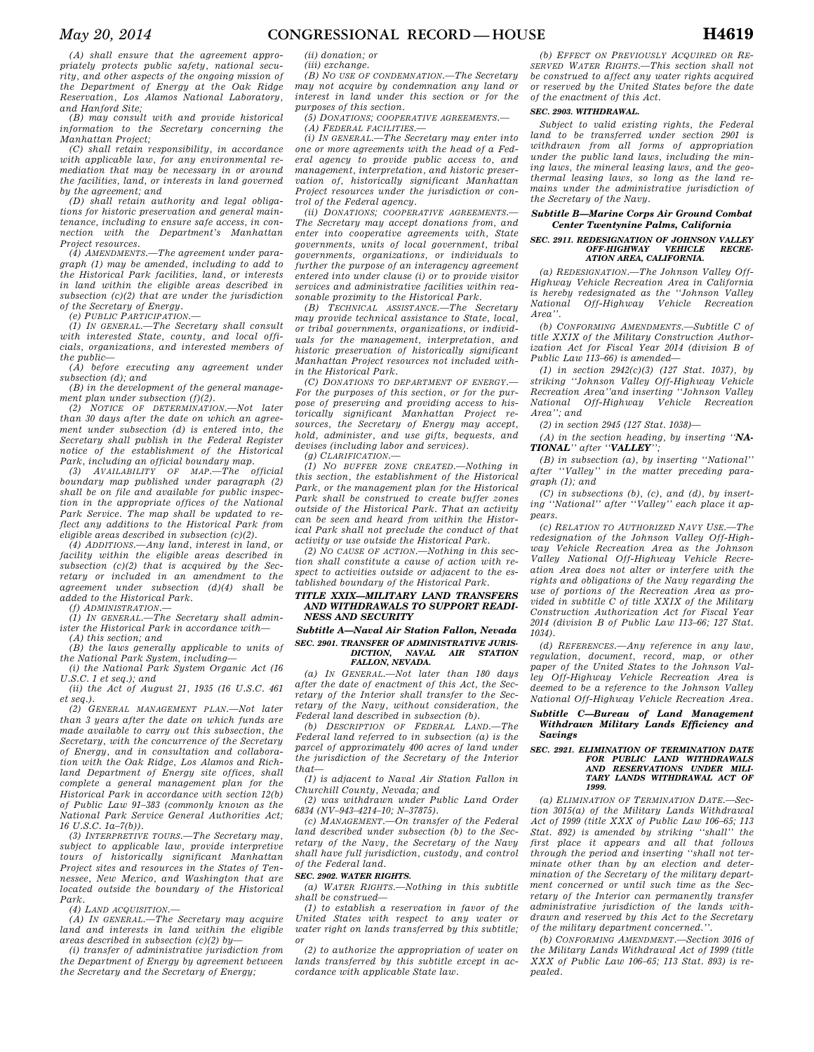*(A) shall ensure that the agreement appropriately protects public safety, national security, and other aspects of the ongoing mission of the Department of Energy at the Oak Ridge Reservation, Los Alamos National Laboratory, and Hanford Site;* 

*(B) may consult with and provide historical information to the Secretary concerning the Manhattan Project;* 

*(C) shall retain responsibility, in accordance with applicable law, for any environmental remediation that may be necessary in or around the facilities, land, or interests in land governed by the agreement; and* 

*(D) shall retain authority and legal obligations for historic preservation and general maintenance, including to ensure safe access, in connection with the Department's Manhattan Project resources.* 

*(4) AMENDMENTS.—The agreement under paragraph (1) may be amended, including to add to the Historical Park facilities, land, or interests in land within the eligible areas described in subsection (c)(2) that are under the jurisdiction of the Secretary of Energy.* 

*(e) PUBLIC PARTICIPATION.— (1) IN GENERAL.—The Secretary shall consult with interested State, county, and local officials, organizations, and interested members of the public—* 

*(A) before executing any agreement under subsection (d); and* 

*(B) in the development of the general management plan under subsection (f)(2).* 

*(2) NOTICE OF DETERMINATION.—Not later than 30 days after the date on which an agreement under subsection (d) is entered into, the Secretary shall publish in the Federal Register notice of the establishment of the Historical Park, including an official boundary map.* 

*(3) AVAILABILITY OF MAP.—The official boundary map published under paragraph (2) shall be on file and available for public inspection in the appropriate offices of the National Park Service. The map shall be updated to reflect any additions to the Historical Park from eligible areas described in subsection (c)(2).* 

*(4) ADDITIONS.—Any land, interest in land, or facility within the eligible areas described in subsection (c)(2) that is acquired by the Secretary or included in an amendment to the agreement under subsection (d)(4) shall be added to the Historical Park.* 

*(f) ADMINISTRATION.—* 

*(1) IN GENERAL.—The Secretary shall administer the Historical Park in accordance with—* 

*(A) this section; and* 

*(B) the laws generally applicable to units of the National Park System, including—* 

*(i) the National Park System Organic Act (16 U.S.C. 1 et seq.); and (ii) the Act of August 21, 1935 (16 U.S.C. 461* 

*et seq.). (2) GENERAL MANAGEMENT PLAN.—Not later* 

*than 3 years after the date on which funds are made available to carry out this subsection, the Secretary, with the concurrence of the Secretary of Energy, and in consultation and collaboration with the Oak Ridge, Los Alamos and Richland Department of Energy site offices, shall complete a general management plan for the Historical Park in accordance with section 12(b) of Public Law 91–383 (commonly known as the National Park Service General Authorities Act; 16 U.S.C. 1a–7(b)).* 

*(3) INTERPRETIVE TOURS.—The Secretary may, subject to applicable law, provide interpretive tours of historically significant Manhattan Project sites and resources in the States of Tennessee, New Mexico, and Washington that are located outside the boundary of the Historical Park.* 

*(4) LAND ACQUISITION.—* 

*(A) IN GENERAL.—The Secretary may acquire land and interests in land within the eligible areas described in subsection (c)(2) by—* 

*(i) transfer of administrative jurisdiction from the Department of Energy by agreement between the Secretary and the Secretary of Energy;* 

*(ii) donation; or* 

*(iii) exchange.* 

*(B) NO USE OF CONDEMNATION.—The Secretary may not acquire by condemnation any land or interest in land under this section or for the* 

*purposes of this section. (5) DONATIONS; COOPERATIVE AGREEMENTS.—* 

*(A) FEDERAL FACILITIES.—* 

*(i) IN GENERAL.—The Secretary may enter into one or more agreements with the head of a Federal agency to provide public access to, and management, interpretation, and historic preservation of, historically significant Manhattan Project resources under the jurisdiction or control of the Federal agency.* 

*(ii) DONATIONS; COOPERATIVE AGREEMENTS.— The Secretary may accept donations from, and enter into cooperative agreements with, State governments, units of local government, tribal governments, organizations, or individuals to further the purpose of an interagency agreement entered into under clause (i) or to provide visitor services and administrative facilities within reasonable proximity to the Historical Park.* 

*(B) TECHNICAL ASSISTANCE.—The Secretary may provide technical assistance to State, local, or tribal governments, organizations, or individuals for the management, interpretation, and historic preservation of historically significant Manhattan Project resources not included within the Historical Park.* 

*(C) DONATIONS TO DEPARTMENT OF ENERGY.— For the purposes of this section, or for the purpose of preserving and providing access to historically significant Manhattan Project resources, the Secretary of Energy may accept, hold, administer, and use gifts, bequests, and devises (including labor and services).* 

*(g) CLARIFICATION.—* 

*(1) NO BUFFER ZONE CREATED.—Nothing in this section, the establishment of the Historical Park, or the management plan for the Historical Park shall be construed to create buffer zones outside of the Historical Park. That an activity can be seen and heard from within the Historical Park shall not preclude the conduct of that activity or use outside the Historical Park.* 

*(2) NO CAUSE OF ACTION.—Nothing in this section shall constitute a cause of action with respect to activities outside or adjacent to the established boundary of the Historical Park.* 

#### *TITLE XXIX—MILITARY LAND TRANSFERS AND WITHDRAWALS TO SUPPORT READI-NESS AND SECURITY*

#### *Subtitle A—Naval Air Station Fallon, Nevada SEC. 2901. TRANSFER OF ADMINISTRATIVE JURIS-* $NAVAL$  *AIR FALLON, NEVADA.*

*(a) IN GENERAL.—Not later than 180 days after the date of enactment of this Act, the Secretary of the Interior shall transfer to the Secretary of the Navy, without consideration, the Federal land described in subsection (b).* 

*(b) DESCRIPTION OF FEDERAL LAND.—The Federal land referred to in subsection (a) is the parcel of approximately 400 acres of land under the jurisdiction of the Secretary of the Interior that—* 

*(1) is adjacent to Naval Air Station Fallon in Churchill County, Nevada; and* 

*(2) was withdrawn under Public Land Order 6834 (NV–943–4214–10; N–37875).* 

*(c) MANAGEMENT.—On transfer of the Federal land described under subsection (b) to the Secretary of the Navy, the Secretary of the Navy shall have full jurisdiction, custody, and control of the Federal land.* 

#### *SEC. 2902. WATER RIGHTS.*

*(a) WATER RIGHTS.—Nothing in this subtitle shall be construed—* 

*(1) to establish a reservation in favor of the United States with respect to any water or water right on lands transferred by this subtitle; or* 

*(2) to authorize the appropriation of water on lands transferred by this subtitle except in accordance with applicable State law.* 

*(b) EFFECT ON PREVIOUSLY ACQUIRED OR RE-SERVED WATER RIGHTS.—This section shall not be construed to affect any water rights acquired or reserved by the United States before the date of the enactment of this Act.* 

#### *SEC. 2903. WITHDRAWAL.*

*Subject to valid existing rights, the Federal land to be transferred under section 2901 is withdrawn from all forms of appropriation under the public land laws, including the mining laws, the mineral leasing laws, and the geothermal leasing laws, so long as the land remains under the administrative jurisdiction of the Secretary of the Navy.* 

#### *Subtitle B—Marine Corps Air Ground Combat Center Twentynine Palms, California*

#### *SEC. 2911. REDESIGNATION OF JOHNSON VALLEY*  ОFF-НIGHWAY VEHICLE *ATION AREA, CALIFORNIA.*

*(a) REDESIGNATION.—The Johnson Valley Off-Highway Vehicle Recreation Area in California is hereby redesignated as the ''Johnson Valley National Off-Highway Vehicle Recreation Area''.* 

*(b) CONFORMING AMENDMENTS.—Subtitle C of title XXIX of the Military Construction Authorization Act for Fiscal Year 2014 (division B of Public Law 113–66) is amended—* 

*(1) in section 2942(c)(3) (127 Stat. 1037), by striking ''Johnson Valley Off-Highway Vehicle Recreation Area''and inserting ''Johnson Valley National Off-Highway Vehicle Recreation Area''; and* 

*(2) in section 2945 (127 Stat. 1038)—* 

*(A) in the section heading, by inserting ''NA-TIONAL'' after ''VALLEY'';* 

*(B) in subsection (a), by inserting ''National'' after ''Valley'' in the matter preceding paragraph (1); and* 

*(C) in subsections (b), (c), and (d), by inserting ''National'' after ''Valley'' each place it appears.* 

*(c) RELATION TO AUTHORIZED NAVY USE.—The redesignation of the Johnson Valley Off-Highway Vehicle Recreation Area as the Johnson Valley National Off-Highway Vehicle Recreation Area does not alter or interfere with the rights and obligations of the Navy regarding the use of portions of the Recreation Area as provided in subtitle C of title XXIX of the Military Construction Authorization Act for Fiscal Year 2014 (division B of Public Law 113–66; 127 Stat. 1034).* 

*(d) REFERENCES.—Any reference in any law, regulation, document, record, map, or other paper of the United States to the Johnson Valley Off-Highway Vehicle Recreation Area is deemed to be a reference to the Johnson Valley National Off-Highway Vehicle Recreation Area.* 

#### *Subtitle C—Bureau of Land Management Withdrawn Military Lands Efficiency and Savings*

#### *SEC. 2921. ELIMINATION OF TERMINATION DATE FOR PUBLIC LAND WITHDRAWALS AND RESERVATIONS UNDER MILI-TARY LANDS WITHDRAWAL ACT OF 1999.*

*(a) ELIMINATION OF TERMINATION DATE.—Section 3015(a) of the Military Lands Withdrawal Act of 1999 (title XXX of Public Law 106–65; 113 Stat. 892) is amended by striking ''shall'' the first place it appears and all that follows through the period and inserting ''shall not terminate other than by an election and determination of the Secretary of the military department concerned or until such time as the Secretary of the Interior can permanently transfer administrative jurisdiction of the lands withdrawn and reserved by this Act to the Secretary of the military department concerned.''.* 

*(b) CONFORMING AMENDMENT.—Section 3016 of the Military Lands Withdrawal Act of 1999 (title XXX of Public Law 106–65; 113 Stat. 893) is repealed.*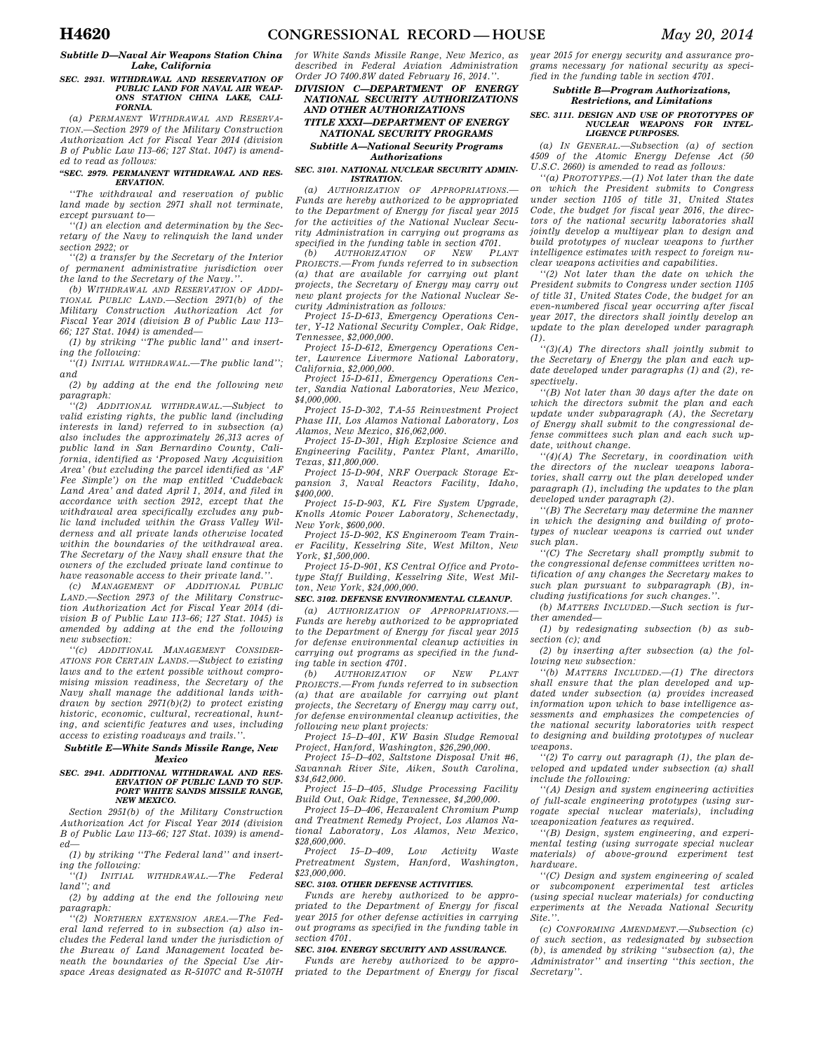#### *Subtitle D—Naval Air Weapons Station China Lake, California*

#### *SEC. 2931. WITHDRAWAL AND RESERVATION OF PUBLIC LAND FOR NAVAL AIR WEAP-ONS STATION CHINA LAKE, CALI-FORNIA.*

*(a) PERMANENT WITHDRAWAL AND RESERVA-TION.—Section 2979 of the Military Construction Authorization Act for Fiscal Year 2014 (division B of Public Law 113–66; 127 Stat. 1047) is amended to read as follows:* 

#### *''SEC. 2979. PERMANENT WITHDRAWAL AND RES-ERVATION.*

*''The withdrawal and reservation of public land made by section 2971 shall not terminate, except pursuant to—* 

*''(1) an election and determination by the Secretary of the Navy to relinquish the land under section 2922; or* 

*''(2) a transfer by the Secretary of the Interior of permanent administrative jurisdiction over the land to the Secretary of the Navy.''.* 

*(b) WITHDRAWAL AND RESERVATION OF ADDI-TIONAL PUBLIC LAND.—Section 2971(b) of the Military Construction Authorization Act for Fiscal Year 2014 (division B of Public Law 113– 66; 127 Stat. 1044) is amended—* 

*(1) by striking ''The public land'' and inserting the following:* 

*''(1) INITIAL WITHDRAWAL.—The public land''; and* 

*(2) by adding at the end the following new paragraph:* 

*''(2) ADDITIONAL WITHDRAWAL.—Subject to valid existing rights, the public land (including interests in land) referred to in subsection (a) also includes the approximately 26,313 acres of public land in San Bernardino County, California, identified as 'Proposed Navy Acquisition Area' (but excluding the parcel identified as 'AF Fee Simple') on the map entitled 'Cuddeback Land Area' and dated April 1, 2014, and filed in accordance with section 2912, except that the withdrawal area specifically excludes any public land included within the Grass Valley Wilderness and all private lands otherwise located within the boundaries of the withdrawal area. The Secretary of the Navy shall ensure that the owners of the excluded private land continue to have reasonable access to their private land.''.* 

*(c) MANAGEMENT OF ADDITIONAL PUBLIC LAND.—Section 2973 of the Military Construction Authorization Act for Fiscal Year 2014 (division B of Public Law 113–66; 127 Stat. 1045) is amended by adding at the end the following new subsection:* 

*''(c) ADDITIONAL MANAGEMENT CONSIDER-ATIONS FOR CERTAIN LANDS.—Subject to existing laws and to the extent possible without compromising mission readiness, the Secretary of the Navy shall manage the additional lands withdrawn by section 2971(b)(2) to protect existing historic, economic, cultural, recreational, hunting, and scientific features and uses, including access to existing roadways and trails.''.* 

#### *Subtitle E—White Sands Missile Range, New Mexico*

#### *SEC. 2941. ADDITIONAL WITHDRAWAL AND RES-ERVATION OF PUBLIC LAND TO SUP-PORT WHITE SANDS MISSILE RANGE, NEW MEXICO.*

*Section 2951(b) of the Military Construction Authorization Act for Fiscal Year 2014 (division B of Public Law 113–66; 127 Stat. 1039) is amended—* 

*(1) by striking ''The Federal land'' and inserting the following:* 

*''(1) INITIAL WITHDRAWAL.—The Federal land''; and* 

*(2) by adding at the end the following new paragraph:* 

*''(2) NORTHERN EXTENSION AREA.—The Federal land referred to in subsection (a) also includes the Federal land under the jurisdiction of the Bureau of Land Management located beneath the boundaries of the Special Use Airspace Areas designated as R-5107C and R-5107H*  *for White Sands Missile Range, New Mexico, as described in Federal Aviation Administration Order JO 7400.8W dated February 16, 2014.''.* 

#### *DIVISION C—DEPARTMENT OF ENERGY NATIONAL SECURITY AUTHORIZATIONS AND OTHER AUTHORIZATIONS*

### *TITLE XXXI—DEPARTMENT OF ENERGY NATIONAL SECURITY PROGRAMS Subtitle A—National Security Programs*

#### *Authorizations*

#### *SEC. 3101. NATIONAL NUCLEAR SECURITY ADMIN-ISTRATION.*

*(a) AUTHORIZATION OF APPROPRIATIONS.— Funds are hereby authorized to be appropriated to the Department of Energy for fiscal year 2015 for the activities of the National Nuclear Security Administration in carrying out programs as specified in the funding table in section 4701.* 

 $AUTHORIZATION$ *PROJECTS.—From funds referred to in subsection (a) that are available for carrying out plant projects, the Secretary of Energy may carry out new plant projects for the National Nuclear Security Administration as follows:* 

*Project 15-D-613, Emergency Operations Center, Y-12 National Security Complex, Oak Ridge, Tennessee, \$2,000,000.* 

*Project 15-D-612, Emergency Operations Center, Lawrence Livermore National Laboratory, California, \$2,000,000.* 

*Project 15-D-611, Emergency Operations Center, Sandia National Laboratories, New Mexico, \$4,000,000.* 

*Project 15-D-302, TA-55 Reinvestment Project Phase III, Los Alamos National Laboratory, Los Alamos, New Mexico, \$16,062,000.* 

*Project 15-D-301, High Explosive Science and Engineering Facility, Pantex Plant, Amarillo, Texas, \$11,800,000.* 

*Project 15-D-904, NRF Overpack Storage Expansion 3, Naval Reactors Facility, Idaho, \$400,000.* 

*Project 15-D-903, KL Fire System Upgrade, Knolls Atomic Power Laboratory, Schenectady, New York, \$600,000.* 

*Project 15-D-902, KS Engineroom Team Trainer Facility, Kesselring Site, West Milton, New York, \$1,500,000.* 

*Project 15-D-901, KS Central Office and Prototype Staff Building, Kesselring Site, West Milton, New York, \$24,000,000.* 

### *SEC. 3102. DEFENSE ENVIRONMENTAL CLEANUP.*

*(a) AUTHORIZATION OF APPROPRIATIONS.— Funds are hereby authorized to be appropriated to the Department of Energy for fiscal year 2015 for defense environmental cleanup activities in carrying out programs as specified in the funding table in section 4701.* 

*(b) AUTHORIZATION OF NEW PLANT PROJECTS.—From funds referred to in subsection (a) that are available for carrying out plant projects, the Secretary of Energy may carry out, for defense environmental cleanup activities, the following new plant projects:* 

*Project 15–D–401, KW Basin Sludge Removal Project, Hanford, Washington, \$26,290,000.* 

*Project 15–D–402, Saltstone Disposal Unit #6, Savannah River Site, Aiken, South Carolina, \$34,642,000.* 

*Project 15–D–405, Sludge Processing Facility Build Out, Oak Ridge, Tennessee, \$4,200,000.* 

*Project 15–D–406, Hexavalent Chromium Pump and Treatment Remedy Project, Los Alamos National Laboratory, Los Alamos, New Mexico, \$28,600,000.* 

*Project 15–D–409, Low Activity Waste Pretreatment System, Hanford, Washington, \$23,000,000.* 

#### *SEC. 3103. OTHER DEFENSE ACTIVITIES.*

*Funds are hereby authorized to be appropriated to the Department of Energy for fiscal year 2015 for other defense activities in carrying out programs as specified in the funding table in section 4701.* 

#### *SEC. 3104. ENERGY SECURITY AND ASSURANCE.*

*Funds are hereby authorized to be appropriated to the Department of Energy for fiscal*  *year 2015 for energy security and assurance programs necessary for national security as specified in the funding table in section 4701.* 

#### *Subtitle B—Program Authorizations, Restrictions, and Limitations*

#### *SEC. 3111. DESIGN AND USE OF PROTOTYPES OF NUCLEAR WEAPONS FOR INTEL-LIGENCE PURPOSES.*

*(a) IN GENERAL.—Subsection (a) of section 4509 of the Atomic Energy Defense Act (50 U.S.C. 2660) is amended to read as follows:* 

*''(a) PROTOTYPES.—(1) Not later than the date on which the President submits to Congress under section 1105 of title 31, United States Code, the budget for fiscal year 2016, the directors of the national security laboratories shall jointly develop a multiyear plan to design and build prototypes of nuclear weapons to further intelligence estimates with respect to foreign nuclear weapons activities and capabilities.* 

*''(2) Not later than the date on which the President submits to Congress under section 1105 of title 31, United States Code, the budget for an even-numbered fiscal year occurring after fiscal year 2017, the directors shall jointly develop an update to the plan developed under paragraph*   $(1).$ 

*''(3)(A) The directors shall jointly submit to the Secretary of Energy the plan and each update developed under paragraphs (1) and (2), respectively.* 

*''(B) Not later than 30 days after the date on which the directors submit the plan and each update under subparagraph (A), the Secretary of Energy shall submit to the congressional defense committees such plan and each such update, without change.* 

*''(4)(A) The Secretary, in coordination with the directors of the nuclear weapons laboratories, shall carry out the plan developed under paragraph (1), including the updates to the plan developed under paragraph (2).* 

*''(B) The Secretary may determine the manner in which the designing and building of prototypes of nuclear weapons is carried out under such plan.* 

*''(C) The Secretary shall promptly submit to the congressional defense committees written notification of any changes the Secretary makes to such plan pursuant to subparagraph (B), including justifications for such changes.''.* 

*(b) MATTERS INCLUDED.—Such section is further amended—* 

*(1) by redesignating subsection (b) as subsection (c); and* 

*(2) by inserting after subsection (a) the following new subsection:* 

*''(b) MATTERS INCLUDED.—(1) The directors shall ensure that the plan developed and updated under subsection (a) provides increased information upon which to base intelligence assessments and emphasizes the competencies of the national security laboratories with respect to designing and building prototypes of nuclear weapons.* 

*''(2) To carry out paragraph (1), the plan developed and updated under subsection (a) shall include the following:* 

*''(A) Design and system engineering activities of full-scale engineering prototypes (using surrogate special nuclear materials), including weaponization features as required.* 

*''(B) Design, system engineering, and experimental testing (using surrogate special nuclear materials) of above-ground experiment test hardware.* 

*''(C) Design and system engineering of scaled or subcomponent experimental test articles (using special nuclear materials) for conducting experiments at the Nevada National Security Site.''.* 

*(c) CONFORMING AMENDMENT.—Subsection (c) of such section, as redesignated by subsection (b), is amended by striking ''subsection (a), the Administrator'' and inserting ''this section, the Secretary''.*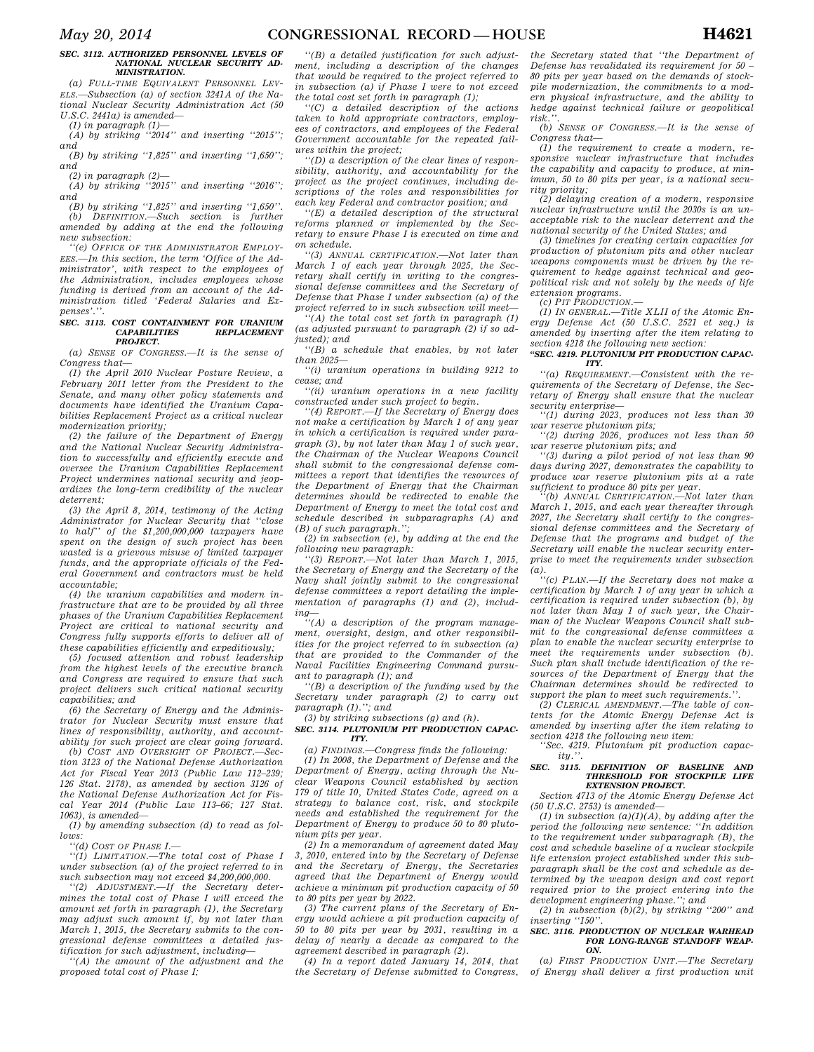#### *SEC. 3112. AUTHORIZED PERSONNEL LEVELS OF NATIONAL NUCLEAR SECURITY AD-MINISTRATION.*

*(a) FULL-TIME EQUIVALENT PERSONNEL LEV-ELS.—Subsection (a) of section 3241A of the National Nuclear Security Administration Act (50 U.S.C. 2441a) is amended—* 

*(1) in paragraph (1)—* 

*(A) by striking ''2014'' and inserting ''2015''; and* 

*(B) by striking ''1,825'' and inserting ''1,650''; and* 

*(2) in paragraph (2)—* 

*(A) by striking ''2015'' and inserting ''2016''; and* 

*(B) by striking ''1,825'' and inserting ''1,650''.*   $DEFINITION. - Such section is$ *amended by adding at the end the following new subsection:* 

*''(e) OFFICE OF THE ADMINISTRATOR EMPLOY-EES.—In this section, the term 'Office of the Administrator', with respect to the employees of the Administration, includes employees whose funding is derived from an account of the Administration titled 'Federal Salaries and Expenses'.''.* 

#### *SEC. 3113. COST CONTAINMENT FOR URANIUM*   $$ *PROJECT.*

*(a) SENSE OF CONGRESS.—It is the sense of Congress that—* 

*(1) the April 2010 Nuclear Posture Review, a February 2011 letter from the President to the Senate, and many other policy statements and documents have identified the Uranium Capabilities Replacement Project as a critical nuclear modernization priority;* 

*(2) the failure of the Department of Energy and the National Nuclear Security Administration to successfully and efficiently execute and oversee the Uranium Capabilities Replacement Project undermines national security and jeopardizes the long-term credibility of the nuclear deterrent;* 

*(3) the April 8, 2014, testimony of the Acting Administrator for Nuclear Security that ''close to half'' of the \$1,200,000,000 taxpayers have spent on the design of such project has been wasted is a grievous misuse of limited taxpayer funds, and the appropriate officials of the Federal Government and contractors must be held accountable;* 

*(4) the uranium capabilities and modern infrastructure that are to be provided by all three phases of the Uranium Capabilities Replacement Project are critical to national security and Congress fully supports efforts to deliver all of these capabilities efficiently and expeditiously;* 

*(5) focused attention and robust leadership from the highest levels of the executive branch and Congress are required to ensure that such project delivers such critical national security capabilities; and* 

*(6) the Secretary of Energy and the Administrator for Nuclear Security must ensure that lines of responsibility, authority, and accountability for such project are clear going forward.* 

*(b) COST AND OVERSIGHT OF PROJECT.—Section 3123 of the National Defense Authorization Act for Fiscal Year 2013 (Public Law 112–239; 126 Stat. 2178), as amended by section 3126 of the National Defense Authorization Act for Fiscal Year 2014 (Public Law 113–66; 127 Stat. 1063), is amended—* 

*(1) by amending subsection (d) to read as follows:* 

*''(d) COST OF PHASE I.—* 

*''(1) LIMITATION.—The total cost of Phase I under subsection (a) of the project referred to in such subsection may not exceed \$4,200,000,000.* 

*''(2) ADJUSTMENT.—If the Secretary determines the total cost of Phase I will exceed the amount set forth in paragraph (1), the Secretary may adjust such amount if, by not later than March 1, 2015, the Secretary submits to the congressional defense committees a detailed justification for such adjustment, including—* 

*''(A) the amount of the adjustment and the proposed total cost of Phase I;* 

*''(B) a detailed justification for such adjustment, including a description of the changes that would be required to the project referred to in subsection (a) if Phase I were to not exceed the total cost set forth in paragraph (1);* 

*''(C) a detailed description of the actions taken to hold appropriate contractors, employees of contractors, and employees of the Federal Government accountable for the repeated failures within the project;* 

*''(D) a description of the clear lines of responsibility, authority, and accountability for the project as the project continues, including descriptions of the roles and responsibilities for each key Federal and contractor position; and* 

*''(E) a detailed description of the structural reforms planned or implemented by the Secretary to ensure Phase I is executed on time and on schedule.* 

*''(3) ANNUAL CERTIFICATION.—Not later than March 1 of each year through 2025, the Secretary shall certify in writing to the congressional defense committees and the Secretary of Defense that Phase I under subsection (a) of the project referred to in such subsection will meet—* 

*''(A) the total cost set forth in paragraph (1) (as adjusted pursuant to paragraph (2) if so adjusted); and* 

*''(B) a schedule that enables, by not later than 2025—* 

*''(i) uranium operations in building 9212 to cease; and* 

*''(ii) uranium operations in a new facility constructed under such project to begin.* 

*''(4) REPORT.—If the Secretary of Energy does not make a certification by March 1 of any year in which a certification is required under paragraph (3), by not later than May 1 of such year, the Chairman of the Nuclear Weapons Council shall submit to the congressional defense committees a report that identifies the resources of the Department of Energy that the Chairman determines should be redirected to enable the Department of Energy to meet the total cost and schedule described in subparagraphs (A) and (B) of such paragraph.'';* 

*(2) in subsection (e), by adding at the end the following new paragraph:* 

*''(3) REPORT.—Not later than March 1, 2015, the Secretary of Energy and the Secretary of the Navy shall jointly submit to the congressional defense committees a report detailing the implementation of paragraphs (1) and (2), including—* 

*''(A) a description of the program management, oversight, design, and other responsibilities for the project referred to in subsection (a) that are provided to the Commander of the Naval Facilities Engineering Command pursuant to paragraph (1); and* 

*''(B) a description of the funding used by the Secretary under paragraph (2) to carry out paragraph (1).''; and* 

*(3) by striking subsections (g) and (h). SEC. 3114. PLUTONIUM PIT PRODUCTION CAPAC-*

*ITY.* 

*(a) FINDINGS.—Congress finds the following:* 

*(1) In 2008, the Department of Defense and the Department of Energy, acting through the Nuclear Weapons Council established by section 179 of title 10, United States Code, agreed on a strategy to balance cost, risk, and stockpile needs and established the requirement for the Department of Energy to produce 50 to 80 plutonium pits per year.* 

*(2) In a memorandum of agreement dated May 3, 2010, entered into by the Secretary of Defense and the Secretary of Energy, the Secretaries agreed that the Department of Energy would achieve a minimum pit production capacity of 50 to 80 pits per year by 2022.* 

*(3) The current plans of the Secretary of Energy would achieve a pit production capacity of 50 to 80 pits per year by 2031, resulting in a delay of nearly a decade as compared to the agreement described in paragraph (2).* 

*(4) In a report dated January 14, 2014, that the Secretary of Defense submitted to Congress,* 

*the Secretary stated that ''the Department of Defense has revalidated its requirement for 50 – 80 pits per year based on the demands of stockpile modernization, the commitments to a modern physical infrastructure, and the ability to hedge against technical failure or geopolitical risk.''.* 

*(b) SENSE OF CONGRESS.—It is the sense of Congress that—* 

*(1) the requirement to create a modern, responsive nuclear infrastructure that includes the capability and capacity to produce, at minimum, 50 to 80 pits per year, is a national security priority;* 

*(2) delaying creation of a modern, responsive nuclear infrastructure until the 2030s is an unacceptable risk to the nuclear deterrent and the national security of the United States; and* 

*(3) timelines for creating certain capacities for production of plutonium pits and other nuclear weapons components must be driven by the requirement to hedge against technical and geopolitical risk and not solely by the needs of life extension programs.* 

*(c) PIT PRODUCTION.—* 

*(1) IN GENERAL.—Title XLII of the Atomic Energy Defense Act (50 U.S.C. 2521 et seq.) is amended by inserting after the item relating to section 4218 the following new section:* 

#### *''SEC. 4219. PLUTONIUM PIT PRODUCTION CAPAC-ITY.*

*''(a) REQUIREMENT.—Consistent with the requirements of the Secretary of Defense, the Secretary of Energy shall ensure that the nuclear security enterprise—* 

*''(1) during 2023, produces not less than 30 war reserve plutonium pits;* 

*''(2) during 2026, produces not less than 50 war reserve plutonium pits; and* 

*''(3) during a pilot period of not less than 90 days during 2027, demonstrates the capability to produce war reserve plutonium pits at a rate sufficient to produce 80 pits per year.* 

*''(b) ANNUAL CERTIFICATION.—Not later than March 1, 2015, and each year thereafter through 2027, the Secretary shall certify to the congressional defense committees and the Secretary of Defense that the programs and budget of the Secretary will enable the nuclear security enterprise to meet the requirements under subsection (a).* 

*''(c) PLAN.—If the Secretary does not make a certification by March 1 of any year in which a certification is required under subsection (b), by not later than May 1 of such year, the Chairman of the Nuclear Weapons Council shall submit to the congressional defense committees a plan to enable the nuclear security enterprise to meet the requirements under subsection (b). Such plan shall include identification of the resources of the Department of Energy that the Chairman determines should be redirected to support the plan to meet such requirements.''.* 

*(2) CLERICAL AMENDMENT.—The table of contents for the Atomic Energy Defense Act is amended by inserting after the item relating to section 4218 the following new item:* 

*''Sec. 4219. Plutonium pit production capacity.''.* 

### *SEC. 3115. DEFINITION OF BASELINE AND THRESHOLD FOR STOCKPILE LIFE EXTENSION PROJECT.*

*Section 4713 of the Atomic Energy Defense Act (50 U.S.C. 2753) is amended—* 

*(1) in subsection (a)(1)(A), by adding after the period the following new sentence: ''In addition to the requirement under subparagraph (B), the cost and schedule baseline of a nuclear stockpile life extension project established under this subparagraph shall be the cost and schedule as determined by the weapon design and cost report required prior to the project entering into the development engineering phase.''; and* 

*(2) in subsection (b)(2), by striking ''200'' and inserting ''150''.* 

#### *SEC. 3116. PRODUCTION OF NUCLEAR WARHEAD FOR LONG-RANGE STANDOFF WEAP-ON.*

*(a) FIRST PRODUCTION UNIT.—The Secretary of Energy shall deliver a first production unit*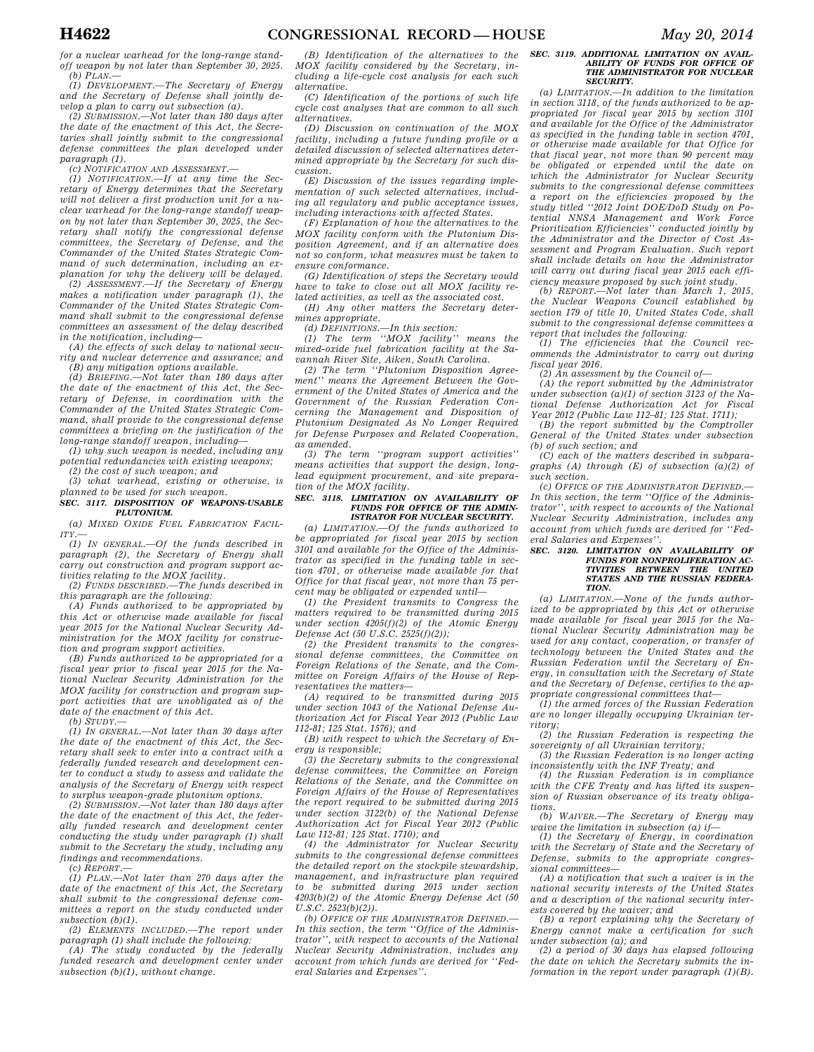*for a nuclear warhead for the long-range standoff weapon by not later than September 30, 2025. (b) PLAN.—* 

*(1) DEVELOPMENT.—The Secretary of Energy and the Secretary of Defense shall jointly de-*

*velop a plan to carry out subsection (a). (2) SUBMISSION.—Not later than 180 days after the date of the enactment of this Act, the Secretaries shall jointly submit to the congressional defense committees the plan developed under paragraph (1).* 

*(c) NOTIFICATION AND ASSESSMENT.—* 

*(1) NOTIFICATION.—If at any time the Secretary of Energy determines that the Secretary will not deliver a first production unit for a nuclear warhead for the long-range standoff weapon by not later than September 30, 2025, the Secretary shall notify the congressional defense committees, the Secretary of Defense, and the Commander of the United States Strategic Command of such determination, including an explanation for why the delivery will be delayed.* 

*(2) ASSESSMENT.—If the Secretary of Energy makes a notification under paragraph (1), the Commander of the United States Strategic Command shall submit to the congressional defense committees an assessment of the delay described in the notification, including—* 

*(A) the effects of such delay to national security and nuclear deterrence and assurance; and (B) any mitigation options available.* 

*(d) BRIEFING.—Not later than 180 days after the date of the enactment of this Act, the Secretary of Defense, in coordination with the Commander of the United States Strategic Command, shall provide to the congressional defense committees a briefing on the justification of the long-range standoff weapon, including—* 

*(1) why such weapon is needed, including any potential redundancies with existing weapons;* 

*(2) the cost of such weapon; and (3) what warhead, existing or otherwise, is* 

*planned to be used for such weapon. SEC. 3117. DISPOSITION OF WEAPONS-USABLE* 

*PLUTONIUM. (a) MIXED OXIDE FUEL FABRICATION FACIL-*

*ITY.— (1) IN GENERAL.—Of the funds described in paragraph (2), the Secretary of Energy shall carry out construction and program support activities relating to the MOX facility.* 

*(2) FUNDS DESCRIBED.—The funds described in this paragraph are the following:* 

*(A) Funds authorized to be appropriated by this Act or otherwise made available for fiscal year 2015 for the National Nuclear Security Administration for the MOX facility for construction and program support activities.* 

*(B) Funds authorized to be appropriated for a fiscal year prior to fiscal year 2015 for the National Nuclear Security Administration for the MOX facility for construction and program support activities that are unobligated as of the date of the enactment of this Act. (b) STUDY.—* 

*(1) IN GENERAL.—Not later than 30 days after the date of the enactment of this Act, the Secretary shall seek to enter into a contract with a federally funded research and development center to conduct a study to assess and validate the analysis of the Secretary of Energy with respect to surplus weapon-grade plutonium options.* 

*(2) SUBMISSION.—Not later than 180 days after the date of the enactment of this Act, the federally funded research and development center conducting the study under paragraph (1) shall submit to the Secretary the study, including any findings and recommendations.* 

*(c) REPORT.—* 

*(1) PLAN.—Not later than 270 days after the date of the enactment of this Act, the Secretary shall submit to the congressional defense committees a report on the study conducted under subsection (b)(1).* 

*(2) ELEMENTS INCLUDED.—The report under paragraph (1) shall include the following:* 

*(A) The study conducted by the federally funded research and development center under subsection (b)(1), without change.* 

*(B) Identification of the alternatives to the MOX facility considered by the Secretary, including a life-cycle cost analysis for each such alternative.* 

*(C) Identification of the portions of such life cycle cost analyses that are common to all such alternatives.* 

*(D) Discussion on continuation of the MOX facility, including a future funding profile or a detailed discussion of selected alternatives determined appropriate by the Secretary for such discussion.* 

*(E) Discussion of the issues regarding implementation of such selected alternatives, including all regulatory and public acceptance issues, including interactions with affected States.* 

*(F) Explanation of how the alternatives to the MOX facility conform with the Plutonium Disposition Agreement, and if an alternative does not so conform, what measures must be taken to ensure conformance.* 

*(G) Identification of steps the Secretary would have to take to close out all MOX facility related activities, as well as the associated cost.* 

*(H) Any other matters the Secretary determines appropriate.* 

*(d) DEFINITIONS.—In this section: (1) The term ''MOX facility'' means the mixed-oxide fuel fabrication facility at the Savannah River Site, Aiken, South Carolina.* 

*(2) The term ''Plutonium Disposition Agreement'' means the Agreement Between the Government of the United States of America and the Government of the Russian Federation Concerning the Management and Disposition of Plutonium Designated As No Longer Required for Defense Purposes and Related Cooperation, as amended.* 

*(3) The term ''program support activities'' means activities that support the design, longlead equipment procurement, and site preparation of the MOX facility.* 

#### *SEC. 3118. LIMITATION ON AVAILABILITY OF FUNDS FOR OFFICE OF THE ADMIN-ISTRATOR FOR NUCLEAR SECURITY.*

*(a) LIMITATION.—Of the funds authorized to be appropriated for fiscal year 2015 by section 3101 and available for the Office of the Administrator as specified in the funding table in section 4701, or otherwise made available for that Office for that fiscal year, not more than 75 percent may be obligated or expended until—* 

*(1) the President transmits to Congress the matters required to be transmitted during 2015 under section 4205(f)(2) of the Atomic Energy Defense Act (50 U.S.C. 2525(f)(2));* 

*(2) the President transmits to the congressional defense committees, the Committee on Foreign Relations of the Senate, and the Committee on Foreign Affairs of the House of Representatives the matters—* 

*(A) required to be transmitted during 2015 under section 1043 of the National Defense Authorization Act for Fiscal Year 2012 (Public Law 112-81; 125 Stat. 1576); and* 

*(B) with respect to which the Secretary of Energy is responsible;* 

*(3) the Secretary submits to the congressional defense committees, the Committee on Foreign Relations of the Senate, and the Committee on Foreign Affairs of the House of Representatives the report required to be submitted during 2015 under section 3122(b) of the National Defense Authorization Act for Fiscal Year 2012 (Public Law 112-81; 125 Stat. 1710); and* 

*(4) the Administrator for Nuclear Security submits to the congressional defense committees the detailed report on the stockpile stewardship, management, and infrastructure plan required to be submitted during 2015 under section 4203(b)(2) of the Atomic Energy Defense Act (50 U.S.C. 2523(b)(2)).* 

*(b) OFFICE OF THE ADMINISTRATOR DEFINED.— In this section, the term ''Office of the Administrator'', with respect to accounts of the National Nuclear Security Administration, includes any account from which funds are derived for ''Federal Salaries and Expenses''.* 

#### *SEC. 3119. ADDITIONAL LIMITATION ON AVAIL-ABILITY OF FUNDS FOR OFFICE OF THE ADMINISTRATOR FOR NUCLEAR SECURITY.*

*(a) LIMITATION.—In addition to the limitation in section 3118, of the funds authorized to be appropriated for fiscal year 2015 by section 3101 and available for the Office of the Administrator as specified in the funding table in section 4701, or otherwise made available for that Office for that fiscal year, not more than 90 percent may be obligated or expended until the date on which the Administrator for Nuclear Security submits to the congressional defense committees a report on the efficiencies proposed by the study titled ''2012 Joint DOE/DoD Study on Potential NNSA Management and Work Force Prioritization Efficiencies'' conducted jointly by the Administrator and the Director of Cost Assessment and Program Evaluation. Such report shall include details on how the Administrator will carry out during fiscal year 2015 each effi-*

*ciency measure proposed by such joint study. (b) REPORT.—Not later than March 1, 2015, the Nuclear Weapons Council established by section 179 of title 10, United States Code, shall submit to the congressional defense committees a report that includes the following:* 

*(1) The efficiencies that the Council recommends the Administrator to carry out during fiscal year 2016.* 

*(2) An assessment by the Council of—* 

*(A) the report submitted by the Administrator under subsection (a)(1) of section 3123 of the National Defense Authorization Act for Fiscal Year 2012 (Public Law 112–81; 125 Stat. 1711);* 

*(B) the report submitted by the Comptroller General of the United States under subsection (b) of such section; and* 

*(C) each of the matters described in subparagraphs (A) through (E) of subsection (a)(2) of such section.* 

*(c) OFFICE OF THE ADMINISTRATOR DEFINED.— In this section, the term ''Office of the Administrator'', with respect to accounts of the National Nuclear Security Administration, includes any account from which funds are derived for ''Federal Salaries and Expenses''.* 

#### *SEC. 3120. LIMITATION ON AVAILABILITY OF FUNDS FOR NONPROLIFERATION AC-TIVITIES BETWEEN THE UNITED STATES AND THE RUSSIAN FEDERA-TION.*

*(a) LIMITATION.—None of the funds authorized to be appropriated by this Act or otherwise made available for fiscal year 2015 for the National Nuclear Security Administration may be used for any contact, cooperation, or transfer of technology between the United States and the Russian Federation until the Secretary of Energy, in consultation with the Secretary of State and the Secretary of Defense, certifies to the appropriate congressional committees that—* 

*(1) the armed forces of the Russian Federation are no longer illegally occupying Ukrainian territory;* 

*(2) the Russian Federation is respecting the sovereignty of all Ukrainian territory;* 

*(3) the Russian Federation is no longer acting inconsistently with the INF Treaty; and* 

*(4) the Russian Federation is in compliance with the CFE Treaty and has lifted its suspension of Russian observance of its treaty obligations.* 

*(b) WAIVER.—The Secretary of Energy may waive the limitation in subsection (a) if—* 

*(1) the Secretary of Energy, in coordination with the Secretary of State and the Secretary of Defense, submits to the appropriate congressional committees—* 

*(A) a notification that such a waiver is in the national security interests of the United States and a description of the national security interests covered by the waiver; and* 

*(B) a report explaining why the Secretary of Energy cannot make a certification for such under subsection (a); and (2) a period of 30 days has elapsed following* 

*the date on which the Secretary submits the information in the report under paragraph (1)(B).*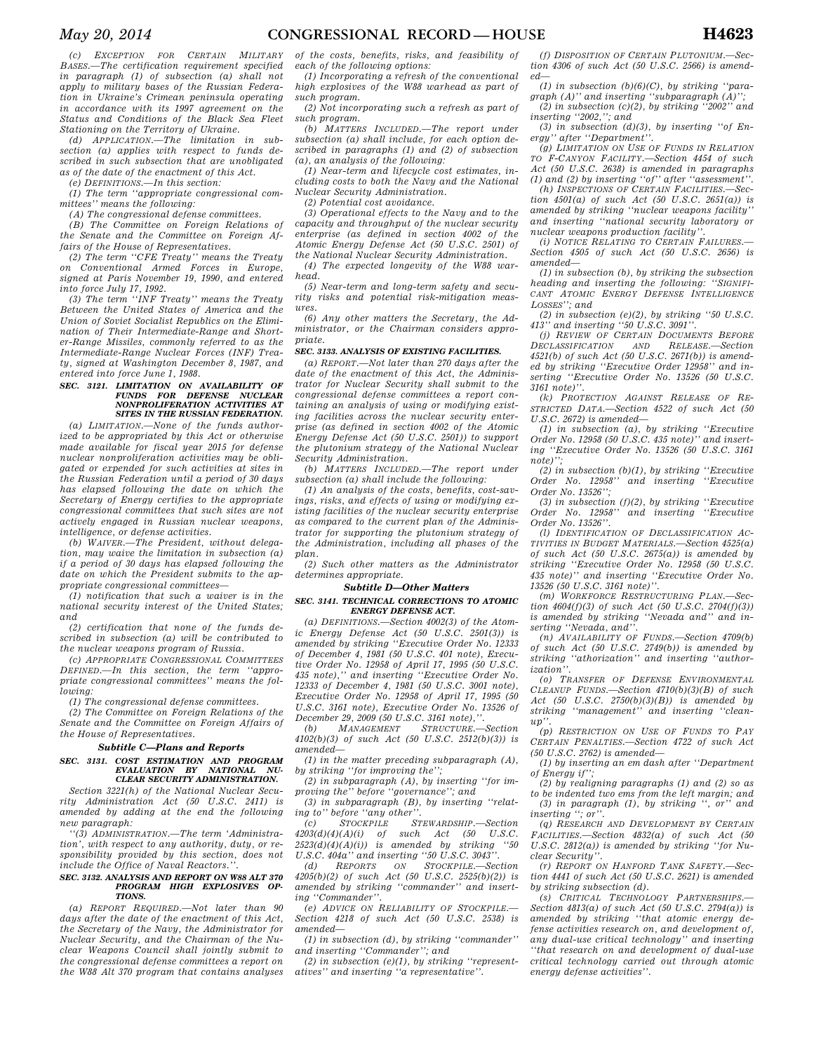*(c) EXCEPTION FOR CERTAIN MILITARY BASES.—The certification requirement specified in paragraph (1) of subsection (a) shall not apply to military bases of the Russian Federation in Ukraine's Crimean peninsula operating in accordance with its 1997 agreement on the Status and Conditions of the Black Sea Fleet Stationing on the Territory of Ukraine.* 

*(d) APPLICATION.—The limitation in subsection (a) applies with respect to funds described in such subsection that are unobligated as of the date of the enactment of this Act.* 

*(e) DEFINITIONS.—In this section: (1) The term ''appropriate congressional committees'' means the following:* 

#### *(A) The congressional defense committees.*

*(B) The Committee on Foreign Relations of the Senate and the Committee on Foreign Affairs of the House of Representatives.* 

*(2) The term ''CFE Treaty'' means the Treaty on Conventional Armed Forces in Europe, signed at Paris November 19, 1990, and entered into force July 17, 1992.* 

*(3) The term ''INF Treaty'' means the Treaty Between the United States of America and the Union of Soviet Socialist Republics on the Elimination of Their Intermediate-Range and Shorter-Range Missiles, commonly referred to as the Intermediate-Range Nuclear Forces (INF) Treaty, signed at Washington December 8, 1987, and entered into force June 1, 1988.* 

### *SEC. 3121. LIMITATION ON AVAILABILITY OF FUNDS FOR DEFENSE NUCLEAR NONPROLIFERATION ACTIVITIES AT SITES IN THE RUSSIAN FEDERATION.*

*(a) LIMITATION.—None of the funds authorized to be appropriated by this Act or otherwise made available for fiscal year 2015 for defense nuclear nonproliferation activities may be obligated or expended for such activities at sites in the Russian Federation until a period of 30 days has elapsed following the date on which the Secretary of Energy certifies to the appropriate congressional committees that such sites are not actively engaged in Russian nuclear weapons, intelligence, or defense activities.* 

*(b) WAIVER.—The President, without delegation, may waive the limitation in subsection (a) if a period of 30 days has elapsed following the date on which the President submits to the appropriate congressional committees—* 

*(1) notification that such a waiver is in the national security interest of the United States; and* 

*(2) certification that none of the funds described in subsection (a) will be contributed to the nuclear weapons program of Russia.* 

*(c) APPROPRIATE CONGRESSIONAL COMMITTEES DEFINED.—In this section, the term ''appropriate congressional committees'' means the following:* 

*(1) The congressional defense committees.* 

*(2) The Committee on Foreign Relations of the Senate and the Committee on Foreign Affairs of the House of Representatives.* 

### *Subtitle C—Plans and Reports*

### *SEC. 3131. COST ESTIMATION AND PROGRAM EVALUATION BY NATIONAL NU-CLEAR SECURITY ADMINISTRATION.*

*Section 3221(h) of the National Nuclear Security Administration Act (50 U.S.C. 2411) is amended by adding at the end the following new paragraph:* 

*''(3) ADMINISTRATION.—The term 'Administration', with respect to any authority, duty, or responsibility provided by this section, does not include the Office of Naval Reactors.''.* 

#### *SEC. 3132. ANALYSIS AND REPORT ON W88 ALT 370 PROGRAM HIGH EXPLOSIVES OP-TIONS.*

*(a) REPORT REQUIRED.—Not later than 90 days after the date of the enactment of this Act, the Secretary of the Navy, the Administrator for Nuclear Security, and the Chairman of the Nuclear Weapons Council shall jointly submit to the congressional defense committees a report on the W88 Alt 370 program that contains analyses* 

*of the costs, benefits, risks, and feasibility of each of the following options:* 

*(1) Incorporating a refresh of the conventional high explosives of the W88 warhead as part of such program.* 

*(2) Not incorporating such a refresh as part of such program.* 

*(b) MATTERS INCLUDED.—The report under subsection (a) shall include, for each option described in paragraphs (1) and (2) of subsection (a), an analysis of the following:* 

*(1) Near-term and lifecycle cost estimates, including costs to both the Navy and the National Nuclear Security Administration.* 

*(2) Potential cost avoidance.* 

*(3) Operational effects to the Navy and to the capacity and throughput of the nuclear security enterprise (as defined in section 4002 of the Atomic Energy Defense Act (50 U.S.C. 2501) of the National Nuclear Security Administration.* 

*(4) The expected longevity of the W88 warhead.* 

*(5) Near-term and long-term safety and security risks and potential risk-mitigation measures.* 

*(6) Any other matters the Secretary, the Administrator, or the Chairman considers appropriate.* 

### *SEC. 3133. ANALYSIS OF EXISTING FACILITIES.*

*(a) REPORT.—Not later than 270 days after the date of the enactment of this Act, the Administrator for Nuclear Security shall submit to the congressional defense committees a report containing an analysis of using or modifying existing facilities across the nuclear security enterprise (as defined in section 4002 of the Atomic Energy Defense Act (50 U.S.C. 2501)) to support the plutonium strategy of the National Nuclear Security Administration.* 

*(b) MATTERS INCLUDED.—The report under subsection (a) shall include the following:* 

*(1) An analysis of the costs, benefits, cost-savings, risks, and effects of using or modifying existing facilities of the nuclear security enterprise as compared to the current plan of the Administrator for supporting the plutonium strategy of the Administration, including all phases of the plan.* 

*(2) Such other matters as the Administrator determines appropriate.* 

#### *Subtitle D—Other Matters*

#### *SEC. 3141. TECHNICAL CORRECTIONS TO ATOMIC ENERGY DEFENSE ACT.*

*(a) DEFINITIONS.—Section 4002(3) of the Atomic Energy Defense Act (50 U.S.C. 2501(3)) is amended by striking ''Executive Order No. 12333 of December 4, 1981 (50 U.S.C. 401 note), Executive Order No. 12958 of April 17, 1995 (50 U.S.C. 435 note),'' and inserting ''Executive Order No. 12333 of December 4, 1981 (50 U.S.C. 3001 note), Executive Order No. 12958 of April 17, 1995 (50 U.S.C. 3161 note), Executive Order No. 13526 of December 29, 2009 (50 U.S.C. 3161 note),*<br> *(b) MANAGEMENT STRUCTURE* 

*(b) MANAGEMENT STRUCTURE.—Section 4102(b)(3) of such Act (50 U.S.C. 2512(b)(3)) is amended—* 

*(1) in the matter preceding subparagraph (A), by striking ''for improving the'';* 

*(2) in subparagraph (A), by inserting ''for improving the'' before ''governance''; and* 

*(3) in subparagraph (B), by inserting ''relat-*

*ing to'' before ''any other''. (c) STOCKPILE STEWARDSHIP.—Section 4203(d)(4)(A)(i) of such Act (50 U.S.C. 2523(d)(4)(A)(i)) is amended by striking ''50 U.S.C. 404a'' and inserting ''50 U.S.C. 3043''.* 

*(d) REPORTS ON STOCKPILE.—Section 4205(b)(2) of such Act (50 U.S.C. 2525(b)(2)) is amended by striking ''commander'' and inserting ''Commander''.* 

*(e) ADVICE ON RELIABILITY OF STOCKPILE.— Section 4218 of such Act (50 U.S.C. 2538) is amended—* 

*(1) in subsection (d), by striking ''commander'' and inserting ''Commander''; and* 

*(2) in subsection (e)(1), by striking ''representatives'' and inserting ''a representative''.* 

*(f) DISPOSITION OF CERTAIN PLUTONIUM.—Section 4306 of such Act (50 U.S.C. 2566) is amended—* 

*(1) in subsection (b)(6)(C), by striking ''para-*

*graph (A)'' and inserting ''subparagraph (A)''; (2) in subsection (c)(2), by striking ''2002'' and inserting ''2002,''; and* 

*(3) in subsection (d)(3), by inserting ''of Energy'' after ''Department''.* 

*(g) LIMITATION ON USE OF FUNDS IN RELATION TO F-CANYON FACILITY.—Section 4454 of such Act (50 U.S.C. 2638) is amended in paragraphs (1) and (2) by inserting ''of'' after ''assessment''.* 

*(h) INSPECTIONS OF CERTAIN FACILITIES.—Section 4501(a) of such Act (50 U.S.C. 2651(a)) is amended by striking ''nuclear weapons facility'' and inserting ''national security laboratory or nuclear weapons production facility''.* 

*(i) NOTICE RELATING TO CERTAIN FAILURES.— Section 4505 of such Act (50 U.S.C. 2656) is amended—* 

*(1) in subsection (b), by striking the subsection heading and inserting the following: ''SIGNIFI-CANT ATOMIC ENERGY DEFENSE INTELLIGENCE LOSSES''; and* 

*(2) in subsection (e)(2), by striking ''50 U.S.C. 413'' and inserting ''50 U.S.C. 3091''. (j) REVIEW OF CERTAIN DOCUMENTS BEFORE*

*DECLASSIFICATION AND RELEASE.—Section 4521(b) of such Act (50 U.S.C. 2671(b)) is amended by striking ''Executive Order 12958'' and inserting ''Executive Order No. 13526 (50 U.S.C. 3161 note)''.* 

*(k) PROTECTION AGAINST RELEASE OF RE-STRICTED DATA.—Section 4522 of such Act (50 U.S.C. 2672) is amended—* 

*(1) in subsection (a), by striking ''Executive Order No. 12958 (50 U.S.C. 435 note)'' and inserting ''Executive Order No. 13526 (50 U.S.C. 3161 note)'';* 

*(2) in subsection (b)(1), by striking ''Executive Order No. 12958'' and inserting ''Executive Order No. 13526'';* 

*(3) in subsection (f)(2), by striking ''Executive*   $\alpha$ <sup>*inserting "Executive*"</sup> *Order No. 13526''.* 

*(l) IDENTIFICATION OF DECLASSIFICATION AC-TIVITIES IN BUDGET MATERIALS.—Section 4525(a) of such Act (50 U.S.C. 2675(a)) is amended by striking ''Executive Order No. 12958 (50 U.S.C. 435 note)'' and inserting ''Executive Order No. 13526 (50 U.S.C. 3161 note)''.* 

*(m) WORKFORCE RESTRUCTURING PLAN.—Section 4604(f)(3) of such Act (50 U.S.C. 2704(f)(3)) is amended by striking ''Nevada and'' and inserting ''Nevada, and''.* 

*(n) AVAILABILITY OF FUNDS.—Section 4709(b) of such Act (50 U.S.C. 2749(b)) is amended by striking ''athorization'' and inserting ''author-* $\it i$ *zation* 

*(o) TRANSFER OF DEFENSE ENVIRONMENTAL CLEANUP FUNDS.—Section 4710(b)(3)(B) of such Act (50 U.S.C. 2750(b)(3)(B)) is amended by striking ''management'' and inserting ''cleanup''.* 

*(p) RESTRICTION ON USE OF FUNDS TO PAY CERTAIN PENALTIES.—Section 4722 of such Act (50 U.S.C. 2762) is amended—* 

*(1) by inserting an em dash after ''Department of Energy if'';* 

*(2) by realigning paragraphs (1) and (2) so as to be indented two ems from the left margin; and (3) in paragraph (1), by striking '', or'' and inserting ''; or''.* 

*(q) RESEARCH AND DEVELOPMENT BY CERTAIN FACILITIES.—Section 4832(a) of such Act (50 U.S.C. 2812(a)) is amended by striking ''for Nuclear Security''.* 

*(r) REPORT ON HANFORD TANK SAFETY.—Section 4441 of such Act (50 U.S.C. 2621) is amended by striking subsection (d).* 

*(s) CRITICAL TECHNOLOGY PARTNERSHIPS.— Section 4813(a) of such Act (50 U.S.C. 2794(a)) is amended by striking ''that atomic energy defense activities research on, and development of, any dual-use critical technology'' and inserting ''that research on and development of dual-use critical technology carried out through atomic energy defense activities''.*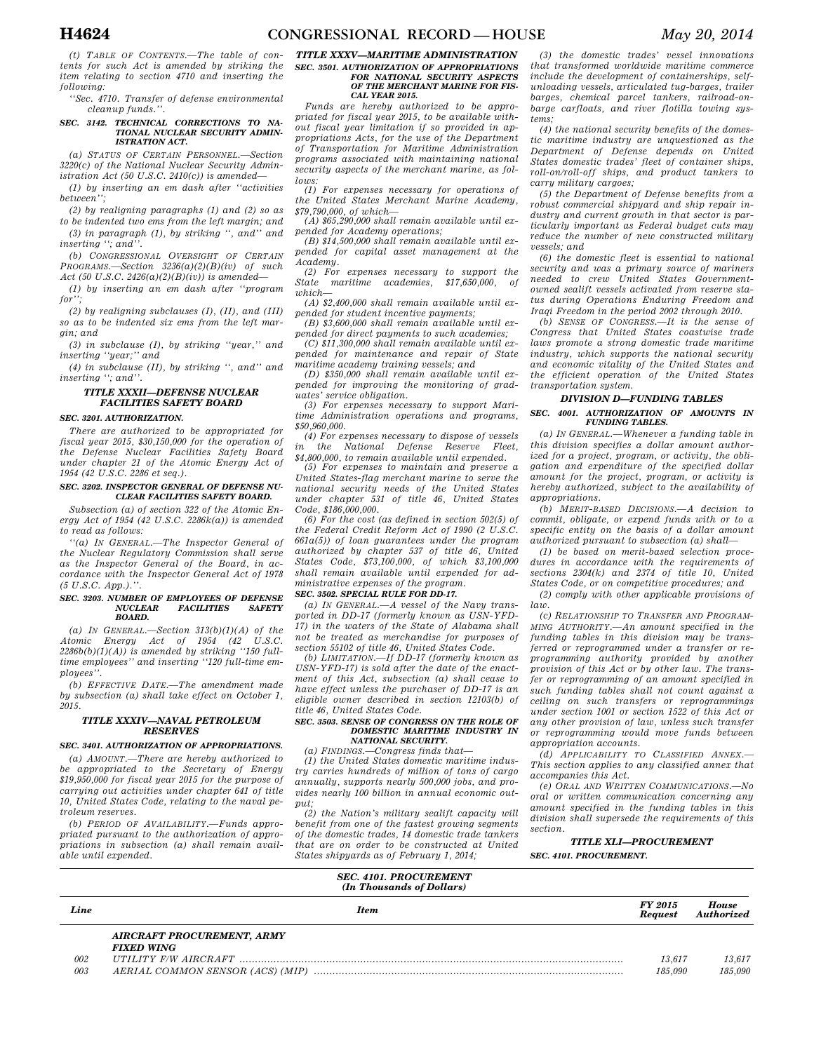*(t) TABLE OF CONTENTS.—The table of contents for such Act is amended by striking the item relating to section 4710 and inserting the following:* 

*''Sec. 4710. Transfer of defense environmental cleanup funds.''.* 

### *SEC. 3142. TECHNICAL CORRECTIONS TO NA-TIONAL NUCLEAR SECURITY ADMIN-ISTRATION ACT.*

*(a) STATUS OF CERTAIN PERSONNEL.—Section 3220(c) of the National Nuclear Security Administration Act (50 U.S.C. 2410(c)) is amended—* 

*(1) by inserting an em dash after ''activities between'';* 

*(2) by realigning paragraphs (1) and (2) so as to be indented two ems from the left margin; and (3) in paragraph (1), by striking '', and'' and* 

*inserting ''; and''. (b) CONGRESSIONAL OVERSIGHT OF CERTAIN*

*PROGRAMS.—Section 3236(a)(2)(B)(iv) of such Act (50 U.S.C. 2426(a)(2)(B)(iv)) is amended—* 

*(1) by inserting an em dash after ''program for'';* 

*(2) by realigning subclauses (I), (II), and (III) so as to be indented six ems from the left margin; and* 

*(3) in subclause (I), by striking ''year,'' and inserting ''year;'' and* 

*(4) in subclause (II), by striking '', and'' and inserting ''; and''.* 

#### *TITLE XXXII—DEFENSE NUCLEAR FACILITIES SAFETY BOARD*

#### *SEC. 3201. AUTHORIZATION.*

*There are authorized to be appropriated for fiscal year 2015, \$30,150,000 for the operation of the Defense Nuclear Facilities Safety Board under chapter 21 of the Atomic Energy Act of 1954 (42 U.S.C. 2286 et seq.).* 

#### *SEC. 3202. INSPECTOR GENERAL OF DEFENSE NU-CLEAR FACILITIES SAFETY BOARD.*

*Subsection (a) of section 322 of the Atomic Energy Act of 1954 (42 U.S.C. 2286k(a)) is amended to read as follows:* 

*''(a) IN GENERAL.—The Inspector General of the Nuclear Regulatory Commission shall serve as the Inspector General of the Board, in accordance with the Inspector General Act of 1978 (5 U.S.C. App.).''.* 

#### *SEC. 3203. NUMBER OF EMPLOYEES OF DEFENSE NUCLEAR FACILITIES SAFETY BOARD.*

*(a) IN GENERAL.—Section 313(b)(1)(A) of the Atomic Energy Act of 1954 (42 U.S.C. 2286b(b)(1)(A)) is amended by striking ''150 fulltime employees'' and inserting ''120 full-time employees''.* 

*(b) EFFECTIVE DATE.—The amendment made by subsection (a) shall take effect on October 1, 2015.* 

#### *TITLE XXXIV—NAVAL PETROLEUM RESERVES*

### *SEC. 3401. AUTHORIZATION OF APPROPRIATIONS.*

*(a) AMOUNT.—There are hereby authorized to be appropriated to the Secretary of Energy \$19,950,000 for fiscal year 2015 for the purpose of carrying out activities under chapter 641 of title 10, United States Code, relating to the naval petroleum reserves.* 

*(b) PERIOD OF AVAILABILITY.—Funds appropriated pursuant to the authorization of appropriations in subsection (a) shall remain available until expended.* 

#### *TITLE XXXV—MARITIME ADMINISTRATION SEC. 3501. AUTHORIZATION OF APPROPRIATIONS FOR NATIONAL SECURITY ASPECTS OF THE MERCHANT MARINE FOR FIS-CAL YEAR 2015.*

*Funds are hereby authorized to be appropriated for fiscal year 2015, to be available without fiscal year limitation if so provided in appropriations Acts, for the use of the Department of Transportation for Maritime Administration programs associated with maintaining national security aspects of the merchant marine, as follows:* 

*(1) For expenses necessary for operations of the United States Merchant Marine Academy, \$79,790,000, of which—* 

*(A) \$65,290,000 shall remain available until expended for Academy operations; (B) \$14,500,000 shall remain available until ex-*

*pended for capital asset management at the Academy.* 

*(2) For expenses necessary to support the State maritime academies, \$17,650,000, of which—* 

*(A) \$2,400,000 shall remain available until expended for student incentive payments;* 

*(B) \$3,600,000 shall remain available until expended for direct payments to such academies;* 

*(C) \$11,300,000 shall remain available until expended for maintenance and repair of State maritime academy training vessels; and* 

*(D) \$350,000 shall remain available until expended for improving the monitoring of graduates' service obligation.* 

*(3) For expenses necessary to support Maritime Administration operations and programs, \$50,960,000.* 

*(4) For expenses necessary to dispose of vessels in the National Defense Reserve Fleet, \$4,800,000, to remain available until expended.* 

*(5) For expenses to maintain and preserve a United States-flag merchant marine to serve the national security needs of the United States under chapter 531 of title 46, United States Code, \$186,000,000.* 

*(6) For the cost (as defined in section 502(5) of the Federal Credit Reform Act of 1990 (2 U.S.C. 661a(5)) of loan guarantees under the program authorized by chapter 537 of title 46, United States Code, \$73,100,000, of which \$3,100,000 shall remain available until expended for administrative expenses of the program.* 

#### *SEC. 3502. SPECIAL RULE FOR DD-17.*

*(a) IN GENERAL.—A vessel of the Navy transported in DD-17 (formerly known as USN-YFD-17) in the waters of the State of Alabama shall not be treated as merchandise for purposes of section 55102 of title 46, United States Code.* 

*(b) LIMITATION.—If DD-17 (formerly known as USN-YFD-17) is sold after the date of the enactment of this Act, subsection (a) shall cease to have effect unless the purchaser of DD-17 is an eligible owner described in section 12103(b) of title 46, United States Code.* 

#### *SEC. 3503. SENSE OF CONGRESS ON THE ROLE OF DOMESTIC MARITIME INDUSTRY IN NATIONAL SECURITY.*

*(a) FINDINGS.—Congress finds that—* 

*(1) the United States domestic maritime industry carries hundreds of million of tons of cargo annually, supports nearly 500,000 jobs, and provides nearly 100 billion in annual economic output;* 

*(2) the Nation's military sealift capacity will benefit from one of the fastest growing segments of the domestic trades, 14 domestic trade tankers that are on order to be constructed at United States shipyards as of February 1, 2014;* 

*(3) the domestic trades' vessel innovations that transformed worldwide maritime commerce include the development of containerships, selfunloading vessels, articulated tug-barges, trailer barges, chemical parcel tankers, railroad-onbarge carfloats, and river flotilla towing systems;* 

*(4) the national security benefits of the domestic maritime industry are unquestioned as the Department of Defense depends on United States domestic trades' fleet of container ships, roll-on/roll-off ships, and product tankers to carry military cargoes;* 

*(5) the Department of Defense benefits from a robust commercial shipyard and ship repair industry and current growth in that sector is particularly important as Federal budget cuts may reduce the number of new constructed military vessels; and* 

*(6) the domestic fleet is essential to national security and was a primary source of mariners needed to crew United States Governmentowned sealift vessels activated from reserve status during Operations Enduring Freedom and Iraqi Freedom in the period 2002 through 2010.* 

*(b) SENSE OF CONGRESS.—It is the sense of Congress that United States coastwise trade laws promote a strong domestic trade maritime industry, which supports the national security and economic vitality of the United States and the efficient operation of the United States transportation system.* 

### *DIVISION D—FUNDING TABLES SEC. 4001. AUTHORIZATION OF AMOUNTS IN*

### *FUNDING TABLES.*

*(a) IN GENERAL.—Whenever a funding table in this division specifies a dollar amount authorized for a project, program, or activity, the obligation and expenditure of the specified dollar amount for the project, program, or activity is hereby authorized, subject to the availability of appropriations.* 

*(b) MERIT-BASED DECISIONS.—A decision to commit, obligate, or expend funds with or to a specific entity on the basis of a dollar amount authorized pursuant to subsection (a) shall—* 

*(1) be based on merit-based selection procedures in accordance with the requirements of sections 2304(k) and 2374 of title 10, United States Code, or on competitive procedures; and* 

*(2) comply with other applicable provisions of law.* 

*(c) RELATIONSHIP TO TRANSFER AND PROGRAM-MING AUTHORITY.—An amount specified in the funding tables in this division may be transferred or reprogrammed under a transfer or reprogramming authority provided by another provision of this Act or by other law. The transfer or reprogramming of an amount specified in such funding tables shall not count against a ceiling on such transfers or reprogrammings under section 1001 or section 1522 of this Act or any other provision of law, unless such transfer or reprogramming would move funds between appropriation accounts.* 

*(d) APPLICABILITY TO CLASSIFIED ANNEX.— This section applies to any classified annex that accompanies this Act.* 

*(e) ORAL AND WRITTEN COMMUNICATIONS.—No oral or written communication concerning any amount specified in the funding tables in this division shall supersede the requirements of this section.* 

*TITLE XLI—PROCUREMENT SEC. 4101. PROCUREMENT.* 

| Line | Item                                                   | FY 2015<br><b>Request</b> | House<br>Authorized |
|------|--------------------------------------------------------|---------------------------|---------------------|
|      | <b>AIRCRAFT PROCUREMENT, ARMY</b><br><b>FIXED WING</b> |                           |                     |
| 002  |                                                        | 13.617                    | 13.617              |
| 003  |                                                        | 185,090                   | 185.090             |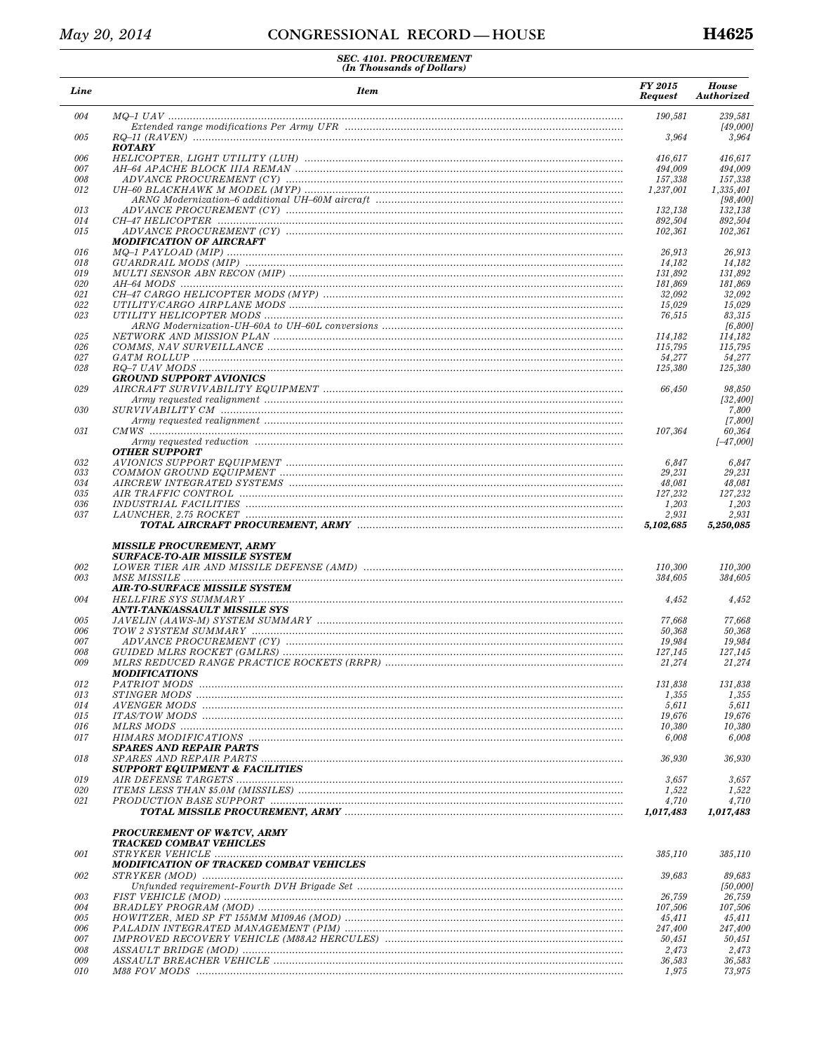| Line       | <b>Item</b>                                                              | FY 2015<br><b>Request</b> | <b>House</b><br><b>Authorized</b> |
|------------|--------------------------------------------------------------------------|---------------------------|-----------------------------------|
| 004        |                                                                          | 190,581                   | 239,581                           |
| 005        |                                                                          | 3,964                     | [49,000]<br>3,964                 |
| 006        | <b>ROTARY</b>                                                            | 416,617                   | 416.617                           |
| 007        |                                                                          | 494,009                   | 494,009                           |
| 008        |                                                                          | 157,338                   | 157,338                           |
| 012        |                                                                          | 1,237,001                 | 1,335,401                         |
|            |                                                                          |                           | [98, 400]                         |
| 013        |                                                                          | 132,138                   | 132.138                           |
| 014        |                                                                          | 892,504                   | 892,504                           |
| 015        | <b>MODIFICATION OF AIRCRAFT</b>                                          | 102,361                   | 102.361                           |
| 016        |                                                                          | 26,913                    | 26.913                            |
| 018        |                                                                          | 14,182                    | 14,182                            |
| 019        |                                                                          | 131,892                   | 131,892                           |
| 020<br>021 |                                                                          | 181,869                   | 181,869                           |
| 022        |                                                                          | 32,092<br>15,029          | 32,092<br>15,029                  |
| 023        |                                                                          | 76,515                    | 83,315                            |
|            |                                                                          |                           | [6,800]                           |
| 025        |                                                                          | 114,182                   | 114,182                           |
| 026        |                                                                          | 115,795                   | 115,795                           |
| 027        |                                                                          | 54,277                    | 54,277                            |
| 028        |                                                                          | 125,380                   | 125,380                           |
|            | <b>GROUND SUPPORT AVIONICS</b>                                           |                           |                                   |
| 029        |                                                                          | 66,450                    | 98,850                            |
|            |                                                                          |                           | [32, 400]                         |
| 030        |                                                                          |                           | 7,800<br>[7,800]                  |
| 031        |                                                                          | 107,364                   | 60,364                            |
|            |                                                                          |                           | $[-47,000]$                       |
|            | <b>OTHER SUPPORT</b>                                                     |                           |                                   |
| 032        |                                                                          | 6,847                     | 6,847                             |
| 033        |                                                                          | 29,231                    | 29,231                            |
| 034        |                                                                          | 48,081                    | 48,081                            |
| 035        |                                                                          | 127,232                   | 127,232                           |
| 036        |                                                                          | 1,203                     | 1,203                             |
| 037        |                                                                          | 2,931<br>5,102,685        | 2,931<br>5,250,085                |
| 002<br>003 | <b>MISSILE PROCUREMENT, ARMY</b><br><b>SURFACE-TO-AIR MISSILE SYSTEM</b> | 110,300<br>384,605        | 110,300<br>384,605                |
| 004        | <b>AIR-TO-SURFACE MISSILE SYSTEM</b>                                     | 4,452                     | 4,452                             |
|            | ANTI-TANK/ASSAULT MISSILE SYS                                            |                           |                                   |
| 005        |                                                                          | 77,668                    | 77,668                            |
| 006        |                                                                          | 50,368                    | 50,368                            |
| 007        |                                                                          | 19,984                    | 19,984                            |
| 008        |                                                                          | 127,145                   | 127,145                           |
| 009        | <b>MODIFICATIONS</b>                                                     | 21,274                    | 21,274                            |
| 012        |                                                                          | 131,838                   | 131,838                           |
| 013        |                                                                          | 1,355                     | 1,355                             |
| 014        |                                                                          | 5,611                     | 5,611                             |
| 015        |                                                                          | 19,676                    | 19,676                            |
| 016<br>017 |                                                                          | 10,380<br>6,008           | 10,380<br>6,008                   |
|            | <b>SPARES AND REPAIR PARTS</b>                                           |                           |                                   |
| 018        | <b>SUPPORT EQUIPMENT &amp; FACILITIES</b>                                | 36,930                    | 36,930                            |
| 019        |                                                                          | 3,657                     | 3,657                             |
| 020        |                                                                          | 1,522                     | 1,522                             |
| 021        |                                                                          | 4,710                     | 4,710                             |
|            |                                                                          | 1,017,483                 | 1,017,483                         |
|            | <b>PROCUREMENT OF W&amp;TCV, ARMY</b><br><b>TRACKED COMBAT VEHICLES</b>  |                           |                                   |
| 001        |                                                                          | 385,110                   | 385,110                           |
|            | MODIFICATION OF TRACKED COMBAT VEHICLES                                  |                           |                                   |
| 002        |                                                                          | 39,683                    | 89,683                            |
|            |                                                                          |                           | [50,000]                          |
| 003        |                                                                          | 26,759                    | 26,759                            |
| 004        |                                                                          | 107,506                   | 107,506                           |
| 005<br>006 |                                                                          | 45,411<br>247,400         | 45,411<br>247,400                 |
| 007        |                                                                          | 50,451                    | 50,451                            |
| 008        |                                                                          | 2,473                     | 2,473                             |
| 009        |                                                                          | 36,583                    | 36,583                            |
| 010        |                                                                          | 1,975                     | 73,975                            |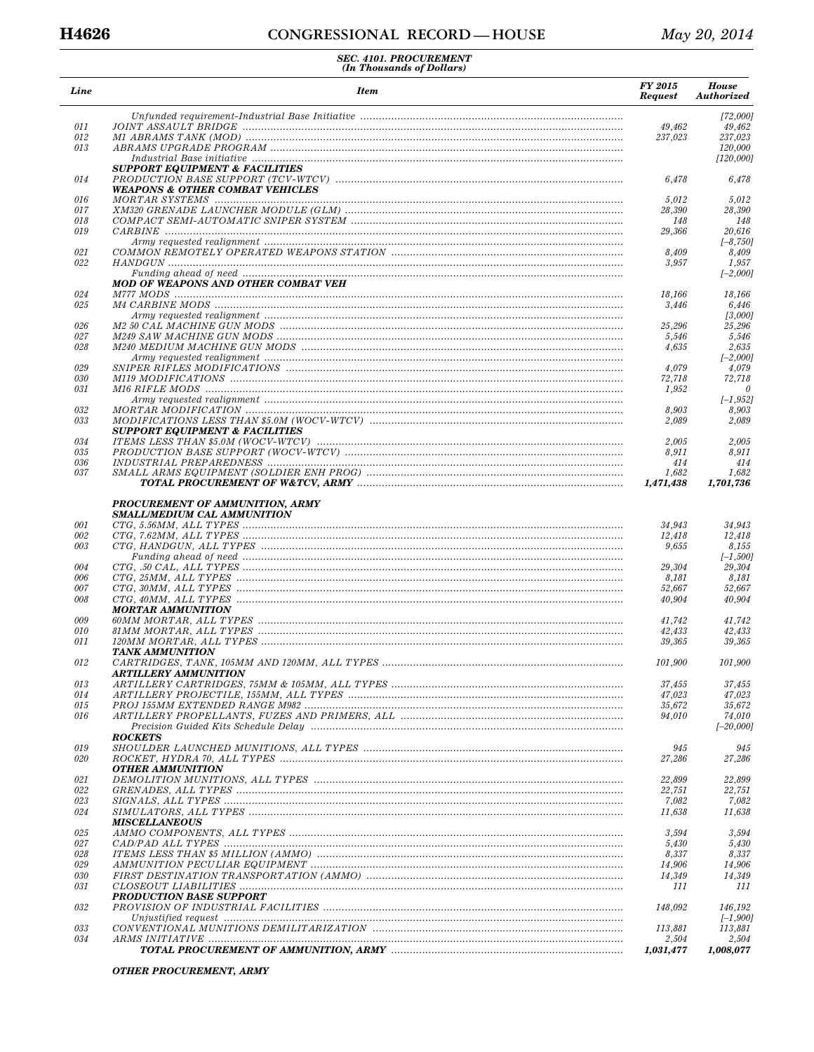| Line       | <b>Item</b>                                                                  | <b>FY 2015</b><br><b>Request</b> | <b>House</b><br>Authorized |
|------------|------------------------------------------------------------------------------|----------------------------------|----------------------------|
|            |                                                                              |                                  | [72,000]                   |
| 011        |                                                                              | 49,462                           | 49,462                     |
| 012<br>013 |                                                                              | 237,023                          | 237,023<br>120,000         |
|            |                                                                              |                                  | [120,000]                  |
|            | <b>SUPPORT EQUIPMENT &amp; FACILITIES</b>                                    |                                  |                            |
| 014        |                                                                              | 6,478                            | 6,478                      |
|            | <b>WEAPONS &amp; OTHER COMBAT VEHICLES</b>                                   |                                  |                            |
| 016        |                                                                              | 5,012                            | 5,012                      |
| 017<br>018 |                                                                              | 28,390<br>148                    | 28,390<br>148              |
| 019        |                                                                              | 29,366                           | 20,616                     |
|            |                                                                              |                                  | $[-8, 750]$                |
| 021        |                                                                              | 8,409                            | 8,409                      |
| 022        |                                                                              | 3,957                            | 1,957                      |
|            |                                                                              |                                  | $[-2,000]$                 |
|            | MOD OF WEAPONS AND OTHER COMBAT VEH                                          |                                  |                            |
| 024        |                                                                              | 18,166                           | 18,166                     |
| 025        |                                                                              | 3,446                            | 6,446<br>[3,000]           |
| 026        |                                                                              | 25,296                           | 25,296                     |
| 027        |                                                                              | 5,546                            | 5,546                      |
| 028        |                                                                              | 4,635                            | 2,635                      |
|            |                                                                              |                                  | $[-2,000]$                 |
| 029        |                                                                              | 4,079                            | 4,079                      |
| 030        |                                                                              | 72,718                           | 72,718                     |
| 031        |                                                                              | 1,952                            | $\theta$                   |
|            |                                                                              |                                  | $[-1, 952]$                |
| 032<br>033 |                                                                              | 8,903<br>2,089                   | 8,903<br>2,089             |
|            | <b>SUPPORT EQUIPMENT &amp; FACILITIES</b>                                    |                                  |                            |
| 034        |                                                                              | 2,005                            | 2,005                      |
| 035        |                                                                              | 8,911                            | 8,911                      |
| 036        |                                                                              | 414                              | 414                        |
| 037        |                                                                              | 1,682<br>1,471,438               | 1,682<br>1,701,736         |
|            | <b>PROCUREMENT OF AMMUNITION, ARMY</b><br><b>SMALL/MEDIUM CAL AMMUNITION</b> |                                  |                            |
| 001        |                                                                              | 34,943                           | 34,943                     |
| 002        |                                                                              | 12,418                           | 12,418                     |
| 003        |                                                                              | 9,655                            | 8,155                      |
|            |                                                                              |                                  | $[-1,500]$                 |
| 004        |                                                                              | 29,304                           | 29,304                     |
| 006        |                                                                              | 8,181                            | 8,181                      |
| 007<br>008 |                                                                              | 52,667<br>40,904                 | 52,667<br>40,904           |
|            | <b>MORTAR AMMUNITION</b>                                                     |                                  |                            |
| 009        |                                                                              | 41,742                           | 41,742                     |
| 010        |                                                                              | 42,433                           | 42,433                     |
| 011        |                                                                              | 39,365                           | 39,365                     |
|            | TANK AMMUNITION                                                              |                                  |                            |
| 012        |                                                                              | 101,900                          | 101,900                    |
|            | ARTILLERY AMMUNITION                                                         |                                  |                            |
| 013        |                                                                              | 37,455                           | 37,455                     |
| 014<br>015 |                                                                              | 47,023<br>35,672                 | 47,023<br>35,672           |
| 016        |                                                                              | 94,010                           | 74,010                     |
|            |                                                                              |                                  | $[-20,000]$                |
|            | <b>ROCKETS</b>                                                               |                                  |                            |
| 019        |                                                                              | 945                              | 945                        |
| 020        |                                                                              | 27,286                           | 27,286                     |
|            | <b>OTHER AMMUNITION</b>                                                      |                                  |                            |
| 021        |                                                                              | 22,899                           | 22,899                     |
| 022        |                                                                              | 22,751                           | 22,751                     |
| 023<br>024 |                                                                              | 7,082                            | 7,082                      |
|            | <b>MISCELLANEOUS</b>                                                         | 11,638                           | 11,638                     |
| 025        |                                                                              | 3,594                            | 3,594                      |
| 027        |                                                                              | 5,430                            | 5,430                      |
| 028        |                                                                              | 8,337                            | 8,337                      |
| 029        |                                                                              | 14,906                           | 14,906                     |
|            |                                                                              | 14,349                           | 14,349                     |
| 030        |                                                                              |                                  |                            |
| 031        |                                                                              | 111                              | 111                        |
|            | PRODUCTION BASE SUPPORT                                                      |                                  |                            |
| 032        |                                                                              | 148,092                          | 146,192                    |
|            |                                                                              |                                  | $[-1, 900]$                |
| 033<br>034 |                                                                              | 113,881<br>2,504                 | 113,881<br>2,504           |

OTHER PROCUREMENT, ARMY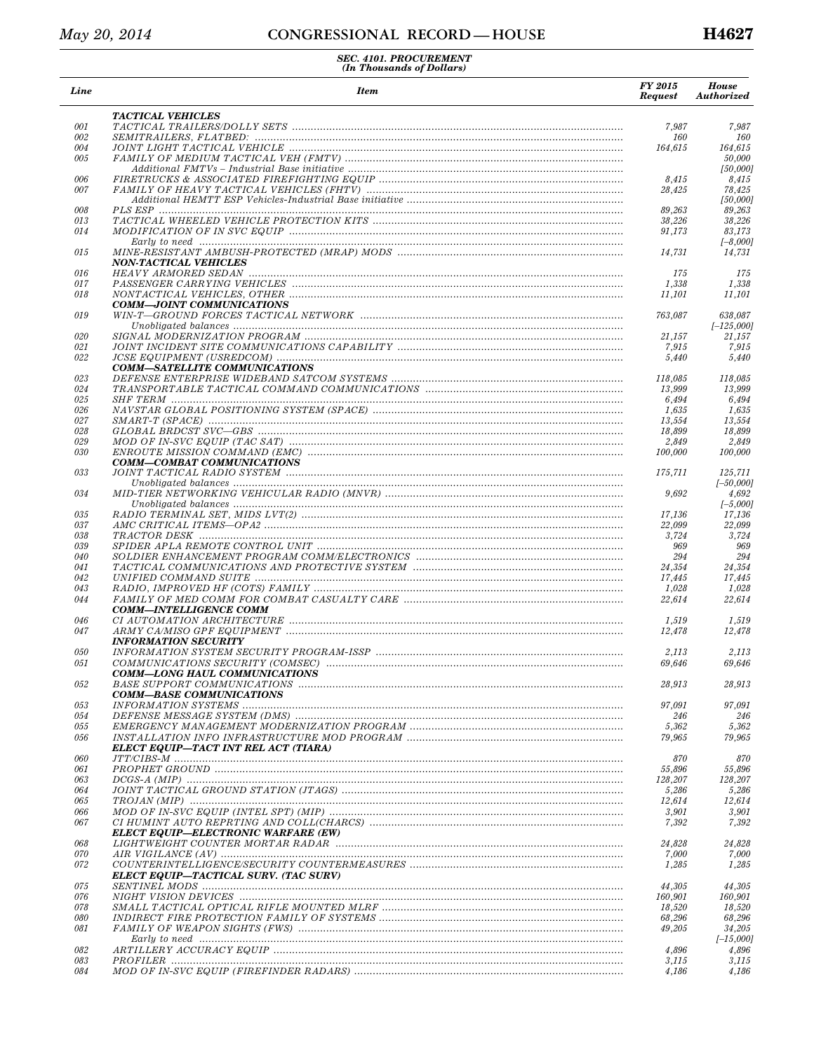| Line       | <b>Item</b>                                                                                                    | FY 2015<br><b>Request</b> | <b>House</b><br>Authorized |
|------------|----------------------------------------------------------------------------------------------------------------|---------------------------|----------------------------|
|            | <b>TACTICAL VEHICLES</b>                                                                                       |                           |                            |
| 001        |                                                                                                                | 7,987                     | 7,987                      |
| 002        |                                                                                                                | 160                       | 160                        |
| 004<br>005 |                                                                                                                | 164,615                   | 164,615<br>50,000          |
|            |                                                                                                                |                           | [50,000]                   |
| 006        |                                                                                                                | 8,415                     | 8,415                      |
| 007        |                                                                                                                | 28,425                    | 78,425                     |
|            |                                                                                                                |                           | [50,000]                   |
| 008        |                                                                                                                | 89,263                    | 89,263                     |
| 013        |                                                                                                                | 38,226                    | 38,226                     |
| 014        |                                                                                                                | 91,173                    | 83,173                     |
|            |                                                                                                                |                           | $[-8,000]$                 |
| 015        |                                                                                                                | 14,731                    | 14,731                     |
| 016        | <b>NON-TACTICAL VEHICLES</b>                                                                                   | 175                       | 175                        |
| 017        |                                                                                                                | 1,338                     | 1,338                      |
| 018        |                                                                                                                | 11,101                    | 11,101                     |
|            | <b>COMM-JOINT COMMUNICATIONS</b>                                                                               |                           |                            |
| 019        | WIN-T—GROUND FORCES TACTICAL NETWORK manufacture contains and contained the contact of the contact of the cont | 763,087                   | 638,087                    |
|            |                                                                                                                |                           | $[-125,000]$               |
| 020        |                                                                                                                | 21,157                    | 21,157                     |
| 021        |                                                                                                                | 7,915                     | 7,915                      |
| 022        |                                                                                                                | 5,440                     | 5,440                      |
|            | <b>COMM-SATELLITE COMMUNICATIONS</b>                                                                           |                           |                            |
| 023        |                                                                                                                | 118,085                   | 118,085                    |
| 024        |                                                                                                                | 13,999                    | 13,999                     |
| 025        |                                                                                                                | 6,494                     | 6,494                      |
| 026<br>027 |                                                                                                                | 1,635<br>13,554           | 1,635<br>13,554            |
| 028        |                                                                                                                | 18,899                    | 18,899                     |
| 029        |                                                                                                                | 2,849                     | 2,849                      |
| 030        |                                                                                                                | 100,000                   | 100,000                    |
|            | <b>COMM-COMBAT COMMUNICATIONS</b>                                                                              |                           |                            |
| 033        |                                                                                                                | 175,711                   | 125,711                    |
|            |                                                                                                                |                           | $[-50,000]$                |
| 034        |                                                                                                                | 9,692                     | 4,692                      |
|            |                                                                                                                |                           | $[-5,000]$                 |
| 035        |                                                                                                                | 17,136                    | 17,136                     |
| 037        |                                                                                                                | 22,099                    | 22,099                     |
| 038        |                                                                                                                | 3,724                     | 3,724                      |
| 039        |                                                                                                                | 969                       | 969                        |
| 040        |                                                                                                                | 294                       | 294                        |
| 041        |                                                                                                                | 24,354                    | 24,354                     |
| 042        |                                                                                                                | 17,445                    | 17,445                     |
| 043        |                                                                                                                | 1,028                     | 1,028                      |
| 044        | COMM-INTELLIGENCE COMM                                                                                         | 22,614                    | 22,614                     |
| 046        |                                                                                                                | 1,519                     | 1,519                      |
| 047        |                                                                                                                | 12,478                    | 12,478                     |
|            | <b>INFORMATION SECURITY</b>                                                                                    |                           |                            |
| 050        |                                                                                                                | 2,113                     | 2,113                      |
| 051        |                                                                                                                | 69,646                    | 69,646                     |
|            | <b>COMM-LONG HAUL COMMUNICATIONS</b>                                                                           |                           |                            |
| 052        |                                                                                                                | 28,913                    | 28,913                     |
|            | <b>COMM-BASE COMMUNICATIONS</b>                                                                                |                           |                            |
| 053        |                                                                                                                | 97,091                    | 97,091                     |
| 054        |                                                                                                                | 246                       | 246                        |
| 055        |                                                                                                                | 5,362                     | 5,362                      |
| 056        |                                                                                                                | 79,965                    | 79,965                     |
|            | ELECT EQUIP—TACT INT REL ACT (TIARA)                                                                           |                           |                            |
| 060        |                                                                                                                | 870                       | 870                        |
| 061        |                                                                                                                | 55,896                    | 55,896                     |
| 063        |                                                                                                                | 128,207                   | 128,207                    |
| 064<br>065 |                                                                                                                | 5,286<br>12,614           | 5,286<br>12,614            |
| 066        |                                                                                                                | 3,901                     | 3,901                      |
| 067        |                                                                                                                | 7,392                     | 7,392                      |
|            | <b>ELECT EQUIP—ELECTRONIC WARFARE (EW)</b>                                                                     |                           |                            |
| 068        |                                                                                                                | 24,828                    | 24,828                     |
| 070        |                                                                                                                | 7,000                     | 7,000                      |
| 072        |                                                                                                                | 1,285                     | 1,285                      |
|            | ELECT EQUIP-TACTICAL SURV. (TAC SURV)                                                                          |                           |                            |
| 075        |                                                                                                                | 44,305                    | 44,305                     |
| 076        |                                                                                                                | 160,901                   | 160,901                    |
| 078        |                                                                                                                | 18,520                    | 18,520                     |
| 080        |                                                                                                                | 68,296                    | 68,296                     |
| 081        |                                                                                                                | 49,205                    | 34,205                     |
|            |                                                                                                                |                           | $[-15,000]$                |
| 082        |                                                                                                                | 4,896                     | 4,896                      |
| 083        |                                                                                                                | 3,115                     | 3,115                      |
| 084        |                                                                                                                | 4,186                     | 4,186                      |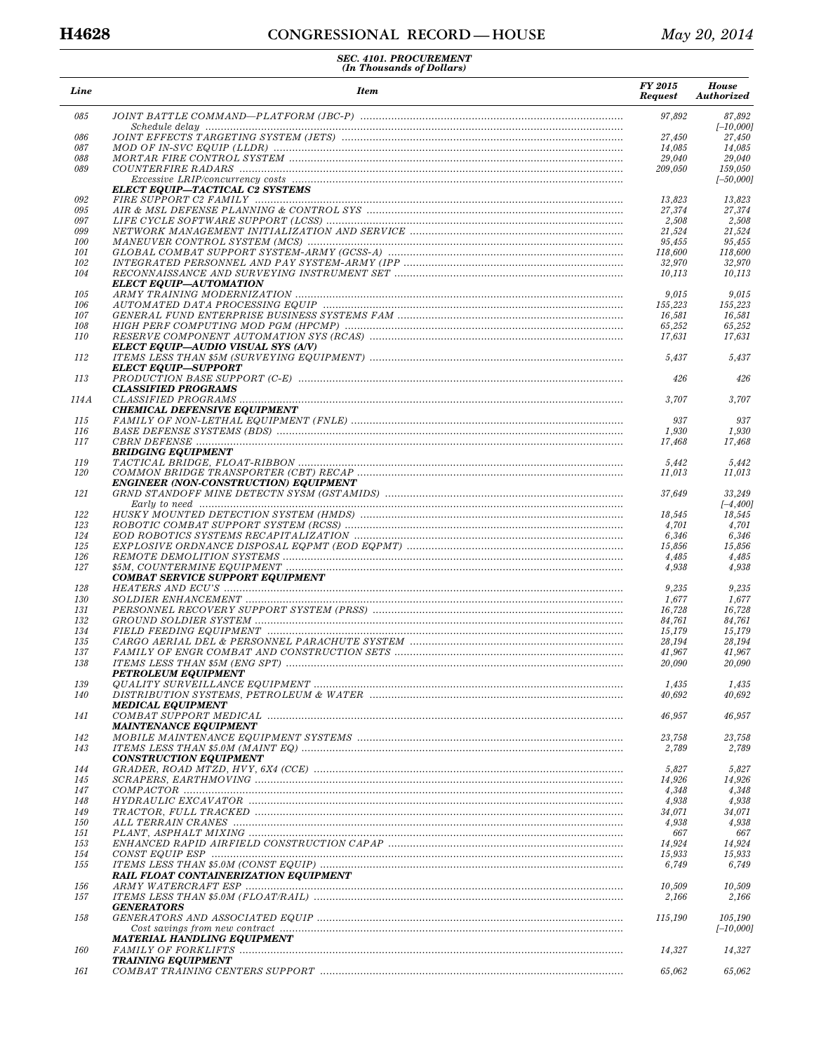| Line       | <b>Item</b>                                                                                      | <b>FY 2015</b><br><b>Request</b> | <b>House</b><br>Authorized |
|------------|--------------------------------------------------------------------------------------------------|----------------------------------|----------------------------|
| 085        |                                                                                                  | 97,892                           | 87,892                     |
| 086        |                                                                                                  | 27,450                           | $[-10,000]$<br>27,450      |
| 087        |                                                                                                  | 14,085                           | 14.085                     |
| 088        |                                                                                                  | 29,040                           | 29,040                     |
| 089        |                                                                                                  | 209,050                          | 159,050<br>$[-50,000]$     |
|            | ELECT EQUIP-TACTICAL C2 SYSTEMS                                                                  |                                  |                            |
| 092        |                                                                                                  | 13,823                           | 13,823                     |
| 095        |                                                                                                  | 27,374                           | 27,374                     |
| 097<br>099 |                                                                                                  | 2,508<br>21,524                  | 2,508<br>21,524            |
| 100        |                                                                                                  | 95,455                           | 95,455                     |
| 101        |                                                                                                  | 118,600                          | 118,600                    |
| 102<br>104 |                                                                                                  | 32,970<br>10,113                 | 32,970<br>10,113           |
|            | ELECT EQUIP—AUTOMATION                                                                           |                                  |                            |
| 105        |                                                                                                  | 9,015                            | 9,015                      |
| 106        |                                                                                                  | 155,223                          | 155,223                    |
| 107<br>108 |                                                                                                  | 16,581<br>65,252                 | 16,581<br>65,252           |
| <i>110</i> |                                                                                                  | 17,631                           | 17,631                     |
|            | ELECT EQUIP—AUDIO VISUAL SYS (A/V)                                                               |                                  |                            |
| 112        | $\label{eq:2} ITEMS\ LESS\ THAN\ \$5M\ (SURVEYING\ EQUIPMENT)\ \nonumber$<br>ELECT EQUIP—SUPPORT | 5,437                            | 5,437                      |
| 113        |                                                                                                  | 426                              | 426                        |
|            | <b>CLASSIFIED PROGRAMS</b>                                                                       |                                  |                            |
| 114A       | $\it CLASSIFIED\; PROGRAMS\;$                                                                    | 3,707                            | 3,707                      |
| 115        | <b>CHEMICAL DEFENSIVE EQUIPMENT</b>                                                              | 937                              | 937                        |
| 116        |                                                                                                  | 1,930                            | 1,930                      |
| 117        |                                                                                                  | 17,468                           | 17,468                     |
|            | <b>BRIDGING EQUIPMENT</b>                                                                        |                                  |                            |
| 119<br>120 |                                                                                                  | 5,442<br>11,013                  | 5,442<br>11,013            |
|            | <b>ENGINEER (NON-CONSTRUCTION) EQUIPMENT</b>                                                     |                                  |                            |
| 121        |                                                                                                  | 37,649                           | 33,249                     |
| 122        |                                                                                                  | 18,545                           | $[-4, 400]$<br>18,545      |
| 123        |                                                                                                  | 4,701                            | 4,701                      |
| 124        |                                                                                                  | 6,346                            | 6,346                      |
| 125        |                                                                                                  | 15,856                           | 15,856                     |
| 126<br>127 |                                                                                                  | 4,485<br>4,938                   | 4,485<br>4,938             |
|            | <b>COMBAT SERVICE SUPPORT EQUIPMENT</b>                                                          |                                  |                            |
| 128        |                                                                                                  | 9,235                            | 9,235                      |
| 130        |                                                                                                  | 1,677                            | 1,677                      |
| 131<br>132 |                                                                                                  | 16,728<br>84,761                 | 16,728<br>84,761           |
| 134        |                                                                                                  | 15,179                           | 15,179                     |
| 135        |                                                                                                  | 28,194                           | 28,194                     |
| 137<br>138 |                                                                                                  | 41,967<br>20,090                 | 41,967<br>20,090           |
|            | <b>PETROLEUM EQUIPMENT</b>                                                                       |                                  |                            |
| 139        |                                                                                                  | 1,435                            | 1,435                      |
| 140        |                                                                                                  | 40,692                           | 40,692                     |
| 141        | <b>MEDICAL EQUIPMENT</b>                                                                         | 46,957                           | 46,957                     |
|            | <i><b>MAINTENANCE EQUIPMENT</b></i>                                                              |                                  |                            |
| 142        |                                                                                                  | 23,758                           | 23,758                     |
| 143        |                                                                                                  | 2,789                            | 2,789                      |
| 144        | <b>CONSTRUCTION EQUIPMENT</b>                                                                    | 5,827                            | 5,827                      |
| 145        |                                                                                                  | 14,926                           | 14,926                     |
| 147        |                                                                                                  | 4,348                            | 4,348                      |
| 148        |                                                                                                  | 4,938                            | 4,938                      |
| 149<br>150 |                                                                                                  | 34,071<br>4,938                  | 34,071<br>4,938            |
| 151        |                                                                                                  | 667                              | 667                        |
| 153        |                                                                                                  | 14,924                           | 14,924                     |
| 154        |                                                                                                  | 15,933                           | 15,933                     |
| 155        |                                                                                                  | 6,749                            | 6,749                      |
| 156        | <b>RAIL FLOAT CONTAINERIZATION EQUIPMENT</b>                                                     | 10,509                           | 10,509                     |
| 157        |                                                                                                  | 2,166                            | 2,166                      |
|            | <b>GENERATORS</b>                                                                                |                                  |                            |
| 158        |                                                                                                  | 115,190                          | 105,190                    |
|            | MATERIAL HANDLING EQUIPMENT                                                                      |                                  | $[-10,000]$                |
| 160        |                                                                                                  | 14,327                           | 14,327                     |
|            | <b>TRAINING EQUIPMENT</b>                                                                        |                                  |                            |
| 161        |                                                                                                  | 65,062                           | 65,062                     |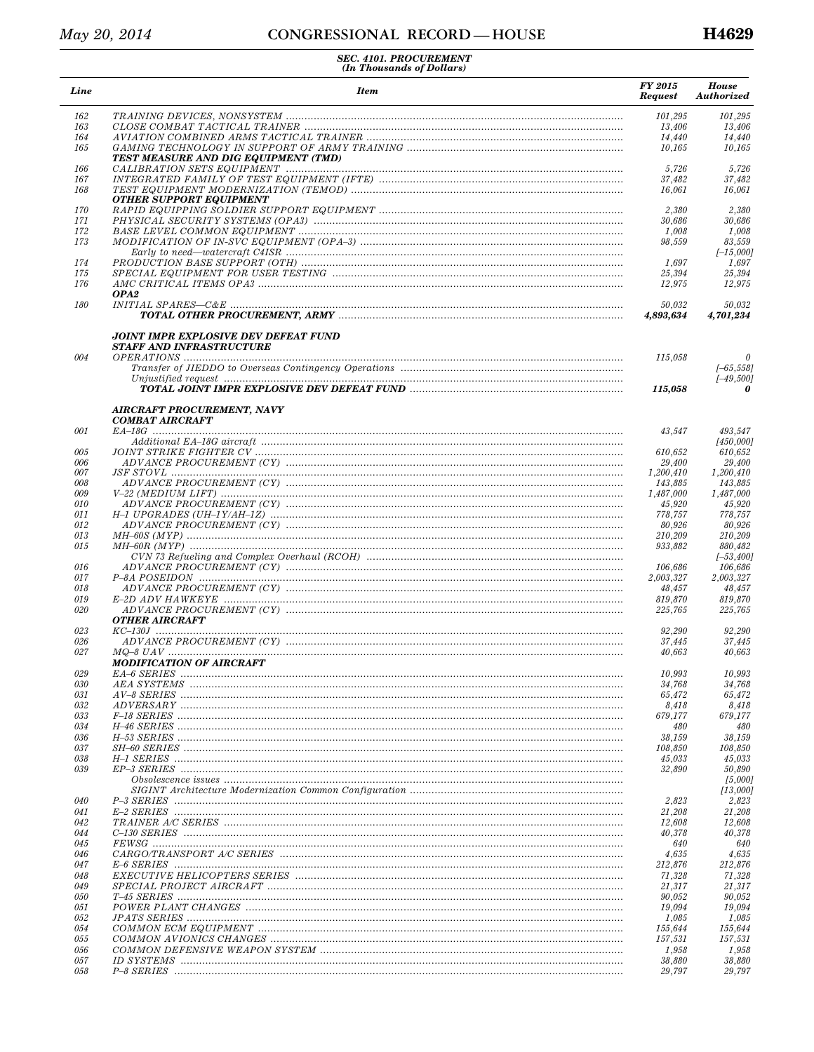| Line       | <b>Item</b>                                                      | FY 2015<br><b>Request</b> | <b>House</b><br><b>Authorized</b> |
|------------|------------------------------------------------------------------|---------------------------|-----------------------------------|
| 162        |                                                                  | 101,295                   | 101,295                           |
| 163        |                                                                  | 13,406                    | 13,406                            |
| 164        |                                                                  | 14,440                    | 14,440                            |
| 165        | TEST MEASURE AND DIG EQUIPMENT (TMD)                             | 10,165                    | 10,165                            |
| 166        |                                                                  | 5,726                     | 5,726                             |
| 167        |                                                                  | 37,482                    | 37,482                            |
| 168        | OTHER SUPPORT EQUIPMENT                                          | 16,061                    | 16,061                            |
| 170        |                                                                  | 2,380                     | 2,380                             |
| 171        |                                                                  | 30,686                    | 30,686                            |
| 172        |                                                                  | 1,008                     | 1,008                             |
| 173        |                                                                  | 98,559                    | 83,559                            |
|            |                                                                  |                           | $[-15,000]$                       |
| 174        |                                                                  | 1,697                     | 1,697                             |
| 175        |                                                                  | 25,394                    | 25,394                            |
| 176        |                                                                  | 12,975                    | 12,975                            |
| 180        | OPA2                                                             | 50,032                    | 50,032                            |
|            | JOINT IMPR EXPLOSIVE DEV DEFEAT FUND<br>STAFF AND INFRASTRUCTURE | 4,893,634                 | 4,701,234                         |
| 004        |                                                                  | 115,058                   | 0                                 |
|            |                                                                  |                           | $[-65, 558]$                      |
|            |                                                                  |                           | $[-49, 500]$                      |
|            | <b>AIRCRAFT PROCUREMENT, NAVY</b><br><b>COMBAT AIRCRAFT</b>      | 115,058                   | 0                                 |
| 001        |                                                                  | 43,547                    | 493,547                           |
|            | $Additional~EA-18G\; aircraft\;\;\;\;\;\;\;\;\;\;\;$             |                           | [450,000]                         |
| 005        |                                                                  | 610,652                   | 610,652                           |
| 006<br>007 |                                                                  | 29,400                    | 29,400                            |
| 008        |                                                                  | 1,200,410                 | 1,200,410<br>143,885              |
| 009        |                                                                  | 143,885<br>1,487,000      | 1,487,000                         |
| 010        |                                                                  | 45,920                    | 45,920                            |
| 011        |                                                                  | 778,757                   | 778,757                           |
| 012        |                                                                  | 80,926                    | 80,926                            |
| 013        |                                                                  | 210,209                   | 210,209                           |
| 015        |                                                                  | 933,882                   | 880,482                           |
|            |                                                                  |                           | $[-53, 400]$                      |
| 016        |                                                                  | 106,686                   | 106,686                           |
| 017        |                                                                  | 2,003,327                 | 2,003,327                         |
| 018        |                                                                  | 48,457                    | 48,457                            |
| 019        |                                                                  | 819,870                   | 819,870                           |
| 020        | <b>OTHER AIRCRAFT</b>                                            | 225,765                   | 225,765                           |
| 023        |                                                                  | 92,290                    | 92,290                            |
| 026        |                                                                  | 37,445                    | 37,445                            |
| 027        |                                                                  | 40,663                    | 40,663                            |
| 029        | MODIFICATION OF AIRCRAFT                                         | 10,993                    | 10,993                            |
| 030        |                                                                  | 34,768                    | 34,768                            |
| 031        |                                                                  | 65,472                    | 65,472                            |
| 032        |                                                                  | 8,418                     | 8,418                             |
| 033        |                                                                  | 679,177                   | 679,177                           |
| 034        |                                                                  | 480                       | 480                               |
| 036        |                                                                  | 38,159                    | 38,159                            |
| 037        |                                                                  | 108,850                   | 108,850                           |
| 038        |                                                                  | 45,033                    | 45,033                            |
| 039        |                                                                  | 32,890                    | 50,890<br>[5,000]                 |
|            |                                                                  |                           | [13,000]                          |
| 040        |                                                                  | 2,823                     | 2,823                             |
| 041        |                                                                  | 21,208                    | 21,208                            |
| 042        |                                                                  | 12,608                    | 12,608                            |
| 044        |                                                                  | 40,378                    | 40,378                            |
| 045<br>046 |                                                                  | 640<br>4,635              | 640<br>4,635                      |
| 047        |                                                                  | 212,876                   | 212,876                           |
| 048        |                                                                  | 71,328                    | 71,328                            |
| 049        |                                                                  | 21,317                    | 21,317                            |
| 050        |                                                                  | 90,052                    | 90,052                            |
| 051        |                                                                  | 19,094                    | 19,094                            |
| 052        |                                                                  | 1,085                     | 1,085                             |
| 054        |                                                                  | 155,644                   | 155,644                           |
| 055        |                                                                  | 157,531                   | 157,531                           |
| 056        |                                                                  | 1,958                     | 1,958                             |
| 057        |                                                                  | 38,880                    | 38,880                            |
| 058        |                                                                  | 29,797                    | 29,797                            |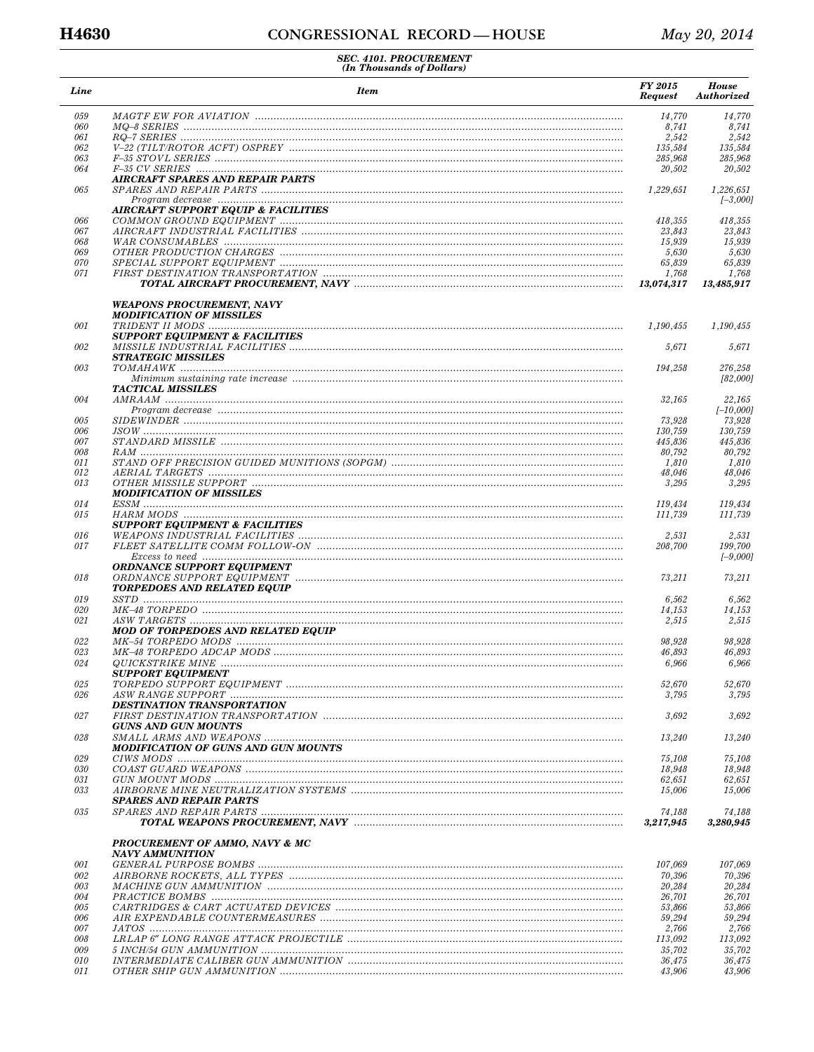| Line       | <b>Item</b>                                                                                                                                                                                                                                                                                                                                                                                                                             | FY 2015<br><b>Request</b> | <b>House</b><br>Authorized |
|------------|-----------------------------------------------------------------------------------------------------------------------------------------------------------------------------------------------------------------------------------------------------------------------------------------------------------------------------------------------------------------------------------------------------------------------------------------|---------------------------|----------------------------|
| 059        |                                                                                                                                                                                                                                                                                                                                                                                                                                         | 14,770                    | 14,770                     |
| 060        |                                                                                                                                                                                                                                                                                                                                                                                                                                         | 8,741                     | 8,741                      |
| 061        |                                                                                                                                                                                                                                                                                                                                                                                                                                         | 2,542                     | 2,542                      |
| 062        |                                                                                                                                                                                                                                                                                                                                                                                                                                         | 135.584                   | 135,584                    |
| 063<br>064 |                                                                                                                                                                                                                                                                                                                                                                                                                                         | 285,968                   | 285,968<br>20,502          |
|            | <b>AIRCRAFT SPARES AND REPAIR PARTS</b>                                                                                                                                                                                                                                                                                                                                                                                                 | 20,502                    |                            |
| 065        | $Program \ decrease \  \  \ldots \  \  \ldots \  \  \ldots \  \  \ldots \  \  \ldots \  \  \ldots \  \  \ldots \  \  \ldots \  \  \ldots \  \  \ldots \  \  \ldots \  \  \ldots \  \  \ldots \  \  \ldots \  \  \ldots \  \  \ldots \  \  \ldots \  \  \ldots \  \  \ldots \  \  \ldots \  \  \ldots \  \  \ldots \  \  \ldots \  \  \ldots \  \  \ldots \  \  \ldots \  \  \ldots \  \  \ldots \  \  \ldots \  \  \ldots \  \  \ldots$ | 1,229,651                 | 1,226,651<br>$[-3,000]$    |
|            | <b>AIRCRAFT SUPPORT EQUIP &amp; FACILITIES</b>                                                                                                                                                                                                                                                                                                                                                                                          |                           |                            |
| 066        |                                                                                                                                                                                                                                                                                                                                                                                                                                         | 418,355                   | 418,355                    |
| 067        |                                                                                                                                                                                                                                                                                                                                                                                                                                         | 23,843                    | 23,843                     |
| 068        |                                                                                                                                                                                                                                                                                                                                                                                                                                         | 15,939                    | 15,939                     |
| 069<br>070 |                                                                                                                                                                                                                                                                                                                                                                                                                                         | 5,630<br>65,839           | 5,630<br>65,839            |
| 071        |                                                                                                                                                                                                                                                                                                                                                                                                                                         | 1,768                     | 1,768                      |
|            |                                                                                                                                                                                                                                                                                                                                                                                                                                         | 13,074,317                | 13,485,917                 |
|            | <b>WEAPONS PROCUREMENT, NAVY</b><br><b>MODIFICATION OF MISSILES</b>                                                                                                                                                                                                                                                                                                                                                                     |                           |                            |
| 001        |                                                                                                                                                                                                                                                                                                                                                                                                                                         | 1,190,455                 | 1,190,455                  |
|            | <b>SUPPORT EQUIPMENT &amp; FACILITIES</b>                                                                                                                                                                                                                                                                                                                                                                                               |                           |                            |
| 002        |                                                                                                                                                                                                                                                                                                                                                                                                                                         | 5,671                     | 5,671                      |
| 003        | <b>STRATEGIC MISSILES</b>                                                                                                                                                                                                                                                                                                                                                                                                               |                           |                            |
|            |                                                                                                                                                                                                                                                                                                                                                                                                                                         | 194,258                   | 276,258<br>[82,000]        |
|            | <b>TACTICAL MISSILES</b>                                                                                                                                                                                                                                                                                                                                                                                                                |                           |                            |
| 004        |                                                                                                                                                                                                                                                                                                                                                                                                                                         | 32,165                    | 22,165                     |
|            | $Program \ decrease \  \  \ldots \  \  \ldots \  \  \ldots \  \  \ldots \  \  \ldots \  \  \ldots \  \  \ldots \  \  \ldots \  \  \ldots \  \  \ldots \  \  \ldots \  \  \ldots \  \  \ldots \  \  \ldots \  \  \ldots \  \  \ldots \  \  \ldots \  \  \ldots \  \  \ldots \  \  \ldots \  \  \ldots \  \  \ldots \  \  \ldots \  \  \ldots \  \  \ldots \  \  \ldots \  \  \ldots \  \  \ldots \  \  \ldots \  \  \ldots \  \  \ldots$ |                           | $[-10,000]$                |
| 005        |                                                                                                                                                                                                                                                                                                                                                                                                                                         | 73,928                    | 73,928                     |
| 006        |                                                                                                                                                                                                                                                                                                                                                                                                                                         | 130,759                   | 130,759                    |
| 007<br>008 |                                                                                                                                                                                                                                                                                                                                                                                                                                         | 445,836<br>80,792         | 445,836<br>80,792          |
| 011        |                                                                                                                                                                                                                                                                                                                                                                                                                                         | 1,810                     | 1,810                      |
| 012        |                                                                                                                                                                                                                                                                                                                                                                                                                                         | 48,046                    | 48,046                     |
| 013        | <b>MODIFICATION OF MISSILES</b>                                                                                                                                                                                                                                                                                                                                                                                                         | 3,295                     | 3,295                      |
| 014        |                                                                                                                                                                                                                                                                                                                                                                                                                                         | 119,434                   | 119,434                    |
| 015        |                                                                                                                                                                                                                                                                                                                                                                                                                                         | 111,739                   | 111,739                    |
|            | <b>SUPPORT EQUIPMENT &amp; FACILITIES</b>                                                                                                                                                                                                                                                                                                                                                                                               |                           |                            |
| 016        |                                                                                                                                                                                                                                                                                                                                                                                                                                         | 2,531                     | 2,531                      |
| 017        |                                                                                                                                                                                                                                                                                                                                                                                                                                         | 208,700                   | 199,700                    |
|            |                                                                                                                                                                                                                                                                                                                                                                                                                                         |                           | $[-9,000]$                 |
| 018        | <b>ORDNANCE SUPPORT EQUIPMENT</b><br><b>TORPEDOES AND RELATED EQUIP</b>                                                                                                                                                                                                                                                                                                                                                                 | 73,211                    | 73,211                     |
| 019        |                                                                                                                                                                                                                                                                                                                                                                                                                                         | 6,562                     | 6,562                      |
| 020        |                                                                                                                                                                                                                                                                                                                                                                                                                                         | 14,153                    | 14,153                     |
| 021        | $ASW\ TARGETS\  \, \ldots\  \, \ldots\  \, \ldots\  \, \ldots\  \, \ldots\  \, \ldots\  \, \ldots\  \, \ldots\  \, \ldots\  \, \ldots\  \, \ldots\  \, \ldots\  \, \ldots\  \, \ldots\  \, \ldots\  \, \ldots\  \, \ldots\  \, \ldots\  \, \ldots\  \, \ldots\  \, \ldots\  \, \ldots\  \, \ldots\  \, \ldots\  \, \ldots\  \, \ldots\  \, \ldots\  \, \ldots\  \, \ldots\  \, \ldots\  \,$                                             | 2,515                     | 2,515                      |
|            | <b>MOD OF TORPEDOES AND RELATED EQUIP</b>                                                                                                                                                                                                                                                                                                                                                                                               |                           |                            |
| 022        |                                                                                                                                                                                                                                                                                                                                                                                                                                         | 98.928                    | 98,928                     |
| 023        |                                                                                                                                                                                                                                                                                                                                                                                                                                         | 46,893                    | 46,893                     |
| 024        |                                                                                                                                                                                                                                                                                                                                                                                                                                         | 6,966                     | 6,966                      |
|            | <b>SUPPORT EQUIPMENT</b>                                                                                                                                                                                                                                                                                                                                                                                                                |                           |                            |
| 025        |                                                                                                                                                                                                                                                                                                                                                                                                                                         | 52,670                    | 52,670                     |
| 026        | <b>DESTINATION TRANSPORTATION</b>                                                                                                                                                                                                                                                                                                                                                                                                       | 3,795                     | 3,795                      |
| 027        |                                                                                                                                                                                                                                                                                                                                                                                                                                         | 3,692                     | 3,692                      |
|            | <b>GUNS AND GUN MOUNTS</b>                                                                                                                                                                                                                                                                                                                                                                                                              |                           |                            |
| 028        |                                                                                                                                                                                                                                                                                                                                                                                                                                         | 13,240                    | 13,240                     |
|            | <b>MODIFICATION OF GUNS AND GUN MOUNTS</b>                                                                                                                                                                                                                                                                                                                                                                                              |                           |                            |
| 029        |                                                                                                                                                                                                                                                                                                                                                                                                                                         | 75,108                    | 75,108                     |
| 030        |                                                                                                                                                                                                                                                                                                                                                                                                                                         | 18,948                    | 18,948                     |
| 031        |                                                                                                                                                                                                                                                                                                                                                                                                                                         | 62,651                    | 62,651                     |
| 033        | <b>SPARES AND REPAIR PARTS</b>                                                                                                                                                                                                                                                                                                                                                                                                          | 15,006                    | 15,006                     |
| 035        |                                                                                                                                                                                                                                                                                                                                                                                                                                         | 74,188                    | 74,188                     |
|            |                                                                                                                                                                                                                                                                                                                                                                                                                                         | 3,217,945                 | 3,280,945                  |
|            | <b>PROCUREMENT OF AMMO, NAVY &amp; MC</b><br>NAVY AMMUNITION                                                                                                                                                                                                                                                                                                                                                                            |                           |                            |
| 001        |                                                                                                                                                                                                                                                                                                                                                                                                                                         | 107,069                   | 107,069                    |
| 002        |                                                                                                                                                                                                                                                                                                                                                                                                                                         | 70,396                    | 70,396                     |
| 003        |                                                                                                                                                                                                                                                                                                                                                                                                                                         | 20,284                    | 20,284                     |
| 004        |                                                                                                                                                                                                                                                                                                                                                                                                                                         | 26,701                    | 26,701                     |
| 005        |                                                                                                                                                                                                                                                                                                                                                                                                                                         | 53,866                    | 53,866                     |
| 006        |                                                                                                                                                                                                                                                                                                                                                                                                                                         | 59,294                    | 59,294                     |
| 007        |                                                                                                                                                                                                                                                                                                                                                                                                                                         | 2,766                     | 2,766                      |
| 008        |                                                                                                                                                                                                                                                                                                                                                                                                                                         | 113,092                   | 113,092                    |
| 009        |                                                                                                                                                                                                                                                                                                                                                                                                                                         | 35,702                    | 35,702                     |
| 010        |                                                                                                                                                                                                                                                                                                                                                                                                                                         | 36,475                    | 36,475                     |
| 011        |                                                                                                                                                                                                                                                                                                                                                                                                                                         | 43,906                    | 43,906                     |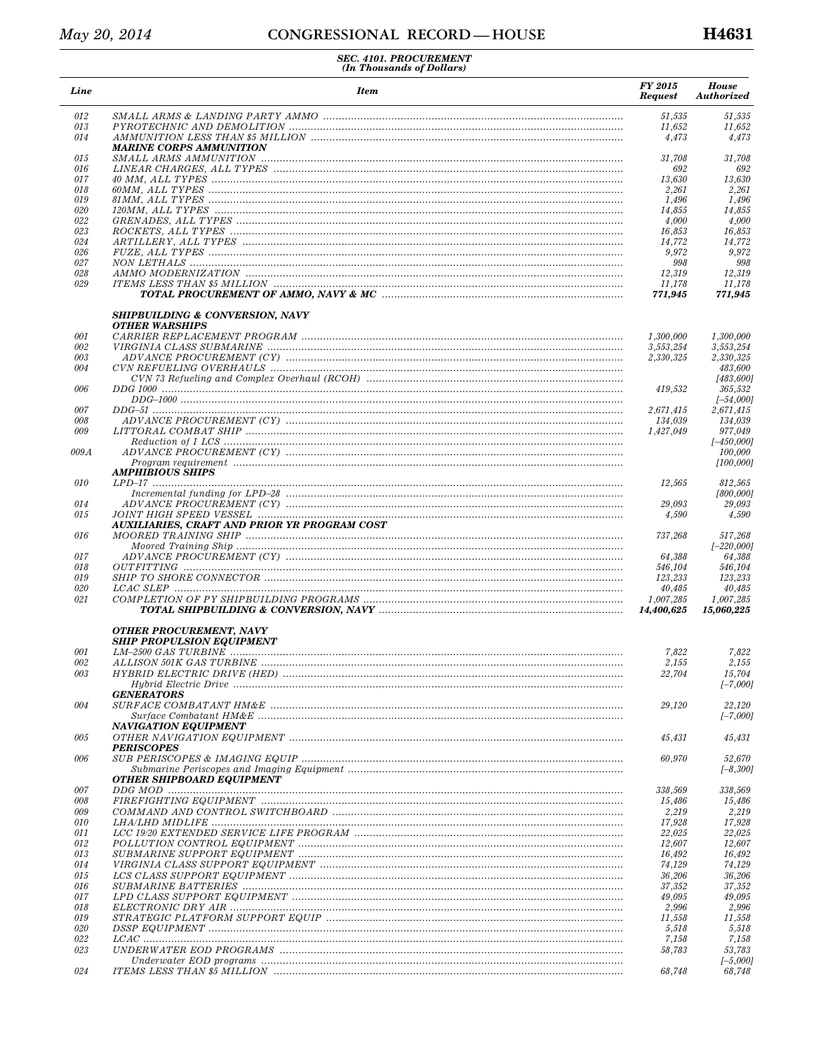| Line       | <b>Item</b>                                                         | FY 2015<br><b>Request</b> | <b>House</b><br><b>Authorized</b> |
|------------|---------------------------------------------------------------------|---------------------------|-----------------------------------|
| 012        |                                                                     | 51,535                    | 51,535                            |
| 013<br>014 |                                                                     | 11,652<br>4,473           | 11,652<br>4,473                   |
| 015        | <b>MARINE CORPS AMMUNITION</b>                                      | 31,708                    | 31,708                            |
| 016        |                                                                     | 692                       | 692                               |
| 017<br>018 |                                                                     | 13,630<br>2,261           | 13,630<br>2,261                   |
| 019        |                                                                     | 1,496                     | 1,496                             |
| 020        |                                                                     | 14,855                    | 14,855                            |
| 022        |                                                                     | 4,000                     | 4,000                             |
| 023<br>024 |                                                                     | 16,853<br>14,772          | 16,853<br>14,772                  |
| 026        |                                                                     | 9,972                     | 9,972                             |
| 027        |                                                                     | 998                       | 998                               |
| 028        |                                                                     | 12,319                    | 12,319                            |
| 029        |                                                                     | 11,178<br>771,945         | 11,178<br>771,945                 |
|            | <b>SHIPBUILDING &amp; CONVERSION, NAVY</b><br><b>OTHER WARSHIPS</b> |                           |                                   |
| 001        |                                                                     | 1,300,000                 | 1,300,000                         |
| 002        |                                                                     | 3,553,254                 | 3.553.254                         |
| 003<br>004 |                                                                     | 2.330.325                 | 2,330,325<br>483,600              |
|            |                                                                     |                           | [483, 600]                        |
| 006        |                                                                     | 419,532                   | 365,532<br>$[-54,000]$            |
| 007        |                                                                     | 2,671,415                 | 2,671,415                         |
| 008        |                                                                     | 134,039                   | 134,039                           |
| 009        |                                                                     | 1,427,049                 | 977,049<br>$[-450,000]$           |
| 009A       |                                                                     |                           | 100,000<br>[100,000]              |
| 010        | <b>AMPHIBIOUS SHIPS</b>                                             | 12,565                    | 812,565                           |
|            |                                                                     |                           | [800,000]                         |
| 014        |                                                                     | 29,093                    | 29,093                            |
| 015        | AUXILIARIES, CRAFT AND PRIOR YR PROGRAM COST                        | 4,590                     | 4,590                             |
| 016        |                                                                     | 737,268                   | 517,268                           |
|            |                                                                     |                           | $[-220,000]$                      |
| 017<br>018 |                                                                     | 64,388<br>546,104         | 64,388<br>546,104                 |
| 019        |                                                                     | 123,233                   | 123,233                           |
| 020        |                                                                     | 40,485                    | 40,485                            |
| 021        |                                                                     | 1,007,285<br>14,400,625   | 1,007,285<br>15,060,225           |
|            | OTHER PROCUREMENT, NAVY                                             |                           |                                   |
| 001        | <b>SHIP PROPULSION EQUIPMENT</b>                                    | 7,822                     | 7,822                             |
| 002        |                                                                     | 2,155                     | 2,155                             |
| 003        |                                                                     | 22,704                    | 15,704                            |
|            | <b>GENERATORS</b>                                                   |                           | $[-7,000]$                        |
| 004        |                                                                     | 29,120                    | 22,120                            |
|            |                                                                     |                           | $[-7,000]$                        |
| 005        | NAVIGATION EQUIPMENT                                                | 45,431                    | 45,431                            |
| 006        | <b>PERISCOPES</b>                                                   | 60,970                    | 52,670                            |
|            |                                                                     |                           | $[-8,300]$                        |
| 007        | OTHER SHIPBOARD EQUIPMENT                                           | 338,569                   | 338,569                           |
| 008        |                                                                     | 15,486                    | 15,486                            |
| 009        |                                                                     | 2,219                     | 2,219                             |
| 010        |                                                                     | 17,928                    | 17,928                            |
| 011<br>012 |                                                                     | 22,025<br>12,607          | 22,025<br>12,607                  |
| 013        |                                                                     | 16,492                    | 16,492                            |
| 014        |                                                                     | 74,129                    | 74,129                            |
| 015        |                                                                     | 36,206                    | 36,206                            |
| 016<br>017 |                                                                     | 37,352<br>49,095          | 37,352<br>49,095                  |
| 018        |                                                                     | 2,996                     | 2,996                             |
| 019        |                                                                     | 11,558                    | 11,558                            |
| 020        |                                                                     | 5,518                     | 5,518                             |
| 022<br>023 |                                                                     | 7,158                     | 7,158<br>53,783                   |
|            |                                                                     | 58,783                    | $[-5,000]$                        |
| 024        |                                                                     | 68,748                    | 68,748                            |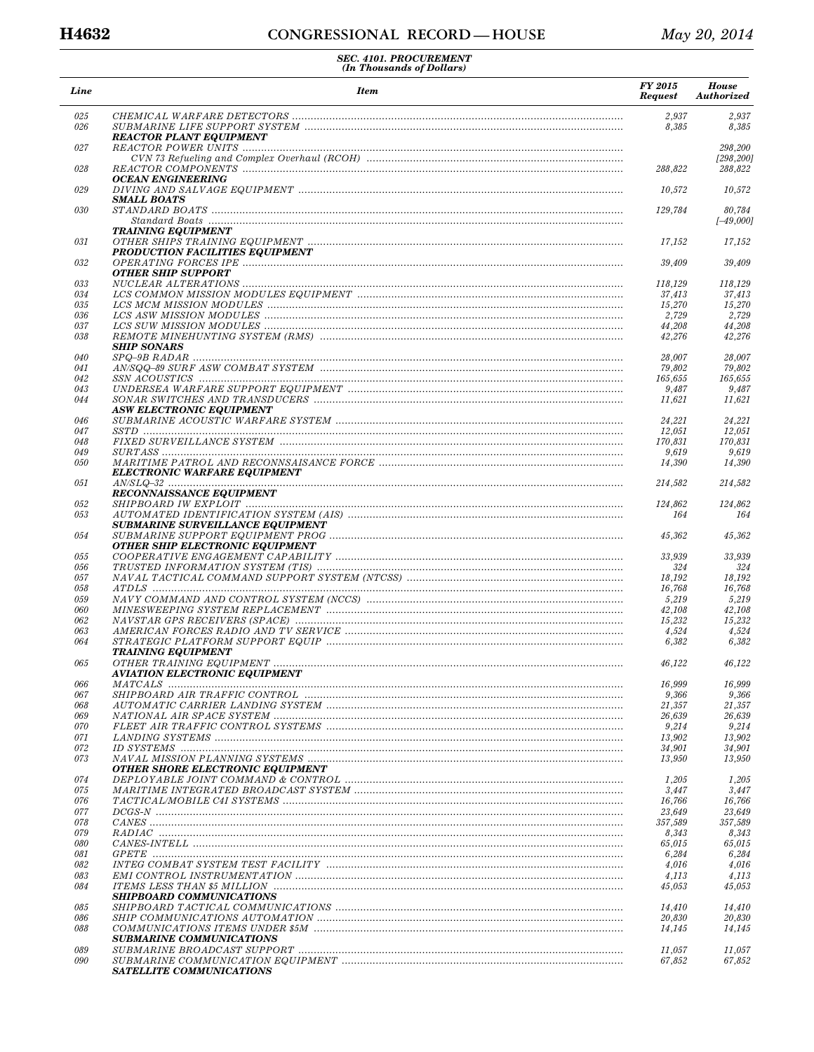| Line       | <b>Item</b>                                                                                                                                                                                                                                                                                                                             | <b>FY 2015</b><br><b>Request</b> | <b>House</b><br>Authorized |
|------------|-----------------------------------------------------------------------------------------------------------------------------------------------------------------------------------------------------------------------------------------------------------------------------------------------------------------------------------------|----------------------------------|----------------------------|
| 025<br>026 |                                                                                                                                                                                                                                                                                                                                         | 2,937<br>8,385                   | 2,937<br>8,385             |
| 027        | <b>REACTOR PLANT EQUIPMENT</b>                                                                                                                                                                                                                                                                                                          |                                  | 298,200                    |
| 028        |                                                                                                                                                                                                                                                                                                                                         | 288,822                          | [298, 200]<br>288,822      |
| 029        | OCEAN ENGINEERING                                                                                                                                                                                                                                                                                                                       | 10,572                           | 10,572                     |
| 030        | <b>SMALL BOATS</b>                                                                                                                                                                                                                                                                                                                      | 129,784                          | 80,784                     |
|            | <b>TRAINING EQUIPMENT</b>                                                                                                                                                                                                                                                                                                               |                                  | $[-49,000]$                |
| 031        |                                                                                                                                                                                                                                                                                                                                         | 17,152                           | 17,152                     |
| 032        | <b>PRODUCTION FACILITIES EQUIPMENT</b>                                                                                                                                                                                                                                                                                                  | 39,409                           | 39,409                     |
| 033        | <b>OTHER SHIP SUPPORT</b>                                                                                                                                                                                                                                                                                                               | 118,129                          | 118,129                    |
| 034        |                                                                                                                                                                                                                                                                                                                                         | 37,413                           | 37,413                     |
| 035        |                                                                                                                                                                                                                                                                                                                                         | 15,270                           | 15,270                     |
| 036<br>037 |                                                                                                                                                                                                                                                                                                                                         | 2,729                            | 2,729                      |
| 038        |                                                                                                                                                                                                                                                                                                                                         | 44,208<br>42,276                 | 44,208<br>42,276           |
|            | <b>SHIP SONARS</b>                                                                                                                                                                                                                                                                                                                      |                                  |                            |
| 040        |                                                                                                                                                                                                                                                                                                                                         | 28,007                           | 28,007                     |
| 041        |                                                                                                                                                                                                                                                                                                                                         | 79,802                           | 79,802                     |
| 042        |                                                                                                                                                                                                                                                                                                                                         | 165,655                          | 165,655                    |
| 043<br>044 |                                                                                                                                                                                                                                                                                                                                         | 9,487<br>11,621                  | 9,487<br>11,621            |
|            | <b>ASW ELECTRONIC EQUIPMENT</b>                                                                                                                                                                                                                                                                                                         |                                  |                            |
| 046        |                                                                                                                                                                                                                                                                                                                                         | 24,221                           | 24,221                     |
| 047        |                                                                                                                                                                                                                                                                                                                                         | 12,051                           | 12,051                     |
| 048<br>049 |                                                                                                                                                                                                                                                                                                                                         | 170,831<br>9,619                 | 170,831<br>9,619           |
| 050        |                                                                                                                                                                                                                                                                                                                                         | 14,390                           | 14,390                     |
| 051        | ELECTRONIC WARFARE EQUIPMENT                                                                                                                                                                                                                                                                                                            | 214,582                          | 214,582                    |
|            | <b>RECONNAISSANCE EQUIPMENT</b>                                                                                                                                                                                                                                                                                                         |                                  |                            |
| 052<br>053 |                                                                                                                                                                                                                                                                                                                                         | 124,862<br>164                   | 124,862<br>164             |
| 054        | <b>SUBMARINE SURVEILLANCE EQUIPMENT</b>                                                                                                                                                                                                                                                                                                 | 45,362                           | 45,362                     |
| 055        | <b>OTHER SHIP ELECTRONIC EQUIPMENT</b>                                                                                                                                                                                                                                                                                                  | 33,939                           | 33,939                     |
| 056        |                                                                                                                                                                                                                                                                                                                                         | 324                              | 324                        |
| 057        |                                                                                                                                                                                                                                                                                                                                         | 18,192                           | 18,192                     |
| 058        |                                                                                                                                                                                                                                                                                                                                         | 16,768                           | 16,768                     |
| 059<br>060 |                                                                                                                                                                                                                                                                                                                                         | 5,219<br>42,108                  | 5,219<br>42,108            |
| 062        |                                                                                                                                                                                                                                                                                                                                         | 15,232                           | 15,232                     |
| 063        |                                                                                                                                                                                                                                                                                                                                         | 4,524                            | 4,524                      |
| 064        | <b>TRAINING EQUIPMENT</b>                                                                                                                                                                                                                                                                                                               | 6,382                            | 6,382                      |
| 065        | <b>AVIATION ELECTRONIC EQUIPMENT</b>                                                                                                                                                                                                                                                                                                    | 46,122                           | 46,122                     |
| 066        |                                                                                                                                                                                                                                                                                                                                         | 16,999                           | 16,999                     |
| 067        |                                                                                                                                                                                                                                                                                                                                         | 9,366                            | 9,366                      |
| 068<br>069 |                                                                                                                                                                                                                                                                                                                                         | 21,357<br>26,639                 | 21,357<br>26,639           |
| 070        |                                                                                                                                                                                                                                                                                                                                         | 9,214                            | 9,214                      |
| 071        |                                                                                                                                                                                                                                                                                                                                         | 13.902                           | 13,902                     |
| 072        | $ID$ SYSTEMS $\ldots$ $\ldots$ $\ldots$ $\ldots$ $\ldots$ $\ldots$ $\ldots$ $\ldots$ $\ldots$ $\ldots$ $\ldots$ $\ldots$ $\ldots$ $\ldots$ $\ldots$ $\ldots$ $\ldots$ $\ldots$ $\ldots$ $\ldots$ $\ldots$ $\ldots$ $\ldots$ $\ldots$ $\ldots$ $\ldots$ $\ldots$ $\ldots$ $\ldots$ $\ldots$ $\ldots$ $\ldots$ $\ldots$ $\ldots$ $\ldots$ | 34.901                           | 34,901                     |
| 073        | <b>OTHER SHORE ELECTRONIC EQUIPMENT</b>                                                                                                                                                                                                                                                                                                 | 13,950                           | 13,950                     |
| 074        |                                                                                                                                                                                                                                                                                                                                         | 1,205                            | 1,205                      |
| 075        |                                                                                                                                                                                                                                                                                                                                         | 3,447                            | 3,447                      |
| 076<br>077 |                                                                                                                                                                                                                                                                                                                                         | 16,766<br>23,649                 | 16,766<br>23.649           |
| 078        |                                                                                                                                                                                                                                                                                                                                         | 357,589                          | 357,589                    |
| 079        |                                                                                                                                                                                                                                                                                                                                         | 8,343                            | 8,343                      |
| 080        |                                                                                                                                                                                                                                                                                                                                         | 65,015                           | 65,015                     |
| 081        |                                                                                                                                                                                                                                                                                                                                         | 6,284                            | 6,284                      |
| 082        |                                                                                                                                                                                                                                                                                                                                         | 4,016                            | 4,016                      |
| 083<br>084 |                                                                                                                                                                                                                                                                                                                                         | 4,113<br>45,053                  | 4,113<br>45,053            |
|            | <b>SHIPBOARD COMMUNICATIONS</b>                                                                                                                                                                                                                                                                                                         |                                  |                            |
| 085        |                                                                                                                                                                                                                                                                                                                                         | 14,410                           | 14,410                     |
| 086<br>088 |                                                                                                                                                                                                                                                                                                                                         | 20,830<br>14,145                 | 20,830<br>14,145           |
|            | <b>SUBMARINE COMMUNICATIONS</b>                                                                                                                                                                                                                                                                                                         |                                  |                            |
| 089<br>090 |                                                                                                                                                                                                                                                                                                                                         | 11,057<br>67,852                 | 11,057<br>67,852           |
|            | SATELLITE COMMUNICATIONS                                                                                                                                                                                                                                                                                                                |                                  |                            |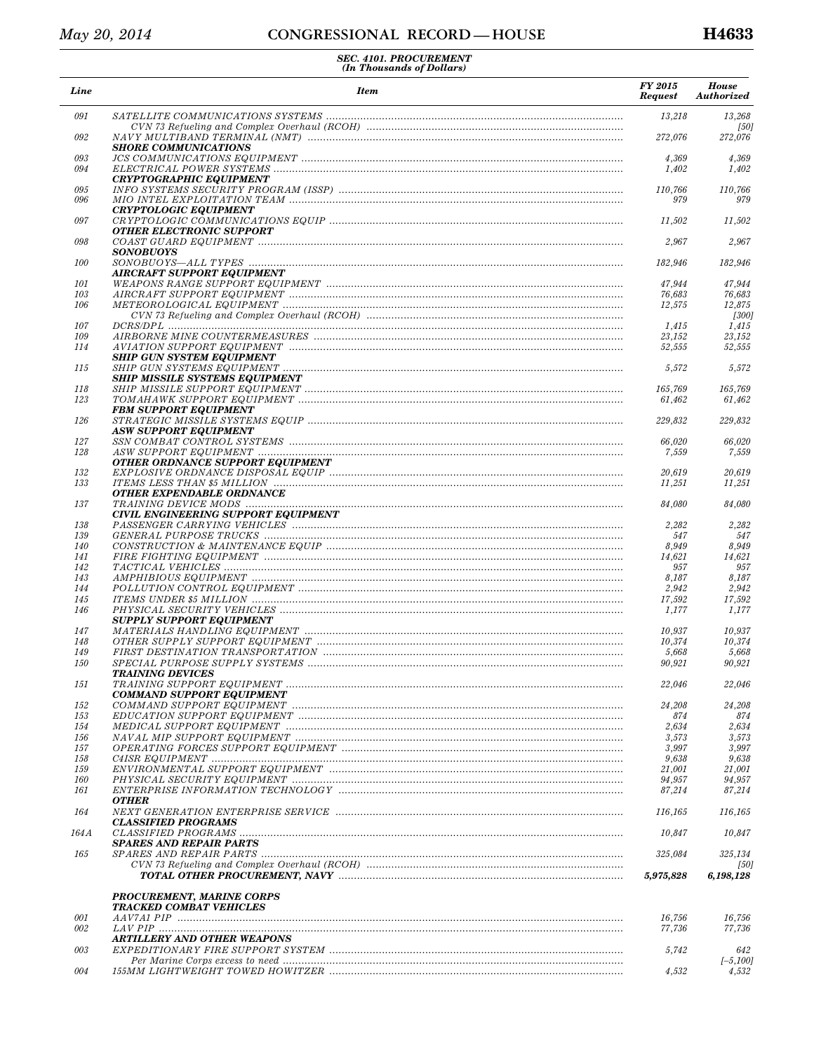| Line              | <b>Item</b>                                                                                                                                                                                                                    | <b>FY 2015</b><br><b>Request</b> | <b>House</b><br>Authorized |
|-------------------|--------------------------------------------------------------------------------------------------------------------------------------------------------------------------------------------------------------------------------|----------------------------------|----------------------------|
| 091               |                                                                                                                                                                                                                                | 13,218                           | 13,268<br>[50]             |
| 092               | <b>SHORE COMMUNICATIONS</b>                                                                                                                                                                                                    | 272,076                          | 272,076                    |
| 093               |                                                                                                                                                                                                                                | 4,369                            | 4,369                      |
| 094               | <b>CRYPTOGRAPHIC EQUIPMENT</b>                                                                                                                                                                                                 | 1,402                            | 1,402                      |
| 095               |                                                                                                                                                                                                                                | 110,766                          | 110,766                    |
| 096               | <b>CRYPTOLOGIC EQUIPMENT</b>                                                                                                                                                                                                   | 979                              | 979                        |
| 097               |                                                                                                                                                                                                                                | 11,502                           | 11,502                     |
|                   | OTHER ELECTRONIC SUPPORT                                                                                                                                                                                                       |                                  |                            |
| 098               | <b>SONOBUOYS</b>                                                                                                                                                                                                               | 2,967                            | 2,967                      |
| 100               |                                                                                                                                                                                                                                | 182,946                          | 182,946                    |
|                   | AIRCRAFT SUPPORT EQUIPMENT                                                                                                                                                                                                     |                                  |                            |
| 101<br>103        | WEAPONS RANGE SUPPORT EQUIPMENT manufactured contains and contained a metal-                                                                                                                                                   | 47,944<br>76,683                 | 47,944<br>76,683           |
| 106               |                                                                                                                                                                                                                                | 12,575                           | 12,875                     |
|                   |                                                                                                                                                                                                                                |                                  | [300]                      |
| 107<br>109        |                                                                                                                                                                                                                                | 1,415<br>23,152                  | 1,415<br>23,152            |
| 114               |                                                                                                                                                                                                                                | 52,555                           | 52,555                     |
|                   | <b>SHIP GUN SYSTEM EQUIPMENT</b>                                                                                                                                                                                               |                                  |                            |
| 115               | <b>SHIP MISSILE SYSTEMS EQUIPMENT</b>                                                                                                                                                                                          | 5,572                            | 5,572                      |
| 118               |                                                                                                                                                                                                                                | 165,769                          | 165,769                    |
| 123               |                                                                                                                                                                                                                                | 61,462                           | 61,462                     |
|                   | <b>FBM SUPPORT EQUIPMENT</b>                                                                                                                                                                                                   |                                  |                            |
| 126               | ASW SUPPORT EQUIPMENT                                                                                                                                                                                                          | 229,832                          | 229,832                    |
| 127               |                                                                                                                                                                                                                                | 66,020                           | 66,020                     |
| 128               |                                                                                                                                                                                                                                | 7,559                            | 7,559                      |
| 132               | OTHER ORDNANCE SUPPORT EQUIPMENT                                                                                                                                                                                               | 20,619                           | 20,619                     |
| 133               |                                                                                                                                                                                                                                | 11,251                           | 11,251                     |
|                   | <b>OTHER EXPENDABLE ORDNANCE</b>                                                                                                                                                                                               |                                  |                            |
| 137               | CIVIL ENGINEERING SUPPORT EQUIPMENT                                                                                                                                                                                            | 84,080                           | 84,080                     |
| 138               |                                                                                                                                                                                                                                | 2,282                            | 2,282                      |
| 139               |                                                                                                                                                                                                                                | 547                              | 547                        |
| <i>140</i><br>141 |                                                                                                                                                                                                                                | 8,949<br>14,621                  | 8,949<br>14,621            |
| 142               |                                                                                                                                                                                                                                | 957                              | 957                        |
| 143               |                                                                                                                                                                                                                                | 8,187                            | 8,187                      |
| 144<br>145        |                                                                                                                                                                                                                                | 2,942<br>17,592                  | 2,942<br>17,592            |
| 146               |                                                                                                                                                                                                                                | 1,177                            | 1,177                      |
|                   | SUPPLY SUPPORT EQUIPMENT                                                                                                                                                                                                       |                                  |                            |
| 147<br>148        | MATERIALS HANDLING EQUIPMENT material contract and the contract of the contract of the contract of the contract of the contract of the contract of the contract of the contract of the contract of the contract of the contrac | 10,937<br>10,374                 | 10,937<br>10,374           |
| 149               |                                                                                                                                                                                                                                | 5,668                            | 5,668                      |
| 150               |                                                                                                                                                                                                                                | 90,921                           | 90,921                     |
| 151               | <b>TRAINING DEVICES</b>                                                                                                                                                                                                        | 22,046                           | 22,046                     |
|                   | <b>COMMAND SUPPORT EQUIPMENT</b>                                                                                                                                                                                               |                                  |                            |
| 152               |                                                                                                                                                                                                                                | 24,208                           | 24,208                     |
| 153<br>154        | MEDICAL SUPPORT EQUIPMENT manufacturers and the contract of the contract of the contract of the contract of th                                                                                                                 | 874<br>2,634                     | 874<br>2,634               |
| 156               |                                                                                                                                                                                                                                | 3,573                            | 3,573                      |
| 157               |                                                                                                                                                                                                                                | 3,997                            | 3,997                      |
| 158<br>159        |                                                                                                                                                                                                                                | 9,638<br>21,001                  | 9,638<br>21,001            |
| 160               |                                                                                                                                                                                                                                | 94,957                           | 94,957                     |
| 161               |                                                                                                                                                                                                                                | 87,214                           | 87,214                     |
| 164               | <b>OTHER</b>                                                                                                                                                                                                                   | 116,165                          | 116,165                    |
|                   | <b>CLASSIFIED PROGRAMS</b>                                                                                                                                                                                                     |                                  |                            |
| 164 A             | SPARES AND REPAIR PARTS                                                                                                                                                                                                        | 10,847                           | 10,847                     |
| 165               |                                                                                                                                                                                                                                | 325,084                          | 325,134                    |
|                   |                                                                                                                                                                                                                                |                                  | [50]                       |
|                   |                                                                                                                                                                                                                                | 5,975,828                        | 6,198,128                  |
|                   | <b>PROCUREMENT, MARINE CORPS</b><br><b>TRACKED COMBAT VEHICLES</b>                                                                                                                                                             |                                  |                            |
| 001               |                                                                                                                                                                                                                                | 16,756                           | 16,756                     |
| 002               |                                                                                                                                                                                                                                | 77,736                           | 77,736                     |
| 003               | ARTILLERY AND OTHER WEAPONS                                                                                                                                                                                                    | 5,742                            | 642                        |
|                   |                                                                                                                                                                                                                                |                                  | $[-5,100]$                 |
| 004               |                                                                                                                                                                                                                                | 4,532                            | 4,532                      |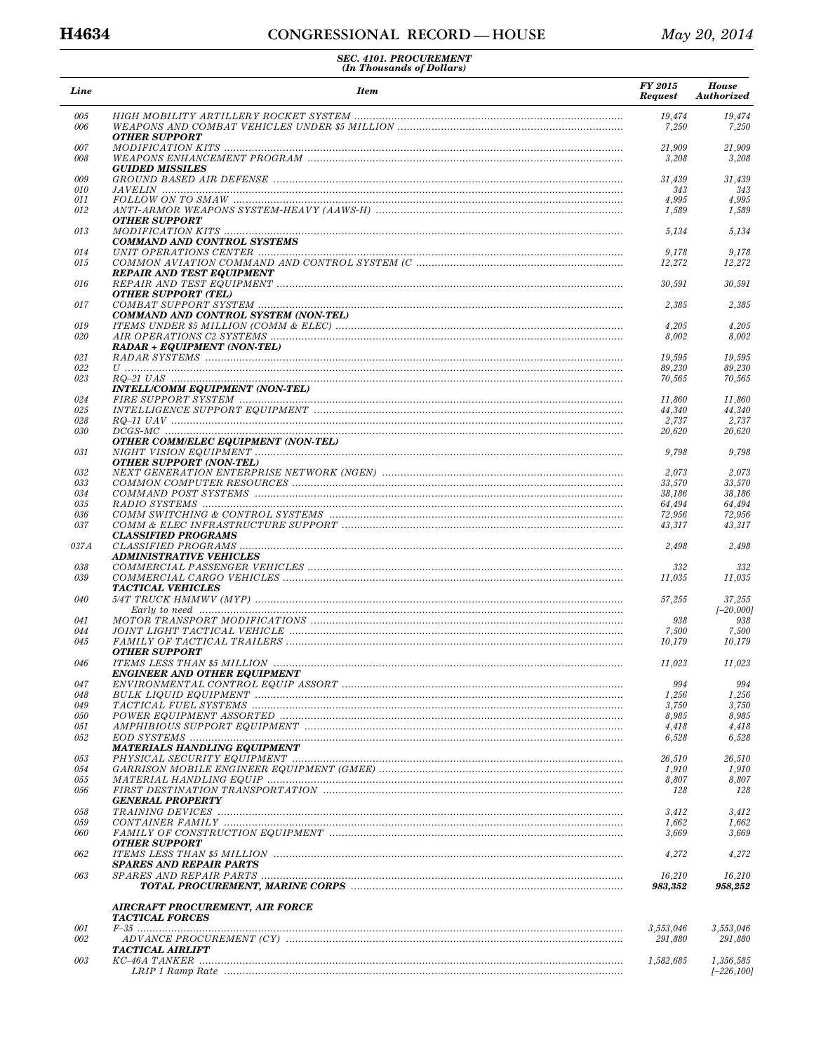| Line       | <b>Item</b>                                                                             | FY 2015<br><b>Request</b> | <b>House</b><br>Authorized |
|------------|-----------------------------------------------------------------------------------------|---------------------------|----------------------------|
| 005<br>006 | <b>OTHER SUPPORT</b>                                                                    | 19,474<br>7,250           | 19,474<br>7,250            |
| 007        |                                                                                         | 21,909                    | 21,909                     |
| 008        |                                                                                         | 3,208                     | 3,208                      |
|            | <b>GUIDED MISSILES</b>                                                                  |                           |                            |
| 009        |                                                                                         | 31,439                    | 31,439                     |
| 010        |                                                                                         | 343                       | 343<br>4,995               |
| 011<br>012 |                                                                                         | 4,995<br>1,589            | 1,589                      |
|            | <b>OTHER SUPPORT</b>                                                                    |                           |                            |
| 013        | <b>COMMAND AND CONTROL SYSTEMS</b>                                                      | 5,134                     | 5,134                      |
| 014        |                                                                                         | 9,178                     | 9,178                      |
| 015        | <b>REPAIR AND TEST EQUIPMENT</b>                                                        | 12,272                    | 12,272                     |
| 016        | <b>OTHER SUPPORT (TEL)</b>                                                              | 30,591                    | 30,591                     |
| 017        | COMMAND AND CONTROL SYSTEM (NON-TEL)                                                    | 2,385                     | 2,385                      |
| 019<br>020 |                                                                                         | 4,205                     | 4,205<br>8,002             |
|            | <b>RADAR + EQUIPMENT (NON-TEL)</b>                                                      | 8,002                     |                            |
| 021        |                                                                                         | 19,595                    | 19,595                     |
| 022        |                                                                                         | 89,230                    | 89,230                     |
| 023        |                                                                                         | 70,565                    | 70,565                     |
|            | INTELL/COMM EQUIPMENT (NON-TEL)                                                         |                           |                            |
| 024<br>025 |                                                                                         | 11.860<br>44,340          | 11,860<br>44,340           |
| 028        |                                                                                         | 2,737                     | 2,737                      |
| 030        |                                                                                         | 20,620                    | 20,620                     |
|            | <b>OTHER COMM/ELEC EQUIPMENT (NON-TEL)</b>                                              |                           |                            |
| 031        | <b>OTHER SUPPORT (NON-TEL)</b>                                                          | 9,798                     | 9,798                      |
| 032        |                                                                                         | 2,073                     | 2,073                      |
| 033        |                                                                                         | 33,570                    | 33,570                     |
| 034        |                                                                                         | 38,186                    | 38,186                     |
| 035        |                                                                                         | 64,494                    | 64,494                     |
| 036<br>037 |                                                                                         | 72,956<br>43,317          | 72,956<br>43,317           |
| 037A       | <b>CLASSIFIED PROGRAMS</b>                                                              | 2,498                     | 2,498                      |
|            | <b>ADMINISTRATIVE VEHICLES</b>                                                          |                           |                            |
| 038<br>039 |                                                                                         | 332<br>11,035             | 332<br>11,035              |
| 040        | <b>TACTICAL VEHICLES</b>                                                                | 57,255                    | 37,255                     |
|            |                                                                                         |                           | $[-20,000]$                |
| 041        |                                                                                         | 938                       | 938                        |
| 044        |                                                                                         | 7,500                     | 7,500                      |
| 045        | <b>OTHER SUPPORT</b>                                                                    | 10,179                    | 10,179                     |
| 046        | <b>ENGINEER AND OTHER EQUIPMENT</b>                                                     | 11,023                    | 11,023                     |
| 047        |                                                                                         | 994                       | 994                        |
| 048        |                                                                                         | 1,256                     | 1,256                      |
| 049        |                                                                                         | 3,750                     | 3,750                      |
| 050        |                                                                                         | 8,985                     | 8,985                      |
| 051<br>052 | AMPHIBIOUS SUPPORT EQUIPMENT manufactureaeronalistics.com/manufactureaeronalistics.com/ | 4,418<br>6,528            | 4,418<br>6,528             |
|            | <b>MATERIALS HANDLING EQUIPMENT</b>                                                     |                           |                            |
| 053        |                                                                                         | 26,510                    | 26,510                     |
| 054        |                                                                                         | 1,910                     | 1,910                      |
| 055        |                                                                                         | 8,807                     | 8,807                      |
| 056        | <b>GENERAL PROPERTY</b>                                                                 | 128                       | 128                        |
| 058        |                                                                                         | 3,412                     | 3,412                      |
| 059        |                                                                                         | 1,662                     | 1,662                      |
| 060        | <b>OTHER SUPPORT</b>                                                                    | 3,669                     | 3,669                      |
| 062        | SPARES AND REPAIR PARTS                                                                 | 4,272                     | 4,272                      |
| 063        |                                                                                         | 16,210<br>983,352         | 16,210<br>958,252          |
|            | <b>AIRCRAFT PROCUREMENT, AIR FORCE</b><br><b>TACTICAL FORCES</b>                        |                           |                            |
| 001        |                                                                                         | 3,553,046                 | 3,553,046                  |
| 002        |                                                                                         | 291,880                   | 291,880                    |
|            | TACTICAL AIRLIFT                                                                        |                           |                            |
| 003        |                                                                                         | 1,582,685                 | 1,356,585<br>$[-226, 100]$ |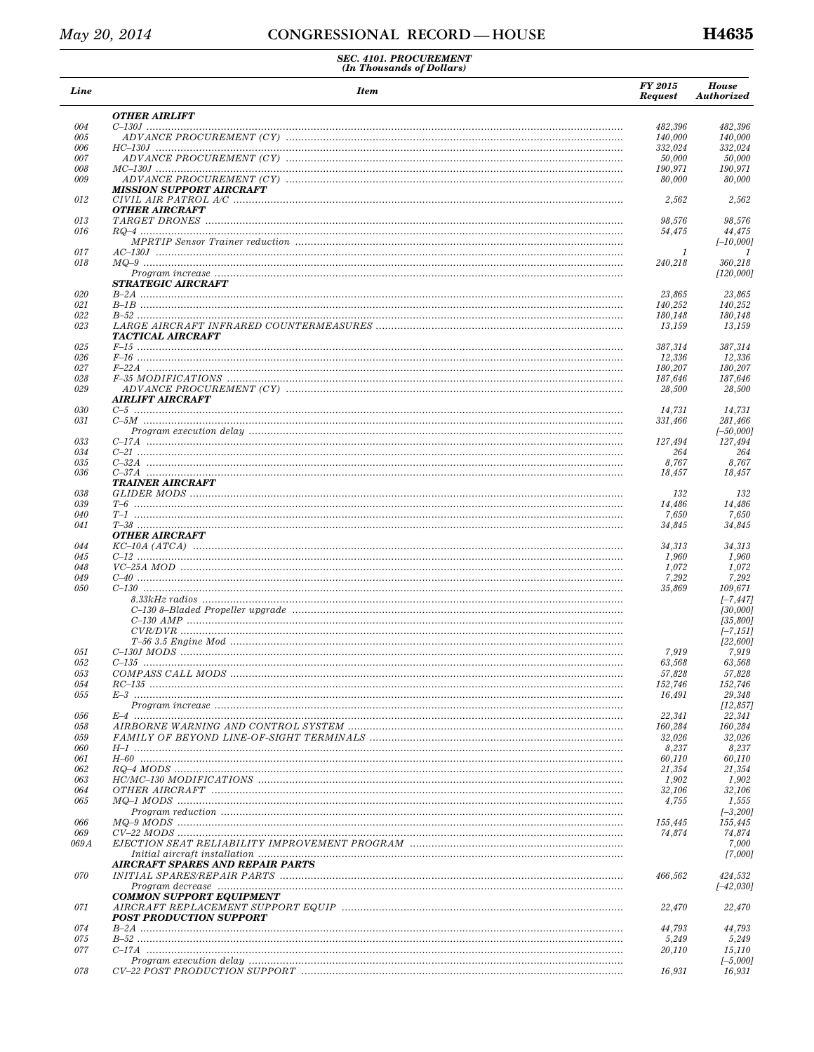| Line       | <b>Item</b>                                                                                              | <b>FY 2015</b><br><b>Request</b> | <b>House</b><br><b>Authorized</b> |
|------------|----------------------------------------------------------------------------------------------------------|----------------------------------|-----------------------------------|
|            | <b>OTHER AIRLIFT</b>                                                                                     |                                  |                                   |
| 004        |                                                                                                          | 482,396                          | 482,396                           |
| 005        |                                                                                                          | 140,000                          | 140,000                           |
| 006<br>007 |                                                                                                          | 332,024<br>50,000                | 332,024<br>50,000                 |
| 008        |                                                                                                          | 190,971                          | 190,971                           |
| 009        |                                                                                                          | 80,000                           | 80,000                            |
| 012        | <b>MISSION SUPPORT AIRCRAFT</b>                                                                          | 2,562                            | 2,562                             |
| 013        | <b>OTHER AIRCRAFT</b>                                                                                    | 98,576                           | 98.576                            |
| 016        |                                                                                                          | 54,475                           | 44,475                            |
|            |                                                                                                          |                                  | $[-10,000]$                       |
| 017        |                                                                                                          | 1                                | 1                                 |
| 018        |                                                                                                          | 240,218                          | 360,218                           |
|            |                                                                                                          |                                  | [120,000]                         |
| 020        | STRATEGIC AIRCRAFT                                                                                       | 23,865                           | 23,865                            |
| 021        |                                                                                                          | 140,252                          | 140,252                           |
| 022        |                                                                                                          | 180,148                          | 180,148                           |
| 023        | TACTICAL AIRCRAFT                                                                                        | 13,159                           | 13,159                            |
| 025        |                                                                                                          | 387,314                          | 387,314                           |
| 026        |                                                                                                          | 12,336                           | 12,336                            |
| 027<br>028 |                                                                                                          | 180,207<br>187,646               | 180,207<br>187,646                |
| 029        |                                                                                                          | 28,500                           | 28,500                            |
|            | AIRLIFT AIRCRAFT                                                                                         |                                  |                                   |
| 030        |                                                                                                          | 14,731                           | 14.731                            |
| 031        |                                                                                                          | 331,466                          | 281,466                           |
|            |                                                                                                          |                                  | $[-50,000]$                       |
| 033        |                                                                                                          | 127,494                          | 127,494                           |
| 034<br>035 |                                                                                                          | 264<br>8,767                     | 264<br>8,767                      |
| 036        |                                                                                                          | 18,457                           | 18,457                            |
|            | TRAINER AIRCRAFT                                                                                         |                                  |                                   |
| 038        |                                                                                                          | 132                              | 132                               |
| 039        |                                                                                                          | 14,486                           | 14,486                            |
| 040<br>041 |                                                                                                          | 7,650<br>34,845                  | 7,650<br>34,845                   |
|            | OTHER AIRCRAFT                                                                                           |                                  |                                   |
| 044        |                                                                                                          | 34,313                           | 34,313                            |
| 045        |                                                                                                          | 1,960                            | 1,960                             |
| 048        |                                                                                                          | 1,072                            | 1,072                             |
| 049<br>050 |                                                                                                          | 7,292<br>35,869                  | 7,292<br>109,671                  |
|            |                                                                                                          |                                  | $[-7, 447]$                       |
|            |                                                                                                          |                                  | [30,000]                          |
|            |                                                                                                          |                                  | [35,800]                          |
|            |                                                                                                          |                                  | $[-7, 151]$                       |
|            |                                                                                                          |                                  | [22, 600]                         |
| 051        |                                                                                                          | 7,919                            | 7,919                             |
| 052<br>053 |                                                                                                          | 63,568<br>57,828                 | 63,568<br>57,828                  |
| 054        |                                                                                                          | 152,746                          | 152,746                           |
| 055        |                                                                                                          | 16,491                           | 29,348                            |
|            |                                                                                                          |                                  | [12, 857]                         |
| 056        |                                                                                                          | 22,341                           | 22,341                            |
| 058        |                                                                                                          | 160,284                          | 160,284                           |
| 059<br>060 |                                                                                                          | 32,026<br>8,237                  | 32,026<br>8,237                   |
| 061        |                                                                                                          | 60,110                           | 60,110                            |
| 062        |                                                                                                          | 21,354                           | 21,354                            |
| 063        |                                                                                                          | 1,902                            | 1,902                             |
| 064        |                                                                                                          | 32,106                           | 32,106                            |
| 065        |                                                                                                          | 4,755                            | 1,555                             |
| 066        |                                                                                                          | 155,445                          | $[-3,200]$<br>155,445             |
| 069        |                                                                                                          | 74,874                           | 74,874                            |
| 069 A      |                                                                                                          |                                  | 7,000                             |
|            | AIRCRAFT SPARES AND REPAIR PARTS                                                                         |                                  | [7,000]                           |
| 070        |                                                                                                          | 466,562                          | 424,532<br>$[-42, 030]$           |
|            | <b>COMMON SUPPORT EQUIPMENT</b>                                                                          |                                  |                                   |
| 071        | $\label{thm:ARCRAFT} AIRCRAFT\,\,REPLACEMENT\,\, SUPPORT\,\,EQUIP\,\,$<br><b>POST PRODUCTION SUPPORT</b> | 22,470                           | 22,470                            |
| 074        |                                                                                                          | 44,793                           | 44,793                            |
| 075        |                                                                                                          | 5,249                            | 5,249                             |
| 077        |                                                                                                          | 20,110                           | 15,110                            |
|            |                                                                                                          |                                  | $[-5,000]$                        |
| 078        |                                                                                                          | 16,931                           | 16,931                            |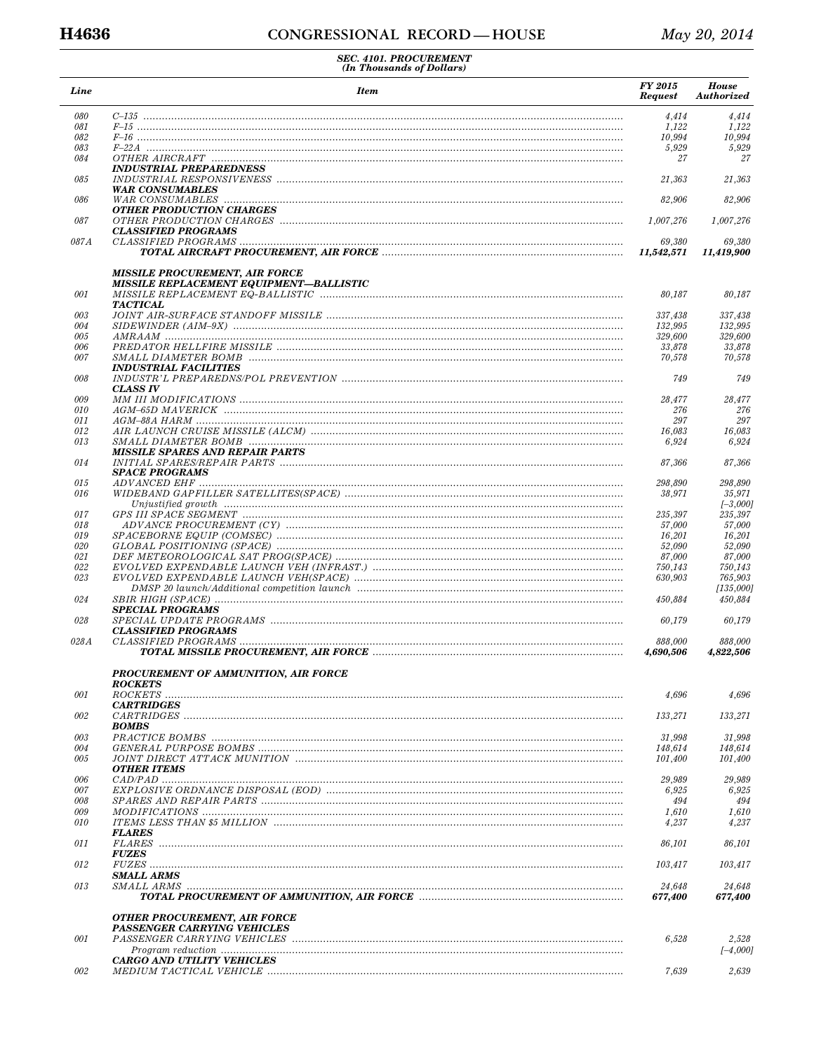| Line       | <b>Item</b>                                                               | FY 2015<br><b>Request</b> | House<br>Authorized  |
|------------|---------------------------------------------------------------------------|---------------------------|----------------------|
| 080        |                                                                           | 4,414                     | 4,414                |
| 081        |                                                                           | 1,122                     | 1,122                |
| 082        |                                                                           | 10,994                    | 10,994               |
| 083<br>084 |                                                                           | 5,929<br>27               | 5,929<br>27          |
|            | <b>INDUSTRIAL PREPAREDNESS</b>                                            |                           |                      |
| 085        |                                                                           | 21,363                    | 21,363               |
| 086        | <b>WAR CONSUMABLES</b>                                                    | 82,906                    | 82,906               |
|            | <b>OTHER PRODUCTION CHARGES</b>                                           |                           |                      |
| 087        | <b>CLASSIFIED PROGRAMS</b>                                                | 1,007,276                 | 1,007,276            |
| 087A       |                                                                           | 69,380<br>11,542,571      | 69,380<br>11,419,900 |
|            | <b>MISSILE PROCUREMENT, AIR FORCE</b>                                     |                           |                      |
| 001        | <b>MISSILE REPLACEMENT EQUIPMENT—BALLISTIC</b>                            |                           |                      |
|            | <b>TACTICAL</b>                                                           | 80,187                    | 80,187               |
| 003        |                                                                           | 337,438                   | 337,438              |
| 004        |                                                                           | 132,995                   | 132,995              |
| 005        |                                                                           | 329,600                   | 329,600              |
| 006        |                                                                           | 33,878                    | 33,878               |
| 007        |                                                                           | 70,578                    | 70,578               |
|            | <i><b>INDUSTRIAL FACILITIES</b></i>                                       |                           |                      |
| 008        |                                                                           | 749                       | 749                  |
| 009        | <b>CLASS IV</b>                                                           | 28,477                    | 28,477               |
| 010        |                                                                           | 276                       | 276                  |
| 011        |                                                                           | 297                       | 297                  |
| 012        |                                                                           | 16,083                    | 16,083               |
| 013        |                                                                           | 6,924                     | 6,924                |
| 014        | <b>MISSILE SPARES AND REPAIR PARTS</b>                                    | 87,366                    | 87,366               |
|            | <b>SPACE PROGRAMS</b>                                                     |                           |                      |
| 015        |                                                                           | 298,890                   | 298,890              |
| 016        |                                                                           | 38,971                    | 35,971<br>I–3,0001   |
| 017        |                                                                           | 235,397                   | 235,397              |
| 018        |                                                                           | 57,000                    | 57,000               |
| 019        |                                                                           | 16,201                    | 16,201               |
| 020        |                                                                           | 52,090                    | 52,090               |
| 021        |                                                                           | 87,000                    | 87,000               |
| 022        |                                                                           | 750,143                   | 750,143              |
| 023        |                                                                           | 630,903                   | 765,903<br>[135,000] |
| 024        |                                                                           | 450,884                   | 450,884              |
| 028        | <b>SPECIAL PROGRAMS</b>                                                   | 60,179                    |                      |
|            | <b>CLASSIFIED PROGRAMS</b>                                                |                           | 60,179               |
| 028A       |                                                                           | 888,000                   | 888,000              |
|            |                                                                           | 4,690,506                 | 4,822,506            |
|            | PROCUREMENT OF AMMUNITION, AIR FORCE<br><b>ROCKETS</b>                    |                           |                      |
| 001        |                                                                           | 4,696                     | 4,696                |
| 002        | <b>CARTRIDGES</b>                                                         | 133,271                   | 133,271              |
|            | <b>BOMBS</b>                                                              |                           |                      |
| 003        |                                                                           | 31,998                    | 31,998               |
| 004        |                                                                           | 148,614                   | 148,614              |
| 005        | <b>OTHER ITEMS</b>                                                        | 101,400                   | 101,400              |
| 006        |                                                                           | 29,989                    | 29,989               |
| 007        |                                                                           | 6,925                     | 6,925                |
| 008        |                                                                           | 494                       | 494                  |
| 009        |                                                                           | 1,610                     | 1,610                |
| 010        |                                                                           | 4,237                     | 4,237                |
| 011        | <i><b>FLARES</b></i>                                                      | 86,101                    | 86,101               |
|            | <b>FUZES</b>                                                              |                           |                      |
| 012        | <b>SMALL ARMS</b>                                                         | 103,417                   | 103,417              |
| 013        |                                                                           | 24,648                    | 24,648               |
|            |                                                                           | 677,400                   | 677,400              |
|            | <b>OTHER PROCUREMENT, AIR FORCE</b><br><b>PASSENGER CARRYING VEHICLES</b> |                           |                      |
| 001        |                                                                           | 6,528                     | 2,528                |
|            |                                                                           |                           | $[-4,000]$           |
|            | <b>CARGO AND UTILITY VEHICLES</b>                                         |                           |                      |
| 002        |                                                                           | 7,639                     | 2,639                |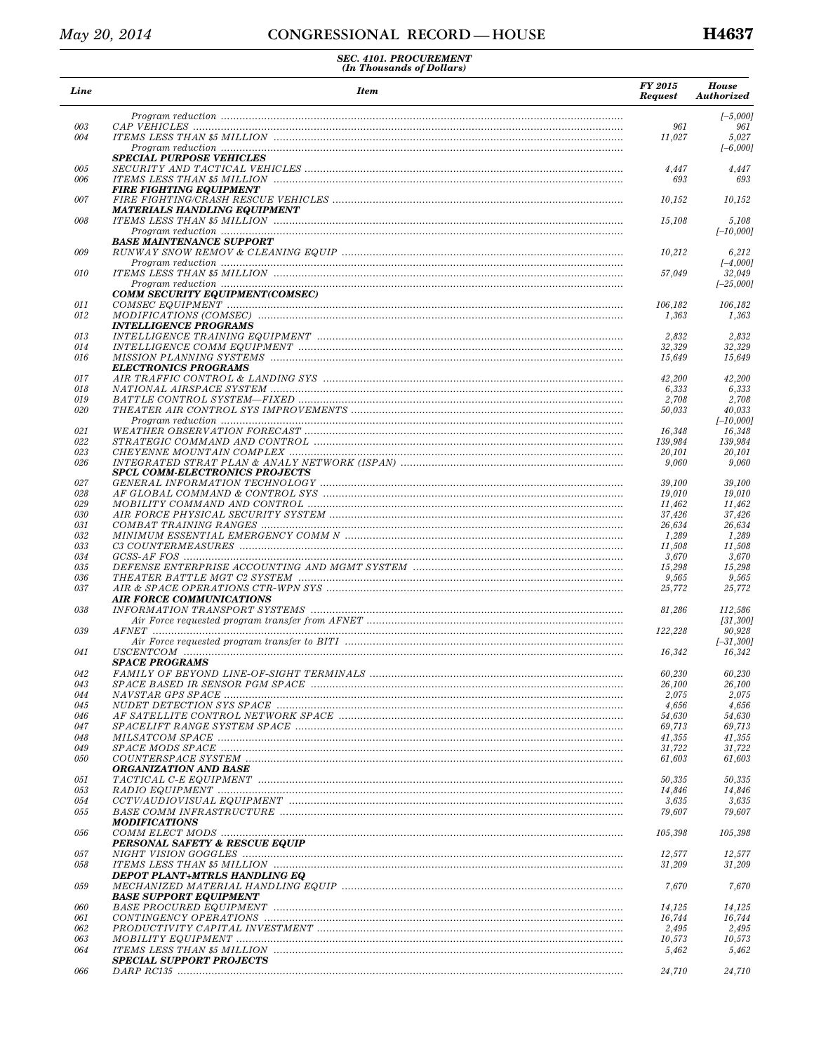| Line       | <b>Item</b>                                                                                                                                                                                                                       | FY 2015<br><b>Request</b> | <b>House</b><br>Authorized |
|------------|-----------------------------------------------------------------------------------------------------------------------------------------------------------------------------------------------------------------------------------|---------------------------|----------------------------|
|            |                                                                                                                                                                                                                                   |                           | $[-5,000]$                 |
| 003        |                                                                                                                                                                                                                                   | 961                       | 961                        |
| 004        |                                                                                                                                                                                                                                   | 11,027                    | 5,027<br>$[-6,000]$        |
|            | <b>SPECIAL PURPOSE VEHICLES</b>                                                                                                                                                                                                   |                           |                            |
| 005        |                                                                                                                                                                                                                                   | 4,447                     | 4,447                      |
| 006        |                                                                                                                                                                                                                                   | 693                       | 693                        |
| 007        | <b>FIRE FIGHTING EQUIPMENT</b>                                                                                                                                                                                                    | 10,152                    | 10,152                     |
|            | MATERIALS HANDLING EQUIPMENT                                                                                                                                                                                                      |                           |                            |
| 008        |                                                                                                                                                                                                                                   | 15,108                    | 5,108                      |
|            |                                                                                                                                                                                                                                   |                           | $[-10,000]$                |
|            | <b>BASE MAINTENANCE SUPPORT</b>                                                                                                                                                                                                   |                           |                            |
| 009        |                                                                                                                                                                                                                                   | 10,212                    | 6,212                      |
|            |                                                                                                                                                                                                                                   |                           | $[-4,000]$                 |
| 010        |                                                                                                                                                                                                                                   | 57,049                    | 32,049                     |
|            |                                                                                                                                                                                                                                   |                           | $[-25,000]$                |
| 011        | COMM SECURITY EQUIPMENT(COMSEC)                                                                                                                                                                                                   | 106,182                   | 106,182                    |
| 012        |                                                                                                                                                                                                                                   | 1,363                     | 1,363                      |
|            | <i><b>INTELLIGENCE PROGRAMS</b></i>                                                                                                                                                                                               |                           |                            |
| 013        |                                                                                                                                                                                                                                   | 2,832                     | 2,832                      |
| 014        |                                                                                                                                                                                                                                   | 32,329                    | 32,329                     |
| 016        |                                                                                                                                                                                                                                   | 15.649                    | 15,649                     |
|            | <b>ELECTRONICS PROGRAMS</b>                                                                                                                                                                                                       |                           |                            |
| 017        |                                                                                                                                                                                                                                   | 42,200                    | 42,200                     |
| 018        |                                                                                                                                                                                                                                   | 6,333                     | 6,333                      |
| 019        |                                                                                                                                                                                                                                   | 2,708                     | 2,708                      |
| 020        |                                                                                                                                                                                                                                   | 50,033                    | 40,033<br>$[-10,000]$      |
| 021        |                                                                                                                                                                                                                                   | 16,348                    | 16,348                     |
| 022        |                                                                                                                                                                                                                                   | 139,984                   | 139,984                    |
| 023        |                                                                                                                                                                                                                                   | 20,101                    | 20,101                     |
| 026        |                                                                                                                                                                                                                                   | 9,060                     | 9,060                      |
|            | <b>SPCL COMM-ELECTRONICS PROJECTS</b>                                                                                                                                                                                             |                           |                            |
| 027        |                                                                                                                                                                                                                                   | 39,100                    | 39,100                     |
| 028        |                                                                                                                                                                                                                                   | 19,010                    | 19,010                     |
| 029        |                                                                                                                                                                                                                                   | 11,462                    | 11,462                     |
| 030        |                                                                                                                                                                                                                                   | 37,426                    | 37,426                     |
| 031<br>032 |                                                                                                                                                                                                                                   | 26,634<br>1,289           | 26,634<br>1,289            |
| 033        |                                                                                                                                                                                                                                   | 11,508                    | 11,508                     |
| 034        |                                                                                                                                                                                                                                   | 3,670                     | 3,670                      |
| 035        |                                                                                                                                                                                                                                   | 15,298                    | 15,298                     |
| 036        |                                                                                                                                                                                                                                   | 9,565                     | 9,565                      |
| 037        |                                                                                                                                                                                                                                   | 25,772                    | 25,772                     |
|            | <b>AIR FORCE COMMUNICATIONS</b>                                                                                                                                                                                                   |                           |                            |
| 038        |                                                                                                                                                                                                                                   | 81,286                    | 112,586                    |
|            |                                                                                                                                                                                                                                   |                           | [31, 300]                  |
| 039        |                                                                                                                                                                                                                                   | 122,228                   | 90,928                     |
| 041        |                                                                                                                                                                                                                                   | 16,342                    | $[-31, 300]$<br>16,342     |
|            | <b>SPACE PROGRAMS</b>                                                                                                                                                                                                             |                           |                            |
| 042        |                                                                                                                                                                                                                                   | 60,230                    | 60,230                     |
| 043        |                                                                                                                                                                                                                                   | 26,100                    | 26,100                     |
| 044        |                                                                                                                                                                                                                                   | 2,075                     | 2,075                      |
| 045        |                                                                                                                                                                                                                                   | 4,656                     | 4,656                      |
| 046        |                                                                                                                                                                                                                                   | 54,630                    | 54,630                     |
| 047        |                                                                                                                                                                                                                                   | 69,713                    | 69,713                     |
| 048        |                                                                                                                                                                                                                                   | 41,355                    | 41,355                     |
| 049        | $SPACE$ MODS SPACE $\ldots$ $\ldots$ $\ldots$ $\ldots$ $\ldots$ $\ldots$ $\ldots$ $\ldots$ $\ldots$ $\ldots$ $\ldots$ $\ldots$ $\ldots$ $\ldots$ $\ldots$ $\ldots$ $\ldots$ $\ldots$ $\ldots$ $\ldots$ $\ldots$ $\ldots$ $\ldots$ | 31,722                    | 31,722                     |
| 050        |                                                                                                                                                                                                                                   | 61,603                    | 61,603                     |
|            | <b>ORGANIZATION AND BASE</b>                                                                                                                                                                                                      |                           |                            |
| 051        |                                                                                                                                                                                                                                   | 50,335                    | 50,335                     |
| 053<br>054 |                                                                                                                                                                                                                                   | 14,846<br>3,635           | 14,846<br>3,635            |
| 055        |                                                                                                                                                                                                                                   | 79,607                    | 79,607                     |
|            | <b>MODIFICATIONS</b>                                                                                                                                                                                                              |                           |                            |
| 056        |                                                                                                                                                                                                                                   | 105,398                   | 105,398                    |
|            | PERSONAL SAFETY & RESCUE EQUIP                                                                                                                                                                                                    |                           |                            |
| 057        |                                                                                                                                                                                                                                   | 12,577                    | 12,577                     |
| 058        |                                                                                                                                                                                                                                   | 31,209                    | 31,209                     |
|            | DEPOT PLANT+MTRLS HANDLING EQ                                                                                                                                                                                                     |                           |                            |
| 059        |                                                                                                                                                                                                                                   | 7,670                     | 7,670                      |
|            | <b>BASE SUPPORT EQUIPMENT</b>                                                                                                                                                                                                     |                           |                            |
| 060        |                                                                                                                                                                                                                                   | 14,125                    | 14,125                     |
| 061        |                                                                                                                                                                                                                                   | 16,744                    | 16,744                     |
| 062        |                                                                                                                                                                                                                                   | 2,495                     | 2,495                      |
| 063<br>064 |                                                                                                                                                                                                                                   | 10,573<br>5,462           | 10,573<br>5,462            |
|            | <b>SPECIAL SUPPORT PROJECTS</b>                                                                                                                                                                                                   |                           |                            |
| 066        |                                                                                                                                                                                                                                   | 24,710                    | 24,710                     |
|            |                                                                                                                                                                                                                                   |                           |                            |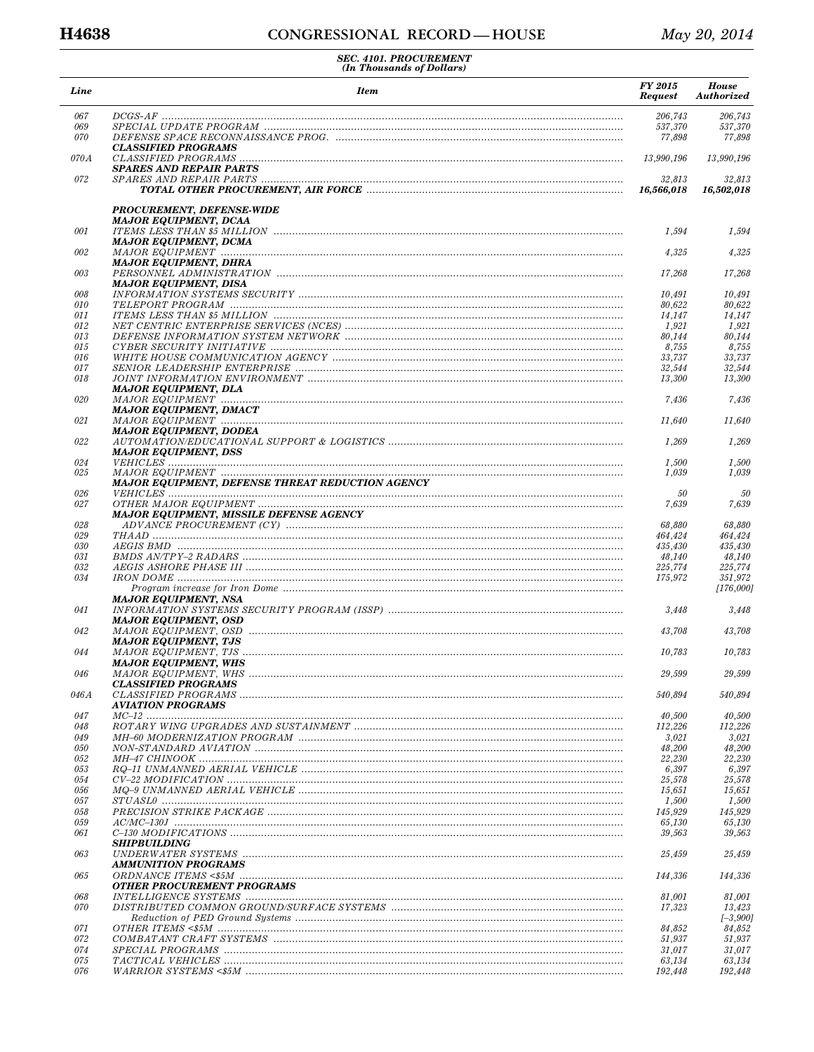| Line       | <b>Item</b>                                                                                                                                                                                                                                                                                                                                                                                                                                                                                                             | <b>FY 2015</b><br><b>Request</b> | <b>House</b><br>Authorized |
|------------|-------------------------------------------------------------------------------------------------------------------------------------------------------------------------------------------------------------------------------------------------------------------------------------------------------------------------------------------------------------------------------------------------------------------------------------------------------------------------------------------------------------------------|----------------------------------|----------------------------|
| 067        |                                                                                                                                                                                                                                                                                                                                                                                                                                                                                                                         | 206,743                          | 206,743                    |
| 069        |                                                                                                                                                                                                                                                                                                                                                                                                                                                                                                                         | 537,370                          | 537,370                    |
| 070        | <b>CLASSIFIED PROGRAMS</b>                                                                                                                                                                                                                                                                                                                                                                                                                                                                                              | 77,898                           | 77,898                     |
| 070A       | $CLASSIFIED PROGRAMS$                                                                                                                                                                                                                                                                                                                                                                                                                                                                                                   | 13,990,196                       | 13,990,196                 |
|            | <b>SPARES AND REPAIR PARTS</b>                                                                                                                                                                                                                                                                                                                                                                                                                                                                                          |                                  |                            |
| 072        |                                                                                                                                                                                                                                                                                                                                                                                                                                                                                                                         | 32,813<br>16,566,018             | 32,813<br>16,502,018       |
|            | PROCUREMENT, DEFENSE-WIDE                                                                                                                                                                                                                                                                                                                                                                                                                                                                                               |                                  |                            |
| 001        | <b>MAJOR EQUIPMENT, DCAA</b>                                                                                                                                                                                                                                                                                                                                                                                                                                                                                            | 1,594                            | 1,594                      |
| 002        | <b>MAJOR EQUIPMENT, DCMA</b>                                                                                                                                                                                                                                                                                                                                                                                                                                                                                            | 4,325                            | 4,325                      |
| 003        | <b>MAJOR EQUIPMENT. DHRA</b>                                                                                                                                                                                                                                                                                                                                                                                                                                                                                            | 17,268                           | 17,268                     |
| 008        | <b>MAJOR EQUIPMENT, DISA</b>                                                                                                                                                                                                                                                                                                                                                                                                                                                                                            | 10,491                           | 10,491                     |
| 010        |                                                                                                                                                                                                                                                                                                                                                                                                                                                                                                                         | 80,622                           | 80,622                     |
| 011        |                                                                                                                                                                                                                                                                                                                                                                                                                                                                                                                         | 14,147                           | 14,147                     |
| 012        |                                                                                                                                                                                                                                                                                                                                                                                                                                                                                                                         | 1,921                            | 1,921                      |
| 013        |                                                                                                                                                                                                                                                                                                                                                                                                                                                                                                                         | 80,144                           | 80,144                     |
| 015<br>016 | $\begin{minipage}{0.9\linewidth} \textit{CYBER} \textit{SECURITY} \textit{ INITIATIVE} \end{minipage} \begin{minipage}{0.9\linewidth} \textit{THEIATE} \end{minipage} \begin{minipage}{0.9\linewidth} \textit{THEIATE} \end{minipage} \begin{minipage}{0.9\linewidth} \textit{THEIATE} \end{minipage} \begin{minipage}{0.9\linewidth} \textit{THEIATE} \end{minipage} \begin{minipage}{0.9\linewidth} \textit{THEIATE} \end{minipage} \begin{minipage}{0.9\linewidth} \textit{CATE} \end{minipage} \begin{minipage}{0.$ | 8,755                            | 8,755                      |
| 017        |                                                                                                                                                                                                                                                                                                                                                                                                                                                                                                                         | 33,737<br>32,544                 | 33,737<br>32,544           |
| 018        |                                                                                                                                                                                                                                                                                                                                                                                                                                                                                                                         | 13,300                           | 13,300                     |
|            | <b>MAJOR EQUIPMENT, DLA</b>                                                                                                                                                                                                                                                                                                                                                                                                                                                                                             |                                  |                            |
| 020        | <b>MAJOR EQUIPMENT, DMACT</b>                                                                                                                                                                                                                                                                                                                                                                                                                                                                                           | 7,436                            | 7,436                      |
| 021        | MAJOR EQUIPMENT, DODEA                                                                                                                                                                                                                                                                                                                                                                                                                                                                                                  | 11,640                           | 11,640                     |
| 022        | $\label{eq:matrom} AUTOMATION/EDUCATIONAL$<br>$\label{eq:matrom} EUFGNATION/EDUCATIONAL$<br>$\label{eq:matrom} EUTPORT \&\ LOGISTICS$<br><b>MAJOR EQUIPMENT, DSS</b>                                                                                                                                                                                                                                                                                                                                                    | 1,269                            | 1,269                      |
| 024        |                                                                                                                                                                                                                                                                                                                                                                                                                                                                                                                         | 1,500                            | 1,500                      |
| 025        | <b>MAJOR EQUIPMENT, DEFENSE THREAT REDUCTION AGENCY</b>                                                                                                                                                                                                                                                                                                                                                                                                                                                                 | 1,039                            | 1,039                      |
| 026        |                                                                                                                                                                                                                                                                                                                                                                                                                                                                                                                         | 50                               | 50                         |
| 027        | <b>MAJOR EQUIPMENT, MISSILE DEFENSE AGENCY</b>                                                                                                                                                                                                                                                                                                                                                                                                                                                                          | 7,639                            | 7,639                      |
| 028        |                                                                                                                                                                                                                                                                                                                                                                                                                                                                                                                         | 68,880                           | 68,880                     |
| 029        |                                                                                                                                                                                                                                                                                                                                                                                                                                                                                                                         | 464,424                          | 464,424                    |
| 030        |                                                                                                                                                                                                                                                                                                                                                                                                                                                                                                                         | 435,430                          | 435,430                    |
| 031        |                                                                                                                                                                                                                                                                                                                                                                                                                                                                                                                         | 48,140                           | 48,140                     |
| 032        |                                                                                                                                                                                                                                                                                                                                                                                                                                                                                                                         | 225,774                          | 225,774                    |
| 034        |                                                                                                                                                                                                                                                                                                                                                                                                                                                                                                                         | 175,972                          | 351,972<br>[176,000]       |
| 041        | <b>MAJOR EQUIPMENT, NSA</b>                                                                                                                                                                                                                                                                                                                                                                                                                                                                                             | 3,448                            | 3,448                      |
| 042        | <b>MAJOR EQUIPMENT, OSD</b>                                                                                                                                                                                                                                                                                                                                                                                                                                                                                             | 43,708                           | 43,708                     |
| 044        | <b>MAJOR EQUIPMENT, TJS</b>                                                                                                                                                                                                                                                                                                                                                                                                                                                                                             | 10,783                           | 10,783                     |
| 046        | <b>MAJOR EQUIPMENT, WHS</b>                                                                                                                                                                                                                                                                                                                                                                                                                                                                                             | 29,599                           | 29,599                     |
|            | <b>CLASSIFIED PROGRAMS</b>                                                                                                                                                                                                                                                                                                                                                                                                                                                                                              |                                  |                            |
| 046 A      | AVIATION PROGRAMS                                                                                                                                                                                                                                                                                                                                                                                                                                                                                                       | 540,894                          | 540,894                    |
| 047        |                                                                                                                                                                                                                                                                                                                                                                                                                                                                                                                         | 40,500                           | 40,500                     |
| 048<br>049 |                                                                                                                                                                                                                                                                                                                                                                                                                                                                                                                         | 112,226<br>3,021                 | 112,226<br>3,021           |
| 050        |                                                                                                                                                                                                                                                                                                                                                                                                                                                                                                                         | 48,200                           | 48,200                     |
| 052        |                                                                                                                                                                                                                                                                                                                                                                                                                                                                                                                         | 22,230                           | 22,230                     |
| 053        |                                                                                                                                                                                                                                                                                                                                                                                                                                                                                                                         | 6,397                            | 6,397                      |
| 054        |                                                                                                                                                                                                                                                                                                                                                                                                                                                                                                                         | 25,578                           | 25,578                     |
| 056        |                                                                                                                                                                                                                                                                                                                                                                                                                                                                                                                         | 15,651                           | 15,651                     |
| 057        |                                                                                                                                                                                                                                                                                                                                                                                                                                                                                                                         | 1,500                            | 1,500                      |
| 058        |                                                                                                                                                                                                                                                                                                                                                                                                                                                                                                                         | 145,929                          | 145,929                    |
| 059        |                                                                                                                                                                                                                                                                                                                                                                                                                                                                                                                         | 65,130                           | 65,130                     |
| 061        | <b>SHIPBUILDING</b>                                                                                                                                                                                                                                                                                                                                                                                                                                                                                                     | 39,563                           | 39.563                     |
| 063        | AMMUNITION PROGRAMS                                                                                                                                                                                                                                                                                                                                                                                                                                                                                                     | 25,459                           | 25,459                     |
| 065        | <b>OTHER PROCUREMENT PROGRAMS</b>                                                                                                                                                                                                                                                                                                                                                                                                                                                                                       | 144,336                          | 144,336                    |
| 068        |                                                                                                                                                                                                                                                                                                                                                                                                                                                                                                                         | 81,001                           | 81,001                     |
| 070        |                                                                                                                                                                                                                                                                                                                                                                                                                                                                                                                         | 17,323                           | 13,423                     |
| 071        |                                                                                                                                                                                                                                                                                                                                                                                                                                                                                                                         | 84,852                           | $[-3,900]$<br>84,852       |
| 072        |                                                                                                                                                                                                                                                                                                                                                                                                                                                                                                                         | 51,937                           | 51,937                     |
| 074        |                                                                                                                                                                                                                                                                                                                                                                                                                                                                                                                         | 31,017                           | 31,017                     |
| 075        |                                                                                                                                                                                                                                                                                                                                                                                                                                                                                                                         | 63,134                           | 63,134                     |
| 076        |                                                                                                                                                                                                                                                                                                                                                                                                                                                                                                                         | 192,448                          | 192,448                    |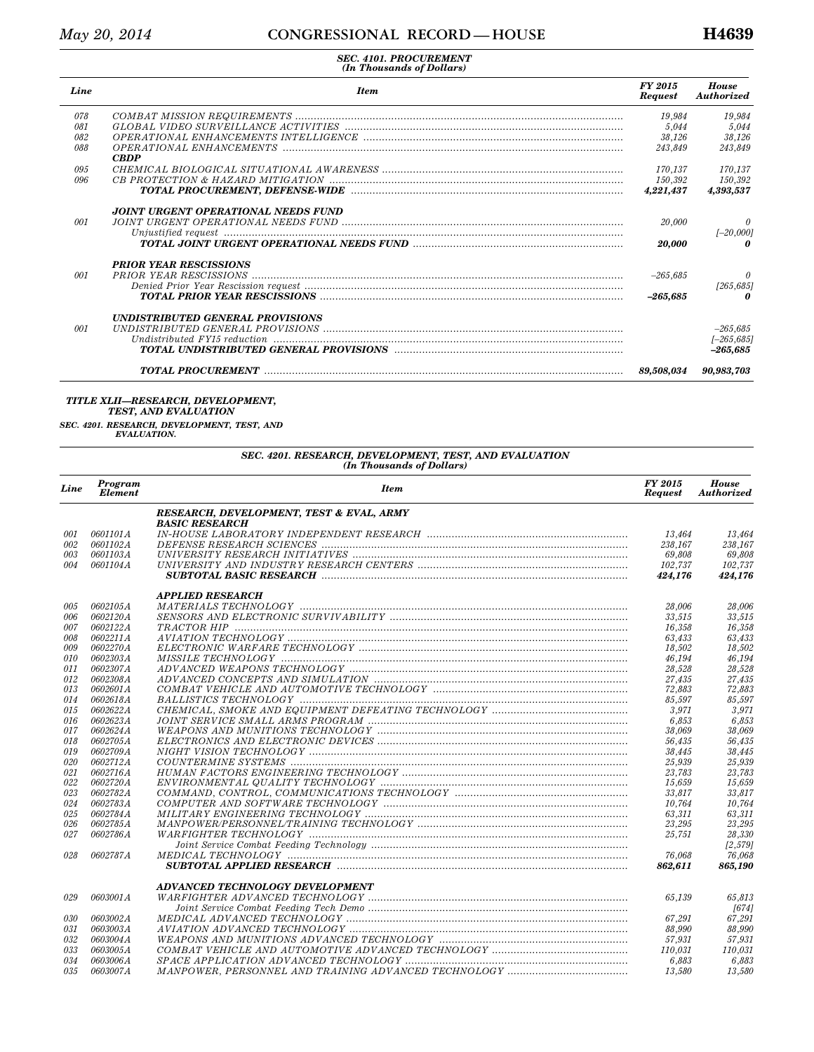| Line | <b>Item</b>                                | FY 2015<br><b>Request</b> | <b>House</b><br><b>Authorized</b> |
|------|--------------------------------------------|---------------------------|-----------------------------------|
| 078  |                                            | 19.984                    | 19.984                            |
| 081  |                                            | 5.044                     | 5,044                             |
| 082  |                                            | 38,126                    | 38,126                            |
| 088  | <b>CBDP</b>                                | 243.849                   | 243.849                           |
| 0.95 |                                            | 170.137                   | 170.137                           |
| 0.96 |                                            | 150,392                   | 150,392                           |
|      |                                            | 4,221,437                 | 4,393,537                         |
| 001  | <b>JOINT URGENT OPERATIONAL NEEDS FUND</b> | 20,000                    |                                   |
|      |                                            | 20.000                    | $[-20,000]$                       |
|      | <b>PRIOR YEAR RESCISSIONS</b>              |                           |                                   |
| 001  |                                            | $-265,685$                | [265, 685]                        |
|      |                                            | $-265.685$                |                                   |
|      | <b>UNDISTRIBUTED GENERAL PROVISIONS</b>    |                           |                                   |
| 001  |                                            |                           | $-265,685$                        |
|      |                                            |                           | $[-265, 685]$<br>$-265.685$       |
|      |                                            | 89.508.034                | 90,983,703                        |

#### *TITLE XLII—RESEARCH, DEVELOPMENT, TEST, AND EVALUATION*

*SEC. 4201. RESEARCH, DEVELOPMENT, TEST, AND EVALUATION.* 

| Line | Program<br><b>Element</b> | <b>Item</b>                                                                                                     | FY 2015<br><b>Request</b> | <b>House</b><br><b>Authorized</b> |
|------|---------------------------|-----------------------------------------------------------------------------------------------------------------|---------------------------|-----------------------------------|
|      |                           | RESEARCH, DEVELOPMENT, TEST & EVAL, ARMY                                                                        |                           |                                   |
|      |                           | <b>BASIC RESEARCH</b>                                                                                           |                           |                                   |
| 001  | 0601101A                  |                                                                                                                 | 13,464                    | 13,464                            |
| 002  | 0601102A                  |                                                                                                                 | 238,167                   | 238,167                           |
| 003  | 0601103A                  |                                                                                                                 | 69.808                    | 69.808                            |
| 004  | 0601104A                  |                                                                                                                 | 102,737                   | 102,737                           |
|      |                           |                                                                                                                 | 424,176                   | 424,176                           |
|      |                           | <b>APPLIED RESEARCH</b>                                                                                         |                           |                                   |
| 005  | 0602105A                  |                                                                                                                 | 28,006                    | 28,006                            |
| 006  | <i>0602120A</i>           |                                                                                                                 | 33,515                    | 33,515                            |
| 007  | 0602122A                  |                                                                                                                 | 16,358                    | 16,358                            |
| 008  | 0602211A                  |                                                                                                                 | 63,433                    | 63,433                            |
| 009  | 0602270A                  |                                                                                                                 | 18,502                    | 18,502                            |
| 010  | 0602303A                  |                                                                                                                 | 46.194                    | 46.194                            |
| 011  | 0602307A                  |                                                                                                                 | 28,528                    | 28,528                            |
| 012  | 0602308A                  |                                                                                                                 | 27,435                    | 27,435                            |
| 013  | 0602601A                  |                                                                                                                 | 72,883                    | 72,883                            |
| 014  | 0602618A                  | BALLISTICS TECHNOLOGY minimummummummummummummummummummummummum                                                  | 85.597                    | 85.597                            |
| 015  | 0602622A                  |                                                                                                                 | 3,971                     | 3,971                             |
| 016  | 0602623A                  |                                                                                                                 | 6,853                     | 6,853                             |
| 017  | 0602624A                  |                                                                                                                 | 38,069                    | 38.069                            |
| 018  | 0602705A                  |                                                                                                                 | 56,435                    | 56.435                            |
| 019  | 0602709A                  |                                                                                                                 | 38,445                    | 38,445                            |
| 020  | 0602712A                  |                                                                                                                 | 25,939                    | 25,939                            |
| 021  | <i>0602716A</i>           |                                                                                                                 | 23,783                    | 23,783                            |
| 022  | 0602720A                  |                                                                                                                 | 15,659                    | 15,659                            |
| 023  | 0602782A                  |                                                                                                                 | 33,817                    | 33,817                            |
| 024  | 0602783A                  |                                                                                                                 | 10,764                    | 10,764                            |
| 025  | 0602784A                  |                                                                                                                 | 63.311                    | 63,311                            |
| 026  | 0602785A                  |                                                                                                                 | 23,295                    | 23,295                            |
| 027  | 0602786A                  |                                                                                                                 | 25,751                    | 28,330                            |
|      |                           |                                                                                                                 |                           | [2,579]                           |
| 028  | 0602787A                  |                                                                                                                 | 76.068                    | 76.068                            |
|      |                           | SUBTOTAL APPLIED RESEARCH manufacturers and the contract of the contract of the contract of the contract of the | 862,611                   | 865,190                           |
|      |                           | ADVANCED TECHNOLOGY DEVELOPMENT                                                                                 |                           |                                   |
| 029  | 0603001 A                 |                                                                                                                 | 65.139                    | 65,813                            |
|      |                           |                                                                                                                 |                           | [674]                             |
| 030  | 0603002A                  |                                                                                                                 | 67,291                    | 67,291                            |
| 031  | 0603003A                  |                                                                                                                 | 88,990                    | 88,990                            |
| 032  | 0603004A                  |                                                                                                                 | 57.931                    | 57,931                            |
| 033  | 0603005A                  |                                                                                                                 | 110,031                   | 110,031                           |
| 0.34 | 0603006A                  |                                                                                                                 | 6,883                     | 6,883                             |
| 0.35 | 0603007A                  |                                                                                                                 | 13,580                    | 13.580                            |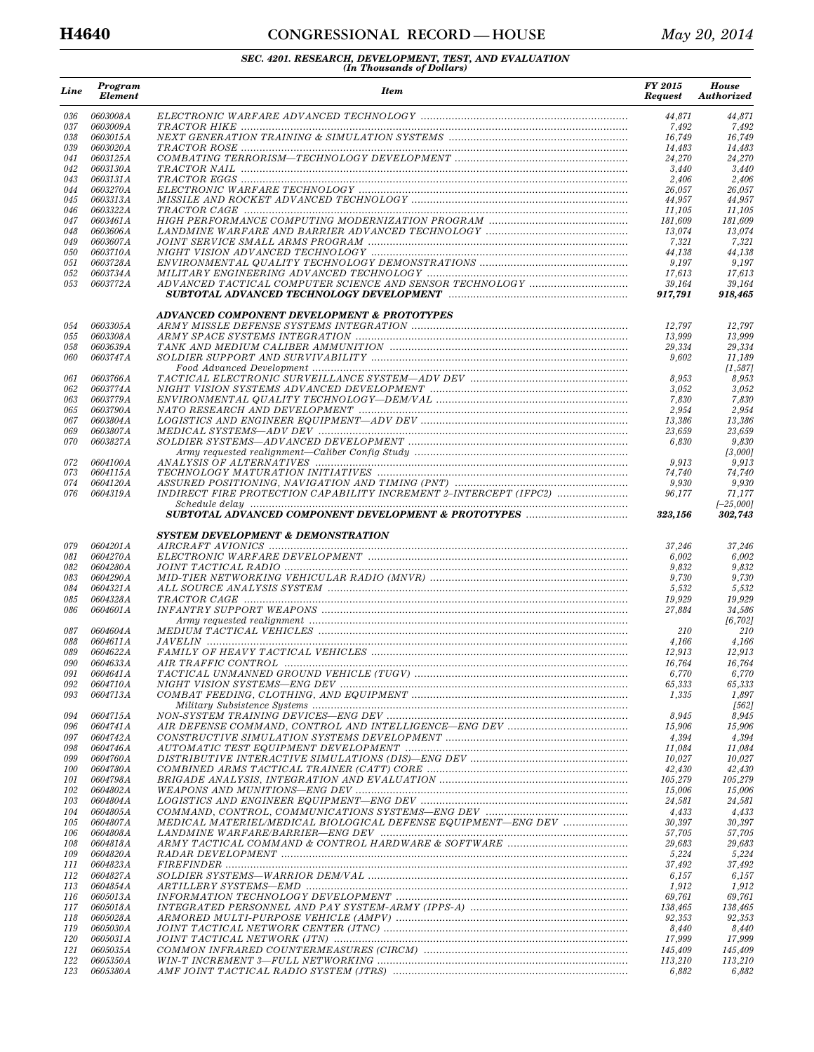## **H4640 CONGRESSIONAL RECORD — HOUSE** *May 20, 2014*

| Line              | Program<br><b>Element</b>           | <b>Item</b>                                                       | FY 2015<br><b>Request</b> | <b>House</b><br>Authorized |
|-------------------|-------------------------------------|-------------------------------------------------------------------|---------------------------|----------------------------|
| 036               | 0603008A                            |                                                                   | 44,871                    | 44,871                     |
| 037<br>038        | <i>0603009A</i><br>0603015A         |                                                                   | 7,492<br>16,749           | 7,492<br>16,749            |
| 039               | 0603020A                            |                                                                   | 14,483                    | 14,483                     |
| 041               | <i>0603125A</i>                     |                                                                   | 24,270                    | 24,270                     |
| 042<br>043        | <i>0603130A</i><br>0603131A         |                                                                   | 3,440<br>2,406            | 3,440<br>2,406             |
| 044               | 0603270A                            |                                                                   | 26,057                    | 26,057                     |
| 045               | 0603313A                            |                                                                   | 44,957                    | 44,957                     |
| 046<br>047        | <i>0603322A</i><br>0603461A         |                                                                   | 11,105<br>181,609         | 11,105<br>181,609          |
| 048               | 0603606A                            |                                                                   | 13,074                    | 13.074                     |
| 049               | 0603607A                            |                                                                   | 7,321                     | 7,321                      |
| 050<br>051        | <i>0603710A</i><br>0603728A         |                                                                   | 44,138<br>9,197           | 44,138<br>9,197            |
| 052               | 0603734A                            |                                                                   | 17,613                    | 17,613                     |
| 053               | 0603772A                            |                                                                   | 39,164<br>917,791         | 39,164<br>918,465          |
|                   |                                     | ADVANCED COMPONENT DEVELOPMENT & PROTOTYPES                       |                           |                            |
| 054<br>055        | <i>0603305A</i><br>0603308A         |                                                                   | 12,797<br>13,999          | 12,797                     |
| 058               | 0603639A                            |                                                                   | 29,334                    | 13,999<br>29,334           |
| 060               | <i>0603747A</i>                     |                                                                   | 9,602                     | 11,189                     |
|                   |                                     |                                                                   |                           | [1,587]                    |
| 061<br>062        | 0603766A<br>0603774A                |                                                                   | 8,953<br>3,052            | 8,953<br>3,052             |
| 063               | 0603779A                            |                                                                   | 7,830                     | 7,830                      |
| 065               | 0603790A                            |                                                                   | 2,954                     | 2,954                      |
| 067<br>069        | 0603804A<br>0603807A                |                                                                   | 13,386<br>23,659          | 13,386<br>23,659           |
| 070               | 0603827A                            |                                                                   | 6,830                     | 9,830                      |
|                   |                                     |                                                                   |                           | [3,000]                    |
| 072               | 0604100A                            |                                                                   | 9,913                     | 9,913                      |
| 073<br>074        | 0604115A<br><i>0604120A</i>         |                                                                   | 74,740<br>9,930           | 74,740<br>9,930            |
| 076               | 0604319A                            | INDIRECT FIRE PROTECTION CAPABILITY INCREMENT 2-INTERCEPT (IFPC2) | 96,177                    | 71,177                     |
|                   |                                     |                                                                   | 323,156                   | $[-25,000]$<br>302,743     |
|                   |                                     | <b>SYSTEM DEVELOPMENT &amp; DEMONSTRATION</b>                     |                           |                            |
| 079               | 0604201A                            |                                                                   | 37,246                    | 37,246                     |
| 081               | <i>0604270A</i>                     |                                                                   | 6,002                     | 6,002                      |
| 082               | 0604280A                            |                                                                   | 9,832                     | 9,832                      |
| 083<br>084        | 0604290A<br><i>0604321A</i>         |                                                                   | 9,730<br>5,532            | 9,730<br>5,532             |
| 085               | 0604328A                            |                                                                   | 19,929                    | 19,929                     |
| 086               | 0604601A                            |                                                                   | 27,884                    | 34,586                     |
| 087               | 0604604A                            |                                                                   | 210                       | [6,702]<br>210             |
| 088               | 0604611A                            |                                                                   | 4,166                     | 4,166                      |
| 089               | <i>0604622A</i>                     |                                                                   | 12,913                    | 12,913                     |
| 090               | 0604633A                            |                                                                   | 16,764                    | 16,764                     |
| 091<br>092        | 0604641A<br><i>0604710A</i>         |                                                                   | 6,770<br>65,333           | 6,770<br>65,333            |
| 093               | 0604713A                            |                                                                   | 1,335                     | 1,897                      |
|                   |                                     |                                                                   |                           | [562]                      |
| 094<br>096        | <i>0604715A</i><br><i>0604741A</i>  |                                                                   | 8,945<br>15,906           | 8,945<br>15,906            |
| 097               | <i>0604742A</i>                     |                                                                   | 4,394                     | 4,394                      |
| 098               | 0604746A                            |                                                                   | 11,084                    | 11,084                     |
| 099               | 0604760A                            |                                                                   | 10,027                    | 10,027                     |
| <i>100</i><br>101 | <i>0604780.A</i><br><i>0604798A</i> |                                                                   | 42,430<br>105,279         | 42,430<br>105,279          |
| 102               | <i>0604802A</i>                     |                                                                   | 15,006                    | 15,006                     |
| 103               | 0604804A                            |                                                                   | 24,581                    | 24,581                     |
| 104               | <i>0604805.A</i>                    |                                                                   | 4,433                     | 4,433                      |
| 105<br>106        | <i>0604807.A</i><br><i>0604808A</i> | MEDICAL MATERIEL/MEDICAL BIOLOGICAL DEFENSE EQUIPMENT-ENG DEV     | 30,397<br>57,705          | 30,397<br>57,705           |
| 108               | <i>0604818A</i>                     |                                                                   | 29,683                    | 29,683                     |
| 109               | <i>0604820A</i>                     |                                                                   | 5,224                     | 5,224                      |
| 111<br>112        | <i>0604823A</i><br><i>0604827.A</i> |                                                                   | 37,492<br>6,157           | 37,492<br>6,157            |
| 113               | 0604854A                            |                                                                   | 1,912                     | 1,912                      |
| 116               | <i>0605013A</i>                     |                                                                   | 69,761                    | 69,761                     |
| 117               | <i>0605018A</i>                     |                                                                   | 138,465                   | 138,465                    |
| 118<br>119        | <i>0605028A</i><br><i>0605030A</i>  |                                                                   | 92,353<br>8,440           | 92,353<br>8,440            |
| <i>120</i>        | <i>0605031A</i>                     |                                                                   | 17,999                    | 17,999                     |
| 121               | <i>0605035A</i>                     |                                                                   | 145,409                   | 145,409                    |
| 122<br>123        | <i>0605350A</i><br><i>0605380A</i>  |                                                                   | 113,210<br>6,882          | 113,210<br>6,882           |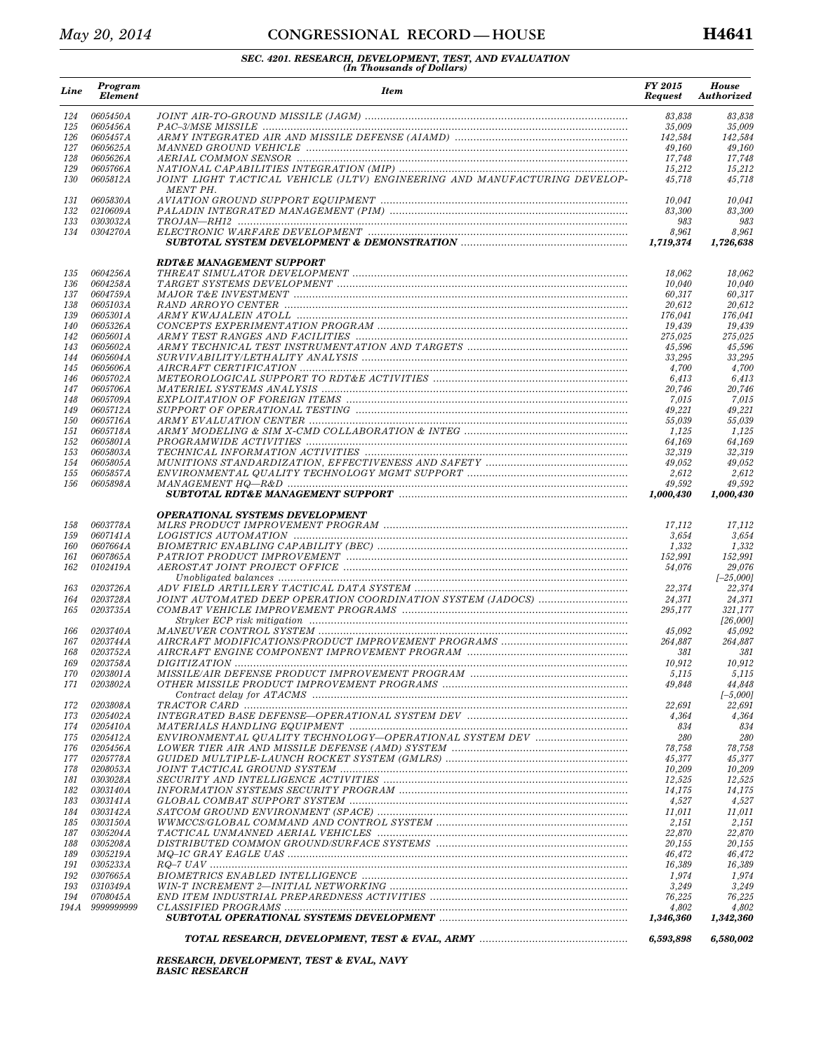## *May 20, 2014* **CONGRESSIONAL RECORD** — HOUSE **H4641**

# *SEC. 4201. RESEARCH, DEVELOPMENT, TEST, AND EVALUATION (In Thousands of Dollars)*

| Line              | Program<br><b>Element</b>          | <b>Item</b>                                                                            | FY 2015<br><b>Request</b> | <b>House</b><br><b>Authorized</b> |
|-------------------|------------------------------------|----------------------------------------------------------------------------------------|---------------------------|-----------------------------------|
| 124               | 0605450A                           |                                                                                        | 83,838                    | 83,838                            |
| 125               | 0605456A                           |                                                                                        | 35,009                    | 35,009                            |
| 126               | 0605457A                           |                                                                                        | 142,584                   | 142,584                           |
| 127<br>128        | <i>0605625A</i><br>0605626A        |                                                                                        | 49,160<br>17,748          | 49,160<br>17,748                  |
| 129               | <i>0605766A</i>                    |                                                                                        | 15,212                    | 15,212                            |
| 130               | <i>0605812A</i>                    | JOINT LIGHT TACTICAL VEHICLE (JLTV) ENGINEERING AND MANUFACTURING DEVELOP-<br>MENT PH. | 45,718                    | 45,718                            |
| 131               | 0605830A<br>0210609A               |                                                                                        | 10,041                    | 10,041                            |
| 132<br>133        | <i>0303032A</i>                    |                                                                                        | 83,300<br>983             | 83,300<br>983                     |
| 134               | <i>0304270A</i>                    |                                                                                        | 8,961                     | 8,961                             |
|                   |                                    |                                                                                        | 1,719,374                 | 1,726,638                         |
|                   |                                    | <b>RDT&amp;E MANAGEMENT SUPPORT</b>                                                    |                           |                                   |
| 135<br>136        | 0604256A<br>0604258A               |                                                                                        | 18,062<br>10,040          | 18,062<br>10,040                  |
| 137               | 0604759A                           |                                                                                        | 60,317                    | 60,317                            |
| 138               | <i>0605103A</i>                    |                                                                                        | 20,612                    | 20,612                            |
| 139               | 0605301 A                          |                                                                                        | 176,041                   | 176,041                           |
| 140               | 0605326A<br>0605601 A              |                                                                                        | 19,439                    | 19,439                            |
| 142<br>143        | <i>0605602A</i>                    |                                                                                        | 275,025<br>45,596         | 275,025<br>45,596                 |
| 144               | 0605604A                           |                                                                                        | 33,295                    | 33,295                            |
| 145               | 0605606A                           |                                                                                        | 4,700                     | 4,700                             |
| 146               | 0605702A                           |                                                                                        | 6,413                     | 6,413                             |
| 147               | <i>0605706A</i>                    |                                                                                        | 20,746                    | 20,746                            |
| 148               | <i>0605709A</i>                    |                                                                                        | 7,015                     | 7,015                             |
| 149<br><i>150</i> | <i>0605712A</i><br>0605716A        |                                                                                        | 49,221<br>55,039          | 49,221<br>55,039                  |
| 151               | <i>0605718A</i>                    |                                                                                        | 1,125                     | 1,125                             |
| 152               | 0605801A                           |                                                                                        | 64,169                    | 64,169                            |
| 153               | <i>0605803A</i>                    |                                                                                        | 32,319                    | 32,319                            |
| 154               | <i>0605805A</i>                    |                                                                                        | 49,052                    | 49,052                            |
| 155<br>156        | <i>0605857A</i><br>0605898A        |                                                                                        | 2,612<br>49,592           | 2,612<br>49,592                   |
|                   |                                    |                                                                                        | 1,000,430                 | 1,000,430                         |
|                   |                                    | <b>OPERATIONAL SYSTEMS DEVELOPMENT</b>                                                 |                           |                                   |
| 158               | 0603778A                           |                                                                                        | 17,112                    | 17,112                            |
| 159               | 0607141A                           |                                                                                        | 3,654                     | 3,654                             |
| 160               | 0607664A                           |                                                                                        | 1,332                     | 1,332                             |
| 161<br>162        | 0607865A<br>0102419A               |                                                                                        | 152,991<br>54,076         | 152,991<br>29,076                 |
|                   |                                    |                                                                                        |                           | $[-25,000]$                       |
| 163               | 0203726A                           |                                                                                        | 22,374                    | 22,374                            |
| 164               | 0203728A                           | JOINT AUTOMATED DEEP OPERATION COORDINATION SYSTEM (JADOCS)                            | 24,371                    | 24,371                            |
| 165               | <i>0203735A</i>                    |                                                                                        | 295,177                   | 321,177                           |
|                   |                                    |                                                                                        |                           | [26,000]                          |
| 166<br>167        | 0203740A<br>0203744A               |                                                                                        | 45,092<br>264,887         | 45,092<br>264,887                 |
| 168               | 0203752A                           |                                                                                        | 381                       | 381                               |
| 169               | 0203758A                           |                                                                                        | 10,912                    | 10,912                            |
| 170               | 0203801A                           |                                                                                        | 5,115                     | 5,115                             |
| 171               | 0203802A                           |                                                                                        | 49,848                    | 44,848                            |
|                   |                                    |                                                                                        |                           | $[-5,000]$                        |
| 172<br>173        | 0203808A<br><i>0205402A</i>        |                                                                                        | 22,691<br>4,364           | 22,691<br>4,364                   |
| 174               | <i>0205410A</i>                    |                                                                                        | 834                       | 834                               |
| 175               | <i>0205412A</i>                    | ENVIRONMENTAL QUALITY TECHNOLOGY—OPERATIONAL SYSTEM DEV                                | 280                       | 280                               |
| 176               | 0205456A                           |                                                                                        | 78,758                    | 78,758                            |
| 177               | <i>0205778A</i>                    |                                                                                        | 45,377                    | 45,377                            |
| 178               | <i>0208053A</i>                    |                                                                                        | 10,209                    | 10,209                            |
| 181<br>182        | <i>0303028A</i><br>0303140A        |                                                                                        | 12,525<br>14,175          | 12,525<br>14,175                  |
| 183               | <i>0303141 A</i>                   |                                                                                        | 4,527                     | 4,527                             |
| 184               | <i>0303142.A</i>                   |                                                                                        | 11,011                    | 11,011                            |
| 185               | <i>0303150A</i>                    |                                                                                        | 2,151                     | 2,151                             |
| 187               | 0305204A                           |                                                                                        | 22,870                    | 22,870                            |
| 188               | <i>0305208A</i>                    |                                                                                        | 20,155                    | 20,155                            |
| 189<br>191        | <i>0305219A</i><br><i>0305233A</i> |                                                                                        | 46,472<br>16,389          | 46,472<br>16,389                  |
| 192               | <i>0307665.A</i>                   |                                                                                        | 1,974                     | 1,974                             |
| 193               | <i>0310349A</i>                    |                                                                                        | 3,249                     | 3,249                             |
| 194               | 0708045A                           |                                                                                        | 76,225                    | 76,225                            |
| 194 A             | 9999999999                         |                                                                                        | 4,802                     | 4,802                             |
|                   |                                    |                                                                                        | 1,346,360                 | 1,342,360                         |
|                   |                                    |                                                                                        | 6,593,898                 | 6,580,002                         |

*RESEARCH, DEVELOPMENT, TEST & EVAL, NAVY BASIC RESEARCH*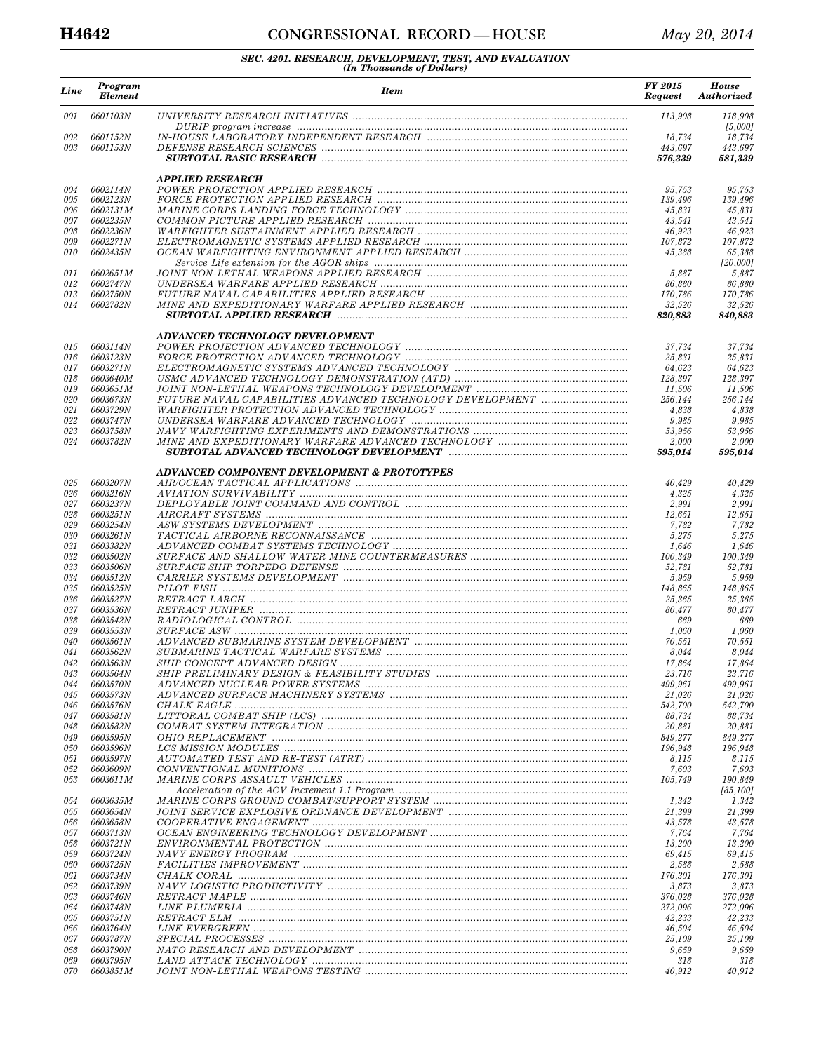## **H4642 CONGRESSIONAL RECORD — HOUSE** *May 20, 2014*

| Line       | Program<br><b>Element</b>          | <b>Item</b>                                 | FY 2015<br><b>Request</b> | <b>House</b><br><b>Authorized</b> |
|------------|------------------------------------|---------------------------------------------|---------------------------|-----------------------------------|
| 001        | 0601103N                           |                                             | 113,908                   | 118,908<br>[5,000]                |
| 002<br>003 | <i>0601152N</i><br>0601153N        |                                             | 18,734                    | 18,734                            |
|            |                                    |                                             | 443,697<br>576,339        | 443,697<br>581,339                |
| 004        | 0602114N                           | <b>APPLIED RESEARCH</b>                     | 95,753                    | 95,753                            |
| 005        | 0602123N                           |                                             | 139,496                   | 139,496                           |
| 006        | 0602131M                           |                                             | 45,831                    | 45,831                            |
| 007        | 0602235N                           |                                             | 43,541                    | 43,541                            |
| 008<br>009 | 0602236N<br>0602271N               |                                             | 46,923<br>107,872         | 46,923<br>107,872                 |
| 010        | 0602435N                           |                                             | 45,388                    | 65,388<br>[20,000]                |
| 011        | 0602651M                           |                                             | 5,887                     | 5,887                             |
| 012        | 0602747N                           |                                             | 86,880                    | 86,880                            |
| 013<br>014 | 0602750N<br>0602782N               |                                             | 170,786<br>32,526         | 170,786<br>32,526                 |
|            |                                    |                                             | 820,883                   | 840,883                           |
|            |                                    | ADVANCED TECHNOLOGY DEVELOPMENT             |                           |                                   |
| 015        | 0603114N                           |                                             | 37,734                    | 37,734                            |
| 016<br>017 | 0603123N<br>0603271N               |                                             | 25,831<br>64,623          | 25,831<br>64,623                  |
| 018        | 0603640M                           |                                             | 128,397                   | 128,397                           |
| 019        | 0603651M                           |                                             | 11,506                    | 11,506                            |
| 020<br>021 | <i>0603673N</i><br>0603729N        |                                             | 256,144<br>4,838          | 256,144<br>4,838                  |
| 022        | 0603747N                           |                                             | 9,985                     | 9,985                             |
| 023        | 0603758N                           |                                             | 53,956                    | 53,956                            |
| 024        | 0603782N                           |                                             | 2,000                     | 2,000                             |
|            |                                    |                                             | 595.014                   | 595,014                           |
| 025        | 0603207N                           | ADVANCED COMPONENT DEVELOPMENT & PROTOTYPES | 40,429                    | 40,429                            |
| 026        | 0603216N                           |                                             | 4,325                     | 4,325                             |
| 027        | 0603237N                           |                                             | 2,991                     | 2,991                             |
| 028<br>029 | 0603251N                           |                                             | 12,651                    | 12,651<br>7,782                   |
| 030        | 0603254N<br><i>0603261N</i>        |                                             | 7,782<br>5,275            | 5,275                             |
| 031        | 0603382N                           |                                             | 1,646                     | 1,646                             |
| 032        | 0603502N                           |                                             | 100,349                   | 100,349                           |
| 033<br>034 | <i>0603506N</i><br>0603512N        |                                             | 52,781                    | 52,781<br>5,959                   |
| 035        | 0603525N                           |                                             | 5,959<br>148,865          | 148,865                           |
| 036        | 0603527N                           |                                             | 25,365                    | 25,365                            |
| 037        | 0603536N                           |                                             | 80,477                    | 80,477                            |
| 038<br>039 | 0603542N<br><i>0603553N</i>        |                                             | 669<br>1,060              | 669<br>1,060                      |
| 040        | 0603561N                           |                                             | 70,551                    | 70,551                            |
| 041        | 0603562N                           |                                             | 8,044                     | 8,044                             |
| 042        | <i>0603563N</i>                    |                                             | 17,864                    | 17,864                            |
| 043<br>044 | 0603564N<br><i>0603570N</i>        |                                             | 23,716<br>499,961         | 23,716<br>499,961                 |
| 045        | <i>0603573N</i>                    |                                             | 21,026                    | 21,026                            |
| 046        | <i>0603576N</i>                    |                                             | 542,700                   | 542,700                           |
| 047        | 0603581N                           |                                             | 88,734                    | 88,734                            |
| 048<br>049 | <i>0603582N</i><br><i>0603595N</i> |                                             | 20,881<br>849,277         | 20,881<br>849,277                 |
| 050        | 0603596N                           |                                             | 196,948                   | 196,948                           |
| 051        | 0603597N                           |                                             | 8,115                     | 8,115                             |
| 052        | <i>0603609N</i>                    |                                             | 7,603<br>105,749          | 7,603                             |
| 053        | 0603611M                           |                                             |                           | 190,849<br>[85,100]               |
| 054        | <i>0603635M</i>                    |                                             | 1,342                     | 1,342                             |
| 055<br>056 | <i>0603654N</i><br>0603658N        |                                             | 21,399<br>43,578          | 21,399<br>43,578                  |
| 057        | <i>0603713N</i>                    |                                             | 7,764                     | 7,764                             |
| 058        | 0603721N                           |                                             | 13,200                    | 13,200                            |
| 059        | <i>0603724N</i>                    |                                             | 69,415                    | 69,415                            |
| 060<br>061 | <i>0603725N</i><br><i>0603734N</i> |                                             | 2,588<br>176,301          | 2,588<br>176,301                  |
| 062        | <i>0603739N</i>                    |                                             | 3,873                     | 3,873                             |
| 063        | <i>0603746N</i>                    |                                             | 376,028                   | 376,028                           |
| 064        | 0603748N                           |                                             | 272,096                   | 272,096                           |
| 065<br>066 | <i>0603751N</i><br><i>0603764N</i> |                                             | 42,233<br>46,504          | 42,233<br>46,504                  |
| 067        | <i>0603787N</i>                    |                                             | 25,109                    | 25,109                            |
| 068        | <i>0603790N</i>                    |                                             | 9,659                     | 9,659                             |
| 069<br>070 | <i>0603795N</i><br>0603851M        |                                             | 318<br>40,912             | 318<br>40,912                     |
|            |                                    |                                             |                           |                                   |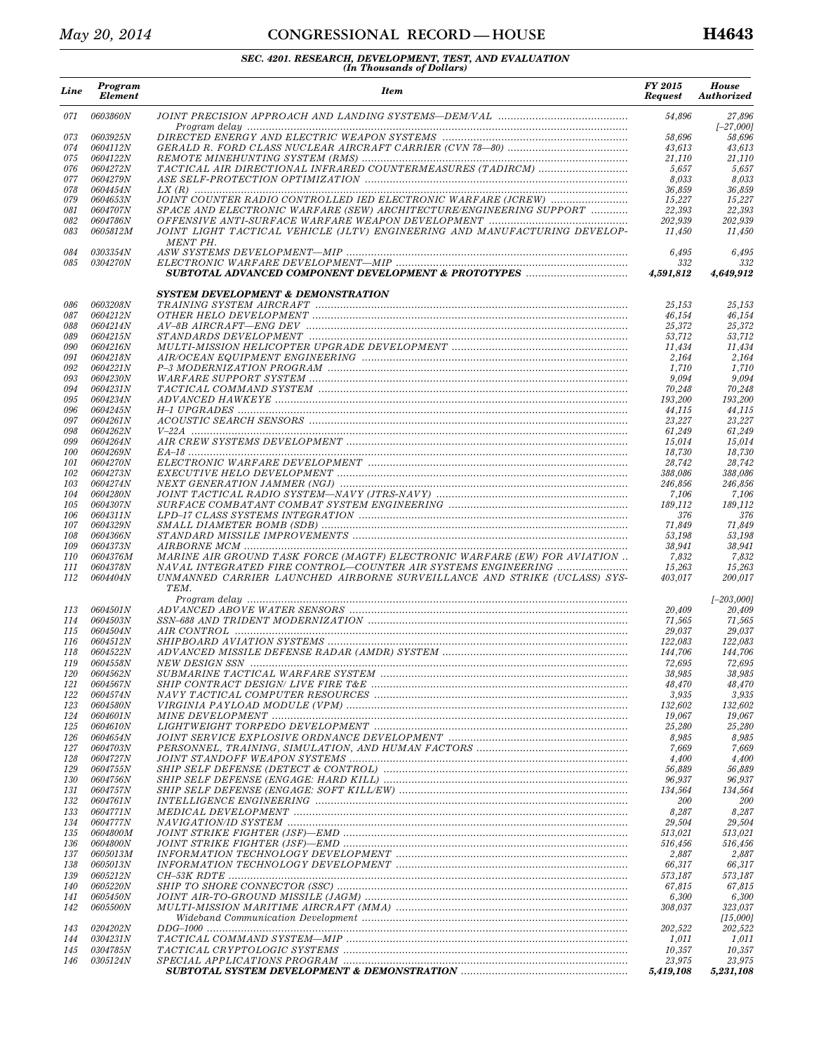## *May 20, 2014* **CONGRESSIONAL RECORD** — HOUSE **H4643**

| Line              | Program<br><b>Element</b>          | <b>Item</b>                                                                                                                                | FY 2015<br><b>Request</b> | <b>House</b><br><b>Authorized</b> |
|-------------------|------------------------------------|--------------------------------------------------------------------------------------------------------------------------------------------|---------------------------|-----------------------------------|
| 071               | 0603860N                           |                                                                                                                                            | 54,896                    | 27,896<br>$[-27,000]$             |
| 073               | 0603925N                           |                                                                                                                                            | 58,696                    | 58,696                            |
| 074               | <i>0604112N</i>                    |                                                                                                                                            | 43,613                    | 43,613                            |
| 075<br>076        | <i>0604122N</i><br><i>0604272N</i> |                                                                                                                                            | 21,110<br>5,657           | 21,110<br>5,657                   |
| 077               | <i>0604279N</i>                    |                                                                                                                                            | 8,033                     | 8,033                             |
| 078               | <i>0604454N</i>                    |                                                                                                                                            | 36,859                    | 36,859                            |
| 079               | <i>0604653N</i>                    | JOINT COUNTER RADIO CONTROLLED IED ELECTRONIC WARFARE (JCREW)                                                                              | 15,227                    | 15,227                            |
| 081               | <i>0604707N</i>                    | SPACE AND ELECTRONIC WARFARE (SEW) ARCHITECTURE/ENGINEERING SUPPORT                                                                        | 22,393                    | 22,393                            |
| 082<br>083        | 0604786N<br>0605812M               | JOINT LIGHT TACTICAL VEHICLE (JLTV) ENGINEERING AND MANUFACTURING DEVELOP-                                                                 | 202,939<br>11,450         | 202,939<br>11,450                 |
| 084               | 0303354N                           | MENT PH.                                                                                                                                   | 6,495                     | 6,495                             |
| 085               | <i>0304270N</i>                    |                                                                                                                                            | 332<br>4,591,812          | 332<br>4,649,912                  |
|                   |                                    | <b>SYSTEM DEVELOPMENT &amp; DEMONSTRATION</b>                                                                                              |                           |                                   |
| 086               | 0603208N                           |                                                                                                                                            | 25,153                    | 25,153                            |
| 087               | <i>0604212N</i>                    |                                                                                                                                            | 46,154                    | 46,154                            |
| 088               | <i>0604214N</i>                    |                                                                                                                                            | 25,372                    | 25,372                            |
| 089               | 0604215N                           |                                                                                                                                            | 53,712                    | 53,712                            |
| 090<br>091        | <i>0604216N</i><br><i>0604218N</i> |                                                                                                                                            | 11,434<br>2,164           | 11,434<br>2,164                   |
| 092               | 0604221N                           |                                                                                                                                            | 1,710                     | 1,710                             |
| 093               | <i>0604230N</i>                    |                                                                                                                                            | 9.094                     | 9.094                             |
| 094               | <i>0604231N</i>                    |                                                                                                                                            | 70,248                    | 70,248                            |
| 095               | <i>0604234N</i>                    |                                                                                                                                            | 193,200                   | 193,200                           |
| 096               | <i>0604245N</i><br>0604261N        |                                                                                                                                            | 44,115                    | 44,115<br>23,227                  |
| 097<br>098        | <i>0604262N</i>                    |                                                                                                                                            | 23,227<br>61,249          | 61,249                            |
| 099               | <i>0604264N</i>                    |                                                                                                                                            | 15,014                    | 15,014                            |
| 100               | 0604269N                           |                                                                                                                                            | 18.730                    | 18,730                            |
| 101               | <i>0604270N</i>                    |                                                                                                                                            | 28,742                    | 28,742                            |
| 102               | <i>0604273N</i>                    |                                                                                                                                            | 388,086                   | 388,086                           |
| 103<br>104        | 0604274N<br><i>0604280N</i>        |                                                                                                                                            | 246,856<br>7,106          | 246,856<br>7,106                  |
| 105               | <i>0604307N</i>                    |                                                                                                                                            | 189,112                   | 189,112                           |
| 106               | 0604311N                           |                                                                                                                                            | 376                       | 376                               |
| 107               | 0604329N                           |                                                                                                                                            | 71,849                    | 71,849                            |
| 108               | <i>0604366N</i>                    |                                                                                                                                            | 53,198                    | 53,198                            |
| 109               | <i>0604373N</i>                    |                                                                                                                                            | 38,941                    | 38,941                            |
| <i>110</i><br>111 | <i>0604376M</i><br>0604378N        | MARINE AIR GROUND TASK FORCE (MAGTF) ELECTRONIC WARFARE (EW) FOR AVIATION<br>NAVAL INTEGRATED FIRE CONTROL-COUNTER AIR SYSTEMS ENGINEERING | 7,832<br>15,263           | 7,832<br>15,263                   |
| 112               | <i>0604404N</i>                    | UNMANNED CARRIER LAUNCHED AIRBORNE SURVEILLANCE AND STRIKE (UCLASS) SYS-<br>TEM.                                                           | 403.017                   | 200,017                           |
|                   |                                    |                                                                                                                                            |                           | $[-203,000]$                      |
| 113               | <i>0604501N</i>                    |                                                                                                                                            | 20,409                    | 20,409                            |
| 114               | <i>0604503N</i>                    |                                                                                                                                            | 71,565                    | 71,565                            |
| 115               | 0604504N<br>0604512N               |                                                                                                                                            | 29,037                    | 29,037                            |
| 116<br>118        | <i>0604522N</i>                    |                                                                                                                                            | 122,083<br>144,706        | 122,083<br>144.706                |
| 119               | 0604558N                           |                                                                                                                                            | 72,695                    | 72,695                            |
| <i>120</i>        | <i>0604562N</i>                    |                                                                                                                                            | 38,985                    | 38,985                            |
| 121               | <i>0604567N</i>                    |                                                                                                                                            | 48,470                    | 48,470                            |
| 122               | 0604574N                           |                                                                                                                                            | 3,935                     | 3,935                             |
| 123               | <i>0604580N</i>                    |                                                                                                                                            | 132,602                   | 132,602                           |
| 124<br>125        | <i>0604601N</i><br><i>0604610N</i> |                                                                                                                                            | 19,067<br>25,280          | 19,067<br>25,280                  |
| 126               | <i>0604654N</i>                    |                                                                                                                                            | 8,985                     | 8,985                             |
| 127               | <i>0604703N</i>                    |                                                                                                                                            | 7,669                     | 7,669                             |
| 128               | <i>0604727N</i>                    |                                                                                                                                            | 4,400                     | 4,400                             |
| 129               | <i>0604755N</i>                    |                                                                                                                                            | 56,889                    | 56,889                            |
| 130               | <i>0604756N</i>                    |                                                                                                                                            | 96,937                    | 96,937                            |
| 131<br>132        | <i>0604757N</i><br>0604761N        |                                                                                                                                            | 134,564<br><i>200</i>     | 134,564<br>200                    |
| 133               | 0604771N                           |                                                                                                                                            | 8,287                     | 8,287                             |
| 134               | <i>0604777N</i>                    |                                                                                                                                            | 29,504                    | 29,504                            |
| 135               | <i>0604800M</i>                    |                                                                                                                                            | 513,021                   | 513,021                           |
| 136               | <i>0604800N</i>                    |                                                                                                                                            | 516,456                   | 516,456                           |
| 137               | <i>0605013M</i>                    |                                                                                                                                            | 2,887                     | 2,887                             |
| 138<br>139        | <i>0605013N</i><br><i>0605212N</i> |                                                                                                                                            | 66,317<br>573,187         | 66,317<br>573,187                 |
| <i>140</i>        | <i>0605220N</i>                    |                                                                                                                                            | 67,815                    | 67,815                            |
| 141               | <i>0605450N</i>                    |                                                                                                                                            | 6,300                     | 6,300                             |
| 142               | <i>0605500N</i>                    |                                                                                                                                            | 308,037                   | 323,037                           |
|                   |                                    |                                                                                                                                            |                           | [15,000]                          |
| 143<br>144        | <i>0204202N</i><br><i>0304231N</i> |                                                                                                                                            | 202,522<br>1,011          | 202,522<br>1,011                  |
| 145               | <i>0304785N</i>                    |                                                                                                                                            | 10,357                    | 10,357                            |
| 146               | <i>0305124N</i>                    |                                                                                                                                            | 23,975                    | 23,975                            |
|                   |                                    |                                                                                                                                            | 5,419,108                 | 5,231,108                         |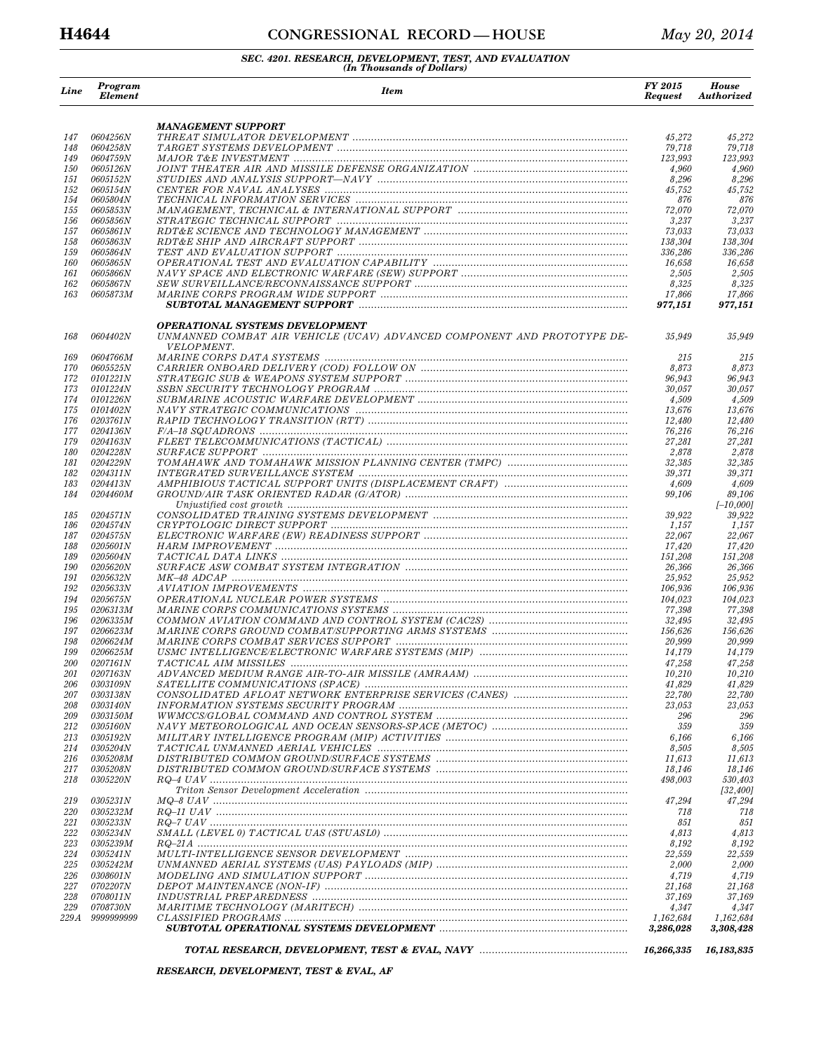## **H4644 CONGRESSIONAL RECORD — HOUSE** *May 20, 2014*

# *SEC. 4201. RESEARCH, DEVELOPMENT, TEST, AND EVALUATION (In Thousands of Dollars)*

| Line       | Program<br><b>Element</b>          | <b>Item</b>                                                                           | FY 2015<br><b>Request</b> | <b>House</b><br><b>Authorized</b> |
|------------|------------------------------------|---------------------------------------------------------------------------------------|---------------------------|-----------------------------------|
|            |                                    | <b>MANAGEMENT SUPPORT</b>                                                             |                           |                                   |
| 147        | <i>0604256N</i>                    |                                                                                       | 45,272                    | 45,272                            |
| 148<br>149 | <i>0604258N</i><br>0604759N        |                                                                                       | 79,718<br>123,993         | 79,718<br>123.993                 |
| <i>150</i> | <i>0605126N</i>                    |                                                                                       | 4,960                     | 4,960                             |
| 151        | <i>0605152N</i>                    |                                                                                       | 8,296                     | 8,296                             |
| 152        | <i>0605154N</i>                    |                                                                                       | 45,752                    | 45,752                            |
| 154        | 0605804N                           |                                                                                       | 876                       | 876                               |
| 155<br>156 | <i>0605853N</i><br>0605856N        |                                                                                       | 72,070<br>3,237           | 72,070<br>3,237                   |
| 157        | <i>0605861N</i>                    |                                                                                       | 73,033                    | 73,033                            |
| 158        | 0605863N                           |                                                                                       | 138,304                   | 138,304                           |
| 159        | <i>0605864N</i>                    |                                                                                       | 336,286                   | 336,286                           |
| 160        | 0605865N                           |                                                                                       | 16,658                    | 16,658                            |
| 161        | <i>0605866N</i>                    |                                                                                       | 2,505                     | 2,505                             |
| 162<br>163 | 0605867N<br>0605873M               |                                                                                       | 8,325<br>17,866           | $\it 8,325$<br>17,866             |
|            |                                    |                                                                                       | 977,151                   | 977,151                           |
|            |                                    | <b>OPERATIONAL SYSTEMS DEVELOPMENT</b>                                                |                           |                                   |
| 168        | <i>0604402N</i>                    | UNMANNED COMBAT AIR VEHICLE (UCAV) ADVANCED COMPONENT AND PROTOTYPE DE-<br>VELOPMENT. | 35,949                    | 35,949                            |
| 169        | <i>0604766M</i>                    |                                                                                       | 215                       | 215                               |
| 170        | <i>0605525N</i>                    |                                                                                       | 8,873                     | 8,873                             |
| 172        | <i>0101221N</i>                    |                                                                                       | 96,943                    | 96,943                            |
| 173        | <i>0101224N</i>                    |                                                                                       | 30,057                    | 30,057                            |
| 174<br>175 | 0101226N<br>0101402N               |                                                                                       | 4,509<br>13,676           | 4,509<br>13,676                   |
| 176        | 0203761N                           |                                                                                       | 12,480                    | 12,480                            |
| 177        | <i>0204136N</i>                    |                                                                                       | 76,216                    | 76,216                            |
| 179        | <i>0204163N</i>                    |                                                                                       | 27,281                    | 27,281                            |
| 180        | <i>0204228N</i>                    |                                                                                       | 2,878                     | 2,878                             |
| 181        | 0204229N                           |                                                                                       | 32,385                    | 32,385                            |
| 182<br>183 | <i>0204311N</i><br><i>0204413N</i> |                                                                                       | 39,371<br>4,609           | 39,371<br>4,609                   |
| 184        | <i>0204460M</i>                    |                                                                                       | 99,106                    | 89,106                            |
|            |                                    |                                                                                       |                           | $[-10,000]$                       |
| 185        | <i>0204571N</i>                    |                                                                                       | 39,922                    | 39,922                            |
| 186        | <i>0204574N</i>                    |                                                                                       | 1,157                     | 1,157                             |
| 187<br>188 | <i>0204575N</i><br><i>0205601N</i> |                                                                                       | 22,067<br>17,420          | 22,067<br>17,420                  |
| 189        | <i>0205604N</i>                    |                                                                                       | 151,208                   | 151,208                           |
| 190        | <i>0205620N</i>                    |                                                                                       | 26,366                    | 26,366                            |
| 191        | <i>0205632N</i>                    |                                                                                       | 25,952                    | 25,952                            |
| 192        | <i>0205633N</i>                    |                                                                                       | 106,936                   | 106,936                           |
| 194        | <i>0205675N</i>                    |                                                                                       | 104,023                   | 104,023                           |
| 195<br>196 | 0206313M<br>0206335M               |                                                                                       | 77,398<br>32,495          | 77,398<br>32,495                  |
| 197        | 0206623M                           |                                                                                       | 156,626                   | 156,626                           |
| 198        | 0206624M                           |                                                                                       | 20,999                    | 20,999                            |
| 199        | <i>0206625M</i>                    |                                                                                       | 14,179                    | 14,179                            |
| <i>200</i> | 0207161N                           |                                                                                       | 47,258                    | 47,258                            |
| 201<br>206 | 0207163N                           |                                                                                       | 10,210<br>41,829          | 10,210                            |
| 207        | <i>0303109N</i><br><i>0303138N</i> |                                                                                       | 22,780                    | 41,829<br>22,780                  |
| 208        | <i>0303140N</i>                    |                                                                                       | 23,053                    | 23,053                            |
| 209        | 0303150M                           |                                                                                       | 296                       | 296                               |
| 212        | <i>0305160N</i>                    |                                                                                       | 359                       | 359                               |
| 213        | <i>0305192N</i>                    |                                                                                       | 6,166                     | 6,166                             |
| 214        | 0305204N                           |                                                                                       | 8,505                     | 8,505                             |
| 216<br>217 | <i>0305208M</i><br><i>0305208N</i> |                                                                                       | 11,613<br>18,146          | 11,613<br>18,146                  |
| 218        | 0305220N                           |                                                                                       | 498,003                   | 530,403                           |
|            |                                    |                                                                                       |                           | [32, 400]                         |
| 219        | <i>0305231N</i>                    |                                                                                       | 47,294                    | 47,294                            |
| 220        | 0305232M                           |                                                                                       | 718                       | 718                               |
| 221<br>222 | <i>0305233N</i><br>0305234N        |                                                                                       | 851<br>4,813              | 851<br>4,813                      |
| 223        | <i>0305239M</i>                    |                                                                                       | 8,192                     | 8,192                             |
| 224        | <i>0305241N</i>                    | $\label{thm:optimal} MULTI-INTERLLIGENCE$                                             | 22,559                    | 22,559                            |
| 225        | <i>0305242M</i>                    |                                                                                       | 2,000                     | 2,000                             |
| 226        | 0308601N                           |                                                                                       | 4,719                     | 4,719                             |
| 227        | <i>0702207N</i>                    |                                                                                       | 21,168                    | 21,168                            |
| 228<br>229 | <i>0708011N</i><br><i>0708730N</i> |                                                                                       | 37,169<br>4,347           | 37,169<br>4,347                   |
| 229 A      | 9999999999                         |                                                                                       | 1,162,684                 | 1,162,684                         |
|            |                                    |                                                                                       | 3,286,028                 | 3,308,428                         |
|            |                                    |                                                                                       | 16,266,335                | 16,183,835                        |

*RESEARCH, DEVELOPMENT, TEST & EVAL, AF*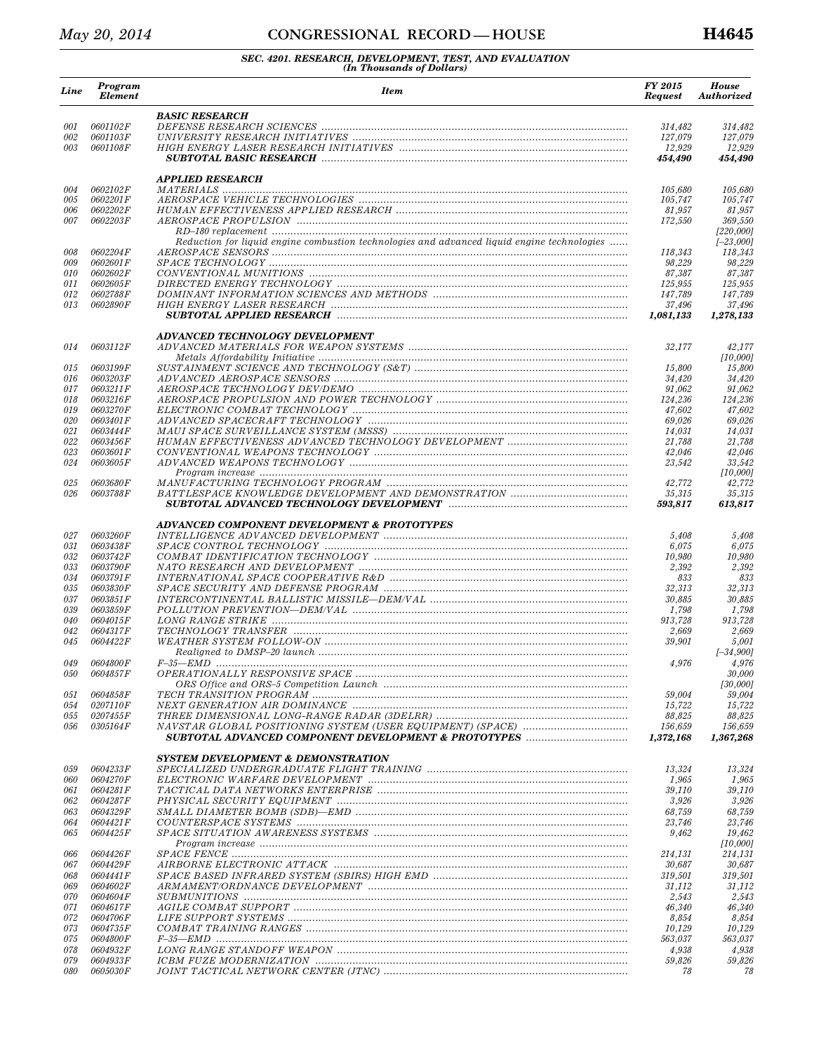## *May 20, 2014* **CONGRESSIONAL RECORD** — HOUSE **H4645**

| Line       | Program<br><b>Element</b>          | <b>Item</b>                                                                                 | FY 2015<br><b>Request</b> | House<br><b>Authorized</b> |
|------------|------------------------------------|---------------------------------------------------------------------------------------------|---------------------------|----------------------------|
|            |                                    | <b>BASIC RESEARCH</b>                                                                       |                           |                            |
| 001        | 0601102F                           |                                                                                             | 314,482                   | 314,482                    |
| 002<br>003 | 0601103F<br>0601108F               |                                                                                             | 127,079<br>12,929         | 127,079<br>12,929          |
|            |                                    |                                                                                             | 454,490                   | 454,490                    |
|            |                                    | <b>APPLIED RESEARCH</b>                                                                     |                           |                            |
| 004        | 0602102F                           |                                                                                             | 105,680                   | 105,680                    |
| 005        | 0602201F                           |                                                                                             | 105,747                   | 105,747                    |
| 006<br>007 | 0602202F<br>0602203F               |                                                                                             | 81,957                    | 81,957<br>369,550          |
|            |                                    |                                                                                             | 172,550                   | [220,000]                  |
|            |                                    | Reduction for liquid engine combustion technologies and advanced liquid engine technologies |                           | $[-23,000]$                |
| 008        | 0602204F                           |                                                                                             | 118,343                   | 118,343                    |
| 009        | 0602601 F                          |                                                                                             | 98,229                    | 98,229                     |
| 010        | 0602602F                           |                                                                                             | 87,387                    | 87,387                     |
| 011<br>012 | 0602605F<br>0602788F               |                                                                                             | 125,955<br>147,789        | 125,955<br>147,789         |
| 013        | 0602890F                           |                                                                                             | 37,496                    | 37,496                     |
|            |                                    |                                                                                             | 1,081,133                 | 1,278,133                  |
|            |                                    | ADVANCED TECHNOLOGY DEVELOPMENT                                                             |                           |                            |
| 014        | 0603112F                           |                                                                                             | 32,177                    | 42,177                     |
|            |                                    |                                                                                             |                           | [10,000]                   |
| 015<br>016 | 0603199F<br>0603203F               |                                                                                             | 15.800<br>34,420          | 15,800<br>34,420           |
| 017        | 0603211F                           |                                                                                             | 91,062                    | 91,062                     |
| 018        | 0603216F                           |                                                                                             | 124,236                   | 124,236                    |
| 019        | 0603270F                           |                                                                                             | 47,602                    | 47,602                     |
| 020        | 0603401F                           |                                                                                             | 69,026                    | 69,026                     |
| 021        | 0603444F                           |                                                                                             | 14,031                    | 14,031                     |
| 022        | 0603456F                           |                                                                                             | 21,788                    | 21,788                     |
| 023<br>024 | 0603601F                           |                                                                                             | 42,046                    | 42,046                     |
|            | 0603605F                           |                                                                                             | 23,542                    | 33,542<br>[10,000]         |
| 025        | <i>0603680F</i>                    |                                                                                             | 42,772                    | 42,772                     |
| 026        | 0603788F                           |                                                                                             | 35,315                    | 35,315                     |
|            |                                    |                                                                                             | 593,817                   | 613,817                    |
|            |                                    | ADVANCED COMPONENT DEVELOPMENT & PROTOTYPES                                                 |                           |                            |
| 027        | 0603260F                           |                                                                                             | 5,408                     | 5,408                      |
| 031        | 0603438F                           |                                                                                             | 6,075                     | 6,075                      |
| 032<br>033 | 0603742F<br>0603790F               |                                                                                             | 10,980<br>2,392           | 10,980<br>2,392            |
| 034        | 0603791 F                          |                                                                                             | 833                       | 833                        |
| 035        | 0603830F                           |                                                                                             | 32,313                    | 32,313                     |
| 037        | 0603851F                           |                                                                                             | 30,885                    | 30,885                     |
| 039        | 0603859F                           |                                                                                             | 1,798                     | 1,798                      |
| 040        | 0604015F                           |                                                                                             | 913,728                   | 913,728                    |
| 042        | 0604317F                           |                                                                                             | 2,669                     | 2,669                      |
| 045        | 0604422F                           |                                                                                             | 39,901                    | 5,001<br>$[-34,900]$       |
| 049        | 0604800F                           |                                                                                             | 4,976                     | 4,976                      |
| 050        | <i>0604857F</i>                    |                                                                                             |                           | 30,000                     |
|            |                                    |                                                                                             |                           | [30,000]                   |
| 051        | <i>0604858F</i>                    |                                                                                             | 59,004                    | 59,004                     |
| 054        | 0207110F                           |                                                                                             | 15,722                    | 15,722                     |
| 055        | <i>0207455F</i>                    |                                                                                             | 88,825                    | 88,825                     |
| 056        | <i>0305164F</i>                    |                                                                                             | 156,659<br>1,372,168      | 156,659<br>1,367,268       |
|            |                                    | <b>SYSTEM DEVELOPMENT &amp; DEMONSTRATION</b>                                               |                           |                            |
| 059        | 0604233F                           |                                                                                             | 13,324                    | 13.324                     |
| 060        | 0604270F                           |                                                                                             | 1,965                     | 1,965                      |
| 061        | 0604281F                           |                                                                                             | 39.110                    | 39,110                     |
| 062        | 0604287F                           |                                                                                             | 3,926                     | 3,926                      |
| 063        | <i>0604329F</i>                    |                                                                                             | 68,759                    | 68,759                     |
| 064        | 0604421F                           |                                                                                             | 23,746                    | 23,746                     |
| 065        | 0604425F                           |                                                                                             | 9,462                     | 19,462<br>[10,000]         |
| 066        | <i>0604426F</i>                    |                                                                                             | 214,131                   | 214,131                    |
| 067        | 0604429F                           |                                                                                             | 30,687                    | 30,687                     |
| 068        | 0604441F                           |                                                                                             | 319,501                   | 319,501                    |
| 069        | 0604602F                           |                                                                                             | 31,112                    | 31,112                     |
| 070        | 0604604F                           |                                                                                             | 2,543                     | 2,543                      |
| 071        | <i>0604617F</i>                    |                                                                                             | 46,340                    | 46,340                     |
| 072        | <i>0604706F</i>                    |                                                                                             | 8,854                     | 8,854                      |
| 073        | <i>0604735F</i>                    |                                                                                             | 10,129                    | 10,129<br>563,037          |
| 075<br>078 | <i>0604800F</i><br><i>0604932F</i> |                                                                                             | 563,037<br>4,938          | 4,938                      |
| 079        | <i>0604933F</i>                    |                                                                                             | 59,826                    | 59,826                     |
| 080        | <i>0605030F</i>                    |                                                                                             | 78                        | 78                         |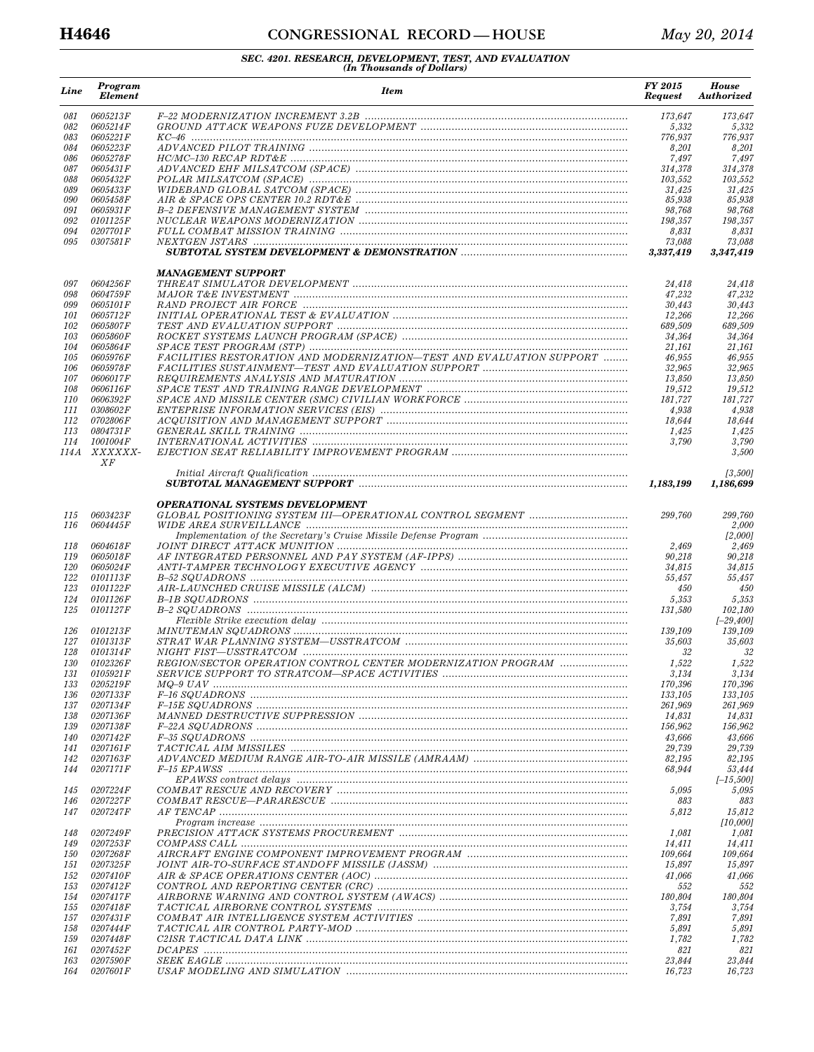## **H4646 CONGRESSIONAL RECORD — HOUSE** *May 20, 2014*

| Line       | Program<br><b>Element</b>          | <b>Item</b>                                                          | FY 2015<br><b>Request</b> | <b>House</b><br>Authorized |
|------------|------------------------------------|----------------------------------------------------------------------|---------------------------|----------------------------|
| 081        | 0605213F                           |                                                                      | 173,647                   | 173.647                    |
| 082        | 0605214F                           |                                                                      | 5,332                     | 5,332                      |
| 083<br>084 | 0605221F<br>0605223F               |                                                                      | 776,937<br>8,201          | 776,937<br>8,201           |
| 086        | 0605278F                           |                                                                      | 7,497                     | 7,497                      |
| 087        | 0605431F                           |                                                                      | 314,378                   | 314,378                    |
| 088        | <i>0605432F</i>                    |                                                                      | 103,552                   | 103,552                    |
| 089        | 0605433F                           |                                                                      | 31,425                    | 31,425                     |
| 090<br>091 | <i>0605458F</i><br>0605931F        |                                                                      | 85,938<br>98,768          | 85,938<br>98,768           |
| 092        | 0101125F                           |                                                                      | 198,357                   | 198,357                    |
| 094        | 0207701 F                          |                                                                      | 8,831                     | 8,831                      |
| 095        | 0307581F                           |                                                                      | 73,088<br>3,337,419       | 73,088<br>3,347,419        |
|            |                                    | <b>MANAGEMENT SUPPORT</b>                                            |                           |                            |
| 097        | 0604256F                           |                                                                      | 24,418                    | 24,418                     |
| 098        | 0604759F                           |                                                                      | 47,232                    | 47,232                     |
| 099<br>101 | 0605101F<br><i>0605712F</i>        |                                                                      | 30,443<br>12,266          | 30,443<br>12,266           |
| 102        | <i>0605807F</i>                    |                                                                      | 689,509                   | 689,509                    |
| 103        | 0605860F                           |                                                                      | 34,364                    | 34,364                     |
| 104        | 0605864F                           |                                                                      | 21,161                    | 21,161                     |
| 105        | 0605976F                           | FACILITIES RESTORATION AND MODERNIZATION-TEST AND EVALUATION SUPPORT | 46,955                    | 46,955                     |
| 106<br>107 | 0605978F<br>0606017F               |                                                                      | 32,965<br>13,850          | 32.965<br>13,850           |
| 108        | <i>0606116F</i>                    |                                                                      | 19,512                    | 19,512                     |
| <i>110</i> | 0606392F                           |                                                                      | 181,727                   | 181,727                    |
| 111        | 0308602F                           |                                                                      | 4,938                     | 4,938                      |
| 112        | 0702806F                           |                                                                      | 18,644                    | 18.644                     |
| 113        | 0804731 F                          |                                                                      | 1,425                     | 1,425                      |
| 114        | 1001004F<br>114A XXXXXX-<br>XF     |                                                                      | 3,790                     | 3,790<br>3,500             |
|            |                                    |                                                                      | 1,183,199                 | [3,500]<br>1,186,699       |
|            |                                    | <b>OPERATIONAL SYSTEMS DEVELOPMENT</b>                               |                           |                            |
| 115<br>116 | 0603423F<br>0604445F               |                                                                      | 299,760                   | 299,760<br>2,000           |
|            |                                    |                                                                      |                           | [2,000]                    |
| 118<br>119 | 0604618F<br><i>0605018F</i>        |                                                                      | 2,469<br>90,218           | 2,469<br>90,218            |
| 120        | 0605024F                           |                                                                      | 34,815                    | 34,815                     |
| 122        | <i>0101113F</i>                    |                                                                      | 55,457                    | 55,457                     |
| 123        | <i>0101122F</i>                    |                                                                      | 450                       | 450                        |
| 124        | 0101126F                           |                                                                      | 5,353                     | 5,353                      |
| 125        | 0101127F                           |                                                                      | 131,580                   | 102,180<br>$[-29, 400]$    |
| 126        | 0101213F                           |                                                                      | 139,109                   | 139,109                    |
| 127        | <i>0101313F</i>                    |                                                                      | 35,603                    | 35,603                     |
| 128        | <i>0101314F</i>                    |                                                                      | 32                        | 32                         |
| 130        | 0102326F                           | REGION/SECTOR OPERATION CONTROL CENTER MODERNIZATION PROGRAM         | 1,522                     | 1,522                      |
| 131        | <i>0105921 F</i>                   |                                                                      | 3,134                     | 3,134                      |
| 133<br>136 | <i>0205219F</i><br>0207133F        |                                                                      | 170,396<br>133,105        | 170,396<br>133.105         |
| 137        | <i>0207134F</i>                    |                                                                      | 261,969                   | 261,969                    |
| 138        | <i>0207136F</i>                    |                                                                      | 14,831                    | 14,831                     |
| 139        | 0207138F                           |                                                                      | 156,962                   | 156,962                    |
| <i>140</i> | <i>0207142F</i>                    |                                                                      | 43,666                    | 43,666                     |
| 141<br>142 | 0207161 F<br>0207163F              |                                                                      | 29,739<br>82,195          | 29,739<br>82,195           |
| 144        | <i>0207171F</i>                    |                                                                      | 68,944                    | 53,444                     |
|            |                                    |                                                                      |                           | $[-15,500]$                |
| 145        | <i>0207224F</i>                    |                                                                      | 5,095                     | 5,095                      |
| 146        | <i>0207227F</i>                    |                                                                      | 883                       | 883                        |
| 147        | <i>0207247F</i>                    |                                                                      | 5,812                     | 15,812                     |
| 148        | <i>0207249F</i>                    |                                                                      | 1,081                     | [10,000]<br>1,081          |
| 149        | <i>0207253F</i>                    |                                                                      | 14,411                    | 14,411                     |
| <i>150</i> | <i>0207268F</i>                    |                                                                      | 109,664                   | 109,664                    |
| 151        | <i>0207325F</i>                    |                                                                      | 15,897                    | 15,897                     |
| 152        | <i>0207410F</i>                    |                                                                      | 41,066                    | 41,066                     |
| 153        | 0207412F                           |                                                                      | 552                       | 552                        |
| 154<br>155 | <i>0207417F</i><br><i>0207418F</i> |                                                                      | 180,804<br>3,754          | 180,804<br>3,754           |
| 157        | 0207431F                           |                                                                      | 7,891                     | 7,891                      |
| 158        | 0207444F                           |                                                                      | 5,891                     | 5,891                      |
| 159        | 0207448F                           |                                                                      | 1,782                     | 1,782                      |
| 161        | <i>0207452F</i>                    |                                                                      | 821                       | 821                        |
| 163<br>164 | <i>0207590F</i><br>0207601 F       |                                                                      | 23,844<br>16,723          | 23,844<br>16,723           |
|            |                                    |                                                                      |                           |                            |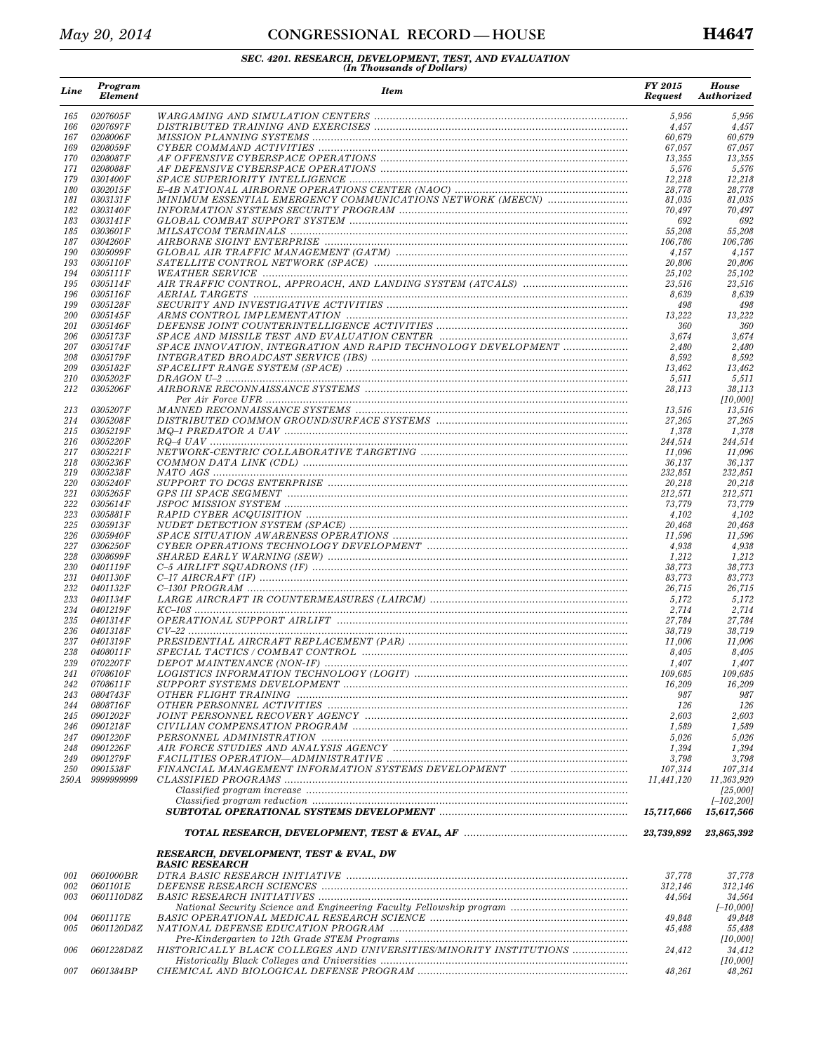## *May 20, 2014* **CONGRESSIONAL RECORD** — HOUSE **H4647**

| Line              | Program<br><b>Element</b>          | <b>Item</b>                                                        | FY 2015<br><b>Request</b> | <b>House</b><br><b>Authorized</b> |
|-------------------|------------------------------------|--------------------------------------------------------------------|---------------------------|-----------------------------------|
| 165               | 0207605F                           |                                                                    | 5,956                     | 5,956                             |
| 166               | 0207697F                           |                                                                    | 4,457                     | 4,457                             |
| 167<br>169        | 0208006F<br>0208059F               |                                                                    | 60,679<br>67,057          | 60,679<br>67,057                  |
| 170               | 0208087F                           |                                                                    | 13,355                    | 13,355                            |
| 171               | 0208088F                           |                                                                    | 5,576                     | 5,576                             |
| 179               | <i>0301400F</i>                    |                                                                    | 12,218                    | 12,218                            |
| 180               | 0302015F                           |                                                                    | 28,778                    | 28,778                            |
| 181<br>182        | 0303131 F<br><i>0303140F</i>       | MINIMUM ESSENTIAL EMERGENCY COMMUNICATIONS NETWORK (MEECN)         | 81,035<br>70,497          | 81,035<br>70,497                  |
| 183               | 0303141 F                          |                                                                    | 692                       | 692                               |
| 185               | 0303601 F                          |                                                                    | 55,208                    | 55,208                            |
| 187               | 0304260F                           |                                                                    | 106,786                   | 106.786                           |
| 190<br>193        | <i>0305099F</i><br><i>0305110F</i> |                                                                    | 4,157<br>20,806           | 4,157<br>20,806                   |
| 194               | 0305111 F                          |                                                                    | 25,102                    | 25,102                            |
| 195               | <i>0305114F</i>                    |                                                                    | 23,516                    | 23,516                            |
| 196               | <i>0305116F</i>                    | <i>AERIAL TARGETS</i>                                              | 8,639                     | 8,639                             |
| 199               | <i>0305128F</i>                    |                                                                    | 498                       | 498                               |
| <i>200</i><br>201 | <i>0305145F</i><br>0305146F        |                                                                    | 13,222<br>360             | 13,222<br>360                     |
| 206               | <i>0305173F</i>                    |                                                                    | 3,674                     | 3,674                             |
| 207               | 0.305174F                          | SPACE INNOVATION, INTEGRATION AND RAPID TECHNOLOGY DEVELOPMENT     | 2.480                     | 2,480                             |
| 208               | <i>0305179F</i>                    |                                                                    | 8,592                     | 8,592                             |
| 209<br>210        | <i>0305182F</i><br><i>0305202F</i> |                                                                    | 13,462<br>5,511           | 13,462<br>5,511                   |
| 212               | 0305206F                           |                                                                    | 28,113                    | 38,113                            |
|                   |                                    |                                                                    |                           | [10,000]                          |
| 213               | <i>0305207F</i>                    |                                                                    | 13,516                    | 13,516                            |
| 214               | 0305208F                           |                                                                    | 27,265                    | 27,265                            |
| 215<br>216        | <i>0305219F</i><br><i>0305220F</i> |                                                                    | 1,378<br>244,514          | 1,378<br>244,514                  |
| 217               | 0305221F                           |                                                                    | 11,096                    | 11,096                            |
| 218               | 0305236F                           |                                                                    | 36,137                    | 36,137                            |
| 219               | 0305238F                           |                                                                    | 232,851                   | 232,851                           |
| 220               | 0305240F                           |                                                                    | 20,218                    | 20,218                            |
| 221<br>222        | <i>0305265F</i><br>0305614F        |                                                                    | 212,571<br>73,779         | 212,571<br>73,779                 |
| 223               | 0305881 F                          |                                                                    | 4,102                     | 4,102                             |
| 225               | <i>0305913F</i>                    |                                                                    | 20,468                    | 20,468                            |
| 226               | 0305940F                           |                                                                    | 11,596                    | 11,596                            |
| 227<br>228        | <i>0306250F</i><br>0308699F        |                                                                    | 4,938<br>1,212            | 4,938<br>1,212                    |
| 230               | <i>0401119F</i>                    |                                                                    | 38,773                    | 38,773                            |
| 231               | 0401130F                           |                                                                    | 83,773                    | 83,773                            |
| 232               | <i>0401132F</i>                    |                                                                    | 26,715                    | 26,715                            |
| 233               | 0401134F                           |                                                                    | 5,172                     | 5,172                             |
| 234<br>235        | 0401219F<br>0401314F               |                                                                    | 2,714<br>27,784           | 2,714<br>27,784                   |
| 236               | 0401318F                           |                                                                    | 38,719                    | 38,719                            |
| 237               | 0401319F                           |                                                                    | 11,006                    | 11,006                            |
| 238               | 0408011 F                          |                                                                    | 8,405                     | 8,405                             |
| 239               | 0702207F                           |                                                                    | 1,407                     | 1,407                             |
| 241<br>242        | <i>07086101</i><br>0708611 F       |                                                                    | 109,685<br>16,209         | 109,685<br>16,209                 |
| 243               | 0804743F                           |                                                                    | 987                       | 987                               |
| 244               | <i>0808716F</i>                    |                                                                    | 126                       | 126                               |
| 245               | <i>0901202F</i>                    |                                                                    | 2,603                     | 2,603                             |
| 246               | 0901218F<br><i>0901220F</i>        |                                                                    | 1,589<br>5,026            | 1,589<br>5,026                    |
| 247<br>248        | 0901226F                           |                                                                    | 1,394                     | 1,394                             |
| 249               | <i>0901279F</i>                    |                                                                    | 3,798                     | 3,798                             |
| <i>250</i>        | <i>0901538F</i>                    |                                                                    | 107,314                   | 107,314                           |
| 250 A             | 9999999999                         |                                                                    | 11,441,120                | 11,363,920                        |
|                   |                                    |                                                                    |                           | [25,000]<br>$[-102, 200]$         |
|                   |                                    |                                                                    | 15,717,666                | 15,617,566                        |
|                   |                                    |                                                                    | 23,739,892                | 23,865,392                        |
|                   |                                    | RESEARCH, DEVELOPMENT, TEST & EVAL, DW<br>BASIC RESEARCH           |                           |                                   |
| 001               | <i>0601000BR</i>                   |                                                                    | 37,778                    | 37,778                            |
| 002               | 0601101E                           |                                                                    | 312,146                   | 312,146                           |
| 003               | <i>0601110D8Z</i>                  |                                                                    | 44,564                    | 34,564<br>$[-10,000]$             |
| 004               | 0601117E                           |                                                                    | 49,848                    | 49,848                            |
| 005               | <i>0601120D8Z</i>                  |                                                                    | 45,488                    | 55,488                            |
|                   |                                    |                                                                    |                           | [10,000]                          |
| 006               | 0601228D8Z                         | HISTORICALLY BLACK COLLEGES AND UNIVERSITIES/MINORITY INSTITUTIONS | 24,412                    | 34,412                            |
| 007               | <i>0601384BP</i>                   |                                                                    | 48,261                    | [10,000]<br>48,261                |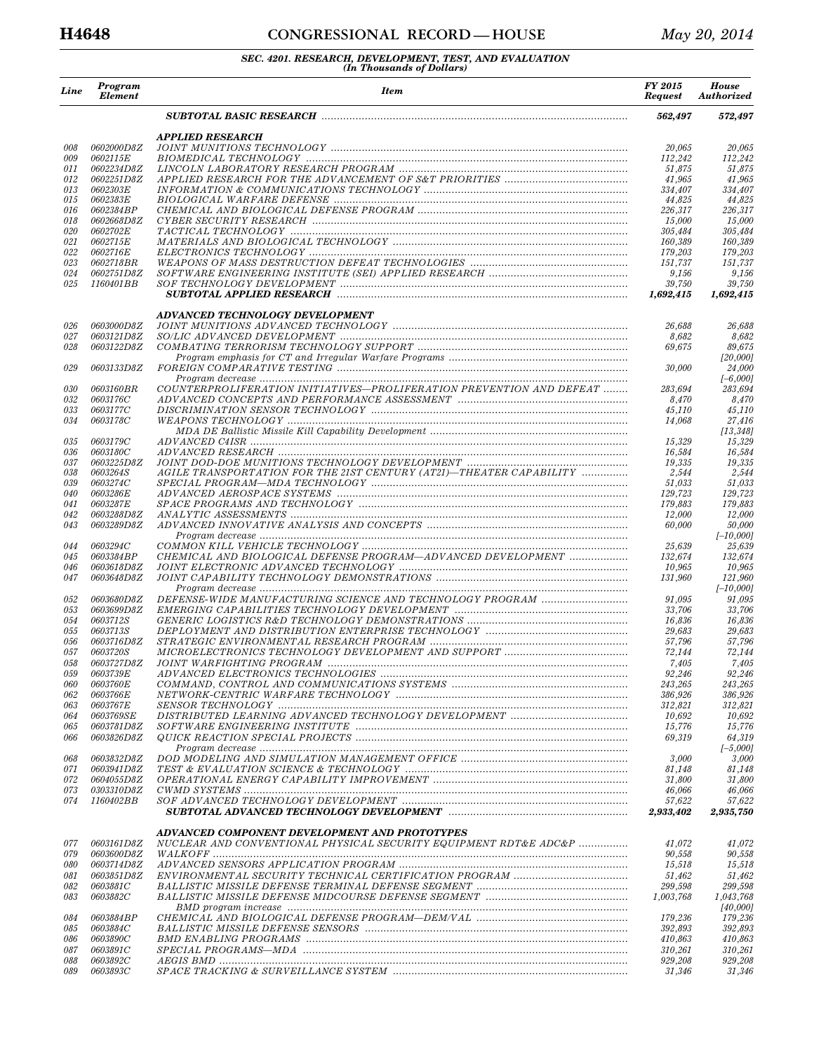| Line       | Program<br><b>Element</b>             | <b>Item</b>                                                                                                                                                                                                                                                                                 | FY 2015<br><b>Request</b> | <b>House</b><br><b>Authorized</b> |
|------------|---------------------------------------|---------------------------------------------------------------------------------------------------------------------------------------------------------------------------------------------------------------------------------------------------------------------------------------------|---------------------------|-----------------------------------|
|            |                                       |                                                                                                                                                                                                                                                                                             | 562,497                   | 572,497                           |
|            |                                       | <b>APPLIED RESEARCH</b>                                                                                                                                                                                                                                                                     |                           |                                   |
| 008        | 0602000D8Z<br>0602115E                |                                                                                                                                                                                                                                                                                             | 20,065                    | 20,065                            |
| 009<br>011 | 0602234D8Z                            |                                                                                                                                                                                                                                                                                             | 112,242<br>51,875         | 112,242<br>51,875                 |
| 012        | 0602251D8Z                            |                                                                                                                                                                                                                                                                                             | 41,965                    | 41,965                            |
| 013        | 0602303E                              |                                                                                                                                                                                                                                                                                             | 334,407                   | 334,407                           |
| 015        | 0602383E<br>0602384BP                 |                                                                                                                                                                                                                                                                                             | 44,825                    | 44,825                            |
| 016<br>018 | 0602668D8Z                            |                                                                                                                                                                                                                                                                                             | 226,317<br>15,000         | 226,317<br>15,000                 |
| 020        | 0602702E                              |                                                                                                                                                                                                                                                                                             | 305,484                   | 305,484                           |
| 021        | 0602715E                              |                                                                                                                                                                                                                                                                                             | 160,389                   | 160,389                           |
| 022        | 0602716E                              |                                                                                                                                                                                                                                                                                             | 179,203                   | 179,203                           |
| 023<br>024 | <i>0602718BR</i><br><i>0602751D8Z</i> |                                                                                                                                                                                                                                                                                             | 151,737<br>9,156          | 151,737<br>9,156                  |
| 025        | <i>1160401BB</i>                      |                                                                                                                                                                                                                                                                                             | 39,750                    | 39,750                            |
|            |                                       |                                                                                                                                                                                                                                                                                             | 1,692,415                 | 1,692,415                         |
|            |                                       | ADVANCED TECHNOLOGY DEVELOPMENT                                                                                                                                                                                                                                                             |                           |                                   |
| 026<br>027 | 0603000D8Z<br>0603121D8Z              |                                                                                                                                                                                                                                                                                             | 26,688<br>8,682           | 26,688<br>8,682                   |
| 028        | 0603122D8Z                            |                                                                                                                                                                                                                                                                                             | 69,675                    | 89,675                            |
|            |                                       |                                                                                                                                                                                                                                                                                             |                           | [20,000]                          |
| 029        | 0603133D8Z                            |                                                                                                                                                                                                                                                                                             | 30,000                    | 24,000<br>$[-6,000]$              |
| 030        | 0603160BR                             | COUNTERPROLIFERATION INITIATIVES-PROLIFERATION PREVENTION AND DEFEAT                                                                                                                                                                                                                        | 283,694                   | 283,694                           |
| 032        | 0603176C                              |                                                                                                                                                                                                                                                                                             | 8,470                     | 8,470                             |
| 033        | <i>0603177C</i>                       |                                                                                                                                                                                                                                                                                             | 45,110                    | 45,110                            |
| 034        | 0603178C                              |                                                                                                                                                                                                                                                                                             | 14,068                    | 27,416                            |
| 035        | 0603179C                              |                                                                                                                                                                                                                                                                                             | 15,329                    | [13, 348]<br>15,329               |
| 036        | 0603180C                              |                                                                                                                                                                                                                                                                                             | 16,584                    | 16,584                            |
| 037        | <i>0603225D8Z</i>                     |                                                                                                                                                                                                                                                                                             | 19,335                    | 19,335                            |
| 038        | 0603264S                              | AGILE TRANSPORTATION FOR THE 21ST CENTURY (AT21)-THEATER CAPABILITY                                                                                                                                                                                                                         | 2,544                     | 2,544                             |
| 039<br>040 | 0603274C<br>0603286E                  |                                                                                                                                                                                                                                                                                             | 51,033<br>129,723         | 51,033<br>129,723                 |
| 041        | 0603287E                              |                                                                                                                                                                                                                                                                                             | 179,883                   | 179,883                           |
| 042        | <i>0603288D8Z</i>                     |                                                                                                                                                                                                                                                                                             | 12,000                    | 12,000                            |
| 043        | 0603289D8Z                            |                                                                                                                                                                                                                                                                                             | 60,000                    | 50,000                            |
| 044        | 0603294C                              |                                                                                                                                                                                                                                                                                             | 25,639                    | $[-10,000]$<br>25,639             |
| 045        | 0603384BP                             | CHEMICAL AND BIOLOGICAL DEFENSE PROGRAM-ADVANCED DEVELOPMENT                                                                                                                                                                                                                                | 132,674                   | 132,674                           |
| 046        | 0603618D8Z                            |                                                                                                                                                                                                                                                                                             | 10,965                    | 10,965                            |
| 047        | 0603648D8Z                            |                                                                                                                                                                                                                                                                                             | 131,960                   | 121,960                           |
|            |                                       |                                                                                                                                                                                                                                                                                             |                           | $[-10,000]$                       |
| 052<br>053 | 0603680D8Z<br>0603699D8Z              | DEFENSE-WIDE MANUFACTURING SCIENCE AND TECHNOLOGY PROGRAM<br>EMERGING CAPABILITIES TECHNOLOGY DEVELOPMENT manufacture contains and containing the extra set of the extra set of the extra set of the extra set of the extra set of the extra set of the extra set of the extra set of the e | 91,095<br>33,706          | 91,095<br>33,706                  |
| 054        | <i>0603712S</i>                       |                                                                                                                                                                                                                                                                                             | 16,836                    | 16,836                            |
| 055        | 0603713S                              |                                                                                                                                                                                                                                                                                             | 29,683                    | 29,683                            |
| 056        | <i>0603716D8Z</i>                     |                                                                                                                                                                                                                                                                                             | 57,796                    | 57,796                            |
| 057<br>058 | <i>0603720S</i><br>0603727D8Z         |                                                                                                                                                                                                                                                                                             | 72,144<br>7,405           | 72,144<br>7,405                   |
| 0.59       | 0603739E                              | ADVANCED ELECTRONICS TECHNOLOGIES                                                                                                                                                                                                                                                           | 92,246                    | 92,246                            |
| 060        | <i>0603760E</i>                       |                                                                                                                                                                                                                                                                                             | 243,265                   | 243,265                           |
| 062        | 0603766E                              |                                                                                                                                                                                                                                                                                             | 386,926                   | 386,926                           |
| 063        | <i>0603767E</i>                       |                                                                                                                                                                                                                                                                                             | 312,821                   | 312,821                           |
| 064<br>065 | <i>0603769SE</i><br><i>0603781D8Z</i> |                                                                                                                                                                                                                                                                                             | 10,692<br>15,776          | 10,692<br>15,776                  |
| 066        | <i>0603826D8Z</i>                     |                                                                                                                                                                                                                                                                                             | 69,319                    | 64,319                            |
|            |                                       |                                                                                                                                                                                                                                                                                             |                           | $[-5,000]$                        |
| 068        | 0603832D8Z                            |                                                                                                                                                                                                                                                                                             | 3,000                     | 3,000                             |
| 071        | 0603941D8Z                            |                                                                                                                                                                                                                                                                                             | 81,148                    | 81,148                            |
| 072<br>073 | <i>0604055D8Z</i><br>0303310D8Z       |                                                                                                                                                                                                                                                                                             | 31,800<br>46,066          | 31,800<br>46,066                  |
| 074        | 1160402BB                             |                                                                                                                                                                                                                                                                                             | 57,622                    | 57,622                            |
|            |                                       |                                                                                                                                                                                                                                                                                             | 2,933,402                 | 2,935,750                         |
|            |                                       | ADVANCED COMPONENT DEVELOPMENT AND PROTOTYPES                                                                                                                                                                                                                                               |                           |                                   |
| 077<br>079 | <i>0603161D8Z</i><br>0603600D8Z       | NUCLEAR AND CONVENTIONAL PHYSICAL SECURITY EQUIPMENT RDT&E ADC&P                                                                                                                                                                                                                            | 41,072<br>90,558          | 41,072<br>90,558                  |
| 080        | <i>0603714D8Z</i>                     |                                                                                                                                                                                                                                                                                             | 15,518                    | 15,518                            |
| 081        | <i>0603851D8Z</i>                     |                                                                                                                                                                                                                                                                                             | 51,462                    | 51,462                            |
| 082        | 0603881C                              |                                                                                                                                                                                                                                                                                             | 299,598                   | 299,598                           |
| 083        | <i>0603882C</i>                       |                                                                                                                                                                                                                                                                                             | 1,003,768                 | 1,043,768                         |
| 084        | <i>0603884BP</i>                      |                                                                                                                                                                                                                                                                                             | 179,236                   | [40,000]<br>179,236               |
| 085        | <i>0603884C</i>                       |                                                                                                                                                                                                                                                                                             | 392,893                   | 392,893                           |
| 086        | <i>0603890C</i>                       |                                                                                                                                                                                                                                                                                             | 410,863                   | 410,863                           |
| 087        | 0603891C                              |                                                                                                                                                                                                                                                                                             | 310,261                   | 310,261                           |
| 088<br>089 | <i>0603892C</i><br><i>0603893C</i>    |                                                                                                                                                                                                                                                                                             | 929,208<br>31,346         | 929,208<br>31,346                 |
|            |                                       |                                                                                                                                                                                                                                                                                             |                           |                                   |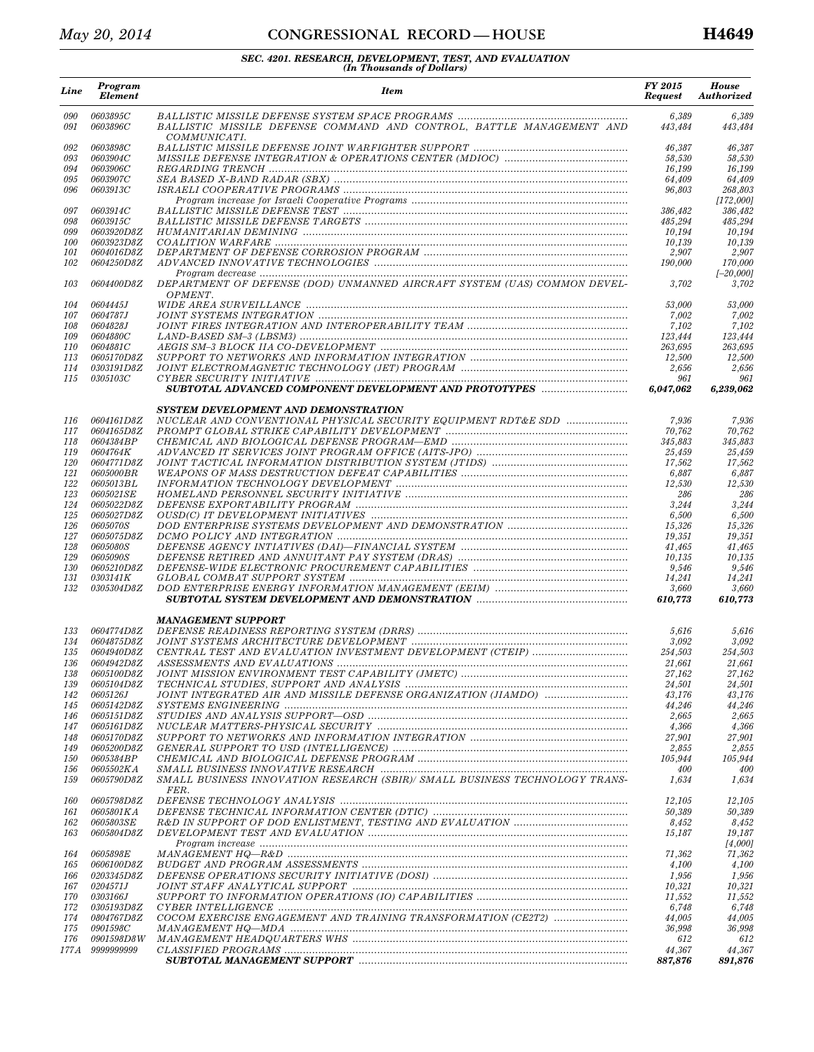# *SEC. 4201. RESEARCH, DEVELOPMENT, TEST, AND EVALUATION (In Thousands of Dollars)*

| Line              | Program<br><b>Element</b>             | <b>Item</b>                                                                                                                                                                                                                                                                                                                                                                                                         | FY 2015<br><b>Request</b> | <b>House</b><br><b>Authorized</b> |
|-------------------|---------------------------------------|---------------------------------------------------------------------------------------------------------------------------------------------------------------------------------------------------------------------------------------------------------------------------------------------------------------------------------------------------------------------------------------------------------------------|---------------------------|-----------------------------------|
| 090<br>091        | 0603895C<br>0603896C                  | BALLISTIC MISSILE DEFENSE COMMAND AND CONTROL, BATTLE MANAGEMENT AND<br>COMMUNICATI.                                                                                                                                                                                                                                                                                                                                | 6,389<br>443,484          | 6,389<br>443,484                  |
| 092               | 0603898C                              |                                                                                                                                                                                                                                                                                                                                                                                                                     | 46,387                    | 46,387                            |
| 093               | <i>0603904C</i>                       |                                                                                                                                                                                                                                                                                                                                                                                                                     | 58,530                    | 58,530                            |
| 094               | 0603906C                              | $REGARDING\ TRENCH\  \, \ldots\  \, \ldots\  \, \ldots\  \, \ldots\  \, \ldots\  \, \ldots\  \, \ldots\  \, \ldots\  \, \ldots\  \, \ldots\  \, \ldots\  \, \ldots\  \, \ldots\  \, \ldots\  \, \ldots\  \, \ldots\  \, \ldots\  \, \ldots\  \, \ldots\  \, \ldots\  \, \ldots\  \, \ldots\  \, \ldots\  \, \ldots\  \, \ldots\  \, \ldots\  \, \ldots\  \, \ldots\  \, \ldots\  \, \ldots\ $                       | 16,199                    | 16,199                            |
| 095<br>096        | 0603907C<br><i>0603913C</i>           |                                                                                                                                                                                                                                                                                                                                                                                                                     | 64,409<br>96,803          | 64,409<br>268,803                 |
|                   |                                       |                                                                                                                                                                                                                                                                                                                                                                                                                     |                           | [172,000]                         |
| 097               | <i>0603914C</i>                       |                                                                                                                                                                                                                                                                                                                                                                                                                     | 386,482                   | 386,482                           |
| 098               | <i>0603915C</i>                       |                                                                                                                                                                                                                                                                                                                                                                                                                     | 485,294                   | 485,294                           |
| 099               | 0603920D8Z                            |                                                                                                                                                                                                                                                                                                                                                                                                                     | 10,194                    | 10,194                            |
| <i>100</i>        | 0603923D8Z                            |                                                                                                                                                                                                                                                                                                                                                                                                                     | 10,139                    | 10,139                            |
| 101               | <i>0604016D8Z</i>                     |                                                                                                                                                                                                                                                                                                                                                                                                                     | 2,907                     | 2,907                             |
| 102               | 0604250D8Z                            |                                                                                                                                                                                                                                                                                                                                                                                                                     | 190,000                   | 170,000<br>$[-20,000]$            |
| 103               | 0604400D8Z                            | DEPARTMENT OF DEFENSE (DOD) UNMANNED AIRCRAFT SYSTEM (UAS) COMMON DEVEL-<br>OPMENT.                                                                                                                                                                                                                                                                                                                                 | 3,702                     | 3,702                             |
| 104               | <i>0604445J</i>                       |                                                                                                                                                                                                                                                                                                                                                                                                                     | 53,000                    | 53,000                            |
| 107               | <i>0604787J</i>                       |                                                                                                                                                                                                                                                                                                                                                                                                                     | 7,002                     | 7,002                             |
| 108               | 0604828J                              |                                                                                                                                                                                                                                                                                                                                                                                                                     | 7,102                     | 7,102<br>123.444                  |
| 109<br><i>110</i> | <i>0604880C</i><br>0604881C           |                                                                                                                                                                                                                                                                                                                                                                                                                     | 123,444<br>263,695        | 263,695                           |
| 113               | <i>0605170D8Z</i>                     |                                                                                                                                                                                                                                                                                                                                                                                                                     | 12,500                    | 12,500                            |
| 114               | 0303191D8Z                            |                                                                                                                                                                                                                                                                                                                                                                                                                     | 2,656                     | 2,656                             |
| 115               | 0305103C                              |                                                                                                                                                                                                                                                                                                                                                                                                                     | 961                       | 961                               |
|                   |                                       | SUBTOTAL ADVANCED COMPONENT DEVELOPMENT AND PROTOTYPES                                                                                                                                                                                                                                                                                                                                                              | 6.047.062                 | 6.239.062                         |
|                   |                                       | SYSTEM DEVELOPMENT AND DEMONSTRATION                                                                                                                                                                                                                                                                                                                                                                                |                           |                                   |
| 116<br>117        | 0604161D8Z<br>0604165D8Z              | NUCLEAR AND CONVENTIONAL PHYSICAL SECURITY EQUIPMENT RDT&E SDD                                                                                                                                                                                                                                                                                                                                                      | 7,936<br>70,762           | 7,936<br>70,762                   |
| 118               | 0604384BP                             |                                                                                                                                                                                                                                                                                                                                                                                                                     | 345.883                   | 345,883                           |
| 119               | 0604764K                              |                                                                                                                                                                                                                                                                                                                                                                                                                     | 25,459                    | 25,459                            |
| 120               | <i>0604771D8Z</i>                     |                                                                                                                                                                                                                                                                                                                                                                                                                     | 17,562                    | 17,562                            |
| 121               | 0605000BR                             |                                                                                                                                                                                                                                                                                                                                                                                                                     | 6,887                     | 6,887                             |
| 122               | 0605013BL                             |                                                                                                                                                                                                                                                                                                                                                                                                                     | 12,530                    | 12,530                            |
| 123               | 0605021SE                             |                                                                                                                                                                                                                                                                                                                                                                                                                     | 286                       | 286                               |
| 124               | 0605022D8Z                            |                                                                                                                                                                                                                                                                                                                                                                                                                     | 3,244                     | 3,244                             |
| 125               | 0605027D8Z                            |                                                                                                                                                                                                                                                                                                                                                                                                                     | 6,500                     | 6,500                             |
| 126<br>127        | <i>0605070S</i><br><i>0605075D8Z</i>  |                                                                                                                                                                                                                                                                                                                                                                                                                     | 15,326<br>19,351          | 15,326<br>19,351                  |
| 128               | 0605080S                              |                                                                                                                                                                                                                                                                                                                                                                                                                     | 41,465                    | 41,465                            |
| 129               | 0605090S                              |                                                                                                                                                                                                                                                                                                                                                                                                                     | 10,135                    | 10,135                            |
| 130               | <i>0605210D8Z</i>                     |                                                                                                                                                                                                                                                                                                                                                                                                                     | 9,546                     | 9,546                             |
| 131               | 0303141K                              |                                                                                                                                                                                                                                                                                                                                                                                                                     | 14,241                    | 14,241                            |
| 132               | 0305304D8Z                            |                                                                                                                                                                                                                                                                                                                                                                                                                     | 3,660                     | 3,660                             |
|                   |                                       | <b>MANAGEMENT SUPPORT</b>                                                                                                                                                                                                                                                                                                                                                                                           | 610,773                   | 610,773                           |
| 133               | 0604774D8Z                            |                                                                                                                                                                                                                                                                                                                                                                                                                     | 5,616                     | 5,616                             |
| 134               | 0604875D8Z                            |                                                                                                                                                                                                                                                                                                                                                                                                                     | 3,092                     | 3,092                             |
| 135               | 0604940D8Z                            |                                                                                                                                                                                                                                                                                                                                                                                                                     | 254,503                   | 254,503                           |
| 136               | <i>0604942D8Z</i>                     |                                                                                                                                                                                                                                                                                                                                                                                                                     | 21,661                    | 21,661                            |
| 138               | 0605100D8Z                            |                                                                                                                                                                                                                                                                                                                                                                                                                     | 27,162                    | 27,162                            |
| 139               | <i>0605104D8Z</i>                     |                                                                                                                                                                                                                                                                                                                                                                                                                     | 24,501                    | 24,501                            |
| 142               | <i>0605126J</i><br>0605142D8Z         |                                                                                                                                                                                                                                                                                                                                                                                                                     | 43,176                    | 43,176                            |
| 145<br>146        | <i>0605151D8Z</i>                     |                                                                                                                                                                                                                                                                                                                                                                                                                     | 44,246<br>2,665           | 44,246<br>2,665                   |
| 147               | 0605161D8Z                            |                                                                                                                                                                                                                                                                                                                                                                                                                     | 4,366                     | 4,366                             |
| 148               | <i>0605170D8Z</i>                     |                                                                                                                                                                                                                                                                                                                                                                                                                     | 27,901                    | 27,901                            |
| 149               | <i>0605200D8Z</i>                     |                                                                                                                                                                                                                                                                                                                                                                                                                     | 2,855                     | 2,855                             |
| <i>150</i>        | <i>0605384BP</i>                      |                                                                                                                                                                                                                                                                                                                                                                                                                     | 105,944                   | 105,944                           |
| 156<br>159        | <i>0605502KA</i><br><i>0605790D8Z</i> | SMALL BUSINESS INNOVATIVE RESEARCH manufacture continuum continuum control of the SMALL BUSINESS INNOVATIVE RESEARCH<br>SMALL BUSINESS INNOVATION RESEARCH (SBIR)/ SMALL BUSINESS TECHNOLOGY TRANS-                                                                                                                                                                                                                 | 400<br>1,634              | 400<br>1,634                      |
| 160               | <i>0605798D8Z</i>                     | FER.                                                                                                                                                                                                                                                                                                                                                                                                                | 12,105                    | 12,105                            |
| 161               | 0605801KA                             |                                                                                                                                                                                                                                                                                                                                                                                                                     | 50,389                    | 50,389                            |
| 162               | 0605803SE                             |                                                                                                                                                                                                                                                                                                                                                                                                                     | 8,452                     | 8,452                             |
| 163               | <i>0605804D8Z</i>                     |                                                                                                                                                                                                                                                                                                                                                                                                                     | 15,187                    | 19,187                            |
|                   |                                       | $Program\ increase\  \  \,  \ldots \  \  \, \ldots \  \  \, \ldots \  \  \, \ldots \  \  \, \ldots \  \  \, \ldots \  \  \, \ldots \  \  \, \ldots \  \  \, \ldots \  \  \, \ldots \  \  \, \ldots \  \  \, \ldots \  \  \, \ldots \  \  \, \ldots \  \  \, \ldots \  \  \, \ldots \  \  \, \ldots \  \  \, \ldots \  \  \, \ldots \  \  \, \ldots \  \  \, \ldots \  \  \, \ldots \  \  \, \ldots \  \  \, \ldots$ |                           | [4,000]                           |
| 164               | <i>0605898E</i>                       |                                                                                                                                                                                                                                                                                                                                                                                                                     | 71,362                    | 71,362                            |
| 165               | <i>0606100D8Z</i>                     |                                                                                                                                                                                                                                                                                                                                                                                                                     | 4,100                     | 4,100                             |
| 166               | 0203345D8Z                            |                                                                                                                                                                                                                                                                                                                                                                                                                     | 1,956                     | 1,956                             |
| 167<br>170        | <i>0204571J</i><br><i>0303166J</i>    |                                                                                                                                                                                                                                                                                                                                                                                                                     | 10,321<br>11,552          | 10,321<br>11,552                  |
| 172               | <i>0305193D8Z</i>                     |                                                                                                                                                                                                                                                                                                                                                                                                                     | 6,748                     | 6,748                             |
| 174               | 0804767D8Z                            | COCOM EXERCISE ENGAGEMENT AND TRAINING TRANSFORMATION (CE2T2)                                                                                                                                                                                                                                                                                                                                                       | 44,005                    | 44,005                            |
| 175               | <i>0901598C</i>                       |                                                                                                                                                                                                                                                                                                                                                                                                                     | 36,998                    | 36,998                            |
| 176               | <i>0901598D8W</i>                     |                                                                                                                                                                                                                                                                                                                                                                                                                     | 612                       | 612                               |
| 177 A             | 9999999999                            |                                                                                                                                                                                                                                                                                                                                                                                                                     | 44,367                    | 44,367                            |
|                   |                                       |                                                                                                                                                                                                                                                                                                                                                                                                                     | 887,876                   | 891,876                           |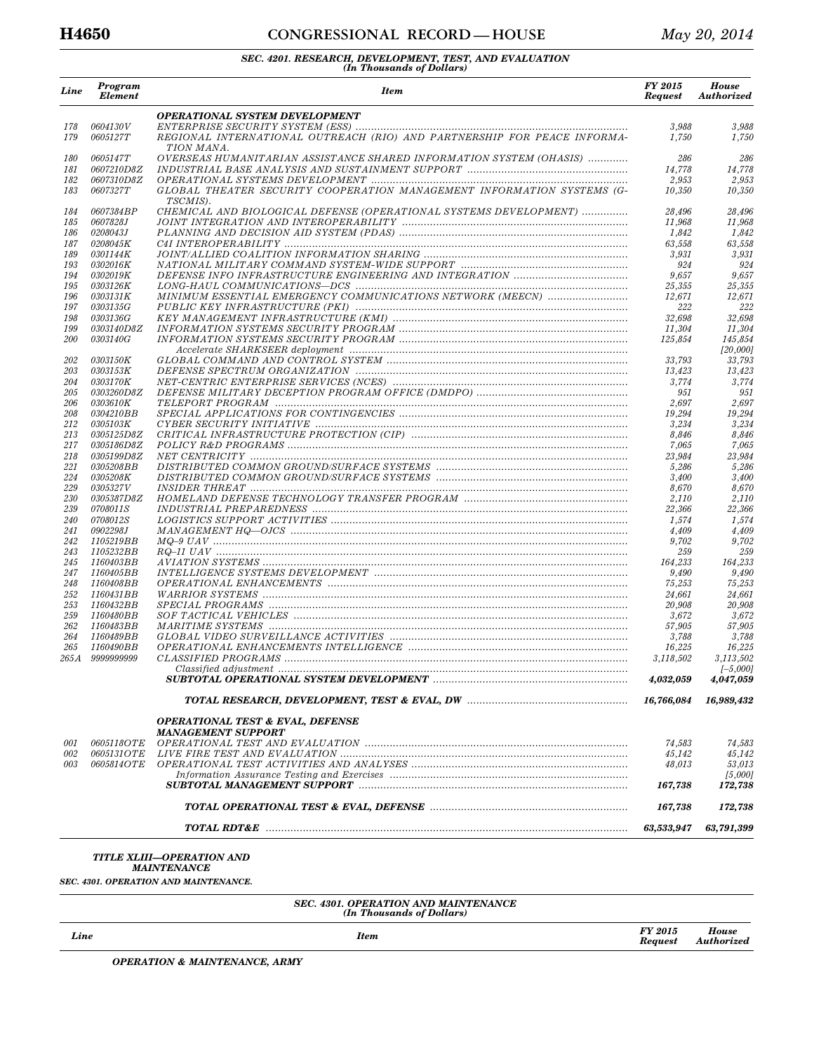### **H4650 CONGRESSIONAL RECORD — HOUSE** *May 20, 2014*

# *SEC. 4201. RESEARCH, DEVELOPMENT, TEST, AND EVALUATION (In Thousands of Dollars)*

| Line       | Program<br><b>Element</b>     | <b>Item</b>                                                                            | FY 2015<br><b>Request</b> | <b>House</b><br><b>Authorized</b> |
|------------|-------------------------------|----------------------------------------------------------------------------------------|---------------------------|-----------------------------------|
|            |                               | <b>OPERATIONAL SYSTEM DEVELOPMENT</b>                                                  |                           |                                   |
| 178<br>179 | 0604130V<br>0605127T          | REGIONAL INTERNATIONAL OUTREACH (RIO) AND PARTNERSHIP FOR PEACE INFORMA-<br>TION MANA. | 3,988<br>1,750            | 3,988<br>1,750                    |
| 180<br>181 | 0605147T<br>0607210D8Z        | OVERSEAS HUMANITARIAN ASSISTANCE SHARED INFORMATION SYSTEM (OHASIS)                    | 286<br>14,778             | 286<br>14,778                     |
| 182<br>183 | 0607310D8Z<br>0607327T        | GLOBAL THEATER SECURITY COOPERATION MANAGEMENT INFORMATION SYSTEMS (G-<br>TSCMIS).     | 2,953<br>10,350           | 2,953<br>10,350                   |
| 184        | 0607384BP                     | CHEMICAL AND BIOLOGICAL DEFENSE (OPERATIONAL SYSTEMS DEVELOPMENT)                      | 28,496                    | 28,496                            |
| 185<br>186 | 0607828J<br>0208043J          |                                                                                        | 11,968<br>1,842           | 11,968<br>1,842                   |
| 187        | 0208045K                      |                                                                                        | 63,558                    | 63,558                            |
| 189        | 0301144K                      |                                                                                        | 3,931                     | 3,931                             |
| 193        | 0302016K<br>0302019K          |                                                                                        | 924                       | 924                               |
| 194<br>195 | 0303126K                      |                                                                                        | 9,657<br>25,355           | 9,657<br>25,355                   |
| 196        | <i>0303131K</i>               | MINIMUM ESSENTIAL EMERGENCY COMMUNICATIONS NETWORK (MEECN)                             | 12,671                    | 12,671                            |
| 197        | 0303135G                      |                                                                                        | 222                       | 222                               |
| 198        | <i>0303136G</i>               |                                                                                        | 32,698                    | 32,698                            |
| 199        | <i>0303140D8Z</i>             |                                                                                        | 11,304                    | 11,304                            |
| <i>200</i> | 0303140G                      |                                                                                        | 125,854                   | 145,854<br>[20,000]               |
| 202        | <i>0303150K</i>               |                                                                                        | 33,793                    | 33,793                            |
| 203        | 0303153K                      |                                                                                        | 13,423                    | 13,423                            |
| 204        | 0303170K                      |                                                                                        | 3,774                     | 3,774                             |
| 205        | <i>0303260D8Z</i>             |                                                                                        | 951                       | 951                               |
| 206<br>208 | 0303610K<br>0304210BB         |                                                                                        | 2,697<br>19,294           | 2,697<br>19,294                   |
| 212        | <i>0305103K</i>               |                                                                                        | 3,234                     | 3,234                             |
| 213        | <i>0305125D8Z</i>             |                                                                                        | 8,846                     | 8,846                             |
| 217        | <i>0305186D8Z</i>             |                                                                                        | 7,065                     | 7,065                             |
| 218        | 0305199D8Z                    |                                                                                        | 23,984                    | 23,984                            |
| 221        | 0305208BB                     |                                                                                        | 5,286                     | 5,286                             |
| 224<br>229 | 0305208K<br>0305327V          |                                                                                        | 3,400<br>8,670            | 3,400<br>8,670                    |
| 230        | 0305387D8Z                    |                                                                                        | 2,110                     | 2,110                             |
| 239        | <i>0708011S</i>               |                                                                                        | 22,366                    | 22,366                            |
| 240        | 0708012S                      |                                                                                        | 1,574                     | 1,574                             |
| 241        | 0902298J                      |                                                                                        | 4,409                     | 4,409                             |
| 242<br>243 | 1105219BB                     |                                                                                        | 9,702<br>259              | 9,702<br>259                      |
| 245        | <i>1105232BB</i><br>1160403BB |                                                                                        | 164,233                   | 164,233                           |
| 247        | 1160405BB                     |                                                                                        | 9,490                     | 9,490                             |
| 248        | 1160408BB                     |                                                                                        | 75,253                    | 75,253                            |
| 252        | 1160431BB                     |                                                                                        | 24,661                    | 24,661                            |
| 253        | 1160432BB                     |                                                                                        | 20,908                    | 20,908                            |
| 259<br>262 | 1160480BB<br>1160483BB        |                                                                                        | 3,672<br>57,905           | 3,672<br>57,905                   |
| 264        | 1160489BB                     |                                                                                        | 3,788                     | 3,788                             |
| 265        | 1160490BB                     |                                                                                        | 16,225                    | 16,225                            |
|            | 265A 9999999999               |                                                                                        | 3,118,502                 | 3,113,502                         |
|            |                               |                                                                                        | 4,032,059                 | $[-5,000]$<br>4,047,059           |
|            |                               |                                                                                        | 16,766,084                | 16,989,432                        |
|            |                               | <b>OPERATIONAL TEST &amp; EVAL, DEFENSE</b><br><b>MANAGEMENT SUPPORT</b>               |                           |                                   |
| 001        | <i>0605118OTE</i>             |                                                                                        | 74,583                    | 74,583                            |
| 002        | 0605131OTE                    |                                                                                        | 45,142                    | 45,142                            |
| 003        | 0605814OTE                    |                                                                                        | 48,013                    | 53,013                            |
|            |                               |                                                                                        | 167,738                   | [5,000]<br>172,738                |
|            |                               |                                                                                        | 167,738                   | 172,738                           |
|            |                               |                                                                                        | 63,533,947                | 63,791,399                        |
|            |                               |                                                                                        |                           |                                   |

*TITLE XLIII—OPERATION AND MAINTENANCE* 

*SEC. 4301. OPERATION AND MAINTENANCE.* 

# *SEC. 4301. OPERATION AND MAINTENANCE (In Thousands of Dollars)*

| Line<br><b>Item</b> | <b>FY 2015</b><br><b>Request</b> | <b>House</b><br>Authorized |
|---------------------|----------------------------------|----------------------------|
|---------------------|----------------------------------|----------------------------|

*OPERATION & MAINTENANCE, ARMY*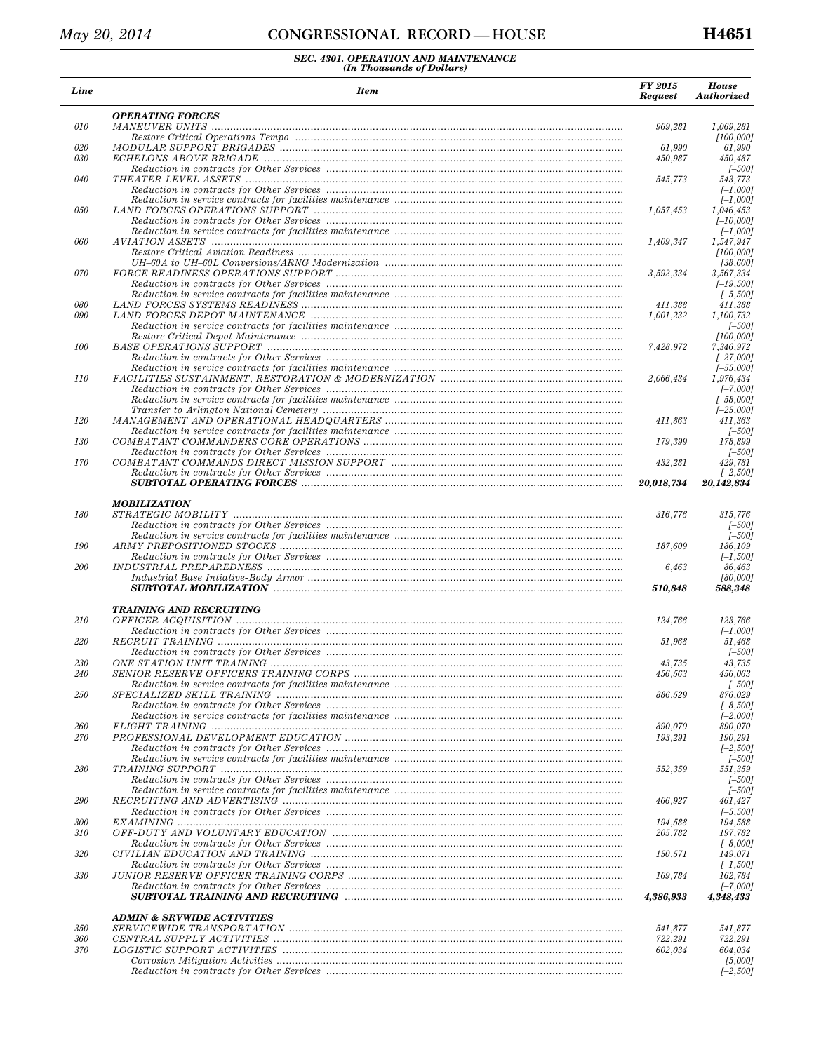| Line       | <b>Item</b>                           | <b>FY 2015</b><br><b>Request</b> | <b>House</b><br><b>Authorized</b> |
|------------|---------------------------------------|----------------------------------|-----------------------------------|
| 010        | <b>OPERATING FORCES</b>               | 969,281                          | 1,069,281                         |
|            |                                       |                                  | [100, 000]                        |
| 020        |                                       | 61,990                           | 61,990                            |
| 030        |                                       | 450,987                          | 450,487                           |
|            |                                       |                                  | $[-500]$                          |
| 040        |                                       | 545,773                          | 543,773                           |
|            |                                       |                                  | $[-1,000]$                        |
|            |                                       |                                  | $[-1,000]$                        |
| 050        |                                       | 1,057,453                        | 1,046,453                         |
|            |                                       |                                  | $[-10,000]$                       |
|            |                                       |                                  | $[-1,000]$                        |
| 060        |                                       | 1,409,347                        | 1,547,947                         |
|            |                                       |                                  | [100,000]                         |
|            |                                       |                                  | [38,600]                          |
| 070        |                                       | 3,592,334                        | 3,567,334                         |
|            |                                       |                                  | $[-19, 500]$                      |
|            |                                       |                                  | $[-5,500]$                        |
| 080        |                                       | 411,388                          | 411,388                           |
| 090        |                                       | 1,001,232                        | 1,100,732                         |
|            |                                       |                                  | $[-500]$                          |
|            |                                       |                                  | [100, 000]                        |
| 100        |                                       | 7,428,972                        | 7,346,972                         |
|            |                                       |                                  | $[-27,000]$                       |
|            |                                       |                                  | $[-55,000]$                       |
| 110        |                                       | 2,066,434                        | 1,976,434                         |
|            |                                       |                                  | $[-7,000]$                        |
|            |                                       |                                  | $[-58,000]$                       |
|            |                                       |                                  | $[-25,000]$                       |
| 120        |                                       | 411,863                          | 411,363                           |
|            |                                       |                                  | $[-500]$                          |
| 130        |                                       | 179,399                          | 178,899                           |
|            |                                       |                                  | $[-500]$                          |
| 170        |                                       | 432,281                          | 429,781                           |
|            |                                       |                                  | $[-2,500]$                        |
|            |                                       | 20,018,734                       | 20,142,834                        |
|            |                                       |                                  |                                   |
|            | <b>MOBILIZATION</b>                   |                                  |                                   |
| 180        |                                       | 316,776                          | 315,776                           |
|            |                                       |                                  | $[-500]$                          |
|            |                                       |                                  | $[-500]$                          |
| 190        |                                       | 187,609                          | 186,109                           |
|            |                                       |                                  | $[-1,500]$                        |
| 200        |                                       | 6,463                            | 86,463                            |
|            |                                       |                                  | [80,000]                          |
|            |                                       | 510,848                          | 588,348                           |
|            |                                       |                                  |                                   |
|            | <b>TRAINING AND RECRUITING</b>        |                                  |                                   |
| 210        |                                       | 124,766                          | 123,766                           |
|            |                                       |                                  | $[-1,000]$                        |
| 220        |                                       | 51.968                           | 51,468                            |
|            |                                       |                                  | $[-500]$                          |
| 230        |                                       | 43,735                           | 43.735                            |
| <i>240</i> |                                       | 456,563                          | 456.063                           |
|            |                                       |                                  | $[-500]$                          |
| 250        |                                       | 886,529                          | 876,029                           |
|            |                                       |                                  | $[-8, 500]$                       |
|            |                                       |                                  | $[-2,000]$                        |
| 260        |                                       | 890,070                          | 890,070                           |
| 270        |                                       | 193,291                          | 190,291                           |
|            |                                       |                                  | $[-2,500]$                        |
|            |                                       |                                  | $[-500]$                          |
| 280        |                                       | 552,359                          | 551,359                           |
|            |                                       |                                  | $[-500]$                          |
|            |                                       |                                  | $[-500]$                          |
| 290        |                                       | 466,927                          | 461.427                           |
|            |                                       |                                  | $[-5,500]$                        |
| 300        |                                       | 194,588                          | 194,588                           |
| 310        |                                       | 205,782                          | 197,782                           |
|            |                                       |                                  | $[-8,000]$                        |
| 320        |                                       | 150,571                          | 149,071                           |
|            |                                       |                                  | $[-1,500]$                        |
| 330        |                                       | 169,784                          | 162,784                           |
|            |                                       |                                  | $[-7,000]$                        |
|            |                                       | 4,386,933                        | 4,348,433                         |
|            |                                       |                                  |                                   |
|            | <b>ADMIN &amp; SRVWIDE ACTIVITIES</b> |                                  |                                   |
| 350        |                                       | 541,877                          | 541,877                           |
| 360        |                                       | 722,291                          | 722,291                           |
| 370        |                                       | 602,034                          | 604,034                           |
|            |                                       |                                  | [5,000]                           |
|            |                                       |                                  | $[-2,500]$                        |
|            |                                       |                                  |                                   |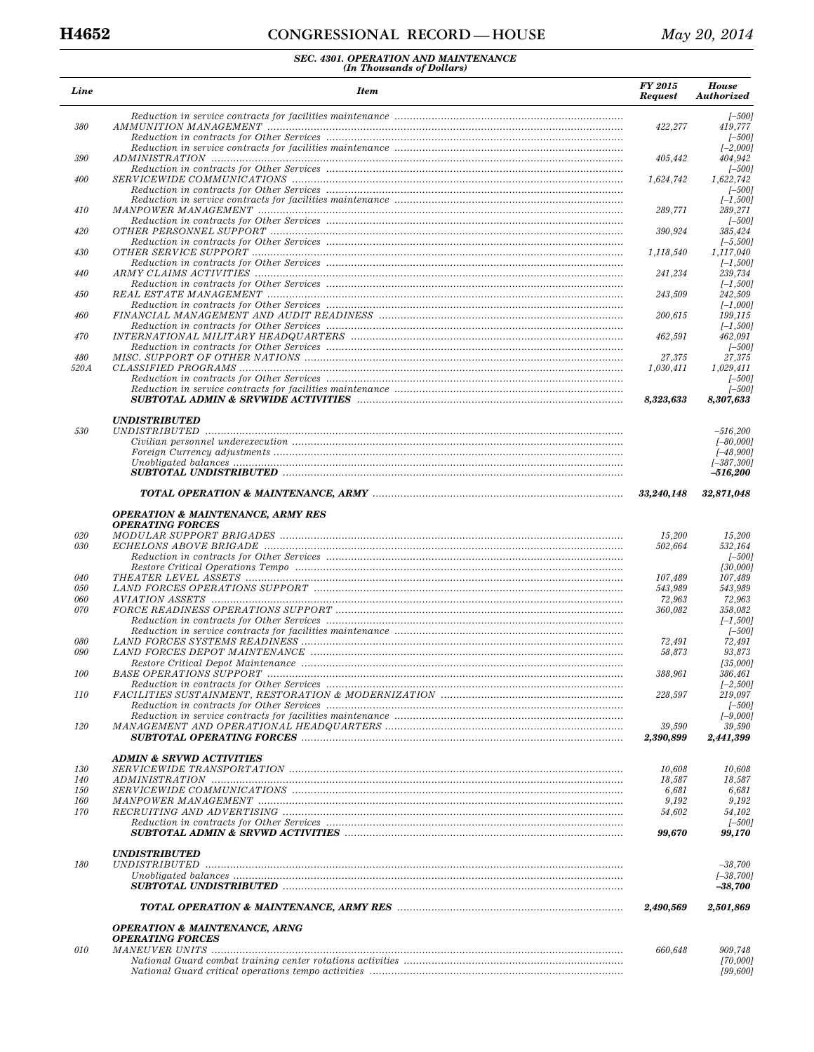| Line              | <b>Item</b>                                  | FY 2015<br><b>Request</b> | <b>House</b><br>Authorized |
|-------------------|----------------------------------------------|---------------------------|----------------------------|
| 380               |                                              | 422,277                   | $[-500]$<br>419,777        |
|                   |                                              |                           | $[-500]$<br>$[-2,000]$     |
| 390               |                                              | 405,442                   | 404,942<br>[-500]          |
| 400               |                                              | 1,624,742                 | 1,622,742<br>$[-500]$      |
| 410               |                                              | 289,771                   | $[-1, 500]$<br>289,271     |
| 420               |                                              | 390,924                   | $[-500]$<br>385,424        |
| 430               |                                              | 1.118.540                 | $[-5,500]$<br>1,117,040    |
| 440               |                                              | 241,234                   | $[-1,500]$<br>239,734      |
| 450               |                                              | 243,509                   | $[-1,500]$<br>242,509      |
| 460               |                                              | 200,615                   | $[-1,000]$<br>199,115      |
|                   |                                              |                           | $[-1,500]$                 |
| 470               |                                              | 462,591                   | 462,091<br>$[-500]$        |
| 480<br>520 A      |                                              | 27,375<br>1,030,411       | 27,375<br>1.029.411        |
|                   |                                              |                           | $[-500]$                   |
|                   |                                              |                           | $[-500]$                   |
|                   |                                              | 8,323,633                 | 8,307,633                  |
| 530               | <i><b>UNDISTRIBUTED</b></i>                  |                           | $-516,200$                 |
|                   |                                              |                           | $[-80,000]$                |
|                   |                                              |                           | $[-48,900]$                |
|                   |                                              |                           | $[-387,300]$<br>-516,200   |
|                   |                                              | 33,240,148                | 32,871,048                 |
|                   | <b>OPERATION &amp; MAINTENANCE, ARMY RES</b> |                           |                            |
| 020               | <b>OPERATING FORCES</b>                      | 15,200                    | 15,200                     |
| 030               |                                              | 502,664                   | 532,164                    |
|                   |                                              |                           | $[-500]$                   |
|                   |                                              |                           | [30,000]                   |
| 040<br>050        |                                              | 107,489<br>543,989        | 107,489<br>543,989         |
| 060               |                                              | 72,963                    | 72,963                     |
| 070               |                                              | 360,082                   | 358,082                    |
|                   |                                              |                           | $[-1,500]$<br>$[-500]$     |
| 080               |                                              | 72,491                    | 72,491                     |
| 090               |                                              | 58,873                    | 93,873                     |
| 100               |                                              |                           | [35,000]                   |
|                   |                                              | 388,961                   | 386,461<br>$[-2,500]$      |
| <i>110</i>        |                                              | 228,597                   | 219,097                    |
|                   |                                              |                           | $[-500]$                   |
| 120               |                                              | 39,590                    | $[-9,000]$<br>39,590       |
|                   |                                              | 2,390,899                 | 2,441,399                  |
|                   | <b>ADMIN &amp; SRVWD ACTIVITIES</b>          |                           |                            |
| 130               |                                              | 10,608                    | 10.608                     |
| 140               |                                              | 18,587                    | 18,587                     |
| <i>150</i><br>160 |                                              | 6,681<br>9,192            | 6,681<br>9,192             |
| 170               |                                              | 54,602                    | 54,102                     |
|                   |                                              | 99,670                    | $[-500]$<br>99,170         |
|                   | <i><b>UNDISTRIBUTED</b></i>                  |                           |                            |
| 180               |                                              |                           | $-38,700$                  |
|                   |                                              |                           | $[-38, 700]$<br>$-38,700$  |
|                   |                                              | 2,490,569                 | 2,501,869                  |
|                   | <b>OPERATION &amp; MAINTENANCE, ARNG</b>     |                           |                            |
| 010               | <b>OPERATING FORCES</b>                      | 660,648                   | 909,748                    |
|                   |                                              |                           | [70,000]                   |
|                   |                                              |                           | [99, 600]                  |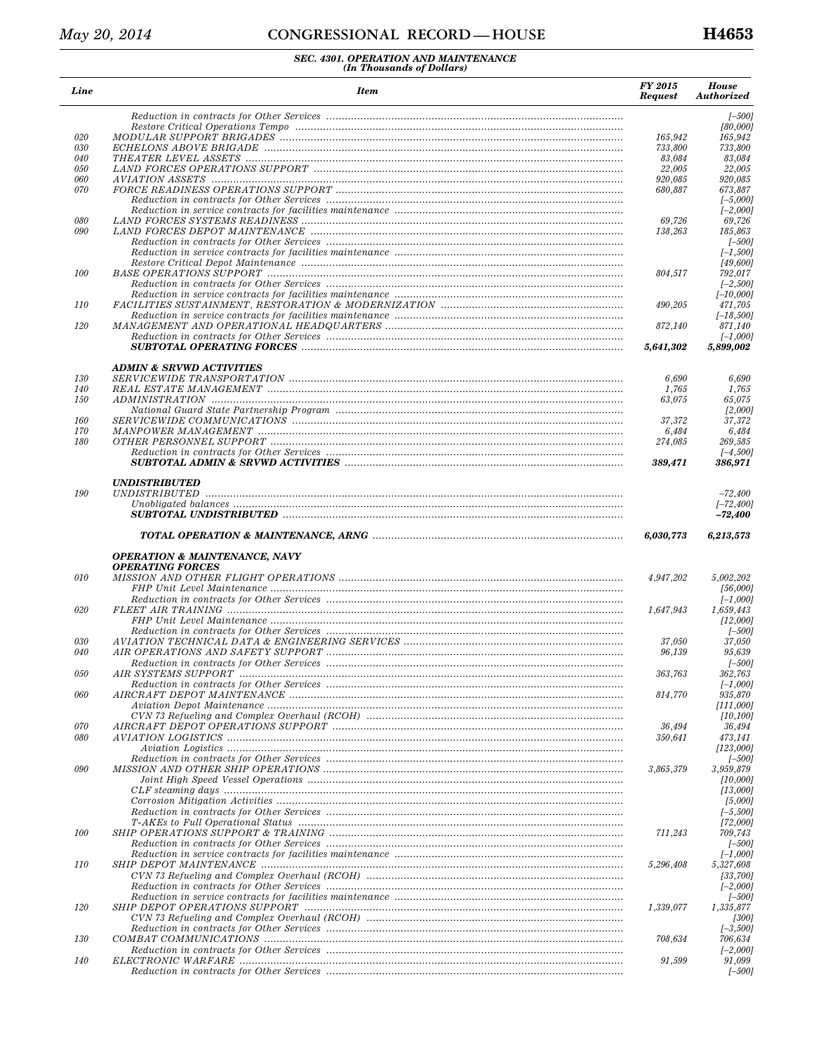| Line       | <b>Item</b>                              | FY 2015<br><b>Request</b> | <b>House</b><br>Authorized |
|------------|------------------------------------------|---------------------------|----------------------------|
|            |                                          |                           | $[-500]$                   |
|            |                                          |                           | [80,000]                   |
| 020        |                                          | 165,942                   | 165,942                    |
| 030        |                                          | 733,800                   | 733,800                    |
| 040        |                                          | 83,084                    | 83,084                     |
| 050<br>060 |                                          | 22,005<br>920,085         | 22,005<br>920,085          |
| 070        |                                          | 680,887                   | 673,887                    |
|            |                                          |                           | $[-5,000]$                 |
|            |                                          |                           | $[-2,000]$                 |
| 080        |                                          | 69,726                    | 69,726                     |
| 090        |                                          | 138,263                   | 185,863                    |
|            |                                          |                           | $[-500]$                   |
|            |                                          |                           | $[-1,500]$                 |
|            |                                          |                           | [49, 600]                  |
| 100        |                                          | 804,517                   | 792,017                    |
|            |                                          |                           | $[-2,500]$                 |
|            |                                          |                           | $[-10,000]$                |
| 110        |                                          | 490,205                   | 471,705                    |
|            |                                          |                           | $[-18,500]$                |
| 120        |                                          | 872,140                   | 871,140                    |
|            |                                          |                           | $[-1,000]$                 |
|            |                                          | 5.641.302                 | 5,899,002                  |
|            | <b>ADMIN &amp; SRVWD ACTIVITIES</b>      |                           |                            |
| 130        |                                          | 6,690                     | 6,690                      |
| 140        |                                          | 1,765                     | 1,765                      |
| <i>150</i> |                                          | 63,075                    | 65,075                     |
|            |                                          |                           | [2,000]                    |
| 160        |                                          | 37,372                    | 37,372                     |
| 170        |                                          | 6,484                     | 6,484                      |
| 180        |                                          | 274,085                   | 269,585                    |
|            |                                          | 389,471                   | $[-4,500]$<br>386,971      |
|            | <b>UNDISTRIBUTED</b>                     |                           |                            |
| 190        |                                          |                           | $-72,400$                  |
|            |                                          |                           | $[-72, 400]$               |
|            |                                          |                           | -72,400                    |
|            |                                          | 6,030,773                 | 6,213,573                  |
|            | <b>OPERATION &amp; MAINTENANCE, NAVY</b> |                           |                            |
|            | <b>OPERATING FORCES</b>                  |                           |                            |
| 010        |                                          | 4,947,202                 | 5,002,202                  |
|            |                                          |                           | [56,000]                   |
|            |                                          |                           | $[-1,000]$                 |
| 020        |                                          | 1,647,943                 | 1,659,443                  |
|            |                                          |                           | [12,000]                   |
|            |                                          |                           | $[-500]$                   |
| 030        |                                          | 37,050                    | 37,050                     |
| 040        |                                          | 96,139                    | 95,639                     |
|            |                                          |                           | $[-500]$                   |
| 0.50       | <i>AIR SYSTEMS SUPPORT</i>               | 363,763                   | 362,763                    |
|            |                                          |                           | $[-1,000]$                 |
| 060        |                                          | 814,770                   | 935,870                    |
|            |                                          |                           | [111,000]                  |
|            |                                          |                           | [10, 100]                  |
| 070        |                                          | 36,494                    | 36,494                     |
| 080        |                                          | 350,641                   | 473,141                    |
|            |                                          |                           | [123,000]                  |
| 090        |                                          |                           | [-500]                     |
|            |                                          | 3,865,379                 | 3,959,879<br>[10,000]      |
|            |                                          |                           | [13,000]                   |
|            |                                          |                           | [5,000]                    |
|            |                                          |                           | $[-5, 500]$                |
|            |                                          |                           | [72,000]                   |
| 100        |                                          | 711,243                   | 709,743                    |
|            |                                          |                           | $[-500]$                   |
|            |                                          |                           | I–1,0001                   |
| <i>110</i> |                                          | 5,296,408                 | 5,327,608                  |
|            |                                          |                           | [33,700]                   |
|            |                                          |                           | $[-2,000]$                 |
|            |                                          |                           | $[-500]$                   |
| 120        |                                          | 1,339,077                 | 1,335,877                  |
|            |                                          |                           | [300]                      |
|            |                                          |                           | $[-3,500]$                 |
| 130        |                                          | 708,634                   | 706,634                    |
|            |                                          |                           | $[-2,000]$                 |
| 140        |                                          | 91,599                    | 91,099                     |
|            |                                          |                           | $[-500]$                   |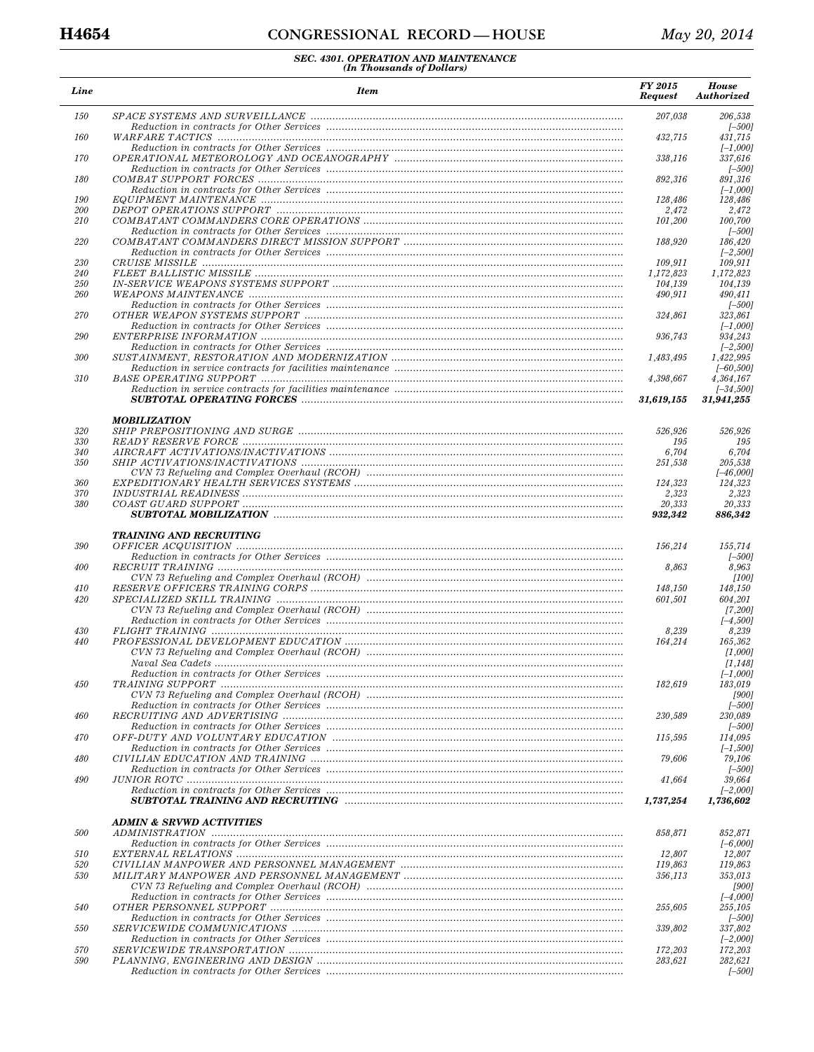| Line       | <b>Item</b>                         | <b>Request</b>       | <b>House</b><br>Authorized |
|------------|-------------------------------------|----------------------|----------------------------|
| 150        |                                     | 207,038              | 206,538<br>$[-500]$        |
| 160        |                                     | 432,715              | 431,715<br>$[-1,000]$      |
| 170        |                                     | 338,116              | 337,616                    |
| 180        |                                     | 892,316              | $[-500]$<br>891,316        |
| 190        |                                     | 128,486              | $[-1,000]$<br>128,486      |
| 200        |                                     | 2,472                | 2,472                      |
| 210        |                                     | 101,200              | 100,700                    |
| 220        |                                     | 188,920              | $[-500]$<br>186,420        |
|            |                                     |                      | $[-2,500]$                 |
| 230        |                                     | 109,911              | 109.911                    |
| 240<br>250 |                                     | 1,172,823<br>104,139 | 1,172,823<br>104,139       |
| 260        |                                     | 490,911              | 490,411                    |
|            |                                     |                      | $[-500]$                   |
| 270        |                                     | 324,861              | 323,861<br>$[-1,000]$      |
| 290        |                                     | 936,743              | 934,243                    |
|            |                                     |                      | $[-2,500]$                 |
| 300        |                                     | 1,483,495            | 1,422,995                  |
| 310        |                                     | 4,398,667            | $[-60, 500]$<br>4,364,167  |
|            |                                     |                      | $[-34,500]$                |
|            |                                     | 31,619,155           | 31,941,255                 |
|            | <b>MOBILIZATION</b>                 |                      |                            |
| 320<br>330 |                                     | 526,926<br>195       | 526,926<br>195             |
| 340        |                                     | 6,704                | 6,704                      |
| 350        |                                     | 251,538              | 205,538                    |
| 360        |                                     |                      | $[-46,000]$                |
| 370        |                                     | 124,323<br>2,323     | 124,323<br>2,323           |
| 380        |                                     | 20,333               | 20,333                     |
|            |                                     | 932,342              | 886,342                    |
|            | <b>TRAINING AND RECRUITING</b>      |                      |                            |
| 390        |                                     | 156,214              | 155,714<br>$[-500]$        |
| 400        |                                     | 8,863                | 8,963                      |
|            |                                     |                      | [100]                      |
| 410<br>420 |                                     | 148,150<br>601,501   | 148,150<br>604,201         |
|            |                                     |                      | [7, 200]                   |
|            |                                     |                      | $[-4,500]$                 |
| 430<br>440 |                                     | 8,239<br>164,214     | 8,239<br>165,362           |
|            |                                     |                      | [1,000]                    |
|            |                                     |                      | [1, 148]                   |
| 450        |                                     | 182.619              | $[-1,000]$                 |
|            |                                     |                      | 183,019<br>[900]           |
|            |                                     |                      | $[-500]$                   |
| 460        |                                     | 230,589              | 230,089                    |
| 470        |                                     | 115,595              | T-5001<br>114,095          |
|            |                                     |                      | $[-1,500]$                 |
| 480        |                                     | 79,606               | 79,106                     |
| 490        |                                     | 41,664               | $[-500]$<br>39,664         |
|            |                                     |                      | $[-2,000]$                 |
|            |                                     | 1,737,254            | 1,736,602                  |
| 500        | <b>ADMIN &amp; SRVWD ACTIVITIES</b> | 858.871              | 852.871                    |
|            |                                     |                      | $[-6,000]$                 |
| 510<br>520 |                                     | 12,807               | 12,807<br>119,863          |
| 530        |                                     | 119,863<br>356,113   | 353,013                    |
|            |                                     |                      | [900]                      |
|            |                                     |                      | $[-4,000]$                 |
| 540        |                                     | 255,605              | 255,105<br>T-5001          |
| 550        |                                     | 339,802              | 337,802                    |
|            |                                     |                      | $[-2,000]$                 |
| 570<br>590 |                                     | 172,203              | 172,203                    |
|            |                                     | 283,621              | 282,621<br>$[-500]$        |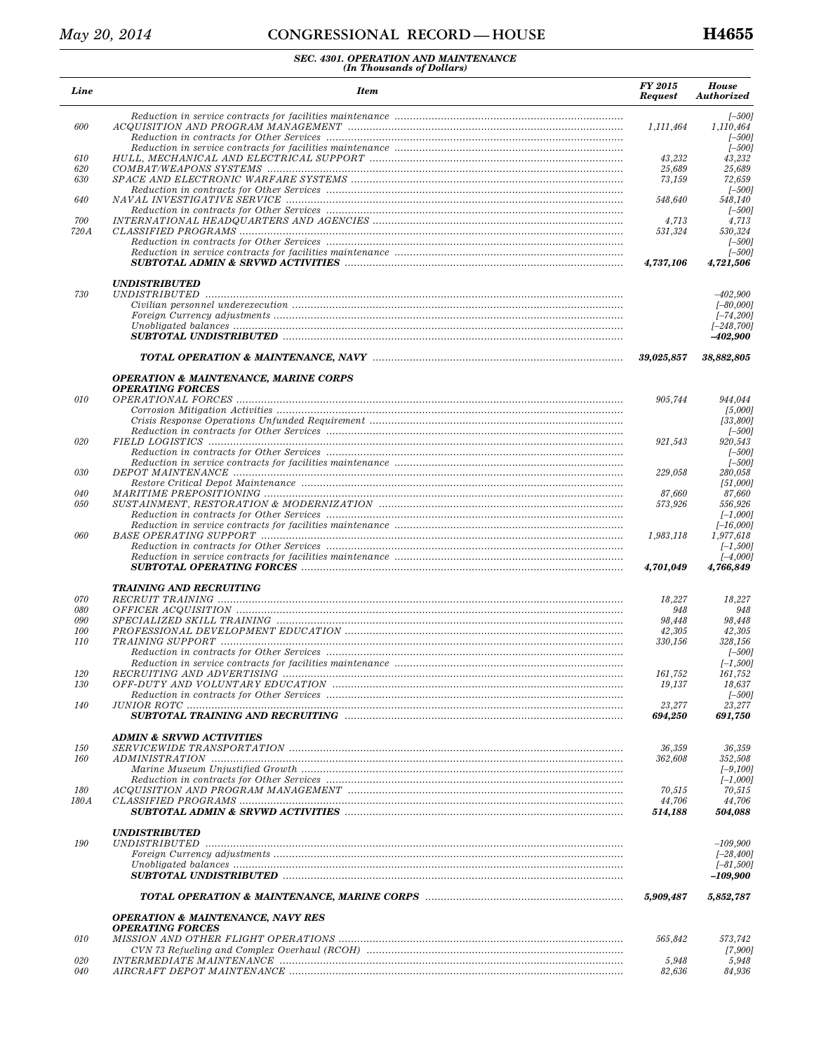#### CONGRESSIONAL RECORD-HOUSE

| Line       | <b>Item</b>                                                                                                                                                                                                                    | FY 2015<br><b>Request</b> | <b>House</b><br>Authorized        |
|------------|--------------------------------------------------------------------------------------------------------------------------------------------------------------------------------------------------------------------------------|---------------------------|-----------------------------------|
|            |                                                                                                                                                                                                                                |                           | $[-500]$                          |
| 600        |                                                                                                                                                                                                                                | 1,111,464                 | 1,110,464<br>$[-500]$<br>$[-500]$ |
| 610        |                                                                                                                                                                                                                                | 43,232                    | 43,232                            |
| 620        |                                                                                                                                                                                                                                | 25,689                    | 25,689                            |
| 630        |                                                                                                                                                                                                                                | 73,159                    | 72,659                            |
|            |                                                                                                                                                                                                                                |                           | $[-500]$                          |
| 640        |                                                                                                                                                                                                                                | 548,640                   | 548,140                           |
| 700        |                                                                                                                                                                                                                                | 4,713                     | $[-500]$<br>4,713                 |
| 720A       |                                                                                                                                                                                                                                | 531,324                   | 530,324                           |
|            |                                                                                                                                                                                                                                |                           | $[-500]$                          |
|            |                                                                                                                                                                                                                                |                           | $[-500]$                          |
|            |                                                                                                                                                                                                                                | 4,737,106                 | 4,721,506                         |
| 730        | <b>UNDISTRIBUTED</b>                                                                                                                                                                                                           |                           | $-402,900$                        |
|            |                                                                                                                                                                                                                                |                           | $[-80,000]$                       |
|            |                                                                                                                                                                                                                                |                           | $[-74, 200]$                      |
|            |                                                                                                                                                                                                                                |                           | $[-248, 700]$                     |
|            |                                                                                                                                                                                                                                |                           | $-402,900$                        |
|            |                                                                                                                                                                                                                                | 39,025,857                | 38,882,805                        |
|            | <b>OPERATION &amp; MAINTENANCE, MARINE CORPS</b>                                                                                                                                                                               |                           |                                   |
|            | <b>OPERATING FORCES</b>                                                                                                                                                                                                        |                           |                                   |
| 010        |                                                                                                                                                                                                                                | 905,744                   | 944,044                           |
|            |                                                                                                                                                                                                                                |                           | [5,000]                           |
|            |                                                                                                                                                                                                                                |                           | [33,800]<br>$[-500]$              |
| 020        |                                                                                                                                                                                                                                | 921,543                   | 920,543                           |
|            |                                                                                                                                                                                                                                |                           | $[-500]$                          |
|            |                                                                                                                                                                                                                                |                           | $[-500]$                          |
| 030        |                                                                                                                                                                                                                                | 229,058                   | 280,058                           |
|            |                                                                                                                                                                                                                                |                           | [51,000]                          |
| 040<br>050 |                                                                                                                                                                                                                                | 87,660<br>573,926         | 87,660<br>556,926                 |
|            |                                                                                                                                                                                                                                |                           | $[-1,000]$                        |
|            |                                                                                                                                                                                                                                |                           | $[-16,000]$                       |
| 060        | BASE OPERATING SUPPORT manufacturers and contain an account of the state of the state of the state of the state of the state of the state of the state of the state of the state of the state of the state of the state of the | 1,983,118                 | 1,977,618                         |
|            |                                                                                                                                                                                                                                |                           | $[-1,500]$                        |
|            |                                                                                                                                                                                                                                | 4,701,049                 | $[-4,000]$<br>4,766,849           |
|            | <b>TRAINING AND RECRUITING</b>                                                                                                                                                                                                 |                           |                                   |
| 070        |                                                                                                                                                                                                                                | 18,227                    | 18,227                            |
| 080        |                                                                                                                                                                                                                                | 948                       | 948                               |
| 090        |                                                                                                                                                                                                                                | 98,448                    | 98,448                            |
| 100        |                                                                                                                                                                                                                                | 42,305                    | 42,305                            |
| 110        |                                                                                                                                                                                                                                | 330,156                   | 328,156<br>$[-500]$               |
|            |                                                                                                                                                                                                                                |                           | $[-1, 500]$                       |
| 120        |                                                                                                                                                                                                                                | 161,752                   | 161,752                           |
| 130        |                                                                                                                                                                                                                                | 19,137                    | 18,637                            |
|            |                                                                                                                                                                                                                                |                           | [–500]                            |
| 140        |                                                                                                                                                                                                                                | 23,277                    | 23,277                            |
|            |                                                                                                                                                                                                                                | 694,250                   | 691,750                           |
|            | <b>ADMIN &amp; SRVWD ACTIVITIES</b>                                                                                                                                                                                            |                           |                                   |
| <i>150</i> |                                                                                                                                                                                                                                | 36,359                    | 36,359                            |
| 160        |                                                                                                                                                                                                                                | 362,608                   | 352,508<br>$[-9,100]$             |
|            |                                                                                                                                                                                                                                |                           | $[-1,000]$                        |
| 180        |                                                                                                                                                                                                                                | 70,515                    | 70,515                            |
| 180 A      |                                                                                                                                                                                                                                | 44,706                    | 44,706                            |
|            |                                                                                                                                                                                                                                | 514,188                   | 504,088                           |
| 190        | <i><b>UNDISTRIBUTED</b></i>                                                                                                                                                                                                    |                           | $-109,900$                        |
|            |                                                                                                                                                                                                                                |                           | $[-28, 400]$                      |
|            |                                                                                                                                                                                                                                |                           | $[-81, 500]$                      |
|            |                                                                                                                                                                                                                                |                           | $-109,900$                        |
|            |                                                                                                                                                                                                                                | 5,909,487                 | 5,852,787                         |
|            | <b>OPERATION &amp; MAINTENANCE, NAVY RES</b>                                                                                                                                                                                   |                           |                                   |
|            | <b>OPERATING FORCES</b>                                                                                                                                                                                                        |                           |                                   |
| 010        |                                                                                                                                                                                                                                | 565,842                   | 573,742                           |
|            |                                                                                                                                                                                                                                |                           | [7,900]                           |
| 020<br>040 |                                                                                                                                                                                                                                | 5,948<br>82,636           | 5,948<br>84,936                   |
|            |                                                                                                                                                                                                                                |                           |                                   |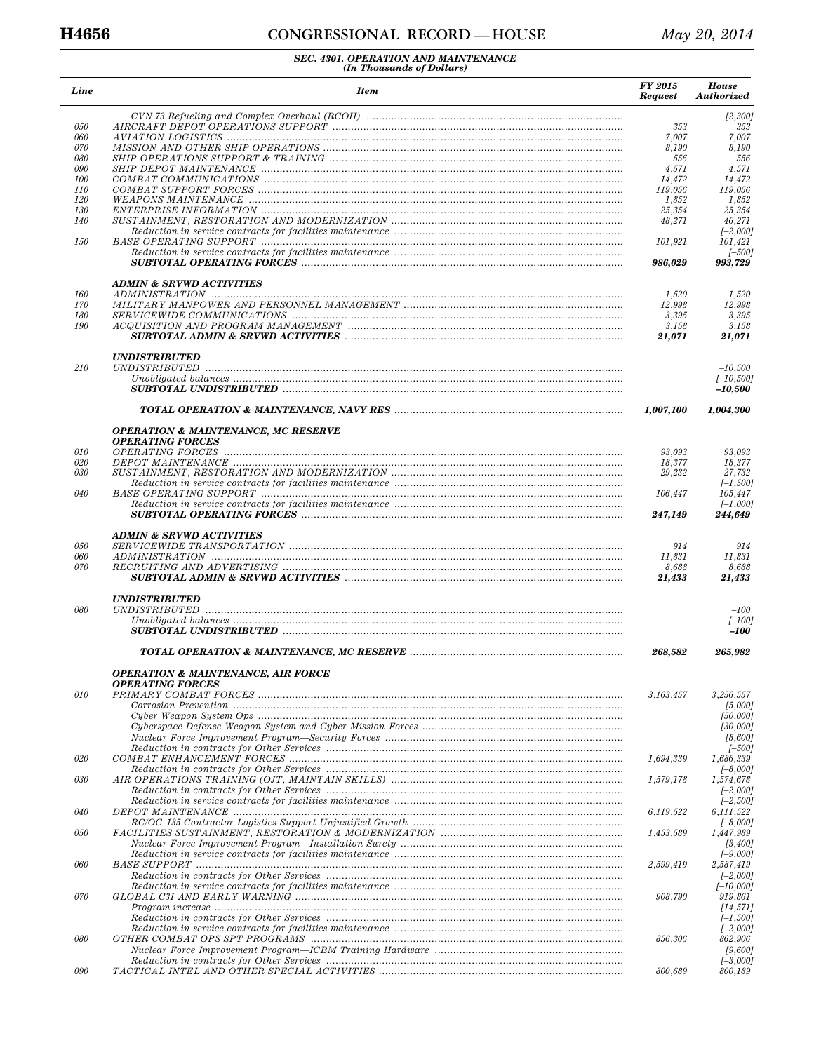| Line       | <b>Item</b>                                    | <b>FY 2015</b><br><b>Request</b> | <b>House</b><br><b>Authorized</b> |
|------------|------------------------------------------------|----------------------------------|-----------------------------------|
| 050        |                                                |                                  | [2,300]<br>353                    |
| 060        |                                                | 353<br>7,007                     | 7,007                             |
| 070        |                                                | 8,190                            | 8,190                             |
| 080        |                                                | 556                              | 556                               |
| 090        |                                                | 4,571                            | 4,571                             |
| <i>100</i> |                                                | 14,472                           | 14,472                            |
| 110        |                                                | 119,056                          | 119,056                           |
| 120<br>130 |                                                | 1,852<br>25,354                  | 1,852<br>25,354                   |
| 140        |                                                | 48,271                           | 46,271                            |
|            |                                                |                                  | $[-2,000]$                        |
| 150        |                                                | 101,921                          | 101,421                           |
|            |                                                | 986,029                          | $[-500]$<br>993,729               |
|            | <b>ADMIN &amp; SRVWD ACTIVITIES</b>            |                                  |                                   |
| 160        |                                                | 1,520                            | 1,520                             |
| 170        |                                                | 12,998                           | 12,998                            |
| 180        |                                                | 3,395                            | 3,395                             |
| 190        |                                                | 3,158                            | 3,158                             |
|            |                                                | 21,071                           | 21,071                            |
| 210        | <i><b>UNDISTRIBUTED</b></i>                    |                                  | $-10,500$                         |
|            |                                                |                                  | $[-10, 500]$<br>$-10,500$         |
|            |                                                | 1,007,100                        | 1,004,300                         |
|            | <b>OPERATION &amp; MAINTENANCE, MC RESERVE</b> |                                  |                                   |
|            | <b>OPERATING FORCES</b>                        |                                  |                                   |
| 010        |                                                | 93,093                           | 93,093                            |
| 020        |                                                | 18,377                           | 18,377                            |
| 030        |                                                | 29,232                           | 27,732                            |
|            |                                                |                                  | $[-1,500]$                        |
| 040        |                                                | 106,447                          | 105,447<br>$[-1,000]$             |
|            |                                                | 247,149                          | 244,649                           |
|            | <b>ADMIN &amp; SRVWD ACTIVITIES</b>            |                                  |                                   |
| 050        |                                                | 914                              | 914                               |
| 060        |                                                | 11,831                           | 11,831                            |
| 070        |                                                | 8,688<br>21,433                  | 8,688<br>21,433                   |
|            | <b>UNDISTRIBUTED</b>                           |                                  |                                   |
| 080        |                                                |                                  | $-100\,$                          |
|            |                                                |                                  | $[-100]$<br>$-100$                |
|            |                                                | 268,582                          | 265,982                           |
|            | <b>OPERATION &amp; MAINTENANCE, AIR FORCE</b>  |                                  |                                   |
|            | <b>OPERATING FORCES</b>                        |                                  |                                   |
| 010        |                                                | 3,163,457                        | 3,256,557                         |
|            |                                                |                                  | [5,000]                           |
|            |                                                |                                  | [50,000]                          |
|            |                                                |                                  | [30,000]                          |
|            |                                                |                                  | [8,600]<br>[–500]                 |
| 020        |                                                | 1,694,339                        | 1,686,339                         |
|            |                                                |                                  | $[-8,000]$                        |
| 030        |                                                | 1,579,178                        | 1,574,678                         |
|            |                                                |                                  | $[-2,000]$                        |
|            |                                                |                                  | $[-2,500]$                        |
| 040        |                                                | 6,119,522                        | 6,111,522                         |
| 050        |                                                | 1,453,589                        | $[-8,000]$<br>1,447,989           |
|            |                                                |                                  | [3,400]                           |
| 060        |                                                | 2,599,419                        | $[-9,000]$<br>2,587,419           |
|            |                                                |                                  | $[-2,000]$                        |
|            |                                                |                                  | $[-10,000]$                       |
| 070        |                                                | 908,790                          | 919,861                           |
|            |                                                |                                  | [14, 571]                         |
|            |                                                |                                  | $[-1,500]$                        |
|            |                                                |                                  | $[-2,000]$                        |
| 080        |                                                | 856,306                          | 862,906                           |
|            |                                                |                                  | [9,600]<br>$[-3,000]$             |
| 090        |                                                | 800,689                          | 800,189                           |
|            |                                                |                                  |                                   |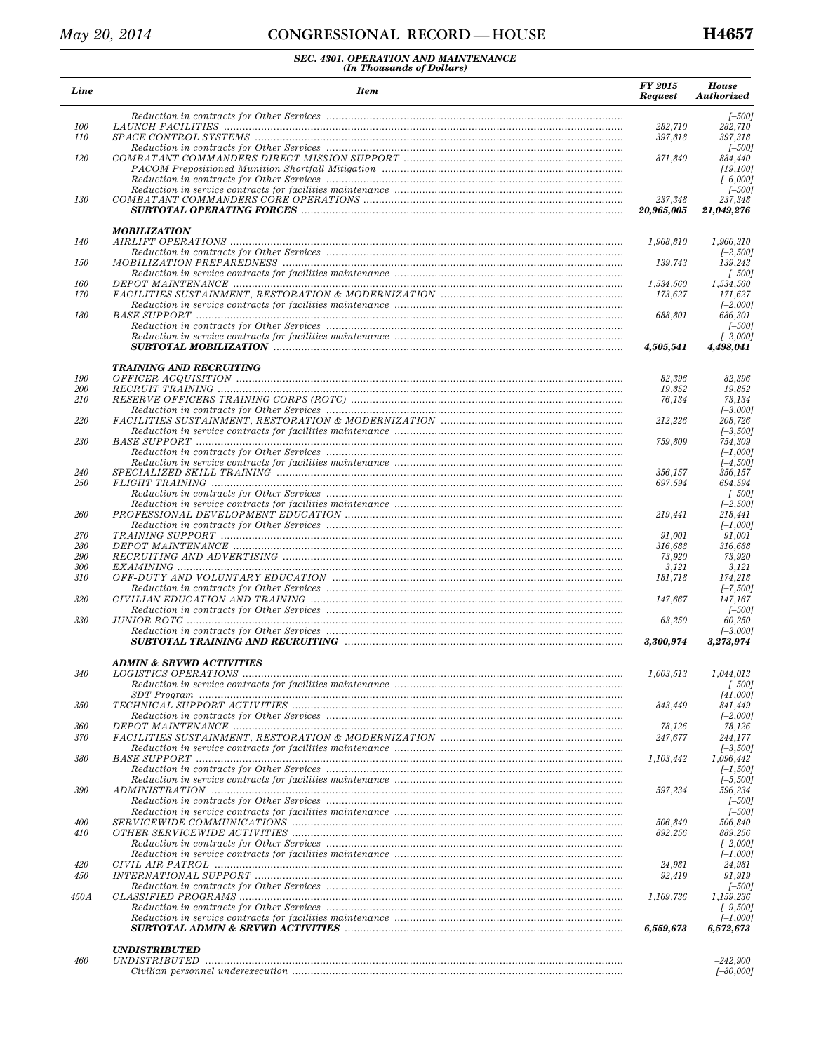| Line              | <b>Item</b>                         | FY 2015<br><b>Request</b> | <b>House</b><br><b>Authorized</b> |
|-------------------|-------------------------------------|---------------------------|-----------------------------------|
|                   |                                     |                           | $[-500]$                          |
| 100               |                                     | 282,710                   | 282,710                           |
| 110               |                                     | 397,818                   | 397,318<br>$[-500]$               |
| 120               |                                     | 871,840                   | 884,440                           |
|                   |                                     |                           | [19, 100]                         |
|                   |                                     |                           | $[-6,000]$                        |
| 130               |                                     | 237,348                   | $[-500]$<br>237,348               |
|                   |                                     | 20,965,005                | 21,049,276                        |
|                   | <b>MOBILIZATION</b>                 |                           |                                   |
| 140               |                                     | 1,968,810                 | 1.966.310<br>$[-2,500]$           |
| 150               |                                     | 139,743                   | 139,243                           |
|                   |                                     |                           | $[-500]$                          |
| 160               |                                     | 1,534,560                 | 1,534,560                         |
| 170               |                                     | 173,627                   | 171,627<br>$[-2,000]$             |
| 180               |                                     | 688,801                   | 686,301                           |
|                   |                                     |                           | $[-500]$                          |
|                   |                                     | 4,505,541                 | $[-2,000]$<br>4,498,041           |
|                   | <b>TRAINING AND RECRUITING</b>      |                           |                                   |
| 190               |                                     | 82,396                    | 82,396                            |
| 200               |                                     | 19.852                    | 19,852                            |
| 210               |                                     | 76,134                    | 73,134                            |
| 220               |                                     | 212.226                   | $[-3,000]$<br>208,726             |
|                   |                                     |                           | $[-3,500]$                        |
| 230               |                                     | 759,809                   | 754,309                           |
|                   |                                     |                           | $[-1,000]$                        |
|                   |                                     |                           | $[-4,500]$                        |
| 240<br><i>250</i> |                                     | 356,157<br>697,594        | 356,157<br>694,594                |
|                   |                                     |                           | $[-500]$                          |
|                   |                                     |                           | $[-2, 500]$                       |
| 260               |                                     | 219,441                   | 218,441                           |
| 270               |                                     | 91,001                    | $[-1,000]$<br>91,001              |
| 280               |                                     | 316,688                   | 316,688                           |
| 290               |                                     | 73,920                    | 73,920                            |
| 300<br>310        |                                     | 3,121<br>181,718          | 3,121<br>174,218                  |
|                   |                                     |                           | $[-7,500]$                        |
| 320               |                                     | 147,667                   | 147,167                           |
|                   |                                     |                           | $[-500]$                          |
| 330               |                                     | 63,250                    | 60,250<br>$[-3,000]$              |
|                   |                                     | 3,300,974                 | 3,273,974                         |
|                   | <b>ADMIN &amp; SRVWD ACTIVITIES</b> |                           |                                   |
| 340               |                                     | 1,003,513                 | 1,044,013                         |
|                   |                                     |                           | $[-500]$<br>[41,000]              |
| 350               |                                     | 843,449                   | 841,449                           |
|                   |                                     |                           | $[-2,000]$                        |
| 360               |                                     | 78,126                    | 78,126                            |
| 370               |                                     | 247,677                   | 244,177<br>$[-3,500]$             |
| 380               |                                     | 1,103,442                 | 1,096,442                         |
|                   |                                     |                           | $[-1,500]$                        |
|                   |                                     |                           | $[-5,500]$                        |
| 390               |                                     | 597,234                   | 596,234<br>$[-500]$               |
|                   |                                     |                           | $[-500]$                          |
| 400               |                                     | 506,840                   | 506,840                           |
| 410               |                                     | 892,256                   | 889,256                           |
|                   |                                     |                           | $[-2,000]$<br>$[-1,000]$          |
| 420               |                                     | 24,981                    | 24,981                            |
| 450               |                                     | 92,419                    | 91,919                            |
|                   |                                     |                           | $[-500]$                          |
| 450A              |                                     | 1,169,736                 | 1,159,236                         |
|                   |                                     |                           | $[-9,500]$<br>$[-1,000]$          |
|                   |                                     | 6,559,673                 | 6,572,673                         |
|                   | <i><b>UNDISTRIBUTED</b></i>         |                           |                                   |
| 460               |                                     |                           | $-242,900$                        |
|                   |                                     |                           | $[-80,000]$                       |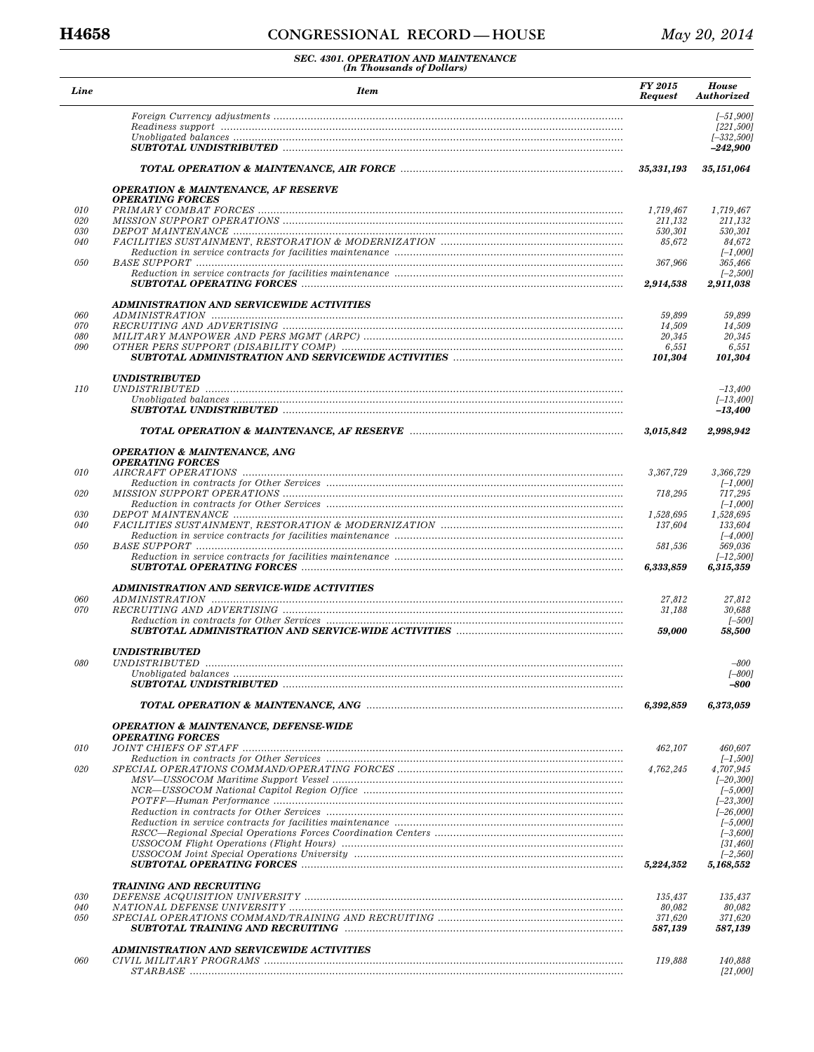| Line       | <b>Item</b>                                                               | <b>FY 2015</b><br><b>Request</b> | <b>House</b><br>Authorized                |
|------------|---------------------------------------------------------------------------|----------------------------------|-------------------------------------------|
|            |                                                                           |                                  | $[-51,900]$<br>[221, 500]<br>$[-332,500]$ |
|            |                                                                           |                                  | $-242,900$                                |
|            |                                                                           | 35,331,193                       | 35,151,064                                |
|            | <b>OPERATION &amp; MAINTENANCE, AF RESERVE</b><br><b>OPERATING FORCES</b> |                                  |                                           |
| 010        |                                                                           | 1,719,467                        | 1,719,467                                 |
| 020<br>030 |                                                                           | 211,132<br>530,301               | 211,132<br>530,301                        |
| 040        |                                                                           | 85,672                           | 84.672                                    |
| 050        |                                                                           | 367,966                          | $[-1,000]$<br>365,466                     |
|            |                                                                           |                                  | $[-2,500]$                                |
|            |                                                                           | 2,914,538                        | 2,911,038                                 |
| 060        | <b>ADMINISTRATION AND SERVICEWIDE ACTIVITIES</b>                          | 59,899                           | 59,899                                    |
| 070        |                                                                           | 14,509                           | 14,509                                    |
| 080<br>090 |                                                                           | 20,345                           | 20,345                                    |
|            |                                                                           | 6,551<br>101,304                 | 6,551<br>101,304                          |
|            | <i><b>UNDISTRIBUTED</b></i>                                               |                                  |                                           |
| <i>110</i> |                                                                           |                                  | $-13,400$<br>$[-13, 400]$                 |
|            |                                                                           |                                  | -13,400                                   |
|            |                                                                           | 3,015,842                        | 2,998,942                                 |
|            | <b>OPERATION &amp; MAINTENANCE, ANG</b><br><b>OPERATING FORCES</b>        |                                  |                                           |
| 010        |                                                                           | 3,367,729                        | 3,366,729                                 |
| 020        |                                                                           | 718,295                          | $[-1,000]$<br>717,295                     |
|            |                                                                           |                                  | $[-1,000]$                                |
| 030<br>040 |                                                                           | 1,528,695<br>137,604             | 1,528,695<br>133,604                      |
|            |                                                                           |                                  | $[-4,000]$                                |
| 050        |                                                                           | 581,536                          | 569,036<br>$[-12,500]$                    |
|            |                                                                           | 6,333,859                        | 6,315,359                                 |
|            | ADMINISTRATION AND SERVICE-WIDE ACTIVITIES                                |                                  |                                           |
| 060<br>070 |                                                                           | 27,812<br>31,188                 | 27,812<br>30,688                          |
|            |                                                                           |                                  | $[-500]$                                  |
|            |                                                                           | 59,000                           | 58,500                                    |
| 080        | <b>UNDISTRIBUTED</b>                                                      |                                  | $-800$                                    |
|            |                                                                           |                                  | $[-800]$                                  |
|            |                                                                           |                                  | -800                                      |
|            |                                                                           | 6,392,859                        | 6,373,059                                 |
|            | <b>OPERATION &amp; MAINTENANCE, DEFENSE-WIDE</b>                          |                                  |                                           |
| 010        | <b>OPERATING FORCES</b>                                                   | 462,107                          | 460,607                                   |
|            |                                                                           |                                  | $[-1,500]$                                |
| 020        |                                                                           | 4,762,245                        | 4,707,945<br>$[-20, 300]$                 |
|            |                                                                           |                                  | $[-5,000]$                                |
|            |                                                                           |                                  | $[-23, 300]$<br>$[-26,000]$               |
|            |                                                                           |                                  | $[-5,000]$                                |
|            |                                                                           |                                  | $[-3,600]$<br>[31, 460]                   |
|            |                                                                           |                                  | $[-2, 560]$                               |
|            |                                                                           | 5,224,352                        | 5,168,552                                 |
| 030        | <b>TRAINING AND RECRUITING</b>                                            | 135,437                          | 135,437                                   |
| 040        |                                                                           | 80,082                           | 80,082                                    |
| 050        |                                                                           | 371,620<br>587,139               | 371,620<br>587,139                        |
|            |                                                                           |                                  |                                           |
| 060        | ADMINISTRATION AND SERVICEWIDE ACTIVITIES                                 | 119,888                          | 140,888                                   |
|            |                                                                           |                                  | [21,000]                                  |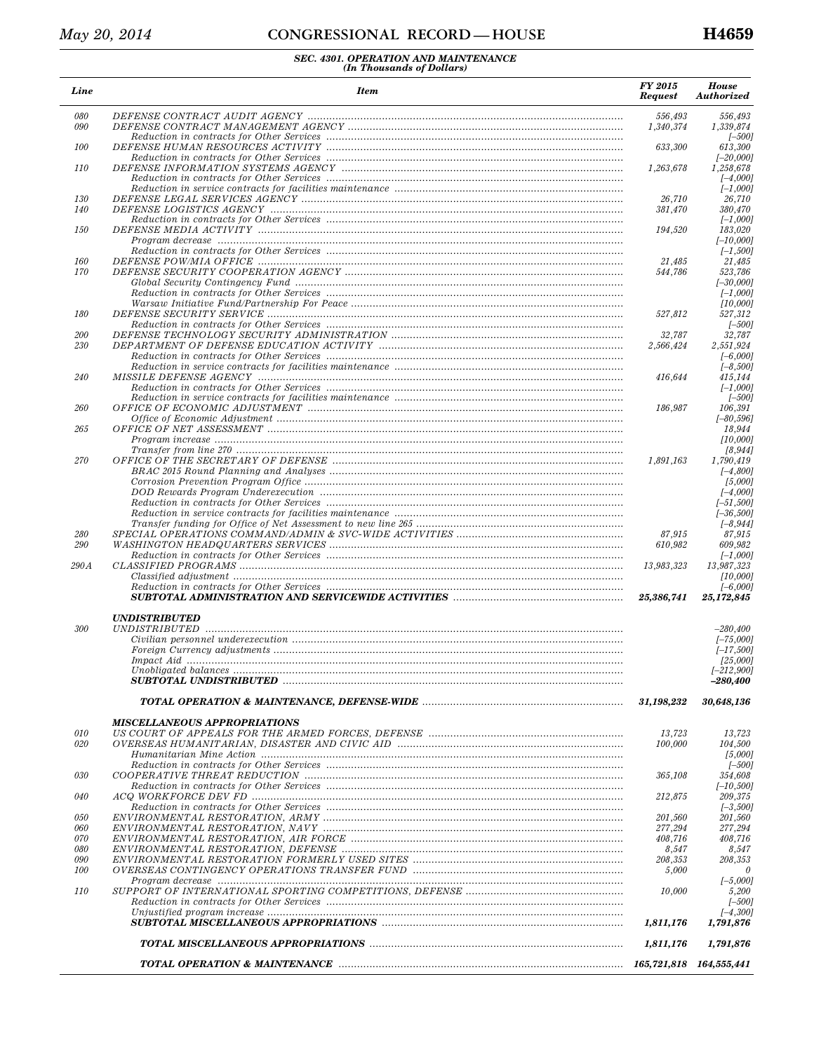| Line       | <b>Item</b>                         | FY 2015<br><b>Request</b> | <b>House</b><br>Authorized  |
|------------|-------------------------------------|---------------------------|-----------------------------|
| 080<br>090 |                                     | 556,493<br>1,340,374      | 556,493<br>1,339,874        |
|            |                                     |                           | $[-500]$                    |
| 100        |                                     | 633,300                   | 613,300                     |
|            |                                     |                           | $[-20,000]$                 |
| 110        |                                     | 1,263,678                 | 1,258,678<br>$[-4,000]$     |
|            |                                     |                           | $[-1,000]$                  |
| 130        |                                     | 26,710                    | 26,710                      |
| 140        |                                     | 381,470                   | 380,470                     |
| 150        |                                     | 194,520                   | $[-1,000]$<br>183,020       |
|            |                                     |                           | $[-10,000]$                 |
|            |                                     |                           | $[-1,500]$                  |
| 160        |                                     | 21,485                    | 21,485                      |
| 170        |                                     | 544,786                   | 523,786<br>$[-30,000]$      |
|            |                                     |                           | $[-1,000]$                  |
|            |                                     |                           | [10,000]                    |
| 180        |                                     | 527,812                   | 527,312                     |
| 200        |                                     | 32,787                    | $[-500]$<br>32,787          |
| 230        |                                     | 2,566,424                 | 2.551.924                   |
|            |                                     |                           | $[-6,000]$                  |
|            |                                     |                           | $[-8, 500]$                 |
| 240        |                                     | 416,644                   | 415,144                     |
|            |                                     |                           | $[-1,000]$<br>$[-500]$      |
| 260        |                                     | 186,987                   | 106,391                     |
|            |                                     |                           | $[-80, 596]$                |
| 265        |                                     |                           | 18,944                      |
|            |                                     |                           | [10,000]                    |
| 270        |                                     | 1,891,163                 | [8, 944]<br>1,790,419       |
|            |                                     |                           | $[-4,800]$                  |
|            |                                     |                           | [5,000]                     |
|            |                                     |                           | $[-4,000]$                  |
|            |                                     |                           | $[-51, 500]$<br>$[-36,500]$ |
|            |                                     |                           | $[-8, 944]$                 |
| 280        |                                     | 87,915                    | 87,915                      |
| 290        |                                     | 610,982                   | 609,982                     |
| 290A       |                                     | 13,983,323                | $[-1,000]$<br>13,987,323    |
|            |                                     |                           | [10,000]                    |
|            |                                     |                           | $[-6,000]$                  |
|            |                                     | 25,386,741                | 25,172,845                  |
|            | <i><b>UNDISTRIBUTED</b></i>         |                           |                             |
| 300        |                                     |                           | $-280,400$                  |
|            |                                     |                           | $[-75,000]$<br>$[-17,500]$  |
|            |                                     |                           | [25,000]                    |
|            |                                     |                           | $[-212,900]$                |
|            |                                     |                           | $-280,400$                  |
|            |                                     | 31.198.232                | 30,648,136                  |
|            |                                     |                           |                             |
|            | <b>MISCELLANEOUS APPROPRIATIONS</b> |                           |                             |
| 010<br>020 |                                     | 13,723<br>100,000         | 13,723<br>104,500           |
|            |                                     |                           | [5,000]                     |
|            |                                     |                           | $[-500]$                    |
| 030        |                                     | 365,108                   | 354,608                     |
|            |                                     |                           | $[-10, 500]$                |
| 040        |                                     | 212,875                   | 209,375<br>$[-3,500]$       |
| 050        |                                     | 201,560                   | 201,560                     |
| 060        |                                     | 277,294                   | 277,294                     |
| 070        |                                     | 408,716                   | 408,716                     |
| 080<br>090 |                                     | 8,547<br>208,353          | 8,547<br>208,353            |
| <i>100</i> |                                     | 5,000                     | n                           |
|            |                                     |                           | $[-5,000]$                  |
| 110        |                                     | 10,000                    | 5,200                       |
|            |                                     |                           | $[-500]$                    |
|            |                                     | 1,811,176                 | $[-4,300]$<br>1,791,876     |
|            |                                     |                           |                             |
|            |                                     | 1,811,176                 | 1,791,876                   |
|            |                                     |                           |                             |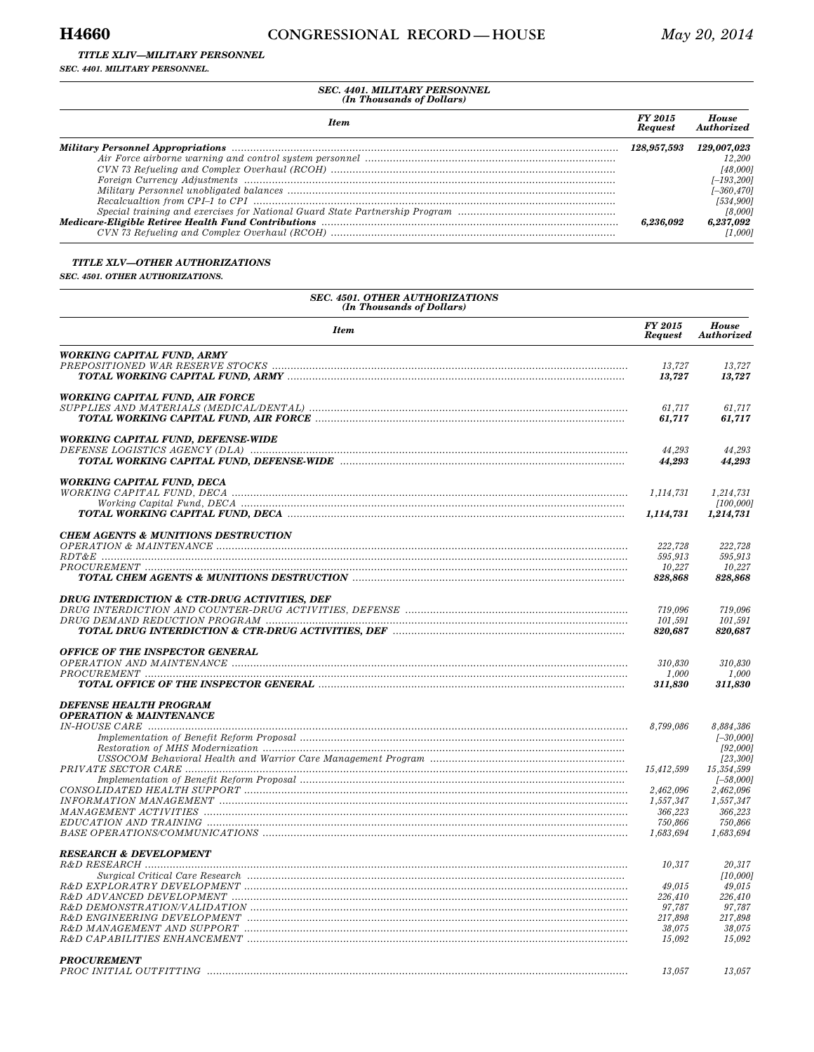#### *TITLE XLIV—MILITARY PERSONNEL*

*SEC. 4401. MILITARY PERSONNEL.* 

# *SEC. 4401. MILITARY PERSONNEL (In Thousands of Dollars)*

| <b>Item</b>                                                                                                                                                                                                                                                                                                                 | FY 2015<br><b>Request</b> | House<br>Authorized |
|-----------------------------------------------------------------------------------------------------------------------------------------------------------------------------------------------------------------------------------------------------------------------------------------------------------------------------|---------------------------|---------------------|
|                                                                                                                                                                                                                                                                                                                             | 128.957.593               | 129,007,023         |
|                                                                                                                                                                                                                                                                                                                             |                           | 12,200              |
|                                                                                                                                                                                                                                                                                                                             |                           | [48,000]            |
| $\emph{Foreign Current} \emph{Adjustments} \emph{} \emph{} \emph{} \emph{} \emph{} \emph{} \emph{} \emph{} \emph{} \emph{} \emph{} \emph{} \emph{} \emph{} \emph{} \emph{} \emph{} \emph{} \emph{} \emph{} \emph{} \emph{} \emph{} \emph{} \emph{} \emph{} \emph{} \emph{} \emph{} \emph{} \emph{} \emph{} \emph{} \emph{}$ |                           | $[-193, 200]$       |
|                                                                                                                                                                                                                                                                                                                             |                           | [–360,470]          |
|                                                                                                                                                                                                                                                                                                                             |                           | [534,900]           |
|                                                                                                                                                                                                                                                                                                                             |                           | [8,000]             |
|                                                                                                                                                                                                                                                                                                                             | 6.236.092                 | 6,237,092           |
|                                                                                                                                                                                                                                                                                                                             |                           | [1.000]             |

#### *TITLE XLV—OTHER AUTHORIZATIONS*

*SEC. 4501. OTHER AUTHORIZATIONS.* 

| <b>SEC. 4501. OTHER AUTHORIZATIONS</b><br>(In Thousands of Dollars) |                           |                            |  |  |  |
|---------------------------------------------------------------------|---------------------------|----------------------------|--|--|--|
| <b>Item</b>                                                         | FY 2015<br><b>Request</b> | <b>House</b><br>Authorized |  |  |  |
| <b>WORKING CAPITAL FUND, ARMY</b>                                   |                           |                            |  |  |  |
|                                                                     | 13,727                    | 13,727                     |  |  |  |
|                                                                     | 13,727                    | 13,727                     |  |  |  |
| WORKING CAPITAL FUND, AIR FORCE                                     |                           |                            |  |  |  |
|                                                                     | 61,717                    | 61,717                     |  |  |  |
|                                                                     | 61,717                    | 61,717                     |  |  |  |
| <b>WORKING CAPITAL FUND, DEFENSE-WIDE</b>                           |                           |                            |  |  |  |
|                                                                     | 44.293                    | 44.293                     |  |  |  |
|                                                                     | 44,293                    | 44,293                     |  |  |  |
| <b>WORKING CAPITAL FUND, DECA</b>                                   |                           |                            |  |  |  |
|                                                                     | 1,114,731                 | 1,214,731                  |  |  |  |
|                                                                     |                           | [100, 000]                 |  |  |  |
|                                                                     | 1,114,731                 | 1,214,731                  |  |  |  |
| <b>CHEM AGENTS &amp; MUNITIONS DESTRUCTION</b>                      |                           |                            |  |  |  |
|                                                                     | 222,728                   | 222,728                    |  |  |  |
|                                                                     | 595,913                   | 595,913                    |  |  |  |
|                                                                     | 10.227                    | 10.227                     |  |  |  |
|                                                                     | 828,868                   | 828,868                    |  |  |  |
| <b>DRUG INTERDICTION &amp; CTR-DRUG ACTIVITIES, DEF</b>             |                           |                            |  |  |  |
|                                                                     | 719,096                   | 719,096                    |  |  |  |
|                                                                     | 101,591<br>820,687        | 101,591<br>820,687         |  |  |  |
|                                                                     |                           |                            |  |  |  |
| OFFICE OF THE INSPECTOR GENERAL                                     |                           |                            |  |  |  |
|                                                                     | 310,830<br>1.000          | 310,830<br>1.000           |  |  |  |
|                                                                     | 311,830                   | 311,830                    |  |  |  |
|                                                                     |                           |                            |  |  |  |
| <b>DEFENSE HEALTH PROGRAM</b>                                       |                           |                            |  |  |  |
| <b>OPERATION &amp; MAINTENANCE</b>                                  | 8,799,086                 | 8,884,386                  |  |  |  |
|                                                                     |                           | $[-30,000]$                |  |  |  |
|                                                                     |                           | [92,000]                   |  |  |  |
|                                                                     |                           | [23, 300]                  |  |  |  |
|                                                                     | 15,412,599                | 15,354,599<br>$[-58,000]$  |  |  |  |
|                                                                     | 2,462,096                 | 2,462,096                  |  |  |  |
|                                                                     | 1,557,347                 | 1,557,347                  |  |  |  |
|                                                                     | 366,223                   | 366,223                    |  |  |  |
|                                                                     | 750,866<br>1,683,694      | 750,866<br>1,683,694       |  |  |  |
|                                                                     |                           |                            |  |  |  |
| <b>RESEARCH &amp; DEVELOPMENT</b>                                   |                           |                            |  |  |  |
|                                                                     | 10,317                    | 20,317                     |  |  |  |
|                                                                     | 49,015                    | [10,000]<br>49,015         |  |  |  |
|                                                                     | 226,410                   | 226,410                    |  |  |  |
|                                                                     | 97,787                    | 97,787                     |  |  |  |
|                                                                     | 217,898                   | 217,898                    |  |  |  |
|                                                                     | 38,075<br>15,092          | 38,075<br>15,092           |  |  |  |
|                                                                     |                           |                            |  |  |  |
| <b>PROCUREMENT</b>                                                  |                           |                            |  |  |  |
| PROC INITIAL OUTFITTING                                             | 13,057                    | 13,057                     |  |  |  |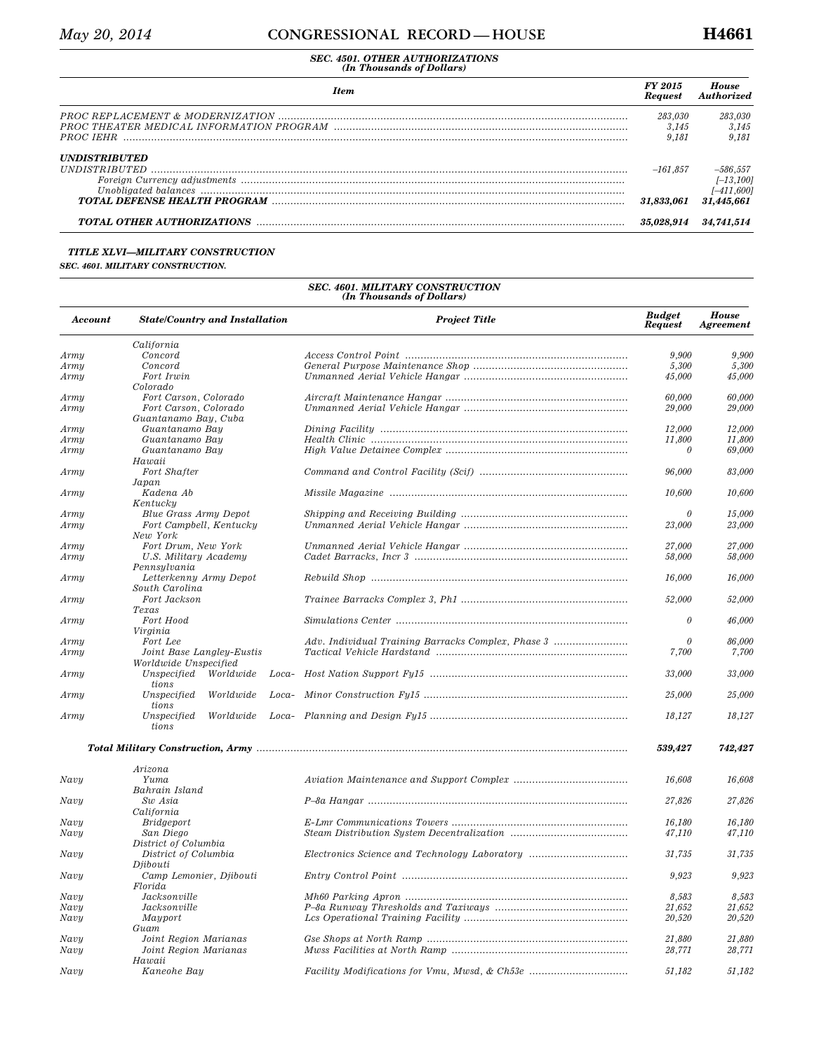| <b>Item</b>                                                                                                                                                                                                                                                                                                                                                         | FY 2015<br><b>Request</b> | <b>House</b><br>Authorized |
|---------------------------------------------------------------------------------------------------------------------------------------------------------------------------------------------------------------------------------------------------------------------------------------------------------------------------------------------------------------------|---------------------------|----------------------------|
|                                                                                                                                                                                                                                                                                                                                                                     | 283,030                   | 283,030                    |
|                                                                                                                                                                                                                                                                                                                                                                     | 3.145<br>9.181            | 3.145<br>9.181             |
| <i><b>UNDISTRIBUTED</b></i>                                                                                                                                                                                                                                                                                                                                         |                           |                            |
|                                                                                                                                                                                                                                                                                                                                                                     | $-161.857$                | $-586,557$                 |
| $\emph{ Foreign Current } { \emph{Current } {\color{black} g}}~ \emph{any}~ \emph{djustments}~ \emph{}~~ \emph{}~~ \emph{}~~ \emph{}~~ \emph{}~~ \emph{}~~ \emph{}~~ \emph{}~~ \emph{}~~ \emph{}~~ \emph{}~~ \emph{}~~ \emph{}~~ \emph{}~~ \emph{}~~ \emph{}~~ \emph{}~~ \emph{}~~ \emph{}~~ \emph{}~~ \emph{}~~ \emph{}~~ \emph{}~~ \emph{}~~ \emph{}~~ \emph{}~~$ |                           | $[-13, 100]$               |
|                                                                                                                                                                                                                                                                                                                                                                     |                           | $[-411, 600]$              |
|                                                                                                                                                                                                                                                                                                                                                                     | 31,833,061                | 31,445,661                 |
| TOTAL OTHER AUTHORIZATIONS MARKET AND RESERVE TOTAL OTHER AUTHORIZATIONS                                                                                                                                                                                                                                                                                            | 35.028.914                | 34.741.514                 |

#### *TITLE XLVI—MILITARY CONSTRUCTION*

#### *SEC. 4601. MILITARY CONSTRUCTION.*

| <b>Account</b> | <b>State/Country and Installation</b> | <b>Project Title</b>                               | <b>Budget</b><br><b>Request</b> | <b>House</b><br><b>Agreement</b> |
|----------------|---------------------------------------|----------------------------------------------------|---------------------------------|----------------------------------|
|                | California                            |                                                    |                                 |                                  |
| Army           | Concord                               |                                                    | 9.900                           | 9,900                            |
| Army           | Concord                               |                                                    | 5,300                           | 5,300                            |
| Army           | Fort Irwin                            |                                                    | 45,000                          | 45,000                           |
|                | Colorado                              |                                                    |                                 |                                  |
| Army           | Fort Carson, Colorado                 |                                                    | 60,000                          | 60,000                           |
| Army           | Fort Carson, Colorado                 |                                                    | 29,000                          | 29,000                           |
|                | Guantanamo Bay, Cuba                  |                                                    |                                 |                                  |
| Army           | Guantanamo Bay                        |                                                    | 12,000                          | 12,000                           |
| Army           | Guantanamo Bay                        |                                                    | 11,800                          | 11,800                           |
| Army           | Guantanamo Bay                        |                                                    | 0                               | 69,000                           |
|                | Hawaii                                |                                                    |                                 |                                  |
| Army           | Fort Shafter                          |                                                    | 96,000                          | 83,000                           |
|                | Japan                                 |                                                    |                                 |                                  |
| Army           | Kadena Ab                             |                                                    | 10,600                          | 10,600                           |
|                | Kentucky                              |                                                    |                                 |                                  |
| Army           | Blue Grass Army Depot                 |                                                    | $\theta$                        | 15.000                           |
| Army           | Fort Campbell, Kentucky               |                                                    | 23,000                          | 23,000                           |
|                | New York                              |                                                    |                                 |                                  |
| Army           | Fort Drum, New York                   |                                                    | 27.000                          | 27,000                           |
| Army           | U.S. Military Academy                 |                                                    | 58,000                          | 58,000                           |
|                |                                       |                                                    |                                 |                                  |
|                | Pennsylvania                          |                                                    |                                 |                                  |
| Army           | Letterkenny Army Depot                |                                                    | 16,000                          | 16,000                           |
|                | South Carolina                        |                                                    |                                 |                                  |
| Army           | Fort Jackson                          |                                                    | 52,000                          | 52,000                           |
|                | Texas                                 |                                                    |                                 |                                  |
| Army           | Fort Hood                             |                                                    | $\it{0}$                        | 46,000                           |
|                | Virginia                              |                                                    |                                 |                                  |
| Army           | Fort Lee                              | Adv. Individual Training Barracks Complex, Phase 3 |                                 | 86,000                           |
| Army           | Joint Base Langley-Eustis             |                                                    | 7,700                           | 7,700                            |
|                | Worldwide Unspecified                 |                                                    |                                 |                                  |
| Army           | Unspecified<br>Worldwide              | Loca-                                              | 33,000                          | 33,000                           |
|                | tions                                 |                                                    |                                 |                                  |
| Army           | Unspecified<br>Worldwide              |                                                    | 25,000                          | 25,000                           |
|                | tions                                 |                                                    |                                 |                                  |
| Army           | Unspecified<br>Worldwide              |                                                    | 18,127                          | 18,127                           |
|                | tions                                 |                                                    |                                 |                                  |
|                |                                       |                                                    | 539,427                         | 742,427                          |
|                | Arizona                               |                                                    |                                 |                                  |
| Navy           | Yuma                                  |                                                    | 16,608                          | 16,608                           |
|                | Bahrain Island                        |                                                    |                                 |                                  |
| Navy           | Sw Asia                               |                                                    | 27,826                          | 27,826                           |
|                | California                            |                                                    |                                 |                                  |
| Navy           | <i>Bridgeport</i>                     |                                                    | 16,180                          | 16,180                           |
|                | San Diego                             |                                                    | 47,110                          | 47,110                           |
| Navy           |                                       |                                                    |                                 |                                  |
|                | District of Columbia                  |                                                    |                                 |                                  |
| Navy           | District of Columbia                  | Electronics Science and Technology Laboratory      | 31,735                          | 31,735                           |
|                | Djibouti                              |                                                    |                                 |                                  |
| Navy           | Camp Lemonier, Djibouti               |                                                    | 9,923                           | 9,923                            |
|                | Florida                               |                                                    |                                 |                                  |
| Navy           | Jacksonville                          |                                                    | 8,583                           | 8,583                            |
| Navy           | Jacksonville                          |                                                    | 21,652                          | 21,652                           |
| Navy           | Mayport                               |                                                    | 20,520                          | 20,520                           |
|                | Guam                                  |                                                    |                                 |                                  |
| Navy           | Joint Region Marianas                 |                                                    | 21,880                          | 21,880                           |
| Navy           | Joint Region Marianas                 |                                                    | 28,771                          | 28.771                           |
|                | Hawaii                                |                                                    |                                 |                                  |
| Navy           | Kaneohe Bay                           | Facility Modifications for Vmu, Mwsd, & Ch53e      | 51,182                          | 51,182                           |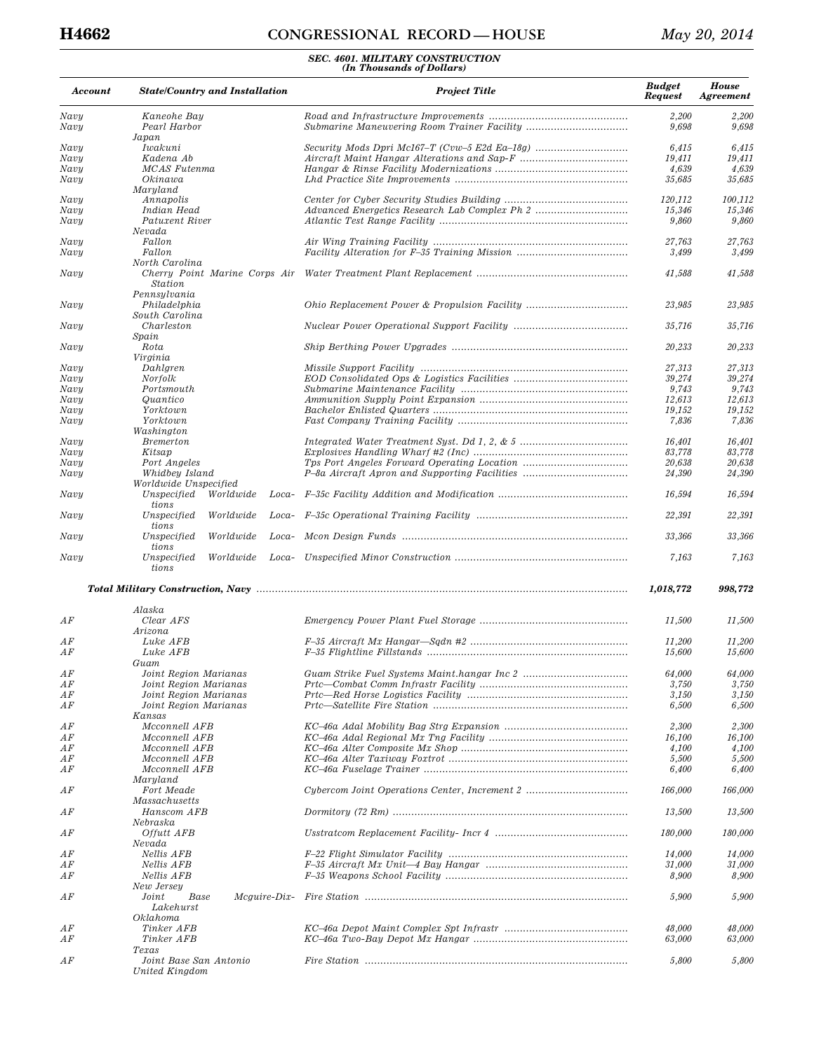# **H4662 CONGRESSIONAL RECORD — HOUSE** *May 20, 2014*

| Account        | <b>State/Country and Installation</b>                           | <b>Project Title</b>                                                                                                 | <b>Budget</b><br><b>Request</b> | <b>House</b><br><b>Agreement</b> |
|----------------|-----------------------------------------------------------------|----------------------------------------------------------------------------------------------------------------------|---------------------------------|----------------------------------|
| Navy           | Kaneohe Bay                                                     |                                                                                                                      | 2,200                           | 2,200                            |
| Navy           | Pearl Harbor                                                    |                                                                                                                      | 9,698                           | 9,698                            |
|                | Japan                                                           |                                                                                                                      |                                 |                                  |
| Navy           | Iwakuni                                                         |                                                                                                                      | 6,415                           | 6,415                            |
| Navy<br>Navy   | Kadena Ab<br>MCAS Futenma                                       |                                                                                                                      | 19,411<br>4,639                 | 19,411<br>4,639                  |
| Navy           | Okinawa                                                         |                                                                                                                      | 35,685                          | 35,685                           |
|                | Maryland                                                        |                                                                                                                      |                                 |                                  |
| Navy           | Annapolis                                                       |                                                                                                                      | 120,112                         | 100,112                          |
| Navy           | Indian Head                                                     |                                                                                                                      | 15,346                          | 15,346                           |
| Navy           | Patuxent River                                                  |                                                                                                                      | 9,860                           | 9,860                            |
|                | Nevada<br>Fallon                                                |                                                                                                                      |                                 |                                  |
| Navy<br>Navy   | Fallon                                                          |                                                                                                                      | 27,763<br>3,499                 | 27,763<br>3,499                  |
|                | North Carolina                                                  |                                                                                                                      |                                 |                                  |
| Navy           | Cherry Point Marine Corps Air<br><b>Station</b><br>Pennsylvania |                                                                                                                      | 41,588                          | 41,588                           |
| Navy           | Philadelphia                                                    |                                                                                                                      | 23,985                          | 23,985                           |
| Navy           | South Carolina<br>Charleston                                    |                                                                                                                      | 35,716                          | 35,716                           |
| Navy           | Spain<br>Rota                                                   |                                                                                                                      | 20,233                          | 20,233                           |
|                | Virginia                                                        |                                                                                                                      |                                 |                                  |
| Navy           | Dahlgren                                                        |                                                                                                                      | 27,313                          | 27,313                           |
| Navy<br>Navy   | Norfolk<br>Portsmouth                                           |                                                                                                                      | 39,274<br>9,743                 | 39,274<br>9,743                  |
| Navy           | Quantico                                                        |                                                                                                                      | 12,613                          | 12,613                           |
| Navy           | Yorktown                                                        |                                                                                                                      | 19,152                          | 19,152                           |
| Navy           | Yorktown                                                        |                                                                                                                      | 7,836                           | 7,836                            |
|                | Washington                                                      |                                                                                                                      |                                 |                                  |
| Navy           | <b>Bremerton</b>                                                |                                                                                                                      | 16,401                          | 16.401                           |
| Navy           | Kitsap                                                          |                                                                                                                      | 83,778                          | 83,778                           |
| Navy<br>Navy   | Port Angeles<br>Whidbey Island                                  | P-8a Aircraft Apron and Supporting Facilities                                                                        | 20,638<br>24,390                | 20,638<br>24,390                 |
|                | Worldwide Unspecified                                           |                                                                                                                      |                                 |                                  |
| Navy           | Unspecified<br>Worldwide<br>Loca-<br>tions                      |                                                                                                                      | 16,594                          | 16,594                           |
| Navy           | Unspecified<br>Worldwide<br>Loca-<br>tions                      |                                                                                                                      | 22,391                          | 22,391                           |
| Navy           | Worldwide<br>Unspecified<br>Loca-<br>tions                      |                                                                                                                      | 33,366                          | 33,366                           |
| Navy           | Unspecified<br>Worldwide<br>tions                               |                                                                                                                      | 7,163                           | 7,163                            |
|                |                                                                 |                                                                                                                      | 1,018,772                       | 998,772                          |
|                | Alaska                                                          |                                                                                                                      |                                 |                                  |
| ΑF             | Clear AFS<br>Arizona                                            |                                                                                                                      | 11,500                          | 11,500                           |
| AF             | Luke AFB                                                        |                                                                                                                      | 11,200                          | 11,200                           |
| ΑF             | Luke AFB                                                        |                                                                                                                      | 15,600                          | 15,600                           |
|                | Guam                                                            |                                                                                                                      |                                 |                                  |
| AF             | Joint Region Marianas                                           |                                                                                                                      | $64,\!000$                      | $64,\!000$                       |
| ΑF             | Joint Region Marianas                                           |                                                                                                                      | 3,750                           | 3,750                            |
| AF             | Joint Region Marianas                                           |                                                                                                                      | 3,150                           | 3,150                            |
| ΑF             | Joint Region Marianas<br>Kansas                                 |                                                                                                                      | 6,500                           | 6,500                            |
| $\mathbb{A} F$ | Mcconnell AFB                                                   |                                                                                                                      | 2,300                           | 2,300                            |
| ΑF<br>ΑF       | Mcconnell AFB<br>Mcconnell AFB                                  |                                                                                                                      | 16,100                          | 16,100                           |
| AF             | Mcconnell AFB                                                   |                                                                                                                      | 4,100<br>5,500                  | 4,100<br>5,500                   |
| ΑF             | Mcconnell AFB<br>Maryland                                       |                                                                                                                      | 6,400                           | 6,400                            |
| ΑF             | Fort Meade<br>Massachusetts                                     |                                                                                                                      | 166,000                         | 166,000                          |
| ΑF             | Hanscom AFB<br>Nebraska                                         |                                                                                                                      | 13,500                          | 13,500                           |
| ΑF             | <i><b>Offutt AFB</b></i>                                        |                                                                                                                      | 180,000                         | 180,000                          |
| ΑF             | Nevada<br>Nellis AFB                                            |                                                                                                                      | 14,000                          | 14,000                           |
| ΑF             | Nellis AFB                                                      |                                                                                                                      | 31,000                          | 31,000                           |
| ΑF             | Nellis AFB                                                      |                                                                                                                      | 8,900                           | 8,900                            |
|                | New Jersey                                                      |                                                                                                                      |                                 |                                  |
| ΑF             | Joint<br>Base<br>Lakehurst                                      |                                                                                                                      | 5,900                           | 5,900                            |
|                | Oklahoma                                                        |                                                                                                                      |                                 |                                  |
| ΑF<br>ΑF       | Tinker AFB<br>Tinker AFB                                        | $KC-46a Two-Bay Depot Mx Hangar  \dots  \dots  \dots  \dots  \dots  \dots  \dots  \dots  \dots  \dots  \dots  \dots$ | 48,000<br>63,000                | 48,000<br>63,000                 |
| ΑF             | Texas<br>Joint Base San Antonio<br>United Kingdom               |                                                                                                                      | 5,800                           | 5,800                            |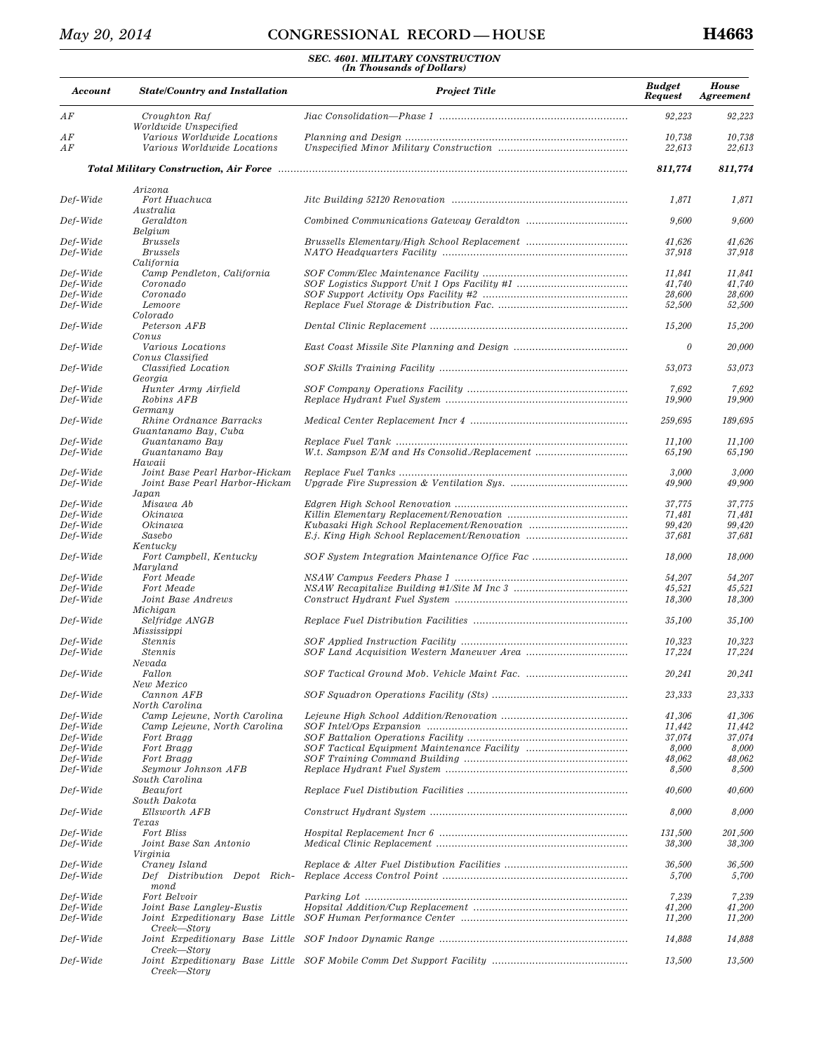| Account              | <b>State/Country and Installation</b>                            | <b>Project Title</b>                          | <b>Budget</b><br><b>Request</b> | <b>House</b><br><b>Agreement</b> |
|----------------------|------------------------------------------------------------------|-----------------------------------------------|---------------------------------|----------------------------------|
| $\mathbb{A} F$       | Croughton Raf<br>Worldwide Unspecified                           |                                               | 92,223                          | 92,223                           |
| AF<br>AF             | Various Worldwide Locations<br>Various Worldwide Locations       |                                               | 10,738<br>22,613                | 10,738<br>22,613                 |
|                      |                                                                  |                                               | 811,774                         | 811,774                          |
| Def-Wide             | Arizona<br>Fort Huachuca                                         |                                               | 1,871                           | 1,871                            |
| Def-Wide             | Australia<br>Geraldton                                           |                                               | 9,600                           | 9,600                            |
|                      | Belgium                                                          |                                               |                                 |                                  |
| Def-Wide<br>Def-Wide | <b>Brussels</b><br><b>Brussels</b><br>California                 | Brussells Elementary/High School Replacement  | 41,626<br>37,918                | 41,626<br>37,918                 |
| Def-Wide             | Camp Pendleton, California                                       |                                               | 11,841                          | 11,841                           |
| Def-Wide             | Coronado                                                         |                                               | 41,740                          | 41,740                           |
| Def-Wide             | Coronado                                                         |                                               | 28,600                          | 28,600                           |
| Def-Wide             | Lemoore<br>Colorado                                              |                                               | 52,500                          | 52,500                           |
| Def-Wide             | Peterson AFB<br>Conus                                            |                                               | 15,200                          | 15,200                           |
| Def-Wide             | Various Locations<br>Conus Classified                            |                                               | 0                               | 20,000                           |
| Def-Wide             | Classified Location<br>Georgia                                   |                                               | 53,073                          | 53,073                           |
| Def-Wide             | Hunter Army Airfield                                             |                                               | 7,692                           | 7,692                            |
| Def-Wide             | Robins AFB<br>Germany                                            |                                               | 19,900                          | 19,900                           |
| Def-Wide             | Rhine Ordnance Barracks<br>Guantanamo Bay, Cuba                  |                                               | 259,695                         | 189,695                          |
| Def-Wide<br>Def-Wide | Guantanamo Bay<br>Guantanamo Bay                                 | W.t. Sampson E/M and Hs Consolid./Replacement | 11,100<br>65,190                | 11,100<br>65,190                 |
|                      | Hawaii                                                           |                                               |                                 |                                  |
| Def-Wide<br>Def-Wide | Joint Base Pearl Harbor-Hickam<br>Joint Base Pearl Harbor-Hickam |                                               | 3,000<br>49,900                 | 3,000<br>49,900                  |
|                      | Japan                                                            |                                               |                                 |                                  |
| Def-Wide             | Misawa Ab                                                        |                                               | 37,775                          | 37,775                           |
| Def-Wide<br>Def-Wide | Okinawa<br>Okinawa                                               |                                               | 71,481<br>99,420                | 71,481<br>99,420                 |
| Def-Wide             | Sasebo                                                           |                                               | 37,681                          | 37,681                           |
| Def-Wide             | Kentucky<br>Fort Campbell, Kentucky                              |                                               | 18,000                          | 18,000                           |
| Def-Wide             | Maryland<br>Fort Meade                                           |                                               | 54,207                          | 54,207                           |
| Def-Wide             | Fort Meade                                                       |                                               | 45,521                          | 45,521                           |
| Def-Wide             | Joint Base Andrews                                               |                                               | 18,300                          | 18,300                           |
| Def-Wide             | Michigan<br>Selfridge ANGB                                       |                                               | 35,100                          | 35,100                           |
|                      | Mississippi                                                      |                                               |                                 |                                  |
| Def-Wide<br>Def-Wide | <b>Stennis</b><br><b>Stennis</b>                                 |                                               | 10,323<br>17,224                | 10,323<br>17,224                 |
|                      | Nevada                                                           |                                               |                                 |                                  |
| $Def-Wide$           | Fallon<br>New Mexico                                             |                                               | $20,\!241$                      | $20,\!241$                       |
| Def-Wide             | Cannon AFB<br>North Carolina                                     |                                               | 23,333                          | 23,333                           |
| Def-Wide             | Camp Lejeune, North Carolina                                     |                                               | 41,306                          | 41,306                           |
| Def-Wide             | Camp Lejeune, North Carolina                                     |                                               | 11,442                          | 11,442                           |
| Def-Wide             | Fort Bragg                                                       |                                               | 37,074                          | 37,074                           |
| Def-Wide             | Fort Bragg                                                       |                                               | 8,000                           | 8,000                            |
| Def-Wide<br>Def-Wide | Fort Bragg<br>Seymour Johnson AFB<br>South Carolina              |                                               | 48,062<br>8,500                 | 48,062<br>8,500                  |
| Def-Wide             | Beaufort<br>South Dakota                                         |                                               | 40,600                          | 40,600                           |
| Def-Wide             | Ellsworth AFB                                                    |                                               | 8,000                           | 8,000                            |
| Def-Wide             | Texas<br>Fort Bliss                                              |                                               | 131,500                         | 201,500                          |
| Def-Wide             | Joint Base San Antonio<br>Virginia                               |                                               | 38,300                          | 38,300                           |
| Def-Wide             | Craney Island                                                    |                                               | 36,500                          | 36,500                           |
| Def-Wide             | Def Distribution Depot Rich-<br>mond                             |                                               | 5,700                           | 5,700                            |
| Def-Wide             | Fort Belvoir                                                     |                                               | 7,239                           | 7,239                            |
| Def-Wide<br>Def-Wide | Joint Base Langley-Eustis<br>Joint Expeditionary Base Little     |                                               | 41,200<br>11,200                | 41,200<br>11,200                 |
| Def-Wide             | Creek—Story                                                      |                                               | 14,888                          | 14,888                           |
| Def-Wide             | Creek—Story<br>Creek—Story                                       |                                               | 13,500                          | 13,500                           |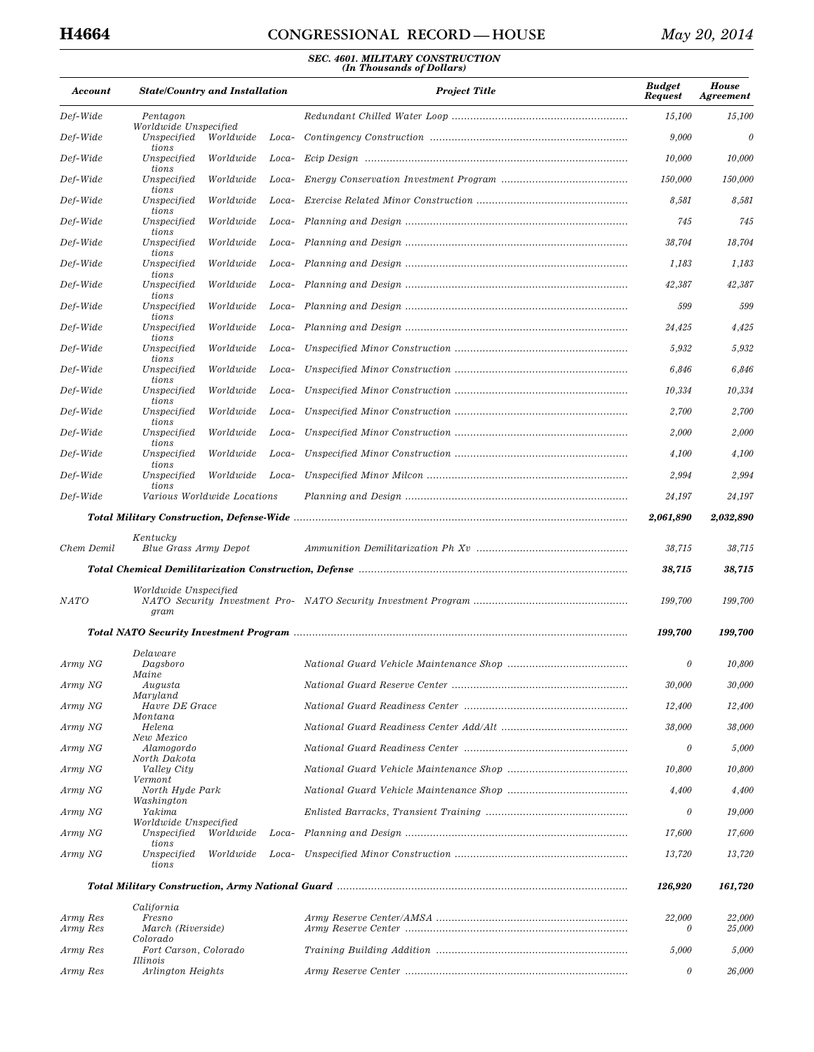# **H4664 CONGRESSIONAL RECORD — HOUSE** *May 20, 2014*

| Account     | <b>State/Country and Installation</b>             |       | <b>Project Title</b> | <b>Budget</b><br><b>Request</b> | <b>House</b><br><i><b>Agreement</b></i> |
|-------------|---------------------------------------------------|-------|----------------------|---------------------------------|-----------------------------------------|
| Def-Wide    | Pentagon<br>Worldwide Unspecified                 |       |                      | 15,100                          | 15,100                                  |
| Def-Wide    | Unspecified<br>Worldwide<br>tions                 | Loca- |                      | 9,000                           | $\theta$                                |
| Def-Wide    | Unspecified<br>Worldwide                          | Loca- |                      | 10,000                          | 10,000                                  |
| Def-Wide    | tions<br>Unspecified<br>Worldwide                 | Loca- |                      | 150,000                         | 150,000                                 |
| Def-Wide    | tions<br>Unspecified<br>Worldwide                 | Loca- |                      | 8,581                           | 8,581                                   |
| Def-Wide    | tions<br>Unspecified<br>Worldwide                 | Loca- |                      | 745                             | 745                                     |
| Def-Wide    | tions<br>Unspecified<br>Worldwide                 | Loca- |                      | 38,704                          | 18,704                                  |
| Def-Wide    | tions<br>Unspecified<br>Worldwide                 | Loca- |                      | 1,183                           | 1,183                                   |
| Def-Wide    | tions<br>Unspecified<br>Worldwide                 | Loca- |                      | 42,387                          | 42,387                                  |
| Def-Wide    | tions<br>Unspecified<br>Worldwide                 | Loca- |                      | 599                             | 599                                     |
| Def-Wide    | tions<br>Unspecified<br>Worldwide                 | Loca- |                      | 24,425                          | 4,425                                   |
| Def-Wide    | tions<br>Unspecified<br>Worldwide                 | Loca- |                      | 5,932                           | 5,932                                   |
| Def-Wide    | tions<br>Unspecified<br>Worldwide                 | Loca- |                      | 6,846                           | 6,846                                   |
| Def-Wide    | tions<br>Unspecified<br>Worldwide                 | Loca- |                      | 10,334                          | 10,334                                  |
| Def-Wide    | tions<br>Unspecified<br>Worldwide                 | Loca- |                      | 2,700                           | 2,700                                   |
| Def-Wide    | tions<br>Unspecified<br>Worldwide                 | Loca- |                      | 2,000                           | 2,000                                   |
| Def-Wide    | tions<br>Unspecified<br>Worldwide                 | Loca- |                      | 4,100                           | 4,100                                   |
| Def-Wide    | tions<br>Unspecified<br>Worldwide                 | Loca- |                      | 2,994                           | 2,994                                   |
| Def-Wide    | tions<br>Various Worldwide Locations              |       |                      | 24,197                          | 24,197                                  |
|             |                                                   |       |                      | 2,061,890                       | 2,032,890                               |
|             | Kentucky                                          |       |                      |                                 |                                         |
| Chem Demil  | Blue Grass Army Depot                             |       |                      | 38,715                          | 38,715                                  |
|             |                                                   |       |                      | 38,715                          | 38,715                                  |
| <b>NATO</b> | Worldwide Unspecified<br>gram                     |       |                      | 199,700                         | 199,700                                 |
|             |                                                   |       |                      | 199,700                         | 199,700                                 |
| Army NG     | Delaware<br>Dagsboro                              |       |                      | 0                               | 10,800                                  |
| Army NG     | Maine<br>Augusta                                  |       |                      | 30,000                          | 30,000                                  |
| Army NG     | Maryland<br>Havre DE Grace                        |       |                      | 12,400                          | 12,400                                  |
| Army NG     | Montana<br>Helena                                 |       |                      | 38,000                          | 38,000                                  |
| Army NG     | New Mexico<br>Alamogordo                          |       |                      | $\theta$                        | 5,000                                   |
| Army NG     | North Dakota<br>Valley City                       |       |                      | 10,800                          | 10,800                                  |
| Army NG     | Vermont<br>North Hyde Park                        |       |                      | 4,400                           | 4,400                                   |
| Army NG     | Washington<br>Yakima                              |       |                      | 0                               | 19,000                                  |
| Army NG     | Worldwide Unspecified<br>Unspecified<br>Worldwide | Loca- |                      | 17,600                          | 17,600                                  |
|             | tions                                             | Loca- |                      |                                 |                                         |
| Army NG     | Unspecified<br>Worldwide<br>tions                 |       |                      | 13,720                          | 13,720                                  |
|             |                                                   |       |                      | 126,920                         | 161,720                                 |
| Army Res    | California<br>Fresno                              |       |                      | 22,000                          | 22,000                                  |
| Army Res    | March (Riverside)<br>Colorado                     |       |                      | $\theta$                        | 25,000                                  |
| Army Res    | Fort Carson, Colorado<br>Illinois                 |       |                      | 5,000                           | 5,000                                   |
| Army Res    | Arlington Heights                                 |       |                      | 0                               | 26,000                                  |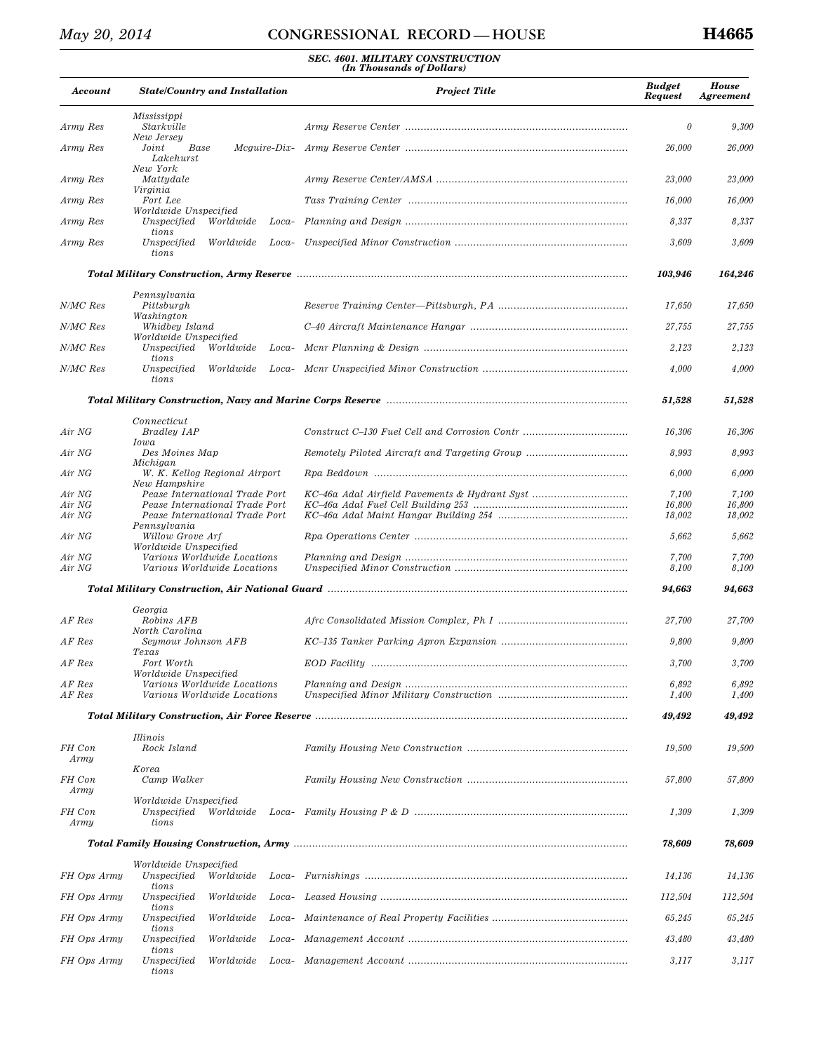| Account          | <b>State/Country and Installation</b>                            |       | <b>Project Title</b>                                                                                           | <b>Budget</b><br><b>Request</b> | <b>House</b><br><b>Agreement</b> |
|------------------|------------------------------------------------------------------|-------|----------------------------------------------------------------------------------------------------------------|---------------------------------|----------------------------------|
| Army Res         | Mississippi<br>Starkville                                        |       |                                                                                                                | $\theta$                        | 9,300                            |
| Army Res         | New Jersey<br>Joint<br>Base<br>Mcauire-Dix-<br>Lakehurst         |       |                                                                                                                | 26,000                          | 26,000                           |
| Army Res         | New York<br>Mattydale<br>Virginia                                |       |                                                                                                                | 23,000                          | 23,000                           |
| Army Res         | Fort Lee                                                         |       |                                                                                                                | 16,000                          | 16,000                           |
| Army Res         | Worldwide Unspecified<br>Unspecified<br>Worldwide                | Loca- |                                                                                                                | 8,337                           | 8,337                            |
| Army Res         | tions<br>Unspecified<br>Worldwide<br>tions                       |       |                                                                                                                | 3,609                           | 3,609                            |
|                  |                                                                  |       |                                                                                                                | 103,946                         | 164,246                          |
| N/MC Res         | Pennsylvania                                                     |       |                                                                                                                |                                 |                                  |
|                  | Pittsburgh<br>Washington                                         |       |                                                                                                                | 17,650                          | 17,650                           |
| N/MC Res         | Whidbey Island<br>Worldwide Unspecified                          |       |                                                                                                                | 27,755                          | 27,755                           |
| N/MC Res         | Unspecified<br>Worldwide<br>tions                                | Loca- |                                                                                                                | 2,123                           | 2,123                            |
| N/MC Res         | Unspecified<br>Worldwide<br>tions                                |       |                                                                                                                | 4,000                           | 4,000                            |
|                  |                                                                  |       |                                                                                                                | 51,528                          | 51,528                           |
| Air NG           | Connecticut<br>Bradley IAP                                       |       |                                                                                                                | 16,306                          | 16,306                           |
| Air NG           | Iowa<br>Des Moines Map                                           |       |                                                                                                                | 8,993                           | 8,993                            |
| Air NG           | Michigan<br>W. K. Kellog Regional Airport<br>New Hampshire       |       |                                                                                                                | 6,000                           | 6,000                            |
| Air NG           | Pease International Trade Port                                   |       | KC-46a Adal Airfield Pavements & Hydrant Syst                                                                  | 7,100                           | 7,100                            |
| Air NG<br>Air NG | Pease International Trade Port<br>Pease International Trade Port |       |                                                                                                                | 16,800<br>18,002                | 16,800<br>18,002                 |
| Air NG           | Pennsylvania<br>Willow Grove Arf<br>Worldwide Unspecified        |       |                                                                                                                | 5,662                           | 5,662                            |
| Air NG<br>Air NG | Various Worldwide Locations<br>Various Worldwide Locations       |       |                                                                                                                | 7,700<br>8,100                  | 7,700<br>8,100                   |
|                  |                                                                  |       | Total Military Construction, Air National Guard manumental continuum continuum construction of the Total Const | 94,663                          | 94,663                           |
|                  | Georgia                                                          |       |                                                                                                                |                                 |                                  |
| AF Res           | Robins AFB<br>North Carolina                                     |       |                                                                                                                | 27,700                          | 27,700                           |
| AF Res           | Seymour Johnson AFB<br>Texas                                     |       |                                                                                                                | 9,800                           | 9,800                            |
| AF Res           | Fort Worth<br>Worldwide Unspecified                              |       |                                                                                                                | 3,700                           | 3,700                            |
| AF Res<br>AF Res | Various Worldwide Locations<br>Various Worldwide Locations       |       |                                                                                                                | 6,892<br>1,400                  | 6,892<br>1,400                   |
|                  |                                                                  |       |                                                                                                                | 49,492                          | 49,492                           |
| FH Con           | <i>Illinois</i><br>Rock Island                                   |       |                                                                                                                | 19,500                          | 19,500                           |
| Army             | Korea                                                            |       |                                                                                                                |                                 |                                  |
| FH Con<br>Army   | Camp Walker                                                      |       |                                                                                                                | 57,800                          | 57,800                           |
| FH Con<br>Army   | Worldwide Unspecified<br>Unspecified<br>Worldwide<br>tions       |       |                                                                                                                | 1,309                           | 1,309                            |
|                  |                                                                  |       |                                                                                                                | 78,609                          | 78,609                           |
| FH Ops Army      | Worldwide Unspecified<br>Unspecified<br>Worldwide                |       |                                                                                                                | 14,136                          | 14,136                           |
| FH Ops Army      | tions<br>Unspecified<br>Worldwide                                | Loca- |                                                                                                                | 112,504                         | 112,504                          |
| FH Ops Army      | tions<br>Unspecified<br>Worldwide                                | Loca- |                                                                                                                | 65,245                          | 65,245                           |
| FH Ops Army      | tions<br>Unspecified<br>Worldwide                                | Loca- |                                                                                                                | 43,480                          | 43,480                           |
| FH Ops Army      | tions<br>Unspecified<br>Worldwide                                | Loca- |                                                                                                                | 3,117                           | 3,117                            |
|                  | tions                                                            |       |                                                                                                                |                                 |                                  |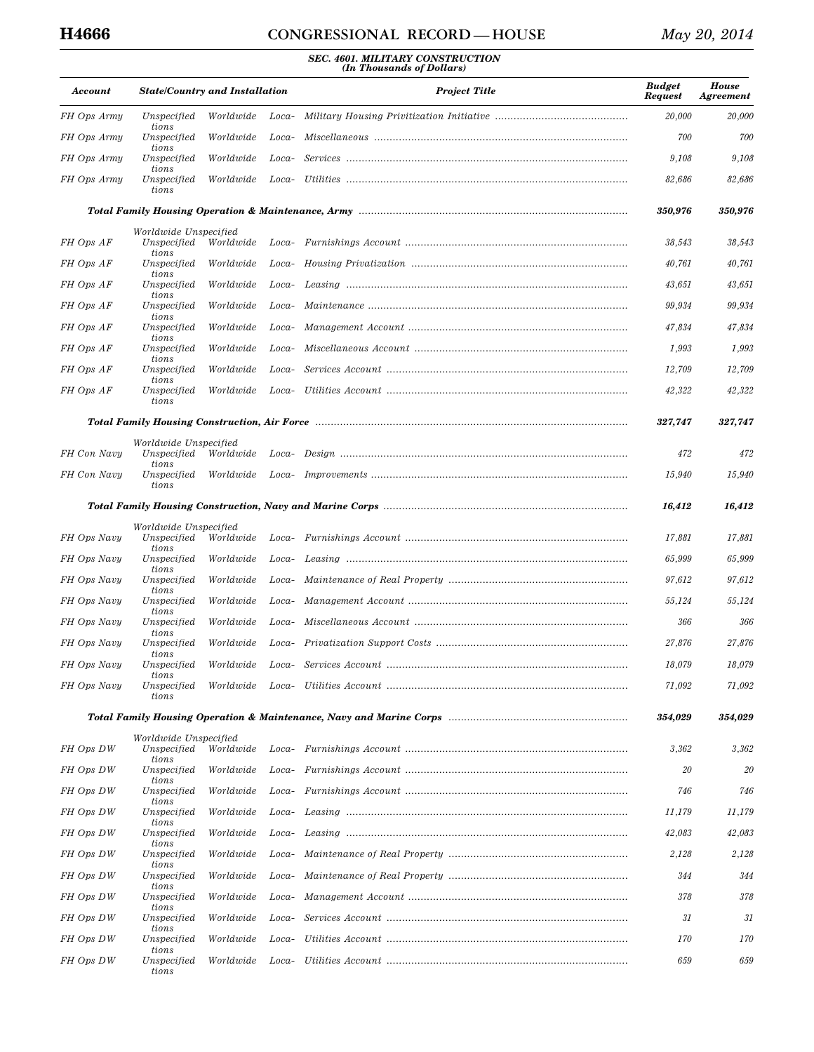| Account     | <b>State/Country and Installation</b>         |           |       | <b>Project Title</b> | <b>Budget</b><br>Request | <b>House</b><br>Agreement |
|-------------|-----------------------------------------------|-----------|-------|----------------------|--------------------------|---------------------------|
| FH Ops Army | Unspecified                                   | Worldwide | Loca- |                      | 20,000                   | 20,000                    |
| FH Ops Army | tions<br>Unspecified<br>tions                 | Worldwide | Loca- |                      | 700                      | 700                       |
| FH Ops Army | Unspecified<br>tions                          | Worldwide | Loca- |                      | 9,108                    | 9,108                     |
| FH Ops Army | Unspecified<br>tions                          | Worldwide | Loca- |                      | 82,686                   | 82,686                    |
|             |                                               |           |       |                      | 350,976                  | 350,976                   |
| FH Ops AF   | Worldwide Unspecified<br>Unspecified          | Worldwide |       |                      | 38,543                   | 38,543                    |
| FH Ops AF   | tions<br>Unspecified                          | Worldwide | Loca- |                      | 40,761                   | 40,761                    |
| FH Ops AF   | tions<br>Unspecified                          | Worldwide | Loca- |                      | 43,651                   | 43,651                    |
| FH Ops AF   | tions<br>Unspecified                          | Worldwide | Loca- |                      | 99,934                   | 99,934                    |
| FH Ops AF   | tions<br>Unspecified                          | Worldwide | Loca- |                      | 47,834                   | 47,834                    |
| FH Ops AF   | tions<br>Unspecified                          | Worldwide | Loca- |                      | 1,993                    | 1,993                     |
| FH Ops AF   | tions<br>Unspecified                          | Worldwide | Loca- |                      | 12,709                   | 12,709                    |
| FH Ops AF   | tions<br>Unspecified                          | Worldwide | Loca- |                      | 42,322                   | 42,322                    |
|             | tions                                         |           |       |                      |                          |                           |
|             |                                               |           |       |                      | 327,747                  | 327,747                   |
| FH Con Navy | Worldwide Unspecified<br>Unspecified          | Worldwide |       |                      | 472                      | 472                       |
| FH Con Navy | tions<br>Unspecified                          | Worldwide |       |                      | 15,940                   | 15,940                    |
|             | tions                                         |           |       |                      |                          |                           |
|             |                                               |           |       |                      | 16,412                   | 16,412                    |
| FH Ops Navy | Worldwide Unspecified<br>Unspecified<br>tions | Worldwide |       |                      | 17,881                   | 17,881                    |
| FH Ops Navy | Unspecified                                   | Worldwide | Loca- |                      | 65,999                   | 65,999                    |
| FH Ops Navy | tions<br>Unspecified                          | Worldwide | Loca- |                      | 97,612                   | 97,612                    |
| FH Ops Navy | tions<br>Unspecified                          | Worldwide | Loca- |                      | 55,124                   | 55,124                    |
| FH Ops Navy | tions<br>Unspecified                          | Worldwide | Loca- |                      | 366                      | 366                       |
| FH Ops Navy | tions<br>Unspecified                          | Worldwide | Loca- |                      | 27,876                   | 27,876                    |
| FH Ops Navy | tions<br>Unspecified                          | Worldwide | Loca- |                      | 18,079                   | 18,079                    |
| FH Ops Navy | tions<br>Unspecified<br>tions                 | Worldwide |       |                      | 71,092                   | 71,092                    |
|             |                                               |           |       |                      | 354,029                  | 354,029                   |
| FH Ops DW   | Worldwide Unspecified<br>Unspecified          | Worldwide |       |                      | 3,362                    | 3,362                     |
| FH Ops DW   | tions<br>Unspecified                          | Worldwide | Loca- |                      | 20                       | 20                        |
| FH Ops DW   | tions<br>Unspecified                          | Worldwide | Loca- |                      | 746                      | 746                       |
| FH Ops DW   | tions<br>Unspecified                          | Worldwide | Loca- |                      | 11,179                   | 11,179                    |
| FH Ops DW   | tions<br>Unspecified                          | Worldwide | Loca- |                      | 42,083                   | 42,083                    |
| FH Ops DW   | tions<br>Unspecified                          | Worldwide | Loca- |                      | 2,128                    | 2,128                     |
| FH Ops DW   | tions<br>Unspecified                          | Worldwide | Loca- |                      | 344                      | 344                       |
| FH Ops DW   | tions<br>Unspecified                          | Worldwide | Loca- |                      | 378                      | 378                       |
| FH Ops DW   | tions<br>Unspecified                          | Worldwide | Loca- |                      | 31                       | 31                        |
| FH Ops DW   | tions<br>Unspecified                          | Worldwide | Loca- |                      | 170                      | <i>170</i>                |
| FH Ops DW   | tions<br>Unspecified<br>tions                 | Worldwide | Loca- |                      | 659                      | 659                       |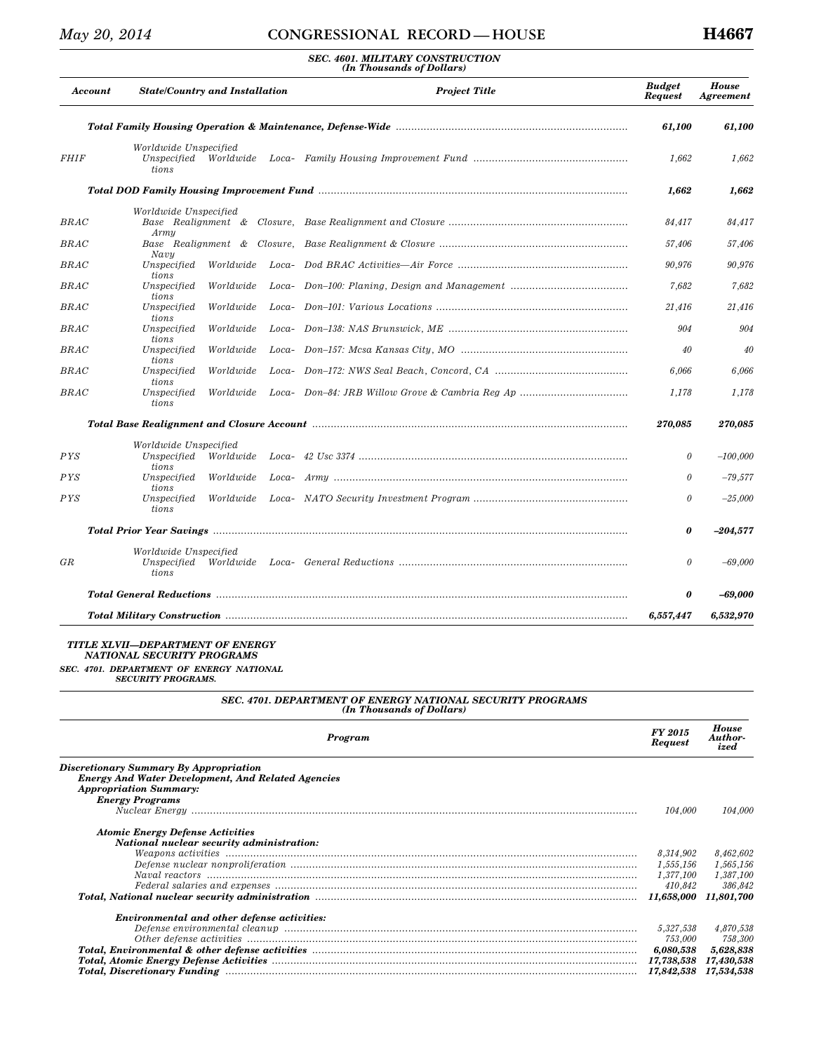### *SEC. 4601. MILITARY CONSTRUCTION (In Thousands of Dollars)*

|             | Account | <b>State/Country and Installation</b>                   |           |       | <b>Project Title</b>                                                                                          | <b>Budget</b><br><b>Request</b> | <b>House</b><br>Agreement |
|-------------|---------|---------------------------------------------------------|-----------|-------|---------------------------------------------------------------------------------------------------------------|---------------------------------|---------------------------|
|             |         |                                                         |           |       |                                                                                                               | 61,100                          | 61,100                    |
| <b>FHIF</b> |         | Worldwide Unspecified<br>Unspecified Worldwide<br>tions |           |       |                                                                                                               | 1,662                           | 1,662                     |
|             |         |                                                         |           |       |                                                                                                               | 1,662                           | 1,662                     |
| BRAC        |         | Worldwide Unspecified<br>Armu                           |           |       |                                                                                                               | 84.417                          | 84,417                    |
| BRAC        |         |                                                         |           |       |                                                                                                               | 57,406                          | 57,406                    |
| BRAC        |         | Navu<br>Unspecified<br>tions                            | Worldwide |       |                                                                                                               | 90.976                          | 90,976                    |
| BRAC        |         | Unspecified<br>tions                                    | Worldwide |       |                                                                                                               | 7,682                           | 7,682                     |
| BRAC        |         | Unspecified<br>tions                                    | Worldwide |       |                                                                                                               | 21,416                          | 21,416                    |
| <b>BRAC</b> |         | Unspecified<br>tions                                    | Worldwide |       |                                                                                                               | 904                             | 904                       |
| $_{B RAC}$  |         | Unspecified<br>tions                                    | Worldwide |       |                                                                                                               | 40                              | 40                        |
| BRAC        |         | Unspecified<br><i>tions</i>                             | Worldwide |       |                                                                                                               | 6,066                           | 6.066                     |
| BRAC        |         | Unspecified<br>tions                                    | Worldwide |       |                                                                                                               | 1.178                           | 1.178                     |
|             |         |                                                         |           |       | Total Base Realignment and Closure Account manuminal continuum continuum contract and contained a realism and | 270,085                         | 270,085                   |
|             |         | Worldwide Unspecified                                   |           |       |                                                                                                               |                                 |                           |
| PYS         |         | Unspecified<br>tions                                    | Worldwide |       |                                                                                                               | 0                               | $-100,000$                |
| PYS         |         | Unspecified<br>tions                                    | Worldwide | Loca- |                                                                                                               | $\theta$                        | $-79,577$                 |
| PYS         |         | Unspecified<br>tions                                    | Worldwide |       |                                                                                                               | $\theta$                        | $-25,000$                 |
|             |         |                                                         |           |       |                                                                                                               | 0                               | $-204,577$                |
| GR          |         | Worldwide Unspecified<br>Unspecified<br>tions           |           |       |                                                                                                               | $\theta$                        | $-69,000$                 |
|             |         |                                                         |           |       |                                                                                                               | 0                               | $-69,000$                 |
|             |         |                                                         |           |       |                                                                                                               | 6,557,447                       | 6,532,970                 |

#### *TITLE XLVII—DEPARTMENT OF ENERGY NATIONAL SECURITY PROGRAMS*

*SEC. 4701. DEPARTMENT OF ENERGY NATIONAL SECURITY PROGRAMS.* 

# *SEC. 4701. DEPARTMENT OF ENERGY NATIONAL SECURITY PROGRAMS (In Thousands of Dollars)*

| Program                                                                                                                                                                                                                                                                                                                                                                                               | FY 2015<br><b>Request</b> | <b>House</b><br>Author-<br>ized |
|-------------------------------------------------------------------------------------------------------------------------------------------------------------------------------------------------------------------------------------------------------------------------------------------------------------------------------------------------------------------------------------------------------|---------------------------|---------------------------------|
| Discretionary Summary By Appropriation<br><b>Energy And Water Development, And Related Agencies</b><br><b>Appropriation Summary:</b><br><b>Energy Programs</b>                                                                                                                                                                                                                                        | 104.000                   | 104.000                         |
| <b>Atomic Energy Defense Activities</b><br>National nuclear security administration:                                                                                                                                                                                                                                                                                                                  |                           |                                 |
|                                                                                                                                                                                                                                                                                                                                                                                                       | 8,314,902                 | 8,462,602                       |
|                                                                                                                                                                                                                                                                                                                                                                                                       | 1,555,156                 | 1,565,156                       |
|                                                                                                                                                                                                                                                                                                                                                                                                       | 1,377,100                 | 1,387,100                       |
| $\label{p:re} \emph{Federal salaries and expenses} \emph{  } \emph{  } \emph{  } \emph{  } \emph{  } \emph{  } \emph{  } \emph{  } \emph{  } \emph{  } \emph{  } \emph{  } \emph{  } \emph{  } \emph{  } \emph{  } \emph{  } \emph{  } \emph{  } \emph{  } \emph{  } \emph{  } \emph{  } \emph{  } \emph{  } \emph{  } \emph{  } \emph{  } \emph{  } \emph{  } \emph{  } \emph{  } \emph{  } \emph{ $ | 410.842                   | 386.842                         |
| Total, National nuclear security administration manuminant manuminant manuminant manuminant rational manuminan                                                                                                                                                                                                                                                                                        |                           | 11,801,700                      |
| <b>Environmental and other defense activities:</b>                                                                                                                                                                                                                                                                                                                                                    |                           |                                 |
|                                                                                                                                                                                                                                                                                                                                                                                                       | 5,327,538                 | 4,870,538                       |
|                                                                                                                                                                                                                                                                                                                                                                                                       | 753,000                   | 758,300                         |
|                                                                                                                                                                                                                                                                                                                                                                                                       | 6,080,538                 | 5,628,838                       |
|                                                                                                                                                                                                                                                                                                                                                                                                       | 17,738,538                | 17,430,538                      |
|                                                                                                                                                                                                                                                                                                                                                                                                       | 17,842,538 17,534,538     |                                 |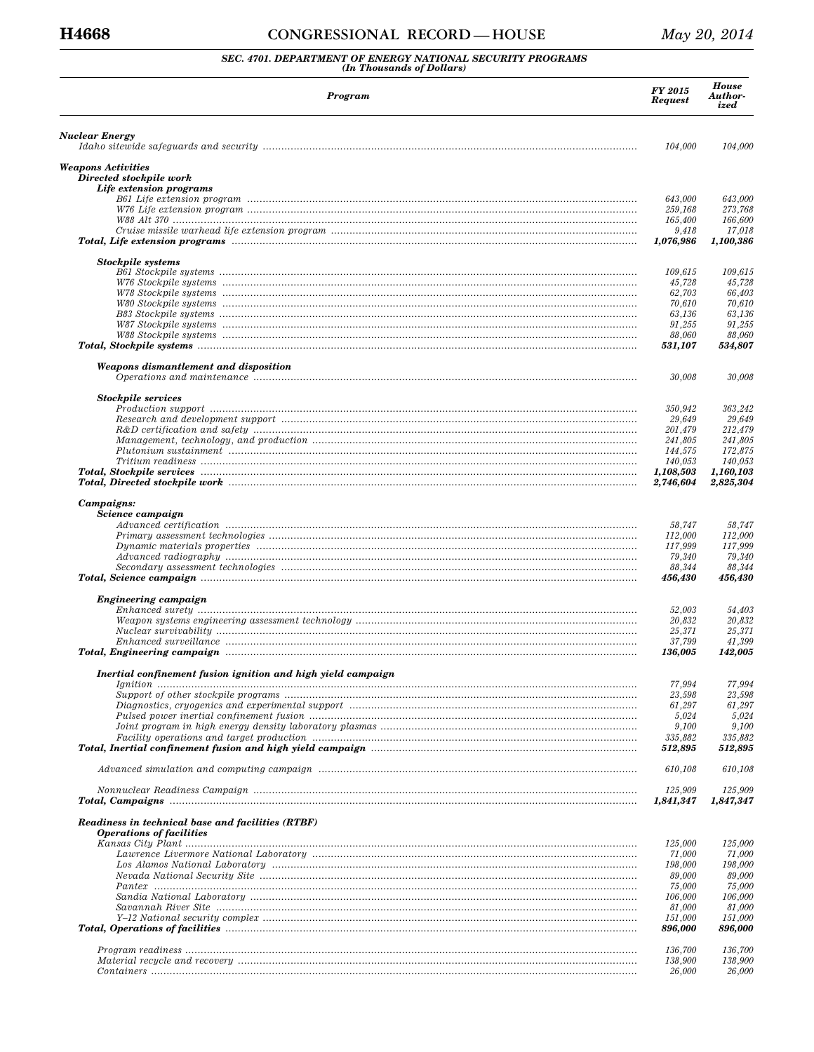#### CONGRESSIONAL RECORD-HOUSE

# SEC. 4701. DEPARTMENT OF ENERGY NATIONAL SECURITY PROGRAMS (In Thousands of Dollars)

| Program                                                                                                                                                                                                                        | <b>FY 2015</b><br><b>Request</b> | <b>House</b><br>Author-<br>ized |
|--------------------------------------------------------------------------------------------------------------------------------------------------------------------------------------------------------------------------------|----------------------------------|---------------------------------|
| Nuclear Energy                                                                                                                                                                                                                 |                                  |                                 |
|                                                                                                                                                                                                                                | 104.000                          | 104,000                         |
| Weapons Activities<br>Directed stockpile work<br>Life extension programs                                                                                                                                                       |                                  |                                 |
|                                                                                                                                                                                                                                | 643,000                          | 643,000                         |
|                                                                                                                                                                                                                                | 259,168                          | 273,768                         |
|                                                                                                                                                                                                                                | 165,400                          | 166,600                         |
|                                                                                                                                                                                                                                | 9,418                            | 17,018                          |
|                                                                                                                                                                                                                                | 1,076,986                        | 1,100,386                       |
| <b>Stockpile</b> systems                                                                                                                                                                                                       |                                  |                                 |
|                                                                                                                                                                                                                                | 109,615                          | 109,615                         |
|                                                                                                                                                                                                                                | 45,728                           | 45,728                          |
|                                                                                                                                                                                                                                | 62,703                           | 66,403                          |
|                                                                                                                                                                                                                                | 70,610<br>63,136                 | 70,610<br>63,136                |
|                                                                                                                                                                                                                                | 91,255                           | 91,255                          |
|                                                                                                                                                                                                                                | 88,060                           | 88,060                          |
|                                                                                                                                                                                                                                | 531,107                          | 534,807                         |
| Weapons dismantlement and disposition                                                                                                                                                                                          |                                  |                                 |
|                                                                                                                                                                                                                                | 30,008                           | 30,008                          |
|                                                                                                                                                                                                                                |                                  |                                 |
| <b>Stockpile services</b>                                                                                                                                                                                                      | 350,942                          | 363,242                         |
|                                                                                                                                                                                                                                | 29,649                           | 29,649                          |
|                                                                                                                                                                                                                                | 201,479                          | 212,479                         |
|                                                                                                                                                                                                                                | 241,805                          | 241,805                         |
|                                                                                                                                                                                                                                | 144,575                          | 172,875                         |
|                                                                                                                                                                                                                                | 140,053                          | 140,053                         |
| Total, Stockpile services manufactured and control of the service of the service of the services manufactured                                                                                                                  | 1,108,503                        | 1,160,103                       |
| Total, Directed stockpile work manufactured and the control of the control of the control of the control of the control of the control of the control of the control of the control of the control of the control of the contr | 2,746,604                        | 2,825,304                       |
| Campaigns:                                                                                                                                                                                                                     |                                  |                                 |
| Science campaign                                                                                                                                                                                                               |                                  |                                 |
|                                                                                                                                                                                                                                | 58,747                           | 58,747                          |
|                                                                                                                                                                                                                                | 112,000                          | 112,000                         |
|                                                                                                                                                                                                                                | 117,999                          | 117,999                         |
|                                                                                                                                                                                                                                | 79,340                           | 79,340                          |
| Total, Science campaign manufactured contracts and the contract of the contract of the contract of the contract of the contract of the contract of the contract of the contract of the contract of the contract of the contrac | 88,344<br>456,430                | 88,344<br>456,430               |
|                                                                                                                                                                                                                                |                                  |                                 |
| Engineering campaign                                                                                                                                                                                                           |                                  |                                 |
|                                                                                                                                                                                                                                | 52,003                           | 54,403                          |
|                                                                                                                                                                                                                                | 20,832                           | 20,832                          |
|                                                                                                                                                                                                                                | 25,371<br>37,799                 | 25,371<br>41,399                |
| Total, Engineering campaign manufactured contains and all the control of the control of the control of the control of the control of the control of the control of the control of the control of the control of the control of | 136,005                          | 142,005                         |
|                                                                                                                                                                                                                                |                                  |                                 |
| Inertial confinement fusion ignition and high yield campaign                                                                                                                                                                   |                                  |                                 |
|                                                                                                                                                                                                                                | 77,994                           | 77,994                          |
|                                                                                                                                                                                                                                | 23,598<br>61,297                 | 23,598<br>61,297                |
|                                                                                                                                                                                                                                | 5,024                            | 5,024                           |
|                                                                                                                                                                                                                                | 9,100                            | 9,100                           |
|                                                                                                                                                                                                                                | 335,882                          | 335,882                         |
|                                                                                                                                                                                                                                | 512,895                          | 512,895                         |
|                                                                                                                                                                                                                                | 610,108                          | 610,108                         |
|                                                                                                                                                                                                                                |                                  |                                 |
|                                                                                                                                                                                                                                | 125,909<br>1,841,347             | 125,909<br>1,847,347            |
|                                                                                                                                                                                                                                |                                  |                                 |
| Readiness in technical base and facilities (RTBF)                                                                                                                                                                              |                                  |                                 |
| <b>Operations of facilities</b>                                                                                                                                                                                                |                                  |                                 |
|                                                                                                                                                                                                                                | 125,000                          | 125,000                         |
|                                                                                                                                                                                                                                | 71,000<br>198,000                | 71,000<br>198,000               |
|                                                                                                                                                                                                                                | 89,000                           | 89,000                          |
|                                                                                                                                                                                                                                | 75,000                           | 75,000                          |
|                                                                                                                                                                                                                                | 106,000                          | 106,000                         |
|                                                                                                                                                                                                                                | 81,000                           | 81,000                          |
|                                                                                                                                                                                                                                | 151,000                          | 151,000                         |
|                                                                                                                                                                                                                                | 896,000                          | 896,000                         |
|                                                                                                                                                                                                                                |                                  |                                 |
|                                                                                                                                                                                                                                | 136,700<br>138,900               | 136,700<br>138,900              |
|                                                                                                                                                                                                                                | 26,000                           | 26,000                          |
|                                                                                                                                                                                                                                |                                  |                                 |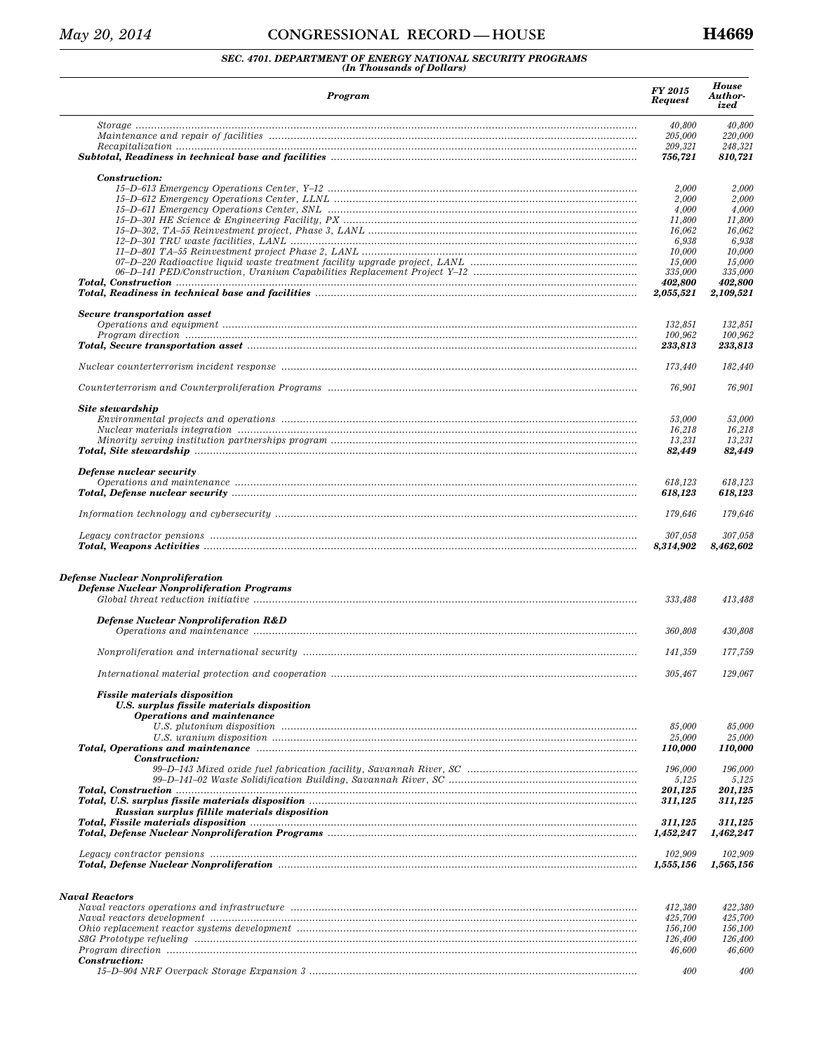### *SEC. 4701. DEPARTMENT OF ENERGY NATIONAL SECURITY PROGRAMS (In Thousands of Dollars)*

| Program                                                                                                                 | FY 2015<br><b>Request</b> | <b>House</b><br>Author-<br>ized |
|-------------------------------------------------------------------------------------------------------------------------|---------------------------|---------------------------------|
|                                                                                                                         | 40,800                    | 40,800                          |
|                                                                                                                         | 205,000                   | 220,000                         |
|                                                                                                                         | 209,321                   | 248,321                         |
|                                                                                                                         | 756,721                   | 810,721                         |
| Construction:                                                                                                           |                           |                                 |
|                                                                                                                         | 2,000                     | 2,000                           |
|                                                                                                                         | 2,000<br>4,000            | 2,000<br>4,000                  |
|                                                                                                                         | 11,800                    | 11,800                          |
|                                                                                                                         | 16.062                    | 16,062                          |
|                                                                                                                         | 6,938                     | 6,938                           |
|                                                                                                                         | 10,000                    | 10,000                          |
|                                                                                                                         | 15,000                    | 15,000                          |
|                                                                                                                         | 335,000<br>402,800        | 335,000<br>402,800              |
| Total, Readiness in technical base and facilities manuminal continuum continuum control of the control of the           | 2,055,521                 | 2,109,521                       |
|                                                                                                                         |                           |                                 |
| Secure transportation asset                                                                                             | 132,851                   | 132,851                         |
|                                                                                                                         | 100,962                   | 100,962                         |
|                                                                                                                         | 233,813                   | 233,813                         |
|                                                                                                                         |                           |                                 |
|                                                                                                                         | 173,440                   | 182,440                         |
|                                                                                                                         | 76,901                    | 76,901                          |
| Site stewardship                                                                                                        |                           |                                 |
|                                                                                                                         | 53,000                    | 53,000                          |
|                                                                                                                         | 16,218                    | 16,218                          |
|                                                                                                                         | 13,231                    | 13,231                          |
|                                                                                                                         | 82,449                    | 82,449                          |
| Defense nuclear security                                                                                                |                           |                                 |
|                                                                                                                         | 618,123                   | 618,123                         |
|                                                                                                                         | 618,123                   | 618,123                         |
|                                                                                                                         | 179,646                   | 179,646                         |
|                                                                                                                         | 307,058                   | 307,058                         |
|                                                                                                                         | 8,314,902                 | 8,462,602                       |
| Defense Nuclear Nonproliferation<br><b>Defense Nuclear Nonproliferation Programs</b>                                    | 333,488                   | 413,488                         |
| <b>Defense Nuclear Nonproliferation R&amp;D</b>                                                                         | 360,808                   | 430,808                         |
|                                                                                                                         | 141,359                   | 177,759                         |
|                                                                                                                         | 305.467                   | 129.067                         |
|                                                                                                                         |                           |                                 |
| <b>Fissile materials disposition</b><br>U.S. surplus fissile materials disposition<br><b>Operations and maintenance</b> | 85,000                    | 85,000                          |
|                                                                                                                         | 25,000                    | 25,000                          |
|                                                                                                                         | 110,000                   | 110,000                         |
| Construction:                                                                                                           | 196,000                   |                                 |
|                                                                                                                         | 5,125                     | 196,000<br>5,125                |
|                                                                                                                         | 201,125                   | 201,125                         |
| Total, U.S. surplus fissile materials disposition manuminaminimum material contraction of the material materia          | 311,125                   | 311,125                         |
| Russian surplus fillile materials disposition                                                                           |                           |                                 |
| Total, Fissile materials disposition material material control of the disposition of the material materials of          | 311,125<br>1,452,247      | 311,125<br>1,462,247            |
|                                                                                                                         | 102,909                   | 102,909                         |
|                                                                                                                         | 1,555,156                 | 1,565,156                       |
|                                                                                                                         |                           |                                 |
| <b>Naval Reactors</b>                                                                                                   |                           |                                 |
|                                                                                                                         | 412,380                   | 422,380                         |
|                                                                                                                         | 425,700                   | 425,700                         |
|                                                                                                                         | 156,100                   | 156,100                         |
| S8G Prototype refueling manufactured contains and contained a state of the contact of the state of the state o          | 126,400<br>46,600         | 126,400<br>46,600               |
| Construction:                                                                                                           |                           |                                 |

*15–D–904 NRF Overpack Storage Expansion 3 .......................................................................................................... 400 400*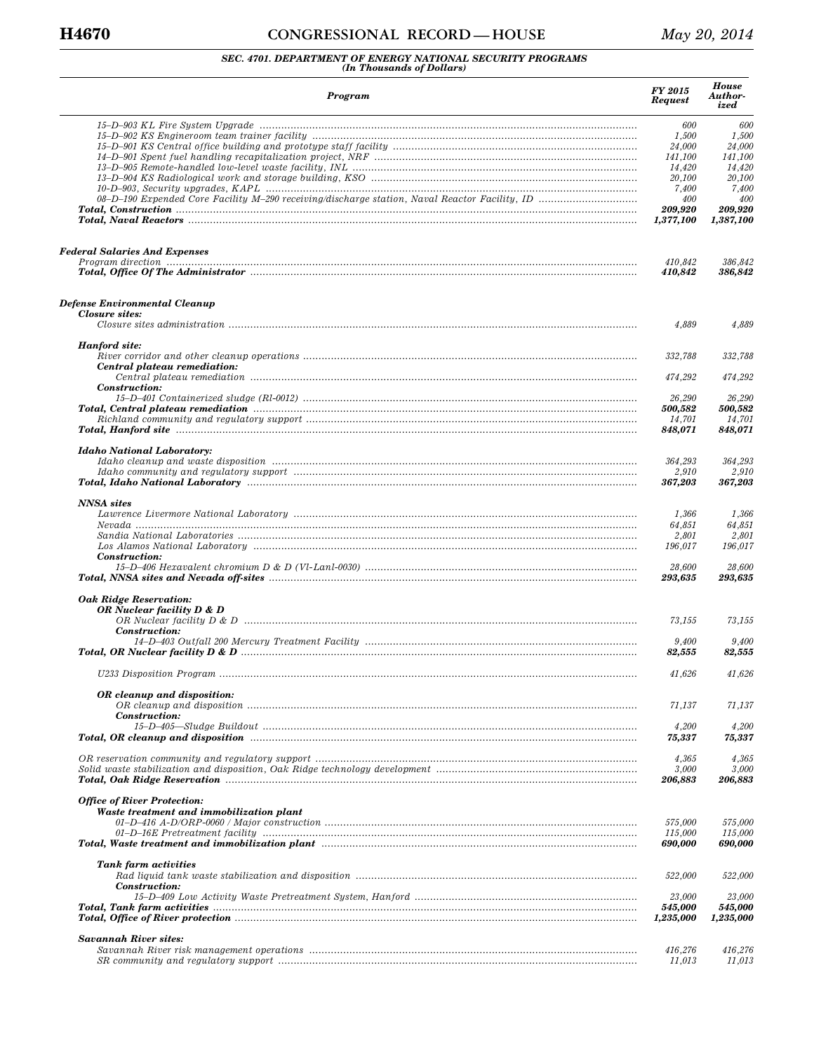# **H4670 CONGRESSIONAL RECORD — HOUSE** *May 20, 2014*

# *SEC. 4701. DEPARTMENT OF ENERGY NATIONAL SECURITY PROGRAMS (In Thousands of Dollars)*

| Program                                                                                                         | <b>FY 2015</b><br><b>Request</b> | <b>House</b><br>Author-<br>ized |
|-----------------------------------------------------------------------------------------------------------------|----------------------------------|---------------------------------|
|                                                                                                                 | 600                              | 600                             |
| 15–D–902 KS Engineroom team trainer facility ……………………………………………………………………………………………                                | 1,500                            | 1,500                           |
|                                                                                                                 | 24,000                           | 24,000                          |
|                                                                                                                 | 141,100                          | 141,100                         |
|                                                                                                                 | 14,420                           | 14,420                          |
|                                                                                                                 | 20,100<br>7,400                  | 20,100<br>7,400                 |
|                                                                                                                 | 400                              | 400                             |
|                                                                                                                 | 209,920                          | 209,920                         |
|                                                                                                                 | 1,377,100                        | 1,387,100                       |
| <b>Federal Salaries And Expenses</b>                                                                            |                                  |                                 |
|                                                                                                                 | 410,842                          | 386,842                         |
| Total, Office Of The Administrator manufactured and the Administrator manufactured and the Administrator manufa | 410,842                          | 386,842                         |
| Defense Environmental Cleanup<br><b>Closure sites:</b>                                                          |                                  |                                 |
|                                                                                                                 | 4,889                            | 4,889                           |
| Hanford site:                                                                                                   |                                  |                                 |
| Central plateau remediation:                                                                                    | 332,788                          | 332,788                         |
|                                                                                                                 | 474,292                          | 474,292                         |
| Construction:                                                                                                   | 26,290                           | 26,290                          |
|                                                                                                                 | 500,582<br>14,701                | 500,582<br>14,701               |
| Total, Hanford site www.communication.com/music.com/music.com/music.com/music.com/music.com/music.com/music.co  | 848,071                          | 848,071                         |
| <b>Idaho National Laboratory:</b>                                                                               |                                  |                                 |
|                                                                                                                 | 364,293                          | 364,293                         |
|                                                                                                                 | 2,910<br>367,203                 | 2,910<br>367,203                |
| <b>NNSA</b> sites                                                                                               |                                  |                                 |
|                                                                                                                 | 1,366                            | 1,366                           |
|                                                                                                                 | 64,851<br>2,801                  | 64,851<br>2,801                 |
| Construction:                                                                                                   | 196,017                          | 196,017                         |
|                                                                                                                 | 28,600<br>293,635                | 28,600<br>293,635               |
| <b>Oak Ridge Reservation:</b>                                                                                   |                                  |                                 |
| OR Nuclear facility D & D                                                                                       |                                  |                                 |
|                                                                                                                 | 73,155                           | 73,155                          |
| Construction:                                                                                                   |                                  |                                 |
|                                                                                                                 | 9,400<br>82,555                  | 9,400<br>82,555                 |
|                                                                                                                 | 41,626                           | 41,626                          |
| OR cleanup and disposition:                                                                                     |                                  |                                 |
| Construction:                                                                                                   | 71,137                           | 71,137                          |
| Total, OR cleanup and disposition manuminal continuum continuum control of the control of the control of the c  | 4,200<br>75,337                  | 4,200<br>75,337                 |
|                                                                                                                 | 4,365                            | 4,365                           |
|                                                                                                                 | 3,000<br>206,883                 | 3,000<br>206,883                |
| <b>Office of River Protection:</b>                                                                              |                                  |                                 |
| Waste treatment and immobilization plant                                                                        |                                  |                                 |
|                                                                                                                 | 575,000                          | 575,000                         |
| Total, Waste treatment and immobilization plant manumum continuum continuum continuum continuum continuum cont  | 115,000<br>690,000               | 115,000<br>690,000              |
| Tank farm activities                                                                                            |                                  |                                 |
| Construction:                                                                                                   | 522,000                          | 522,000                         |
|                                                                                                                 | 23,000<br>545,000                | 23,000<br>545,000               |
|                                                                                                                 | 1,235,000                        | 1,235,000                       |
| <b>Savannah River sites:</b>                                                                                    |                                  |                                 |
|                                                                                                                 | 416,276<br>11,013                | 416,276<br>11,013               |
|                                                                                                                 |                                  |                                 |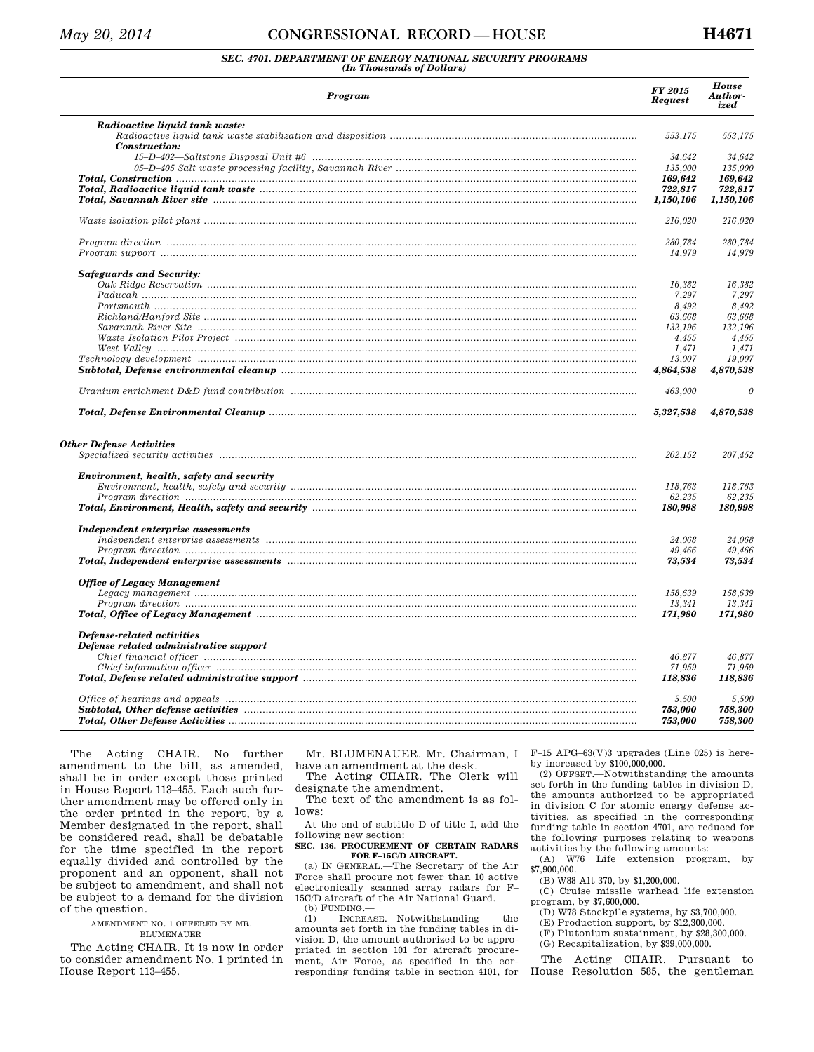### *SEC. 4701. DEPARTMENT OF ENERGY NATIONAL SECURITY PROGRAMS (In Thousands of Dollars)*

| Radioactive liquid tank waste:<br>553,175<br>Construction:<br>34,642<br>135,000<br>169,642<br>Total, Radioactive liquid tank waste manufactured and the control of the control of the control of the control o<br>722,817<br>Total, Savannah River site manusuummannan muutta muutta saannon muutta Rivaan kunnan muutta kuulu muutta muut<br>1,150,106<br>216,020<br>280,784<br>14,979<br><b>Safeguards and Security:</b><br>16,382<br>7,297<br>8,492<br>63,668<br>132,196<br>4,455<br>1,471<br>13.007<br>4,864,538<br>463,000<br>5,327,538 | 553,175<br>34.642<br>135,000<br>169.642<br>722,817<br>1,150,106<br>216,020<br>280,784<br>14,979<br>16,382<br>63,668<br>132,196<br>1,471<br>19.007 |
|----------------------------------------------------------------------------------------------------------------------------------------------------------------------------------------------------------------------------------------------------------------------------------------------------------------------------------------------------------------------------------------------------------------------------------------------------------------------------------------------------------------------------------------------|---------------------------------------------------------------------------------------------------------------------------------------------------|
|                                                                                                                                                                                                                                                                                                                                                                                                                                                                                                                                              |                                                                                                                                                   |
|                                                                                                                                                                                                                                                                                                                                                                                                                                                                                                                                              |                                                                                                                                                   |
|                                                                                                                                                                                                                                                                                                                                                                                                                                                                                                                                              |                                                                                                                                                   |
|                                                                                                                                                                                                                                                                                                                                                                                                                                                                                                                                              |                                                                                                                                                   |
|                                                                                                                                                                                                                                                                                                                                                                                                                                                                                                                                              |                                                                                                                                                   |
|                                                                                                                                                                                                                                                                                                                                                                                                                                                                                                                                              |                                                                                                                                                   |
|                                                                                                                                                                                                                                                                                                                                                                                                                                                                                                                                              |                                                                                                                                                   |
|                                                                                                                                                                                                                                                                                                                                                                                                                                                                                                                                              |                                                                                                                                                   |
|                                                                                                                                                                                                                                                                                                                                                                                                                                                                                                                                              |                                                                                                                                                   |
|                                                                                                                                                                                                                                                                                                                                                                                                                                                                                                                                              |                                                                                                                                                   |
|                                                                                                                                                                                                                                                                                                                                                                                                                                                                                                                                              | 7,297<br>8,492<br>4,455                                                                                                                           |
|                                                                                                                                                                                                                                                                                                                                                                                                                                                                                                                                              |                                                                                                                                                   |
|                                                                                                                                                                                                                                                                                                                                                                                                                                                                                                                                              |                                                                                                                                                   |
|                                                                                                                                                                                                                                                                                                                                                                                                                                                                                                                                              |                                                                                                                                                   |
|                                                                                                                                                                                                                                                                                                                                                                                                                                                                                                                                              |                                                                                                                                                   |
|                                                                                                                                                                                                                                                                                                                                                                                                                                                                                                                                              |                                                                                                                                                   |
|                                                                                                                                                                                                                                                                                                                                                                                                                                                                                                                                              |                                                                                                                                                   |
|                                                                                                                                                                                                                                                                                                                                                                                                                                                                                                                                              |                                                                                                                                                   |
|                                                                                                                                                                                                                                                                                                                                                                                                                                                                                                                                              |                                                                                                                                                   |
|                                                                                                                                                                                                                                                                                                                                                                                                                                                                                                                                              | 4,870,538                                                                                                                                         |
|                                                                                                                                                                                                                                                                                                                                                                                                                                                                                                                                              | $\theta$                                                                                                                                          |
|                                                                                                                                                                                                                                                                                                                                                                                                                                                                                                                                              | 4,870,538                                                                                                                                         |
| <b>Other Defense Activities</b><br>202,152                                                                                                                                                                                                                                                                                                                                                                                                                                                                                                   | 207,452                                                                                                                                           |
| Environment, health, safety and security                                                                                                                                                                                                                                                                                                                                                                                                                                                                                                     |                                                                                                                                                   |
| 118,763                                                                                                                                                                                                                                                                                                                                                                                                                                                                                                                                      | 118,763                                                                                                                                           |
| 62,235                                                                                                                                                                                                                                                                                                                                                                                                                                                                                                                                       | 62,235                                                                                                                                            |
| Total, Environment, Health, safety and security manufactured contained and contained and resonance contained a<br>180,998                                                                                                                                                                                                                                                                                                                                                                                                                    | 180,998                                                                                                                                           |
| Independent enterprise assessments                                                                                                                                                                                                                                                                                                                                                                                                                                                                                                           |                                                                                                                                                   |
| 24,068                                                                                                                                                                                                                                                                                                                                                                                                                                                                                                                                       | 24,068                                                                                                                                            |
| 49,466                                                                                                                                                                                                                                                                                                                                                                                                                                                                                                                                       | 49,466                                                                                                                                            |
| Total, Independent enterprise assessments manufactured contained and all the contained and contained and the c<br>73,534                                                                                                                                                                                                                                                                                                                                                                                                                     | 73,534                                                                                                                                            |
| <b>Office of Legacy Management</b>                                                                                                                                                                                                                                                                                                                                                                                                                                                                                                           |                                                                                                                                                   |
| 158.639                                                                                                                                                                                                                                                                                                                                                                                                                                                                                                                                      | 158,639                                                                                                                                           |
| 13,341                                                                                                                                                                                                                                                                                                                                                                                                                                                                                                                                       | 13.341                                                                                                                                            |
| Total, Office of Legacy Management manufactured contains and all the settlements of Legacy Management<br>171,980                                                                                                                                                                                                                                                                                                                                                                                                                             | 171,980                                                                                                                                           |
| Defense-related activities<br>Defense related administrative support                                                                                                                                                                                                                                                                                                                                                                                                                                                                         |                                                                                                                                                   |
| 46,877                                                                                                                                                                                                                                                                                                                                                                                                                                                                                                                                       | 46,877                                                                                                                                            |
| 71,959                                                                                                                                                                                                                                                                                                                                                                                                                                                                                                                                       | 71,959                                                                                                                                            |
| Total, Defense related administrative support manufactured contained and all proposed and related administrative<br>118,836                                                                                                                                                                                                                                                                                                                                                                                                                  | 118,836                                                                                                                                           |
| 5,500                                                                                                                                                                                                                                                                                                                                                                                                                                                                                                                                        | 5,500                                                                                                                                             |
| Subtotal, Other defense activities with an increasing continuum and the set of the set of the set of the set o<br>753,000                                                                                                                                                                                                                                                                                                                                                                                                                    | 758.300                                                                                                                                           |
| 753,000                                                                                                                                                                                                                                                                                                                                                                                                                                                                                                                                      | 758,300                                                                                                                                           |

The Acting CHAIR. No further amendment to the bill, as amended, shall be in order except those printed in House Report 113–455. Each such further amendment may be offered only in the order printed in the report, by a Member designated in the report, shall be considered read, shall be debatable for the time specified in the report equally divided and controlled by the proponent and an opponent, shall not be subject to amendment, and shall not be subject to a demand for the division of the question.

> AMENDMENT NO. 1 OFFERED BY MR. BLUMENAUER

The Acting CHAIR. It is now in order to consider amendment No. 1 printed in House Report 113–455.

Mr. BLUMENAUER. Mr. Chairman, I have an amendment at the desk. The Acting CHAIR. The Clerk will

designate the amendment. The text of the amendment is as fol-

lows: At the end of subtitle D of title I, add the

following new section:

#### **SEC. 136. PROCUREMENT OF CERTAIN RADARS FOR F–15C/D AIRCRAFT.**

(a) IN GENERAL.—The Secretary of the Air Force shall procure not fewer than 10 active electronically scanned array radars for F– 15C/D aircraft of the Air National Guard.

(b) FUNDING. $-$ <br>(1) INCREA INCREASE.—Notwithstanding the amounts set forth in the funding tables in division D, the amount authorized to be appropriated in section 101 for aircraft procurement, Air Force, as specified in the corresponding funding table in section 4101, for F–15 APG–63(V)3 upgrades (Line 025) is hereby increased by \$100,000,000.

(2) OFFSET.—Notwithstanding the amounts set forth in the funding tables in division D, the amounts authorized to be appropriated in division C for atomic energy defense activities, as specified in the corresponding funding table in section 4701, are reduced for the following purposes relating to weapons activities by the following amounts:

(A) W76 Life extension program, by \$7,900,000.

(B) W88 Alt 370, by \$1,200,000.

(C) Cruise missile warhead life extension program, by \$7,600,000.

(D) W78 Stockpile systems, by \$3,700,000.

(E) Production support, by \$12,300,000.

(F) Plutonium sustainment, by \$28,300,000.

(G) Recapitalization, by \$39,000,000.

The Acting CHAIR. Pursuant to House Resolution 585, the gentleman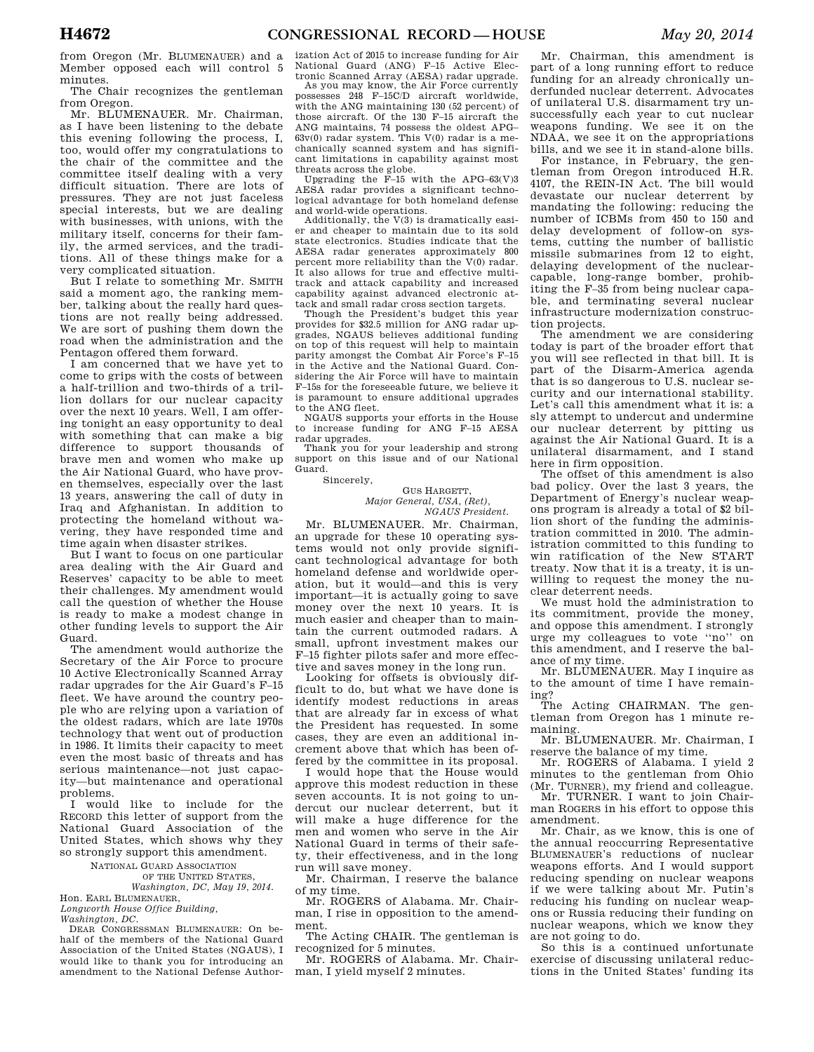from Oregon (Mr. BLUMENAUER) and a Member opposed each will control 5 minutes.

The Chair recognizes the gentleman from Oregon.

Mr. BLUMENAUER. Mr. Chairman, as I have been listening to the debate this evening following the process, I, too, would offer my congratulations to the chair of the committee and the committee itself dealing with a very difficult situation. There are lots of pressures. They are not just faceless special interests, but we are dealing with businesses, with unions, with the military itself, concerns for their family, the armed services, and the traditions. All of these things make for a very complicated situation.

But I relate to something Mr. SMITH said a moment ago, the ranking member, talking about the really hard questions are not really being addressed. We are sort of pushing them down the road when the administration and the Pentagon offered them forward.

I am concerned that we have yet to come to grips with the costs of between a half-trillion and two-thirds of a trillion dollars for our nuclear capacity over the next 10 years. Well, I am offering tonight an easy opportunity to deal with something that can make a big difference to support thousands of brave men and women who make up the Air National Guard, who have proven themselves, especially over the last 13 years, answering the call of duty in Iraq and Afghanistan. In addition to protecting the homeland without wavering, they have responded time and time again when disaster strikes.

But  $\overline{I}$  want to focus on one particular area dealing with the Air Guard and Reserves' capacity to be able to meet their challenges. My amendment would call the question of whether the House is ready to make a modest change in other funding levels to support the Air Guard.

The amendment would authorize the Secretary of the Air Force to procure 10 Active Electronically Scanned Array radar upgrades for the Air Guard's F–15 fleet. We have around the country people who are relying upon a variation of the oldest radars, which are late 1970s technology that went out of production in 1986. It limits their capacity to meet even the most basic of threats and has serious maintenance—not just capacity—but maintenance and operational problems.

I would like to include for the RECORD this letter of support from the National Guard Association of the United States, which shows why they so strongly support this amendment.

> NATIONAL GUARD ASSOCIATION OF THE UNITED STATES,

*Washington, DC, May 19, 2014.*  Hon. EARL BLUMENAUER,

*Longworth House Office Building,* 

*Washington, DC.* 

DEAR CONGRESSMAN BLUMENAUER: On behalf of the members of the National Guard Association of the United States (NGAUS), I would like to thank you for introducing an amendment to the National Defense Author-

ization Act of 2015 to increase funding for Air National Guard (ANG) F–15 Active Elec-

tronic Scanned Array (AESA) radar upgrade. As you may know, the Air Force currently possesses 248 F–15C/D aircraft worldwide, with the ANG maintaining 130 (52 percent) of those aircraft. Of the 130 F–15 aircraft the ANG maintains, 74 possess the oldest APG–  $63v(0)$  radar system. This  $V(0)$  radar is a mechanically scanned system and has significant limitations in capability against most

threats across the globe. Upgrading the F–15 with the APG–63(V)3 AESA radar provides a significant technological advantage for both homeland defense and world-wide operations.

Additionally, the V(3) is dramatically easier and cheaper to maintain due to its sold state electronics. Studies indicate that the AESA radar generates approximately 800 percent more reliability than the V(0) radar. It also allows for true and effective multitrack and attack capability and increased capability against advanced electronic attack and small radar cross section targets.

Though the President's budget this year provides for \$32.5 million for ANG radar upgrades, NGAUS believes additional funding on top of this request will help to maintain parity amongst the Combat Air Force's F–15 in the Active and the National Guard. Considering the Air Force will have to maintain F–15s for the foreseeable future, we believe it is paramount to ensure additional upgrades to the ANG fleet.

NGAUS supports your efforts in the House to increase funding for ANG F–15 AESA radar upgrades.

Thank you for your leadership and strong support on this issue and of our National Guard.

Sincerely,

GUS HARGETT, *Major General, USA, (Ret), NGAUS President.* 

Mr. BLUMENAUER. Mr. Chairman, an upgrade for these 10 operating systems would not only provide significant technological advantage for both homeland defense and worldwide operation, but it would—and this is very important—it is actually going to save money over the next 10 years. It is much easier and cheaper than to maintain the current outmoded radars. A small, upfront investment makes our F–15 fighter pilots safer and more effective and saves money in the long run.

Looking for offsets is obviously difficult to do, but what we have done is identify modest reductions in areas that are already far in excess of what the President has requested. In some cases, they are even an additional increment above that which has been offered by the committee in its proposal.

I would hope that the House would approve this modest reduction in these seven accounts. It is not going to undercut our nuclear deterrent, but it will make a huge difference for the men and women who serve in the Air National Guard in terms of their safety, their effectiveness, and in the long run will save money.

Mr. Chairman, I reserve the balance of my time.

Mr. ROGERS of Alabama. Mr. Chairman, I rise in opposition to the amendment.

The Acting CHAIR. The gentleman is recognized for 5 minutes.

Mr. ROGERS of Alabama. Mr. Chairman, I yield myself 2 minutes.

Mr. Chairman, this amendment is part of a long running effort to reduce funding for an already chronically underfunded nuclear deterrent. Advocates of unilateral U.S. disarmament try unsuccessfully each year to cut nuclear weapons funding. We see it on the NDAA, we see it on the appropriations bills, and we see it in stand-alone bills.

For instance, in February, the gentleman from Oregon introduced H.R. 4107, the REIN-IN Act. The bill would devastate our nuclear deterrent by mandating the following: reducing the number of ICBMs from 450 to 150 and delay development of follow-on systems, cutting the number of ballistic missile submarines from 12 to eight, delaying development of the nuclearcapable, long-range bomber, prohibiting the F–35 from being nuclear capable, and terminating several nuclear infrastructure modernization construction projects.

The amendment we are considering today is part of the broader effort that you will see reflected in that bill. It is part of the Disarm-America agenda that is so dangerous to U.S. nuclear security and our international stability. Let's call this amendment what it is: a sly attempt to undercut and undermine our nuclear deterrent by pitting us against the Air National Guard. It is a unilateral disarmament, and I stand here in firm opposition.

The offset of this amendment is also bad policy. Over the last 3 years, the Department of Energy's nuclear weapons program is already a total of \$2 billion short of the funding the administration committed in 2010. The administration committed to this funding to win ratification of the New START treaty. Now that it is a treaty, it is unwilling to request the money the nuclear deterrent needs.

We must hold the administration to its commitment, provide the money, and oppose this amendment. I strongly urge my colleagues to vote ''no'' on this amendment, and I reserve the balance of my time.

Mr. BLUMENAUER. May I inquire as to the amount of time I have remaining?

The Acting CHAIRMAN. The gentleman from Oregon has 1 minute remaining.

Mr. BLUMENAUER. Mr. Chairman, I reserve the balance of my time.

Mr. ROGERS of Alabama. I yield 2 minutes to the gentleman from Ohio (Mr. TURNER), my friend and colleague.

Mr. TURNER. I want to join Chairman ROGERS in his effort to oppose this amendment.

Mr. Chair, as we know, this is one of the annual reoccurring Representative BLUMENAUER's reductions of nuclear weapons efforts. And I would support reducing spending on nuclear weapons if we were talking about Mr. Putin's reducing his funding on nuclear weapons or Russia reducing their funding on nuclear weapons, which we know they are not going to do.

So this is a continued unfortunate exercise of discussing unilateral reductions in the United States' funding its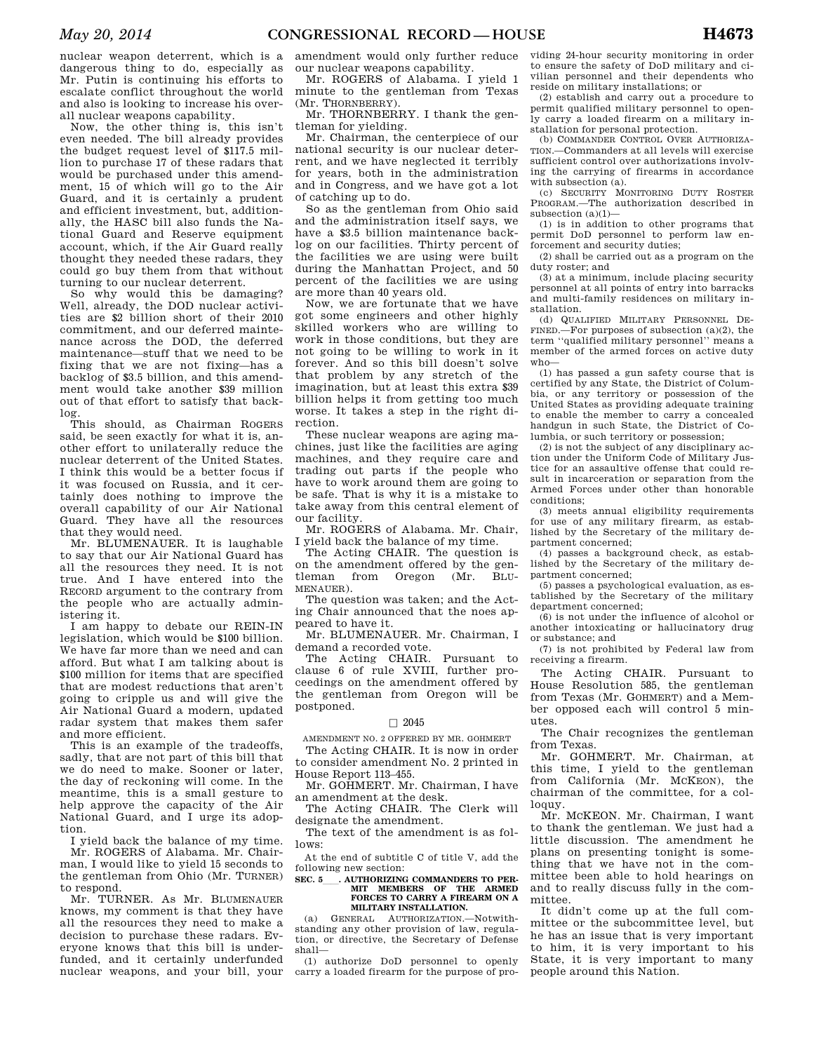nuclear weapon deterrent, which is a dangerous thing to do, especially as Mr. Putin is continuing his efforts to escalate conflict throughout the world and also is looking to increase his overall nuclear weapons capability.

Now, the other thing is, this isn't even needed. The bill already provides the budget request level of \$117.5 million to purchase 17 of these radars that would be purchased under this amendment, 15 of which will go to the Air Guard, and it is certainly a prudent and efficient investment, but, additionally, the HASC bill also funds the National Guard and Reserve equipment account, which, if the Air Guard really thought they needed these radars, they could go buy them from that without turning to our nuclear deterrent.

So why would this be damaging? Well, already, the DOD nuclear activities are \$2 billion short of their 2010 commitment, and our deferred maintenance across the DOD, the deferred maintenance—stuff that we need to be fixing that we are not fixing—has a backlog of \$3.5 billion, and this amendment would take another \$39 million out of that effort to satisfy that backlog.

This should, as Chairman ROGERS said, be seen exactly for what it is, another effort to unilaterally reduce the nuclear deterrent of the United States. I think this would be a better focus if it was focused on Russia, and it certainly does nothing to improve the overall capability of our Air National Guard. They have all the resources that they would need.

Mr. BLUMENAUER. It is laughable to say that our Air National Guard has all the resources they need. It is not true. And I have entered into the RECORD argument to the contrary from the people who are actually administering it.

I am happy to debate our REIN-IN legislation, which would be \$100 billion. We have far more than we need and can afford. But what I am talking about is \$100 million for items that are specified that are modest reductions that aren't going to cripple us and will give the Air National Guard a modern, updated radar system that makes them safer and more efficient.

This is an example of the tradeoffs, sadly, that are not part of this bill that we do need to make. Sooner or later, the day of reckoning will come. In the meantime, this is a small gesture to help approve the capacity of the Air National Guard, and I urge its adoption.

I yield back the balance of my time. Mr. ROGERS of Alabama. Mr. Chairman, I would like to yield 15 seconds to the gentleman from Ohio (Mr. TURNER)

to respond. Mr. TURNER. As Mr. BLUMENAUER knows, my comment is that they have all the resources they need to make a decision to purchase these radars. Everyone knows that this bill is underfunded, and it certainly underfunded nuclear weapons, and your bill, your

amendment would only further reduce our nuclear weapons capability.

Mr. ROGERS of Alabama. I yield 1 minute to the gentleman from Texas (Mr. THORNBERRY).

Mr. THORNBERRY. I thank the gentleman for yielding.

Mr. Chairman, the centerpiece of our national security is our nuclear deterrent, and we have neglected it terribly for years, both in the administration and in Congress, and we have got a lot of catching up to do.

So as the gentleman from Ohio said and the administration itself says, we have a \$3.5 billion maintenance backlog on our facilities. Thirty percent of the facilities we are using were built during the Manhattan Project, and 50 percent of the facilities we are using are more than 40 years old.

Now, we are fortunate that we have got some engineers and other highly skilled workers who are willing to work in those conditions, but they are not going to be willing to work in it forever. And so this bill doesn't solve that problem by any stretch of the imagination, but at least this extra \$39 billion helps it from getting too much worse. It takes a step in the right direction.

These nuclear weapons are aging machines, just like the facilities are aging machines, and they require care and trading out parts if the people who have to work around them are going to be safe. That is why it is a mistake to take away from this central element of our facility.

Mr. ROGERS of Alabama. Mr. Chair, I yield back the balance of my time.

The Acting CHAIR. The question is on the amendment offered by the gentleman from Oregon (Mr. BLU-MENAUER).

The question was taken; and the Acting Chair announced that the noes appeared to have it.

Mr. BLUMENAUER. Mr. Chairman, I demand a recorded vote.

The Acting CHAIR. Pursuant to clause 6 of rule XVIII, further proceedings on the amendment offered by the gentleman from Oregon will be postponed.

#### $\Box$  2045

AMENDMENT NO. 2 OFFERED BY MR. GOHMERT

The Acting CHAIR. It is now in order to consider amendment No. 2 printed in House Report 113–455.

Mr. GOHMERT. Mr. Chairman, I have an amendment at the desk.

The Acting CHAIR. The Clerk will designate the amendment.

The text of the amendment is as follows:

At the end of subtitle C of title V, add the following new section:

#### SEC. 5 . AUTHORIZING COMMANDERS TO PER-**MIT MEMBERS OF THE ARMED FORCES TO CARRY A FIREARM ON A MILITARY INSTALLATION.**

(a) GENERAL AUTHORIZATION.—Notwithstanding any other provision of law, regulation, or directive, the Secretary of Defense shall—

(1) authorize DoD personnel to openly carry a loaded firearm for the purpose of pro-

viding 24-hour security monitoring in order to ensure the safety of DoD military and civilian personnel and their dependents who reside on military installations; or

(2) establish and carry out a procedure to permit qualified military personnel to openly carry a loaded firearm on a military installation for personal protection.

(b) COMMANDER CONTROL OVER AUTHORIZA-TION.—Commanders at all levels will exercise sufficient control over authorizations involving the carrying of firearms in accordance with subsection (a).

(c) SECURITY MONITORING DUTY ROSTER PROGRAM.—The authorization described in subsection (a)(1)—

(1) is in addition to other programs that permit DoD personnel to perform law enforcement and security duties;

(2) shall be carried out as a program on the duty roster; and

(3) at a minimum, include placing security personnel at all points of entry into barracks and multi-family residences on military installation.

(d) QUALIFIED MILITARY PERSONNEL DE-FINED.—For purposes of subsection  $(a)(2)$ , the term ''qualified military personnel'' means a member of the armed forces on active duty who—

(1) has passed a gun safety course that is certified by any State, the District of Columbia, or any territory or possession of the United States as providing adequate training to enable the member to carry a concealed handgun in such State, the District of Columbia, or such territory or possession;

(2) is not the subject of any disciplinary action under the Uniform Code of Military Justice for an assaultive offense that could result in incarceration or separation from the Armed Forces under other than honorable conditions;

(3) meets annual eligibility requirements for use of any military firearm, as established by the Secretary of the military department concerned;

(4) passes a background check, as established by the Secretary of the military department concerned;

(5) passes a psychological evaluation, as established by the Secretary of the military department concerned;

(6) is not under the influence of alcohol or another intoxicating or hallucinatory drug or substance; and

(7) is not prohibited by Federal law from receiving a firearm.

The Acting CHAIR. Pursuant to House Resolution 585, the gentleman from Texas (Mr. GOHMERT) and a Member opposed each will control 5 minutes.

The Chair recognizes the gentleman from Texas.

Mr. GOHMERT. Mr. Chairman, at this time, I yield to the gentleman from California (Mr. MCKEON), the chairman of the committee, for a colloquy.

Mr. MCKEON. Mr. Chairman, I want to thank the gentleman. We just had a little discussion. The amendment he plans on presenting tonight is something that we have not in the committee been able to hold hearings on and to really discuss fully in the committee.

It didn't come up at the full committee or the subcommittee level, but he has an issue that is very important to him, it is very important to his State, it is very important to many people around this Nation.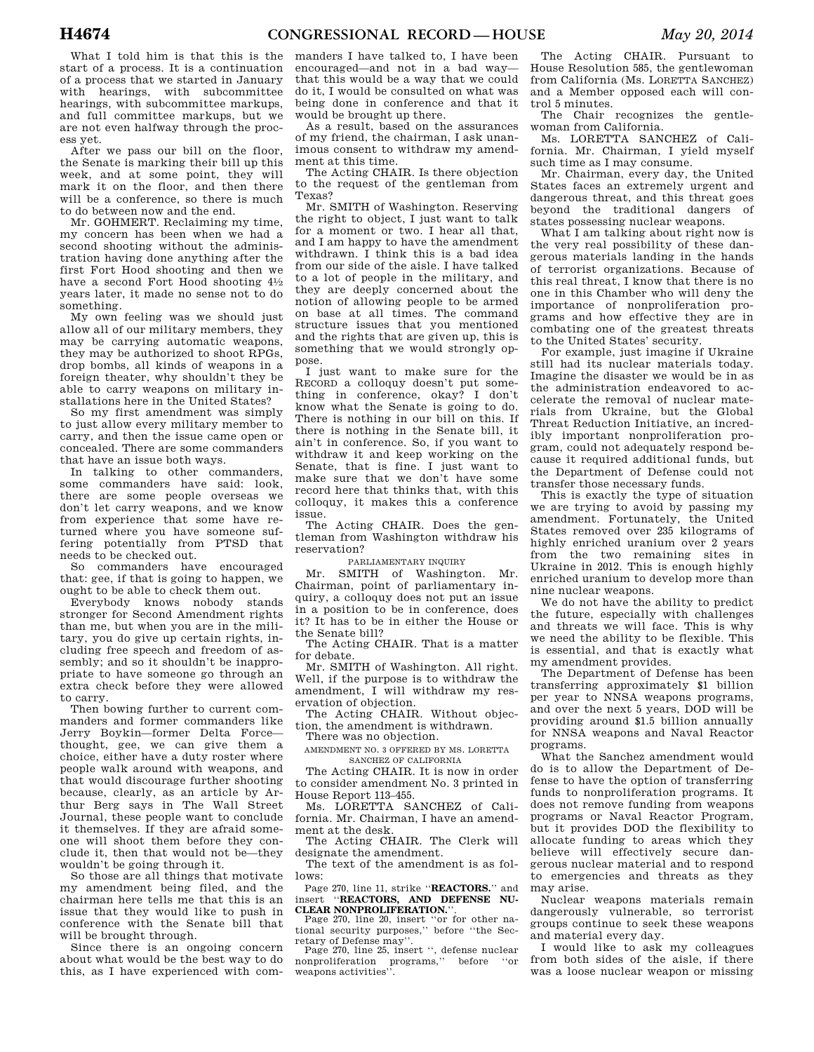What I told him is that this is the start of a process. It is a continuation of a process that we started in January with hearings, with subcommittee hearings, with subcommittee markups, and full committee markups, but we are not even halfway through the process yet.

After we pass our bill on the floor, the Senate is marking their bill up this week, and at some point, they will mark it on the floor, and then there will be a conference, so there is much to do between now and the end.

Mr. GOHMERT. Reclaiming my time, my concern has been when we had a second shooting without the administration having done anything after the first Fort Hood shooting and then we have a second Fort Hood shooting  $4\frac{1}{2}$ years later, it made no sense not to do something.

My own feeling was we should just allow all of our military members, they may be carrying automatic weapons, they may be authorized to shoot RPGs, drop bombs, all kinds of weapons in a foreign theater, why shouldn't they be able to carry weapons on military installations here in the United States?

So my first amendment was simply to just allow every military member to carry, and then the issue came open or concealed. There are some commanders that have an issue both ways.

In talking to other commanders, some commanders have said: look, there are some people overseas we don't let carry weapons, and we know from experience that some have returned where you have someone suffering potentially from PTSD that needs to be checked out.

So commanders have encouraged that: gee, if that is going to happen, we ought to be able to check them out.

Everybody knows nobody stands stronger for Second Amendment rights than me, but when you are in the military, you do give up certain rights, including free speech and freedom of assembly; and so it shouldn't be inappropriate to have someone go through an extra check before they were allowed to carry.

Then bowing further to current commanders and former commanders like Jerry Boykin—former Delta Force thought, gee, we can give them a choice, either have a duty roster where people walk around with weapons, and that would discourage further shooting because, clearly, as an article by Arthur Berg says in The Wall Street Journal, these people want to conclude it themselves. If they are afraid someone will shoot them before they conclude it, then that would not be—they wouldn't be going through it.

So those are all things that motivate my amendment being filed, and the chairman here tells me that this is an issue that they would like to push in conference with the Senate bill that will be brought through.

Since there is an ongoing concern about what would be the best way to do this, as I have experienced with commanders I have talked to, I have been encouraged—and not in a bad way that this would be a way that we could do it, I would be consulted on what was being done in conference and that it would be brought up there.

As a result, based on the assurances of my friend, the chairman, I ask unanimous consent to withdraw my amendment at this time.

The Acting CHAIR. Is there objection to the request of the gentleman from Texas?

Mr. SMITH of Washington. Reserving the right to object, I just want to talk for a moment or two. I hear all that, and I am happy to have the amendment withdrawn. I think this is a bad idea from our side of the aisle. I have talked to a lot of people in the military, and they are deeply concerned about the notion of allowing people to be armed on base at all times. The command structure issues that you mentioned and the rights that are given up, this is something that we would strongly oppose.

I just want to make sure for the RECORD a colloquy doesn't put something in conference, okay? I don't know what the Senate is going to do. There is nothing in our bill on this. If there is nothing in the Senate bill, it ain't in conference. So, if you want to withdraw it and keep working on the Senate, that is fine. I just want to make sure that we don't have some record here that thinks that, with this colloquy, it makes this a conference issue.

The Acting CHAIR. Does the gentleman from Washington withdraw his reservation?

PARLIAMENTARY INQUIRY

Mr. SMITH of Washington. Mr. Chairman, point of parliamentary inquiry, a colloquy does not put an issue in a position to be in conference, does it? It has to be in either the House or the Senate bill?

The Acting CHAIR. That is a matter for debate.

Mr. SMITH of Washington. All right. Well, if the purpose is to withdraw the amendment, I will withdraw my reservation of objection.

The Acting CHAIR. Without objection, the amendment is withdrawn.

There was no objection.

AMENDMENT NO. 3 OFFERED BY MS. LORETTA SANCHEZ OF CALIFORNIA

The Acting CHAIR. It is now in order to consider amendment No. 3 printed in House Report 113–455.

Ms. LORETTA SANCHEZ of California. Mr. Chairman, I have an amendment at the desk.

The Acting CHAIR. The Clerk will designate the amendment.

The text of the amendment is as follows:

Page 270, line 11, strike ''**REACTORS.**'' and insert ''**REACTORS, AND DEFENSE NU-CLEAR NONPROLIFERATION.**''.

Page 270, line 20, insert ''or for other national security purposes,'' before ''the Secretary of Defense may''.

Page 270, line 25, insert ", defense nuclear<br>nuclear interaction programs." before "or nonproliferation programs,'' before ''or weapons activities''.

The Acting CHAIR. Pursuant to House Resolution 585, the gentlewoman from California (Ms. LORETTA SANCHEZ) and a Member opposed each will control 5 minutes.

The Chair recognizes the gentlewoman from California.

Ms. LORETTA SANCHEZ of California. Mr. Chairman, I yield myself such time as I may consume.

Mr. Chairman, every day, the United States faces an extremely urgent and dangerous threat, and this threat goes beyond the traditional dangers of states possessing nuclear weapons.

What I am talking about right now is the very real possibility of these dangerous materials landing in the hands of terrorist organizations. Because of this real threat, I know that there is no one in this Chamber who will deny the importance of nonproliferation programs and how effective they are in combating one of the greatest threats to the United States' security.

For example, just imagine if Ukraine still had its nuclear materials today. Imagine the disaster we would be in as the administration endeavored to accelerate the removal of nuclear materials from Ukraine, but the Global Threat Reduction Initiative, an incredibly important nonproliferation program, could not adequately respond because it required additional funds, but the Department of Defense could not transfer those necessary funds.

This is exactly the type of situation we are trying to avoid by passing my amendment. Fortunately, the United States removed over 235 kilograms of highly enriched uranium over 2 years from the two remaining sites in Ukraine in 2012. This is enough highly enriched uranium to develop more than nine nuclear weapons.

We do not have the ability to predict the future, especially with challenges and threats we will face. This is why we need the ability to be flexible. This is essential, and that is exactly what my amendment provides.

The Department of Defense has been transferring approximately \$1 billion per year to NNSA weapons programs, and over the next 5 years, DOD will be providing around \$1.5 billion annually for NNSA weapons and Naval Reactor programs.

What the Sanchez amendment would do is to allow the Department of Defense to have the option of transferring funds to nonproliferation programs. It does not remove funding from weapons programs or Naval Reactor Program, but it provides DOD the flexibility to allocate funding to areas which they believe will effectively secure dangerous nuclear material and to respond to emergencies and threats as they may arise.

Nuclear weapons materials remain dangerously vulnerable, so terrorist groups continue to seek these weapons and material every day.

I would like to ask my colleagues from both sides of the aisle, if there was a loose nuclear weapon or missing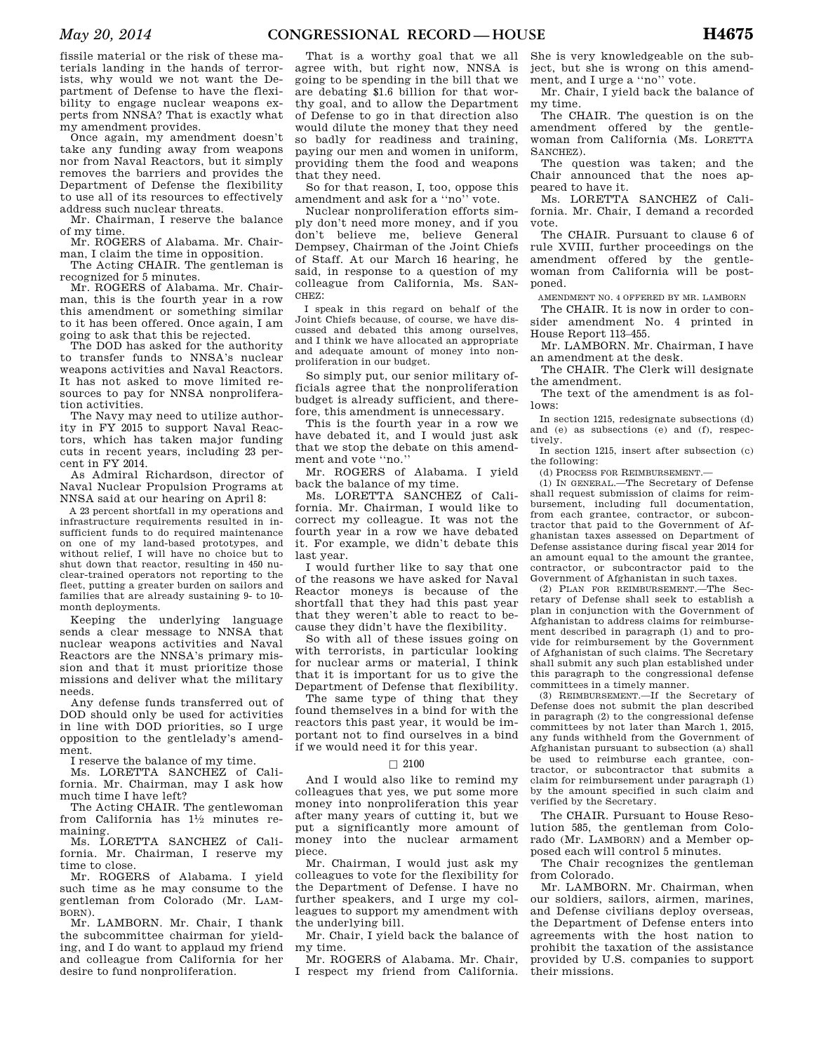fissile material or the risk of these materials landing in the hands of terrorists, why would we not want the Department of Defense to have the flexibility to engage nuclear weapons experts from NNSA? That is exactly what my amendment provides.

Once again, my amendment doesn't take any funding away from weapons nor from Naval Reactors, but it simply removes the barriers and provides the Department of Defense the flexibility to use all of its resources to effectively address such nuclear threats.

Mr. Chairman, I reserve the balance of my time.

Mr. ROGERS of Alabama. Mr. Chairman, I claim the time in opposition.

The Acting CHAIR. The gentleman is recognized for 5 minutes.

Mr. ROGERS of Alabama. Mr. Chairman, this is the fourth year in a row this amendment or something similar to it has been offered. Once again, I am going to ask that this be rejected.

The DOD has asked for the authority to transfer funds to NNSA's nuclear weapons activities and Naval Reactors. It has not asked to move limited resources to pay for NNSA nonproliferation activities.

The Navy may need to utilize authority in FY 2015 to support Naval Reactors, which has taken major funding cuts in recent years, including 23 percent in FY 2014.

As Admiral Richardson, director of Naval Nuclear Propulsion Programs at NNSA said at our hearing on April 8:

A 23 percent shortfall in my operations and infrastructure requirements resulted in insufficient funds to do required maintenance on one of my land-based prototypes, and without relief, I will have no choice but to shut down that reactor, resulting in 450 nuclear-trained operators not reporting to the fleet, putting a greater burden on sailors and families that are already sustaining 9- to 10 month deployments.

Keeping the underlying language sends a clear message to NNSA that nuclear weapons activities and Naval Reactors are the NNSA's primary mission and that it must prioritize those missions and deliver what the military needs.

Any defense funds transferred out of DOD should only be used for activities in line with DOD priorities, so I urge opposition to the gentlelady's amendment.

I reserve the balance of my time.

Ms. LORETTA SANCHEZ of California. Mr. Chairman, may I ask how much time I have left?

The Acting CHAIR. The gentlewoman from California has 11⁄2 minutes remaining.

Ms. LORETTA SANCHEZ of California. Mr. Chairman, I reserve my time to close.

Mr. ROGERS of Alabama. I yield such time as he may consume to the gentleman from Colorado (Mr. LAM-BORN).

Mr. LAMBORN. Mr. Chair, I thank the subcommittee chairman for yielding, and I do want to applaud my friend and colleague from California for her desire to fund nonproliferation.

That is a worthy goal that we all agree with, but right now, NNSA is going to be spending in the bill that we are debating \$1.6 billion for that worthy goal, and to allow the Department of Defense to go in that direction also would dilute the money that they need so badly for readiness and training, paying our men and women in uniform, providing them the food and weapons that they need.

So for that reason, I, too, oppose this amendment and ask for a ''no'' vote.

Nuclear nonproliferation efforts simply don't need more money, and if you don't believe me, believe General Dempsey, Chairman of the Joint Chiefs of Staff. At our March 16 hearing, he said, in response to a question of my colleague from California, Ms. SAN-CHEZ:

I speak in this regard on behalf of the Joint Chiefs because, of course, we have discussed and debated this among ourselves, and I think we have allocated an appropriate and adequate amount of money into nonproliferation in our budget.

So simply put, our senior military officials agree that the nonproliferation budget is already sufficient, and therefore, this amendment is unnecessary.

This is the fourth year in a row we have debated it, and I would just ask that we stop the debate on this amendment and vote ''no.''

Mr. ROGERS of Alabama. I yield back the balance of my time.

Ms. LORETTA SANCHEZ of California. Mr. Chairman, I would like to correct my colleague. It was not the fourth year in a row we have debated it. For example, we didn't debate this last year.

I would further like to say that one of the reasons we have asked for Naval Reactor moneys is because of the shortfall that they had this past year that they weren't able to react to because they didn't have the flexibility.

So with all of these issues going on with terrorists, in particular looking for nuclear arms or material, I think that it is important for us to give the Department of Defense that flexibility.

The same type of thing that they found themselves in a bind for with the reactors this past year, it would be important not to find ourselves in a bind if we would need it for this year.

#### $\Box$  2100

And I would also like to remind my colleagues that yes, we put some more money into nonproliferation this year after many years of cutting it, but we put a significantly more amount of money into the nuclear armament piece.

Mr. Chairman, I would just ask my colleagues to vote for the flexibility for the Department of Defense. I have no further speakers, and I urge my colleagues to support my amendment with the underlying bill.

Mr. Chair, I yield back the balance of my time.

Mr. ROGERS of Alabama. Mr. Chair, I respect my friend from California.

She is very knowledgeable on the subject, but she is wrong on this amendment, and I urge a ''no'' vote.

Mr. Chair, I yield back the balance of my time.

The CHAIR. The question is on the amendment offered by the gentlewoman from California (Ms. LORETTA SANCHEZ).

The question was taken; and the Chair announced that the noes appeared to have it.

Ms. LORETTA SANCHEZ of California. Mr. Chair, I demand a recorded vote.

The CHAIR. Pursuant to clause 6 of rule XVIII, further proceedings on the amendment offered by the gentlewoman from California will be postponed.

AMENDMENT NO. 4 OFFERED BY MR. LAMBORN

The CHAIR. It is now in order to consider amendment No. 4 printed in House Report 113–455.

Mr. LAMBORN. Mr. Chairman, I have an amendment at the desk.

The CHAIR. The Clerk will designate the amendment.

The text of the amendment is as follows:

In section 1215, redesignate subsections (d) and (e) as subsections (e) and (f), respectively.

In section 1215, insert after subsection (c) the following:

 $(d)$  PROCESS FOR REIMBURSEMENT $-$ 

(1) IN GENERAL.—The Secretary of Defense shall request submission of claims for reimbursement, including full documentation, from each grantee, contractor, or subcontractor that paid to the Government of Afghanistan taxes assessed on Department of Defense assistance during fiscal year 2014 for an amount equal to the amount the grantee, contractor, or subcontractor paid to the Government of Afghanistan in such taxes.

(2) PLAN FOR REIMBURSEMENT.—The Secretary of Defense shall seek to establish a plan in conjunction with the Government of Afghanistan to address claims for reimbursement described in paragraph (1) and to provide for reimbursement by the Government of Afghanistan of such claims. The Secretary shall submit any such plan established under this paragraph to the congressional defense committees in a timely manner.

(3) REIMBURSEMENT.—If the Secretary of Defense does not submit the plan described in paragraph (2) to the congressional defense committees by not later than March 1, 2015, any funds withheld from the Government of Afghanistan pursuant to subsection (a) shall be used to reimburse each grantee, contractor, or subcontractor that submits a claim for reimbursement under paragraph (1) by the amount specified in such claim and verified by the Secretary.

The CHAIR. Pursuant to House Resolution 585, the gentleman from Colorado (Mr. LAMBORN) and a Member opposed each will control 5 minutes.

The Chair recognizes the gentleman from Colorado.

Mr. LAMBORN. Mr. Chairman, when our soldiers, sailors, airmen, marines, and Defense civilians deploy overseas, the Department of Defense enters into agreements with the host nation to prohibit the taxation of the assistance provided by U.S. companies to support their missions.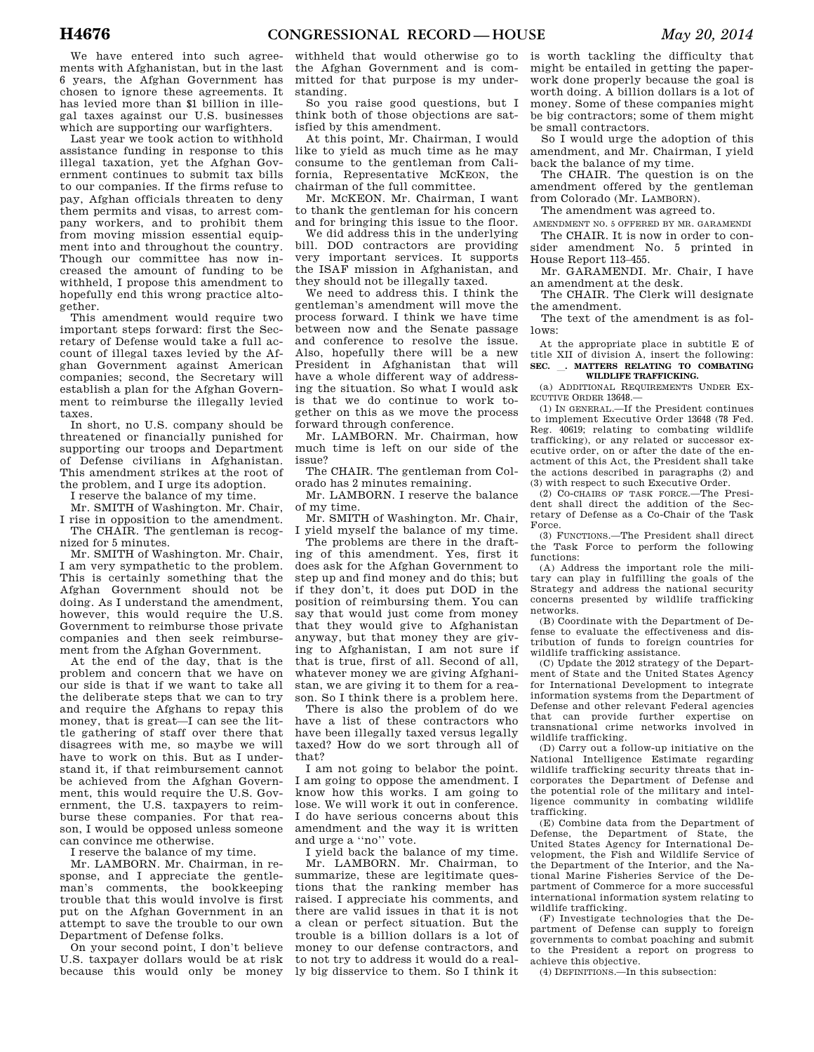We have entered into such agreements with Afghanistan, but in the last 6 years, the Afghan Government has chosen to ignore these agreements. It has levied more than \$1 billion in illegal taxes against our U.S. businesses which are supporting our warfighters.

Last year we took action to withhold assistance funding in response to this illegal taxation, yet the Afghan Government continues to submit tax bills to our companies. If the firms refuse to pay, Afghan officials threaten to deny them permits and visas, to arrest company workers, and to prohibit them from moving mission essential equipment into and throughout the country. Though our committee has now increased the amount of funding to be withheld, I propose this amendment to hopefully end this wrong practice altogether.

This amendment would require two important steps forward: first the Secretary of Defense would take a full account of illegal taxes levied by the Afghan Government against American companies; second, the Secretary will establish a plan for the Afghan Government to reimburse the illegally levied taxes.

In short, no U.S. company should be threatened or financially punished for supporting our troops and Department of Defense civilians in Afghanistan. This amendment strikes at the root of the problem, and I urge its adoption.

I reserve the balance of my time.

Mr. SMITH of Washington. Mr. Chair, I rise in opposition to the amendment.

The CHAIR. The gentleman is recognized for 5 minutes.

Mr. SMITH of Washington. Mr. Chair, I am very sympathetic to the problem. This is certainly something that the Afghan Government should not be doing. As I understand the amendment, however, this would require the U.S. Government to reimburse those private companies and then seek reimbursement from the Afghan Government.

At the end of the day, that is the problem and concern that we have on our side is that if we want to take all the deliberate steps that we can to try and require the Afghans to repay this money, that is great—I can see the little gathering of staff over there that disagrees with me, so maybe we will have to work on this. But as I understand it, if that reimbursement cannot be achieved from the Afghan Government, this would require the U.S. Government, the U.S. taxpayers to reimburse these companies. For that reason, I would be opposed unless someone can convince me otherwise.

I reserve the balance of my time.

Mr. LAMBORN. Mr. Chairman, in response, and I appreciate the gentleman's comments, the bookkeeping trouble that this would involve is first put on the Afghan Government in an attempt to save the trouble to our own Department of Defense folks.

On your second point, I don't believe U.S. taxpayer dollars would be at risk because this would only be money

withheld that would otherwise go to the Afghan Government and is committed for that purpose is my understanding.

So you raise good questions, but I think both of those objections are satisfied by this amendment.

At this point, Mr. Chairman, I would like to yield as much time as he may consume to the gentleman from California, Representative MCKEON, the chairman of the full committee.

Mr. MCKEON. Mr. Chairman, I want to thank the gentleman for his concern and for bringing this issue to the floor.

We did address this in the underlying bill. DOD contractors are providing very important services. It supports the ISAF mission in Afghanistan, and they should not be illegally taxed.

We need to address this. I think the gentleman's amendment will move the process forward. I think we have time between now and the Senate passage and conference to resolve the issue. Also, hopefully there will be a new President in Afghanistan that will have a whole different way of addressing the situation. So what I would ask is that we do continue to work together on this as we move the process forward through conference.

Mr. LAMBORN. Mr. Chairman, how much time is left on our side of the issue?

The CHAIR. The gentleman from Colorado has 2 minutes remaining.

Mr. LAMBORN. I reserve the balance of my time.

Mr. SMITH of Washington. Mr. Chair, I yield myself the balance of my time.

The problems are there in the drafting of this amendment. Yes, first it does ask for the Afghan Government to step up and find money and do this; but if they don't, it does put DOD in the position of reimbursing them. You can say that would just come from money that they would give to Afghanistan anyway, but that money they are giving to Afghanistan, I am not sure if that is true, first of all. Second of all, whatever money we are giving Afghanistan, we are giving it to them for a reason. So I think there is a problem here.

There is also the problem of do we have a list of these contractors who have been illegally taxed versus legally taxed? How do we sort through all of that?

I am not going to belabor the point. I am going to oppose the amendment. I know how this works. I am going to lose. We will work it out in conference. I do have serious concerns about this amendment and the way it is written and urge a ''no'' vote.

I yield back the balance of my time. Mr. LAMBORN. Mr. Chairman, to summarize, these are legitimate questions that the ranking member has raised. I appreciate his comments, and there are valid issues in that it is not a clean or perfect situation. But the trouble is a billion dollars is a lot of money to our defense contractors, and to not try to address it would do a really big disservice to them. So I think it

is worth tackling the difficulty that might be entailed in getting the paperwork done properly because the goal is worth doing. A billion dollars is a lot of money. Some of these companies might be big contractors; some of them might be small contractors.

So I would urge the adoption of this amendment, and Mr. Chairman, I yield back the balance of my time.

The CHAIR. The question is on the amendment offered by the gentleman from Colorado (Mr. LAMBORN).

The amendment was agreed to.

AMENDMENT NO. 5 OFFERED BY MR. GARAMENDI The CHAIR. It is now in order to consider amendment No. 5 printed in House Report 113–455.

Mr. GARAMENDI. Mr. Chair, I have an amendment at the desk.

The CHAIR. The Clerk will designate the amendment.

The text of the amendment is as follows:

At the appropriate place in subtitle E of title XII of division A, insert the following: **SEC.** l**. MATTERS RELATING TO COMBATING WILDLIFE TRAFFICKING.** 

(a) ADDITIONAL REQUIREMENTS UNDER EX-ECUTIVE ORDER 13648.

(1) IN GENERAL.—If the President continues to implement Executive Order 13648 (78 Fed. Reg. 40619; relating to combating wildlife trafficking), or any related or successor executive order, on or after the date of the enactment of this Act, the President shall take the actions described in paragraphs (2) and (3) with respect to such Executive Order.

(2) CO-CHAIRS OF TASK FORCE.—The President shall direct the addition of the Secretary of Defense as a Co-Chair of the Task Force.

(3) FUNCTIONS.—The President shall direct the Task Force to perform the following functions:

(A) Address the important role the military can play in fulfilling the goals of the Strategy and address the national security concerns presented by wildlife trafficking networks.

(B) Coordinate with the Department of Defense to evaluate the effectiveness and distribution of funds to foreign countries for wildlife trafficking assistance.

(C) Update the 2012 strategy of the Department of State and the United States Agency for International Development to integrate information systems from the Department of Defense and other relevant Federal agencies that can provide further expertise on transnational crime networks involved in wildlife trafficking.

(D) Carry out a follow-up initiative on the National Intelligence Estimate regarding wildlife trafficking security threats that incorporates the Department of Defense and the potential role of the military and intelligence community in combating wildlife trafficking.

(E) Combine data from the Department of Defense, the Department of State, the United States Agency for International Development, the Fish and Wildlife Service of the Department of the Interior, and the National Marine Fisheries Service of the Department of Commerce for a more successful international information system relating to wildlife trafficking.

(F) Investigate technologies that the Department of Defense can supply to foreign governments to combat poaching and submit to the President a report on progress to achieve this objective.

(4) DEFINITIONS.—In this subsection: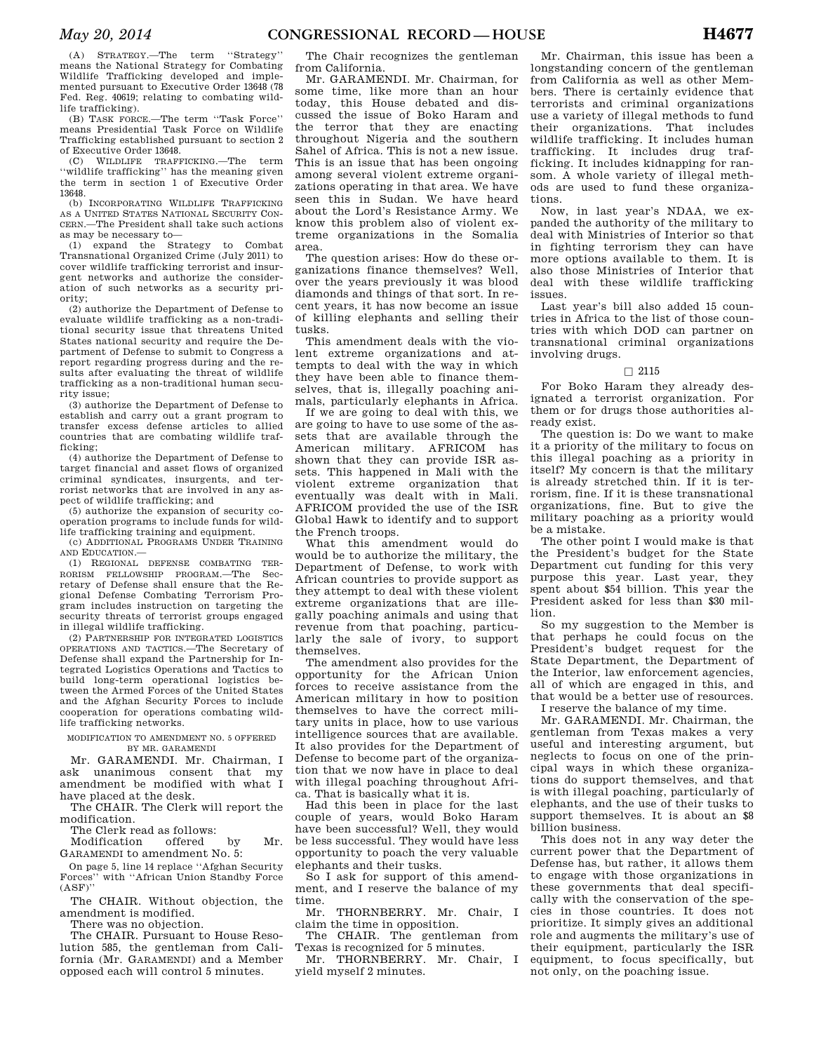(A) STRATEGY.—The term ''Strategy'' means the National Strategy for Combating Wildlife Trafficking developed and implemented pursuant to Executive Order 13648 (78 Fed. Reg. 40619; relating to combating wildlife trafficking).

(B) TASK FORCE.—The term ''Task Force'' means Presidential Task Force on Wildlife Trafficking established pursuant to section 2 of Executive Order 13648.

(C) WILDLIFE TRAFFICKING.—The term ''wildlife trafficking'' has the meaning given the term in section 1 of Executive Order 13648.

(b) INCORPORATING WILDLIFE TRAFFICKING AS A UNITED STATES NATIONAL SECURITY CON-CERN.—The President shall take such actions as may be necessary to—

(1) expand the Strategy to Combat Transnational Organized Crime (July 2011) to cover wildlife trafficking terrorist and insurgent networks and authorize the consideration of such networks as a security priority;

(2) authorize the Department of Defense to evaluate wildlife trafficking as a non-traditional security issue that threatens United States national security and require the Department of Defense to submit to Congress a report regarding progress during and the results after evaluating the threat of wildlife trafficking as a non-traditional human security issue;

(3) authorize the Department of Defense to establish and carry out a grant program to transfer excess defense articles to allied countries that are combating wildlife trafficking;

(4) authorize the Department of Defense to target financial and asset flows of organized criminal syndicates, insurgents, and terrorist networks that are involved in any aspect of wildlife trafficking; and

(5) authorize the expansion of security cooperation programs to include funds for wildlife trafficking training and equipment.

(c) ADDITIONAL PROGRAMS UNDER TRAINING AND EDUCATION.—

(1) REGIONAL DEFENSE COMBATING TER-RORISM FELLOWSHIP PROGRAM.—The Secretary of Defense shall ensure that the Regional Defense Combating Terrorism Program includes instruction on targeting the security threats of terrorist groups engaged in illegal wildlife trafficking.

(2) PARTNERSHIP FOR INTEGRATED LOGISTICS OPERATIONS AND TACTICS.—The Secretary of Defense shall expand the Partnership for Integrated Logistics Operations and Tactics to build long-term operational logistics between the Armed Forces of the United States and the Afghan Security Forces to include cooperation for operations combating wildlife trafficking networks.

MODIFICATION TO AMENDMENT NO. 5 OFFERED BY MR. GARAMENDI

Mr. GARAMENDI. Mr. Chairman, I ask unanimous consent that my amendment be modified with what I have placed at the desk.

The CHAIR. The Clerk will report the modification.

The Clerk read as follows:<br>Modification offered

Modification offered by Mr. GARAMENDI to amendment No. 5:

On page 5, line 14 replace ''Afghan Security Forces'' with ''African Union Standby Force  $(ASF)$ "

The CHAIR. Without objection, the amendment is modified.

There was no objection.

The CHAIR. Pursuant to House Resolution 585, the gentleman from California (Mr. GARAMENDI) and a Member opposed each will control 5 minutes.

The Chair recognizes the gentleman from California.

Mr. GARAMENDI. Mr. Chairman, for some time, like more than an hour today, this House debated and discussed the issue of Boko Haram and the terror that they are enacting throughout Nigeria and the southern Sahel of Africa. This is not a new issue. This is an issue that has been ongoing among several violent extreme organizations operating in that area. We have seen this in Sudan. We have heard about the Lord's Resistance Army. We know this problem also of violent extreme organizations in the Somalia area.

The question arises: How do these organizations finance themselves? Well, over the years previously it was blood diamonds and things of that sort. In recent years, it has now become an issue of killing elephants and selling their tusks.

This amendment deals with the violent extreme organizations and attempts to deal with the way in which they have been able to finance themselves, that is, illegally poaching animals, particularly elephants in Africa.

If we are going to deal with this, we are going to have to use some of the assets that are available through the American military. AFRICOM has shown that they can provide ISR assets. This happened in Mali with the violent extreme organization that eventually was dealt with in Mali. AFRICOM provided the use of the ISR Global Hawk to identify and to support the French troops.

What this amendment would do would be to authorize the military, the Department of Defense, to work with African countries to provide support as they attempt to deal with these violent extreme organizations that are illegally poaching animals and using that revenue from that poaching, particularly the sale of ivory, to support themselves.

The amendment also provides for the opportunity for the African Union forces to receive assistance from the American military in how to position themselves to have the correct military units in place, how to use various intelligence sources that are available. It also provides for the Department of Defense to become part of the organization that we now have in place to deal with illegal poaching throughout Africa. That is basically what it is.

Had this been in place for the last couple of years, would Boko Haram have been successful? Well, they would be less successful. They would have less opportunity to poach the very valuable elephants and their tusks.

So I ask for support of this amendment, and I reserve the balance of my time.

Mr. THORNBERRY. Mr. Chair, I claim the time in opposition.

The CHAIR. The gentleman from Texas is recognized for 5 minutes.

Mr. THORNBERRY. Mr. Chair, I yield myself 2 minutes.

Mr. Chairman, this issue has been a longstanding concern of the gentleman from California as well as other Members. There is certainly evidence that terrorists and criminal organizations use a variety of illegal methods to fund their organizations. That includes wildlife trafficking. It includes human trafficking. It includes drug trafficking. It includes kidnapping for ransom. A whole variety of illegal methods are used to fund these organizations.

Now, in last year's NDAA, we expanded the authority of the military to deal with Ministries of Interior so that in fighting terrorism they can have more options available to them. It is also those Ministries of Interior that deal with these wildlife trafficking issues.

Last year's bill also added 15 countries in Africa to the list of those countries with which DOD can partner on transnational criminal organizations involving drugs.

#### $\square$  2115

For Boko Haram they already designated a terrorist organization. For them or for drugs those authorities already exist.

The question is: Do we want to make it a priority of the military to focus on this illegal poaching as a priority in itself? My concern is that the military is already stretched thin. If it is terrorism, fine. If it is these transnational organizations, fine. But to give the military poaching as a priority would be a mistake.

The other point I would make is that the President's budget for the State Department cut funding for this very purpose this year. Last year, they spent about \$54 billion. This year the President asked for less than \$30 million.

So my suggestion to the Member is that perhaps he could focus on the President's budget request for the State Department, the Department of the Interior, law enforcement agencies, all of which are engaged in this, and that would be a better use of resources. I reserve the balance of my time.

Mr. GARAMENDI. Mr. Chairman, the gentleman from Texas makes a very useful and interesting argument, but neglects to focus on one of the principal ways in which these organizations do support themselves, and that is with illegal poaching, particularly of elephants, and the use of their tusks to support themselves. It is about an \$8 billion business.

This does not in any way deter the current power that the Department of Defense has, but rather, it allows them to engage with those organizations in these governments that deal specifically with the conservation of the species in those countries. It does not prioritize. It simply gives an additional role and augments the military's use of their equipment, particularly the ISR equipment, to focus specifically, but not only, on the poaching issue.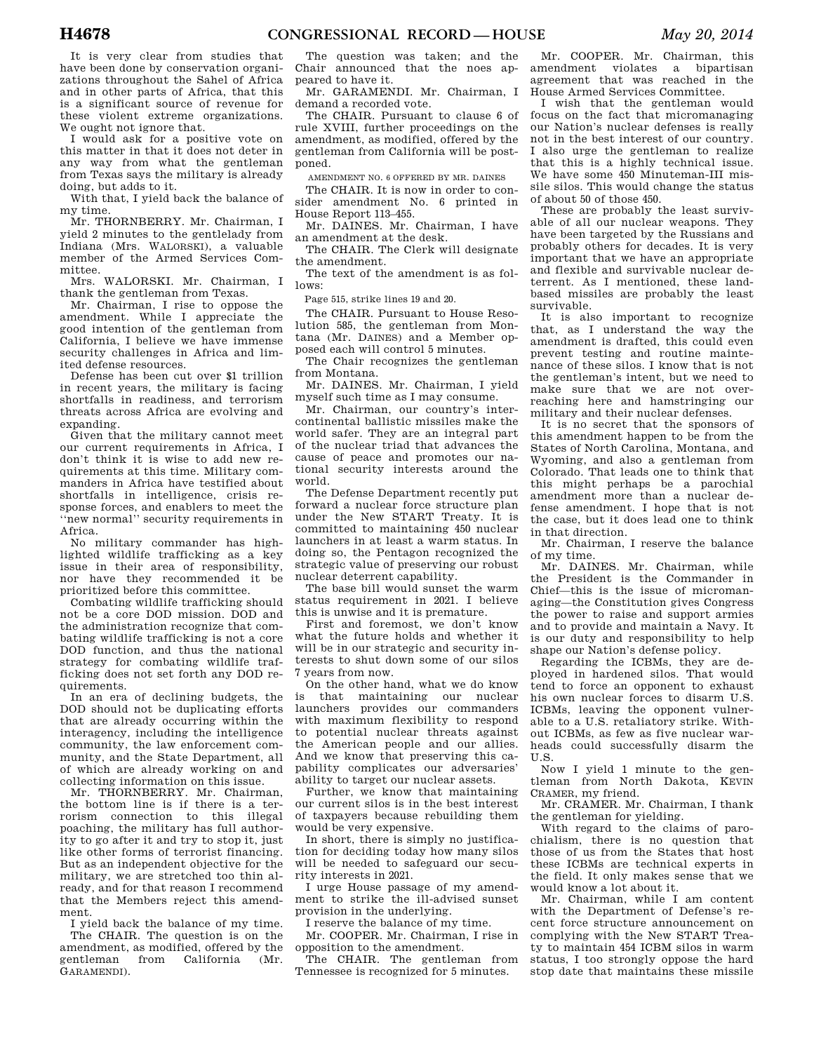It is very clear from studies that have been done by conservation organizations throughout the Sahel of Africa and in other parts of Africa, that this is a significant source of revenue for these violent extreme organizations. We ought not ignore that.

I would ask for a positive vote on this matter in that it does not deter in any way from what the gentleman from Texas says the military is already doing, but adds to it.

With that, I yield back the balance of my time.

Mr. THORNBERRY. Mr. Chairman, I yield 2 minutes to the gentlelady from Indiana (Mrs. WALORSKI), a valuable member of the Armed Services Committee.

Mrs. WALORSKI. Mr. Chairman, I thank the gentleman from Texas.

Mr. Chairman, I rise to oppose the amendment. While I appreciate the good intention of the gentleman from California, I believe we have immense security challenges in Africa and limited defense resources.

Defense has been cut over \$1 trillion in recent years, the military is facing shortfalls in readiness, and terrorism threats across Africa are evolving and expanding.

Given that the military cannot meet our current requirements in Africa, I don't think it is wise to add new requirements at this time. Military commanders in Africa have testified about shortfalls in intelligence, crisis response forces, and enablers to meet the ''new normal'' security requirements in Africa.

No military commander has highlighted wildlife trafficking as a key issue in their area of responsibility, nor have they recommended it be prioritized before this committee.

Combating wildlife trafficking should not be a core DOD mission. DOD and the administration recognize that combating wildlife trafficking is not a core DOD function, and thus the national strategy for combating wildlife trafficking does not set forth any DOD requirements.

In an era of declining budgets, the DOD should not be duplicating efforts that are already occurring within the interagency, including the intelligence community, the law enforcement community, and the State Department, all of which are already working on and collecting information on this issue.

Mr. THORNBERRY. Mr. Chairman, the bottom line is if there is a terrorism connection to this illegal poaching, the military has full authority to go after it and try to stop it, just like other forms of terrorist financing. But as an independent objective for the military, we are stretched too thin already, and for that reason I recommend that the Members reject this amendment.

I yield back the balance of my time. The CHAIR. The question is on the amendment, as modified, offered by the gentleman from California (Mr. GARAMENDI).

The question was taken; and the Chair announced that the noes appeared to have it.

Mr. GARAMENDI. Mr. Chairman, I demand a recorded vote.

The CHAIR. Pursuant to clause 6 of rule XVIII, further proceedings on the amendment, as modified, offered by the gentleman from California will be postponed.

AMENDMENT NO. 6 OFFERED BY MR. DAINES

The CHAIR. It is now in order to consider amendment No. 6 printed in House Report 113–455.

Mr. DAINES. Mr. Chairman, I have an amendment at the desk.

The CHAIR. The Clerk will designate the amendment.

The text of the amendment is as follows:

Page 515, strike lines 19 and 20.

The CHAIR. Pursuant to House Resolution 585, the gentleman from Montana (Mr. DAINES) and a Member opposed each will control 5 minutes.

The Chair recognizes the gentleman from Montana.

Mr. DAINES. Mr. Chairman, I yield myself such time as I may consume.

Mr. Chairman, our country's intercontinental ballistic missiles make the world safer. They are an integral part of the nuclear triad that advances the cause of peace and promotes our national security interests around the world.

The Defense Department recently put forward a nuclear force structure plan under the New START Treaty. It is committed to maintaining 450 nuclear launchers in at least a warm status. In doing so, the Pentagon recognized the strategic value of preserving our robust nuclear deterrent capability.

The base bill would sunset the warm status requirement in 2021. I believe this is unwise and it is premature.

First and foremost, we don't know what the future holds and whether it will be in our strategic and security interests to shut down some of our silos 7 years from now.

On the other hand, what we do know is that maintaining our nuclear launchers provides our commanders with maximum flexibility to respond to potential nuclear threats against the American people and our allies. And we know that preserving this capability complicates our adversaries' ability to target our nuclear assets.

Further, we know that maintaining our current silos is in the best interest of taxpayers because rebuilding them would be very expensive.

In short, there is simply no justification for deciding today how many silos will be needed to safeguard our security interests in 2021.

I urge House passage of my amendment to strike the ill-advised sunset provision in the underlying.

I reserve the balance of my time.

Mr. COOPER. Mr. Chairman, I rise in opposition to the amendment.

The CHAIR. The gentleman from Tennessee is recognized for 5 minutes.

Mr. COOPER. Mr. Chairman, this amendment violates a bipartisan agreement that was reached in the House Armed Services Committee.

I wish that the gentleman would focus on the fact that micromanaging our Nation's nuclear defenses is really not in the best interest of our country. I also urge the gentleman to realize that this is a highly technical issue. We have some 450 Minuteman-III missile silos. This would change the status of about 50 of those 450.

These are probably the least survivable of all our nuclear weapons. They have been targeted by the Russians and probably others for decades. It is very important that we have an appropriate and flexible and survivable nuclear deterrent. As I mentioned, these landbased missiles are probably the least survivable.

It is also important to recognize that, as I understand the way the amendment is drafted, this could even prevent testing and routine maintenance of these silos. I know that is not the gentleman's intent, but we need to make sure that we are not overreaching here and hamstringing our military and their nuclear defenses.

It is no secret that the sponsors of this amendment happen to be from the States of North Carolina, Montana, and Wyoming, and also a gentleman from Colorado. That leads one to think that this might perhaps be a parochial amendment more than a nuclear defense amendment. I hope that is not the case, but it does lead one to think in that direction.

Mr. Chairman, I reserve the balance of my time.

Mr. DAINES. Mr. Chairman, while the President is the Commander in Chief—this is the issue of micromanaging—the Constitution gives Congress the power to raise and support armies and to provide and maintain a Navy. It is our duty and responsibility to help shape our Nation's defense policy.

Regarding the ICBMs, they are deployed in hardened silos. That would tend to force an opponent to exhaust his own nuclear forces to disarm U.S. ICBMs, leaving the opponent vulnerable to a U.S. retaliatory strike. Without ICBMs, as few as five nuclear warheads could successfully disarm the U.S.

Now I yield 1 minute to the gentleman from North Dakota, KEVIN CRAMER, my friend.

Mr. CRAMER. Mr. Chairman, I thank the gentleman for yielding.

With regard to the claims of parochialism, there is no question that those of us from the States that host these ICBMs are technical experts in the field. It only makes sense that we would know a lot about it.

Mr. Chairman, while I am content with the Department of Defense's recent force structure announcement on complying with the New START Treaty to maintain 454 ICBM silos in warm status, I too strongly oppose the hard stop date that maintains these missile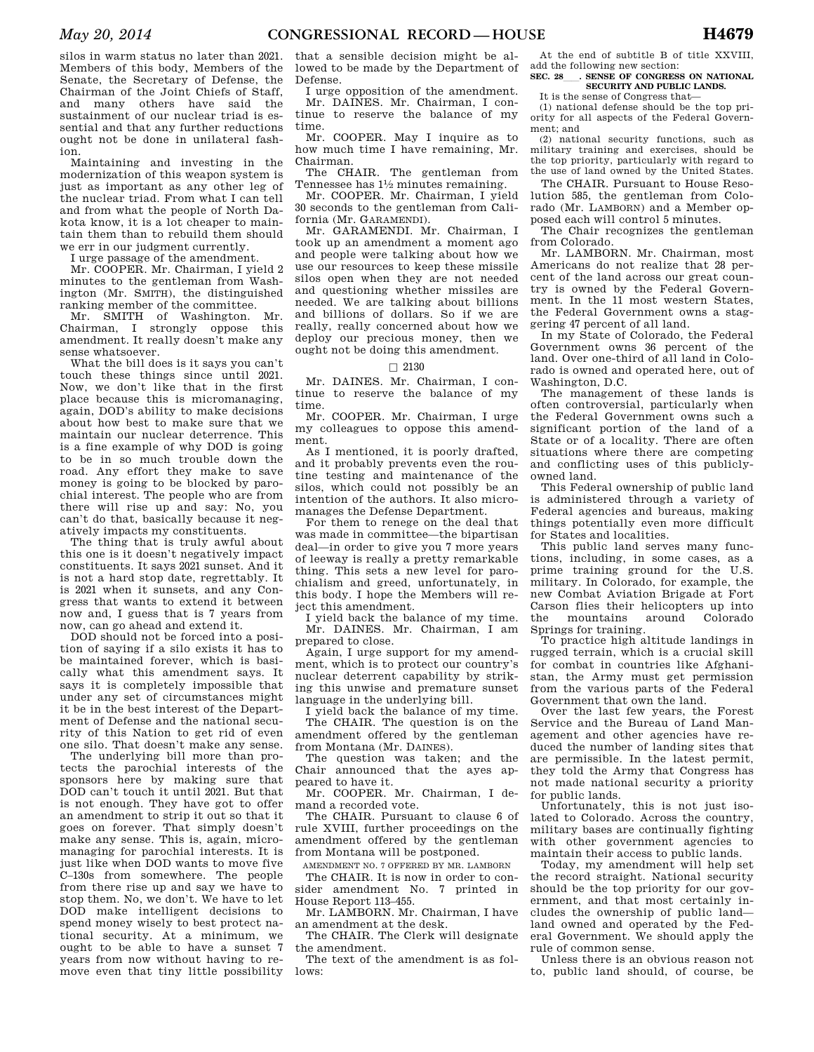silos in warm status no later than 2021. Members of this body, Members of the Senate, the Secretary of Defense, the Chairman of the Joint Chiefs of Staff, and many others have said the sustainment of our nuclear triad is essential and that any further reductions ought not be done in unilateral fashion.

Maintaining and investing in the modernization of this weapon system is just as important as any other leg of the nuclear triad. From what I can tell and from what the people of North Dakota know, it is a lot cheaper to maintain them than to rebuild them should we err in our judgment currently.

I urge passage of the amendment.

Mr. COOPER. Mr. Chairman, I yield 2 minutes to the gentleman from Washington (Mr. SMITH), the distinguished ranking member of the committee.<br>Mr. SMITH of Washington Mr.

Mr. SMITH of Washington. Chairman, I strongly oppose this amendment. It really doesn't make any sense whatsoever.

What the bill does is it says you can't touch these things since until 2021. Now, we don't like that in the first place because this is micromanaging, again, DOD's ability to make decisions about how best to make sure that we maintain our nuclear deterrence. This is a fine example of why DOD is going to be in so much trouble down the road. Any effort they make to save money is going to be blocked by parochial interest. The people who are from there will rise up and say: No, you can't do that, basically because it negatively impacts my constituents.

The thing that is truly awful about this one is it doesn't negatively impact constituents. It says 2021 sunset. And it is not a hard stop date, regrettably. It is 2021 when it sunsets, and any Congress that wants to extend it between now and, I guess that is 7 years from now, can go ahead and extend it.

DOD should not be forced into a position of saying if a silo exists it has to be maintained forever, which is basically what this amendment says. It says it is completely impossible that under any set of circumstances might it be in the best interest of the Department of Defense and the national security of this Nation to get rid of even one silo. That doesn't make any sense.

The underlying bill more than protects the parochial interests of the sponsors here by making sure that DOD can't touch it until 2021. But that is not enough. They have got to offer an amendment to strip it out so that it goes on forever. That simply doesn't make any sense. This is, again, micromanaging for parochial interests. It is just like when DOD wants to move five C–130s from somewhere. The people from there rise up and say we have to stop them. No, we don't. We have to let DOD make intelligent decisions to spend money wisely to best protect national security. At a minimum, we ought to be able to have a sunset 7 years from now without having to remove even that tiny little possibility

that a sensible decision might be allowed to be made by the Department of Defense.

I urge opposition of the amendment. Mr. DAINES. Mr. Chairman, I continue to reserve the balance of my time.

Mr. COOPER. May I inquire as to how much time I have remaining, Mr. Chairman.

The CHAIR. The gentleman from Tennessee has  $1\frac{1}{2}$  minutes remaining.

Mr. COOPER. Mr. Chairman, I yield 30 seconds to the gentleman from California (Mr. GARAMENDI).

Mr. GARAMENDI. Mr. Chairman, I took up an amendment a moment ago and people were talking about how we use our resources to keep these missile silos open when they are not needed and questioning whether missiles are needed. We are talking about billions and billions of dollars. So if we are really, really concerned about how we deploy our precious money, then we ought not be doing this amendment.

#### $\square$  2130

Mr. DAINES. Mr. Chairman, I continue to reserve the balance of my time.

Mr. COOPER. Mr. Chairman, I urge my colleagues to oppose this amendment.

As I mentioned, it is poorly drafted, and it probably prevents even the routine testing and maintenance of the silos, which could not possibly be an intention of the authors. It also micromanages the Defense Department.

For them to renege on the deal that was made in committee—the bipartisan deal—in order to give you 7 more years of leeway is really a pretty remarkable thing. This sets a new level for parochialism and greed, unfortunately, in this body. I hope the Members will reject this amendment.

I yield back the balance of my time. Mr. DAINES. Mr. Chairman, I am prepared to close.

Again, I urge support for my amendment, which is to protect our country's nuclear deterrent capability by striking this unwise and premature sunset language in the underlying bill.

I yield back the balance of my time. The CHAIR. The question is on the amendment offered by the gentleman from Montana (Mr. DAINES).

The question was taken; and the Chair announced that the ayes appeared to have it.

Mr. COOPER. Mr. Chairman, I demand a recorded vote.

The CHAIR. Pursuant to clause 6 of rule XVIII, further proceedings on the amendment offered by the gentleman from Montana will be postponed.

AMENDMENT NO. 7 OFFERED BY MR. LAMBORN

The CHAIR. It is now in order to consider amendment No. 7 printed in House Report 113–455.

Mr. LAMBORN. Mr. Chairman, I have an amendment at the desk.

The CHAIR. The Clerk will designate the amendment.

The text of the amendment is as follows:

At the end of subtitle B of title XXVIII, add the following new section: **SEC. 28**ll**. SENSE OF CONGRESS ON NATIONAL** 

#### **SECURITY AND PUBLIC LANDS.**  It is the sense of Congress that—

(1) national defense should be the top priority for all aspects of the Federal Government; and

(2) national security functions, such as military training and exercises, should be the top priority, particularly with regard to the use of land owned by the United States.

The CHAIR. Pursuant to House Resolution 585, the gentleman from Colorado (Mr. LAMBORN) and a Member opposed each will control 5 minutes.

The Chair recognizes the gentleman from Colorado.

Mr. LAMBORN. Mr. Chairman, most Americans do not realize that 28 percent of the land across our great country is owned by the Federal Government. In the 11 most western States, the Federal Government owns a staggering 47 percent of all land.

In my State of Colorado, the Federal Government owns 36 percent of the land. Over one-third of all land in Colorado is owned and operated here, out of Washington, D.C.

The management of these lands is often controversial, particularly when the Federal Government owns such a significant portion of the land of a State or of a locality. There are often situations where there are competing and conflicting uses of this publiclyowned land.

This Federal ownership of public land is administered through a variety of Federal agencies and bureaus, making things potentially even more difficult for States and localities.

This public land serves many functions, including, in some cases, as a prime training ground for the U.S. military. In Colorado, for example, the new Combat Aviation Brigade at Fort Carson flies their helicopters up into the mountains around Colorado Springs for training.

To practice high altitude landings in rugged terrain, which is a crucial skill for combat in countries like Afghanistan, the Army must get permission from the various parts of the Federal Government that own the land.

Over the last few years, the Forest Service and the Bureau of Land Management and other agencies have reduced the number of landing sites that are permissible. In the latest permit, they told the Army that Congress has not made national security a priority for public lands.

Unfortunately, this is not just isolated to Colorado. Across the country, military bases are continually fighting with other government agencies to maintain their access to public lands.

Today, my amendment will help set the record straight. National security should be the top priority for our government, and that most certainly includes the ownership of public land land owned and operated by the Federal Government. We should apply the rule of common sense.

Unless there is an obvious reason not to, public land should, of course, be